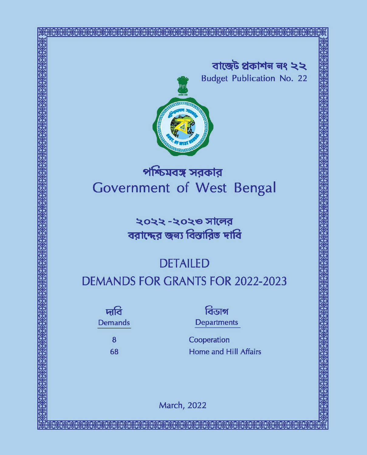



# পশ্চিমবঙ্গ সরকার Government of West Bengal

২০২২ -২০২৩ সালের বরাদ্দের জন্য বিস্তারিত দাবি

# **DETAILED DEMANDS FOR GRANTS FOR 2022-2023**

দাবি **Demands** 

> 8 68

বিডাগ **Departments** 

Cooperation **Home and Hill Affairs** 

**March, 2022**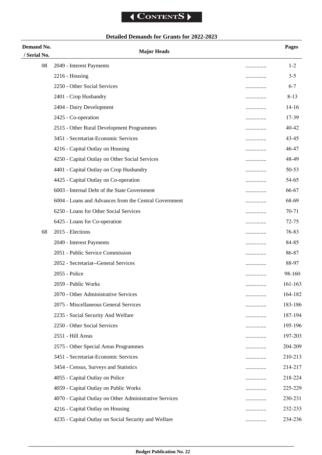## **Detailed Demands for Grants for 2022-2023**

| Demand No.   | <b>Major Heads</b>                                     |   | <b>Pages</b> |
|--------------|--------------------------------------------------------|---|--------------|
| / Serial No. |                                                        |   |              |
| 08           | 2049 - Interest Payments                               |   | $1 - 2$      |
|              | $2216$ - Housing                                       |   | $3 - 5$      |
|              | 2250 - Other Social Services                           |   | $6 - 7$      |
|              | 2401 - Crop Husbandry                                  |   | $8 - 13$     |
|              | 2404 - Dairy Development                               | . | $14 - 16$    |
|              | 2425 - Co-operation                                    |   | 17-39        |
|              | 2515 - Other Rural Development Programmes              |   | 40-42        |
|              | 3451 - Secretariat-Economic Services                   |   | 43-45        |
|              | 4216 - Capital Outlay on Housing                       |   | 46-47        |
|              | 4250 - Capital Outlay on Other Social Services         | . | 48-49        |
|              | 4401 - Capital Outlay on Crop Husbandry                |   | 50-53        |
|              | 4425 - Capital Outlay on Co-operation                  |   | 54-65        |
|              | 6003 - Internal Debt of the State Government           |   | 66-67        |
|              | 6004 - Loans and Advances from the Central Government  |   | 68-69        |
|              | 6250 - Loans for Other Social Services                 | . | 70-71        |
|              | 6425 - Loans for Co-operation                          |   | 72-75        |
| 68           | 2015 - Elections                                       |   | 76-83        |
|              | 2049 - Interest Payments                               |   | 84-85        |
|              | 2051 - Public Service Commission                       |   | 86-87        |
|              | 2052 - Secretariat--General Services                   |   | 88-97        |
|              | 2055 - Police                                          | . | 98-160       |
|              | 2059 - Public Works                                    |   | 161-163      |
|              | 2070 - Other Administrative Services                   |   | 164-182      |
|              | 2075 - Miscellaneous General Services                  | . | 183-186      |
|              | 2235 - Social Security And Welfare                     |   | 187-194      |
|              | 2250 - Other Social Services                           |   | 195-196      |
|              | 2551 - Hill Areas                                      |   | 197-203      |
|              | 2575 - Other Special Areas Programmes                  |   | 204-209      |
|              | 3451 - Secretariat-Economic Services                   | . | 210-213      |
|              | 3454 - Census, Surveys and Statistics                  |   | 214-217      |
|              | 4055 - Capital Outlay on Police                        |   | 218-224      |
|              | 4059 - Capital Outlay on Public Works                  |   | 225-229      |
|              | 4070 - Capital Outlay on Other Administrative Services |   | 230-231      |
|              | 4216 - Capital Outlay on Housing                       |   | 232-233      |
|              | 4235 - Capital Outlay on Social Security and Welfare   | . | 234-236      |
|              |                                                        |   |              |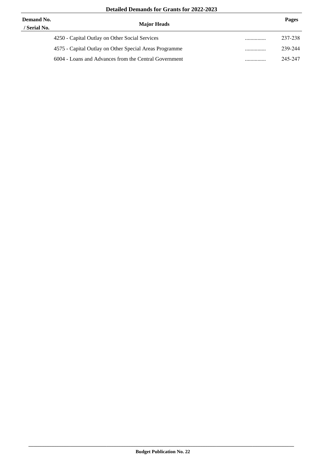| Demand No.<br>/ Serial No. | <b>Major Heads</b>                                     |   | Pages   |
|----------------------------|--------------------------------------------------------|---|---------|
|                            | 4250 - Capital Outlay on Other Social Services         | . | 237-238 |
|                            | 4575 - Capital Outlay on Other Special Areas Programme |   | 239-244 |
|                            | 6004 - Loans and Advances from the Central Government  | . | 245-247 |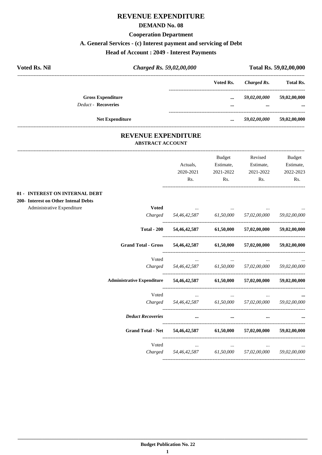#### **REVENUE EXPENDITURE**

#### **DEMAND No. 08**

#### **Cooperation Department**

## **A. General Services - (c) Interest payment and servicing of Debt**

## **Head of Account : 2049 - Interest Payments**

| <b>Voted Rs. Nil</b>       | Charged Rs. 59,02,00,000 |           | Total Rs. 59,02,00,000 |                  |
|----------------------------|--------------------------|-----------|------------------------|------------------|
|                            |                          | Voted Rs. | Charged Rs.            | <b>Total Rs.</b> |
|                            | <b>Gross Expenditure</b> | $\cdots$  | 59,02,00,000           | 59,02,00,000     |
| <b>Deduct - Recoveries</b> |                          |           | $\cdots$               | $\cdots$         |
|                            | <b>Net Expenditure</b>   | $\cdots$  | 59,02,00,000           | 59,02,00,000     |

#### **REVENUE EXPENDITURE ABSTRACT ACCOUNT**

|                                      |                                   |                        | <b>Budget</b> | Revised                             | <b>Budget</b> |
|--------------------------------------|-----------------------------------|------------------------|---------------|-------------------------------------|---------------|
|                                      |                                   | Actuals,               | Estimate,     | Estimate,                           | Estimate,     |
|                                      |                                   | 2020-2021              | 2021-2022     | 2021-2022                           | 2022-2023     |
|                                      |                                   | Rs.                    | Rs.           | Rs.                                 | Rs.           |
| 01 - INTEREST ON INTERNAL DEBT       |                                   |                        |               |                                     |               |
| 200- Interest on Other Intenal Debts |                                   |                        |               |                                     |               |
| Administrative Expenditure           | <b>Voted</b>                      |                        |               |                                     |               |
|                                      | Charged                           | 54,46,42,587 61,50,000 |               | 57,02,00,000                        | 59,02,00,000  |
|                                      | <b>Total - 200</b>                | 54,46,42,587           | 61,50,000     | 57,02,00,000                        | 59,02,00,000  |
|                                      | <b>Grand Total - Gross</b>        | 54,46,42,587           | 61,50,000     | 57,02,00,000                        | 59,02,00,000  |
|                                      | Voted                             |                        |               |                                     |               |
|                                      | Charged                           | 54,46,42,587 61,50,000 |               | 57,02,00,000                        | 59,02,00,000  |
|                                      | <b>Administrative Expenditure</b> |                        |               | 54,46,42,587 61,50,000 57,02,00,000 | 59,02,00,000  |
|                                      | Voted                             | $\cdots$               | $\cdots$      |                                     |               |
|                                      | Charged                           | 54,46,42,587 61,50,000 |               | 57,02,00,000                        | 59,02,00,000  |
|                                      | <b>Deduct Recoveries</b>          | $\cdots$               | $\cdots$      |                                     |               |
|                                      | <b>Grand Total - Net</b>          | 54,46,42,587           | 61,50,000     | 57,02,00,000                        | 59,02,00,000  |
|                                      | Voted                             | $\cdots$               | $\cdots$      | $\cdots$                            |               |
|                                      | Charged                           | 54,46,42,587           | 61,50,000     | 57,02,00,000                        | 59,02,00,000  |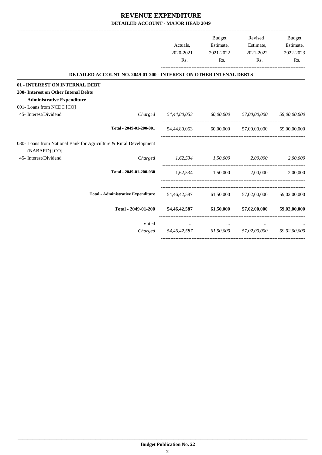|                                      |                                                                    | Actuals,                            | Budget<br>Estimate,    | Revised<br>Estimate,                             | Budget<br>Estimate, |
|--------------------------------------|--------------------------------------------------------------------|-------------------------------------|------------------------|--------------------------------------------------|---------------------|
|                                      |                                                                    | 2020-2021                           | 2021-2022              | 2021-2022                                        | 2022-2023           |
|                                      |                                                                    | Rs.                                 | Rs.                    | Rs.                                              | Rs.                 |
|                                      | DETAILED ACCOUNT NO. 2049-01-200 - INTEREST ON OTHER INTENAL DEBTS |                                     |                        |                                                  |                     |
| 01 - INTEREST ON INTERNAL DEBT       |                                                                    |                                     |                        |                                                  |                     |
| 200- Interest on Other Intenal Debts |                                                                    |                                     |                        |                                                  |                     |
| <b>Administrative Expenditure</b>    |                                                                    |                                     |                        |                                                  |                     |
| 001-Loans from NCDC [CO]             |                                                                    |                                     |                        |                                                  |                     |
| 45- Interest/Dividend                | Charged                                                            | 54,44,80,053                        | 60,00,000 57,00,00,000 |                                                  | 59,00,00,000        |
|                                      | Total - 2049-01-200-001                                            | 54,44,80,053                        |                        | 60,00,000 57,00,00,000                           | 59,00,00,000        |
|                                      | 030- Loans from National Bank for Agriculture & Rural Development  |                                     |                        |                                                  |                     |
| (NABARD) [CO]                        |                                                                    |                                     |                        |                                                  |                     |
| 45- Interest/Dividend                | Charged                                                            | 1,62,534 1,50,000 2,00,000          |                        |                                                  | 2,00,000            |
|                                      | Total - 2049-01-200-030                                            |                                     |                        | $1.62.534$ $1.50.000$ $2.00.000$                 | 2.00.000            |
|                                      | <b>Total - Administrative Expenditure</b>                          |                                     |                        | 54,46,42,587 61,50,000 57,02,00,000 59,02,00,000 |                     |
|                                      | Total - 2049-01-200                                                |                                     |                        | 54,46,42,587 61,50,000 57,02,00,000 59,02,00,000 |                     |
|                                      | Voted                                                              |                                     | $\cdots$               |                                                  |                     |
|                                      | Charged                                                            | 54,46,42,587 61,50,000 57,02,00,000 |                        |                                                  | 59,02,00,000        |
|                                      |                                                                    |                                     |                        |                                                  |                     |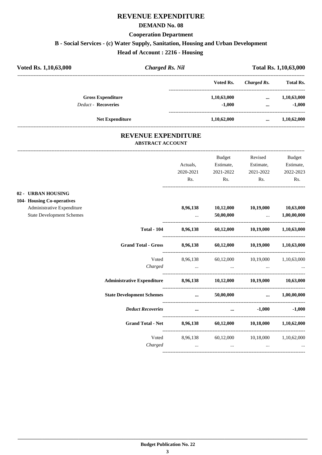## **REVENUE EXPENDITURE**

#### **DEMAND No. 08**

#### **Cooperation Department**

## **B - Social Services - (c) Water Supply, Sanitation, Housing and Urban Development**

**Head of Account : 2216 - Housing** 

| Voted Rs. 1,10,63,000      |                        | <b>Charged Rs. Nil</b> |             | <b>Total Rs. 1,10,63,000</b> |  |
|----------------------------|------------------------|------------------------|-------------|------------------------------|--|
|                            |                        | Voted Rs.              | Charged Rs. | <b>Total Rs.</b>             |  |
| <b>Gross Expenditure</b>   |                        | 1,10,63,000            | $\cdots$    | 1,10,63,000                  |  |
| <b>Deduct - Recoveries</b> |                        | $-1,000$               | $\cdots$    | $-1,000$                     |  |
|                            | <b>Net Expenditure</b> | 1,10,62,000            |             | 1,10,62,000                  |  |

#### **REVENUE EXPENDITURE ABSTRACT ACCOUNT**

---------------------------------------------------------------------------------------------------------------------------------------------------------------------------------

|                                  |                                                                   | Actuals,                                                                                                                          | Budget<br>Estimate,                                                                                                 | Revised<br>Estimate,      | <b>Budget</b><br>Estimate, |
|----------------------------------|-------------------------------------------------------------------|-----------------------------------------------------------------------------------------------------------------------------------|---------------------------------------------------------------------------------------------------------------------|---------------------------|----------------------------|
|                                  |                                                                   | 2020-2021                                                                                                                         | 2021-2022                                                                                                           | 2021-2022                 | 2022-2023                  |
|                                  |                                                                   | Rs.                                                                                                                               | Rs.                                                                                                                 | Rs.                       | Rs.                        |
| 02 - URBAN HOUSING               |                                                                   |                                                                                                                                   |                                                                                                                     |                           |                            |
| 104- Housing Co-operatives       |                                                                   |                                                                                                                                   |                                                                                                                     |                           |                            |
| Administrative Expenditure       |                                                                   |                                                                                                                                   | 8,96,138 10,12,000 10,19,000 10,63,000                                                                              |                           |                            |
| <b>State Development Schemes</b> |                                                                   | $\mathbf{1}_{\mathbf{1}_{\mathbf{2}}\mathbf{1}_{\mathbf{3}}\mathbf{2}_{\mathbf{4}}\mathbf{3}_{\mathbf{5}}\mathbf{4}_{\mathbf{6}}$ |                                                                                                                     | $50,00,000$ $1,00,00,000$ |                            |
|                                  | <b>Total - 104</b>                                                |                                                                                                                                   | 8,96,138 60,12,000 10,19,000 1,10,63,000                                                                            |                           |                            |
|                                  | <b>Grand Total - Gross</b>                                        |                                                                                                                                   | 8,96,138 60,12,000 10,19,000 1,10,63,000                                                                            |                           |                            |
|                                  |                                                                   |                                                                                                                                   | Voted 8,96,138 60,12,000 10,19,000 1,10,63,000                                                                      |                           |                            |
|                                  | Charged                                                           |                                                                                                                                   | فتتحدث والمستحدث والمتناوب والمستحدث والمستحدث والمتناوب والمستحدث والمستحدث والمستحدث والمستحدث والمتناوب والمتحدث |                           |                            |
|                                  | Administrative Expenditure 8,96,138 10,12,000 10,19,000 10,63,000 |                                                                                                                                   |                                                                                                                     |                           |                            |
|                                  | State Development Schemes  50,00,000  1,00,00,000                 |                                                                                                                                   |                                                                                                                     |                           |                            |
|                                  | <b>Deduct Recoveries</b>                                          |                                                                                                                                   | and the contract of the contract of the contract of the contract of the contract of the contract of the contract of |                           | $-1,000$ $-1,000$          |
|                                  | Grand Total - Net 8,96,138 60,12,000 10,18,000 1,10,62,000        |                                                                                                                                   |                                                                                                                     |                           |                            |
|                                  |                                                                   |                                                                                                                                   | Voted 8,96,138 60,12,000 10,18,000 1,10,62,000                                                                      |                           |                            |
|                                  |                                                                   |                                                                                                                                   | Charged                                                                                                             |                           |                            |
|                                  |                                                                   |                                                                                                                                   |                                                                                                                     |                           |                            |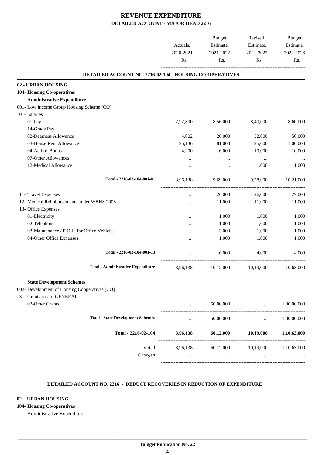-------------------------------------------------------------------------------------------------------------------------------------------------------------------------------

|                                                          | Actuals,<br>2020-2021 | <b>Budget</b><br>Estimate,<br>2021-2022 | Revised<br>Estimate,<br>2021-2022                                                 | <b>Budget</b><br>Estimate,<br>2022-2023 |
|----------------------------------------------------------|-----------------------|-----------------------------------------|-----------------------------------------------------------------------------------|-----------------------------------------|
|                                                          | Rs.                   | Rs.                                     | Rs.                                                                               | Rs.                                     |
| DETAILED ACCOUNT NO. 2216-02-104 - HOUSING CO-OPERATIVES |                       |                                         |                                                                                   |                                         |
| 02 - URBAN HOUSING                                       |                       |                                         |                                                                                   |                                         |
| 104- Housing Co-operatives                               |                       |                                         |                                                                                   |                                         |
| <b>Administrative Expenditure</b>                        |                       |                                         |                                                                                   |                                         |
| 001- Low Income Group Housing Scheme [CO]                |                       |                                         |                                                                                   |                                         |
| 01- Salaries                                             |                       |                                         |                                                                                   |                                         |
| 01-Pay                                                   | 7,92,800              | 8,56,000                                | 8,40,000                                                                          | 8,60,000                                |
| 14-Grade Pay                                             | $\cdots$              | $\cdots$                                | $\cdots$                                                                          | $\cdots$                                |
| 02-Dearness Allowance                                    | 4,002                 | 26,000                                  | 32,000                                                                            | 50,000                                  |
| 03-House Rent Allowance                                  | 95,136                | 81,000                                  | 95,000                                                                            | 1,00,000                                |
| 04-Ad hoc Bonus                                          | 4,200                 | 6,000                                   | 10,000                                                                            | 10,000                                  |
| 07-Other Allowances                                      | $\cdots$              | $\cdots$                                | $\ddots$                                                                          |                                         |
| 12-Medical Allowance                                     | $\cdots$              | $\cdots$                                | 1,000                                                                             | 1,000                                   |
| Total - 2216-02-104-001-01                               | 8,96,138              | 9,69,000                                | 9,78,000                                                                          | 10,21,000                               |
| 11- Travel Expenses                                      | $\cdots$              | 26,000                                  | 26,000                                                                            | 27,000                                  |
| 12- Medical Reimbursements under WBHS 2008               |                       | 11,000                                  | 11,000                                                                            | 11,000                                  |
| 13- Office Expenses                                      | $\cdots$              |                                         |                                                                                   |                                         |
| 01-Electricity                                           |                       | 1,000                                   | 1,000                                                                             | 1,000                                   |
| 02-Telephone                                             | $\cdots$              | 1,000                                   | 1,000                                                                             | 1,000                                   |
| 03-Maintenance / P.O.L. for Office Vehicles              | $\cdots$              | 3,000                                   | 1,000                                                                             | 1,000                                   |
|                                                          |                       |                                         |                                                                                   |                                         |
| 04-Other Office Expenses                                 |                       | 1,000                                   | 1,000                                                                             | 1,000                                   |
| Total - 2216-02-104-001-13                               | $\cdots$              | 6,000                                   | 4.000                                                                             | 4,000                                   |
| <b>Total - Administrative Expenditure</b>                | 8,96,138              | 10,12,000                               | 10,19,000                                                                         | 10,63,000                               |
| <b>State Development Schemes</b>                         |                       |                                         |                                                                                   |                                         |
| 002- Development of Housing Cooperatives [CO]            |                       |                                         |                                                                                   |                                         |
| 31- Grants-in-aid-GENERAL                                |                       |                                         |                                                                                   |                                         |
| 02-Other Grants                                          | $\cdots$              | 50,00,000                               | $\ddots$                                                                          | 1,00,00,000                             |
| <b>Total - State Development Schemes</b>                 | $\cdots$              | 50,00,000                               | -------------------------------<br>$\mathbf{r}$ and $\mathbf{r}$ and $\mathbf{r}$ | 1,00,00,000                             |
| Total - 2216-02-104                                      | 8,96,138              | 60,12,000                               | 10,19,000                                                                         | 1,10,63,000                             |
| Voted                                                    | 8,96,138              | 60,12,000 10,19,000 1,10,63,000         |                                                                                   |                                         |
| Charged                                                  | $\cdots$              | $\sim 10^{-10}$                         | $\cdots$                                                                          |                                         |
|                                                          |                       |                                         |                                                                                   |                                         |

#### **DETAILED ACCOUNT NO. 2216 - DEDUCT RECOVERIES IN REDUCTION OF EXPENDITURE --------------------------------------------------------------------------------------------------------------------------------------------------------------------------------**

 **\_\_\_\_\_\_\_\_\_\_\_\_\_\_\_\_\_\_\_\_\_\_\_\_\_\_\_\_\_\_\_\_\_\_\_\_\_\_\_\_\_\_\_\_\_\_\_\_\_\_\_\_\_\_\_\_\_\_\_\_\_\_\_\_\_\_\_\_\_\_\_\_\_\_\_\_\_\_\_\_\_\_\_\_\_\_\_\_\_\_\_\_\_\_\_\_\_\_\_\_\_\_\_\_\_\_\_\_\_\_\_\_\_\_\_\_\_\_\_**

#### **02 - URBAN HOUSING**

#### **104- Housing Co-operatives**

Administrative Expenditure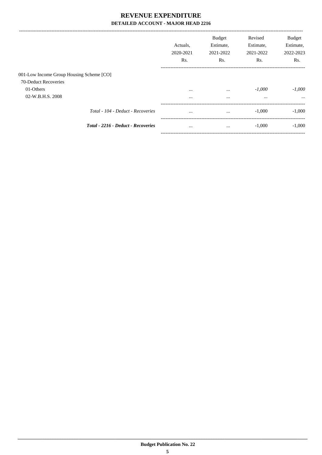|                                          |                                    | Actuals.<br>2020-2021<br>Rs. | <b>Budget</b><br>Estimate,<br>2021-2022<br>Rs. | Revised<br>Estimate,<br>2021-2022<br>Rs. | <b>Budget</b><br>Estimate,<br>2022-2023<br>Rs. |
|------------------------------------------|------------------------------------|------------------------------|------------------------------------------------|------------------------------------------|------------------------------------------------|
| 001-Low Income Group Housing Scheme [CO] |                                    |                              |                                                |                                          |                                                |
| 70-Deduct Recoveries                     |                                    |                              |                                                |                                          |                                                |
| 01-Others                                |                                    | $\cdots$                     | $\cdots$                                       | $-1,000$                                 | $-1,000$                                       |
| 02-W.B.H.S. 2008                         |                                    |                              | $\cdots$                                       | $\cdots$                                 | $\cdots$                                       |
|                                          | Total - 104 - Deduct - Recoveries  | $\cdots$                     | $\cdots$                                       | $-1,000$                                 | $-1,000$                                       |
|                                          | Total - 2216 - Deduct - Recoveries | $\cdots$                     | $\cdots$                                       | $-1,000$                                 | $-1,000$                                       |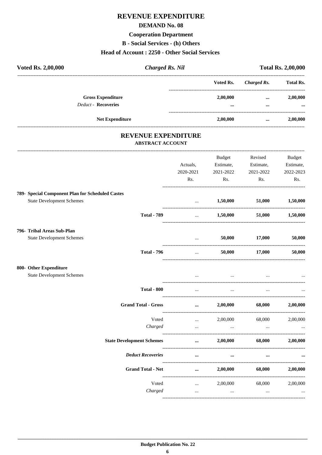## REVENUE EXPENDITURE

#### **DEMAND No. 08**

## **Cooperation Department**

**B** - Social Services - (h) Others

#### Head of Account: 2250 - Other Social Services

| Voted Rs. 2,00,000<br><b>Charged Rs. Nil</b>     |                                 |                      |                                | <b>Total Rs. 2,00,000</b> |
|--------------------------------------------------|---------------------------------|----------------------|--------------------------------|---------------------------|
|                                                  |                                 | Voted Rs.            | <b>Charged Rs.</b>             | <b>Total Rs.</b>          |
| <b>Gross Expenditure</b>                         |                                 | 2,00,000             | $\cdots$                       | 2,00,000                  |
| <b>Deduct - Recoveries</b>                       |                                 |                      | $\cdots$                       |                           |
| Net Expenditure                                  | -----------------------------   | 2,00,000             | $\cdots$                       | 2,00,000                  |
| REVENUE EXPENDITURE                              |                                 |                      |                                |                           |
| <b>ABSTRACT ACCOUNT</b>                          |                                 |                      |                                |                           |
|                                                  |                                 | Budget               | Revised                        | <b>Budget</b>             |
|                                                  | Actuals,                        | Estimate,            | Estimate,                      | Estimate,                 |
|                                                  | 2020-2021                       | 2021-2022            | 2021-2022                      | 2022-2023                 |
|                                                  | Rs.                             | Rs.                  | Rs.                            | Rs.                       |
| 789- Special Component Plan for Scheduled Castes |                                 |                      |                                |                           |
| <b>State Development Schemes</b>                 | <b>Second Contract Contract</b> |                      | 1,50,000 51,000                | 1,50,000                  |
| <b>Total - 789</b>                               | $\cdots$                        |                      | $1,50,000$ $51,000$ $1,50,000$ |                           |
| 796- Tribal Areas Sub-Plan                       |                                 |                      |                                |                           |
| <b>State Development Schemes</b>                 |                                 | and the company      | 50,000 17,000                  | 50,000                    |
| <b>Total - 796</b>                               |                                 | and the state of the | 50,000 17,000                  | 50,000                    |
| 800- Other Expenditure                           |                                 |                      |                                |                           |
| <b>State Development Schemes</b>                 |                                 | $\sim$ $\sim$        |                                |                           |
| <b>Total - 800</b>                               | $\ddots$                        | $\cdots$             | $\ddotsc$                      |                           |
| <b>Grand Total - Gross</b>                       |                                 | 2,00,000             | 68,000                         | 2,00,000                  |
| Voted                                            | $\cdots$                        | 2,00,000             | 68,000                         | 2,00,000                  |
| Charged                                          |                                 | $\cdots$             | $\ldots$                       | $\cdots$                  |
| <b>State Development Schemes</b>                 | $\cdots$                        | 2,00,000             | 68,000                         | 2,00,000                  |
| <b>Deduct Recoveries</b>                         |                                 |                      |                                |                           |
| <b>Grand Total - Net</b>                         |                                 | 2,00,000             | 68,000                         | 2,00,000                  |
| Voted                                            | $\cdots$                        | 2,00,000             | 68,000                         | 2,00,000                  |
| Charged                                          | $\cdots$                        | $\cdots$             | $\cdots$                       | $\cdots$                  |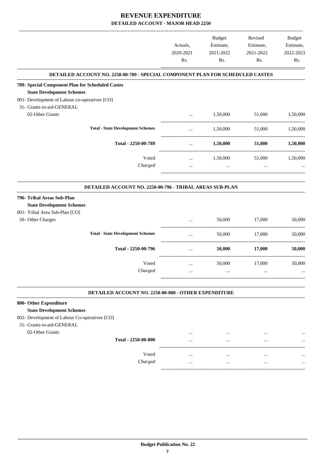|                                                                                        | Actuals,  | <b>Budget</b><br>Estimate, | Revised<br>Estimate, | Budget<br>Estimate, |
|----------------------------------------------------------------------------------------|-----------|----------------------------|----------------------|---------------------|
|                                                                                        | 2020-2021 | 2021-2022                  | 2021-2022            | 2022-2023           |
|                                                                                        | Rs.       | Rs.                        | Rs.                  | Rs.                 |
| DETAILED ACCOUNT NO. 2250-00-789 - SPECIAL COMPONENT PLAN FOR SCHEDULED CASTES         |           |                            |                      |                     |
| 789- Special Component Plan for Scheduled Castes                                       |           |                            |                      |                     |
| <b>State Development Schemes</b>                                                       |           |                            |                      |                     |
| 001- Development of Labour co-operatives [CO]<br>31- Grants-in-aid-GENERAL             |           |                            |                      |                     |
| 02-Other Grants                                                                        | $\cdots$  | 1,50,000                   | 51,000               | 1,50,000            |
|                                                                                        |           |                            |                      |                     |
| <b>Total - State Development Schemes</b>                                               |           | 1,50,000                   | 51,000               | 1,50,000            |
| Total - 2250-00-789                                                                    |           | 1,50,000                   | 51,000               | 1,50,000            |
| Voted                                                                                  | $\cdots$  | 1,50,000                   | 51,000               | 1,50,000            |
| Charged                                                                                | $\cdots$  | $\ddotsc$                  | $\cdots$             |                     |
| DETAILED ACCOUNT NO. 2250-00-796 - TRIBAL AREAS SUB-PLAN<br>796- Tribal Areas Sub-Plan |           |                            |                      |                     |
| <b>State Development Schemes</b>                                                       |           |                            |                      |                     |
| 001- Tribal Area Sub-Plan [CO]                                                         |           |                            |                      |                     |
| 50- Other Charges                                                                      |           | 50,000                     | 17,000               | 50,000              |
| <b>Total - State Development Schemes</b>                                               |           | 50,000                     | 17,000               | 50,000              |
| Total - 2250-00-796                                                                    | $\cdots$  | 50,000                     | 17,000               | 50,000              |
| Voted                                                                                  | $\cdots$  | 50,000                     | 17,000               | 50,000              |
| Charged                                                                                |           |                            |                      |                     |
| DETAILED ACCOUNT NO. 2250-00-800 - OTHER EXPENDITURE                                   |           |                            |                      |                     |
| 800- Other Expenditure                                                                 |           |                            |                      |                     |
| <b>State Development Schemes</b>                                                       |           |                            |                      |                     |
| 002- Development of Labour Co-operatives [CO]                                          |           |                            |                      |                     |
| 31- Grants-in-aid-GENERAL                                                              |           |                            |                      |                     |
| 02-Other Grants                                                                        | $\cdots$  | $\cdots$                   | $\cdots$             |                     |

| Total - 2250-00-800 | $\cdots$ | $\cdots$ | $\cdots$ | $\ddotsc$ |
|---------------------|----------|----------|----------|-----------|
| Voted               | $\cdots$ |          | $\cdots$ |           |
| Charged             | $\cdots$ |          | $\cdots$ |           |

-----------------------------------------------------------------------------------------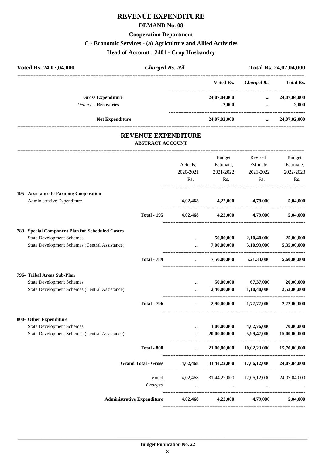## **REVENUE EXPENDITURE**

#### **DEMAND No. 08**

#### **Cooperation Department**

## **C - Economic Services - (a) Agriculture and Allied Activities**

**Head of Account : 2401 - Crop Husbandry**

| Voted Rs. 24,07,04,000     | <b>Charged Rs. Nil</b> |              |             | Total Rs. 24,07,04,000 |
|----------------------------|------------------------|--------------|-------------|------------------------|
|                            |                        | Voted Rs.    | Charged Rs. | <b>Total Rs.</b>       |
| <b>Gross Expenditure</b>   |                        | 24,07,04,000 | $\cdots$    | 24,07,04,000           |
| <b>Deduct - Recoveries</b> |                        | $-2,000$     |             | $-2,000$               |
| <b>Net Expenditure</b>     |                        | 24,07,02,000 | $\cdots$    | 24,07,02,000           |
|                            | DEVENIUE EVENENTEURE   |              |             |                        |

#### **REVENUE EXPENDITURE ABSTRACT ACCOUNT**

---------------------------------------------------------------------------------------------------------------------------------------------------------------------------------

|                                                                      |                                   | Actuals,<br>2020-2021<br>Rs. | <b>Budget</b><br>Estimate,<br>2021-2022<br>Rs. | Revised<br>Estimate,<br>2021-2022<br>Rs. | <b>Budget</b><br>Estimate,<br>2022-2023<br>Rs. |
|----------------------------------------------------------------------|-----------------------------------|------------------------------|------------------------------------------------|------------------------------------------|------------------------------------------------|
| 195- Assistance to Farming Cooperation<br>Administrative Expenditure |                                   |                              | 4,02,468 4,22,000                              | 4,79,000                                 | 5,04,000                                       |
|                                                                      | <b>Total - 195</b>                |                              | $4,02,468$ $4,22,000$                          | 4,79,000                                 | 5,04,000                                       |
| 789- Special Component Plan for Scheduled Castes                     |                                   |                              |                                                |                                          |                                                |
| <b>State Development Schemes</b>                                     |                                   | $\cdots$                     | 50,00,000                                      | 2,10,40,000                              | 25,00,000                                      |
| <b>State Development Schemes (Central Assistance)</b>                |                                   | $\ddotsc$                    | 7,00,00,000                                    | 3,10,93,000<br>_____________________     | 5,35,00,000                                    |
|                                                                      | <b>Total - 789</b>                | $\cdots$                     |                                                | $7,50,00,000$ $5,21,33,000$              | 5,60,00,000                                    |
| 796- Tribal Areas Sub-Plan                                           |                                   |                              |                                                |                                          |                                                |
| <b>State Development Schemes</b>                                     |                                   | $\cdots$                     | 50,00,000                                      | 67,37,000                                | 20,00,000                                      |
| State Development Schemes (Central Assistance)                       |                                   | $\ddotsc$                    | 2,40,00,000                                    | 1,10,40,000                              | 2,52,00,000                                    |
|                                                                      | <b>Total - 796</b>                | $\cdots$                     | 2,90,00,000                                    | 1,77,77,000                              | 2,72,00,000                                    |
| 800- Other Expenditure                                               |                                   |                              |                                                |                                          |                                                |
| <b>State Development Schemes</b>                                     |                                   | $\cdots$                     | 1,00,00,000                                    | 4,02,76,000                              | 70,00,000                                      |
| State Development Schemes (Central Assistance)                       |                                   |                              | 20,00,00,000                                   | 5,99,47,000<br>----------------------    | 15,00,00,000                                   |
|                                                                      | <b>Total - 800</b>                | $\mathbf{r}$                 | 21,00,00,000                                   | 10,02,23,000                             | 15,70,00,000                                   |
|                                                                      | <b>Grand Total - Gross</b>        | 4,02,468                     |                                                | 31,44,22,000 17,06,12,000                | 24,07,04,000                                   |
|                                                                      | Voted                             | 4,02,468                     |                                                | 31,44,22,000 17,06,12,000                | 24,07,04,000                                   |
|                                                                      | Charged                           |                              |                                                |                                          |                                                |
|                                                                      | <b>Administrative Expenditure</b> | 4,02,468                     | 4,22,000                                       | 4,79,000                                 | 5,04,000                                       |
|                                                                      |                                   |                              |                                                |                                          |                                                |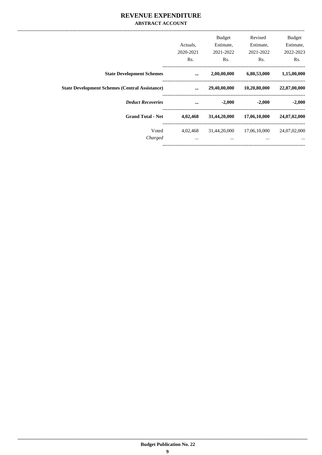#### REVENUE EXPENDITURE **ABSTRACT ACCOUNT**

|                                                       | Actuals,<br>2020-2021<br>R <sub>s</sub> . | <b>Budget</b><br>Estimate,<br>2021-2022<br>R <sub>s</sub> . | Revised<br>Estimate,<br>2021-2022<br>R <sub>s</sub> . | <b>Budget</b><br>Estimate,<br>2022-2023<br>Rs. |  |
|-------------------------------------------------------|-------------------------------------------|-------------------------------------------------------------|-------------------------------------------------------|------------------------------------------------|--|
| <b>State Development Schemes</b>                      | $\ddotsc$                                 | 2,00,00,000                                                 | 6,80,53,000                                           | 1,15,00,000                                    |  |
| <b>State Development Schemes (Central Assistance)</b> | $\ddotsc$                                 | 29,40,00,000                                                | 10,20,80,000                                          | 22,87,00,000                                   |  |
| <b>Deduct Recoveries</b>                              | $\ddotsc$                                 | $-2,000$                                                    | $-2,000$                                              | $-2,000$                                       |  |
| <b>Grand Total - Net</b>                              | 4,02,468                                  | 31,44,20,000                                                | 17,06,10,000                                          | 24,07,02,000                                   |  |
| Voted<br>Charged                                      | 4.02.468<br>$\cdots$                      | 31.44.20.000<br>$\cdots$                                    | 17.06.10.000<br>$\cdots$                              | 24,07,02,000<br>$\cdots$                       |  |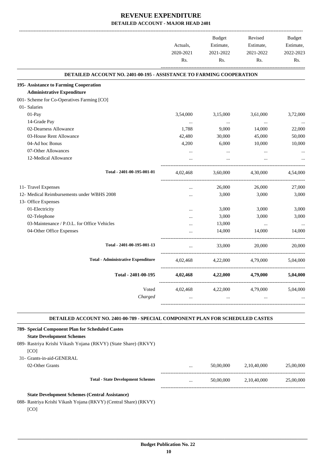|                                                                      |           | Budget           | Revised                             | Budget    |
|----------------------------------------------------------------------|-----------|------------------|-------------------------------------|-----------|
|                                                                      | Actuals,  | Estimate,        | Estimate,                           | Estimate, |
|                                                                      | 2020-2021 | 2021-2022        | 2021-2022                           | 2022-2023 |
|                                                                      | Rs.       | Rs.              | Rs.                                 | Rs.       |
| DETAILED ACCOUNT NO. 2401-00-195 - ASSISTANCE TO FARMING COOPERATION |           |                  |                                     |           |
| 195- Assistance to Farming Cooperation                               |           |                  |                                     |           |
| <b>Administrative Expenditure</b>                                    |           |                  |                                     |           |
| 001- Scheme for Co-Operatives Farming [CO]                           |           |                  |                                     |           |
| 01- Salaries                                                         |           |                  |                                     |           |
| 01-Pay                                                               | 3,54,000  | 3,15,000         | 3,61,000                            | 3,72,000  |
| 14-Grade Pay                                                         | $\ldots$  | $\sim$ 100 $\mu$ | $\cdots$                            | $\cdots$  |
| 02-Dearness Allowance                                                | 1,788     | 9,000            | 14,000                              | 22,000    |
| 03-House Rent Allowance                                              | 42,480    | 30,000           | 45,000                              | 50,000    |
| 04-Ad hoc Bonus                                                      | 4,200     | 6,000            | 10,000                              | 10,000    |
| 07-Other Allowances                                                  | $\cdots$  | $\cdots$         | $\cdots$                            |           |
| 12-Medical Allowance                                                 | $\cdots$  | $\cdots$         | $\cdots$                            |           |
| Total - 2401-00-195-001-01                                           | 4,02,468  |                  | 3,60,000 4,30,000                   | 4,54,000  |
| 11- Travel Expenses                                                  | $\cdots$  | 26,000           | 26,000                              | 27,000    |
| 12- Medical Reimbursements under WBHS 2008                           |           | 3,000            | 3,000                               | 3,000     |
| 13- Office Expenses                                                  |           |                  |                                     |           |
| 01-Electricity                                                       | $\cdots$  | 3,000            | 3,000                               | 3,000     |
| 02-Telephone                                                         | $\cdots$  | 3,000            | 3,000                               | 3,000     |
| 03-Maintenance / P.O.L. for Office Vehicles                          | $\cdots$  | 13,000           | $\cdots$                            | $\ldots$  |
| 04-Other Office Expenses                                             | $\cdots$  | 14,000           | 14,000                              | 14,000    |
| Total - 2401-00-195-001-13                                           | $\cdots$  | 33,000           | 20,000                              | 20,000    |
| <b>Total - Administrative Expenditure</b>                            |           |                  | 4,02,468 4,22,000 4,79,000 5,04,000 |           |
| Total - 2401-00-195                                                  | 4,02,468  | 4,22,000         | 4,79,000                            | 5,04,000  |
| Voted                                                                | 4,02,468  | 4,22,000         | 4,79,000                            | 5,04,000  |
| Charged                                                              | $\cdots$  | $\cdots$         | $\ldots$                            |           |
|                                                                      |           |                  |                                     |           |

#### **DETAILED ACCOUNT NO. 2401-00-789 - SPECIAL COMPONENT PLAN FOR SCHEDULED CASTES .**

| 789- Special Component Plan for Scheduled Castes |                                                                |          |           |             |           |
|--------------------------------------------------|----------------------------------------------------------------|----------|-----------|-------------|-----------|
| <b>State Development Schemes</b>                 |                                                                |          |           |             |           |
|                                                  | 089- Rastriya Krishi Vikash Yojana (RKVY) (State Share) (RKVY) |          |           |             |           |
| [CO]                                             |                                                                |          |           |             |           |
| 31- Grants-in-aid-GENERAL                        |                                                                |          |           |             |           |
| 02-Other Grants                                  |                                                                | $\cdots$ | 50,00,000 | 2.10.40.000 | 25,00,000 |
|                                                  |                                                                |          |           |             |           |
|                                                  | <b>Total - State Development Schemes</b>                       | $\cdots$ | 50,00,000 | 2,10,40,000 | 25,00,000 |
|                                                  |                                                                |          |           |             |           |
|                                                  | <b>State Development Schemes (Central Assistance)</b>          |          |           |             |           |

088- Rastriya Krishi Vikash Yojana (RKVY) (Central Share) (RKVY) [CO]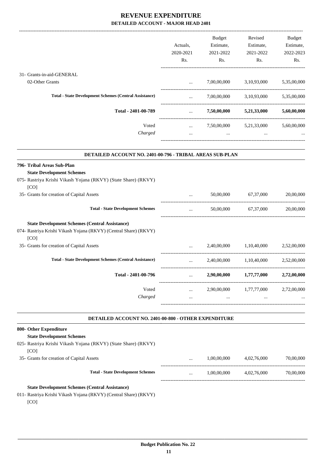|                                                                                                                           |                      | <b>Budget</b> | Revised                             | Budget      |
|---------------------------------------------------------------------------------------------------------------------------|----------------------|---------------|-------------------------------------|-------------|
|                                                                                                                           | Actuals,             | Estimate,     | Estimate,                           | Estimate,   |
|                                                                                                                           | 2020-2021            | 2021-2022     | 2021-2022                           | 2022-2023   |
|                                                                                                                           | Rs.                  | Rs.           | Rs.                                 | Rs.         |
| 31- Grants-in-aid-GENERAL                                                                                                 |                      |               |                                     |             |
| 02-Other Grants                                                                                                           | $\cdots$             |               | 7,00,00,000 3,10,93,000 5,35,00,000 |             |
| <b>Total - State Development Schemes (Central Assistance)</b>                                                             | $\cdots$             |               | 7,00,00,000 3,10,93,000             | 5,35,00,000 |
|                                                                                                                           |                      |               |                                     |             |
| Total - 2401-00-789                                                                                                       | $\cdots$             |               | 7,50,00,000 5,21,33,000 5,60,00,000 |             |
| Voted                                                                                                                     | $\cdots$             |               | 7,50,00,000 5,21,33,000             | 5,60,00,000 |
| Charged                                                                                                                   | $\cdots$             | $\ldots$      | $\cdots$                            |             |
| DETAILED ACCOUNT NO. 2401-00-796 - TRIBAL AREAS SUB-PLAN                                                                  |                      |               |                                     |             |
| 796- Tribal Areas Sub-Plan                                                                                                |                      |               |                                     |             |
| <b>State Development Schemes</b>                                                                                          |                      |               |                                     |             |
| 075- Rastriya Krishi Vikash Yojana (RKVY) (State Share) (RKVY)<br>[CO]                                                    |                      |               |                                     |             |
| 35- Grants for creation of Capital Assets                                                                                 |                      | 50,00,000     | 67,37,000                           | 20,00,000   |
| <b>Total - State Development Schemes</b>                                                                                  | $\cdots$             |               | 50,00,000 67,37,000                 | 20,00,000   |
| <b>State Development Schemes (Central Assistance)</b>                                                                     |                      |               |                                     |             |
| 074- Rastriya Krishi Vikash Yojana (RKVY) (Central Share) (RKVY)                                                          |                      |               |                                     |             |
| [CO]                                                                                                                      |                      |               |                                     |             |
| 35- Grants for creation of Capital Assets                                                                                 |                      | 2,40,00,000   | 1,10,40,000                         | 2,52,00,000 |
| <b>Total - State Development Schemes (Central Assistance)</b>                                                             | $\cdots$             |               | 2,40,00,000 1,10,40,000 2,52,00,000 |             |
| Total - 2401-00-796                                                                                                       |                      | 2,90,00,000   | 1,77,77,000                         | 2,72,00,000 |
| Voted<br>Charged                                                                                                          | $\cdots$<br>$\cdots$ | $\cdots$      | 2,90,00,000 1,77,77,000<br>$\cdots$ | 2,72,00,000 |
| DETAILED ACCOUNT NO. 2401-00-800 - OTHER EXPENDITURE                                                                      |                      |               |                                     |             |
| 800- Other Expenditure                                                                                                    |                      |               |                                     |             |
| <b>State Development Schemes</b>                                                                                          |                      |               |                                     |             |
| 025- Rastriya Krishi Vikash Yojana (RKVY) (State Share) (RKVY)<br>[CO]                                                    |                      |               |                                     |             |
| 35- Grants for creation of Capital Assets                                                                                 |                      | 1,00,00,000   | 4,02,76,000                         | 70,00,000   |
| <b>Total - State Development Schemes</b>                                                                                  |                      | 1,00,00,000   | 4,02,76,000                         | 70,00,000   |
| <b>State Development Schemes (Central Assistance)</b><br>011- Rastriya Krishi Vikash Yojana (RKVY) (Central Share) (RKVY) |                      |               |                                     |             |

[CO]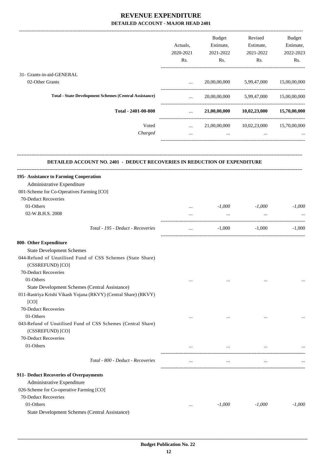|                                                                                  |                                     | Budget    | Revised                                | Budget    |
|----------------------------------------------------------------------------------|-------------------------------------|-----------|----------------------------------------|-----------|
|                                                                                  | Actuals,                            | Estimate, | Estimate,                              | Estimate, |
|                                                                                  | 2020-2021                           | 2021-2022 | 2021-2022                              | 2022-2023 |
|                                                                                  | Rs.                                 | Rs.       | Rs.                                    | Rs.       |
| 31- Grants-in-aid-GENERAL                                                        |                                     |           |                                        |           |
|                                                                                  |                                     |           |                                        |           |
| 02-Other Grants                                                                  | $\cdots$                            |           | 20,00,00,000 5,99,47,000 15,00,00,000  |           |
| <b>Total - State Development Schemes (Central Assistance)</b>                    | $\cdots$<br>----------------------- |           | 20,00,00,000 5,99,47,000 15,00,00,000  |           |
| Total - 2401-00-800                                                              | $\mathbf{1.1}$ and $\mathbf{1.1}$   |           | 21,00,00,000 10,02,23,000 15,70,00,000 |           |
| Voted                                                                            | $\cdots$                            |           | 21,00,00,000 10,02,23,000 15,70,00,000 |           |
| Charged                                                                          | $\cdots$                            | $\ddots$  | $\cdots$                               |           |
| <b>DETAILED ACCOUNT NO. 2401 - DEDUCT RECOVERIES IN REDUCTION OF EXPENDITURE</b> |                                     |           |                                        |           |
| 195- Assistance to Farming Cooperation                                           |                                     |           |                                        |           |
| Administrative Expenditure                                                       |                                     |           |                                        |           |
| 001-Scheme for Co-Operatives Farming [CO]                                        |                                     |           |                                        |           |
| 70-Deduct Recoveries                                                             |                                     |           |                                        |           |
| 01-Others                                                                        | $\cdots$                            | $-1,000$  | $-1,000$                               | $-1,000$  |
| 02-W.B.H.S. 2008                                                                 |                                     | $\ddots$  |                                        |           |
|                                                                                  |                                     |           |                                        |           |
| Total - 195 - Deduct - Recoveries                                                | $\ldots$                            | $-1,000$  | $-1,000$                               | $-1,000$  |
| 800- Other Expenditure                                                           |                                     |           |                                        |           |
| <b>State Development Schemes</b>                                                 |                                     |           |                                        |           |
| 044-Refund of Unutilised Fund of CSS Schemes (State Share)<br>(CSSREFUND) [CO]   |                                     |           |                                        |           |
| 70-Deduct Recoveries                                                             |                                     |           |                                        |           |
| 01-Others                                                                        |                                     | $\cdots$  | $\cdots$                               |           |
| State Development Schemes (Central Assistance)                                   |                                     |           |                                        |           |
| 011-Rastriya Krishi Vikash Yojana (RKVY) (Central Share) (RKVY)                  |                                     |           |                                        |           |
| [CO]                                                                             |                                     |           |                                        |           |
| 70-Deduct Recoveries                                                             |                                     |           |                                        |           |
| 01-Others                                                                        |                                     |           |                                        |           |
| 043-Refund of Unutilised Fund of CSS Schemes (Central Share)                     |                                     |           |                                        |           |
| (CSSREFUND) [CO]                                                                 |                                     |           |                                        |           |
| 70-Deduct Recoveries                                                             |                                     |           |                                        |           |
| 01-Others                                                                        |                                     | $\cdots$  | $\cdots$                               |           |
| Total - 800 - Deduct - Recoveries                                                | $\cdots$                            | $\cdots$  | $\cdots$                               |           |
| 911- Deduct Recoveries of Overpayments                                           |                                     |           |                                        |           |
| Administrative Expenditure                                                       |                                     |           |                                        |           |
| 026-Scheme for Co-operative Farming [CO]                                         |                                     |           |                                        |           |
| 70-Deduct Recoveries                                                             |                                     |           |                                        |           |
| 01-Others                                                                        | $\cdots$                            | $-1,000$  | $-1,000$                               | $-1,000$  |
| State Development Schemes (Central Assistance)                                   |                                     |           |                                        |           |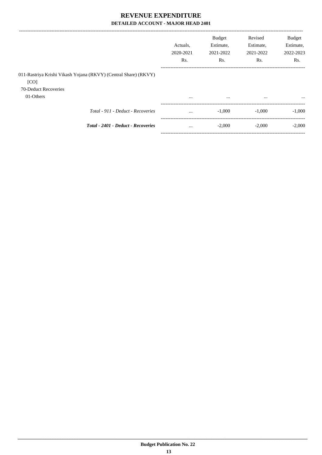|                                                                         |           | <b>Budget</b> | Revised   | <b>Budget</b>    |
|-------------------------------------------------------------------------|-----------|---------------|-----------|------------------|
|                                                                         | Actuals.  | Estimate,     | Estimate, | Estimate,        |
|                                                                         | 2020-2021 | 2021-2022     | 2021-2022 | 2022-2023        |
|                                                                         | Rs.       | Rs.           | Rs.       | R <sub>s</sub> . |
| 011-Rastriya Krishi Vikash Yojana (RKVY) (Central Share) (RKVY)<br>[CO] |           |               |           |                  |
| 70-Deduct Recoveries                                                    |           |               |           |                  |
| 01-Others                                                               | $\cdots$  | $\cdots$      | $\cdots$  | $\cdots$         |
| Total - 911 - Deduct - Recoveries                                       | $\cdots$  | $-1.000$      | $-1.000$  | $-1.000$         |
| <b>Total - 2401 - Deduct - Recoveries</b>                               | $\cdots$  | $-2.000$      | $-2.000$  | $-2.000$         |

-----------------------------------------------------------------------------------------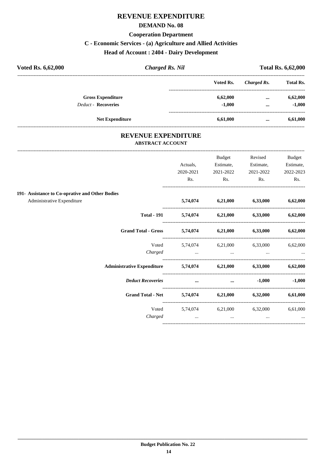## **REVENUE EXPENDITURE**

#### **DEMAND No. 08**

#### **Cooperation Department**

## **C - Economic Services - (a) Agriculture and Allied Activities**

## **Head of Account : 2404 - Dairy Development**

| Voted Rs. 6,62,000         | <b>Charged Rs. Nil</b> |           | <b>Total Rs. 6,62,000</b> |                  |  |
|----------------------------|------------------------|-----------|---------------------------|------------------|--|
|                            |                        | Voted Rs. | Charged Rs.               | <b>Total Rs.</b> |  |
| <b>Gross Expenditure</b>   |                        | 6,62,000  | $\cdots$                  | 6,62,000         |  |
| <b>Deduct - Recoveries</b> |                        | $-1.000$  | $\cdots$                  | $-1,000$         |  |
| <b>Net Expenditure</b>     |                        | 6,61,000  | $\cdots$                  | 6,61,000         |  |

#### **REVENUE EXPENDITURE ABSTRACT ACCOUNT**

|                                                 |                                     | Budget                                                                                                                                                                                                                               | Revised                                   | <b>Budget</b> |
|-------------------------------------------------|-------------------------------------|--------------------------------------------------------------------------------------------------------------------------------------------------------------------------------------------------------------------------------------|-------------------------------------------|---------------|
|                                                 | Actuals,                            | Estimate,                                                                                                                                                                                                                            | Estimate,                                 | Estimate,     |
|                                                 | 2020-2021                           | 2021-2022                                                                                                                                                                                                                            | 2021-2022                                 | 2022-2023     |
|                                                 | Rs.                                 | Rs.                                                                                                                                                                                                                                  | Rs.                                       | Rs.           |
| 191- Assistance to Co-oprative and Other Bodies |                                     |                                                                                                                                                                                                                                      |                                           |               |
| Administrative Expenditure                      |                                     |                                                                                                                                                                                                                                      | 5,74,074 6,21,000 6,33,000 6,62,000       |               |
| <b>Total - 191</b>                              |                                     |                                                                                                                                                                                                                                      | $5,74,074$ $6,21,000$ $6,33,000$          | 6,62,000      |
| Grand Total - Gross 5,74,074 6,21,000 6,33,000  |                                     |                                                                                                                                                                                                                                      |                                           | 6,62,000      |
|                                                 |                                     |                                                                                                                                                                                                                                      | Voted 5,74,074 6,21,000 6,33,000 6,62,000 |               |
| Charged                                         | and the contract of the contract of | $\cdots$                                                                                                                                                                                                                             |                                           |               |
| Administrative Expenditure 5,74,074             |                                     |                                                                                                                                                                                                                                      | $6,21,000$ $6,33,000$                     | 6,62,000      |
| <b>Deduct Recoveries</b>                        |                                     | <u>and the company of the company of the company of the company of the company of the company of the company of the company of the company of the company of the company of the company of the company of the company of the com</u> | $-1,000$                                  | $-1,000$      |
| <b>Grand Total - Net</b>                        |                                     |                                                                                                                                                                                                                                      | $5,74,074$ $6,21,000$ $6,32,000$          | 6,61,000      |
|                                                 |                                     |                                                                                                                                                                                                                                      | Voted 5,74,074 6,21,000 6,32,000          | 6,61,000      |
| Charged                                         | $\cdots$                            | $\cdots$                                                                                                                                                                                                                             | $\cdots$                                  | $\cdots$      |
|                                                 |                                     |                                                                                                                                                                                                                                      |                                           |               |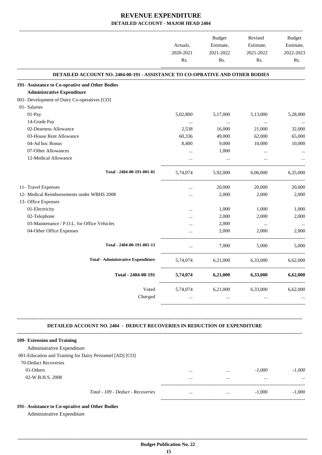|                                                                                                                       | Actuals,         | Budget<br>Estimate,                    | Revised<br>Estimate, | Budget<br>Estimate, |
|-----------------------------------------------------------------------------------------------------------------------|------------------|----------------------------------------|----------------------|---------------------|
|                                                                                                                       | 2020-2021<br>Rs. | 2021-2022<br>Rs.                       | 2021-2022<br>Rs.     | 2022-2023<br>Rs.    |
| DETAILED ACCOUNT NO. 2404-00-191 - ASSISTANCE TO CO-OPRATIVE AND OTHER BODIES                                         |                  |                                        |                      |                     |
| 191- Assistance to Co-oprative and Other Bodies                                                                       |                  |                                        |                      |                     |
| <b>Administrative Expenditure</b>                                                                                     |                  |                                        |                      |                     |
| 001- Development of Dairy Co-operatives [CO]                                                                          |                  |                                        |                      |                     |
| 01- Salaries                                                                                                          |                  |                                        |                      |                     |
| 01-Pay                                                                                                                | 5,02,800         | 5,17,000                               | 5,13,000             | 5,28,000            |
| 14-Grade Pay                                                                                                          | $\ldots$         | $\sim$                                 | $\ldots$             | $\cdots$            |
| 02-Dearness Allowance                                                                                                 | 2,538            | 16,000                                 | 21,000               | 32,000              |
| 03-House Rent Allowance                                                                                               | 60,336           | 49,000                                 | 62,000               | 65,000              |
| 04-Ad hoc Bonus                                                                                                       | 8,400            | 9,000                                  | 10,000               | 10,000              |
| 07-Other Allowances                                                                                                   | $\cdots$         | 1,000                                  | $\cdots$             |                     |
| 12-Medical Allowance                                                                                                  |                  | $\cdots$                               | $\cdots$             |                     |
| Total - 2404-00-191-001-01                                                                                            | 5,74,074         |                                        | 5,92,000 6,06,000    | 6,35,000            |
| 11- Travel Expenses                                                                                                   |                  | 20,000                                 | 20,000               | 20,000              |
| 12- Medical Reimbursements under WBHS 2008                                                                            |                  | 2,000                                  | 2,000                | 2,000               |
| 13- Office Expenses                                                                                                   |                  |                                        |                      |                     |
| 01-Electricity                                                                                                        |                  | 1,000                                  | 1,000                | 1,000               |
| 02-Telephone                                                                                                          |                  | 2,000                                  | 2,000                | 2,000               |
| 03-Maintenance / P.O.L. for Office Vehicles                                                                           |                  | 2,000                                  | $\cdots$             | $\cdots$            |
| 04-Other Office Expenses                                                                                              |                  | 2,000                                  | 2,000                | 2,000               |
| Total - 2404-00-191-001-13                                                                                            | $\cdots$         | 7,000                                  | 5.000                | 5.000               |
| <b>Total - Administrative Expenditure</b>                                                                             | 5,74,074         | 6,21,000                               | 6,33,000             | 6,62,000            |
| Total - 2404-00-191                                                                                                   | 5,74,074         | 6,21,000                               | 6,33,000             | 6,62,000            |
| Voted<br>Charged                                                                                                      | $\cdots$         | 5,74,074 6,21,000 6,33,000<br>$\cdots$ | $\cdots$             | 6,62,000            |
| <b>DETAILED ACCOUNT NO. 2404 - DEDUCT RECOVERIES IN REDUCTION OF EXPENDITURE</b>                                      |                  |                                        |                      |                     |
| 109- Extension and Training<br>Administrative Expenditure<br>001-Education and Training for Dairy Personnel [AD] [CO] |                  |                                        |                      |                     |
| 70-Deduct Recoveries                                                                                                  |                  |                                        |                      |                     |

| 01-Others        |                                   | $\cdots$ | $\cdots$ | $-1.000$ | 0.000    |
|------------------|-----------------------------------|----------|----------|----------|----------|
| 02-W.B.H.S. 2008 |                                   |          |          |          | $\cdots$ |
|                  | Total - 109 - Deduct - Recoveries | $\cdots$ | $\cdots$ | $-1.000$ | 1.000    |

-----------------------------------------------------------------------------------------

**191- Assistance to Co-oprative and Other Bodies**

Administrative Expenditure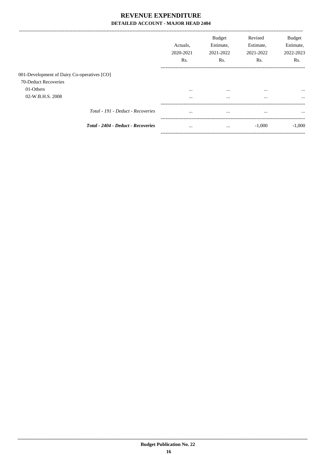|                                             |                                    | Actuals.<br>2020-2021<br>Rs. | <b>Budget</b><br>Estimate,<br>2021-2022<br>Rs. | Revised<br>Estimate,<br>2021-2022<br>Rs. | <b>Budget</b><br>Estimate,<br>2022-2023<br>Rs. |
|---------------------------------------------|------------------------------------|------------------------------|------------------------------------------------|------------------------------------------|------------------------------------------------|
| 001-Development of Dairy Co-operatives [CO] |                                    |                              |                                                |                                          |                                                |
| 70-Deduct Recoveries                        |                                    |                              |                                                |                                          |                                                |
| 01-Others                                   |                                    | $\cdots$                     | $\cdots$                                       | $\cdots$                                 | $\cdots$                                       |
| 02-W.B.H.S. 2008                            |                                    | $\cdots$                     | $\cdots$                                       | $\cdots$                                 | $\cdots$                                       |
|                                             | Total - 191 - Deduct - Recoveries  | $\cdots$                     | $\cdots$                                       | $\cdots$                                 | $\cdots$                                       |
|                                             | Total - 2404 - Deduct - Recoveries | $\cdots$                     | $\cdots$                                       | $-1,000$                                 | $-1,000$                                       |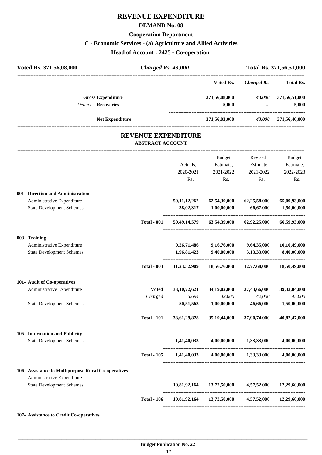## **REVENUE EXPENDITURE**

#### **DEMAND No. 08**

#### **Cooperation Department**

## **C - Economic Services - (a) Agriculture and Allied Activities**

**Head of Account : 2425 - Co-operation** 

| Voted Rs. 371,56,08,000                                | Charged Rs. 43,000                                    |                 |                                                             |                    | Total Rs. 371,56,51,000   |
|--------------------------------------------------------|-------------------------------------------------------|-----------------|-------------------------------------------------------------|--------------------|---------------------------|
|                                                        |                                                       |                 | Voted Rs.                                                   | <b>Charged Rs.</b> | <b>Total Rs.</b>          |
| <b>Gross Expenditure</b><br><b>Deduct - Recoveries</b> |                                                       |                 | 371,56,08,000<br>$-5,000$                                   | 43,000<br>$\cdots$ | 371,56,51,000<br>$-5,000$ |
| <b>Net Expenditure</b>                                 |                                                       |                 | 371,56,03,000                                               |                    | 43,000 371,56,46,000      |
|                                                        | <b>REVENUE EXPENDITURE</b><br><b>ABSTRACT ACCOUNT</b> |                 |                                                             |                    |                           |
|                                                        |                                                       |                 | Budget                                                      | Revised            | Budget                    |
|                                                        |                                                       | Actuals,        | Estimate,                                                   | Estimate,          | Estimate,                 |
|                                                        |                                                       | 2020-2021       | 2021-2022                                                   | 2021-2022          | 2022-2023                 |
|                                                        |                                                       | Rs.             | Rs.                                                         | Rs.                | Rs.                       |
| 001- Direction and Administration                      |                                                       |                 |                                                             |                    |                           |
| Administrative Expenditure                             |                                                       | 59, 11, 12, 262 | 62,54,39,000                                                | 62,25,58,000       | 65,09,93,000              |
| <b>State Development Schemes</b>                       |                                                       | 38,02,317       | 1,00,00,000                                                 | 66,67,000          | 1,50,00,000               |
|                                                        | <b>Total - 001</b>                                    | 59,49,14,579    | 63,54,39,000                                                | 62,92,25,000       | 66,59,93,000              |
| 003- Training                                          |                                                       |                 |                                                             |                    |                           |
| Administrative Expenditure                             |                                                       | 9,26,71,486     | 9,16,76,000                                                 | 9,64,35,000        | 10,10,49,000              |
| <b>State Development Schemes</b>                       |                                                       | 1,96,81,423     | 9,40,00,000                                                 | 3,13,33,000        | 8,40,00,000               |
|                                                        | <b>Total - 003</b>                                    | 11,23,52,909    | 18,56,76,000                                                | 12,77,68,000       | 18,50,49,000              |
| 101- Audit of Co-operatives                            |                                                       |                 |                                                             |                    |                           |
| Administrative Expenditure                             | Voted                                                 | 33, 10, 72, 621 | 34, 19, 02, 000                                             | 37,43,66,000       | 39,32,04,000              |
|                                                        | Charged                                               | 5,694           | 42,000                                                      | 42,000             | 43,000                    |
| <b>State Development Schemes</b>                       |                                                       | 50,51,563       | $1,\!00,\!00,\!000$                                         | 46,66,000          | 1,50,00,000               |
|                                                        | <b>Total - 101</b>                                    |                 | 33,61,29,878 35,19,44,000 37,90,74,000 40,82,47,000         |                    |                           |
| 105- Information and Publicity                         |                                                       |                 |                                                             |                    |                           |
| <b>State Development Schemes</b>                       |                                                       |                 | $1,41,40,033$ $4,00,00,000$ $1,33,33,000$ $4,00,00,000$     |                    |                           |
|                                                        |                                                       |                 | Total - 105 1,41,40,033 4,00,00,000 1,33,33,000 4,00,00,000 |                    |                           |
| 106- Assistance to Multipurpose Rural Co-operatives    |                                                       |                 |                                                             |                    |                           |
| Administrative Expenditure                             |                                                       |                 |                                                             |                    |                           |
| <b>State Development Schemes</b>                       |                                                       |                 | $19,81,92,164$ $13,72,50,000$ $4,57,52,000$                 |                    | 12,29,60,000              |
|                                                        | <b>Total - 106</b>                                    |                 | 19,81,92,164 13,72,50,000 4,57,52,000 12,29,60,000          |                    |                           |
|                                                        |                                                       |                 |                                                             |                    |                           |

#### **107- Assistance to Credit Co-operatives**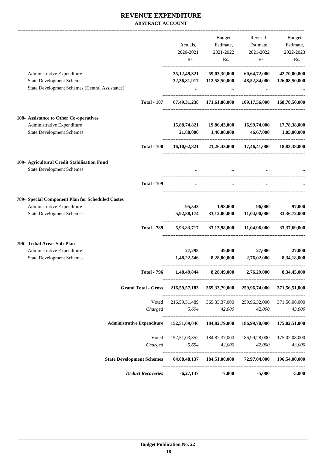#### **REVENUE EXPENDITURE ABSTRACT ACCOUNT**

|                                                                |                                   | Actuals,                           | Budget<br>Estimate,           | Revised<br>Estimate,                                   | <b>Budget</b><br>Estimate,    |
|----------------------------------------------------------------|-----------------------------------|------------------------------------|-------------------------------|--------------------------------------------------------|-------------------------------|
|                                                                |                                   | 2020-2021                          | 2021-2022                     | 2021-2022                                              | 2022-2023                     |
|                                                                |                                   | Rs.                                | Rs.                           | Rs.                                                    | Rs.                           |
| Administrative Expenditure<br><b>State Development Schemes</b> |                                   | 35, 12, 49, 321<br>32, 36, 81, 917 | 59,03,30,000<br>112,58,50,000 | 60,64,72,000<br>48,52,84,000                           | 42,70,00,000<br>126,08,50,000 |
| State Development Schemes (Central Assistance)                 |                                   |                                    |                               |                                                        |                               |
|                                                                | <b>Total - 107</b>                |                                    |                               | 67,49,31,238 171,61,80,000 109,17,56,000 168,78,50,000 |                               |
| 108- Assistance to Other Co-operatives                         |                                   |                                    |                               |                                                        |                               |
| Administrative Expenditure<br><b>State Development Schemes</b> |                                   | 15,88,74,821<br>21,88,000          | 19,86,43,000<br>1,40,00,000   | 16,99,74,000<br>46,67,000                              | 17,78,38,000<br>1,05,00,000   |
|                                                                | <b>Total - 108</b>                | 16,10,62,821                       |                               | 21,26,43,000 17,46,41,000                              | 18,83,38,000                  |
| 109- Agricultural Credit Stabilisation Fund                    |                                   |                                    |                               |                                                        |                               |
| <b>State Development Schemes</b>                               |                                   |                                    |                               |                                                        |                               |
|                                                                | <b>Total - 109</b>                | $\cdots$                           | $\cdots$                      | $\ddots$                                               |                               |
| 789- Special Component Plan for Scheduled Castes               |                                   |                                    |                               |                                                        |                               |
| Administrative Expenditure                                     |                                   | 95,543                             | 1,98,000                      | 96,000                                                 | 97,000                        |
| <b>State Development Schemes</b>                               |                                   | 5,92,88,174                        | 33,12,00,000                  | 11,04,00,000                                           | 33, 36, 72, 000               |
|                                                                | <b>Total - 789</b>                | 5,93,83,717                        |                               | 33,13,98,000 11,04,96,000                              | 33, 37, 69, 000               |
| 796- Tribal Areas Sub-Plan                                     |                                   |                                    |                               |                                                        |                               |
| Administrative Expenditure<br><b>State Development Schemes</b> |                                   | 27,298<br>1,48,22,546              | 49,000<br>8,28,00,000         | 27,000<br>2,76,02,000                                  | 27,000<br>8,34,18,000         |
|                                                                |                                   |                                    |                               |                                                        |                               |
|                                                                | Total - 796                       | 1,48,49,844                        | 8,28,49,000                   | 2,76,29,000                                            | 8,34,45,000                   |
|                                                                | <b>Grand Total - Gross</b>        | 216, 59, 57, 183                   | 369, 33, 79, 000              | 259,96,74,000                                          | 371,56,51,000                 |
|                                                                | Voted                             | 216, 59, 51, 489                   | 369, 33, 37, 000              | 259,96,32,000                                          | 371,56,08,000                 |
|                                                                | Charged                           | 5,694                              | 42,000                        | 42,000                                                 | 43,000                        |
|                                                                | <b>Administrative Expenditure</b> | 152,51,09,046                      | 184, 82, 79, 000              | 186,99,70,000                                          | 175,02,51,000                 |
|                                                                | Voted                             | 152,51,03,352                      | 184, 82, 37, 000              | 186,99,28,000                                          | 175,02,08,000                 |
|                                                                | Charged                           | 5,694                              | 42,000                        | 42,000                                                 | 43,000                        |
|                                                                |                                   |                                    |                               |                                                        |                               |
|                                                                | <b>State Development Schemes</b>  | 64,08,48,137                       | 184,51,00,000                 | 72,97,04,000                                           | 196,54,00,000                 |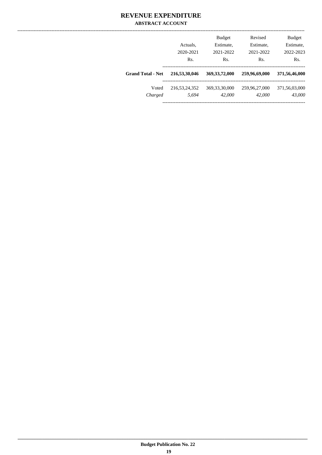#### **REVENUE EXPENDITURE ABSTRACT ACCOUNT**

|                          | Actuals.<br>2020-2021 | <b>Budget</b><br>Estimate,<br>2021-2022 | Revised<br>Estimate,<br>2021-2022 | <b>Budget</b><br>Estimate,<br>2022-2023 |
|--------------------------|-----------------------|-----------------------------------------|-----------------------------------|-----------------------------------------|
|                          | Rs.                   | Rs.                                     | R <sub>s</sub> .                  | Rs.                                     |
| <b>Grand Total - Net</b> | 216,53,30,046         | 369, 33, 72, 000                        | 259,96,69,000                     | 371,56,46,000                           |
| Voted                    | 216, 53, 24, 352      | 369, 33, 30, 000                        | 259,96,27,000                     | 371,56,03,000                           |
| Charged                  | 5.694                 | 42,000                                  | 42,000                            | 43.000                                  |
|                          |                       |                                         |                                   |                                         |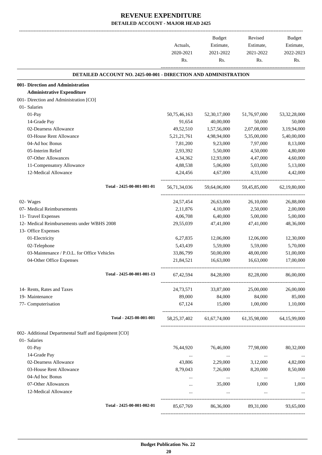|                                                                        | Actuals,<br>2020-2021<br>Rs. | Budget<br>Estimate,<br>2021-2022 | Revised<br>Estimate,<br>2021-2022                   | <b>Budget</b><br>Estimate,<br>2022-2023 |
|------------------------------------------------------------------------|------------------------------|----------------------------------|-----------------------------------------------------|-----------------------------------------|
|                                                                        |                              | Rs.                              | Rs.                                                 | Rs.                                     |
| <b>DETAILED ACCOUNT NO. 2425-00-001 - DIRECTION AND ADMINISTRATION</b> |                              |                                  |                                                     |                                         |
| 001- Direction and Administration                                      |                              |                                  |                                                     |                                         |
| <b>Administrative Expenditure</b>                                      |                              |                                  |                                                     |                                         |
| 001- Direction and Administration [CO]                                 |                              |                                  |                                                     |                                         |
| 01- Salaries                                                           |                              |                                  |                                                     |                                         |
| 01-Pay                                                                 | 50,75,46,163                 | 52, 30, 17, 000                  | 51,76,97,000                                        | 53, 32, 28, 000                         |
| 14-Grade Pay                                                           | 91,654                       | 40,00,000                        | 50,000                                              | 50,000                                  |
| 02-Dearness Allowance                                                  | 49,52,510                    | 1,57,56,000                      | 2,07,08,000                                         | 3,19,94,000                             |
| 03-House Rent Allowance                                                | 5, 21, 21, 761               | 4,98,94,000                      | 5,35,00,000                                         | 5,40,00,000                             |
| 04-Ad hoc Bonus                                                        | 7,81,200                     | 9,23,000                         | 7,97,000                                            | 8,13,000                                |
| 05-Interim Relief                                                      | 2,93,392                     | 5,50,000                         | 4,50,000                                            | 4,80,000                                |
| 07-Other Allowances                                                    | 4,34,362                     | 12,93,000                        | 4,47,000                                            | 4,60,000                                |
| 11-Compensatory Allowance                                              | 4,88,538                     | 5,06,000                         | 5,03,000                                            | 5,13,000                                |
| 12-Medical Allowance                                                   | 4,24,456                     | 4,67,000                         | 4,33,000                                            | 4,42,000                                |
| Total - 2425-00-001-001-01                                             | 56,71,34,036                 | 59,64,06,000                     | 59,45,85,000                                        | 62,19,80,000                            |
| 02- Wages                                                              | 24,57,454                    | 26,63,000                        | 26,10,000                                           | 26,88,000                               |
| 07- Medical Reimbursements                                             | 2,11,876                     | 4,10,000                         | 2,50,000                                            | 2,00,000                                |
| 11- Travel Expenses                                                    | 4,06,708                     | 6,40,000                         | 5,00,000                                            | 5,00,000                                |
| 12- Medical Reimbursements under WBHS 2008                             | 29,55,039                    | 47,41,000                        | 47,41,000                                           | 48,36,000                               |
| 13- Office Expenses                                                    |                              |                                  |                                                     |                                         |
| 01-Electricity                                                         | 6,27,835                     | 12,06,000                        | 12,06,000                                           | 12,30,000                               |
| 02-Telephone                                                           | 5,43,439                     | 5,59,000                         | 5,59,000                                            | 5,70,000                                |
| 03-Maintenance / P.O.L. for Office Vehicles                            | 33,86,799                    | 50,00,000                        | 48,00,000                                           | 51,00,000                               |
| 04-Other Office Expenses                                               | 21,84,521                    | 16,63,000                        | 16,63,000                                           | 17,00,000                               |
| Total - 2425-00-001-001-13                                             | 67,42,594                    | 84,28,000                        | 82,28,000                                           | 86,00,000                               |
| 14- Rents, Rates and Taxes                                             | 24,73,571                    | 33,87,000                        | 25,00,000                                           | 26,00,000                               |
| 19- Maintenance                                                        | 89,000                       | 84,000                           | 84,000                                              | 85,000                                  |
| 77- Computerisation                                                    | 67,124                       | 15,000                           | 1,00,000                                            | 1,10,000                                |
| Total - 2425-00-001-001                                                |                              |                                  | 58,25,37,402 61,67,74,000 61,35,98,000 64,15,99,000 |                                         |
| 002- Additional Departmental Staff and Equipment [CO]                  |                              |                                  |                                                     |                                         |
| 01- Salaries                                                           |                              |                                  |                                                     |                                         |
| $01-Pay$                                                               | 76,44,920                    | 76,46,000                        | 77,98,000                                           | 80,32,000                               |
| 14-Grade Pay                                                           | $\ldots$                     | $\sim$ $\sim$                    | $\ldots$                                            | $\sim$ 0.000 $\pm$                      |
| 02-Dearness Allowance                                                  | 43,806                       | 2,29,000                         | 3,12,000                                            | 4,82,000                                |
| 03-House Rent Allowance                                                | 8,79,043                     | 7,26,000                         | 8,20,000                                            | 8,50,000                                |
| 04-Ad hoc Bonus                                                        |                              | $\cdots$                         | $\ldots$                                            | $\cdots$                                |
| 07-Other Allowances                                                    | $\cdots$                     | 35,000                           | 1,000                                               | 1,000                                   |
| 12-Medical Allowance                                                   |                              |                                  |                                                     |                                         |
| Total - 2425-00-001-002-01                                             | 85,67,769                    | 86,36,000                        | 89,31,000                                           | 93,65,000                               |
|                                                                        |                              |                                  |                                                     |                                         |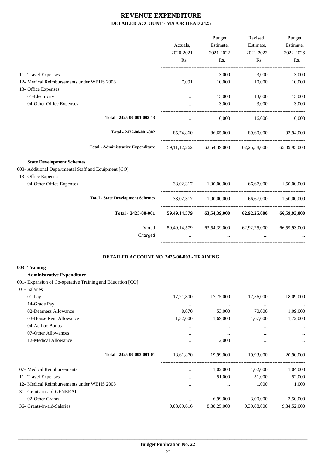|                                                                         |                                             |                         | Budget                                                          | Revised            | Budget                                         |
|-------------------------------------------------------------------------|---------------------------------------------|-------------------------|-----------------------------------------------------------------|--------------------|------------------------------------------------|
|                                                                         |                                             | Actuals,                | Estimate,                                                       | Estimate,          | Estimate,                                      |
|                                                                         |                                             | 2020-2021               | 2021-2022                                                       | 2021-2022          | 2022-2023                                      |
|                                                                         |                                             | Rs.                     | Rs.                                                             | Rs.                | Rs.                                            |
| 11- Travel Expenses                                                     |                                             | $\cdots$                | 3,000                                                           | 3,000              | 3,000                                          |
| 12- Medical Reimbursements under WBHS 2008                              |                                             | 7,091                   | 10,000                                                          | 10,000             | 10,000                                         |
| 13- Office Expenses                                                     |                                             |                         |                                                                 |                    |                                                |
| 01-Electricity                                                          |                                             | $\cdots$                | 13,000                                                          | 13,000             | 13,000                                         |
| 04-Other Office Expenses                                                |                                             |                         | 3,000                                                           | 3,000              | 3,000                                          |
|                                                                         | Total - 2425-00-001-002-13                  | $\ddots$                |                                                                 | 16,000 16,000      | 16,000                                         |
|                                                                         | Total - 2425-00-001-002                     |                         | 85,74,860 86,65,000 89,60,000                                   |                    | 93,94,000                                      |
|                                                                         | <b>Total - Administrative Expenditure</b>   |                         | 59,11,12,262 62,54,39,000 62,25,58,000 65,09,93,000             |                    |                                                |
| <b>State Development Schemes</b>                                        |                                             |                         |                                                                 |                    |                                                |
| 003- Additional Departmental Staff and Equipment [CO]                   |                                             |                         |                                                                 |                    |                                                |
| 13- Office Expenses                                                     |                                             |                         |                                                                 |                    |                                                |
| 04-Other Office Expenses                                                |                                             |                         | 38,02,317 1,00,00,000 66,67,000                                 |                    | 1,50,00,000                                    |
|                                                                         | <b>Total - State Development Schemes</b>    |                         | 38,02,317 1,00,00,000 66,67,000 1,50,00,000                     |                    |                                                |
|                                                                         | Total - 2425-00-001                         |                         | 59,49,14,579 63,54,39,000 62,92,25,000                          |                    | 66,59,93,000                                   |
|                                                                         | Voted<br>Charged                            | $\cdots$                | 59,49,14,579 63,54,39,000 62,92,25,000 66,59,93,000<br>$\ddots$ | $\cdots$           |                                                |
|                                                                         | DETAILED ACCOUNT NO. 2425-00-003 - TRAINING |                         |                                                                 |                    |                                                |
| 003- Training                                                           |                                             |                         |                                                                 |                    |                                                |
| <b>Administrative Expenditure</b>                                       |                                             |                         |                                                                 |                    |                                                |
| 001- Expansion of Co-operative Training and Education [CO]              |                                             |                         |                                                                 |                    |                                                |
| 01- Salaries                                                            |                                             |                         |                                                                 |                    |                                                |
| 01-Pay<br>14-Grade Pay                                                  |                                             | 17,21,800               | 17,75,000                                                       | 17,56,000          | 18,09,000                                      |
| 02-Dearness Allowance                                                   |                                             | $\ldots$<br>8,070       | $\cdots$<br>53,000                                              | $\cdots$<br>70,000 | $\ldots$<br>1,09,000                           |
| 03-House Rent Allowance                                                 |                                             | 1,32,000                | 1,69,000                                                        | 1,67,000           | 1,72,000                                       |
| 04-Ad hoc Bonus                                                         |                                             | $\ldots$                | $\cdots$                                                        | $\cdots$           |                                                |
| 07-Other Allowances                                                     |                                             | $\cdots$                | $\cdots$                                                        | $\cdots$           |                                                |
| 12-Medical Allowance                                                    |                                             | $\cdots$                | 2,000                                                           | $\cdots$           |                                                |
|                                                                         | Total - 2425-00-003-001-01                  | 18,61,870               | 19,99,000                                                       | 19,93,000          | . _ _ _ _ _ _ _ _ _ _ _ _ _ _ _ _<br>20,90,000 |
|                                                                         |                                             |                         |                                                                 |                    |                                                |
| 07- Medical Reimbursements                                              |                                             | $\cdots$                | 1,02,000                                                        | 1,02,000           | 1,04,000                                       |
| 11- Travel Expenses                                                     |                                             | $\cdots$                | 51,000                                                          | 51,000             | 52,000                                         |
| 12- Medical Reimbursements under WBHS 2008<br>31- Grants-in-aid-GENERAL |                                             | $\cdots$                | $\cdots$                                                        | 1,000              | 1,000                                          |
| 02-Other Grants                                                         |                                             |                         | 6,99,000                                                        | 3,00,000           |                                                |
| 36- Grants-in-aid-Salaries                                              |                                             | $\cdots$<br>9,08,09,616 | 8,88,25,000                                                     | 9,39,88,000        | 3,50,000<br>9,84,52,000                        |
|                                                                         |                                             |                         |                                                                 |                    |                                                |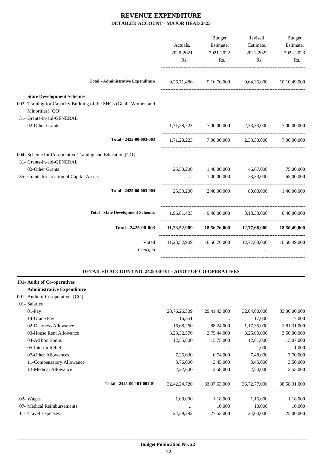|                                                                                                                           | Actuals,<br>2020-2021<br>Rs. | <b>Budget</b><br>Estimate,<br>2021-2022<br>Rs. | Revised<br>Estimate,<br>2021-2022<br>Rs.     | <b>Budget</b><br>Estimate,<br>2022-2023<br>Rs. |
|---------------------------------------------------------------------------------------------------------------------------|------------------------------|------------------------------------------------|----------------------------------------------|------------------------------------------------|
| <b>Total - Administrative Expenditure</b>                                                                                 | 9, 26, 71, 486               | 9,16,76,000                                    | 9,64,35,000                                  | 10,10,49,000                                   |
| <b>State Development Schemes</b><br>003- Training for Capacity Building of the SHGs (Genl., Women and<br>Minorities) [CO] |                              |                                                |                                              |                                                |
| 31- Grants-in-aid-GENERAL<br>02-Other Grants                                                                              | 1,71,28,223                  | 7,00,00,000                                    | 2,33,33,000                                  | 7,00,00,000                                    |
| Total - 2425-00-003-003                                                                                                   |                              | 1,71,28,223 7,00,00,000                        | 2,33,33,000                                  | 7,00,00,000                                    |
| 004- Scheme for Co-operative Training and Education [CO]<br>31- Grants-in-aid-GENERAL<br>02-Other Grants                  | 25,53,200                    | 1,40,00,000                                    | 46,67,000                                    | 75,00,000                                      |
| 35- Grants for creation of Capital Assets<br>Total - 2425-00-003-004                                                      | $\cdots$<br>25,53,200        | 1,00,00,000<br>2,40,00,000                     | 33,33,000<br>80,00,000                       | 65,00,000<br>1,40,00,000                       |
| <b>Total - State Development Schemes</b>                                                                                  |                              | 1,96,81,423 9,40,00,000 3,13,33,000            |                                              | 8,40,00,000                                    |
| Total - 2425-00-003                                                                                                       |                              |                                                | $11,23,52,909$ $18,56,76,000$ $12,77,68,000$ | 18,50,49,000                                   |
| Voted<br>Charged                                                                                                          | 11,23,52,909<br>$\cdots$     | 18,56,76,000<br>$\ddotsc$                      | 12,77,68,000<br>$\ddotsc$                    | 18,50,49,000                                   |
| DETAILED ACCOUNT NO. 2425-00-101 - AUDIT OF CO-OPERATIVES                                                                 |                              |                                                |                                              |                                                |

| 101- Audit of Co-operatives       |                            |                 |                 |              |              |
|-----------------------------------|----------------------------|-----------------|-----------------|--------------|--------------|
| <b>Administrative Expenditure</b> |                            |                 |                 |              |              |
| 001- Audit of Co-operative- [CO]  |                            |                 |                 |              |              |
| 01- Salaries                      |                            |                 |                 |              |              |
| $01-Pay$                          |                            | 28, 76, 26, 309 | 29,41,43,000    | 32,04,00,000 | 33,00,00,000 |
| 14-Grade Pay                      |                            | 16,551          | $\cdots$        | 17,000       | 17,000       |
| 02-Dearness Allowance             |                            | 16,68,260       | 88,24,000       | 1,17,35,000  | 1,81,31,000  |
| 03-House Rent Allowance           |                            | 3,23,32,570     | 2,79,44,000     | 3,25,00,000  | 3,50,00,000  |
| 04-Ad hoc Bonus                   |                            | 12,55,800       | 15,75,000       | 12,81,000    | 13,07,000    |
| 05-Interim Relief                 |                            | $\cdots$        | $\cdots$        | 1,000        | 1,000        |
| 07-Other Allowances               |                            | 7,26,630        | 6,74,000        | 7,48,000     | 7,70,000     |
| 11-Compensatory Allowance         |                            | 3,76,000        | 3,45,000        | 3,45,000     | 3,50,000     |
| 12-Medical Allowance              |                            | 2,22,600        | 2,58,000        | 2,50,000     | 2,55,000     |
|                                   | Total - 2425-00-101-001-01 | 32, 42, 24, 720 | 33, 37, 63, 000 | 36,72,77,000 | 38,58,31,000 |
| 02- Wages                         |                            | 1,08,000        | 1,18,000        | 1,15,000     | 1,18,000     |
| 07- Medical Reimbursements        |                            | $\cdots$        | 10,000          | 10,000       | 10,000       |
| 11- Travel Expenses               |                            | 24, 39, 292     | 27,53,000       | 24,00,000    | 25,00,000    |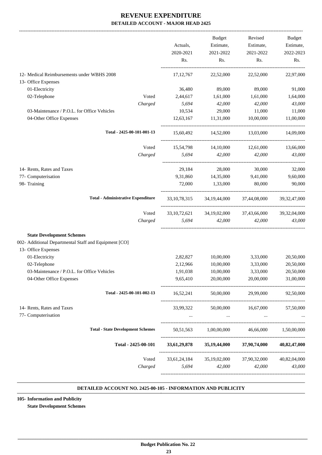| 22,52,000<br>89,000<br>1,61,000<br>42,000<br>29,000<br>11,31,000<br>14,52,000 | 22,52,000<br>89,000<br>1,61,000<br>42,000<br>11,000           | 22,97,000<br>91,000<br>1,64,000                                                            |
|-------------------------------------------------------------------------------|---------------------------------------------------------------|--------------------------------------------------------------------------------------------|
|                                                                               |                                                               |                                                                                            |
|                                                                               |                                                               |                                                                                            |
|                                                                               |                                                               |                                                                                            |
|                                                                               |                                                               |                                                                                            |
|                                                                               |                                                               | 43,000                                                                                     |
|                                                                               |                                                               | 11,000                                                                                     |
|                                                                               | 10,00,000                                                     | 11,00,000                                                                                  |
|                                                                               | 13,03,000                                                     | 14,09,000                                                                                  |
|                                                                               | 14,10,000 12,61,000                                           | 13,66,000                                                                                  |
|                                                                               | 42,000 42,000                                                 | 43,000                                                                                     |
|                                                                               |                                                               |                                                                                            |
| 28,000<br>29,184<br>14,35,000                                                 | 30,000<br>9,41,000                                            | 32,000<br>9,60,000                                                                         |
| 1,33,000                                                                      | 80,000                                                        | 90,000                                                                                     |
|                                                                               |                                                               |                                                                                            |
|                                                                               | 33,10,78,315 34,19,44,000 37,44,08,000                        | 39, 32, 47, 000                                                                            |
|                                                                               | 33, 10, 72, 621 34, 19, 02, 000 37, 43, 66, 000               | 39,32,04,000                                                                               |
| 42,000                                                                        | 42,000                                                        | 43,000                                                                                     |
|                                                                               |                                                               |                                                                                            |
| 10,00,000                                                                     | 3,33,000                                                      | 20,50,000                                                                                  |
| 10,00,000                                                                     | 3,33,000                                                      | 20,50,000                                                                                  |
| 10,00,000                                                                     | 3,33,000                                                      | 20,50,000                                                                                  |
| 20,00,000                                                                     | 20,00,000                                                     | 31,00,000                                                                                  |
|                                                                               | 50,00,000 29,99,000                                           | 92,50,000                                                                                  |
|                                                                               | 33,99,322 50,00,000 16,67,000 57,50,000                       |                                                                                            |
|                                                                               | and the state of the control of the state of the state of the | <b>Section Contract Contract</b>                                                           |
|                                                                               |                                                               |                                                                                            |
|                                                                               | 50,51,563 1,00,00,000 46,66,000 1,50,00,000                   |                                                                                            |
|                                                                               |                                                               | 40,82,47,000                                                                               |
|                                                                               |                                                               | 40,82,04,000                                                                               |
|                                                                               | 42,000                                                        | 43,000                                                                                     |
|                                                                               | 5,694                                                         | 33,61,29,878 35,19,44,000 37,90,74,000<br>33,61,24,184 35,19,02,000 37,90,32,000<br>42,000 |

#### **DETAILED ACCOUNT NO. 2425-00-105 - INFORMATION AND PUBLICITY .**

**105- Information and Publicity**

**State Development Schemes**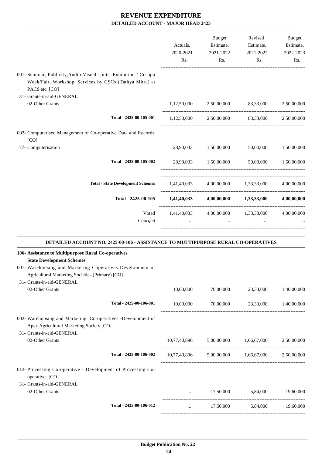|                                                                                                                                               | Actuals,<br>2020-2021<br>Rs. | Budget<br>Estimate,<br>2021-2022<br>Rs. | Revised<br>Estimate,<br>2021-2022<br>Rs.                                                                                            | Budget<br>Estimate,<br>2022-2023<br>Rs. |
|-----------------------------------------------------------------------------------------------------------------------------------------------|------------------------------|-----------------------------------------|-------------------------------------------------------------------------------------------------------------------------------------|-----------------------------------------|
| 001- Seminar, Publicity, Audio-Visual Units, Exhibition / Co-opp<br>Week/Fair, Workshop, Services by CSCs (Tathya Mitra) at<br>PACS etc. [CO] |                              |                                         |                                                                                                                                     |                                         |
| 31- Grants-in-aid-GENERAL<br>02-Other Grants                                                                                                  | 1,12,50,000                  |                                         | 2,50,00,000 83,33,000                                                                                                               | 2,50,00,000                             |
|                                                                                                                                               |                              |                                         |                                                                                                                                     |                                         |
| Total - 2425-00-105-001                                                                                                                       |                              |                                         | 1,12,50,000 2,50,00,000 83,33,000 2,50,00,000                                                                                       |                                         |
| 002- Computerised Management of Co-operative Data and Records.<br>[CO]                                                                        |                              |                                         |                                                                                                                                     |                                         |
| 77- Computerisation                                                                                                                           |                              |                                         | 28,90,033 1,50,00,000 50,00,000 1,50,00,000                                                                                         |                                         |
| Total - 2425-00-105-002                                                                                                                       |                              |                                         | 28,90,033 1,50,00,000 50,00,000 1,50,00,000                                                                                         |                                         |
| <b>Total - State Development Schemes</b>                                                                                                      |                              |                                         | $1,41,40,033$ $4,00,00,000$ $1,33,33,000$ $4,00,00,000$                                                                             |                                         |
| Total - 2425-00-105                                                                                                                           |                              |                                         | $1,41,40,033$ $4,00,00,000$ $1,33,33,000$                                                                                           | 4,00,00,000                             |
| Voted<br>Charged                                                                                                                              |                              |                                         | 1,41,40,033 4,00,00,000 1,33,33,000 4,00,00,000<br>$\mathbf{1}$ and $\mathbf{1}$ and $\mathbf{1}$ and $\mathbf{1}$ and $\mathbf{1}$ |                                         |
| DETAILED ACCOUNT NO. 2425-00-106 - ASSISTANCE TO MULTIPURPOSE RURAL CO-OPERATIVES                                                             |                              |                                         |                                                                                                                                     |                                         |
| 106- Assistance to Multipurpose Rural Co-operatives<br><b>State Development Schemes</b>                                                       |                              |                                         |                                                                                                                                     |                                         |
| 001- Warehousing and Marketing Coperatives Development of<br>Agricultural Marketing Societies (Primary) [CO]<br>31- Grants-in-aid-GENERAL     |                              |                                         |                                                                                                                                     |                                         |
| 02-Other Grants                                                                                                                               | 10,00,000                    | 70,00,000                               | 23,33,000                                                                                                                           | 1,40,00,000                             |
| Total - 2425-00-106-001                                                                                                                       | 10,00,000                    | 70,00,000                               | 23,33,000                                                                                                                           | 1,40,00,000                             |
| 002- Warehousing and Marketing Co-operatives -Development of                                                                                  |                              |                                         |                                                                                                                                     |                                         |

Apex Agricultural Marketing Society [CO]

 31- Grants-in-aid-GENERAL 02-Other Grants 10,77,40,896 5,00,00,000 1,66,67,000 2,50,00,000

**Total - 2425-00-106-002** 10,77,40,896 5,00,00,000 1,66,67,000 2,50,00,000 012- Processing Co-operative - Development of Processing Co-

operatives [CO] 31- Grants-in-aid-GENERAL

02-Other Grants ... 17,50,000 5,84,000 19,60,000 19,60,000 ---------------------------------------------------------------------------------------- **Total - 2425-00-106-012** ... 17,50,000 5,84,000 19,60,000 -----------------------------------------------------------------------------------------

----------------------------------------------------------------------------------------

-----------------------------------------------------------------------------------------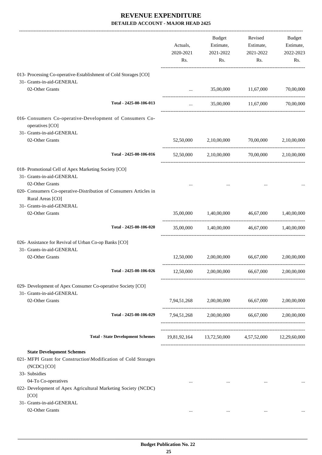|                                                                                   |             | Budget                | Revised                                            | Budget      |
|-----------------------------------------------------------------------------------|-------------|-----------------------|----------------------------------------------------|-------------|
|                                                                                   | Actuals,    | Estimate,             | Estimate,                                          | Estimate,   |
|                                                                                   | 2020-2021   | 2021-2022             | 2021-2022                                          | 2022-2023   |
|                                                                                   | Rs.         | Rs.                   | Rs.                                                | Rs.         |
| 013- Processing Co-operative-Establishment of Cold Storages [CO]                  |             |                       |                                                    |             |
| 31- Grants-in-aid-GENERAL                                                         |             |                       |                                                    |             |
| 02-Other Grants                                                                   |             |                       | 35,00,000 11,67,000                                | 70,00,000   |
|                                                                                   |             | <b>Section</b> (1999) |                                                    |             |
| Total - 2425-00-106-013                                                           | $\cdots$    |                       | 35,00,000 11,67,000 70,00,000                      |             |
| 016- Consumers Co-operative-Development of Consumers Co-<br>operatives [CO]       |             |                       |                                                    |             |
| 31- Grants-in-aid-GENERAL                                                         |             |                       |                                                    |             |
| 02-Other Grants                                                                   |             |                       | 52,50,000 2,10,00,000 70,00,000                    | 2,10,00,000 |
| Total - 2425-00-106-016                                                           |             |                       | 52,50,000 2,10,00,000 70,00,000                    | 2,10,00,000 |
|                                                                                   |             |                       |                                                    |             |
| 018- Promotional Cell of Apex Marketing Society [CO]<br>31- Grants-in-aid-GENERAL |             |                       |                                                    |             |
| 02-Other Grants                                                                   |             |                       |                                                    |             |
| 020- Consumers Co-operative-Distribution of Consumers Articles in                 |             |                       |                                                    |             |
| Rural Areas [CO]                                                                  |             |                       |                                                    |             |
| 31- Grants-in-aid-GENERAL                                                         |             |                       |                                                    |             |
| 02-Other Grants                                                                   | 35,00,000   | 1,40,00,000           | 46,67,000                                          | 1,40,00,000 |
|                                                                                   |             |                       |                                                    |             |
| Total - 2425-00-106-020                                                           |             |                       | 35,00,000  1,40,00,000  46,67,000  1,40,00,000     |             |
| 026- Assistance for Revival of Urban Co-op Banks [CO]                             |             |                       |                                                    |             |
| 31- Grants-in-aid-GENERAL                                                         |             |                       |                                                    |             |
| 02-Other Grants                                                                   |             |                       | 12,50,000 2,00,00,000 66,67,000                    | 2,00,00,000 |
|                                                                                   |             |                       | -----------------------                            |             |
| Total - 2425-00-106-026                                                           |             |                       | 12,50,000 2,00,00,000 66,67,000 2,00,00,000        |             |
| 029- Development of Apex Consumer Co-operative Society [CO]                       |             |                       |                                                    |             |
| 31- Grants-in-aid-GENERAL                                                         |             |                       |                                                    |             |
| 02-Other Grants                                                                   | 7,94,51,268 | 2,00,00,000           | 66,67,000                                          | 2,00,00,000 |
| Total - 2425-00-106-029                                                           |             |                       | 7,94,51,268 2,00,00,000 66,67,000 2,00,00,000      |             |
|                                                                                   |             |                       |                                                    |             |
| <b>Total - State Development Schemes</b>                                          |             |                       | 19,81,92,164 13,72,50,000 4,57,52,000 12,29,60,000 |             |
| <b>State Development Schemes</b>                                                  |             |                       |                                                    |             |
| 021- MFPI Grant for Construction\Modification of Cold Storages                    |             |                       |                                                    |             |
| (NCDC) [CO]                                                                       |             |                       |                                                    |             |
| 33- Subsidies                                                                     |             |                       |                                                    |             |
| 04-To Co-operatives                                                               | $\cdots$    | $\cdots$              | $\cdots$                                           |             |
| 022- Development of Apex Agricultural Marketing Society (NCDC)                    |             |                       |                                                    |             |
| [CO]                                                                              |             |                       |                                                    |             |
| 31- Grants-in-aid-GENERAL<br>02-Other Grants                                      |             |                       |                                                    |             |
|                                                                                   | $\cdots$    | $\cdots$              | $\cdots$                                           |             |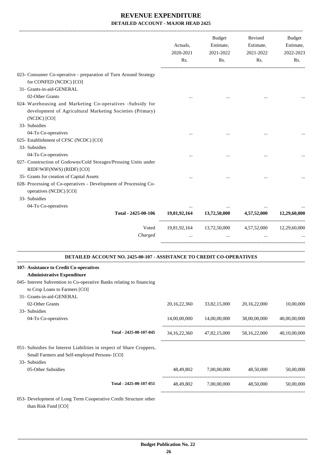|                                                                                                                                       | Actuals,<br>2020-2021<br>Rs. | <b>Budget</b><br>Estimate,<br>2021-2022<br>Rs.     | Revised<br>Estimate,<br>2021-2022<br>Rs.            | Budget<br>Estimate,<br>2022-2023<br>Rs. |
|---------------------------------------------------------------------------------------------------------------------------------------|------------------------------|----------------------------------------------------|-----------------------------------------------------|-----------------------------------------|
| 023- Consumer Co-operative - preparation of Turn Around Strategy<br>for CONFED (NCDC) [CO]                                            |                              |                                                    |                                                     |                                         |
| 31- Grants-in-aid-GENERAL                                                                                                             |                              |                                                    |                                                     |                                         |
| 02-Other Grants                                                                                                                       |                              |                                                    |                                                     |                                         |
| 024- Warehousing and Marketing Co-operatives -Subsidy for<br>development of Agricultural Marketing Societies (Primary)<br>(NCDC) [CO] |                              |                                                    |                                                     |                                         |
| 33- Subsidies                                                                                                                         |                              |                                                    |                                                     |                                         |
| 04-To Co-operatives<br>025- Establishment of CFSC (NCDC) [CO]                                                                         |                              |                                                    |                                                     |                                         |
| 33- Subsidies<br>04-To Co-operatives                                                                                                  |                              |                                                    |                                                     |                                         |
| 027- Construction of Godowns/Cold Storages/Prossing Units under<br>RIDF/WIF(NWS) (RIDF) [CO]                                          |                              |                                                    |                                                     |                                         |
| 35- Grants for creation of Capital Assets                                                                                             |                              |                                                    |                                                     |                                         |
| 028- Processing of Co-operatives - Development of Processing Co-<br>operatives (NCDC) [CO]                                            |                              |                                                    |                                                     |                                         |
| 33- Subsidies                                                                                                                         |                              |                                                    |                                                     |                                         |
| 04-To Co-operatives                                                                                                                   |                              |                                                    |                                                     |                                         |
| Total - 2425-00-106                                                                                                                   | 19,81,92,164                 | 13,72,50,000                                       | 4,57,52,000                                         | 12,29,60,000                            |
| Voted<br>Charged                                                                                                                      | $\cdots$                     | 19,81,92,164 13,72,50,000 4,57,52,000<br>$\ddotsc$ | $\cdots$                                            | 12,29,60,000                            |
| <b>DETAILED ACCOUNT NO. 2425-00-107 - ASSISTANCE TO CREDIT CO-OPERATIVES</b>                                                          |                              |                                                    |                                                     |                                         |
| 107- Assistance to Credit Co-operatives                                                                                               |                              |                                                    |                                                     |                                         |
| <b>Administrative Expenditure</b>                                                                                                     |                              |                                                    |                                                     |                                         |
| 045- Interest Subvention to Co-operative Banks relating to financing                                                                  |                              |                                                    |                                                     |                                         |
| to Crop Loans to Farmers [CO]<br>31- Grants-in-aid-GENERAL                                                                            |                              |                                                    |                                                     |                                         |
| 02-Other Grants                                                                                                                       | 20, 16, 22, 360              |                                                    | 20, 16, 22, 000                                     | 10,00,000                               |
| 33- Subsidies                                                                                                                         |                              | 33,82,15,000                                       |                                                     |                                         |
| 04-To Co-operatives                                                                                                                   |                              | 14,00,00,000  14,00,00,000  38,00,00,000           |                                                     | 40,00,00,000                            |
|                                                                                                                                       |                              |                                                    |                                                     |                                         |
| Total - 2425-00-107-045                                                                                                               |                              |                                                    | 34,16,22,360 47,82,15,000 58,16,22,000 40,10,00,000 |                                         |
| 051- Subsidies for Interest Liabilities in respect of Share Croppers,<br>Small Farmers and Self-employed Persons- [CO]                |                              |                                                    |                                                     |                                         |
| 33- Subsidies                                                                                                                         |                              |                                                    |                                                     |                                         |
| 05-Other Subsidies                                                                                                                    |                              | 48,49,802 7,00,00,000 48,50,000                    |                                                     | 50,00,000                               |
| Total - 2425-00-107-051                                                                                                               |                              |                                                    | 48,49,802 7,00,00,000 48,50,000                     | 50,00,000                               |
| 053- Development of Long Term Cooperative Credit Structure other<br>than Risk Fund [CO]                                               |                              |                                                    |                                                     |                                         |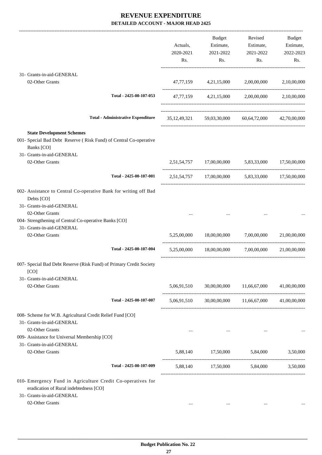|                                                                                                                                                                                         | Actuals,<br>2020-2021<br>Rs. | <b>Budget</b><br>Estimate,<br>2021-2022<br>Rs. | Revised<br>Estimate,<br>2021-2022<br>Rs.           | <b>Budget</b><br>Estimate,<br>2022-2023<br>Rs. |
|-----------------------------------------------------------------------------------------------------------------------------------------------------------------------------------------|------------------------------|------------------------------------------------|----------------------------------------------------|------------------------------------------------|
| 31- Grants-in-aid-GENERAL                                                                                                                                                               |                              |                                                |                                                    |                                                |
| 02-Other Grants                                                                                                                                                                         |                              | 47,77,159 4,21,15,000 2,00,00,000              |                                                    | 2,10,00,000                                    |
| Total - 2425-00-107-053                                                                                                                                                                 |                              |                                                | 47,77,159 4,21,15,000 2,00,00,000 2,10,00,000      |                                                |
| <b>Total - Administrative Expenditure</b>                                                                                                                                               |                              |                                                | 35,12,49,321 59,03,30,000 60,64,72,000             | 42,70,00,000                                   |
| <b>State Development Schemes</b>                                                                                                                                                        |                              |                                                |                                                    |                                                |
| 001- Special Bad Debt Reserve (Risk Fund) of Central Co-operative<br>Banks [CO]                                                                                                         |                              |                                                |                                                    |                                                |
| 31- Grants-in-aid-GENERAL<br>02-Other Grants                                                                                                                                            |                              |                                                | 2,51,54,757 17,00,00,000 5,83,33,000               | 17,50,00,000                                   |
| Total - 2425-00-107-001                                                                                                                                                                 |                              |                                                | 2,51,54,757 17,00,00,000 5,83,33,000 17,50,00,000  |                                                |
| 002- Assistance to Central Co-operative Bank for writing off Bad<br>Debts [CO]<br>31- Grants-in-aid-GENERAL<br>02-Other Grants<br>004- Strengthening of Central Co-operative Banks [CO] |                              |                                                |                                                    |                                                |
| 31- Grants-in-aid-GENERAL<br>02-Other Grants                                                                                                                                            | 5,25,00,000                  |                                                | 18,00,00,000 7,00,00,000                           | 21,00,00,000                                   |
| Total - 2425-00-107-004                                                                                                                                                                 | 5,25,00,000                  | 18,00,00,000                                   | 7,00,00,000                                        | 21,00,00,000                                   |
| 007- Special Bad Debt Reserve (Risk Fund) of Primary Credit Society<br>[CO]                                                                                                             |                              |                                                |                                                    |                                                |
| 31- Grants-in-aid-GENERAL<br>02-Other Grants                                                                                                                                            | 5,06,91,510                  |                                                | 30,00,00,000 11,66,67,000                          | 41,00,00,000                                   |
| Total - 2425-00-107-007                                                                                                                                                                 |                              |                                                | 5,06,91,510 30,00,00,000 11,66,67,000 41,00,00,000 |                                                |
| 008- Scheme for W.B. Agricultural Credit Relief Fund [CO]<br>31- Grants-in-aid-GENERAL<br>02-Other Grants<br>009- Assistance for Universal Membership [CO]                              | $\cdots$                     | $\cdots$                                       | $\cdots$                                           |                                                |
| 31- Grants-in-aid-GENERAL<br>02-Other Grants                                                                                                                                            |                              |                                                | 5,88,140 17,50,000 5,84,000                        | 3,50,000                                       |
| Total - 2425-00-107-009                                                                                                                                                                 |                              |                                                | 5,88,140 17,50,000 5,84,000                        | 3,50,000                                       |
| 010- Emergency Fund in Agriculture Credit Co-operatives for<br>eradication of Rural indebtedness [CO]<br>31- Grants-in-aid-GENERAL<br>02-Other Grants                                   | $\cdots$                     | $\cdots$                                       | $\cdots$                                           |                                                |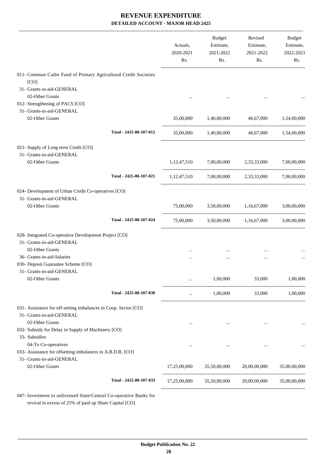|                                                                         |                         | Actuals,<br>2020-2021<br>Rs. | Budget<br>Estimate,<br>2021-2022<br>Rs.      | Revised<br>Estimate,<br>2021-2022<br>Rs.        | <b>Budget</b><br>Estimate,<br>2022-2023<br>Rs. |
|-------------------------------------------------------------------------|-------------------------|------------------------------|----------------------------------------------|-------------------------------------------------|------------------------------------------------|
| 011- Common Cadre Fund of Primary Agricultural Credit Societies<br>[CO] |                         |                              |                                              |                                                 |                                                |
| 31- Grants-in-aid-GENERAL                                               |                         |                              |                                              |                                                 |                                                |
| 02-Other Grants                                                         |                         |                              |                                              |                                                 |                                                |
| 012- Strengthening of PACS [CO]                                         |                         |                              |                                              |                                                 |                                                |
| 31- Grants-in-aid-GENERAL                                               |                         |                              |                                              |                                                 |                                                |
| 02-Other Grants                                                         |                         | 35,00,000                    | 1,40,00,000                                  | 46,67,000 1,54,00,000                           |                                                |
|                                                                         | Total - 2425-00-107-012 | 35,00,000                    | 1,40,00,000                                  |                                                 | 46,67,000 1,54,00,000                          |
| 021- Supply of Long term Credit [CO]                                    |                         |                              |                                              |                                                 |                                                |
| 31- Grants-in-aid-GENERAL                                               |                         |                              |                                              |                                                 |                                                |
| 02-Other Grants                                                         |                         | 1,12,47,510                  | 7,00,00,000                                  | 2,33,33,000                                     | 7,00,00,000                                    |
|                                                                         | Total - 2425-00-107-021 |                              |                                              | 1,12,47,510 7,00,00,000 2,33,33,000 7,00,00,000 |                                                |
| 024- Development of Urban Credit Co-operatives [CO]                     |                         |                              |                                              |                                                 |                                                |
| 31- Grants-in-aid-GENERAL                                               |                         |                              |                                              |                                                 |                                                |
| 02-Other Grants                                                         |                         | 75,00,000                    |                                              | 3,50,00,000 1,16,67,000                         | 3,00,00,000                                    |
|                                                                         | Total - 2425-00-107-024 |                              |                                              | 75,00,000 3,50,00,000 1,16,67,000 3,00,00,000   |                                                |
| 028- Integrated Co-operative Development Project [CO]                   |                         |                              |                                              |                                                 |                                                |
| 31- Grants-in-aid-GENERAL                                               |                         |                              |                                              |                                                 |                                                |
| 02-Other Grants                                                         |                         |                              |                                              |                                                 |                                                |
| 36- Grants-in-aid-Salaries                                              |                         |                              |                                              |                                                 |                                                |
| 030- Deposit Guarantee Scheme [CO]<br>31- Grants-in-aid-GENERAL         |                         |                              |                                              |                                                 |                                                |
| 02-Other Grants                                                         |                         | $\cdots$                     | 1,00,000                                     | 33,000                                          | 1,00,000                                       |
|                                                                         | Total - 2425-00-107-030 | $\cdots$                     | 1,00,000                                     |                                                 | 33,000 1,00,000                                |
| 031- Assistance for off-setting imbalances in Coop. Sector [CO]         |                         |                              |                                              |                                                 |                                                |
| 31- Grants-in-aid-GENERAL                                               |                         |                              |                                              |                                                 |                                                |
| 02-Other Grants                                                         |                         | $\cdots$                     | $\cdots$                                     | $\ldots$                                        |                                                |
| 032- Subsidy for Delay in Supply of Machinery [CO]<br>33- Subsidies     |                         |                              |                                              |                                                 |                                                |
| 04-To Co-operatives                                                     |                         |                              | $\cdots$                                     | $\cdots$                                        |                                                |
| 033- Assistance for offsetting imbalances in A.R.D.B. [CO]              |                         |                              |                                              |                                                 |                                                |
| 31- Grants-in-aid-GENERAL                                               |                         |                              |                                              |                                                 |                                                |
| 02-Other Grants                                                         |                         |                              |                                              |                                                 | 35,00,00,000                                   |
|                                                                         | Total - 2425-00-107-033 |                              | $17,25,00,000$ $35,50,00,000$ $20,00,00,000$ |                                                 | 35,00,00,000                                   |

revival in excess of 25% of paid up Share Capital [CO]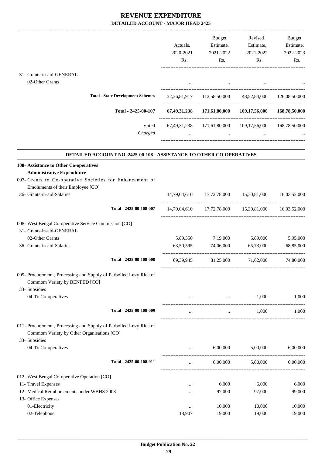|                                                                                                                 |           | Budget              | Revised                                                | Budget        |
|-----------------------------------------------------------------------------------------------------------------|-----------|---------------------|--------------------------------------------------------|---------------|
|                                                                                                                 | Actuals,  | Estimate,           | Estimate,                                              | Estimate,     |
|                                                                                                                 | 2020-2021 | 2021-2022           | 2021-2022                                              | 2022-2023     |
|                                                                                                                 | Rs.       | Rs.                 | Rs.                                                    | Rs.           |
| 31- Grants-in-aid-GENERAL                                                                                       |           |                     |                                                        |               |
| 02-Other Grants                                                                                                 |           |                     |                                                        |               |
|                                                                                                                 |           |                     |                                                        |               |
| <b>Total - State Development Schemes</b>                                                                        |           |                     | 32,36,81,917 112,58,50,000 48,52,84,000 126,08,50,000  |               |
| Total - 2425-00-107                                                                                             |           |                     | 67,49,31,238 171,61,80,000 109,17,56,000 168,78,50,000 |               |
| Voted<br>Charged                                                                                                | $\cdots$  | $\cdots$            | 67,49,31,238 171,61,80,000 109,17,56,000<br>$\cdots$   | 168,78,50,000 |
| <b>DETAILED ACCOUNT NO. 2425-00-108 - ASSISTANCE TO OTHER CO-OPERATIVES</b>                                     |           |                     |                                                        |               |
| 108- Assistance to Other Co-operatives<br><b>Administrative Expenditure</b>                                     |           |                     |                                                        |               |
| 007- Grants to Co-operative Societies for Enhancement of                                                        |           |                     |                                                        |               |
| Emoluments of their Employee [CO]                                                                               |           |                     |                                                        |               |
| 36- Grants-in-aid-Salaries                                                                                      |           |                     | 14,79,04,610 17,72,78,000 15,30,81,000                 | 16,03,52,000  |
|                                                                                                                 |           |                     |                                                        |               |
| Total - 2425-00-108-007                                                                                         |           |                     | 14,79,04,610 17,72,78,000 15,30,81,000 16,03,52,000    |               |
| 008- West Bengal Co-operative Service Commission [CO]                                                           |           |                     |                                                        |               |
| 31- Grants-in-aid-GENERAL                                                                                       |           |                     |                                                        |               |
| 02-Other Grants                                                                                                 |           | 5,89,350 7,19,000   | 5,89,000                                               | 5,95,000      |
| 36- Grants-in-aid-Salaries                                                                                      | 63,50,595 | 74,06,000           | 65,73,000                                              | 68,85,000     |
| Total - 2425-00-108-008                                                                                         |           | 69,39,945 81,25,000 | 71,62,000                                              | 74,80,000     |
| 009- Procurement, Processing and Supply of Parboiled Levy Rice of                                               |           |                     |                                                        |               |
| Commom Variety by BENFED [CO]                                                                                   |           |                     |                                                        |               |
| 33- Subsidies                                                                                                   |           |                     |                                                        |               |
| 04-To Co-operatives                                                                                             | $\cdots$  | $\cdots$            | 1,000                                                  | 1,000         |
| Total - 2425-00-108-009                                                                                         | $\cdots$  | $\ldots$            | 1,000                                                  | 1,000         |
| 011- Procurement, Processing and Supply of Parboiled Levy Rice of<br>Commom Variety by Other Organisations [CO] |           |                     |                                                        |               |
| 33- Subsidies                                                                                                   |           |                     |                                                        |               |
| 04-To Co-operatives                                                                                             |           | 6,00,000            | 5,00,000                                               | 6,00,000      |
| Total - 2425-00-108-011                                                                                         | $\cdots$  | 6,00,000            | 5,00,000                                               | 6,00,000      |
| 012- West Bengal Co-operative Operation [CO]                                                                    |           |                     |                                                        |               |
| 11- Travel Expenses                                                                                             | $\cdots$  | 6,000               | 6,000                                                  | 6,000         |
| 12- Medical Reimbursements under WBHS 2008                                                                      |           | 97,000              | 97,000                                                 | 99,000        |
| 13- Office Expenses                                                                                             |           |                     |                                                        |               |
| 01-Electricity                                                                                                  | $\cdots$  | 10,000              | 10,000                                                 | 10,000        |
| 02-Telephone                                                                                                    | 18,907    | 19,000              | 19,000                                                 | 19,000        |
|                                                                                                                 |           |                     |                                                        |               |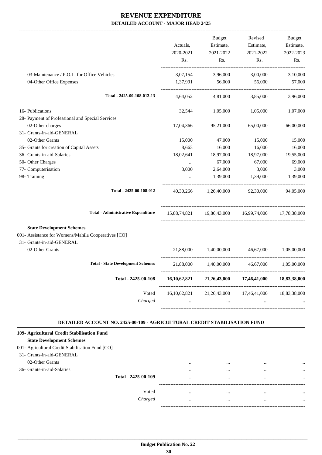|                                                                           |              | Budget                    | Revised                                             | Budget                |
|---------------------------------------------------------------------------|--------------|---------------------------|-----------------------------------------------------|-----------------------|
|                                                                           | Actuals,     | Estimate,                 | Estimate,                                           | Estimate,             |
|                                                                           | 2020-2021    | 2021-2022                 | 2021-2022                                           | 2022-2023             |
|                                                                           | Rs.          | Rs.                       | Rs.                                                 | Rs.                   |
| 03-Maintenance / P.O.L. for Office Vehicles                               | 3,07,154     | 3,96,000                  | 3,00,000                                            | 3,10,000              |
| 04-Other Office Expenses                                                  |              | 1,37,991 56,000 56,000    |                                                     | 57,000                |
| Total - 2425-00-108-012-13                                                |              |                           | 4,64,052 4,81,000 3,85,000                          | 3,96,000              |
| 16- Publications                                                          |              |                           | 32,544 1,05,000 1,05,000                            | 1,07,000              |
| 28- Payment of Professional and Special Services                          |              |                           |                                                     |                       |
| 02-Other charges                                                          | 17,04,366    | 95,21,000                 | 65,00,000                                           | 66,00,000             |
| 31- Grants-in-aid-GENERAL                                                 |              |                           |                                                     |                       |
| 02-Other Grants                                                           | 15,000       | 47,000                    | 15,000                                              | 15,000                |
| 35- Grants for creation of Capital Assets                                 | 8,663        | 16,000                    | 16,000                                              | 16,000                |
| 36- Grants-in-aid-Salaries                                                | 18,02,641    | 18,97,000                 | 18,97,000                                           | 19,55,000             |
| 50- Other Charges                                                         | $\cdots$     | 67,000                    | 67,000                                              | 69,000                |
| 77- Computerisation                                                       | 3,000        | 2,64,000                  | 3,000                                               | 3,000                 |
| 98- Training                                                              | $\cdots$     | 1,39,000                  | 1,39,000                                            | 1,39,000              |
| Total - 2425-00-108-012                                                   |              |                           | 40,30,266 1,26,40,000 92,30,000 94,05,000           |                       |
| <b>Total - Administrative Expenditure</b>                                 |              |                           | 15,88,74,821 19,86,43,000 16,99,74,000 17,78,38,000 |                       |
| <b>State Development Schemes</b>                                          |              |                           |                                                     |                       |
| 001- Assistance for Womens/Mahila Cooperatives [CO]                       |              |                           |                                                     |                       |
| 31- Grants-in-aid-GENERAL<br>02-Other Grants                              |              | 21,88,000 1,40,00,000     | 46,67,000                                           | 1,05,00,000           |
| <b>Total - State Development Schemes</b>                                  |              |                           |                                                     |                       |
|                                                                           |              | 21,88,000 1,40,00,000     |                                                     | 46,67,000 1,05,00,000 |
| Total - 2425-00-108                                                       | 16,10,62,821 | 21,26,43,000              | 17,46,41,000                                        | 18,83,38,000          |
| Voted                                                                     |              | 16,10,62,821 21,26,43,000 | 17,46,41,000                                        | 18,83,38,000          |
| Charged                                                                   | $\cdots$     | $\cdots$                  | $\cdots$                                            |                       |
| DETAILED ACCOUNT NO. 2425-00-109 - AGRICULTURAL CREDIT STABILISATION FUND |              |                           |                                                     |                       |
|                                                                           |              |                           |                                                     |                       |

#### **109- Agricultural Credit Stabilisation Fund State Development Schemes**

| 001- Agricultural Credit Stabilisation Fund [CO] |                     |          |          |          |          |
|--------------------------------------------------|---------------------|----------|----------|----------|----------|
| 31- Grants-in-aid-GENERAL                        |                     |          |          |          |          |
| 02-Other Grants                                  |                     | $\cdots$ | $\cdots$ | $\cdots$ |          |
| 36- Grants-in-aid-Salaries                       |                     | $\cdots$ | $\cdots$ | $\cdots$ |          |
|                                                  | Total - 2425-00-109 | $\cdots$ | $\cdots$ | $\cdots$ | $\cdots$ |
|                                                  |                     |          |          |          |          |
|                                                  | Voted               | $\cdots$ | $\cdots$ | $\cdots$ |          |
|                                                  | Charged             | $\cdots$ |          |          |          |
|                                                  |                     |          |          |          |          |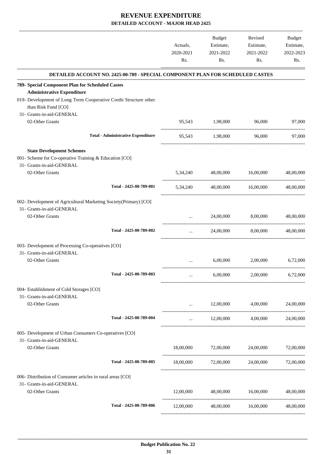|                                                                                         | Actuals,<br>2020-2021<br>Rs. | Budget<br>Estimate,<br>2021-2022<br>Rs. | Revised<br>Estimate,<br>2021-2022<br>Rs. | <b>Budget</b><br>Estimate,<br>2022-2023<br>Rs. |
|-----------------------------------------------------------------------------------------|------------------------------|-----------------------------------------|------------------------------------------|------------------------------------------------|
| DETAILED ACCOUNT NO. 2425-00-789 - SPECIAL COMPONENT PLAN FOR SCHEDULED CASTES          |                              |                                         |                                          |                                                |
| 789- Special Component Plan for Scheduled Castes                                        |                              |                                         |                                          |                                                |
| <b>Administrative Expenditure</b>                                                       |                              |                                         |                                          |                                                |
| 019- Development of Long Term Cooperative Credit Structure other<br>than Risk Fund [CO] |                              |                                         |                                          |                                                |
| 31- Grants-in-aid-GENERAL                                                               |                              |                                         |                                          |                                                |
| 02-Other Grants                                                                         |                              | 95,543 1,98,000                         | 96,000                                   | 97,000                                         |
| <b>Total - Administrative Expenditure</b>                                               |                              |                                         | 95,543 1,98,000 96,000                   | 97,000                                         |
| <b>State Development Schemes</b>                                                        |                              |                                         |                                          |                                                |
| 001- Scheme for Co-operative Training & Education [CO]                                  |                              |                                         |                                          |                                                |
| 31- Grants-in-aid-GENERAL                                                               |                              |                                         |                                          |                                                |
| 02-Other Grants                                                                         |                              | 5,34,240 48,00,000 16,00,000            |                                          | 48,00,000                                      |
| Total - 2425-00-789-001                                                                 | 5,34,240                     |                                         | 48,00,000 16,00,000                      | 48,00,000                                      |
| 002- Development of Agricultural Marketing Society(Primary) [CO]                        |                              |                                         |                                          |                                                |
| 31- Grants-in-aid-GENERAL                                                               |                              |                                         |                                          |                                                |
| 02-Other Grants                                                                         | $\ddots$                     | 24,00,000                               | 8,00,000                                 | 48,00,000                                      |
| Total - 2425-00-789-002                                                                 | $\cdots$                     |                                         | 24,00,000 8,00,000                       | 48,00,000                                      |
| 003- Development of Processing Co-operatives [CO]                                       |                              |                                         |                                          |                                                |
| 31- Grants-in-aid-GENERAL                                                               |                              |                                         |                                          |                                                |
| 02-Other Grants                                                                         |                              | 6,00,000                                | 2,00,000                                 | 6.72,000                                       |
| Total - 2425-00-789-003                                                                 |                              | 6,00,000                                | 2,00,000                                 | 6,72,000                                       |
| 004- Establishment of Cold Storages [CO]                                                |                              |                                         |                                          |                                                |
| 31- Grants-in-aid-GENERAL                                                               |                              |                                         |                                          |                                                |
| 02-Other Grants                                                                         | $\cdots$                     | 12,00,000                               | 4,00,000                                 | 24,00,000                                      |
| Total - 2425-00-789-004                                                                 | $\cdots$                     |                                         | 12,00,000 4,00,000                       | 24,00,000                                      |
| 005- Development of Urban Consumers Co-operatives [CO]                                  |                              |                                         |                                          |                                                |
| 31- Grants-in-aid-GENERAL                                                               |                              |                                         |                                          |                                                |
| 02-Other Grants                                                                         |                              |                                         | 18,00,000 72,00,000 24,00,000 72,00,000  |                                                |
| Total - 2425-00-789-005                                                                 | 18,00,000                    | 72,00,000                               | 24,00,000                                | 72,00,000                                      |
| 006- Distribution of Consumer articles in rural areas [CO]                              |                              |                                         |                                          |                                                |
| 31- Grants-in-aid-GENERAL                                                               |                              |                                         |                                          |                                                |
| 02-Other Grants                                                                         | 12,00,000                    | 48,00,000                               | 16,00,000                                | 48,00,000                                      |
| Total - 2425-00-789-006                                                                 | 12,00,000                    | 48,00,000                               | 16,00,000                                | 48,00,000                                      |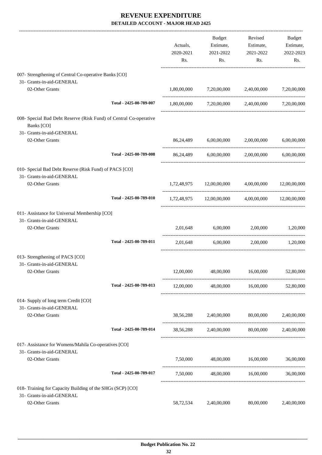|                                                                                 |                         | Actuals,<br>2020-2021<br>Rs. | Budget<br>Estimate,<br>2021-2022<br>Rs. | Revised<br>Estimate,<br>2021-2022<br>Rs.                | Budget<br>Estimate,<br>2022-2023<br>Rs. |
|---------------------------------------------------------------------------------|-------------------------|------------------------------|-----------------------------------------|---------------------------------------------------------|-----------------------------------------|
| 007- Strengthening of Central Co-operative Banks [CO]                           |                         |                              |                                         |                                                         |                                         |
| 31- Grants-in-aid-GENERAL                                                       |                         |                              |                                         |                                                         |                                         |
| 02-Other Grants                                                                 |                         |                              | 1,80,00,000 7,20,00,000                 | 2,40,00,000                                             | 7,20,00,000                             |
|                                                                                 | Total - 2425-00-789-007 |                              |                                         | $1,80,00,000$ $7,20,00,000$ $2,40,00,000$ $7,20,00,000$ |                                         |
| 008- Special Bad Debt Reserve (Risk Fund) of Central Co-operative<br>Banks [CO] |                         |                              |                                         |                                                         |                                         |
| 31- Grants-in-aid-GENERAL                                                       |                         |                              |                                         |                                                         |                                         |
| 02-Other Grants                                                                 |                         |                              |                                         | 86,24,489 6,00,00,000 2,00,00,000 6,00,00,000           |                                         |
|                                                                                 | Total - 2425-00-789-008 |                              | 86,24,489 6,00,00,000                   | 2,00,00,000                                             | 6,00,00,000                             |
| 010- Special Bad Debt Reserve (Risk Fund) of PACS [CO]                          |                         |                              |                                         |                                                         |                                         |
| 31- Grants-in-aid-GENERAL<br>02-Other Grants                                    |                         |                              |                                         |                                                         |                                         |
|                                                                                 |                         |                              |                                         | 1,72,48,975 12,00,00,000 4,00,00,000 12,00,00,000       |                                         |
|                                                                                 | Total - 2425-00-789-010 |                              |                                         | 1,72,48,975 12,00,00,000 4,00,00,000 12,00,00,000       |                                         |
| 011- Assistance for Universal Membership [CO]                                   |                         |                              |                                         |                                                         |                                         |
| 31- Grants-in-aid-GENERAL                                                       |                         |                              |                                         |                                                         |                                         |
| 02-Other Grants                                                                 |                         |                              |                                         | 2,01,648 6,00,000 2,00,000 1,20,000                     |                                         |
|                                                                                 | Total - 2425-00-789-011 | 2,01,648                     |                                         | 6,00,000 2,00,000 1,20,000                              |                                         |
| 013- Strengthening of PACS [CO]                                                 |                         |                              |                                         |                                                         |                                         |
| 31- Grants-in-aid-GENERAL                                                       |                         |                              |                                         |                                                         |                                         |
| 02-Other Grants                                                                 |                         |                              |                                         | 12,00,000 48,00,000 16,00,000 52,80,000                 |                                         |
|                                                                                 | Total - 2425-00-789-013 |                              |                                         | 12,00,000 48,00,000 16,00,000 52,80,000                 |                                         |
| 014- Supply of long term Credit [CO]                                            |                         |                              |                                         |                                                         |                                         |
| 31- Grants-in-aid-GENERAL                                                       |                         |                              |                                         |                                                         |                                         |
| 02-Other Grants                                                                 |                         |                              |                                         | 38,56,288 2,40,00,000 80,00,000 2,40,00,000             |                                         |
|                                                                                 | Total - 2425-00-789-014 |                              |                                         | 38,56,288 2,40,00,000 80,00,000 2,40,00,000             |                                         |
| 017- Assistance for Womens/Mahila Co-operatives [CO]                            |                         |                              |                                         |                                                         |                                         |
| 31- Grants-in-aid-GENERAL                                                       |                         |                              |                                         |                                                         |                                         |
| 02-Other Grants                                                                 |                         |                              |                                         | 7,50,000 48,00,000 16,00,000                            | 36,00,000                               |
|                                                                                 | Total - 2425-00-789-017 |                              |                                         | 7,50,000 48,00,000 16,00,000 36,00,000                  |                                         |
| 018- Training for Capacity Building of the SHGs (SCP) [CO]                      |                         |                              |                                         |                                                         |                                         |
| 31- Grants-in-aid-GENERAL                                                       |                         |                              |                                         |                                                         |                                         |
| 02-Other Grants                                                                 |                         | 58,72,534                    | 2,40,00,000                             | 80,00,000                                               | 2,40,00,000                             |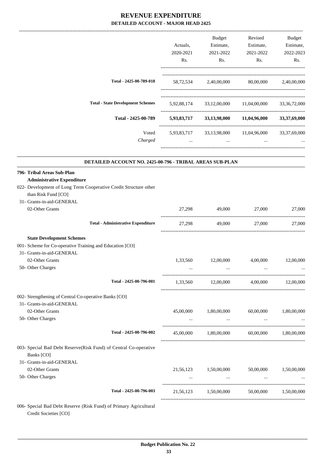|                                                                                                                                                                                         | Actuals,<br>2020-2021<br>Rs.      | <b>Budget</b><br>Estimate,<br>2021-2022<br>Rs.                                                | Revised<br>Estimate,<br>2021-2022<br>Rs.   | Budget<br>Estimate,<br>2022-2023<br>Rs. |
|-----------------------------------------------------------------------------------------------------------------------------------------------------------------------------------------|-----------------------------------|-----------------------------------------------------------------------------------------------|--------------------------------------------|-----------------------------------------|
| Total - 2425-00-789-018                                                                                                                                                                 |                                   | 58,72,534 2,40,00,000 80,00,000 2,40,00,000                                                   |                                            |                                         |
| <b>Total - State Development Schemes</b>                                                                                                                                                |                                   | 5,92,88,174 33,12,00,000 11,04,00,000 33,36,72,000                                            |                                            |                                         |
| Total - 2425-00-789                                                                                                                                                                     |                                   | 5,93,83,717 33,13,98,000 11,04,96,000 33,37,69,000                                            |                                            |                                         |
| Voted<br>Charged                                                                                                                                                                        | <b><i>Contractor Services</i></b> | 5,93,83,717 33,13,98,000 11,04,96,000 33,37,69,000<br>and the contract of the contract of the | and the contract of the contract of the    |                                         |
| DETAILED ACCOUNT NO. 2425-00-796 - TRIBAL AREAS SUB-PLAN                                                                                                                                |                                   |                                                                                               |                                            |                                         |
| 796- Tribal Areas Sub-Plan<br><b>Administrative Expenditure</b><br>022- Development of Long Term Cooperative Credit Structure other<br>than Risk Fund [CO]<br>31- Grants-in-aid-GENERAL |                                   |                                                                                               |                                            |                                         |
| 02-Other Grants                                                                                                                                                                         | 27,298                            | 49,000                                                                                        | 27,000                                     | 27,000                                  |
| <b>Total - Administrative Expenditure</b>                                                                                                                                               | 27,298                            | 49,000                                                                                        | 27,000                                     | 27,000                                  |
| <b>State Development Schemes</b><br>001- Scheme for Co-operative Training and Education [CO]<br>31- Grants-in-aid-GENERAL<br>02-Other Grants                                            | 1,33,560                          | 12,00,000                                                                                     | 4,00,000                                   | 12,00,000                               |
| 50- Other Charges<br>Total - 2425-00-796-001                                                                                                                                            | $\ddotsc$                         | $\ddotsc$<br>1,33,560 12,00,000 4,00,000 12,00,000                                            | $\ddotsc$                                  | $\ddotsc$                               |
| 002- Strengthening of Central Co-operative Banks [CO]<br>31- Grants-in-aid-GENERAL<br>02-Other Grants<br>50- Other Charges                                                              | 45,00,000                         | 1,80,00,000                                                                                   | 60,00,000                                  | 1,80,00,000                             |
| Total - 2425-00-796-002                                                                                                                                                                 | $\cdots$                          | and the contract of the con-<br>45,00,000  1,80,00,000  60,00,000  1,80,00,000                | and the company of the company             |                                         |
| 003- Special Bad Debt Reserve(Risk Fund) of Central Co-operative<br>Banks [CO]<br>31- Grants-in-aid-GENERAL<br>02-Other Grants<br>50- Other Charges                                     |                                   | 21,56,123 1,50,00,000<br>$\sim 100$ and $\sim 100$                                            | 50,00,000<br>the company of the company of | 1,50,00,000                             |
| Total - 2425-00-796-003                                                                                                                                                                 |                                   | 21,56,123 1,50,00,000 50,00,000 1,50,00,000                                                   |                                            |                                         |
| 006- Special Bad Debt Reserve (Risk Fund) of Primary Agricultural                                                                                                                       |                                   |                                                                                               |                                            |                                         |

Credit Societies [CO]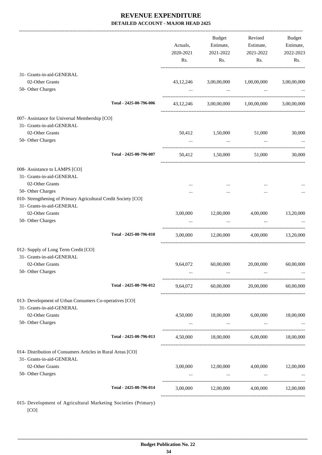|                                                                |                         | Actuals,<br>2020-2021<br>Rs. | Budget<br>Estimate,<br>2021-2022<br>Rs. | Revised<br>Estimate,<br>2021-2022<br>Rs.      | Budget<br>Estimate,<br>2022-2023<br>Rs. |
|----------------------------------------------------------------|-------------------------|------------------------------|-----------------------------------------|-----------------------------------------------|-----------------------------------------|
| 31- Grants-in-aid-GENERAL                                      |                         |                              |                                         |                                               |                                         |
| 02-Other Grants                                                |                         | 43, 12, 246                  | 3,00,00,000                             | 1,00,00,000                                   | 3,00,00,000                             |
| 50- Other Charges                                              |                         | $\cdots$                     | $\cdots$                                | $\cdots$                                      |                                         |
|                                                                | Total - 2425-00-796-006 |                              |                                         | 43,12,246 3,00,00,000 1,00,00,000 3,00,00,000 |                                         |
| 007- Assistance for Universal Membership [CO]                  |                         |                              |                                         |                                               |                                         |
| 31- Grants-in-aid-GENERAL                                      |                         |                              |                                         |                                               |                                         |
| 02-Other Grants                                                |                         | 50,412                       | 1,50,000                                | 51,000                                        | 30,000                                  |
| 50- Other Charges                                              |                         |                              | $\cdots$                                | $\cdots$                                      |                                         |
|                                                                | Total - 2425-00-796-007 |                              | 50,412 1,50,000                         | 51,000                                        | 30,000                                  |
| 008- Assistance to LAMPS [CO]                                  |                         |                              |                                         |                                               |                                         |
| 31- Grants-in-aid-GENERAL                                      |                         |                              |                                         |                                               |                                         |
| 02-Other Grants                                                |                         |                              |                                         |                                               |                                         |
| 50- Other Charges                                              |                         |                              |                                         |                                               |                                         |
| 010- Strengthening of Primary Agricultural Credit Society [CO] |                         |                              |                                         |                                               |                                         |
| 31- Grants-in-aid-GENERAL                                      |                         |                              |                                         |                                               |                                         |
| 02-Other Grants                                                |                         | 3,00,000                     | 12,00,000                               | 4,00,000                                      | 13,20,000                               |
| 50- Other Charges                                              |                         |                              |                                         |                                               |                                         |
|                                                                | Total - 2425-00-796-010 | 3,00,000                     |                                         | 12,00,000 4,00,000                            | 13,20,000                               |
| 012- Supply of Long Term Credit [CO]                           |                         |                              |                                         |                                               |                                         |
| 31- Grants-in-aid-GENERAL                                      |                         |                              |                                         |                                               |                                         |
| 02-Other Grants                                                |                         | 9,64,072                     | 60,00,000                               | 20,00,000                                     | 60,00,000                               |
| 50- Other Charges                                              |                         |                              |                                         |                                               |                                         |
|                                                                | Total - 2425-00-796-012 | 9,64,072                     | 60,00,000                               | 20,00,000                                     | 60,00,000                               |
| 013- Development of Urban Consumers Co-operatives [CO]         |                         |                              |                                         |                                               |                                         |
| 31- Grants-in-aid-GENERAL                                      |                         |                              |                                         |                                               |                                         |
| 02-Other Grants                                                |                         | 4,50,000                     | 18,00,000 6,00,000                      |                                               | 18,00,000                               |
| 50- Other Charges                                              |                         | $\cdots$                     | $\ldots$                                | $\ldots$                                      |                                         |
|                                                                | Total - 2425-00-796-013 | 4,50,000                     | 18,00,000                               | 6,00,000                                      | 18,00,000                               |
| 014- Distribution of Consumers Articles in Rural Areas [CO]    |                         |                              |                                         |                                               |                                         |
| 31- Grants-in-aid-GENERAL                                      |                         |                              |                                         |                                               |                                         |
| 02-Other Grants                                                |                         | 3,00,000                     | 12,00,000                               | 4,00,000                                      | 12,00,000                               |
| 50- Other Charges                                              |                         |                              | $\cdots$                                | $\ddots$                                      |                                         |
|                                                                | Total - 2425-00-796-014 | 3,00,000                     | 12,00,000                               | 4,00,000                                      | 12,00,000                               |
| 015- Development of Agricultural Marketing Societies (Primary) |                         |                              |                                         |                                               |                                         |

[CO]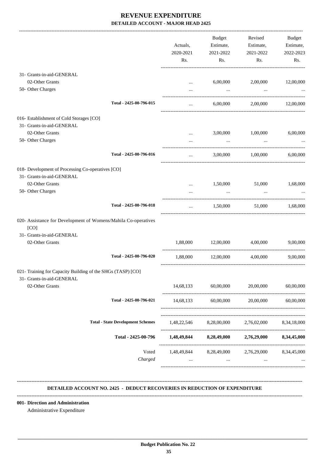|                                                                | Actuals,<br>2020-2021<br>Rs. | Budget<br>Estimate,<br>2021-2022<br>Rs.                                  | Revised<br>Estimate,<br>2021-2022<br>Rs. | <b>Budget</b><br>Estimate,<br>2022-2023<br>Rs. |
|----------------------------------------------------------------|------------------------------|--------------------------------------------------------------------------|------------------------------------------|------------------------------------------------|
| 31- Grants-in-aid-GENERAL                                      |                              |                                                                          |                                          |                                                |
| 02-Other Grants                                                | $\cdots$                     | 6,00,000                                                                 | 2,00,000                                 | 12,00,000                                      |
| 50- Other Charges                                              |                              | $\cdots$                                                                 | $\ddots$                                 |                                                |
| Total - 2425-00-796-015                                        | $\cdots$                     | 6,00,000                                                                 |                                          | 2,00,000 12,00,000                             |
| 016- Establishment of Cold Storages [CO]                       |                              |                                                                          |                                          |                                                |
| 31- Grants-in-aid-GENERAL                                      |                              |                                                                          |                                          |                                                |
| 02-Other Grants                                                | $\cdots$                     | 3,00,000                                                                 | 1,00,000                                 | 6,00,000                                       |
| 50- Other Charges                                              |                              | $\cdots$                                                                 |                                          |                                                |
| Total - 2425-00-796-016                                        | $\cdots$                     |                                                                          | 3,00,000 1,00,000                        | 6.00.000                                       |
| 018- Development of Processing Co-operatives [CO]              |                              |                                                                          |                                          |                                                |
| 31- Grants-in-aid-GENERAL                                      |                              |                                                                          |                                          |                                                |
| 02-Other Grants                                                | $\cdots$                     | 1,50,000                                                                 | 51,000                                   | 1,68,000                                       |
| 50- Other Charges                                              |                              | $\cdots$                                                                 |                                          |                                                |
| Total - 2425-00-796-018                                        | $\cdots$                     | 1,50,000                                                                 | 51,000                                   | 1,68,000                                       |
| 020- Assistance for Development of Womens/Mahila Co-operatives |                              |                                                                          |                                          |                                                |
| [CO]                                                           |                              |                                                                          |                                          |                                                |
| 31- Grants-in-aid-GENERAL                                      |                              |                                                                          |                                          |                                                |
| 02-Other Grants                                                | 1,88,000                     | 12,00,000                                                                | 4,00,000                                 | 9,00,000                                       |
| Total - 2425-00-796-020                                        | 1,88,000                     | 12,00,000                                                                | 4,00,000                                 | 9,00,000                                       |
| 021- Training for Capacity Building of the SHGs (TASP) [CO]    |                              |                                                                          |                                          |                                                |
| 31- Grants-in-aid-GENERAL<br>02-Other Grants                   |                              | 14,68,133 60,00,000                                                      | 20,00,000                                |                                                |
|                                                                |                              |                                                                          |                                          | 60,00,000                                      |
| Total - 2425-00-796-021                                        | 14,68,133                    | 60,00,000                                                                | 20,00,000                                | 60,00,000                                      |
| <b>Total - State Development Schemes</b>                       |                              | 1,48,22,546 8,28,00,000                                                  | 2,76,02,000 8,34,18,000                  |                                                |
| Total - 2425-00-796                                            |                              | 1,48,49,844 8,28,49,000 2,76,29,000 8,34,45,000                          |                                          |                                                |
| Voted<br>Charged                                               | $\cdots$                     | 1,48,49,844 8,28,49,000 2,76,29,000 8,34,45,000<br><b>Section</b> (2008) | $\cdots$                                 |                                                |

#### **DETAILED ACCOUNT NO. 2425 - DEDUCT RECOVERIES IN REDUCTION OF EXPENDITURE**

**--------------------------------------------------------------------------------------------------------------------------------------------------------------------------------**

 **\_\_\_\_\_\_\_\_\_\_\_\_\_\_\_\_\_\_\_\_\_\_\_\_\_\_\_\_\_\_\_\_\_\_\_\_\_\_\_\_\_\_\_\_\_\_\_\_\_\_\_\_\_\_\_\_\_\_\_\_\_\_\_\_\_\_\_\_\_\_\_\_\_\_\_\_\_\_\_\_\_\_\_\_\_\_\_\_\_\_\_\_\_\_\_\_\_\_\_\_\_\_\_\_\_\_\_\_\_\_\_\_\_\_\_\_\_\_\_**

 $-1\leq i\leq n-1\leq n-1\leq n-1\leq n-1\leq n-1\leq n-1\leq n-1\leq n-1\leq n-1\leq n-1\leq n-1\leq n-1\leq n-1\leq n-1\leq n-1\leq n-1\leq n-1\leq n-1\leq n-1\leq n-1\leq n-1\leq n-1\leq n-1\leq n-1\leq n-1\leq n-1\leq n-1\leq n-1\leq n-1\leq n-1\leq n-1\leq n-1\leq n-1\leq n-1\leq n-1\leq n-$ 

**001- Direction and Administration**

Administrative Expenditure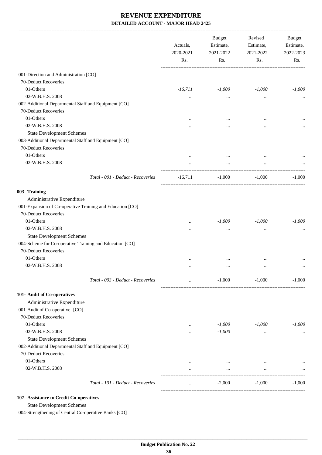|                                                           | Actuals,<br>2020-2021<br>Rs. | <b>Budget</b><br>Estimate,<br>2021-2022<br>Rs. | Revised<br>Estimate,<br>2021-2022<br>Rs.                                                                                                 | Budget<br>Estimate,<br>2022-2023<br>Rs. |
|-----------------------------------------------------------|------------------------------|------------------------------------------------|------------------------------------------------------------------------------------------------------------------------------------------|-----------------------------------------|
| 001-Direction and Administration [CO]                     |                              |                                                |                                                                                                                                          |                                         |
| 70-Deduct Recoveries                                      |                              |                                                |                                                                                                                                          |                                         |
| 01-Others                                                 | $-16,711$                    | $-1,000$                                       |                                                                                                                                          | $-1,000$                                |
| 02-W.B.H.S. 2008                                          | $\cdots$                     | $\cdots$                                       |                                                                                                                                          |                                         |
| 002-Additional Departmental Staff and Equipment [CO]      |                              |                                                |                                                                                                                                          |                                         |
| 70-Deduct Recoveries                                      |                              |                                                |                                                                                                                                          |                                         |
| 01-Others                                                 |                              |                                                |                                                                                                                                          |                                         |
| 02-W.B.H.S. 2008                                          |                              |                                                |                                                                                                                                          |                                         |
| <b>State Development Schemes</b>                          |                              |                                                |                                                                                                                                          |                                         |
| 003-Additional Departmental Staff and Equipment [CO]      |                              |                                                |                                                                                                                                          |                                         |
| 70-Deduct Recoveries                                      |                              |                                                |                                                                                                                                          |                                         |
| 01-Others                                                 |                              |                                                |                                                                                                                                          |                                         |
| 02-W.B.H.S. 2008                                          | $\cdots$                     | $\cdots$                                       |                                                                                                                                          |                                         |
|                                                           |                              | $\cdots$                                       |                                                                                                                                          |                                         |
| Total - 001 - Deduct - Recoveries                         | $-16,711$                    | $-1,000$                                       | $-1,000$                                                                                                                                 | $-1,000$                                |
| 003- Training                                             |                              |                                                |                                                                                                                                          |                                         |
| Administrative Expenditure                                |                              |                                                |                                                                                                                                          |                                         |
| 001-Expansion of Co-operative Training and Education [CO] |                              |                                                |                                                                                                                                          |                                         |
| 70-Deduct Recoveries                                      |                              |                                                |                                                                                                                                          |                                         |
| 01-Others                                                 |                              | $-1,000$                                       |                                                                                                                                          | $-1,000$                                |
| 02-W.B.H.S. 2008                                          | <br>                         | $\cdots$                                       |                                                                                                                                          |                                         |
| <b>State Development Schemes</b>                          |                              |                                                |                                                                                                                                          |                                         |
| 004-Scheme for Co-operative Training and Education [CO]   |                              |                                                |                                                                                                                                          |                                         |
| 70-Deduct Recoveries                                      |                              |                                                |                                                                                                                                          |                                         |
| 01-Others                                                 |                              |                                                |                                                                                                                                          |                                         |
|                                                           |                              | $\cdots$                                       |                                                                                                                                          |                                         |
| 02-W.B.H.S. 2008                                          |                              | $\cdots$                                       |                                                                                                                                          |                                         |
| Total - 003 - Deduct - Recoveries                         | $\cdots$                     |                                                | $-1,000$                                                                                                                                 | $-1,000$                                |
| 101- Audit of Co-operatives                               |                              |                                                |                                                                                                                                          |                                         |
| Administrative Expenditure                                |                              |                                                |                                                                                                                                          |                                         |
| 001-Audit of Co-operative- [CO]                           |                              |                                                |                                                                                                                                          |                                         |
| 70-Deduct Recoveries                                      |                              |                                                |                                                                                                                                          |                                         |
| 01-Others                                                 | $\cdots$                     | $-1,000$                                       |                                                                                                                                          | $-1,000$                                |
| 02-W.B.H.S. 2008                                          |                              | $-1,000$                                       |                                                                                                                                          |                                         |
| <b>State Development Schemes</b>                          |                              |                                                |                                                                                                                                          |                                         |
| 002-Additional Departmental Staff and Equipment [CO]      |                              |                                                |                                                                                                                                          |                                         |
| 70-Deduct Recoveries                                      |                              |                                                |                                                                                                                                          |                                         |
| 01-Others                                                 |                              |                                                |                                                                                                                                          |                                         |
| 02-W.B.H.S. 2008                                          |                              | $\cdots$                                       |                                                                                                                                          |                                         |
|                                                           | $\cdots$                     | $\cdots$                                       | $-1,000$<br>$\cdots$<br><br><br>$\cdots$<br>$-1,000$<br>$\ldots$<br>$-1,000$<br>$-1,000$<br>$\cdots$<br>$\cdots$<br>$\cdots$<br>$-1,000$ | $\cdots$                                |
| Total - 101 - Deduct - Recoveries                         | $\cdots$                     | $-2,000$                                       |                                                                                                                                          | $-1,000$                                |
| 107- Assistance to Credit Co-operatives                   |                              |                                                |                                                                                                                                          |                                         |

State Development Schemes

004-Strengthening of Central Co-operative Banks [CO]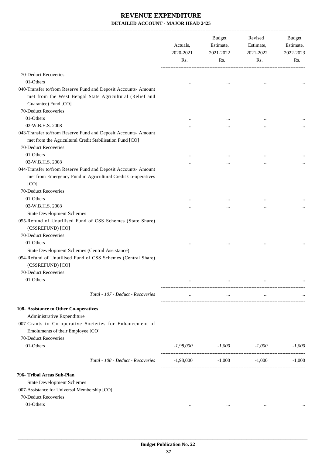|                                                                                                                                                                                                           | Actuals,<br>2020-2021<br>Rs. | Budget<br>Estimate,<br>2021-2022<br>Rs. | Revised<br>Estimate,<br>2021-2022<br>Rs. | Budget<br>Estimate,<br>2022-2023<br>Rs. |
|-----------------------------------------------------------------------------------------------------------------------------------------------------------------------------------------------------------|------------------------------|-----------------------------------------|------------------------------------------|-----------------------------------------|
|                                                                                                                                                                                                           |                              |                                         |                                          |                                         |
| 70-Deduct Recoveries                                                                                                                                                                                      |                              |                                         |                                          |                                         |
| 01-Others<br>040-Transfer to/from Reserve Fund and Deposit Accounts- Amount<br>met from the West Bengal State Agricultural (Relief and<br>Guarantee) Fund [CO]<br>70-Deduct Recoveries                    |                              |                                         | $\cdots$                                 |                                         |
| 01-Others                                                                                                                                                                                                 |                              |                                         |                                          |                                         |
| 02-W.B.H.S. 2008                                                                                                                                                                                          | $\cdots$                     | $\cdots$                                |                                          |                                         |
| 043-Transfer to/from Reserve Fund and Deposit Accounts- Amount<br>met from the Agricultural Credit Stabilisation Fund [CO]<br>70-Deduct Recoveries<br>01-Others                                           |                              |                                         |                                          |                                         |
| 02-W.B.H.S. 2008                                                                                                                                                                                          | $\cdots$                     | $\cdots$                                |                                          |                                         |
| 044-Transfer to/from Reserve Fund and Deposit Accounts- Amount<br>met from Emergency Fund in Agricultural Credit Co-operatives<br>[CO]<br>70-Deduct Recoveries                                            |                              |                                         |                                          |                                         |
| 01-Others                                                                                                                                                                                                 |                              |                                         |                                          |                                         |
| 02-W.B.H.S. 2008                                                                                                                                                                                          |                              |                                         | $\cdots$                                 |                                         |
| <b>State Development Schemes</b><br>055-Refund of Unutilised Fund of CSS Schemes (State Share)<br>(CSSREFUND) [CO]<br>70-Deduct Recoveries<br>01-Others<br>State Development Schemes (Central Assistance) |                              |                                         |                                          |                                         |
| 054-Refund of Unutilised Fund of CSS Schemes (Central Share)<br>(CSSREFUND) [CO]<br>70-Deduct Recoveries                                                                                                  |                              |                                         |                                          |                                         |
| 01-Others                                                                                                                                                                                                 |                              |                                         | $\cdots$                                 |                                         |
| Total - 107 - Deduct - Recoveries                                                                                                                                                                         |                              | $\cdots$                                | $\cdots$                                 |                                         |
| 108- Assistance to Other Co-operatives<br>Administrative Expenditure<br>007-Grants to Co-operative Societies for Enhancement of<br>Emoluments of their Employee [CO]<br>70-Deduct Recoveries<br>01-Others | -1,98,000                    | -1,000                                  | -1,000                                   | $-1,000$                                |
|                                                                                                                                                                                                           |                              |                                         |                                          |                                         |
| Total - 108 - Deduct - Recoveries                                                                                                                                                                         | $-1,98,000$                  | $-1,000$                                | $-1,000$                                 | $-1,000$                                |
| 796- Tribal Areas Sub-Plan<br><b>State Development Schemes</b><br>007-Assistance for Universal Membership [CO]<br>70-Deduct Recoveries                                                                    |                              |                                         |                                          |                                         |
| 01-Others                                                                                                                                                                                                 | $\cdots$                     | $\cdots$                                | $\cdots$                                 |                                         |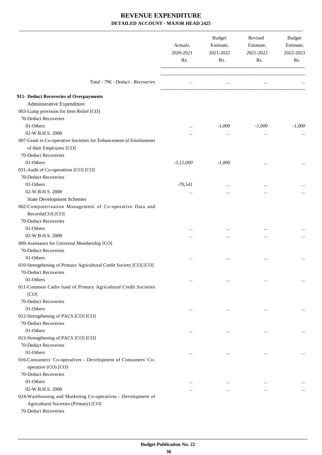|                                                                                                       | Actuals,<br>2020-2021<br>Rs. | <b>Budget</b><br>Estimate,<br>2021-2022<br>Rs. | Revised<br>Estimate,<br>2021-2022<br>Rs. | Budget<br>Estimate,<br>2022-2023<br>Rs. |
|-------------------------------------------------------------------------------------------------------|------------------------------|------------------------------------------------|------------------------------------------|-----------------------------------------|
| Total - 796 - Deduct - Recoveries                                                                     | $\cdots$                     | $\cdots$                                       | $\cdots$                                 |                                         |
| 911- Deduct Recoveries of Overpayments                                                                |                              |                                                |                                          |                                         |
| Administrative Expenditure                                                                            |                              |                                                |                                          |                                         |
| 003-Lump provision for Item Relief [CO]                                                               |                              |                                                |                                          |                                         |
| 70-Deduct Recoveries                                                                                  |                              |                                                |                                          |                                         |
| 01-Others                                                                                             | $\cdots$                     | $-1,000$                                       | $-1,000$                                 | $-1,000$                                |
| 02-W.B.H.S. 2008                                                                                      |                              | $\cdots$                                       | $\ddotsc$                                |                                         |
| 007-Grant to Co-operative Societies for Enhancement of Emoluments                                     |                              |                                                |                                          |                                         |
| of their Employees [CO]                                                                               |                              |                                                |                                          |                                         |
| 70-Deduct Recoveries                                                                                  |                              |                                                |                                          |                                         |
| 01-Others                                                                                             | $-3,12,000$                  | $-1,000$                                       |                                          |                                         |
| 031-Audit of Co-operatives [CO] [CO]                                                                  |                              |                                                |                                          |                                         |
| 70-Deduct Recoveries                                                                                  |                              |                                                |                                          |                                         |
| 01-Others                                                                                             | $-70,541$                    |                                                |                                          |                                         |
| 02-W.B.H.S. 2008                                                                                      |                              |                                                |                                          |                                         |
| <b>State Development Schemes</b>                                                                      |                              |                                                |                                          |                                         |
| 002-Computerisation Management of Co-operative Data and<br>Records(CO) [CO]                           |                              |                                                |                                          |                                         |
| 70-Deduct Recoveries                                                                                  |                              |                                                |                                          |                                         |
| 01-Others                                                                                             |                              | $\cdots$                                       |                                          |                                         |
| 02-W.B.H.S. 2008                                                                                      |                              |                                                |                                          |                                         |
| 009-Assistance for Universal Membership [CO]                                                          |                              |                                                |                                          |                                         |
| 70-Deduct Recoveries                                                                                  |                              |                                                |                                          |                                         |
| 01-Others                                                                                             |                              |                                                | $\ddotsc$                                |                                         |
| 010-Strengthening of Primary Agricultural Credit Society [CO] [CO]<br>70-Deduct Recoveries            |                              |                                                |                                          |                                         |
| 01-Others                                                                                             | $\cdots$                     | $\cdots$                                       | $\ddotsc$                                | $\cdots$                                |
| 011-Common Cadre fund of Primary Agricultural Credit Societies<br>[CO]                                |                              |                                                |                                          |                                         |
| 70-Deduct Recoveries<br>01-Others                                                                     |                              |                                                |                                          |                                         |
|                                                                                                       | $\cdots$                     | $\cdots$                                       | $\ddotsc$                                | $\cdots$                                |
| 012-Strengthening of PACS [CO] [CO]<br>70-Deduct Recoveries                                           |                              |                                                |                                          |                                         |
| 01-Others                                                                                             |                              |                                                |                                          |                                         |
| 013-Strengthening of PACS [CO] [CO]                                                                   | $\cdots$                     | $\cdots$                                       | $\ddotsc$                                | $\cdots$                                |
| 70-Deduct Recoveries                                                                                  |                              |                                                |                                          |                                         |
| 01-Others                                                                                             |                              |                                                |                                          |                                         |
| 016-Consumers' Co-operatives - Development of Consumers' Co-<br>operative (CO) [CO]                   | $\cdots$                     | $\cdots$                                       | $\ddotsc$                                | $\cdots$                                |
| 70-Deduct Recoveries                                                                                  |                              |                                                |                                          |                                         |
| 01-Others                                                                                             |                              | $\cdots$                                       | $\ddotsc$                                |                                         |
| 02-W.B.H.S. 2008                                                                                      | $\cdots$                     | $\cdots$                                       | $\cdots$                                 | $\cdots$                                |
| 024-Warehousing and Marketing Co-operatives - Development of<br>Agricultural Societies (Primary) [CO] |                              |                                                |                                          |                                         |
| 70-Deduct Recoveries                                                                                  |                              |                                                |                                          |                                         |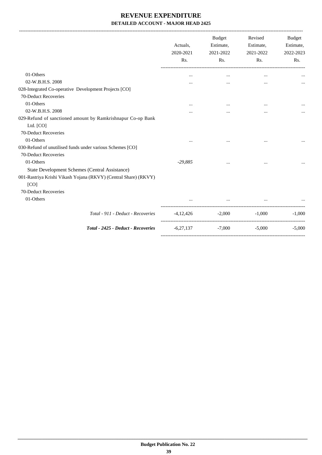|                                                                 | Actuals,<br>2020-2021<br>Rs. | Budget<br>Estimate,<br>2021-2022<br>Rs. | Revised<br>Estimate,<br>2021-2022<br>Rs. | <b>Budget</b><br>Estimate,<br>2022-2023<br>Rs. |
|-----------------------------------------------------------------|------------------------------|-----------------------------------------|------------------------------------------|------------------------------------------------|
| 01-Others                                                       | $\cdots$                     | $\cdots$                                | $\cdots$                                 |                                                |
| 02-W.B.H.S. 2008                                                |                              | $\cdots$                                |                                          |                                                |
| 028-Integrated Co-operative Development Projects [CO]           |                              |                                         |                                          |                                                |
| 70-Deduct Recoveries                                            |                              |                                         |                                          |                                                |
| 01-Others                                                       | $\cdots$                     | $\cdots$                                |                                          |                                                |
| 02-W.B.H.S. 2008                                                |                              |                                         | $\cdots$                                 |                                                |
| 029-Refund of sanctioned amount by Ramkrishnapur Co-op Bank     |                              |                                         |                                          |                                                |
| Ltd. [CO]                                                       |                              |                                         |                                          |                                                |
| 70-Deduct Recoveries                                            |                              |                                         |                                          |                                                |
| 01-Others                                                       |                              |                                         |                                          |                                                |
| 030-Refund of unutilised funds under various Schemes [CO]       |                              |                                         |                                          |                                                |
| 70-Deduct Recoveries                                            |                              |                                         |                                          |                                                |
| 01-Others                                                       | $-29,885$                    | $\cdots$                                | $\cdots$                                 |                                                |
| State Development Schemes (Central Assistance)                  |                              |                                         |                                          |                                                |
| 001-Rastriya Krishi Vikash Yojana (RKVY) (Central Share) (RKVY) |                              |                                         |                                          |                                                |
| [CO]                                                            |                              |                                         |                                          |                                                |
| 70-Deduct Recoveries                                            |                              |                                         |                                          |                                                |
| 01-Others                                                       |                              | $\cdots$                                | $\cdots$                                 |                                                |
| Total - 911 - Deduct - Recoveries                               | $-4,12,426$                  | $-2,000$                                | $-1.000$                                 | $-1,000$                                       |
| Total - 2425 - Deduct - Recoveries                              | $-6,27,137$                  | $-7,000$                                | $-5,000$                                 | $-5,000$                                       |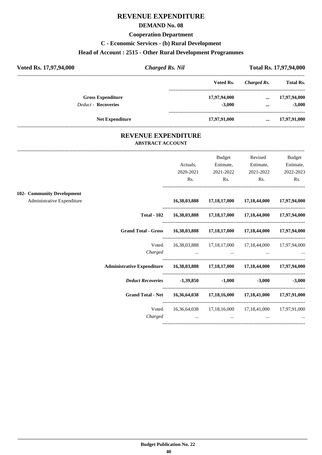# **REVENUE EXPENDITURE**

#### **DEMAND No. 08**

#### **Cooperation Department**

### **C - Economic Services - (b) Rural Development**

# **Head of Account : 2515 - Other Rural Development Programmes**

| Voted Rs. 17,97,94,000     | <b>Charged Rs. Nil</b> |              |             | Total Rs. 17,97,94,000 |
|----------------------------|------------------------|--------------|-------------|------------------------|
|                            |                        | Voted Rs.    | Charged Rs. | <b>Total Rs.</b>       |
| <b>Gross Expenditure</b>   |                        | 17,97,94,000 | $\cdots$    | 17,97,94,000           |
| <b>Deduct - Recoveries</b> |                        | $-3,000$     | $\cdots$    | $-3,000$               |
| <b>Net Expenditure</b>     |                        | 17,97,91,000 | $\cdots$    | 17,97,91,000           |

## **REVENUE EXPENDITURE ABSTRACT ACCOUNT**

---------------------------------------------------------------------------------------------------------------------------------------------------------------------------------

|                                                          |                                                                         | Actuals,<br>2020-2021<br>Rs.                   | <b>Budget</b><br>Estimate,<br>2021-2022<br>Rs. | Revised<br>Estimate,<br>2021-2022<br>Rs.                                                                                                                                    | <b>Budget</b><br>Estimate,<br>2022-2023<br>Rs. |
|----------------------------------------------------------|-------------------------------------------------------------------------|------------------------------------------------|------------------------------------------------|-----------------------------------------------------------------------------------------------------------------------------------------------------------------------------|------------------------------------------------|
| 102- Community Development<br>Administrative Expenditure |                                                                         |                                                |                                                | 16,38,03,888 17,18,17,000 17,18,44,000 17,97,94,000                                                                                                                         |                                                |
|                                                          | <b>Total - 102</b>                                                      |                                                |                                                | 16,38,03,888 17,18,17,000 17,18,44,000 17,97,94,000                                                                                                                         |                                                |
|                                                          | Grand Total - Gross 16,38,03,888 17,18,17,000 17,18,44,000 17,97,94,000 |                                                |                                                |                                                                                                                                                                             |                                                |
|                                                          | Voted<br>Charged                                                        |                                                |                                                | 16,38,03,888 17,18,17,000 17,18,44,000 17,97,94,000<br>المستخدم المستخدم المستخدم المستخدم المستخدم المستخدم المستخدم المستخدم المستخدم المستخدم المستخدم المستخدم المستخدم |                                                |
|                                                          |                                                                         |                                                |                                                |                                                                                                                                                                             |                                                |
|                                                          | Deduct Recoveries -1,39,850 -1,000                                      |                                                |                                                |                                                                                                                                                                             | $-3,000$ $-3,000$                              |
|                                                          | <b>Grand Total - Net</b>                                                |                                                |                                                | 16,36,64,038 17,18,16,000 17,18,41,000 17,97,91,000                                                                                                                         |                                                |
|                                                          | Voted<br>Charged                                                        | $\mathbf{r}$ and $\mathbf{r}$ and $\mathbf{r}$ | $\cdots$                                       | 16,36,64,038 17,18,16,000 17,18,41,000 17,97,91,000                                                                                                                         |                                                |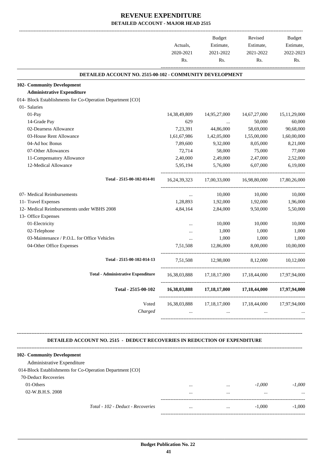| Rs.<br>Rs.<br>DETAILED ACCOUNT NO. 2515-00-102 - COMMUNITY DEVELOPMENT<br>14,95,27,000<br>14,67,27,000<br>50,000<br>44,86,000<br>58,69,000<br>1,42,05,000<br>1,55,00,000<br>9,32,000<br>8,05,000<br>58,000<br>75,000<br>2,49,000<br>2,47,000<br>5,76,000<br>6,07,000<br>16,98,80,000<br>17,00,33,000<br>10,000<br>10,000<br>1,92,000<br>1,92,000<br>2,84,000<br>9,50,000 | Rs.                                                                                                                                                                        |
|--------------------------------------------------------------------------------------------------------------------------------------------------------------------------------------------------------------------------------------------------------------------------------------------------------------------------------------------------------------------------|----------------------------------------------------------------------------------------------------------------------------------------------------------------------------|
|                                                                                                                                                                                                                                                                                                                                                                          |                                                                                                                                                                            |
|                                                                                                                                                                                                                                                                                                                                                                          |                                                                                                                                                                            |
|                                                                                                                                                                                                                                                                                                                                                                          |                                                                                                                                                                            |
|                                                                                                                                                                                                                                                                                                                                                                          |                                                                                                                                                                            |
|                                                                                                                                                                                                                                                                                                                                                                          | 15, 11, 29, 000<br>60,000<br>90,68,000<br>1,60,00,000<br>8,21,000<br>77,000<br>2,52,000<br>6,19,000<br>17,80,26,000<br>10,000<br>1,96,000<br>5,50,000                      |
|                                                                                                                                                                                                                                                                                                                                                                          |                                                                                                                                                                            |
|                                                                                                                                                                                                                                                                                                                                                                          |                                                                                                                                                                            |
|                                                                                                                                                                                                                                                                                                                                                                          |                                                                                                                                                                            |
|                                                                                                                                                                                                                                                                                                                                                                          |                                                                                                                                                                            |
|                                                                                                                                                                                                                                                                                                                                                                          |                                                                                                                                                                            |
|                                                                                                                                                                                                                                                                                                                                                                          |                                                                                                                                                                            |
|                                                                                                                                                                                                                                                                                                                                                                          |                                                                                                                                                                            |
|                                                                                                                                                                                                                                                                                                                                                                          |                                                                                                                                                                            |
|                                                                                                                                                                                                                                                                                                                                                                          |                                                                                                                                                                            |
|                                                                                                                                                                                                                                                                                                                                                                          |                                                                                                                                                                            |
|                                                                                                                                                                                                                                                                                                                                                                          |                                                                                                                                                                            |
|                                                                                                                                                                                                                                                                                                                                                                          |                                                                                                                                                                            |
|                                                                                                                                                                                                                                                                                                                                                                          |                                                                                                                                                                            |
|                                                                                                                                                                                                                                                                                                                                                                          |                                                                                                                                                                            |
| 10,000<br>10,000                                                                                                                                                                                                                                                                                                                                                         | 10,000                                                                                                                                                                     |
| 1,000                                                                                                                                                                                                                                                                                                                                                                    | 1,000                                                                                                                                                                      |
| 1,000                                                                                                                                                                                                                                                                                                                                                                    | 1,000                                                                                                                                                                      |
| 12,86,000                                                                                                                                                                                                                                                                                                                                                                | 10,00,000                                                                                                                                                                  |
| 12,98,000                                                                                                                                                                                                                                                                                                                                                                | 10,12,000                                                                                                                                                                  |
| 17, 18, 17, 000                                                                                                                                                                                                                                                                                                                                                          | 17,97,94,000                                                                                                                                                               |
| 17,18,17,000                                                                                                                                                                                                                                                                                                                                                             | 17,97,94,000                                                                                                                                                               |
| 17, 18, 17, 000                                                                                                                                                                                                                                                                                                                                                          | 17,97,94,000                                                                                                                                                               |
|                                                                                                                                                                                                                                                                                                                                                                          | 1,000<br>1,000<br>8,00,000<br>8,12,000<br>17,18,44,000<br>17,18,44,000<br>17,18,44,000<br><b>DETAILED ACCOUNT NO. 2515 - DEDUCT RECOVERIES IN REDUCTION OF EXPENDITURE</b> |

-----------------------------------------------------------------------------------------

-----------------------------------------------------------------------------------------

*Total - 102 - Deduct - Recoveries* ... ... -1,000 -1,000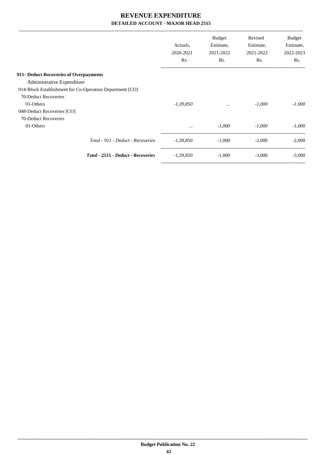| <b>Budget</b><br>Estimate,<br>2021-2022<br>Rs. | Revised<br>Estimate,<br>2021-2022<br>Rs. | <b>Budget</b><br>Estimate,<br>2022-2023<br>Rs. |
|------------------------------------------------|------------------------------------------|------------------------------------------------|
|                                                |                                          |                                                |
|                                                |                                          |                                                |
|                                                |                                          |                                                |
|                                                |                                          |                                                |
| $\cdots$                                       | $-1,000$                                 | $-1,000$                                       |
|                                                |                                          |                                                |
|                                                |                                          |                                                |
| $-1,000$                                       | $-1,000$                                 | $-1,000$                                       |
| $-1,000$                                       | $-2,000$                                 | $-2,000$                                       |
| $-1,000$                                       | $-3,000$                                 | $-3,000$                                       |
|                                                |                                          |                                                |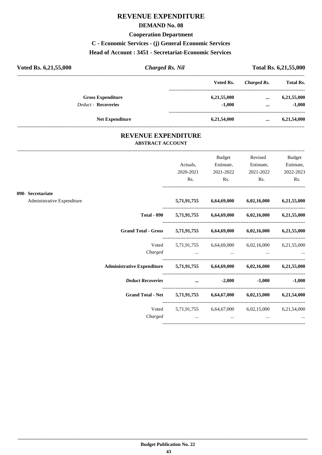## **REVENUE EXPENDITURE**

#### **DEMAND No. 08**

### **Cooperation Department**

**C - Economic Services - (j) General Economic Services**

**Head of Account : 3451 - Secretariat-Economic Services** 

| Voted Rs. 6,21,55,000      | <b>Charged Rs. Nil</b> |             |             | Total Rs. 6,21,55,000 |
|----------------------------|------------------------|-------------|-------------|-----------------------|
|                            |                        | Voted Rs.   | Charged Rs. | <b>Total Rs.</b>      |
| <b>Gross Expenditure</b>   |                        | 6,21,55,000 | $\cdots$    | 6,21,55,000           |
| <b>Deduct - Recoveries</b> |                        | $-1,000$    | $\cdots$    | $-1,000$              |
| <b>Net Expenditure</b>     |                        | 6,21,54,000 |             | 6,21,54,000           |

## **REVENUE EXPENDITURE ABSTRACT ACCOUNT**

---------------------------------------------------------------------------------------------------------------------------------------------------------------------------------

|                                                 |                                                                                                                                                                                                                                | Actuals,<br>2020-2021<br>Rs. | Budget<br>Estimate,<br>2021-2022<br>$\mathbf{Rs.}$                  | Revised<br>Estimate,<br>2021-2022<br>$\mathbf{Rs.}$ | <b>Budget</b><br>Estimate,<br>2022-2023<br>Rs. |
|-------------------------------------------------|--------------------------------------------------------------------------------------------------------------------------------------------------------------------------------------------------------------------------------|------------------------------|---------------------------------------------------------------------|-----------------------------------------------------|------------------------------------------------|
| 090- Secretariate<br>Administrative Expenditure |                                                                                                                                                                                                                                |                              | 5,71,91,755 6,64,69,000 6,02,16,000 6,21,55,000                     |                                                     |                                                |
|                                                 |                                                                                                                                                                                                                                |                              | Total - 090 $5,71,91,755$ $6,64,69,000$ $6,02,16,000$ $6,21,55,000$ |                                                     |                                                |
|                                                 | Grand Total - Gross 5,71,91,755 6,64,69,000 6,02,16,000 6,21,55,000                                                                                                                                                            |                              |                                                                     |                                                     |                                                |
|                                                 |                                                                                                                                                                                                                                |                              | Voted 5,71,91,755 6,64,69,000 6,02,16,000 6,21,55,000               |                                                     |                                                |
|                                                 | Administrative Expenditure 5,71,91,755 6,64,69,000 6,02,16,000 6,21,55,000                                                                                                                                                     |                              |                                                                     |                                                     |                                                |
|                                                 | Deduct Recoveries and the control of the control of the control of the control of the control of the control of the control of the control of the control of the control of the control of the control of the control of the c |                              |                                                                     |                                                     | $-1,000$ $-1,000$                              |
|                                                 | Grand Total - Net 5,71,91,755 6,64,67,000 6,02,15,000 6,21,54,000                                                                                                                                                              |                              |                                                                     |                                                     |                                                |
|                                                 | Charged                                                                                                                                                                                                                        |                              | Voted 5,71,91,755 6,64,67,000 6,02,15,000 6,21,54,000               | and the state of the state of the state of          |                                                |
|                                                 |                                                                                                                                                                                                                                |                              |                                                                     |                                                     |                                                |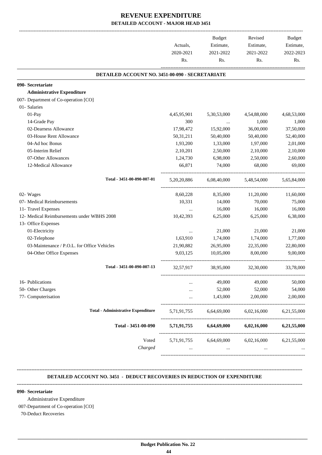|                                                 | Actuals,<br>2020-2021 | Budget<br>Estimate,<br>2021-2022 | Revised<br>Estimate,<br>2021-2022 | Budget<br>Estimate,<br>2022-2023 |
|-------------------------------------------------|-----------------------|----------------------------------|-----------------------------------|----------------------------------|
|                                                 | Rs.                   | Rs.                              | Rs.                               | Rs.                              |
| DETAILED ACCOUNT NO. 3451-00-090 - SECRETARIATE |                       |                                  |                                   |                                  |
| 090- Secretariate                               |                       |                                  |                                   |                                  |
| <b>Administrative Expenditure</b>               |                       |                                  |                                   |                                  |
| 007- Department of Co-operation [CO]            |                       |                                  |                                   |                                  |
| 01- Salaries                                    |                       |                                  |                                   |                                  |
| 01-Pay                                          | 4,45,95,901           | 5,30,53,000                      | 4,54,88,000                       | 4,68,53,000                      |
| 14-Grade Pay                                    | 300                   | $\ldots$                         | 1,000                             | 1,000                            |
| 02-Dearness Allowance                           | 17,98,472             | 15,92,000                        | 36,00,000                         | 37,50,000                        |
| 03-House Rent Allowance                         | 50,31,211             | 50,40,000                        | 50,40,000                         | 52,40,000                        |
| 04-Ad hoc Bonus                                 | 1,93,200              | 1,33,000                         | 1,97,000                          | 2,01,000                         |
| 05-Interim Relief                               | 2,10,201              | 2,50,000                         | 2,10,000                          | 2,10,000                         |
| 07-Other Allowances                             | 1,24,730              | 6,98,000                         | 2,50,000                          | 2,60,000                         |
| 12-Medical Allowance                            | 66,871                | 74,000                           | 68,000                            | 69,000                           |
| Total - 3451-00-090-007-01                      | 5, 20, 20, 886        | 6,08,40,000                      | 5,48,54,000                       | 5.65.84,000                      |
| 02- Wages                                       | 8,60,228              | 8,35,000                         | 11,20,000                         | 11,60,000                        |
| 07- Medical Reimbursements                      | 10,331                | 14,000                           | 70,000                            | 75,000                           |
| 11- Travel Expenses                             | $\cdots$              | 16,000                           | 16,000                            | 16,000                           |
| 12- Medical Reimbursements under WBHS 2008      | 10,42,393             | 6,25,000                         | 6,25,000                          | 6,38,000                         |
| 13- Office Expenses                             |                       |                                  |                                   |                                  |
| 01-Electricity                                  | $\cdots$              | 21,000                           | 21,000                            | 21,000                           |
| 02-Telephone                                    | 1,63,910              | 1,74,000                         | 1,74,000                          | 1,77,000                         |
| 03-Maintenance / P.O.L. for Office Vehicles     | 21,90,882             | 26,95,000                        | 22,35,000                         | 22,80,000                        |
| 04-Other Office Expenses                        | 9,03,125              | 10,05,000                        | 8,00,000                          | 9.00.000                         |
| Total - 3451-00-090-007-13                      | 32,57,917             | 38,95,000                        | 32,30,000                         | 33,78,000                        |
| 16- Publications                                |                       | 49,000                           | 49,000                            | 50,000                           |
| 50- Other Charges                               |                       | 52,000                           | 52,000                            | 54,000                           |
| 77- Computerisation                             |                       | 1,43,000                         | 2,00,000                          | 2,00,000                         |
| <b>Total - Administrative Expenditure</b>       | 5,71,91,755           | 6,64,69,000                      | 6,02,16,000                       | 6,21,55,000                      |
| Total - 3451-00-090                             | 5,71,91,755           | 6,64,69,000                      | 6,02,16,000                       | 6,21,55,000                      |
| Voted                                           | 5,71,91,755           | 6,64,69,000                      | 6,02,16,000                       | 6,21,55,000                      |
| Charged                                         |                       |                                  |                                   |                                  |

#### **DETAILED ACCOUNT NO. 3451 - DEDUCT RECOVERIES IN REDUCTION OF EXPENDITURE**

**--------------------------------------------------------------------------------------------------------------------------------------------------------------------------------**

**--------------------------------------------------------------------------------------------------------------------------------------------------------------------------------**

#### **090- Secretariate**

Administrative Expenditure

007-Department of Co-operation [CO]

70-Deduct Recoveries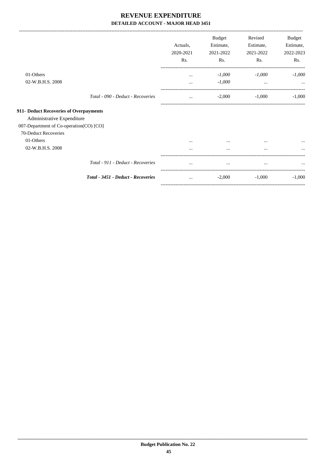-------------------------------------------------------------------------------------------------------------------------------------------------------------------------------

|                                         |                                    | Actuals,<br>2020-2021<br>Rs. | <b>Budget</b><br>Estimate,<br>2021-2022<br>Rs. | Revised<br>Estimate,<br>2021-2022<br>Rs. | Budget<br>Estimate,<br>2022-2023<br>Rs. |
|-----------------------------------------|------------------------------------|------------------------------|------------------------------------------------|------------------------------------------|-----------------------------------------|
| 01-Others                               |                                    | $\cdots$                     | $-1,000$                                       | $-1,000$                                 | $-1,000$                                |
| 02-W.B.H.S. 2008                        |                                    |                              | $-1,000$                                       | $\cdots$                                 |                                         |
|                                         | Total - 090 - Deduct - Recoveries  | $\cdots$                     | $-2,000$                                       | $-1,000$                                 | $-1,000$                                |
| 911- Deduct Recoveries of Overpayments  |                                    |                              |                                                |                                          |                                         |
| Administrative Expenditure              |                                    |                              |                                                |                                          |                                         |
| 007-Department of Co-operation(CO) [CO] |                                    |                              |                                                |                                          |                                         |
| 70-Deduct Recoveries                    |                                    |                              |                                                |                                          |                                         |
| 01-Others                               |                                    | $\cdots$                     | $\cdots$                                       | $\cdots$                                 | $\cdots$                                |
| 02-W.B.H.S. 2008                        |                                    | $\cdots$                     |                                                | $\cdots$                                 | $\cdots$                                |
|                                         | Total - 911 - Deduct - Recoveries  |                              |                                                | $\cdots$                                 |                                         |
|                                         | Total - 3451 - Deduct - Recoveries | $\cdots$                     | $-2,000$                                       | $-1,000$                                 | $-1,000$                                |
|                                         |                                    |                              |                                                |                                          |                                         |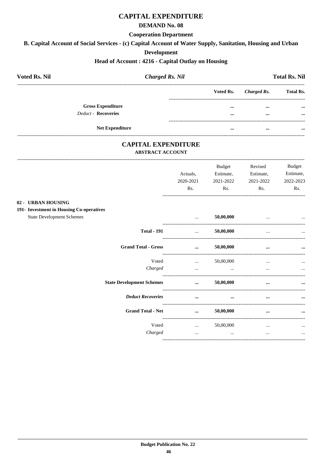## **CAPITAL EXPENDITURE**

#### **DEMAND No. 08**

#### **Cooperation Department**

B. Capital Account of Social Services - (c) Capital Account of Water Supply, Sanitation, Housing and Urban

#### **Development**

#### Head of Account: 4216 - Capital Outlay on Housing

| <b>Voted Rs. Nil</b>                     | <b>Charged Rs. Nil</b>                                |                                 |           |                    | <b>Total Rs. Nil</b> |
|------------------------------------------|-------------------------------------------------------|---------------------------------|-----------|--------------------|----------------------|
|                                          |                                                       |                                 | Voted Rs. | <b>Charged Rs.</b> | <b>Total Rs.</b>     |
| <b>Gross Expenditure</b>                 |                                                       |                                 |           | $\cdots$           |                      |
| <b>Deduct - Recoveries</b>               |                                                       |                                 | $\cdots$  | $\cdots$           |                      |
| <b>Net Expenditure</b>                   |                                                       |                                 |           |                    |                      |
|                                          | <b>CAPITAL EXPENDITURE</b><br><b>ABSTRACT ACCOUNT</b> |                                 |           |                    |                      |
|                                          |                                                       |                                 | Budget    | Revised            | Budget               |
|                                          |                                                       | Actuals,                        | Estimate, | Estimate,          | Estimate,            |
|                                          |                                                       | 2020-2021                       | 2021-2022 | 2021-2022          | 2022-2023            |
|                                          |                                                       | Rs.                             | Rs.       | Rs.                | Rs.                  |
| 02 - URBAN HOUSING                       |                                                       |                                 |           |                    |                      |
| 191- Investment in Housing Co-operatives |                                                       |                                 |           |                    |                      |
| <b>State Development Schemes</b>         |                                                       | $\cdots$                        | 50,00,000 |                    |                      |
|                                          | <b>Total - 191</b>                                    | $\cdots$ . The same of $\cdots$ | 50,00,000 |                    |                      |
|                                          | <b>Grand Total - Gross</b>                            | $\cdots$                        | 50,00,000 | $\cdots$           |                      |
|                                          |                                                       |                                 |           |                    |                      |

Voted

Charged

Voted

Charged

**State Development Schemes** 

**Deduct Recoveries** 

**Grand Total - Net** 

 $\mathbb{R}^{n}$ 

 $\sim 100$  and  $\sim 100$ 

--------------------------------

----------------------------

 $\sim$   $\sim$   $\sim$ 

 $\cdots$ 

 $\dots$  50,00,000

 $\ldots$  50,00,000

 $\mathbf{m}$  and  $\mathbf{m}$  are the set of  $\mathbf{m}$ 

50,00,000

 $\mathcal{L} = \mathcal{L} \mathcal{L}$ 

50.00.000

 $\dddot{\bullet}$ 

 $\sim 10^{-10}$ 

 $\mathbf{r}$  . The state  $\mathbf{r}$ 

 $\cdots$ 

 $\cdots$ 

 $\cdots$ 

 $\cdots$ 

 $\sim$   $\sim$ 

 $\ddotsc$ 

 $\dddotsc$ 

 $\dddotsc$ 

 $\ddot{\phantom{a}}$ 

...

 $\ddots$ 

 $\ddotsc$ 

---------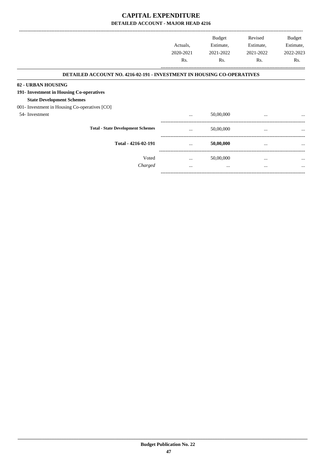|                                                                               |           | <b>Budget</b> | Revised   | Budget           |
|-------------------------------------------------------------------------------|-----------|---------------|-----------|------------------|
|                                                                               | Actuals,  | Estimate,     | Estimate, | Estimate,        |
|                                                                               | 2020-2021 | 2021-2022     | 2021-2022 | 2022-2023        |
|                                                                               | Rs.       | Rs.           | Rs.       | R <sub>s</sub> . |
| <b>DETAILED ACCOUNT NO. 4216-02-191 - INVESTMENT IN HOUSING CO-OPERATIVES</b> |           |               |           |                  |
| 02 - URBAN HOUSING                                                            |           |               |           |                  |
| 191- Investment in Housing Co-operatives                                      |           |               |           |                  |
| <b>State Development Schemes</b>                                              |           |               |           |                  |
| 001- Investment in Housing Co-operatives [CO]                                 |           |               |           |                  |
| 54-Investment                                                                 | $\cdots$  | 50,00,000     | $\cdots$  | $\cdots$         |
| <b>Total - State Development Schemes</b>                                      | $\cdots$  | 50,00,000     |           | $\cdots$         |
| Total - 4216-02-191                                                           |           | 50,00,000     | $\cdots$  | $\cdots$         |
| Voted                                                                         | $\cdots$  | 50,00,000     | $\cdots$  | $\cdots$         |
| Charged                                                                       | $\cdots$  | $\cdots$      | $\cdots$  | $\cdots$         |
|                                                                               |           |               |           |                  |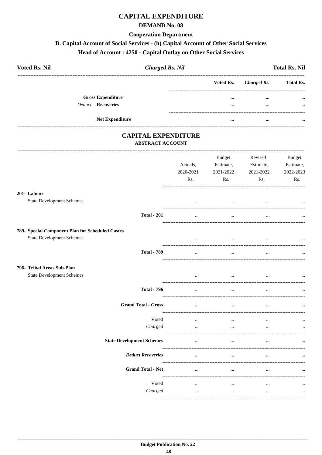## **CAPITAL EXPENDITURE**

#### **DEMAND No. 08**

#### **Cooperation Department**

# B. Capital Account of Social Services - (h) Capital Account of Other Social Services

# Head of Account: 4250 - Capital Outlay on Other Social Services

| <b>Voted Rs. Nil</b>       | <b>Charged Rs. Nil</b> |           |             | <b>Total Rs. Nil</b> |
|----------------------------|------------------------|-----------|-------------|----------------------|
|                            |                        | Voted Rs. | Charged Rs. | <b>Total Rs.</b>     |
| <b>Gross Expenditure</b>   |                        |           |             | $\cdots$             |
| <b>Deduct - Recoveries</b> |                        | $\cdots$  | $\cdots$    | $\cdots$             |
| <b>Net Expenditure</b>     |                        | $\cdots$  | $\cdots$    |                      |

## **CAPITAL EXPENDITURE ABSTRACT ACCOUNT**

|                                                                                      |                                  | Actuals,<br>2020-2021<br>Rs. | Budget<br>Estimate,<br>2021-2022<br>Rs. | Revised<br>Estimate,<br>2021-2022<br>Rs. | <b>Budget</b><br>Estimate,<br>2022-2023<br>Rs. |
|--------------------------------------------------------------------------------------|----------------------------------|------------------------------|-----------------------------------------|------------------------------------------|------------------------------------------------|
| 201- Labour<br><b>State Development Schemes</b>                                      |                                  | $\cdots$                     | $\ddots$                                | $\ddotsc$                                |                                                |
|                                                                                      | <b>Total - 201</b>               | $\ldots$                     | $\cdots$                                | $\cdots$                                 |                                                |
| 789- Special Component Plan for Scheduled Castes<br><b>State Development Schemes</b> |                                  | $\cdots$                     | $\cdots$                                | $\cdots$                                 | $\cdots$                                       |
|                                                                                      | <b>Total - 789</b>               | $\cdots$                     | $\overline{\phantom{a}}$                | $\ddotsc$                                |                                                |
| 796- Tribal Areas Sub-Plan<br><b>State Development Schemes</b>                       |                                  | $\cdots$                     | $\cdots$                                | $\cdots$                                 |                                                |
|                                                                                      | <b>Total - 796</b>               | $\ddots$                     | $\ddots$                                | $\cdots$                                 |                                                |
|                                                                                      | <b>Grand Total - Gross</b>       | $\cdots$                     | $\cdots$                                | $\ddotsc$                                |                                                |
|                                                                                      | Voted<br>Charged                 | $\cdots$<br>$\cdots$         | $\ddotsc$<br>$\ddotsc$                  | $\ddotsc$<br>$\ddotsc$                   |                                                |
|                                                                                      | <b>State Development Schemes</b> | $\ddotsc$                    |                                         |                                          |                                                |
|                                                                                      | <b>Deduct Recoveries</b>         | $\cdots$                     | $\cdots$                                |                                          |                                                |
|                                                                                      | <b>Grand Total - Net</b>         | $\cdots$                     | $\cdots$                                |                                          |                                                |
|                                                                                      | Voted<br>Charged                 | $\cdots$<br>$\ddots$         | $\cdots$<br>$\ddots$                    | $\cdots$<br>$\ddots$                     | $\cdots$                                       |
|                                                                                      |                                  |                              |                                         |                                          |                                                |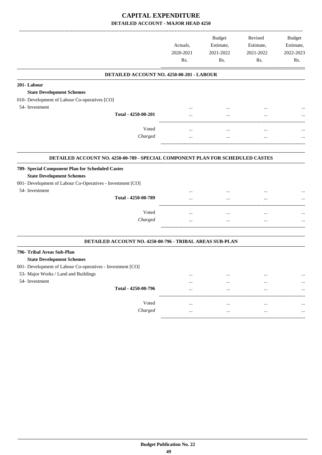|                                                                                                                                                    | Actuals,<br>2020-2021<br>Rs. | <b>Budget</b><br>Estimate,<br>2021-2022<br>Rs. | Revised<br>Estimate,<br>2021-2022<br>Rs. | <b>Budget</b><br>Estimate,<br>2022-2023<br>Rs. |
|----------------------------------------------------------------------------------------------------------------------------------------------------|------------------------------|------------------------------------------------|------------------------------------------|------------------------------------------------|
| DETAILED ACCOUNT NO. 4250-00-201 - LABOUR                                                                                                          |                              |                                                |                                          |                                                |
| 201-Labour                                                                                                                                         |                              |                                                |                                          |                                                |
| <b>State Development Schemes</b>                                                                                                                   |                              |                                                |                                          |                                                |
| 010- Development of Labour Co-operatives [CO]                                                                                                      |                              |                                                |                                          |                                                |
| 54- Investment                                                                                                                                     |                              |                                                |                                          |                                                |
| Total - 4250-00-201                                                                                                                                |                              | $\ddotsc$                                      |                                          |                                                |
|                                                                                                                                                    |                              |                                                |                                          |                                                |
| Voted                                                                                                                                              | $\cdots$                     | $\cdots$                                       |                                          |                                                |
| Charged                                                                                                                                            | $\cdots$                     | $\cdots$                                       |                                          |                                                |
| DETAILED ACCOUNT NO. 4250-00-789 - SPECIAL COMPONENT PLAN FOR SCHEDULED CASTES                                                                     |                              |                                                |                                          |                                                |
| 789- Special Component Plan for Scheduled Castes<br><b>State Development Schemes</b><br>001- Development of Labour Co-Operatives - Investment [CO] |                              |                                                |                                          |                                                |
| 54- Investment                                                                                                                                     |                              |                                                |                                          |                                                |
| Total - 4250-00-789                                                                                                                                | $\ddotsc$                    | $\cdots$                                       |                                          |                                                |
| Voted                                                                                                                                              | $\cdots$                     | $\cdots$                                       | $\cdots$                                 |                                                |
| Charged                                                                                                                                            |                              | $\cdots$                                       |                                          |                                                |
|                                                                                                                                                    |                              |                                                |                                          |                                                |
| DETAILED ACCOUNT NO. 4250-00-796 - TRIBAL AREAS SUB-PLAN                                                                                           |                              |                                                |                                          |                                                |
| 796- Tribal Areas Sub-Plan<br><b>State Development Schemes</b>                                                                                     |                              |                                                |                                          |                                                |
| 001- Development of Labour Co-operatives - Investment [CO]                                                                                         |                              |                                                |                                          |                                                |
| 53- Major Works / Land and Buildings                                                                                                               | $\cdots$                     | $\cdots$                                       |                                          |                                                |
| 54- Investment                                                                                                                                     | $\cdots$                     |                                                |                                          |                                                |
| Total - 4250-00-796                                                                                                                                |                              |                                                |                                          |                                                |
| Voted                                                                                                                                              |                              |                                                |                                          |                                                |
| Charged                                                                                                                                            |                              |                                                |                                          |                                                |
|                                                                                                                                                    |                              |                                                |                                          |                                                |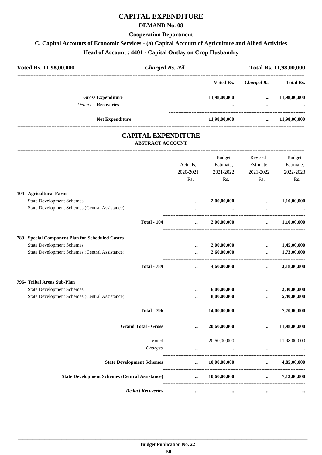## **CAPITAL EXPENDITURE**

### **DEMAND No. 08**

#### **Cooperation Department**

# **C. Capital Accounts of Economic Services - (a) Capital Account of Agriculture and Allied Activities**

**Head of Account : 4401 - Capital Outlay on Crop Husbandry**

| Voted Rs. 11,98,00,000 |                                                        | <b>Charged Rs. Nil</b> |                  | Total Rs. 11,98,00,000 |                          |  |
|------------------------|--------------------------------------------------------|------------------------|------------------|------------------------|--------------------------|--|
|                        |                                                        | Voted Rs.              | Charged Rs.      | <b>Total Rs.</b>       |                          |  |
|                        | <b>Gross Expenditure</b><br><b>Deduct - Recoveries</b> |                        | 11,98,00,000<br> | $\cdots$<br>           | 11,98,00,000<br>$\cdots$ |  |
|                        | <b>Net Expenditure</b>                                 |                        | 11,98,00,000     | $\cdots$               | 11,98,00,000             |  |

## **CAPITAL EXPENDITURE ABSTRACT ACCOUNT**

---------------------------------------------------------------------------------------------------------------------------------------------------------------------------------

|                                                       | Actuals,<br>2020-2021<br>Rs. | <b>Budget</b><br>Estimate,<br>2021-2022<br>Rs. | Revised<br>Estimate,<br>2021-2022<br>Rs. | <b>Budget</b><br>Estimate,<br>2022-2023<br>Rs. |
|-------------------------------------------------------|------------------------------|------------------------------------------------|------------------------------------------|------------------------------------------------|
| 104- Agricultural Farms                               |                              |                                                |                                          |                                                |
| <b>State Development Schemes</b>                      | $\cdots$                     | 2,00,00,000                                    | $\sim$ $\sim$ $\sim$                     | 1,10,00,000                                    |
| State Development Schemes (Central Assistance)        | $\cdots$                     |                                                | $\cdots$                                 |                                                |
| <b>Total - 104</b>                                    | $\ddotsc$                    | 2,00,00,000                                    | $\mathbf{r}$                             | 1,10,00,000                                    |
| 789- Special Component Plan for Scheduled Castes      |                              |                                                |                                          |                                                |
| <b>State Development Schemes</b>                      | $\ddotsc$                    | 2,00,00,000                                    | $\ddots$                                 | 1,45,00,000                                    |
| State Development Schemes (Central Assistance)        | $\cdots$                     | 2,60,00,000                                    | $\ddotsc$                                | 1,73,00,000                                    |
| <b>Total - 789</b>                                    | $\mathbf{r}$                 | 4,60,00,000                                    | and the company of the company of        | 3,18,00,000                                    |
| 796- Tribal Areas Sub-Plan                            |                              |                                                |                                          |                                                |
| <b>State Development Schemes</b>                      |                              | 6,00,00,000                                    | $\ddotsc$                                | 2,30,00,000                                    |
| State Development Schemes (Central Assistance)        | $\cdots$                     | 8,00,00,000                                    | $\sim$                                   | 5,40,00,000                                    |
| <b>Total - 796</b>                                    | $\sim$                       | 14,00,00,000                                   | $\sim$                                   | 7,70,00,000                                    |
| <b>Grand Total - Gross</b>                            | $\cdots$                     | 20,60,00,000                                   | $\cdots$                                 | 11,98,00,000                                   |
| Voted                                                 | $\mathbf{r}$                 | 20,60,00,000                                   | $\mathbf{1}$                             | 11,98,00,000                                   |
| Charged                                               | $\ddotsc$                    | $\cdots$                                       | $\cdots$                                 |                                                |
| <b>State Development Schemes</b>                      | $\cdots$                     | 10,00,00,000                                   | $\cdots$                                 | 4,85,00,000                                    |
| <b>State Development Schemes (Central Assistance)</b> | $\cdots$                     | 10,60,00,000                                   | $\cdots$                                 | 7,13,00,000                                    |
| <b>Deduct Recoveries</b>                              | $\cdots$                     | $\ddotsc$                                      | $\cdots$                                 |                                                |
|                                                       |                              |                                                |                                          |                                                |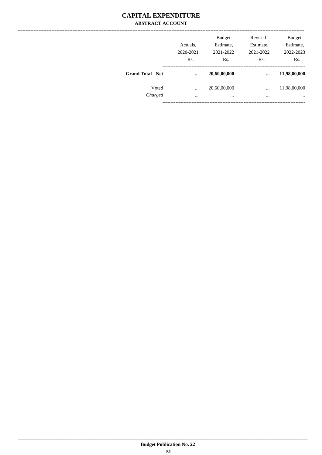## **CAPITAL EXPENDITURE ABSTRACT ACCOUNT**

|                          | Actuals,<br>2020-2021<br>Rs. | <b>Budget</b><br>Estimate,<br>2021-2022<br>Rs. | Revised<br>Estimate,<br>2021-2022<br>Rs. | <b>Budget</b><br>Estimate,<br>2022-2023<br>Rs. |
|--------------------------|------------------------------|------------------------------------------------|------------------------------------------|------------------------------------------------|
| <b>Grand Total - Net</b> | $\cdots$                     | 20,60,00,000                                   | $\ddotsc$                                | 11,98,00,000                                   |
| Voted<br>Charged         | <br>$\cdots$                 | 20,60,00,000<br>                               | $\cdots$<br>$\cdots$                     | 11,98,00,000<br>$\cdots$                       |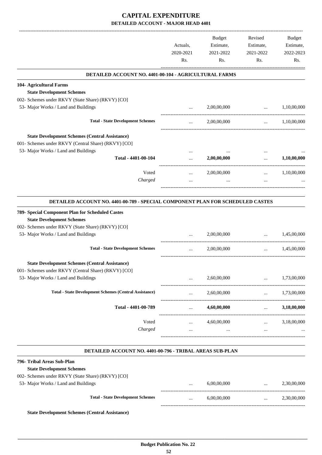|                                                                                                                                                                                                                             | Actuals,<br>2020-2021                                     | Budget<br>Estimate,<br>2021-2022 | Revised<br>Estimate,<br>2021-2022                                                                                                 | Budget<br>Estimate,<br>2022-2023 |
|-----------------------------------------------------------------------------------------------------------------------------------------------------------------------------------------------------------------------------|-----------------------------------------------------------|----------------------------------|-----------------------------------------------------------------------------------------------------------------------------------|----------------------------------|
|                                                                                                                                                                                                                             | Rs.                                                       | Rs.                              | Rs.                                                                                                                               | Rs.                              |
| DETAILED ACCOUNT NO. 4401-00-104 - AGRICULTURAL FARMS                                                                                                                                                                       |                                                           |                                  |                                                                                                                                   |                                  |
| 104- Agricultural Farms                                                                                                                                                                                                     |                                                           |                                  |                                                                                                                                   |                                  |
| <b>State Development Schemes</b>                                                                                                                                                                                            |                                                           |                                  |                                                                                                                                   |                                  |
| 002- Schemes under RKVY (State Share) (RKVY) [CO]                                                                                                                                                                           |                                                           |                                  |                                                                                                                                   |                                  |
| 53- Major Works / Land and Buildings                                                                                                                                                                                        | $\cdots$                                                  | 2,00,00,000                      | $\cdots$                                                                                                                          | 1,10,00,000                      |
| <b>Total - State Development Schemes</b>                                                                                                                                                                                    | $\cdots$                                                  | 2,00,00,000                      | $\cdots$                                                                                                                          | 1,10,00,000                      |
| <b>State Development Schemes (Central Assistance)</b><br>001- Schemes under RKVY (Central Share) (RKVY) [CO]                                                                                                                |                                                           |                                  |                                                                                                                                   |                                  |
| 53- Major Works / Land and Buildings<br>Total - 4401-00-104                                                                                                                                                                 | $\cdots$<br>$\cdots$                                      | 2,00,00,000                      | $\cdots$<br>$\cdots$                                                                                                              | 1,10,00,000                      |
|                                                                                                                                                                                                                             |                                                           | -------------------------------  |                                                                                                                                   |                                  |
| Voted                                                                                                                                                                                                                       | $\cdots$                                                  | 2,00,00,000                      | $\cdots$                                                                                                                          | 1,10,00,000                      |
| Charged                                                                                                                                                                                                                     | $\cdots$                                                  | $\cdots$                         | $\cdots$                                                                                                                          |                                  |
| DETAILED ACCOUNT NO. 4401-00-789 - SPECIAL COMPONENT PLAN FOR SCHEDULED CASTES<br>789- Special Component Plan for Scheduled Castes<br><b>State Development Schemes</b><br>002- Schemes under RKVY (State Share) (RKVY) [CO] |                                                           |                                  |                                                                                                                                   |                                  |
| 53- Major Works / Land and Buildings                                                                                                                                                                                        |                                                           | 2,00,00,000                      | $\cdots$                                                                                                                          | 1,45,00,000                      |
| <b>Total - State Development Schemes</b>                                                                                                                                                                                    | $\cdots$                                                  | 2,00,00,000                      | $\ldots$                                                                                                                          | 1,45,00,000                      |
| <b>State Development Schemes (Central Assistance)</b><br>001- Schemes under RKVY (Central Share) (RKVY) [CO]                                                                                                                |                                                           |                                  |                                                                                                                                   |                                  |
| 53- Major Works / Land and Buildings                                                                                                                                                                                        |                                                           | 2,60,00,000                      | $\cdots$                                                                                                                          | 1,73,00,000                      |
| <b>Total - State Development Schemes (Central Assistance)</b>                                                                                                                                                               | $\cdots$                                                  | 2,60,00,000                      |                                                                                                                                   | $\ldots$ 1,73,00,000             |
| Total - 4401-00-789                                                                                                                                                                                                         | $\mathbf{r}$ , $\mathbf{r}$ , $\mathbf{r}$ , $\mathbf{r}$ | 4,60,00,000                      | $\mathbf{1}_{\mathbf{1}_{\mathbf{2}}\mathbf{1}_{\mathbf{3}}\mathbf{2}_{\mathbf{4}}\mathbf{3}_{\mathbf{5}}\mathbf{4}_{\mathbf{6}}$ | 3,18,00,000                      |
| Voted                                                                                                                                                                                                                       |                                                           | $4,60,00,000$                    |                                                                                                                                   | 3,18,00,000                      |
| Charged                                                                                                                                                                                                                     | $\ddots$                                                  | $\cdots$                         | <b>Section</b>                                                                                                                    |                                  |
| DETAILED ACCOUNT NO. 4401-00-796 - TRIBAL AREAS SUB-PLAN                                                                                                                                                                    |                                                           |                                  |                                                                                                                                   |                                  |
| 796- Tribal Areas Sub-Plan                                                                                                                                                                                                  |                                                           |                                  |                                                                                                                                   |                                  |
| <b>State Development Schemes</b>                                                                                                                                                                                            |                                                           |                                  |                                                                                                                                   |                                  |
| 002- Schemes under RKVY (State Share) (RKVY) [CO]                                                                                                                                                                           |                                                           |                                  |                                                                                                                                   |                                  |
| 53- Major Works / Land and Buildings                                                                                                                                                                                        | $\cdots$                                                  | 6,00,00,000                      | <b><i>Committee Committee Committee Committee Committee Committee Committee Committee Committee Committee Committee</i></b>       | 2,30,00,000                      |
| <b>Total - State Development Schemes</b>                                                                                                                                                                                    | $\cdots$                                                  | 6,00,00,000                      | $\mathbf{1}_{\mathbf{1}_{\mathbf{2}}\mathbf{1}_{\mathbf{3}}\mathbf{2}_{\mathbf{4}}\mathbf{3}_{\mathbf{5}}\mathbf{4}_{\mathbf{6}}$ | 2,30,00,000                      |
| <b>State Development Schemes (Central Assistance)</b>                                                                                                                                                                       |                                                           |                                  |                                                                                                                                   |                                  |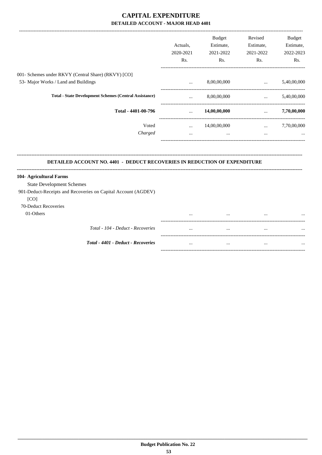|                                                                           |                               | <b>Budget</b>         | Revised                         | Budget      |
|---------------------------------------------------------------------------|-------------------------------|-----------------------|---------------------------------|-------------|
|                                                                           | Actuals,                      | Estimate,             | Estimate,                       | Estimate,   |
|                                                                           | 2020-2021                     | 2021-2022             | 2021-2022                       | 2022-2023   |
|                                                                           | Rs.                           | Rs.                   | Rs.                             | Rs.         |
| 001- Schemes under RKVY (Central Share) (RKVY) [CO]                       |                               |                       |                                 |             |
| 53- Major Works / Land and Buildings                                      | $\ddotsc$                     | 8,00,00,000           | $\mathbf{r}$ and $\mathbf{r}$   | 5,40,00,000 |
| <b>Total - State Development Schemes (Central Assistance)</b>             | $\cdots$                      | 8,00,00,000           | $\mathbf{r}$                    | 5,40,00,000 |
| Total - 4401-00-796                                                       | $\mathbf{r}$ and $\mathbf{r}$ | 14,00,00,000          | <b>Section</b>                  | 7,70,00,000 |
| Voted                                                                     |                               | $\ldots$ 14,00,00,000 | <b>Second Contract Contract</b> | 7,70,00,000 |
| Charged                                                                   | $\cdots$                      | $\cdots$              | $\cdots$                        |             |
| DETAILED ACCOUNT NO. 4401 - DEDUCT RECOVERIES IN REDUCTION OF EXPENDITURE |                               |                       |                                 |             |
| 104- Agricultural Farms                                                   |                               |                       |                                 |             |
| <b>State Development Schemes</b>                                          |                               |                       |                                 |             |
| 901-Deduct-Receipts and Recoveries on Capital Account (AGDEV)             |                               |                       |                                 |             |
| [CO]                                                                      |                               |                       |                                 |             |
| 70-Deduct Recoveries                                                      |                               |                       |                                 |             |
| 01-Others                                                                 |                               |                       |                                 |             |
| Total - 104 - Deduct - Recoveries                                         |                               | $\cdots$              | $\cdots$                        |             |
|                                                                           |                               |                       |                                 |             |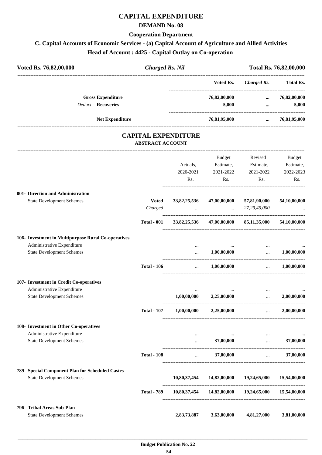## **CAPITAL EXPENDITURE**

#### **DEMAND No. 08**

### **Cooperation Department**

# **C. Capital Accounts of Economic Services - (a) Capital Account of Agriculture and Allied Activities**

**Head of Account : 4425 - Capital Outlay on Co-operation** 

| Voted Rs. 76,82,00,000     |                        | <b>Charged Rs. Nil</b>                                |               |             | Total Rs. 76,82,00,000 |  |  |
|----------------------------|------------------------|-------------------------------------------------------|---------------|-------------|------------------------|--|--|
|                            |                        |                                                       | Voted Rs.     | Charged Rs. | <b>Total Rs.</b>       |  |  |
| <b>Gross Expenditure</b>   |                        |                                                       | 76,82,00,000  | $\cdots$    | 76,82,00,000           |  |  |
| <b>Deduct - Recoveries</b> |                        |                                                       | $-5,000$      | $\cdots$    | $-5,000$               |  |  |
|                            | <b>Net Expenditure</b> |                                                       | 76,81,95,000  | $\cdots$    | 76,81,95,000           |  |  |
|                            |                        | <b>CAPITAL EXPENDITURE</b><br><b>ABSTRACT ACCOUNT</b> |               |             |                        |  |  |
|                            |                        |                                                       | <b>Budget</b> | Revised     | <b>Budget</b>          |  |  |
|                            |                        | Actuals.                                              | Estimate,     | Estimate,   | Estimate,              |  |  |
|                            |                        | 2020-2021                                             | 2021-2022     | 2021-2022   | 2022-2023              |  |  |

Rs.

Rs.

Rs.

Rs.

| 001- Direction and Administration                   |                    |                          |                                                        |                                                                               |              |
|-----------------------------------------------------|--------------------|--------------------------|--------------------------------------------------------|-------------------------------------------------------------------------------|--------------|
| <b>State Development Schemes</b>                    | <b>Voted</b>       | 33,82,25,536             | 47,00,00,000                                           | 57,81,90,000                                                                  | 54,10,00,000 |
|                                                     | Charged            |                          | $\ldots$ 27,29,45,000                                  |                                                                               |              |
|                                                     | <b>Total - 001</b> |                          | 33,82,25,536 47,00,00,000 85,11,35,000 54,10,00,000    |                                                                               |              |
| 106- Investment in Multipurpose Rural Co-operatives |                    |                          |                                                        |                                                                               |              |
| Administrative Expenditure                          |                    | $\cdots$                 |                                                        |                                                                               |              |
| <b>State Development Schemes</b>                    |                    | $\cdots$                 | 1,00,00,000                                            | $\cdots$                                                                      | 1,00,00,000  |
|                                                     | <b>Total - 106</b> |                          | $\dots$ 1,00,00,000 $\dots$ 1,00,00,000                |                                                                               |              |
| 107- Investment in Credit Co-operatives             |                    |                          |                                                        |                                                                               |              |
| Administrative Expenditure                          |                    |                          |                                                        | $\cdots$                                                                      |              |
| <b>State Development Schemes</b>                    |                    |                          | $1,00,00,000$ $2,25,00,000$                            | $\mathbf{1}_{\mathbf{2},\mathbf{3}}$ and $\mathbf{1}_{\mathbf{3},\mathbf{4}}$ | 2,00,00,000  |
|                                                     | <b>Total - 107</b> | 1,00,00,000              | 2,25,00,000                                            | $\mathcal{L}_{\text{max}}$ . The $\mathcal{L}_{\text{max}}$                   | 2,00,00,000  |
| 108- Investment in Other Co-operatives              |                    |                          |                                                        |                                                                               |              |
| Administrative Expenditure                          |                    | $\cdots$                 |                                                        | $\cdots$                                                                      |              |
| <b>State Development Schemes</b>                    |                    | $\mathbf{m}$             | 37,00,000                                              | $\ddotsc$                                                                     | 37,00,000    |
|                                                     | <b>Total - 108</b> | <b>Contract Contract</b> |                                                        | $37,00,000$                                                                   | 37,00,000    |
| 789- Special Component Plan for Scheduled Castes    |                    |                          |                                                        |                                                                               |              |
| <b>State Development Schemes</b>                    |                    |                          | $10,80,37,454$ $14,82,00,000$ $19,24,65,000$           |                                                                               | 15,54,00,000 |
|                                                     | <b>Total - 789</b> |                          | 10,80,37,454  14,82,00,000  19,24,65,000  15,54,00,000 |                                                                               |              |
| 796- Tribal Areas Sub-Plan                          |                    |                          |                                                        |                                                                               |              |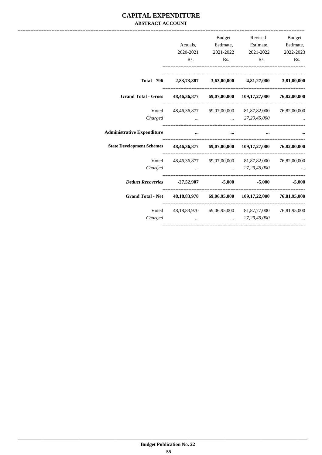## **CAPITAL EXPENDITURE ABSTRACT ACCOUNT**

|                                   |                           | <b>Budget</b>             | Revised                                             | <b>Budget</b> |
|-----------------------------------|---------------------------|---------------------------|-----------------------------------------------------|---------------|
|                                   | Actuals,                  | Estimate,                 | Estimate,                                           | Estimate,     |
|                                   | 2020-2021                 | 2021-2022                 | 2021-2022                                           | 2022-2023     |
|                                   | R <sub>s</sub> .          | Rs.                       | Rs.                                                 | Rs.           |
| <b>Total - 796</b>                |                           |                           | 2,83,73,887 3,63,00,000 4,81,27,000 3,81,00,000     |               |
| <b>Grand Total - Gross</b>        |                           | 48,46,36,877 69,07,00,000 | 109,17,27,000 76,82,00,000                          |               |
| Voted                             |                           |                           | 48,46,36,877 69,07,00,000 81,87,82,000 76,82,00,000 |               |
| Charged                           |                           | $\ddotsc$                 | 27,29,45,000                                        |               |
| <b>Administrative Expenditure</b> |                           |                           |                                                     |               |
| <b>State Development Schemes</b>  | 48,46,36,877 69,07,00,000 |                           | 109,17,27,000 76,82,00,000                          |               |
| Voted                             |                           |                           | 48,46,36,877 69,07,00,000 81,87,82,000              | 76,82,00,000  |
| Charged                           |                           |                           | 27, 29, 45, 000                                     |               |
| <b>Deduct Recoveries</b>          | -27,52,907                | $-5,000$                  | $-5,000$                                            | $-5,000$      |
| <b>Grand Total - Net</b>          |                           |                           | 48,18,83,970 69,06,95,000 109,17,22,000             | 76,81,95,000  |
| Voted                             |                           |                           | 48,18,83,970 69,06,95,000 81,87,77,000 76,81,95,000 |               |
| Charged                           |                           |                           | 27,29,45,000                                        |               |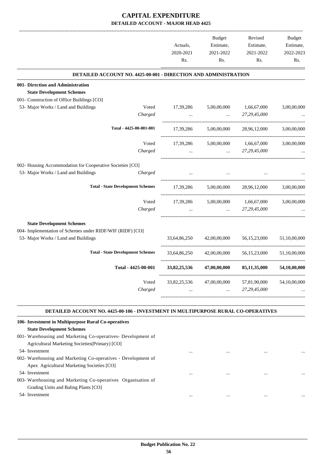|                                                                        |                          | <b>Budget</b> | Revised         | <b>Budget</b> |
|------------------------------------------------------------------------|--------------------------|---------------|-----------------|---------------|
|                                                                        | Actuals,                 | Estimate,     | Estimate,       | Estimate,     |
|                                                                        | 2020-2021                | 2021-2022     | 2021-2022       | 2022-2023     |
|                                                                        | Rs.                      | Rs.           | Rs.             | Rs.           |
| <b>DETAILED ACCOUNT NO. 4425-00-001 - DIRECTION AND ADMINISTRATION</b> |                          |               |                 |               |
| 001- Direction and Administration                                      |                          |               |                 |               |
| <b>State Development Schemes</b>                                       |                          |               |                 |               |
| 001- Construction of Office Buildings [CO]                             |                          |               |                 |               |
| 53- Major Works / Land and Buildings<br>Voted                          | 17,39,286                | 5,00,00,000   | 1,66,67,000     | 3,00,00,000   |
| Charged                                                                |                          |               | 27,29,45,000    |               |
| Total - 4425-00-001-001                                                | 17,39,286                | 5,00,00,000   | 28,96,12,000    | 3,00,00,000   |
| Voted                                                                  | 17,39,286                | 5,00,00,000   | 1,66,67,000     | 3,00,00,000   |
| Charged                                                                | $\overline{\phantom{a}}$ | $\ddotsc$     | 27,29,45,000    |               |
| 002- Housing Accommodation for Cooperative Societies [CO]              |                          |               |                 |               |
| 53- Major Works / Land and Buildings<br>Charged                        |                          |               |                 |               |
| <b>Total - State Development Schemes</b>                               | 17,39,286                | 5,00,00,000   | 28,96,12,000    | 3,00,00,000   |
| Voted                                                                  | 17,39,286                | 5,00,00,000   | 1,66,67,000     | 3,00,00,000   |
| Charged                                                                |                          | $\sim$        | 27,29,45,000    |               |
| <b>State Development Schemes</b>                                       |                          |               |                 |               |
| 004- Implementation of Schemes under RIDF/WIF (RIDF) [CO]              |                          |               |                 |               |
| 53- Major Works / Land and Buildings                                   | 33,64,86,250             | 42,00,00,000  | 56, 15, 23, 000 | 51,10,00,000  |
| <b>Total - State Development Schemes</b>                               | 33,64,86,250             | 42,00,00,000  | 56, 15, 23, 000 | 51,10,00,000  |
| Total - 4425-00-001                                                    | 33,82,25,536             | 47,00,00,000  | 85,11,35,000    | 54,10,00,000  |
| Voted                                                                  | 33,82,25,536             | 47,00,00,000  | 57,81,90,000    | 54,10,00,000  |
| Charged                                                                |                          |               | 27,29,45,000    |               |

#### **DETAILED ACCOUNT NO. 4425-00-106 - INVESTMENT IN MULTIPURPOSE RURAL CO-OPERATIVES**

| 106- Investment in Multipurpose Rural Co-operatives           |          |          |          |  |
|---------------------------------------------------------------|----------|----------|----------|--|
| <b>State Development Schemes</b>                              |          |          |          |  |
| 001- Warehousing and Marketing Co-operatives- Development of  |          |          |          |  |
| Agricultural Marketing Societies (Primary) [CO]               |          |          |          |  |
| 54- Investment                                                |          |          |          |  |
| 002- Warehousing and Marketing Co-operatives - Development of |          |          |          |  |
| Apex Agricultural Marketing Societies [CO]                    |          |          |          |  |
| 54- Investment                                                |          | $\cdots$ | $\cdots$ |  |
| 003- Warehousing and Marketing Co-operatives Organisation of  |          |          |          |  |
| Grading Units and Baling Plants [CO]                          |          |          |          |  |
| 54- Investment                                                | $\cdots$ |          |          |  |
|                                                               |          |          |          |  |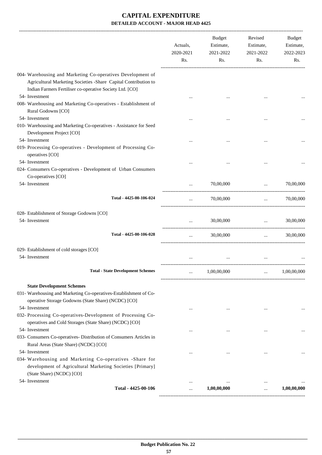|                                                                                                                                                                                                | Actuals,<br>2020-2021<br>Rs. | <b>Budget</b><br>Estimate,<br>2021-2022<br>Rs. | Revised<br>Estimate,<br>2021-2022<br>Rs. | Budget<br>Estimate,<br>2022-2023<br>Rs. |
|------------------------------------------------------------------------------------------------------------------------------------------------------------------------------------------------|------------------------------|------------------------------------------------|------------------------------------------|-----------------------------------------|
| 004- Warehousing and Marketing Co-operatives Development of<br>Agricultural Marketing Societies -Share Capital Contribution to<br>Indian Farmers Fertiliser co-operative Society Ltd. [CO]     |                              |                                                |                                          |                                         |
| 54- Investment<br>008- Warehousing and Marketing Co-operatives - Establishment of<br>Rural Godowns [CO]                                                                                        |                              |                                                |                                          |                                         |
| 54- Investment<br>010- Warehousing and Marketing Co-operatives - Assistance for Seed<br>Development Project [CO]                                                                               |                              |                                                |                                          |                                         |
| 54- Investment<br>019- Processing Co-operatives - Development of Processing Co-<br>operatives [CO]                                                                                             |                              |                                                |                                          |                                         |
| 54- Investment<br>024- Consumers Co-operatives - Development of Urban Consumers<br>Co-operatives [CO]                                                                                          |                              |                                                |                                          |                                         |
| 54- Investment                                                                                                                                                                                 |                              | 70,00,000                                      | $\ddots$                                 | 70,00,000                               |
| Total - 4425-00-106-024                                                                                                                                                                        | $\cdots$                     | 70,00,000                                      | $\cdots$                                 | 70,00,000                               |
| 028- Establishment of Storage Godowns [CO]<br>54- Investment                                                                                                                                   | $\cdots$                     | 30,00,000                                      | $\mathbf{r}$                             | 30,00,000                               |
| Total - 4425-00-106-028                                                                                                                                                                        | $\cdots$                     | 30,00,000                                      | $\cdots$                                 | 30,00,000                               |
| 029- Establishment of cold storages [CO]<br>54- Investment                                                                                                                                     |                              |                                                |                                          |                                         |
| <b>Total - State Development Schemes</b>                                                                                                                                                       |                              | 1,00,00,000                                    |                                          | 1,00,00,000                             |
| <b>State Development Schemes</b><br>031- Warehousing and Marketing Co-operatives-Establishment of Co-                                                                                          |                              |                                                |                                          |                                         |
| operative Storage Godowns (State Share) (NCDC) [CO]<br>54- Investment<br>032- Processing Co-operatives-Development of Processing Co-<br>operatives and Cold Storages (State Share) (NCDC) [CO] |                              | $\cdots$                                       |                                          |                                         |
| 54- Investment<br>033- Consumers Co-operatives- Distribution of Consumers Articles in<br>Rural Areas (State Share) (NCDC) [CO]                                                                 |                              |                                                |                                          |                                         |
| 54- Investment<br>034- Warehousing and Marketing Co-operatives -Share for<br>development of Agricultural Marketing Societies [Primary]<br>(State Share) (NCDC) [CO]                            |                              | $\cdots$                                       | $\cdots$                                 |                                         |
| 54- Investment<br>Total - 4425-00-106                                                                                                                                                          | $\cdots$<br>                 | $\cdots$<br>1,00,00,000                        | $\ddotsc$                                | 1,00,00,000                             |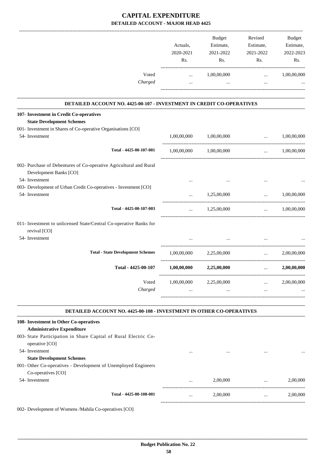|             | Budget                | Revised                                                                                                        | Budget                                                                                                                                                                 |
|-------------|-----------------------|----------------------------------------------------------------------------------------------------------------|------------------------------------------------------------------------------------------------------------------------------------------------------------------------|
| Actuals,    |                       | Estimate,                                                                                                      | Estimate,                                                                                                                                                              |
| Rs.         | Rs.                   | Rs.                                                                                                            | 2022-2023<br>Rs.                                                                                                                                                       |
|             |                       |                                                                                                                | 1,00,00,000                                                                                                                                                            |
| $\cdots$    | $\cdots$              | $\cdots$                                                                                                       |                                                                                                                                                                        |
|             |                       |                                                                                                                |                                                                                                                                                                        |
|             |                       |                                                                                                                |                                                                                                                                                                        |
|             |                       |                                                                                                                |                                                                                                                                                                        |
|             |                       |                                                                                                                |                                                                                                                                                                        |
| 1,00,00,000 | 1,00,00,000           | $\cdots$                                                                                                       | 1,00,00,000                                                                                                                                                            |
|             |                       | $\mathbf{r}$ and $\mathbf{r}$ and $\mathbf{r}$                                                                 | 1,00,00,000                                                                                                                                                            |
|             |                       |                                                                                                                |                                                                                                                                                                        |
| $\cdots$    |                       | $\ddotsc$                                                                                                      |                                                                                                                                                                        |
| $\cdots$    | 1,25,00,000           | $\ddotsc$                                                                                                      | 1,00,00,000                                                                                                                                                            |
| $\cdots$    | 1,25,00,000           | <b>Sales Committee</b>                                                                                         | 1,00,00,000                                                                                                                                                            |
|             |                       |                                                                                                                |                                                                                                                                                                        |
|             |                       |                                                                                                                |                                                                                                                                                                        |
|             | 2,25,00,000           | $\cdots$                                                                                                       | 2,00,00,000                                                                                                                                                            |
| 1,00,00,000 | 2,25,00,000           | $\ldots$                                                                                                       | 2,00,00,000                                                                                                                                                            |
|             |                       | $\mathbf{1}$ and $\mathbf{1}$ and $\mathbf{1}$                                                                 | 2,00,00,000                                                                                                                                                            |
| $\cdots$    | $\cdots$              | $\cdots$                                                                                                       |                                                                                                                                                                        |
|             |                       |                                                                                                                |                                                                                                                                                                        |
|             |                       |                                                                                                                |                                                                                                                                                                        |
|             |                       |                                                                                                                |                                                                                                                                                                        |
| $\cdots$    | $\cdots$              | $\cdots$                                                                                                       |                                                                                                                                                                        |
|             |                       |                                                                                                                |                                                                                                                                                                        |
|             |                       |                                                                                                                |                                                                                                                                                                        |
|             | 2,00,000              | $\cdots$                                                                                                       | 2,00,000                                                                                                                                                               |
|             |                       |                                                                                                                |                                                                                                                                                                        |
|             | 2020-2021<br>$\cdots$ | Estimate,<br>2021-2022<br>1,00,00,000<br>1,00,00,000 1,00,00,000<br>1,00,00,000<br>$1,00,00,000$ $2,25,00,000$ | 2021-2022<br>$\cdots$<br>DETAILED ACCOUNT NO. 4425-00-107 - INVESTMENT IN CREDIT CO-OPERATIVES<br>DETAILED ACCOUNT NO. 4425-00-108 - INVESTMENT IN OTHER CO-OPERATIVES |

 **Budget Publication No. 22 58**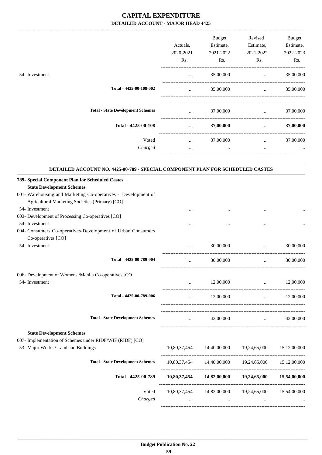|                                                                                                                                                                                                          | Actuals,<br>2020-2021<br>Rs.    | Budget<br>Estimate,<br>2021-2022<br>Rs. | Revised<br>Estimate,<br>2021-2022<br>Rs.                        | Budget<br>Estimate,<br>2022-2023<br>Rs. |
|----------------------------------------------------------------------------------------------------------------------------------------------------------------------------------------------------------|---------------------------------|-----------------------------------------|-----------------------------------------------------------------|-----------------------------------------|
| 54- Investment                                                                                                                                                                                           | $\cdots$                        | 35,00,000                               | $\cdots$                                                        | 35,00,000                               |
| Total - 4425-00-108-002                                                                                                                                                                                  | $\cdots$                        | 35,00,000                               | $\mathbf{r}$ and $\mathbf{r}$ and $\mathbf{r}$                  | 35,00,000                               |
| <b>Total - State Development Schemes</b>                                                                                                                                                                 | $\cdots$                        | 37,00,000                               | <b>Second Committee</b>                                         | 37,00,000                               |
| Total - 4425-00-108                                                                                                                                                                                      | $\cdots$                        | 37,00,000                               | $\cdots$                                                        | 37,00,000                               |
| Voted<br>Charged                                                                                                                                                                                         | $\cdots$<br>$\cdots$            | 37,00,000<br>$\cdots$                   | $\cdots$<br>$\cdots$                                            | 37,00,000                               |
| DETAILED ACCOUNT NO. 4425-00-789 - SPECIAL COMPONENT PLAN FOR SCHEDULED CASTES                                                                                                                           |                                 |                                         |                                                                 |                                         |
| 789- Special Component Plan for Scheduled Castes<br><b>State Development Schemes</b><br>001- Warehousing and Marketing Co-operatives - Development of<br>Agricultural Marketing Societies (Primary) [CO] |                                 |                                         |                                                                 |                                         |
| 54- Investment<br>003- Development of Processing Co-operatives [CO]<br>54- Investment<br>004- Consumers Co-operatives-Development of Urban Consumers                                                     |                                 |                                         |                                                                 |                                         |
| Co-operatives [CO]<br>54- Investment                                                                                                                                                                     |                                 | 30,00,000                               | $\ddotsc$                                                       | 30,00,000                               |
| Total - 4425-00-789-004                                                                                                                                                                                  | $\cdots$                        | 30,00,000                               | ----------------------------------<br>$\cdots$                  | 30,00,000                               |
| 006- Development of Womens /Mahila Co-operatives [CO]<br>54- Investment                                                                                                                                  | $\cdots$                        | 12,00,000                               | $\mathbf{1.1}$ and $\mathbf{1.1}$ and $\mathbf{1.1}$            | 12,00,000                               |
| Total - 4425-00-789-006                                                                                                                                                                                  | $\cdots$                        | 12,00,000                               | $\mathbf{r}$ and $\mathbf{r}$ and $\mathbf{r}$                  | 12,00,000                               |
| <b>Total - State Development Schemes</b>                                                                                                                                                                 | <b>Second Contract Contract</b> | 42,00,000                               | $\cdots$ . The contract of $\cdots$                             | 42,00,000                               |
| <b>State Development Schemes</b><br>007- Implementation of Schemes under RIDF/WIF (RIDF) [CO]<br>53- Major Works / Land and Buildings                                                                    |                                 |                                         | 10,80,37,454 14,40,00,000 19,24,65,000 15,12,00,000             |                                         |
| <b>Total - State Development Schemes</b>                                                                                                                                                                 |                                 |                                         | 10,80,37,454  14,40,00,000  19,24,65,000  15,12,00,000          |                                         |
| Total - 4425-00-789                                                                                                                                                                                      |                                 |                                         | 10,80,37,454 14,82,00,000 19,24,65,000 15,54,00,000             |                                         |
| Voted<br>Charged                                                                                                                                                                                         | $\cdots$                        | $\cdots$                                | 10,80,37,454 14,82,00,000 19,24,65,000 15,54,00,000<br>$\cdots$ |                                         |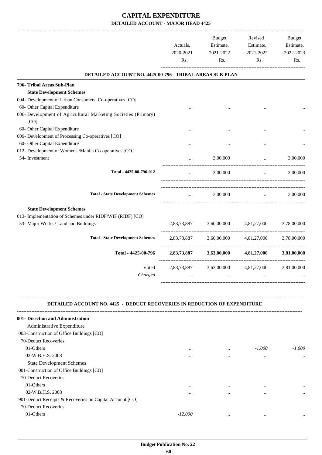|                                                                                  | Actuals,<br>2020-2021<br>Rs. | Budget<br>Estimate,<br>2021-2022<br>Rs. | Revised<br>Estimate,<br>2021-2022<br>Rs.   | <b>Budget</b><br>Estimate,<br>2022-2023<br>Rs. |
|----------------------------------------------------------------------------------|------------------------------|-----------------------------------------|--------------------------------------------|------------------------------------------------|
| DETAILED ACCOUNT NO. 4425-00-796 - TRIBAL AREAS SUB-PLAN                         |                              |                                         |                                            |                                                |
| 796- Tribal Areas Sub-Plan                                                       |                              |                                         |                                            |                                                |
| <b>State Development Schemes</b>                                                 |                              |                                         |                                            |                                                |
| 004- Development of Urban Consumers Co-operatives [CO]                           |                              |                                         |                                            |                                                |
| 60- Other Capital Expenditure                                                    |                              |                                         |                                            |                                                |
| 006- Development of Agricultural Marketing Societies (Primary)<br>[CO]           |                              |                                         |                                            |                                                |
| 60- Other Capital Expenditure                                                    |                              |                                         |                                            |                                                |
| 009- Development of Processing Co-operatives [CO]                                |                              |                                         |                                            |                                                |
| 60- Other Capital Expenditure                                                    |                              |                                         |                                            |                                                |
| 012- Development of Womens /Mahila Co-operatives [CO]                            |                              |                                         |                                            |                                                |
| 54- Investment                                                                   |                              | 3,00,000                                | $\cdots$<br>------------------------------ | 3,00,000                                       |
| Total - 4425-00-796-012                                                          | $\cdots$                     | 3,00,000                                | $\cdots$                                   | 3,00,000                                       |
| <b>Total - State Development Schemes</b>                                         | $\cdots$                     | 3,00,000                                | $\mathbf{r}$ , and $\mathbf{r}$            | 3,00,000                                       |
|                                                                                  |                              |                                         |                                            |                                                |
| <b>State Development Schemes</b>                                                 |                              |                                         |                                            |                                                |
| 013- Implementation of Schemes under RIDF/WIF (RIDF) [CO]                        |                              |                                         |                                            |                                                |
| 53- Major Works / Land and Buildings                                             | 2,83,73,887                  | 3,60,00,000                             | 4,81,27,000                                | 3,78,00,000                                    |
| <b>Total - State Development Schemes</b>                                         | 2,83,73,887                  | 3,60,00,000                             | 4,81,27,000                                | 3,78,00,000                                    |
| Total - 4425-00-796                                                              | 2,83,73,887                  | 3,63,00,000                             | 4,81,27,000                                | 3,81,00,000                                    |
| Voted                                                                            | 2,83,73,887                  | 3,63,00,000                             | 4,81,27,000                                | 3,81,00,000                                    |
| Charged                                                                          |                              |                                         |                                            |                                                |
| <b>DETAILED ACCOUNT NO. 4425 - DEDUCT RECOVERIES IN REDUCTION OF EXPENDITURE</b> |                              |                                         |                                            |                                                |
| 001- Direction and Administration                                                |                              |                                         |                                            |                                                |
| Administrative Expenditure                                                       |                              |                                         |                                            |                                                |
| 003-Construction of Office Buildings [CO]                                        |                              |                                         |                                            |                                                |
| 70-Deduct Recoveries                                                             |                              |                                         |                                            |                                                |
| 01-Others                                                                        | $\cdots$                     | $\cdots$                                | $-1,000$                                   | $-1,000$                                       |
| 02-W.B.H.S. 2008                                                                 | $\cdots$                     | $\cdots$                                | $\cdots$                                   | $\ddotsc$                                      |
| <b>State Development Schemes</b>                                                 |                              |                                         |                                            |                                                |
| 001-Construction of Office Buildings [CO]                                        |                              |                                         |                                            |                                                |
| 70-Deduct Recoveries                                                             |                              |                                         |                                            |                                                |
| 01-Others                                                                        | $\cdots$                     | $\cdots$                                | $\cdots$                                   |                                                |
| 02-W.B.H.S. 2008                                                                 | $\cdots$                     | $\cdots$                                | $\cdots$                                   | $\ddotsc$                                      |
| 901-Deduct Receipts & Recoveries on Capital Account [CO]                         |                              |                                         |                                            |                                                |
| 70-Deduct Recoveries                                                             |                              |                                         |                                            |                                                |
| 01-Others                                                                        | $-12,000$                    | $\cdots$                                | $\cdots$                                   |                                                |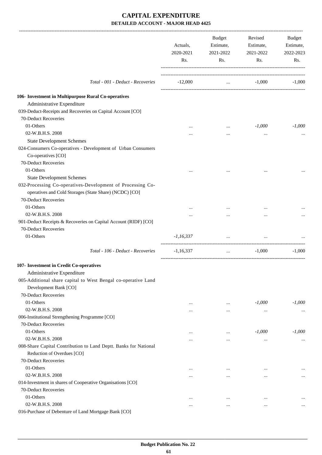|                                                                  | Actuals,<br>2020-2021<br>Rs. | Budget<br>Estimate,<br>2021-2022<br>Rs. | Revised<br>Estimate,<br>2021-2022<br>Rs. | Budget<br>Estimate,<br>2022-2023<br>Rs. |
|------------------------------------------------------------------|------------------------------|-----------------------------------------|------------------------------------------|-----------------------------------------|
|                                                                  |                              |                                         |                                          |                                         |
| Total - 001 - Deduct - Recoveries                                | $-12,000$                    |                                         | $\ldots$ -1,000                          | $-1,000$                                |
| 106- Investment in Multipurpose Rural Co-operatives              |                              |                                         |                                          |                                         |
| Administrative Expenditure                                       |                              |                                         |                                          |                                         |
| 039-Deduct-Receipts and Recoveries on Capital Account [CO]       |                              |                                         |                                          |                                         |
| 70-Deduct Recoveries                                             |                              |                                         |                                          |                                         |
| 01-Others                                                        |                              | $\cdots$                                | $-1,000$                                 | $-1,000$                                |
| 02-W.B.H.S. 2008                                                 |                              | $\cdots$                                | $\cdots$                                 |                                         |
| <b>State Development Schemes</b>                                 |                              |                                         |                                          |                                         |
| 024-Consumers Co-operatives - Development of Urban Consumers     |                              |                                         |                                          |                                         |
| Co-operatives [CO]                                               |                              |                                         |                                          |                                         |
| 70-Deduct Recoveries                                             |                              |                                         |                                          |                                         |
| 01-Others                                                        |                              |                                         |                                          |                                         |
| <b>State Development Schemes</b>                                 |                              |                                         |                                          |                                         |
| 032-Processing Co-operatives-Development of Processing Co-       |                              |                                         |                                          |                                         |
| operatives and Cold Storages (State Share) (NCDC) [CO]           |                              |                                         |                                          |                                         |
| 70-Deduct Recoveries                                             |                              |                                         |                                          |                                         |
| 01-Others                                                        |                              |                                         |                                          |                                         |
| 02-W.B.H.S. 2008                                                 |                              |                                         |                                          |                                         |
| 901-Deduct Receipts & Recoveries on Capital Account (RIDF) [CO]  |                              |                                         |                                          |                                         |
| 70-Deduct Recoveries                                             |                              |                                         |                                          |                                         |
| 01-Others                                                        | $-1,16,337$                  | $\cdots$                                | $\cdots$                                 |                                         |
| Total - 106 - Deduct - Recoveries                                | $-1,16,337$                  | $\cdots$                                | $-1,000$                                 | $-1,000$                                |
| 107- Investment in Credit Co-operatives                          |                              |                                         |                                          |                                         |
| Administrative Expenditure                                       |                              |                                         |                                          |                                         |
| 005-Additional share capital to West Bengal co-operative Land    |                              |                                         |                                          |                                         |
| Development Bank [CO]                                            |                              |                                         |                                          |                                         |
| 70-Deduct Recoveries                                             |                              |                                         |                                          |                                         |
| 01-Others                                                        | $\ddotsc$                    | $\cdots$                                | $-1,000$                                 | $-1,000$                                |
| 02-W.B.H.S. 2008                                                 | $\ddotsc$                    | $\cdots$                                | $\ldots$                                 |                                         |
| 006-Institutional Strengthening Programme [CO]                   |                              |                                         |                                          |                                         |
| 70-Deduct Recoveries                                             |                              |                                         |                                          |                                         |
| 01-Others                                                        | $\cdots$                     | $\cdots$                                | $-1,000$                                 | $-1,000$                                |
| 02-W.B.H.S. 2008                                                 | $\ddotsc$                    | $\cdots$                                | $\cdots$                                 | $\cdots$                                |
| 008-Share Capital Contribution to Land Deptt. Banks for National |                              |                                         |                                          |                                         |
| Reduction of Overdues [CO]                                       |                              |                                         |                                          |                                         |
| 70-Deduct Recoveries                                             |                              |                                         |                                          |                                         |
| 01-Others                                                        | $\cdots$                     | $\cdots$                                | $\cdots$                                 | $\cdots$                                |
| 02-W.B.H.S. 2008                                                 |                              |                                         | $\cdots$                                 | $\cdots$                                |
| 014-Investment in shares of Cooperative Organisations [CO]       |                              |                                         |                                          |                                         |
| 70-Deduct Recoveries                                             |                              |                                         |                                          |                                         |
| 01-Others<br>02-W.B.H.S. 2008                                    | $\cdots$                     | $\cdots$                                | $\cdots$                                 | $\cdots$                                |
| 016-Purchase of Debenture of Land Mortgage Bank [CO]             | $\cdots$                     | $\cdots$                                | $\cdots$                                 |                                         |
|                                                                  |                              |                                         |                                          |                                         |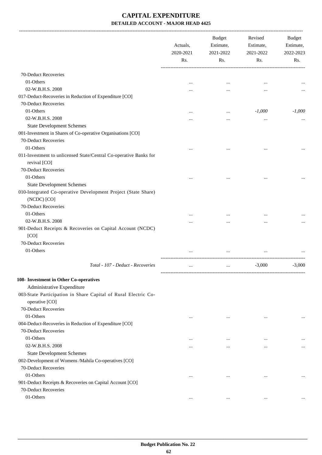-------------------------------------------------------------------------------------------------------------------------------------------------------------------------------

|                                                                              | Actuals,<br>2020-2021<br>Rs. | <b>Budget</b><br>Estimate,<br>2021-2022<br>Rs. | Revised<br>Estimate,<br>2021-2022<br>Rs. | <b>Budget</b><br>Estimate,<br>2022-2023<br>Rs. |
|------------------------------------------------------------------------------|------------------------------|------------------------------------------------|------------------------------------------|------------------------------------------------|
| 70-Deduct Recoveries                                                         |                              |                                                |                                          |                                                |
| 01-Others                                                                    | $\ddotsc$                    | $\cdots$                                       |                                          |                                                |
| 02-W.B.H.S. 2008                                                             | $\cdots$                     |                                                |                                          |                                                |
| 017-Deduct-Recoveries in Reduction of Expenditure [CO]                       |                              |                                                |                                          |                                                |
| 70-Deduct Recoveries                                                         |                              |                                                |                                          |                                                |
| 01-Others                                                                    |                              | $\cdots$                                       | $-1,000$                                 | $-1,000$                                       |
| 02-W.B.H.S. 2008                                                             |                              |                                                | $\cdots$                                 |                                                |
| <b>State Development Schemes</b>                                             |                              |                                                |                                          |                                                |
| 001-Investment in Shares of Co-operative Organisations [CO]                  |                              |                                                |                                          |                                                |
| 70-Deduct Recoveries                                                         |                              |                                                |                                          |                                                |
| 01-Others                                                                    | $\cdots$                     |                                                |                                          |                                                |
| 011-Investment to unlicensed State/Central Co-operative Banks for            |                              |                                                |                                          |                                                |
| revival [CO]                                                                 |                              |                                                |                                          |                                                |
| 70-Deduct Recoveries                                                         |                              |                                                |                                          |                                                |
| 01-Others                                                                    | $\cdots$                     | $\ddotsc$                                      |                                          |                                                |
| <b>State Development Schemes</b>                                             |                              |                                                |                                          |                                                |
| 010-Integrated Co-operative Development Project (State Share)<br>(NCDC) [CO] |                              |                                                |                                          |                                                |
| 70-Deduct Recoveries                                                         |                              |                                                |                                          |                                                |
| 01-Others                                                                    |                              |                                                |                                          |                                                |
| 02-W.B.H.S. 2008                                                             |                              |                                                |                                          |                                                |
| 901-Deduct Receipts & Recoveries on Capital Account (NCDC)                   |                              |                                                |                                          |                                                |
| [CO]                                                                         |                              |                                                |                                          |                                                |
| 70-Deduct Recoveries                                                         |                              |                                                |                                          |                                                |
| 01-Others                                                                    |                              |                                                |                                          |                                                |
|                                                                              |                              |                                                |                                          |                                                |
| Total - 107 - Deduct - Recoveries                                            | $\cdots$                     | $\cdots$                                       | $-3,000$                                 | $-3,000$                                       |
| 108- Investment in Other Co-operatives                                       |                              |                                                |                                          |                                                |
| Administrative Expenditure                                                   |                              |                                                |                                          |                                                |
| 003-State Participation in Share Capital of Rural Electric Co-               |                              |                                                |                                          |                                                |
| operative [CO]                                                               |                              |                                                |                                          |                                                |
| 70-Deduct Recoveries                                                         |                              |                                                |                                          |                                                |
| 01-Others                                                                    | $\cdots$                     | $\cdots$                                       | $\cdots$                                 | $\cdots$                                       |
| 004-Deduct-Recoveries in Reduction of Expenditure [CO]                       |                              |                                                |                                          |                                                |
| 70-Deduct Recoveries                                                         |                              |                                                |                                          |                                                |
| 01-Others                                                                    | $\ddotsc$                    | $\cdots$                                       | $\ddotsc$                                | $\cdots$                                       |
| 02-W.B.H.S. 2008                                                             |                              | $\cdots$                                       |                                          | $\cdots$                                       |
| <b>State Development Schemes</b>                                             |                              |                                                |                                          |                                                |
| 002-Development of Womens /Mahila Co-operatives [CO]                         |                              |                                                |                                          |                                                |
| 70-Deduct Recoveries                                                         |                              |                                                |                                          |                                                |
| 01-Others                                                                    | $\cdots$                     | $\cdots$                                       | $\cdots$                                 | $\cdots$                                       |
| 901-Deduct Receipts & Recoveries on Capital Account [CO]                     |                              |                                                |                                          |                                                |
| 70-Deduct Recoveries                                                         |                              |                                                |                                          |                                                |
| 01-Others                                                                    | $\ddotsc$                    | $\cdots$                                       | $\cdots$                                 |                                                |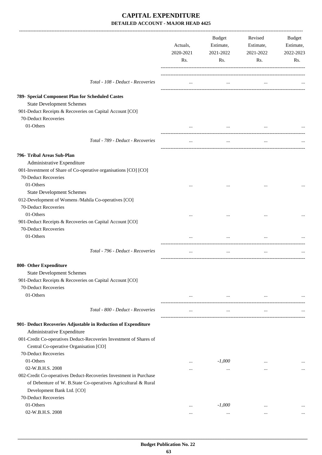|                                                                                              | Actuals,<br>2020-2021<br>Rs. | Budget<br>Estimate,<br>2021-2022<br>Rs. | Revised<br>Estimate,<br>2021-2022<br>Rs.  | Budget<br>Estimate,<br>2022-2023<br>Rs. |
|----------------------------------------------------------------------------------------------|------------------------------|-----------------------------------------|-------------------------------------------|-----------------------------------------|
| Total - 108 - Deduct - Recoveries                                                            | $\cdots$                     | $\cdots$                                | $\cdots$                                  |                                         |
| 789- Special Component Plan for Scheduled Castes                                             |                              |                                         |                                           |                                         |
| <b>State Development Schemes</b>                                                             |                              |                                         |                                           |                                         |
| 901-Deduct Receipts & Recoveries on Capital Account [CO]                                     |                              |                                         |                                           |                                         |
| 70-Deduct Recoveries                                                                         |                              |                                         |                                           |                                         |
| 01-Others                                                                                    | $\cdots$                     | $\cdots$                                |                                           |                                         |
| Total - 789 - Deduct - Recoveries                                                            | $\cdots$                     | $\cdots$                                | $\cdots$                                  |                                         |
| 796- Tribal Areas Sub-Plan                                                                   |                              |                                         |                                           |                                         |
| Administrative Expenditure                                                                   |                              |                                         |                                           |                                         |
| 001-Investment of Share of Co-operative organisations [CO] [CO]                              |                              |                                         |                                           |                                         |
| 70-Deduct Recoveries                                                                         |                              |                                         |                                           |                                         |
| 01-Others                                                                                    | $\cdots$                     | $\cdots$                                | $\cdots$                                  |                                         |
| <b>State Development Schemes</b><br>012-Development of Womens /Mahila Co-operatives [CO]     |                              |                                         |                                           |                                         |
| 70-Deduct Recoveries                                                                         |                              |                                         |                                           |                                         |
| 01-Others                                                                                    | $\cdots$                     |                                         |                                           |                                         |
| 901-Deduct Receipts & Recoveries on Capital Account [CO]                                     |                              |                                         |                                           |                                         |
| 70-Deduct Recoveries                                                                         |                              |                                         |                                           |                                         |
| 01-Others                                                                                    | $\cdots$                     | $\cdots$                                | $\cdots$                                  |                                         |
| Total - 796 - Deduct - Recoveries                                                            | $\cdots$                     | $\cdots$                                | $\cdots$                                  |                                         |
|                                                                                              |                              |                                         |                                           |                                         |
| 800- Other Expenditure                                                                       |                              |                                         |                                           |                                         |
| <b>State Development Schemes</b><br>901-Deduct Receipts & Recoveries on Capital Account [CO] |                              |                                         |                                           |                                         |
| 70-Deduct Recoveries                                                                         |                              |                                         |                                           |                                         |
| 01-Others                                                                                    | $\ldots$                     |                                         | and the state of the state of<br>$\cdots$ |                                         |
|                                                                                              |                              |                                         |                                           |                                         |
| Total - 800 - Deduct - Recoveries                                                            | $\cdots$                     | $\ldots$                                | $\ldots$                                  |                                         |
| 901- Deduct Recoveries Adjustable in Reduction of Expenditure                                |                              |                                         |                                           |                                         |
| Administrative Expenditure                                                                   |                              |                                         |                                           |                                         |
| 001-Credit Co-operatives Deduct-Recoveries Investment of Shares of                           |                              |                                         |                                           |                                         |
| Central Co-operative Organisation [CO]                                                       |                              |                                         |                                           |                                         |
| 70-Deduct Recoveries                                                                         |                              |                                         |                                           |                                         |
| 01-Others                                                                                    | $\cdots$                     | $-1,000$                                | $\cdots$                                  | $\cdots$                                |
| 02-W.B.H.S. 2008<br>002-Credit Co-operatives Deduct-Recoveries Investment in Purchase        |                              | $\cdots$                                | $\cdots$                                  | $\cdots$                                |
| of Debenture of W. B.State Co-operatives Agricultural & Rural                                |                              |                                         |                                           |                                         |
| Development Bank Ltd. [CO]                                                                   |                              |                                         |                                           |                                         |
| 70-Deduct Recoveries                                                                         |                              |                                         |                                           |                                         |
| 01-Others                                                                                    | $\ddotsc$                    | $-1,000$                                | $\cdots$                                  |                                         |
| 02-W.B.H.S. 2008                                                                             | $\cdots$                     | $\cdots$                                | $\cdots$                                  |                                         |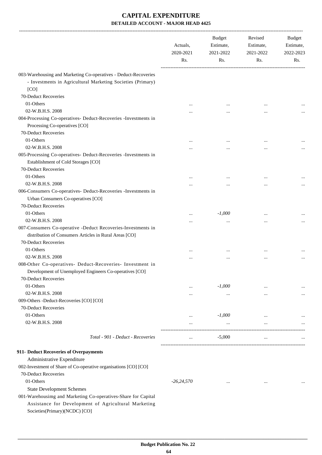|                                                                                                                                                                                            | Actuals,<br>2020-2021<br>Rs. | <b>Budget</b><br>Estimate,<br>2021-2022<br>Rs. | Revised<br>Estimate,<br>2021-2022<br>Rs. | Budget<br>Estimate,<br>2022-2023<br>Rs. |
|--------------------------------------------------------------------------------------------------------------------------------------------------------------------------------------------|------------------------------|------------------------------------------------|------------------------------------------|-----------------------------------------|
| 003-Warehousing and Marketing Co-operatives - Deduct-Recoveries<br>- Investments in Agricultural Marketing Societies (Primary)<br>[CO]                                                     |                              |                                                |                                          |                                         |
| 70-Deduct Recoveries                                                                                                                                                                       |                              |                                                |                                          |                                         |
| 01-Others                                                                                                                                                                                  |                              |                                                | $\cdots$                                 |                                         |
| 02-W.B.H.S. 2008                                                                                                                                                                           |                              |                                                | $\cdots$                                 |                                         |
| 004-Processing Co-operatives- Deduct-Recoveries -Investments in<br>Processing Co-operatives [CO]                                                                                           |                              |                                                |                                          |                                         |
| 70-Deduct Recoveries                                                                                                                                                                       |                              |                                                |                                          |                                         |
| 01-Others                                                                                                                                                                                  |                              |                                                | $\cdots$                                 |                                         |
| 02-W.B.H.S. 2008                                                                                                                                                                           |                              |                                                | $\cdots$                                 |                                         |
| 005-Processing Co-operatives- Deduct-Recoveries -Investments in<br>Establishment of Cold Storages [CO]                                                                                     |                              |                                                |                                          |                                         |
| 70-Deduct Recoveries                                                                                                                                                                       |                              |                                                |                                          |                                         |
| 01-Others                                                                                                                                                                                  |                              | $\cdots$                                       |                                          |                                         |
| 02-W.B.H.S. 2008                                                                                                                                                                           |                              |                                                | $\ddotsc$                                |                                         |
| 006-Consumers Co-operatives- Deduct-Recoveries -Investments in                                                                                                                             |                              |                                                |                                          |                                         |
| Urban Consumers Co-operatives [CO]                                                                                                                                                         |                              |                                                |                                          |                                         |
| 70-Deduct Recoveries                                                                                                                                                                       |                              |                                                |                                          |                                         |
| 01-Others<br>02-W.B.H.S. 2008                                                                                                                                                              |                              | $-1,000$                                       |                                          |                                         |
| 007-Consumers Co-operative -Deduct Recoveries-Investments in<br>distribution of Consumers Articles in Rural Areas [CO]                                                                     |                              | $\ddotsc$                                      | $\cdots$                                 |                                         |
| 70-Deduct Recoveries                                                                                                                                                                       |                              |                                                |                                          |                                         |
| 01-Others                                                                                                                                                                                  |                              |                                                | $\cdots$                                 |                                         |
| 02-W.B.H.S. 2008                                                                                                                                                                           |                              | $\cdots$                                       | $\cdots$                                 |                                         |
| 008-Other Co-operatives- Deduct-Recoveries- Investment in<br>Development of Unemployed Engineers Co-operatives [CO]<br>70-Deduct Recoveries                                                |                              |                                                |                                          |                                         |
| 01-Others                                                                                                                                                                                  |                              | $-1,000$                                       | $\cdots$                                 |                                         |
| 02-W.B.H.S. 2008                                                                                                                                                                           | $\cdots$                     | $\cdots$                                       | $\cdots$                                 | $\cdots$                                |
| 009-Others -Deduct-Recoveries [CO] [CO]                                                                                                                                                    |                              |                                                |                                          |                                         |
| 70-Deduct Recoveries                                                                                                                                                                       |                              |                                                |                                          |                                         |
| 01-Others                                                                                                                                                                                  | $\ddotsc$                    | $-1,000$                                       | $\cdots$                                 |                                         |
| 02-W.B.H.S. 2008                                                                                                                                                                           | $\cdots$                     | $\ldots$                                       | $\cdots$                                 |                                         |
| Total - 901 - Deduct - Recoveries                                                                                                                                                          | $\cdots$                     | $-5,000$                                       | $\ldots$                                 |                                         |
| 911- Deduct Recoveries of Overpayments                                                                                                                                                     |                              |                                                |                                          |                                         |
| Administrative Expenditure                                                                                                                                                                 |                              |                                                |                                          |                                         |
| 002-Investment of Share of Co-operative organisations [CO] [CO]                                                                                                                            |                              |                                                |                                          |                                         |
| 70-Deduct Recoveries                                                                                                                                                                       |                              |                                                |                                          |                                         |
| 01-Others                                                                                                                                                                                  | $-26,24,570$                 | $\cdots$                                       | $\cdots$                                 |                                         |
| <b>State Development Schemes</b><br>001-Warehousimg and Marketing Co-operatives-Share for Capital<br>Assistance for Development of Agricultural Marketing<br>Societies(Primary)(NCDC) [CO] |                              |                                                |                                          |                                         |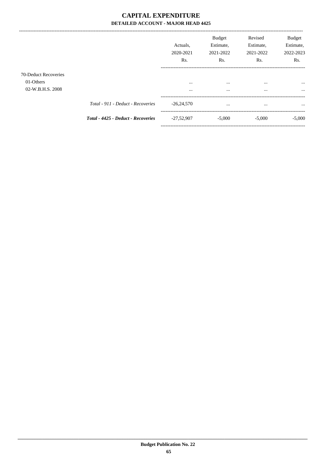------------------------------------

|                                                       | Actuals.<br>2020-2021<br>R <sub>s</sub> . | <b>Budget</b><br>Estimate,<br>2021-2022<br>Rs. | Revised<br>Estimate,<br>2021-2022<br>Rs. | <b>Budget</b><br>Estimate,<br>2022-2023<br>Rs. |
|-------------------------------------------------------|-------------------------------------------|------------------------------------------------|------------------------------------------|------------------------------------------------|
| 70-Deduct Recoveries<br>01-Others<br>02-W.B.H.S. 2008 | $\cdots$<br>$\cdots$                      | $\cdots$<br>$\cdots$                           | $\cdots$<br>$\cdots$                     | $\cdots$<br>$\cdots$                           |
| Total - 911 - Deduct - Recoveries                     | $-26,24,570$                              | $\cdots$                                       | $\cdots$                                 | $\cdots$                                       |
| Total - 4425 - Deduct - Recoveries                    | $-27,52,907$                              | $-5,000$                                       | $-5,000$                                 | $-5,000$                                       |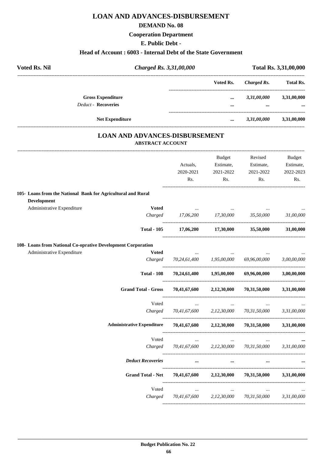#### **DEMAND No. 08**

### **Cooperation Department**

### **E. Public Debt -**

### **Head of Account : 6003 - Internal Debt of the State Government**

| <b>Voted Rs. Nil</b> |                                        | Charged Rs. 3,31,00,000 |             | <b>Total Rs. 3,31,00,000</b> |  |
|----------------------|----------------------------------------|-------------------------|-------------|------------------------------|--|
|                      |                                        | Voted Rs.               | Charged Rs. | <b>Total Rs.</b>             |  |
|                      | <b>Gross Expenditure</b>               | $\cdots$                | 3,31,00,000 | 3,31,00,000                  |  |
|                      | <b>Deduct - Recoveries</b>             |                         | $\cdots$    | $\ddotsc$                    |  |
|                      | <b>Net Expenditure</b>                 | $\cdots$                | 3,31,00,000 | 3,31,00,000                  |  |
|                      | LOJ M JAID J DVIJAJORO DIODIJDORAJEMIR |                         |             |                              |  |

#### **LOAN AND ADVANCES-DISBURSEMENT ABSTRACT ACCOUNT**

|                                                              | Actuals,<br>2020-2021<br>Rs.          | Budget<br>Estimate,<br>2021-2022<br>Rs. | Revised<br>Estimate,<br>2021-2022<br>Rs. | <b>Budget</b><br>Estimate,<br>2022-2023<br>Rs. |
|--------------------------------------------------------------|---------------------------------------|-----------------------------------------|------------------------------------------|------------------------------------------------|
| 105- Loans from the National Bank for Agricultural and Rural |                                       |                                         |                                          |                                                |
| Development                                                  |                                       |                                         |                                          |                                                |
| Administrative Expenditure<br><b>Voted</b><br>Charged        | 17,06,200 17,30,000                   |                                         | 35,50,000                                | 31,00,000                                      |
| <b>Total - 105</b>                                           |                                       | $17,06,200$ $17,30,000$ $35,50,000$     |                                          | 31,00,000                                      |
| 108- Loans from National Co-oprative Development Corporation |                                       |                                         |                                          |                                                |
| Administrative Expenditure<br><b>Voted</b>                   |                                       |                                         |                                          |                                                |
| Charged                                                      |                                       | 70,24,61,400 1,95,00,000                | 69,96,00,000                             | 3,00,00,000                                    |
| <b>Total - 108</b>                                           |                                       | 70,24,61,400 1,95,00,000                | 69,96,00,000                             | 3,00,00,000                                    |
| <b>Grand Total - Gross</b>                                   | 70,41,67,600                          | 2,12,30,000                             | 70,31,50,000                             | 3,31,00,000                                    |
| Voted                                                        | $\cdots$                              | $\cdots$                                |                                          |                                                |
| Charged                                                      | 70,41,67,600                          | 2,12,30,000                             | 70,31,50,000                             | 3,31,00,000                                    |
| <b>Administrative Expenditure</b>                            |                                       | 70,41,67,600 2,12,30,000                | 70,31,50,000                             | 3,31,00,000                                    |
| Voted                                                        | $\ddots$                              | $\ldots$                                |                                          |                                                |
| Charged                                                      |                                       | 70,41,67,600 2,12,30,000 70,31,50,000   |                                          | 3,31,00,000                                    |
| <b>Deduct Recoveries</b>                                     | $\cdots$                              | $\cdots$                                |                                          |                                                |
| <b>Grand Total - Net</b>                                     |                                       | $70,41,67,600$ $2,12,30,000$            | 70,31,50,000                             | 3,31,00,000                                    |
| Voted                                                        | $\cdots$                              |                                         |                                          |                                                |
| Charged                                                      | 70,41,67,600 2,12,30,000 70,31,50,000 |                                         |                                          | 3,31,00,000                                    |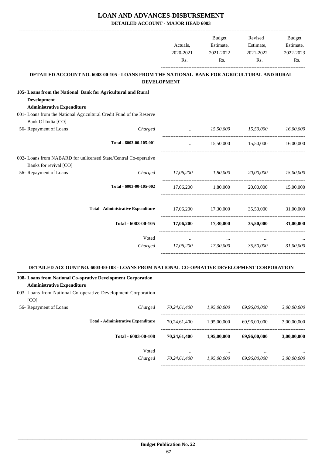**DETAILED ACCOUNT - MAJOR HEAD 6003**

|                                                                                                                  |                                                                                            | Actuals,                               | <b>Budget</b><br>Estimate, | Revised<br>Estimate,                  | Budget<br>Estimate, |
|------------------------------------------------------------------------------------------------------------------|--------------------------------------------------------------------------------------------|----------------------------------------|----------------------------|---------------------------------------|---------------------|
|                                                                                                                  |                                                                                            | 2020-2021<br>Rs.                       | 2021-2022<br>Rs.           | 2021-2022<br>Rs.                      | 2022-2023<br>Rs.    |
|                                                                                                                  | DETAILED ACCOUNT NO. 6003-00-105 - LOANS FROM THE NATIONAL BANK FOR AGRICULTURAL AND RURAL |                                        |                            |                                       |                     |
|                                                                                                                  |                                                                                            | <b>DEVELOPMENT</b>                     |                            |                                       |                     |
| 105- Loans from the National Bank for Agricultural and Rural<br>Development<br><b>Administrative Expenditure</b> |                                                                                            |                                        |                            |                                       |                     |
| 001- Loans from the National Agricultural Credit Fund of the Reserve<br>Bank Of India [CO]                       |                                                                                            |                                        |                            |                                       |                     |
| 56- Repayment of Loans                                                                                           | Charged                                                                                    | <b>Section</b> 1999                    |                            | 15,50,000 15,50,000                   | 16,00,000           |
|                                                                                                                  | Total - 6003-00-105-001                                                                    |                                        |                            | 15,50,000 15,50,000                   | 16,00,000           |
| 002- Loans from NABARD for unlicensed State/Central Co-operative<br>Banks for revival [CO]                       |                                                                                            |                                        |                            |                                       |                     |
| 56- Repayment of Loans                                                                                           | Charged                                                                                    | 17,06,200 1,80,000 20,00,000 15,00,000 |                            |                                       |                     |
|                                                                                                                  | Total - 6003-00-105-002                                                                    |                                        | 17,06,200 1,80,000         |                                       | 20.00.000 15.00.000 |
|                                                                                                                  | <b>Total - Administrative Expenditure</b>                                                  |                                        |                            | 17,06,200 17,30,000 35,50,000         | 31,00,000           |
|                                                                                                                  | Total - 6003-00-105                                                                        | 17,06,200                              | 17,30,000                  | 35,50,000                             | 31,00,000           |
|                                                                                                                  | Voted                                                                                      | $\cdots$                               | $\cdots$                   |                                       |                     |
|                                                                                                                  | Charged                                                                                    |                                        | 17,06,200 17,30,000        | 35.50.000                             | 31.00.000           |
|                                                                                                                  | DETAILED ACCOUNT NO. 6003-00-108 - LOANS FROM NATIONAL CO-OPRATIVE DEVELOPMENT CORPORATION |                                        |                            |                                       |                     |
| 108- Loans from National Co-oprative Development Corporation<br><b>Administrative Expenditure</b>                |                                                                                            |                                        |                            |                                       |                     |
| 003- Loans from National Co-operative Development Corporation<br>[CO]                                            |                                                                                            |                                        |                            |                                       |                     |
| 56- Repayment of Loans                                                                                           | Charged                                                                                    | 70,24,61,400 1,95,00,000               |                            | 69,96,00,000                          | 3,00,00,000         |
|                                                                                                                  | <b>Total - Administrative Expenditure</b>                                                  |                                        |                            | 70,24,61,400 1,95,00,000 69,96,00,000 | 3,00,00,000         |
|                                                                                                                  | Total - 6003-00-108                                                                        |                                        | 70,24,61,400 1,95,00,000   | 69,96,00,000                          | 3,00,00,000         |
|                                                                                                                  | Voted                                                                                      | $\ldots$                               | $\cdots$                   |                                       |                     |

*Charged 70,24,61,400 1,95,00,000 69,96,00,000 3,00,00,000*

-----------------------------------------------------------------------------------------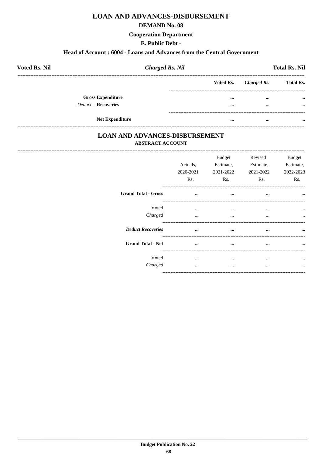#### **DEMAND No. 08**

#### **Cooperation Department**

### E. Public Debt -

#### Head of Account: 6004 - Loans and Advances from the Central Government

| <b>Voted Rs. Nil</b>       | <b>Charged Rs. Nil</b> |           |             | <b>Total Rs. Nil</b> |
|----------------------------|------------------------|-----------|-------------|----------------------|
|                            |                        | Voted Rs. | Charged Rs. | <b>Total Rs.</b>     |
| <b>Gross Expenditure</b>   |                        | $\cdots$  | $\cdots$    | $\cdots$             |
| <b>Deduct - Recoveries</b> |                        | $\cdots$  | $\cdots$    | $\cdots$             |
| <b>Net Expenditure</b>     |                        | $\cdots$  | $\cdots$    | $\cdots$             |

## **LOAN AND ADVANCES-DISBURSEMENT ABSTRACT ACCOUNT**

|                            | Actuals,<br>2020-2021<br>Rs. | <b>Budget</b><br>Estimate,<br>2021-2022<br>Rs. | Revised<br>Estimate,<br>2021-2022<br>Rs. | Budget<br>Estimate,<br>2022-2023<br>Rs. |
|----------------------------|------------------------------|------------------------------------------------|------------------------------------------|-----------------------------------------|
| <b>Grand Total - Gross</b> | $\cdots$                     | $\cdots$                                       | $\cdots$                                 | $\cdots$                                |
| Voted<br>Charged           | $\cdots$<br>$\cdots$         | $\cdots$<br>$\cdots$                           | $\cdots$<br>$\cdots$                     | $\ddotsc$<br>$\cdots$                   |
| <b>Deduct Recoveries</b>   | $\ddotsc$                    | $\cdots$                                       | $\cdots$                                 |                                         |
| <b>Grand Total - Net</b>   | $\cdots$                     | $\cdots$                                       | $\cdots$                                 | $\ddotsc$                               |
| Voted<br>Charged           | $\cdots$<br>$\cdots$         | $\cdots$<br>$\cdots$                           | $\cdots$<br>$\cdots$                     | $\ddotsc$<br>$\cdots$                   |
|                            |                              |                                                |                                          |                                         |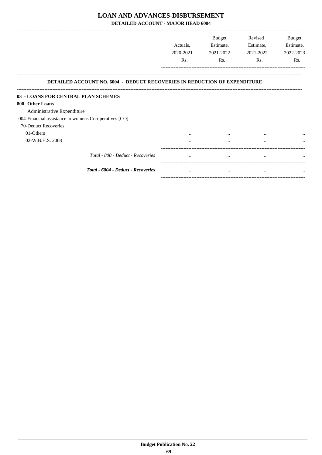DETAILED ACCOUNT - MAJOR HEAD 6004

|                                                                                  | Actuals,<br>2020-2021<br>Rs. | <b>Budget</b><br>Estimate,<br>2021-2022<br>Rs. | Revised<br>Estimate,<br>2021-2022<br>Rs. | <b>Budget</b><br>Estimate,<br>2022-2023<br>Rs. |
|----------------------------------------------------------------------------------|------------------------------|------------------------------------------------|------------------------------------------|------------------------------------------------|
| <b>DETAILED ACCOUNT NO. 6004 - DEDUCT RECOVERIES IN REDUCTION OF EXPENDITURE</b> |                              |                                                |                                          |                                                |
| 03 - LOANS FOR CENTRAL PLAN SCHEMES                                              |                              |                                                |                                          |                                                |
| 800- Other Loans                                                                 |                              |                                                |                                          |                                                |
| Administrative Expenditure                                                       |                              |                                                |                                          |                                                |
| 004-Financial assistance to womens Co-operatives [CO]                            |                              |                                                |                                          |                                                |
| 70-Deduct Recoveries                                                             |                              |                                                |                                          |                                                |
| 01-Others                                                                        |                              |                                                | $\cdots$                                 |                                                |
| 02-W.B.H.S. 2008                                                                 | $\cdots$                     | $\cdots$                                       | $\cdots$                                 | $\cdots$                                       |
| Total - 800 - Deduct - Recoveries                                                | $\cdots$                     | $\cdots$                                       | $\cdots$                                 |                                                |
| Total - 6004 - Deduct - Recoveries                                               | $\cdots$                     | $\cdots$                                       | $\cdots$                                 | $\cdots$                                       |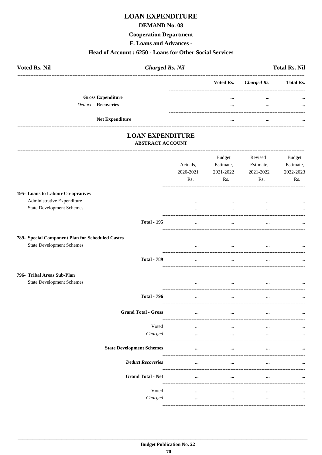## **LOAN EXPENDITURE**

#### **DEMAND No. 08**

#### **Cooperation Department**

F. Loans and Advances -

#### Head of Account: 6250 - Loans for Other Social Services

| <b>Voted Rs. Nil</b>       | <b>Charged Rs. Nil</b> |          |                       | <b>Total Rs. Nil</b> |  |  |
|----------------------------|------------------------|----------|-----------------------|----------------------|--|--|
|                            |                        |          | Voted Rs. Charged Rs. | <b>Total Rs.</b>     |  |  |
| <b>Gross Expenditure</b>   |                        | $\cdots$ | $\cdots$              | $\cdots$             |  |  |
| <b>Deduct - Recoveries</b> |                        |          | $\cdots$              | $\cdots$             |  |  |
| <b>Net Expenditure</b>     |                        | $\cdots$ | $\cdots$              | $\cdots$             |  |  |

### **LOAN EXPENDITURE ABSTRACT ACCOUNT**

 $\sim$ 

|                                                  | Actuals,<br>2020-2021<br>Rs. | <b>Budget</b><br>Estimate,<br>2021-2022<br>Rs. | Revised<br>Estimate,<br>2021-2022<br>Rs. | <b>Budget</b><br>Estimate,<br>2022-2023<br>Rs. |
|--------------------------------------------------|------------------------------|------------------------------------------------|------------------------------------------|------------------------------------------------|
| 195- Loans to Labour Co-opratives                |                              |                                                |                                          |                                                |
| Administrative Expenditure                       | $\cdots$                     |                                                |                                          |                                                |
| <b>State Development Schemes</b>                 |                              | $\cdots$                                       |                                          |                                                |
| <b>Total - 195</b>                               | $\cdots$                     | $\ddotsc$                                      | $\ddotsc$                                |                                                |
| 789- Special Component Plan for Scheduled Castes |                              |                                                |                                          |                                                |
| <b>State Development Schemes</b>                 | $\cdots$                     | $\ddotsc$                                      |                                          | $\cdots$                                       |
| <b>Total - 789</b>                               | $\ddotsc$                    |                                                |                                          |                                                |
| 796- Tribal Areas Sub-Plan                       |                              |                                                |                                          |                                                |
| <b>State Development Schemes</b>                 | $\cdots$                     | $\cdots$                                       |                                          |                                                |
| <b>Total - 796</b>                               | $\cdots$                     | $\cdots$                                       | $\ddotsc$                                |                                                |
| <b>Grand Total - Gross</b>                       | $\cdots$                     | $\cdots$                                       | $\cdots$                                 |                                                |
| Voted                                            | $\overline{\phantom{a}}$     | $\cdots$                                       | $\ddotsc$                                |                                                |
| Charged                                          | $\ddotsc$                    | $\cdots$                                       |                                          |                                                |
| <b>State Development Schemes</b>                 | $\ddotsc$                    | $\ddotsc$                                      |                                          |                                                |
| <b>Deduct Recoveries</b>                         | $\cdots$                     | $\cdots$                                       | $\cdots$                                 |                                                |
| <b>Grand Total - Net</b>                         | $\cdots$                     | $\cdots$                                       | $\cdots$                                 | $\ddotsc$                                      |
| Voted                                            |                              |                                                |                                          |                                                |
| Charged                                          | $\ldots$<br>$\cdots$         | $\cdots$<br>$\cdots$                           | $\ddotsc$<br>$\cdots$                    |                                                |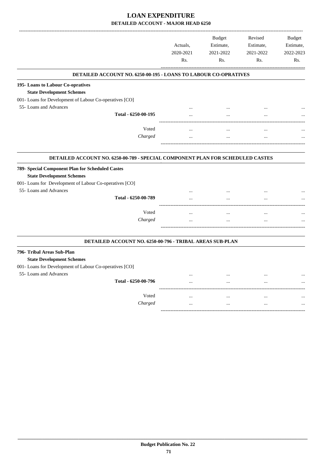|                                                                                                                                                                                                  | Actuals,<br>2020-2021<br>Rs. | <b>Budget</b><br>Estimate,<br>2021-2022<br>Rs. | Revised<br>Estimate,<br>2021-2022<br>Rs. | <b>Budget</b><br>Estimate,<br>2022-2023<br>Rs. |
|--------------------------------------------------------------------------------------------------------------------------------------------------------------------------------------------------|------------------------------|------------------------------------------------|------------------------------------------|------------------------------------------------|
| <b>DETAILED ACCOUNT NO. 6250-00-195 - LOANS TO LABOUR CO-OPRATIVES</b>                                                                                                                           |                              |                                                |                                          |                                                |
| 195-Loans to Labour Co-opratives<br><b>State Development Schemes</b><br>001- Loans for Development of Labour Co-operatives [CO]                                                                  |                              |                                                |                                          |                                                |
| 55- Loans and Advances                                                                                                                                                                           |                              |                                                |                                          |                                                |
| Total - 6250-00-195                                                                                                                                                                              |                              |                                                | $\cdots$                                 |                                                |
| Voted                                                                                                                                                                                            | $\ddotsc$                    | $\ddotsc$                                      | $\ddotsc$                                |                                                |
| Charged                                                                                                                                                                                          |                              |                                                | $\cdots$                                 |                                                |
| 789- Special Component Plan for Scheduled Castes<br><b>State Development Schemes</b><br>001- Loans for Development of Labour Co-operatives [CO]<br>55- Loans and Advances<br>Total - 6250-00-789 | $\ddotsc$<br>$\ddotsc$       | $\ddotsc$<br>$\ddotsc$                         | $\cdots$<br>$\ddotsc$                    |                                                |
|                                                                                                                                                                                                  |                              |                                                |                                          |                                                |
| Voted<br>Charged                                                                                                                                                                                 |                              |                                                | $\ldots$                                 |                                                |
|                                                                                                                                                                                                  |                              | $\ddotsc$                                      | $\ddotsc$                                |                                                |
| DETAILED ACCOUNT NO. 6250-00-796 - TRIBAL AREAS SUB-PLAN                                                                                                                                         |                              |                                                |                                          |                                                |
| 796- Tribal Areas Sub-Plan<br><b>State Development Schemes</b><br>001- Loans for Development of Labour Co-operatives [CO]                                                                        |                              |                                                |                                          |                                                |
| 55- Loans and Advances                                                                                                                                                                           |                              | $\ddotsc$                                      |                                          |                                                |
| Total - 6250-00-796                                                                                                                                                                              |                              | $\sim$                                         | $\ddotsc$                                |                                                |
| Voted                                                                                                                                                                                            |                              | $\cdots$                                       | $\cdots$                                 |                                                |
| Charged                                                                                                                                                                                          |                              | $\ddotsc$                                      | $\cdots$                                 |                                                |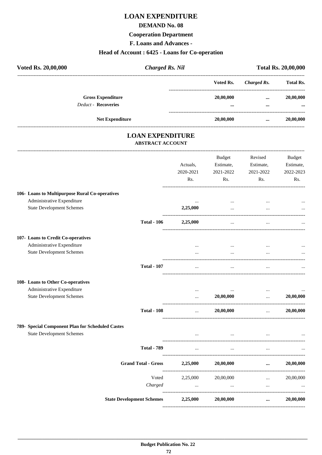## **LOAN EXPENDITURE**

#### **DEMAND No. 08**

#### **Cooperation Department**

F. Loans and Advances -

#### Head of Account: 6425 - Loans for Co-operation

| Voted Rs. 20,00,000                                    | <b>Charged Rs. Nil</b> |               | <b>Total Rs. 20,00,000</b> |                                   |
|--------------------------------------------------------|------------------------|---------------|----------------------------|-----------------------------------|
|                                                        |                        | Voted Rs.     | Charged Rs.                | <b>Total Rs.</b>                  |
| <b>Gross Expenditure</b><br><b>Deduct - Recoveries</b> |                        | 20,00,000<br> | $\cdots$<br>               | 20,00,000<br>$\ddot{\phantom{a}}$ |
| <b>Net Expenditure</b>                                 |                        | 20,00,000     | $\cdots$                   | 20,00,000                         |

### **LOAN EXPENDITURE ABSTRACT ACCOUNT**

|                                                  |                                  | Actuals,<br>2020-2021<br>Rs. | <b>Budget</b><br>Estimate,<br>2021-2022<br>Rs. | Revised<br>Estimate,<br>2021-2022<br>Rs. | <b>Budget</b><br>Estimate,<br>2022-2023<br>Rs. |
|--------------------------------------------------|----------------------------------|------------------------------|------------------------------------------------|------------------------------------------|------------------------------------------------|
| 106- Loans to Multipurpose Rural Co-operatives   |                                  |                              |                                                |                                          |                                                |
| Administrative Expenditure                       |                                  | $\ddotsc$                    | $\cdots$                                       | $\ddotsc$                                |                                                |
| <b>State Development Schemes</b>                 |                                  | 2,25,000                     | $\ddotsc$                                      |                                          |                                                |
|                                                  | <b>Total - 106</b>               | 2,25,000                     | $\ddotsc$                                      |                                          |                                                |
| 107- Loans to Credit Co-operatives               |                                  |                              |                                                |                                          |                                                |
| Administrative Expenditure                       |                                  |                              | $\cdots$                                       |                                          |                                                |
| <b>State Development Schemes</b>                 |                                  | $\cdots$                     | $\ddotsc$                                      |                                          |                                                |
|                                                  | <b>Total - 107</b>               | $\ldots$                     | $\cdots$                                       | $\cdots$                                 |                                                |
| 108- Loans to Other Co-operatives                |                                  |                              |                                                |                                          |                                                |
| Administrative Expenditure                       |                                  | $\cdots$                     | $\cdots$                                       | $\cdots$                                 |                                                |
| <b>State Development Schemes</b>                 |                                  | $\ddotsc$                    | 20,00,000                                      | $\ddotsc$                                | 20,00,000                                      |
|                                                  | <b>Total - 108</b>               | $\cdots$                     | 20,00,000                                      | $\cdots$                                 | 20,00,000                                      |
| 789- Special Component Plan for Scheduled Castes |                                  |                              |                                                |                                          |                                                |
| <b>State Development Schemes</b>                 |                                  |                              | $\cdots$                                       |                                          |                                                |
|                                                  | <b>Total - 789</b>               | $\cdots$                     | $\ldots$                                       | $\cdots$                                 |                                                |
|                                                  | <b>Grand Total - Gross</b>       | 2,25,000                     | 20,00,000                                      | $\cdots$                                 | 20,00,000                                      |
|                                                  | Voted                            | 2,25,000                     | 20,00,000                                      | $\cdots$                                 | 20,00,000                                      |
|                                                  | Charged                          | $\cdots$                     |                                                | $\ddotsc$                                |                                                |
|                                                  | <b>State Development Schemes</b> | 2,25,000                     | 20,00,000                                      | $\cdots$                                 | 20,00,000                                      |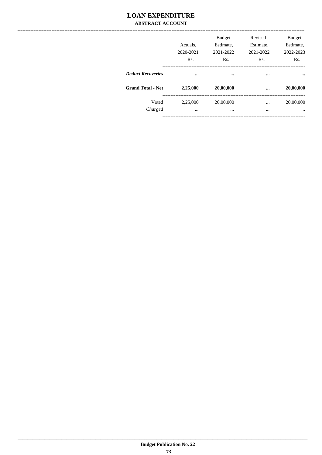### **LOAN EXPENDITURE ABSTRACT ACCOUNT**

|                          | Actuals.<br>2020-2021<br>Rs. | <b>Budget</b><br>Estimate,<br>2021-2022<br>Rs. | Revised<br>Estimate,<br>2021-2022<br>Rs. | <b>Budget</b><br>Estimate,<br>2022-2023<br>Rs. |
|--------------------------|------------------------------|------------------------------------------------|------------------------------------------|------------------------------------------------|
| <b>Deduct Recoveries</b> |                              |                                                |                                          |                                                |
| <b>Grand Total - Net</b> | 2,25,000                     | 20,00,000                                      |                                          | 20,00,000                                      |
| Voted<br>Charged         | 2,25,000<br>$\cdots$         | 20,00,000<br>$\cdots$                          | $\cdots$<br>$\cdots$                     | 20,00,000<br>                                  |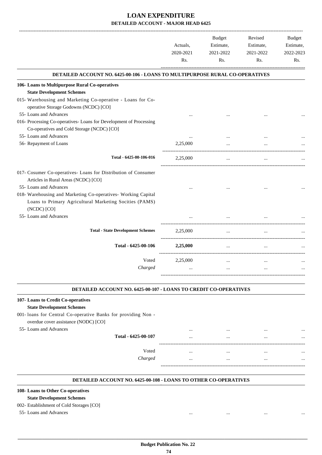|                                                                                                                                         | Actuals,<br>2020-2021<br>Rs. | <b>Budget</b><br>Estimate,<br>2021-2022<br>R <sub>s</sub> . | Revised<br>Estimate,<br>2021-2022<br>Rs. | <b>Budget</b><br>Estimate,<br>2022-2023<br>Rs. |
|-----------------------------------------------------------------------------------------------------------------------------------------|------------------------------|-------------------------------------------------------------|------------------------------------------|------------------------------------------------|
| DETAILED ACCOUNT NO. 6425-00-106 - LOANS TO MULTIPURPOSE RURAL CO-OPERATIVES                                                            |                              |                                                             |                                          |                                                |
| 106- Loans to Multipurpose Rural Co-operatives                                                                                          |                              |                                                             |                                          |                                                |
| <b>State Development Schemes</b>                                                                                                        |                              |                                                             |                                          |                                                |
| 015- Warehousing and Marketing Co-operative - Loans for Co-<br>operative Storage Godowns (NCDC) [CO]                                    |                              |                                                             |                                          |                                                |
| 55- Loans and Advances                                                                                                                  |                              |                                                             |                                          |                                                |
| 016- Processing Co-operatives- Loans for Development of Processing<br>Co-operatives and Cold Storage (NCDC) [CO]                        |                              |                                                             |                                          |                                                |
| 55- Loans and Advances                                                                                                                  |                              |                                                             |                                          |                                                |
| 56- Repayment of Loans                                                                                                                  | 2,25,000                     |                                                             |                                          |                                                |
| Total - 6425-00-106-016                                                                                                                 | 2,25,000                     | $\cdots$                                                    | $\ddotsc$                                |                                                |
| 017- Cosumer Co-operatives- Loans for Distribution of Consumer<br>Articles in Rural Areas (NCDC) [CO]                                   |                              |                                                             |                                          |                                                |
| 55- Loans and Advances                                                                                                                  |                              |                                                             |                                          |                                                |
| 018- Warehousing and Marketing Co-operatives- Working Capital<br>Loans to Primary Agricultural Marketing Socities (PAMS)<br>(NCDC) [CO] |                              |                                                             |                                          |                                                |
| 55- Loans and Advances                                                                                                                  |                              |                                                             |                                          |                                                |
| <b>Total - State Development Schemes</b>                                                                                                | 2,25,000                     |                                                             |                                          |                                                |
| Total - 6425-00-106                                                                                                                     | 2,25,000                     |                                                             |                                          |                                                |
| Voted                                                                                                                                   | 2,25,000                     | $\ddotsc$                                                   | $\ddotsc$                                |                                                |
| Charged                                                                                                                                 | $\cdots$                     | $\cdots$                                                    | $\ddotsc$                                |                                                |
|                                                                                                                                         |                              |                                                             |                                          |                                                |

#### **DETAILED ACCOUNT NO. 6425-00-107 - LOANS TO CREDIT CO-OPERATIVES .**

### **107- Loans to Credit Co-operatives State Development Schemes** 001- loans for Central Co-operative Banks for providing Non overdue cover assistance (NODC) [CO] 55- Loans and Advances ... ... ... ... **Total - 6425-00-107** ... ... ... ... ------------------------------------------------------------------------------------------ Voted ... ... ... ... *Charged* ... ... ... ... ----------------------------------------------------------------------------------------- .

#### **DETAILED ACCOUNT NO. 6425-00-108 - LOANS TO OTHER CO-OPERATIVES .**

#### **108- Loans to Other Co-operatives**

#### **State Development Schemes**

#### 002- Establishment of Cold Storages [CO]

55- Loans and Advances ... ... ... ...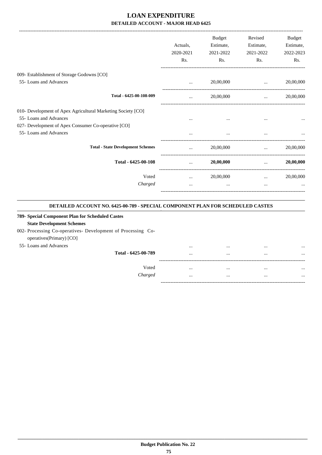|                                                              |           | <b>Budget</b> | Revised   | Budget    |
|--------------------------------------------------------------|-----------|---------------|-----------|-----------|
|                                                              | Actuals.  | Estimate,     | Estimate, | Estimate, |
|                                                              | 2020-2021 | 2021-2022     | 2021-2022 | 2022-2023 |
|                                                              | Rs.       | Rs.           | Rs.       | Rs.       |
| 009- Establishment of Storage Godowns [CO]                   |           |               |           |           |
| 55- Loans and Advances                                       | $\cdots$  | 20,00,000     | $\cdots$  | 20,00,000 |
| Total - 6425-00-108-009                                      |           | 20,00,000     | $\cdots$  | 20,00,000 |
| 010- Development of Apex Agricultural Marketing Society [CO] |           |               |           |           |
| 55- Loans and Advances                                       | $\cdots$  | $\cdots$      |           |           |
| 027- Development of Apex Consumer Co-operative [CO]          |           |               |           |           |
| 55- Loans and Advances                                       |           | $\cdots$      |           |           |
| <b>Total - State Development Schemes</b>                     | $\ddotsc$ | 20,00,000     | $\cdots$  | 20,00,000 |
| Total - 6425-00-108                                          | $\cdots$  | 20,00,000     | $\cdots$  | 20,00,000 |
| Voted                                                        | $\cdots$  | 20,00,000     | $\cdots$  | 20,00,000 |
| Charged                                                      | $\cdots$  | $\cdots$      | $\cdots$  |           |
|                                                              |           |               |           |           |

#### **DETAILED ACCOUNT NO. 6425-00-789 - SPECIAL COMPONENT PLAN FOR SCHEDULED CASTES .**

.

### **789- Special Component Plan for Scheduled Castes State Development Schemes** 002- Processing Co-operatives- Development of Processing Cooperatives(Primary) [CO] 55- Loans and Advances ... ... ... ... **Total - 6425-00-789** ... ... ... ... ------------------------------------------------------------------------------------------ Voted ... ... ... ... *Charged* ... ... ... ... -----------------------------------------------------------------------------------------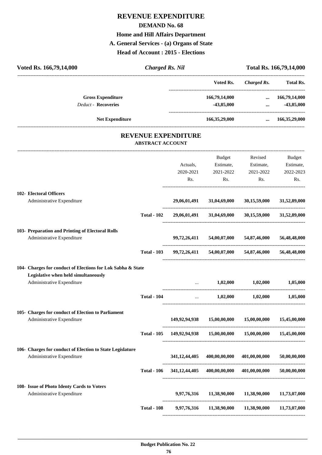# **REVENUE EXPENDITURE DEMAND No. 68 Home and Hill Affairs Department A. General Services - (a) Organs of State Head of Account : 2015 - Elections**

| Voted Rs. 166,79,14,000                                            |                         | <b>Charged Rs. Nil</b>                                           |                                                |                                                     | Total Rs. 166,79,14,000                       |
|--------------------------------------------------------------------|-------------------------|------------------------------------------------------------------|------------------------------------------------|-----------------------------------------------------|-----------------------------------------------|
|                                                                    |                         |                                                                  | Voted Rs.                                      | <b>Charged Rs.</b>                                  | <b>Total Rs.</b>                              |
| <b>Gross Expenditure</b>                                           |                         |                                                                  | 166,79,14,000                                  |                                                     | $\dots$ 166,79,14,000                         |
| <b>Deduct - Recoveries</b>                                         |                         |                                                                  | $-43,85,000$                                   |                                                     | $-43,85,000$<br>$\mathbf{m}$ and $\mathbf{m}$ |
| <b>Net Expenditure</b>                                             |                         |                                                                  |                                                | 166,35,29,000  166,35,29,000                        |                                               |
|                                                                    |                         | REVENUE EXPENDITURE                                              |                                                |                                                     |                                               |
|                                                                    | <b>ABSTRACT ACCOUNT</b> |                                                                  |                                                |                                                     |                                               |
|                                                                    |                         | Actuals,                                                         | <b>Budget</b>                                  | Revised<br>Estimate, Estimate,                      | Budget<br>Estimate,                           |
|                                                                    |                         | 2020-2021<br>Rs.                                                 | 2021-2022<br>Rs.                               | 2021-2022<br>Rs.                                    | 2022-2023<br>Rs.                              |
| 102- Electoral Officers                                            |                         |                                                                  |                                                |                                                     |                                               |
| Administrative Expenditure                                         |                         |                                                                  |                                                | 29,06,01,491 31,04,69,000 30,15,59,000 31,52,89,000 |                                               |
|                                                                    | <b>Total - 102</b>      |                                                                  |                                                | 29,06,01,491 31,04,69,000 30,15,59,000 31,52,89,000 |                                               |
| 103- Preparation and Printing of Electoral Rolls                   |                         |                                                                  |                                                |                                                     |                                               |
| Administrative Expenditure                                         |                         |                                                                  |                                                | 99,72,26,411 54,00,07,000 54,87,46,000              | 56,48,48,000                                  |
|                                                                    | <b>Total - 103</b>      |                                                                  |                                                | 99,72,26,411 54,00,07,000 54,87,46,000 56,48,48,000 |                                               |
| 104- Charges for conduct of Elections for Lok Sabha & State        |                         |                                                                  |                                                |                                                     |                                               |
| Legislative when held simultaneously<br>Administrative Expenditure |                         |                                                                  | $\mathbf{r}$ and $\mathbf{r}$ and $\mathbf{r}$ | $1,02,000$ $1,02,000$ $1,05,000$                    |                                               |
|                                                                    |                         |                                                                  |                                                |                                                     |                                               |
|                                                                    | <b>Total - 104</b>      | $\cdots$                                                         | 1,02,000                                       | 1,02,000                                            | 1,05,000                                      |
| 105- Charges for conduct of Election to Parliament                 |                         |                                                                  |                                                |                                                     |                                               |
| Administrative Expenditure                                         |                         |                                                                  | 149,92,94,938 15,00,00,000                     | 15,00,00,000                                        | 15,45,00,000                                  |
|                                                                    |                         | Total - 105 149,92,94,938 15,00,00,000 15,00,00,000 15,45,00,000 |                                                |                                                     |                                               |
| 106- Charges for conduct of Election to State Legislature          |                         |                                                                  |                                                |                                                     |                                               |
| Administrative Expenditure                                         |                         |                                                                  | 341,12,44,405 400,00,00,000                    | 401,00,00,000                                       | 50,00,00,000                                  |
|                                                                    | <b>Total - 106</b>      |                                                                  | 341,12,44,405 400,00,00,000                    | 401,00,00,000                                       | 50,00,00,000                                  |
| 108- Issue of Photo Identy Cards to Voters                         |                         |                                                                  |                                                |                                                     |                                               |
| Administrative Expenditure                                         |                         |                                                                  |                                                | 9,97,76,316 11,38,90,000 11,38,90,000 11,73,07,000  |                                               |
|                                                                    | <b>Total - 108</b>      |                                                                  |                                                | 9,97,76,316 11,38,90,000 11,38,90,000 11,73,07,000  |                                               |
|                                                                    |                         |                                                                  |                                                |                                                     |                                               |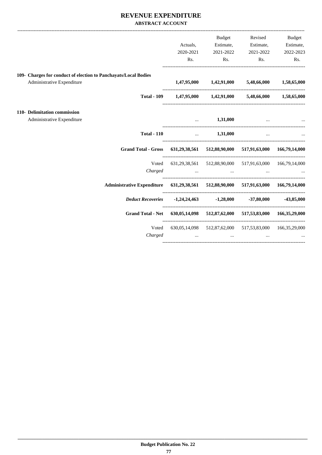### **REVENUE EXPENDITURE ABSTRACT ACCOUNT**

|                                                                                    |                                                                 | Budget                                                                                                                                                                     | Revised                       | Budget                |
|------------------------------------------------------------------------------------|-----------------------------------------------------------------|----------------------------------------------------------------------------------------------------------------------------------------------------------------------------|-------------------------------|-----------------------|
|                                                                                    | Actuals,                                                        |                                                                                                                                                                            | Estimate, Estimate, Estimate, |                       |
|                                                                                    | 2020-2021                                                       | 2021-2022                                                                                                                                                                  | 2021-2022                     | 2022-2023             |
|                                                                                    | Rs.                                                             |                                                                                                                                                                            | $\mathbf{Rs.}$                | $\mathbf{Rs.}$<br>Rs. |
| 109- Charges for conduct of election to Panchayats/Local Bodies                    |                                                                 |                                                                                                                                                                            |                               |                       |
| Administrative Expenditure                                                         |                                                                 | $1,47,95,000$ $1,42,91,000$ $5,48,66,000$ $1,58,65,000$                                                                                                                    |                               |                       |
|                                                                                    | Total - 109  1,47,95,000  1,42,91,000  5,48,66,000  1,58,65,000 |                                                                                                                                                                            |                               |                       |
| 110- Delimitation commission                                                       |                                                                 |                                                                                                                                                                            |                               |                       |
| Administrative Expenditure                                                         | $\ddotsc$                                                       | 1,31,000                                                                                                                                                                   | $\mathbf{r}$                  |                       |
| <b>Total - 110</b>                                                                 |                                                                 | $\dots$ 1,31,000 $\dots$                                                                                                                                                   |                               |                       |
| <b>Grand Total - Gross</b>                                                         |                                                                 | 631,29,38,561 512,88,90,000 517,91,63,000 166,79,14,000                                                                                                                    |                               |                       |
| Voted                                                                              |                                                                 | 631,29,38,561 512,88,90,000 517,91,63,000 166,79,14,000                                                                                                                    |                               |                       |
|                                                                                    | $Charged$ $\dots$ $\dots$ $\dots$ $\dots$                       |                                                                                                                                                                            |                               |                       |
| Administrative Expenditure 631,29,38,561 512,88,90,000 517,91,63,000 166,79,14,000 |                                                                 |                                                                                                                                                                            |                               |                       |
|                                                                                    |                                                                 |                                                                                                                                                                            |                               |                       |
| <b>Grand Total - Net</b>                                                           |                                                                 | 630,05,14,098 512,87,62,000 517,53,83,000 166,35,29,000                                                                                                                    |                               |                       |
| Voted<br>Charged                                                                   |                                                                 | 630,05,14,098 512,87,62,000 517,53,83,000 166,35,29,000<br>the contract of the contract of the contract of the contract of the contract of the contract of the contract of |                               |                       |
|                                                                                    |                                                                 |                                                                                                                                                                            |                               |                       |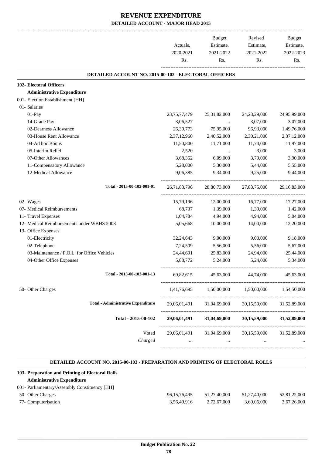|                 |                 |                                                                                                         | Budget<br>Estimate,                                                                                                                                                  |
|-----------------|-----------------|---------------------------------------------------------------------------------------------------------|----------------------------------------------------------------------------------------------------------------------------------------------------------------------|
| Actuals,        | Estimate,       | Estimate,                                                                                               |                                                                                                                                                                      |
| 2020-2021       | 2021-2022       | 2021-2022                                                                                               | 2022-2023                                                                                                                                                            |
|                 | Rs.             | Rs.                                                                                                     | Rs.                                                                                                                                                                  |
|                 |                 |                                                                                                         |                                                                                                                                                                      |
|                 |                 |                                                                                                         |                                                                                                                                                                      |
|                 |                 |                                                                                                         |                                                                                                                                                                      |
|                 |                 |                                                                                                         |                                                                                                                                                                      |
|                 |                 |                                                                                                         |                                                                                                                                                                      |
| 23, 75, 77, 479 | 25, 31, 82, 000 | 24, 23, 29, 000                                                                                         | 24,95,99,000                                                                                                                                                         |
| 3,06,527        |                 | 3,07,000                                                                                                | 3,07,000                                                                                                                                                             |
| 26, 30, 773     | 75,95,000       | 96,93,000                                                                                               | 1,49,76,000                                                                                                                                                          |
| 2,37,12,960     | 2,40,52,000     | 2,30,21,000                                                                                             | 2,37,12,000                                                                                                                                                          |
| 11,50,800       | 11,71,000       | 11,74,000                                                                                               | 11,97,000                                                                                                                                                            |
| 2,520           | $\cdots$        | 3,000                                                                                                   | 3,000                                                                                                                                                                |
| 3,68,352        | 6,09,000        | 3,79,000                                                                                                | 3,90,000                                                                                                                                                             |
| 5,28,000        | 5,30,000        | 5,44,000                                                                                                | 5,55,000                                                                                                                                                             |
| 9,06,385        | 9,34,000        | 9,25,000                                                                                                | 9,44,000                                                                                                                                                             |
| 26, 71, 83, 796 |                 |                                                                                                         | 29, 16, 83, 000                                                                                                                                                      |
| 15,79,196       | 12,00,000       | 16,77,000                                                                                               | 17,27,000                                                                                                                                                            |
| 68,737          | 1,39,000        | 1,39,000                                                                                                | 1,42,000                                                                                                                                                             |
| 1,04,784        | 4,94,000        | 4,94,000                                                                                                | 5,04,000                                                                                                                                                             |
| 5,05,668        | 10,00,000       | 14,00,000                                                                                               | 12,20,000                                                                                                                                                            |
|                 |                 |                                                                                                         |                                                                                                                                                                      |
| 32, 24, 643     | 9,00,000        | 9,00,000                                                                                                | 9,18,000                                                                                                                                                             |
| 7,24,509        | 5,56,000        | 5,56,000                                                                                                | 5,67,000                                                                                                                                                             |
| 24,44,691       | 25,83,000       | 24,94,000                                                                                               | 25,44,000                                                                                                                                                            |
| 5,88,772        | 5,24,000        | 5,24,000                                                                                                | 5,34,000                                                                                                                                                             |
| 69,82,615       | 45,63,000       | 44,74,000                                                                                               | 45,63,000                                                                                                                                                            |
|                 |                 |                                                                                                         | 1,54,50,000                                                                                                                                                          |
|                 | 31,04,69,000    | 30,15,59,000                                                                                            | 31,52,89,000                                                                                                                                                         |
| 29,06,01,491    |                 | 30,15,59,000                                                                                            | 31,52,89,000                                                                                                                                                         |
|                 |                 | 30,15,59,000                                                                                            | 31,52,89,000                                                                                                                                                         |
|                 | Rs.             | <b>DETAILED ACCOUNT NO. 2015-00-102 - ELECTORAL OFFICERS</b><br>29,06,01,491<br>----------------------- | 28,80,73,000 27,83,75,000<br>1,41,76,695 1,50,00,000 1,50,00,000<br>31,04,69,000<br>29,06,01,491 31,04,69,000<br>------------------------<br>----------------------- |

#### **DETAILED ACCOUNT NO. 2015-00-103 - PREPARATION AND PRINTING OF ELECTORAL ROLLS .**

.

|                     | 103- Preparation and Printing of Electoral Rolls |                 |              |              |              |
|---------------------|--------------------------------------------------|-----------------|--------------|--------------|--------------|
|                     | <b>Administrative Expenditure</b>                |                 |              |              |              |
|                     | 001- Parliamentary/Assembly Constituency [HH]    |                 |              |              |              |
| 50- Other Charges   |                                                  | 96, 15, 76, 495 | 51.27.40.000 | 51.27.40.000 | 52,81,22,000 |
| 77- Computerisation |                                                  | 3.56.49.916     | 2.72.67.000  | 3,60,06,000  | 3,67,26,000  |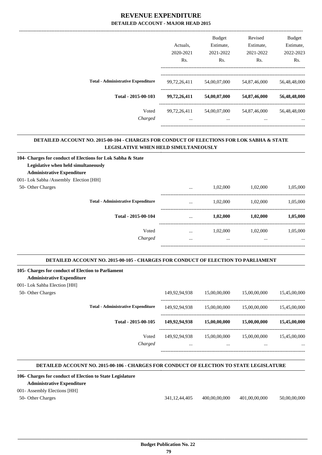|                                           | Actuals.     | <b>Budget</b><br>Estimate, | Revised<br>Estimate, | <b>Budget</b><br>Estimate, |
|-------------------------------------------|--------------|----------------------------|----------------------|----------------------------|
|                                           | 2020-2021    | 2021-2022                  | 2021-2022            | 2022-2023                  |
|                                           | Rs.          | Rs.                        | Rs.                  | Rs.                        |
| <b>Total - Administrative Expenditure</b> | 99,72,26,411 | 54,00,07,000               | 54,87,46,000         | 56,48,48,000               |
| Total - 2015-00-103                       | 99,72,26,411 | 54,00,07,000               | 54,87,46,000         | 56,48,48,000               |
| Voted                                     | 99,72,26,411 | 54,00,07,000               | 54,87,46,000         | 56,48,48,000               |
| Charged                                   | $\cdots$     | $\cdots$                   | $\cdots$             |                            |
|                                           |              |                            |                      |                            |

.

.

.

#### **DETAILED ACCOUNT NO. 2015-00-104 - CHARGES FOR CONDUCT OF ELECTIONS FOR LOK SABHA & STATE LEGISLATIVE WHEN HELD SIMULTANEOUSLY .**

| 104- Charges for conduct of Elections for Lok Sabha & State |          |          |          |          |
|-------------------------------------------------------------|----------|----------|----------|----------|
| Legislative when held simultaneously                        |          |          |          |          |
| <b>Administrative Expenditure</b>                           |          |          |          |          |
| 001- Lok Sabha / Assembly Election [HH]                     |          |          |          |          |
| 50- Other Charges                                           | $\cdots$ | 1,02,000 | 1.02.000 | 1.05.000 |
| <b>Total - Administrative Expenditure</b>                   | $\cdots$ | 1.02.000 | 1.02.000 | 1,05,000 |
| Total - 2015-00-104                                         | $\cdots$ | 1,02,000 | 1,02,000 | 1,05,000 |
| Voted                                                       | $\cdots$ | 1.02.000 | 1.02.000 | 1.05.000 |
| Charged                                                     | $\cdots$ | $\cdots$ | $\cdots$ | $\cdots$ |
|                                                             |          |          |          |          |

#### **DETAILED ACCOUNT NO. 2015-00-105 - CHARGES FOR CONDUCT OF ELECTION TO PARLIAMENT .**

#### **105- Charges for conduct of Election to Parliament Administrative Expenditure**

# 001- Lok Sahba Election [HH]

| 50- Other Charges |                                           | 149.92.94.938             | 15,00,00,000             | 15,00,00,000             | 15,45,00,000             |
|-------------------|-------------------------------------------|---------------------------|--------------------------|--------------------------|--------------------------|
|                   | <b>Total - Administrative Expenditure</b> | 149.92.94.938             | 15,00,00,000             | 15,00,00,000             | 15,45,00,000             |
|                   | Total - 2015-00-105                       | 149,92,94,938             | 15,00,00,000             | 15,00,00,000             | 15,45,00,000             |
|                   | Voted<br>Charged                          | 149.92.94.938<br>$\cdots$ | 15,00,00,000<br>$\cdots$ | 15,00,00,000<br>$\cdots$ | 15,45,00,000<br>$\cdots$ |
|                   |                                           |                           |                          |                          |                          |

#### **DETAILED ACCOUNT NO. 2015-00-106 - CHARGES FOR CONDUCT OF ELECTION TO STATE LEGISLATURE .**

## **106- Charges for conduct of Election to State Legislature Administrative Expenditure** 001- Assembly Elections [HH] 50- Other Charges 341,12,44,405 400,00,00,000 401,00,00,000 50,00,00,000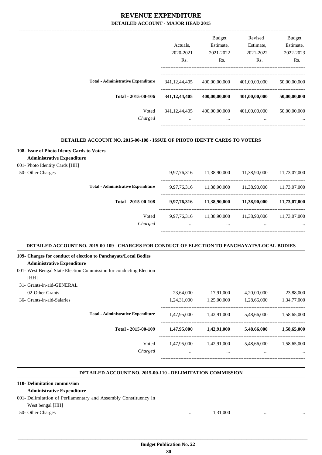|                                           |                  | <b>Budget</b> | Revised       | <b>Budget</b> |
|-------------------------------------------|------------------|---------------|---------------|---------------|
|                                           | Actuals.         | Estimate,     | Estimate,     | Estimate,     |
|                                           | 2020-2021        | 2021-2022     | 2021-2022     | 2022-2023     |
|                                           | R <sub>s</sub> . | Rs.           | Rs.           | Rs.           |
| <b>Total - Administrative Expenditure</b> | 341, 12, 44, 405 | 400,00,00,000 | 401,00,00,000 | 50,00,00,000  |
| Total - 2015-00-106                       | 341, 12, 44, 405 | 400,00,00,000 | 401,00,00,000 | 50,00,00,000  |
| Voted                                     | 341, 12, 44, 405 | 400,00,00,000 | 401,00,00,000 | 50,00,00,000  |
| Charged                                   | $\cdots$         | $\cdots$      | $\cdots$      | $\cdots$      |
|                                           |                  |               |               |               |

#### **DETAILED ACCOUNT NO. 2015-00-108 - ISSUE OF PHOTO IDENTY CARDS TO VOTERS**

| 108- Issue of Photo Identy Cards to Voters<br><b>Administrative Expenditure</b> |             |              |              |              |
|---------------------------------------------------------------------------------|-------------|--------------|--------------|--------------|
| 001- Photo Identity Cards [HH]                                                  |             |              |              |              |
| 50- Other Charges                                                               | 9,97,76,316 | 11,38,90,000 | 11.38.90.000 | 11.73.07.000 |
| <b>Total - Administrative Expenditure</b>                                       | 9.97.76.316 | 11,38,90,000 | 11.38.90.000 | 11.73.07.000 |
| Total - 2015-00-108                                                             | 9,97,76,316 | 11,38,90,000 | 11,38,90,000 | 11,73,07,000 |
| Voted                                                                           | 9.97.76.316 | 11,38,90,000 | 11.38.90.000 | 11.73.07.000 |
| Charged                                                                         | $\cdots$    | $\cdots$     | $\cdots$     | $\cdots$     |
|                                                                                 |             |              |              |              |

#### **DETAILED ACCOUNT NO. 2015-00-109 - CHARGES FOR CONDUCT OF ELECTION TO PANCHAYATS/LOCAL BODIES .**

| 109- Charges for conduct of election to Panchayats/Local Bodies     |             |             |             |             |
|---------------------------------------------------------------------|-------------|-------------|-------------|-------------|
| <b>Administrative Expenditure</b>                                   |             |             |             |             |
| 001 - West Bengal State Election Commission for conducting Election |             |             |             |             |
| [HH]                                                                |             |             |             |             |
| 31- Grants-in-aid-GENERAL                                           |             |             |             |             |
| 02-Other Grants                                                     | 23,64,000   | 17.91.000   | 4,20,00,000 | 23,88,000   |
| 36- Grants-in-aid-Salaries                                          | 1,24,31,000 | 1,25,00,000 | 1,28,66,000 | 1,34,77,000 |
| <b>Total - Administrative Expenditure</b>                           | 1,47,95,000 | 1,42,91,000 | 5,48,66,000 | 1,58,65,000 |
| Total - 2015-00-109                                                 | 1,47,95,000 | 1,42,91,000 | 5,48,66,000 | 1,58,65,000 |
| Voted                                                               | 1,47,95,000 | 1,42,91,000 | 5,48,66,000 | 1,58,65,000 |
| Charged                                                             | $\cdots$    | $\cdots$    | $\cdots$    |             |
|                                                                     |             |             |             |             |

#### **DETAILED ACCOUNT NO. 2015-00-110 - DELIMITATION COMMISSION .**

#### **110- Delimitation commission**

#### **Administrative Expenditure**

001- Delimitation of Perliamentary and Assembly Constituency in

### West bengal [HH]

50- Other Charges ... ... 1,31,000 ... ... ... 1,31,000

.

.

.

 **Budget Publication No. 22 80**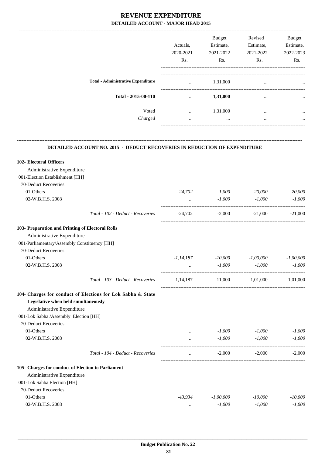|                                           | Actuals,<br>2020-2021<br>Rs. | <b>Budget</b><br>Estimate,<br>2021-2022<br>Rs. | Revised<br>Estimate,<br>2021-2022<br>Rs. | <b>Budget</b><br>Estimate,<br>2022-2023<br>Rs. |
|-------------------------------------------|------------------------------|------------------------------------------------|------------------------------------------|------------------------------------------------|
| <b>Total - Administrative Expenditure</b> | $\cdots$                     | 1,31,000                                       | $\cdots$                                 | $\ddotsc$                                      |
| Total - 2015-00-110                       | $\cdots$                     | 1,31,000                                       | $\cdots$                                 | $\cdots$                                       |
| Voted<br>Charged                          | $\cdots$<br>$\cdots$         | 1,31,000<br>                                   | $\cdots$<br>$\cdots$                     | $\cdots$<br>$\cdots$                           |
|                                           |                              |                                                |                                          |                                                |

-------------------------------------------------------------------------------------------------------------------------------------------------------------------------------

#### **DETAILED ACCOUNT NO. 2015 - DEDUCT RECOVERIES IN REDUCTION OF EXPENDITURE**

**--------------------------------------------------------------------------------------------------------------------------------------------------------------------------------**

| 102- Electoral Officers                                     |                                              |             |                       |             |
|-------------------------------------------------------------|----------------------------------------------|-------------|-----------------------|-------------|
| Administrative Expenditure                                  |                                              |             |                       |             |
| 001-Election Establishment [HH]                             |                                              |             |                       |             |
| 70-Deduct Recoveries                                        |                                              |             |                       |             |
| 01-Others                                                   | $-24,702$                                    | $-1,000$    | $-20,000$             | $-20,000$   |
| 02-W.B.H.S. 2008                                            | $\mathbf{r}$ , and the state of $\mathbf{r}$ | $-1,000$    | $-1,000$              | $-1,000$    |
| Total - 102 - Deduct - Recoveries                           | -24,702                                      | $-2,000$    | $-21,000$             | $-21,000$   |
| 103- Preparation and Printing of Electoral Rolls            |                                              |             |                       |             |
| Administrative Expenditure                                  |                                              |             |                       |             |
| 001-Parliamentary/Assembly Constituency [HH]                |                                              |             |                       |             |
| 70-Deduct Recoveries                                        |                                              |             |                       |             |
| 01-Others                                                   | $-1,14,187$                                  | -10,000     | $-1,00,000$           | $-1,00,000$ |
| 02-W.B.H.S. 2008                                            | $\mathbf{1}$                                 | $-1,000$    | $-1,000$              | $-1,000$    |
| Total - 103 - Deduct - Recoveries                           | -1,14,187                                    |             | $-11,000$ $-1,01,000$ | $-1,01,000$ |
| 104- Charges for conduct of Elections for Lok Sabha & State |                                              |             |                       |             |
| Legislative when held simultaneously                        |                                              |             |                       |             |
| Administrative Expenditure                                  |                                              |             |                       |             |
| 001-Lok Sabha /Assembly Election [HH]                       |                                              |             |                       |             |
| 70-Deduct Recoveries                                        |                                              |             |                       |             |
| 01-Others                                                   | <b>Second Committee</b>                      | $-1,000$    | $-1,000$              | $-1,000$    |
| 02-W.B.H.S. 2008                                            | $\cdots$                                     | $-1,000$    | $-1,000$              | $-1,000$    |
| Total - 104 - Deduct - Recoveries                           | $\cdots$                                     | $-2,000$    | $-2,000$              | $-2,000$    |
| 105- Charges for conduct of Election to Parliament          |                                              |             |                       |             |
| Administrative Expenditure                                  |                                              |             |                       |             |
| 001-Lok Sahba Election [HH]                                 |                                              |             |                       |             |
| 70-Deduct Recoveries                                        |                                              |             |                       |             |
| 01-Others                                                   | -43,934                                      | $-1,00,000$ | $-10,000$             | $-10,000$   |
| 02-W.B.H.S. 2008                                            | $\cdots$                                     | $-1,000$    | $-1,000$              | $-1,000$    |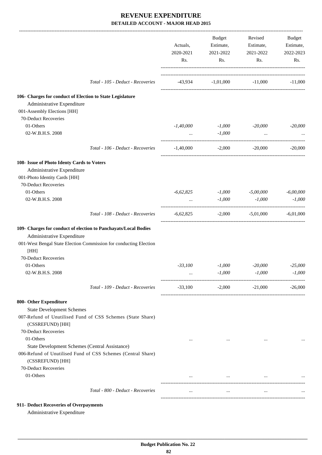|                                                                    |                                                                   | Actuals,<br>2020-2021<br>Rs. | Budget<br>Estimate,<br>2021-2022<br>Rs. | Revised<br>Estimate,<br>2021-2022<br>Rs. | Budget<br>Estimate,<br>2022-2023<br>Rs. |
|--------------------------------------------------------------------|-------------------------------------------------------------------|------------------------------|-----------------------------------------|------------------------------------------|-----------------------------------------|
|                                                                    | Total - 105 - Deduct - Recoveries                                 |                              | $-43,934$ $-1,01,000$ $-11,000$         |                                          | $-11,000$                               |
| 106- Charges for conduct of Election to State Legislature          |                                                                   |                              |                                         |                                          |                                         |
| Administrative Expenditure                                         |                                                                   |                              |                                         |                                          |                                         |
| 001-Assembly Elections [HH]<br>70-Deduct Recoveries                |                                                                   |                              |                                         |                                          |                                         |
| 01-Others                                                          |                                                                   | $-1,40,000$                  | $-1,000$                                | -20,000                                  | $-20,000$                               |
| 02-W.B.H.S. 2008                                                   |                                                                   | $\cdots$                     | $-1,000$                                | $\cdots$                                 |                                         |
|                                                                    | Total - 106 - Deduct - Recoveries                                 | $-1,40,000$                  | $-2,000$                                | $-20,000$                                | $-20,000$                               |
| 108- Issue of Photo Identy Cards to Voters                         |                                                                   |                              |                                         |                                          |                                         |
| Administrative Expenditure                                         |                                                                   |                              |                                         |                                          |                                         |
| 001-Photo Identity Cards [HH]                                      |                                                                   |                              |                                         |                                          |                                         |
| 70-Deduct Recoveries                                               |                                                                   |                              |                                         |                                          |                                         |
| 01-Others<br>02-W.B.H.S. 2008                                      |                                                                   | $-6,62,825$                  | $-1,000$                                | $-5,00,000$<br>$-1,000$                  | $-6,00,000$                             |
|                                                                    |                                                                   | $\cdots$                     | $-1,000$                                |                                          | $-1,000$                                |
|                                                                    | Total - 108 - Deduct - Recoveries                                 | $-6,62,825$                  |                                         | $-2,000$ $-5,01,000$                     | $-6,01,000$                             |
|                                                                    | 109- Charges for conduct of election to Panchayats/Local Bodies   |                              |                                         |                                          |                                         |
| Administrative Expenditure                                         |                                                                   |                              |                                         |                                          |                                         |
| [HH]                                                               | 001-West Bengal State Election Commission for conducting Election |                              |                                         |                                          |                                         |
| 70-Deduct Recoveries                                               |                                                                   |                              |                                         |                                          |                                         |
| 01-Others                                                          |                                                                   | $-33,100$                    | $-1,000$                                | $-20,000$                                | $-25,000$                               |
| 02-W.B.H.S. 2008                                                   |                                                                   |                              | $-1,000$                                | $\text{-}1,000$                          | $-1,000$                                |
|                                                                    | Total - 109 - Deduct - Recoveries                                 | $-33,100$                    | $-2,000$                                | $-21,000$                                | $-26,000$                               |
| 800- Other Expenditure                                             |                                                                   |                              |                                         |                                          |                                         |
| <b>State Development Schemes</b>                                   |                                                                   |                              |                                         |                                          |                                         |
| (CSSREFUND) [HH]                                                   | 007-Refund of Unutilised Fund of CSS Schemes (State Share)        |                              |                                         |                                          |                                         |
| 70-Deduct Recoveries                                               |                                                                   |                              |                                         |                                          |                                         |
| 01-Others                                                          |                                                                   | $\cdots$                     | $\cdots$                                | $\cdots$                                 |                                         |
| State Development Schemes (Central Assistance)<br>(CSSREFUND) [HH] | 006-Refund of Unutilised Fund of CSS Schemes (Central Share)      |                              |                                         |                                          |                                         |
| 70-Deduct Recoveries                                               |                                                                   |                              |                                         |                                          |                                         |
| 01-Others                                                          |                                                                   | $\cdots$                     | $\cdots$                                | $\cdots$                                 |                                         |
|                                                                    | Total - 800 - Deduct - Recoveries                                 | $\cdots$                     | $\cdots$                                | $\cdots$                                 |                                         |
|                                                                    |                                                                   |                              |                                         |                                          |                                         |
| 911- Deduct Recoveries of Overpayments                             |                                                                   |                              |                                         |                                          |                                         |

Administrative Expenditure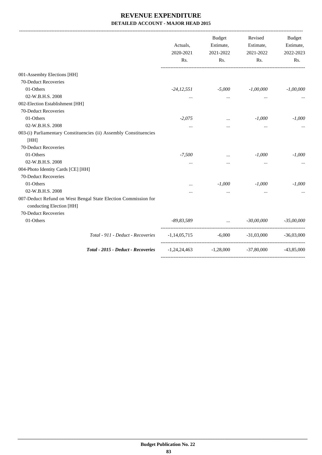|                                                                                            | Actuals,<br>2020-2021<br>Rs. | <b>Budget</b><br>Estimate,<br>2021-2022<br>Rs.                                                                                                                                                                                       | Revised<br>Estimate,<br>2021-2022<br>Rs. | Budget<br>Estimate,<br>2022-2023<br>Rs. |
|--------------------------------------------------------------------------------------------|------------------------------|--------------------------------------------------------------------------------------------------------------------------------------------------------------------------------------------------------------------------------------|------------------------------------------|-----------------------------------------|
| 001-Assembty Elections [HH]                                                                |                              |                                                                                                                                                                                                                                      |                                          |                                         |
| 70-Deduct Recoveries                                                                       |                              |                                                                                                                                                                                                                                      |                                          |                                         |
| 01-Others                                                                                  | -24,12,551                   | $-5,000$                                                                                                                                                                                                                             | $-1,00,000$                              | $-1,00,000$                             |
| 02-W.B.H.S. 2008                                                                           | $\cdots$                     | $\cdots$                                                                                                                                                                                                                             | $\cdots$                                 |                                         |
| 002-Election Establishment [HH]                                                            |                              |                                                                                                                                                                                                                                      |                                          |                                         |
| 70-Deduct Recoveries                                                                       |                              |                                                                                                                                                                                                                                      |                                          |                                         |
| 01-Others                                                                                  | $-2,075$                     | $\cdots$                                                                                                                                                                                                                             | $-1,000$                                 | $-1,000$                                |
| 02-W.B.H.S. 2008                                                                           | $\cdots$                     | $\cdots$                                                                                                                                                                                                                             | $\cdots$                                 |                                         |
| 003-(i) Parliamentary Constituencies (ii) Assembly Constituencies                          |                              |                                                                                                                                                                                                                                      |                                          |                                         |
| [HH]                                                                                       |                              |                                                                                                                                                                                                                                      |                                          |                                         |
| 70-Deduct Recoveries                                                                       |                              |                                                                                                                                                                                                                                      |                                          |                                         |
| 01-Others                                                                                  | $-7,500$                     |                                                                                                                                                                                                                                      | $-1,000$                                 | $-1,000$                                |
| 02-W.B.H.S. 2008                                                                           | $\cdots$                     | $\cdots$                                                                                                                                                                                                                             | $\cdots$                                 |                                         |
| 004-Photo Identity Cards [CE] [HH]                                                         |                              |                                                                                                                                                                                                                                      |                                          |                                         |
| 70-Deduct Recoveries                                                                       |                              |                                                                                                                                                                                                                                      |                                          |                                         |
| 01-Others                                                                                  | $\cdots$                     | $-1,000$                                                                                                                                                                                                                             | $-1,000$                                 | $-1,000$                                |
| 02-W.B.H.S. 2008                                                                           | $\cdots$                     | $\cdots$                                                                                                                                                                                                                             | $\cdots$                                 |                                         |
| 007-Deduct Refund on West Bengal State Election Commission for<br>conducting Election [HH] |                              |                                                                                                                                                                                                                                      |                                          |                                         |
| 70-Deduct Recoveries                                                                       |                              |                                                                                                                                                                                                                                      |                                          |                                         |
| 01-Others                                                                                  | $-89,83,589$                 | <u>and the community of the community of the community of the community of the community of the community of the community of the community of the community of the community of the community of the community of the community</u> | $-30,00,000$                             | $-35,00,000$                            |
| Total - 911 - Deduct - Recoveries                                                          |                              |                                                                                                                                                                                                                                      | $-1,14,05,715$ $-6,000$ $-31,03,000$     | $-36.03,000$                            |
| Total - 2015 - Deduct - Recoveries                                                         |                              | $-1,24,24,463$ $-1,28,000$                                                                                                                                                                                                           | $-37,80,000$                             | $-43,85,000$                            |
|                                                                                            |                              |                                                                                                                                                                                                                                      |                                          |                                         |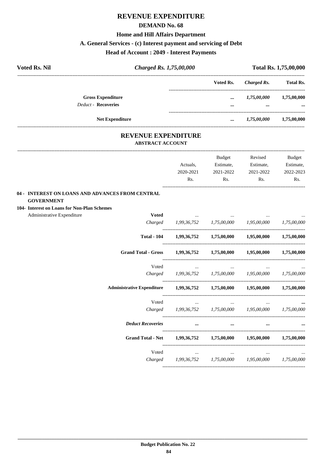## **REVENUE EXPENDITURE**

#### **DEMAND No. 68**

## **Home and Hill Affairs Department**

## **A. General Services - (c) Interest payment and servicing of Debt**

## **Head of Account : 2049 - Interest Payments**

| <b>Voted Rs. Nil</b> | Charged Rs. 1,75,00,000                               |          | Total Rs. 1,75,00,000 |                  |
|----------------------|-------------------------------------------------------|----------|-----------------------|------------------|
|                      |                                                       |          | Voted Rs. Charged Rs. | <b>Total Rs.</b> |
|                      | <b>Gross Expenditure</b>                              | $\cdots$ | 1,75,00,000           | 1,75,00,000      |
|                      | <b>Deduct - Recoveries</b>                            |          |                       |                  |
|                      | <b>Net Expenditure</b>                                | $\cdots$ | 1,75,00,000           | 1,75,00,000      |
|                      | <b>REVENUE EXPENDITURE</b><br><b>ABSTRACT ACCOUNT</b> |          |                       |                  |
|                      |                                                       |          |                       |                  |

|                                                                            |                                                             | <b>Budget</b>                                                                                                           | Revised                             | <b>Budget</b> |
|----------------------------------------------------------------------------|-------------------------------------------------------------|-------------------------------------------------------------------------------------------------------------------------|-------------------------------------|---------------|
|                                                                            | Actuals,                                                    | Estimate,                                                                                                               | Estimate,                           | Estimate,     |
|                                                                            | 2020-2021                                                   | 2021-2022                                                                                                               | 2021-2022                           | 2022-2023     |
|                                                                            | Rs.                                                         | $\mathbf{Rs.}$                                                                                                          | Rs.                                 | Rs.           |
| 04 - INTEREST ON LOANS AND ADVANCES FROM CENTRAL                           |                                                             |                                                                                                                         |                                     |               |
| <b>GOVERNMENT</b>                                                          |                                                             |                                                                                                                         |                                     |               |
| 104- Interest on Loans for Non-Plan Schemes                                |                                                             |                                                                                                                         |                                     |               |
| Administrative Expenditure<br><b>Voted</b>                                 |                                                             |                                                                                                                         |                                     |               |
|                                                                            | Charged 1,99,36,752 1,75,00,000 1,95,00,000 1,75,00,000     |                                                                                                                         |                                     |               |
|                                                                            | Total - 104 1,99,36,752 1,75,00,000 1,95,00,000 1,75,00,000 |                                                                                                                         |                                     |               |
| <b>Grand Total - Gross</b>                                                 | 1,99,36,752 1,75,00,000 1,95,00,000 1,75,00,000             |                                                                                                                         |                                     |               |
| Voted                                                                      | and the company of the company of the                       |                                                                                                                         |                                     |               |
|                                                                            | Charged 1,99,36,752 1,75,00,000 1,95,00,000 1,75,00,000     |                                                                                                                         |                                     |               |
| Administrative Expenditure 1,99,36,752 1,75,00,000 1,95,00,000 1,75,00,000 |                                                             |                                                                                                                         |                                     |               |
| Voted                                                                      |                                                             | $\mathcal{L}_{\text{max}}$ and $\mathcal{L}_{\text{max}}$ and $\mathcal{L}_{\text{max}}$ and $\mathcal{L}_{\text{max}}$ | the contract of the contract of the |               |
|                                                                            | Charged 1,99,36,752 1,75,00,000 1,95,00,000 1,75,00,000     |                                                                                                                         |                                     |               |
| <b>Deduct Recoveries</b>                                                   |                                                             | $\cdots$                                                                                                                | $\cdots$                            |               |
| Grand Total - Net 1,99,36,752 1,75,00,000 1,95,00,000 1,75,00,000          |                                                             |                                                                                                                         |                                     |               |
|                                                                            | Voted                                                       |                                                                                                                         |                                     |               |
|                                                                            | Charged 1,99,36,752 1,75,00,000 1,95,00,000 1,75,00,000     |                                                                                                                         |                                     |               |
|                                                                            |                                                             |                                                                                                                         |                                     |               |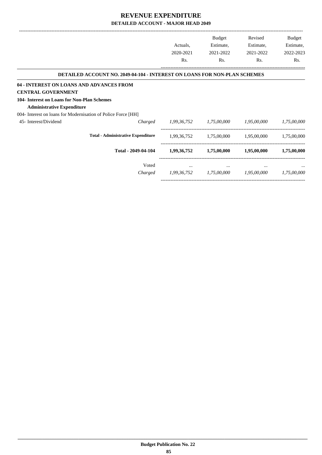|                                                                                  |             | <b>Budget</b> | Revised     | <b>Budget</b> |
|----------------------------------------------------------------------------------|-------------|---------------|-------------|---------------|
|                                                                                  | Actuals,    | Estimate,     | Estimate,   | Estimate,     |
|                                                                                  | 2020-2021   | 2021-2022     | 2021-2022   | 2022-2023     |
|                                                                                  | Rs.         | Rs.           | Rs.         | Rs.           |
| <b>DETAILED ACCOUNT NO. 2049-04-104 - INTEREST ON LOANS FOR NON-PLAN SCHEMES</b> |             |               |             |               |
| 04 - INTEREST ON LOANS AND ADVANCES FROM                                         |             |               |             |               |
| <b>CENTRAL GOVERNMENT</b>                                                        |             |               |             |               |
| 104- Interest on Loans for Non-Plan Schemes                                      |             |               |             |               |
| <b>Administrative Expenditure</b>                                                |             |               |             |               |
| 004- Interest on loans for Modernisation of Police Force [HH]                    |             |               |             |               |
| 45- Interest/Dividend<br>Charged                                                 | 1,99,36,752 | 1,75,00,000   | 1,95,00,000 | 1,75,00,000   |
| <b>Total - Administrative Expenditure</b>                                        | 1,99,36,752 | 1,75,00,000   | 1,95,00,000 | 1,75,00,000   |
| Total - 2049-04-104                                                              | 1,99,36,752 | 1,75,00,000   | 1,95,00,000 | 1,75,00,000   |
| Voted                                                                            | $\cdots$    | $\cdots$      | $\cdots$    |               |
| Charged                                                                          | 1,99,36,752 | 1,75,00,000   | 1,95,00,000 | 1,75,00,000   |

-----------------------------------------------------------------------------------------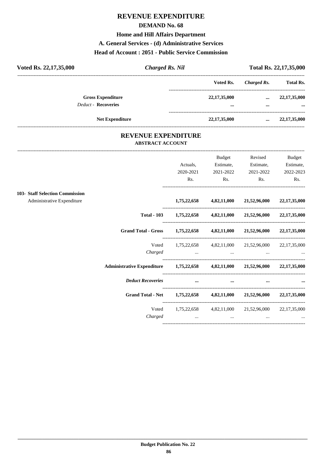## **REVENUE EXPENDITURE**

#### **DEMAND No. 68**

**Home and Hill Affairs Department**

#### **A. General Services - (d) Administrative Services**

#### **Head of Account : 2051 - Public Service Commission**

| Voted Rs. 22,17,35,000                                 | <b>Charged Rs. Nil</b> |                 |             | Total Rs. 22,17,35,000 |
|--------------------------------------------------------|------------------------|-----------------|-------------|------------------------|
|                                                        |                        | Voted Rs.       | Charged Rs. | <b>Total Rs.</b>       |
| <b>Gross Expenditure</b><br><b>Deduct - Recoveries</b> |                        | 22, 17, 35, 000 |             | 22, 17, 35, 000        |
|                                                        |                        |                 |             |                        |
| <b>Net Expenditure</b>                                 |                        | 22, 17, 35, 000 | $\cdots$    | 22, 17, 35, 000        |

### **REVENUE EXPENDITURE ABSTRACT ACCOUNT**

---------------------------------------------------------------------------------------------------------------------------------------------------------------------------------

|                                                                              |                                                               | <b>Budget</b> | Revised                                                                                             | Budget       |
|------------------------------------------------------------------------------|---------------------------------------------------------------|---------------|-----------------------------------------------------------------------------------------------------|--------------|
|                                                                              | Actuals,                                                      | Estimate,     | Estimate,                                                                                           | Estimate,    |
|                                                                              | 2020-2021                                                     | 2021-2022     | 2021-2022                                                                                           | 2022-2023    |
|                                                                              | Rs.                                                           | Rs.           | Rs.                                                                                                 | Rs.          |
| 103- Staff Selection Commission                                              |                                                               |               |                                                                                                     |              |
| Administrative Expenditure                                                   | 1,75,22,658                                                   |               | 4,82,11,000 21,52,96,000                                                                            | 22,17,35,000 |
|                                                                              | Total - 103 1,75,22,658 4,82,11,000 21,52,96,000 22,17,35,000 |               |                                                                                                     |              |
| Grand Total - Gross 1,75,22,658 4,82,11,000 21,52,96,000 22,17,35,000        |                                                               |               |                                                                                                     |              |
| Voted                                                                        |                                                               |               | 1,75,22,658 4,82,11,000 21,52,96,000 22,17,35,000                                                   |              |
| Charged                                                                      |                                                               |               | the contract of the contract of the contract of the contract of the contract of the contract of the |              |
| Administrative Expenditure 1,75,22,658 4,82,11,000 21,52,96,000 22,17,35,000 |                                                               |               |                                                                                                     |              |
| <b>Deduct Recoveries</b>                                                     | $\cdots$                                                      | $\cdots$      | $\cdots$                                                                                            | $\cdots$     |
| <b>Grand Total - Net</b>                                                     | $1,75,22,658$ $4,82,11,000$ $21,52,96,000$ $22,17,35,000$     |               |                                                                                                     |              |
| Voted                                                                        |                                                               |               | $1,75,22,658$ $4,82,11,000$ $21,52,96,000$ $22,17,35,000$                                           |              |
| Charged                                                                      | $\cdots$                                                      | $\cdots$      | $\cdots$                                                                                            |              |
|                                                                              |                                                               |               |                                                                                                     |              |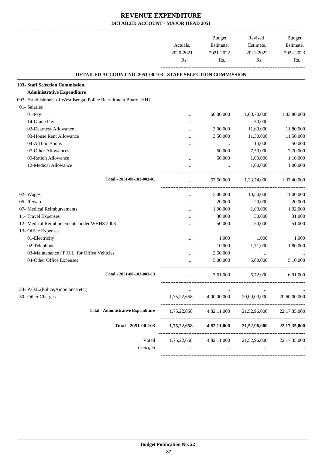|                                                                 | Actuals,<br>2020-2021<br>Rs. | Budget<br>Estimate,<br>2021-2022<br>Rs. | Revised<br>Estimate,<br>2021-2022<br>Rs.          | Budget<br>Estimate,<br>2022-2023<br>Rs. |
|-----------------------------------------------------------------|------------------------------|-----------------------------------------|---------------------------------------------------|-----------------------------------------|
| DETAILED ACCOUNT NO. 2051-00-103 - STAFF SELECTION COMMISSION   |                              |                                         |                                                   |                                         |
| <b>103- Staff Selection Commission</b>                          |                              |                                         |                                                   |                                         |
| <b>Administrative Expenditure</b>                               |                              |                                         |                                                   |                                         |
| 003- Establishment of West Bengal Police Recruitment Board [HH] |                              |                                         |                                                   |                                         |
| 01- Salaries                                                    |                              |                                         |                                                   |                                         |
| 01-Pay                                                          |                              | 60,00,000                               | 1,00,70,000                                       | 1,03,80,000                             |
| 14-Grade Pay                                                    |                              |                                         | 50,000                                            |                                         |
| 02-Dearness Allowance                                           |                              | $\cdots$<br>3,00,000                    | 11,60,000                                         | 11,80,000                               |
| 03-House Rent Allowance                                         |                              | 3,50,000                                | 11,30,000                                         | 11,50,000                               |
| 04-Ad hoc Bonus                                                 |                              |                                         | 14,000                                            | 50,000                                  |
| 07-Other Allowances                                             |                              | $\cdots$<br>50,000                      | 7,50,000                                          | 7,70,000                                |
| 09-Ration Allowance                                             |                              | 50,000                                  | 1,00,000                                          | 1,10,000                                |
| 12-Medical Allowance                                            | $\ddotsc$                    |                                         | 1,00,000                                          |                                         |
|                                                                 |                              | $\cdots$                                |                                                   | 1,00,000                                |
| Total - 2051-00-103-003-01                                      |                              | 67,50,000                               | 1,33,74,000                                       | 1,37,40,000                             |
| 02- Wages                                                       |                              | 5,00,000                                | 10,50,000                                         | 11,00,000                               |
| 05- Rewards                                                     |                              | 20,000                                  | 20,000                                            | 20,000                                  |
| 07- Medical Reimbursements                                      |                              | 1,00,000                                | 1,00,000                                          | 1,02,000                                |
| 11- Travel Expenses                                             | $\ddotsc$                    | 30,000                                  | 30,000                                            | 31,000                                  |
| 12- Medical Reimbursements under WBHS 2008                      |                              | 50,000                                  | 50,000                                            | 51,000                                  |
| 13- Office Expenses                                             |                              |                                         |                                                   |                                         |
| 01-Electricity                                                  |                              | 1,000                                   | 1,000                                             | 1,000                                   |
| 02-Telephone                                                    |                              | 10,000                                  | 1,71,000                                          | 1,80,000                                |
| 03-Maintenance / P.O.L. for Office Vehicles                     |                              | 2,50,000                                | $\ldots$                                          |                                         |
| 04-Other Office Expenses                                        | $\ddotsc$                    | 5,00,000                                | 5,00,000                                          | 5,10,000                                |
| Total - 2051-00-103-003-13                                      |                              | 7,61,000                                | 6,72,000                                          | 6,91,000                                |
|                                                                 |                              |                                         |                                                   |                                         |
| 24- P.O.L.(Police, Ambulance etc.)                              |                              |                                         |                                                   |                                         |
| 50- Other Charges                                               | 1,75,22,658                  | 4,00,00,000                             | 20,00,00,000                                      | 20,60,00,000                            |
| <b>Total - Administrative Expenditure</b>                       | 1,75,22,658                  | 4,82,11,000                             | 21,52,96,000                                      | 22,17,35,000                            |
| Total - 2051-00-103                                             | 1,75,22,658                  | 4,82,11,000                             | 21,52,96,000                                      | 22, 17, 35, 000                         |
| Voted                                                           |                              |                                         | 1,75,22,658 4,82,11,000 21,52,96,000 22,17,35,000 |                                         |
| Charged                                                         |                              | $\cdots$                                |                                                   |                                         |
|                                                                 |                              |                                         |                                                   |                                         |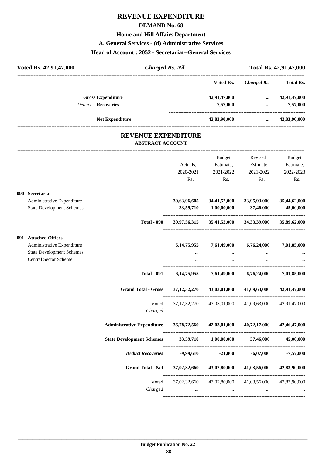## **REVENUE EXPENDITURE**

#### **DEMAND No. 68**

## **Home and Hill Affairs Department**

#### **A. General Services - (d) Administrative Services**

#### **Head of Account : 2052 - Secretariat--General Services**

| Voted Rs. 42,91,47,000     |                        | <b>Charged Rs. Nil</b>                                |               |              | Total Rs. 42,91,47,000 |
|----------------------------|------------------------|-------------------------------------------------------|---------------|--------------|------------------------|
|                            |                        |                                                       | Voted Rs.     | Charged Rs.  | <b>Total Rs.</b>       |
| <b>Gross Expenditure</b>   |                        |                                                       | 42,91,47,000  | $\cdots$     | 42,91,47,000           |
| <b>Deduct - Recoveries</b> |                        |                                                       | $-7,57,000$   | $\cdots$     | $-7,57,000$            |
|                            | <b>Net Expenditure</b> |                                                       | 42,83,90,000  | $\cdots$     | 42,83,90,000           |
|                            |                        | <b>REVENUE EXPENDITURE</b><br><b>ABSTRACT ACCOUNT</b> |               |              |                        |
|                            |                        |                                                       | <b>Budget</b> | Revised      | Budget                 |
|                            |                        | Actuals.                                              | Estimate,     | Estimate,    | Estimate,              |
|                            |                        | 2020-2021                                             | 2021-2022     | 2021-2022    | 2022-2023              |
|                            |                        | Rs.                                                   | Rs.           | Rs.          | Rs.                    |
| 090- Secretariat           |                        |                                                       |               |              |                        |
| Administrative Expenditure |                        | 30,63,96,605                                          | 34,41,52,000  | 33,95,93,000 | 35,44,62,000           |

|                                  |                                                                                            |                | <b>Budget</b>                         | Revised                                             | <b>Budget</b> |
|----------------------------------|--------------------------------------------------------------------------------------------|----------------|---------------------------------------|-----------------------------------------------------|---------------|
|                                  |                                                                                            | Actuals,       | Estimate,                             | Estimate,                                           | Estimate,     |
|                                  |                                                                                            | 2020-2021      | 2021-2022                             | 2021-2022                                           | 2022-2023     |
|                                  |                                                                                            | Rs.            | Rs.                                   | Rs.                                                 | Rs.           |
| 090- Secretariat                 |                                                                                            |                |                                       |                                                     |               |
| Administrative Expenditure       |                                                                                            | 30,63,96,605   | 34,41,52,000                          | 33,95,93,000                                        | 35,44,62,000  |
| <b>State Development Schemes</b> |                                                                                            | 33,59,710      | $1,\!00,\!00,\!000$                   | 37,46,000                                           | 45,00,000     |
|                                  | <b>Total - 090</b>                                                                         | 30,97,56,315   |                                       | 35,41,52,000 34,33,39,000 35,89,62,000              |               |
| 091- Attached Offices            |                                                                                            |                |                                       |                                                     |               |
| Administrative Expenditure       |                                                                                            | 6, 14, 75, 955 | 7,61,49,000                           | 6,76,24,000                                         | 7,01,85,000   |
| <b>State Development Schemes</b> |                                                                                            |                | $\cdots$                              |                                                     |               |
| <b>Central Sector Scheme</b>     |                                                                                            | $\cdots$       | $\cdots$                              | $\cdots$                                            |               |
|                                  | <b>Total - 091</b>                                                                         |                |                                       | 6,14,75,955 7,61,49,000 6,76,24,000 7,01,85,000     |               |
|                                  | <b>Grand Total - Gross</b>                                                                 |                |                                       | $37,12,32,270$ $43,03,01,000$ $41,09,63,000$        | 42,91,47,000  |
|                                  | Voted                                                                                      |                |                                       | 37,12,32,270 43,03,01,000 41,09,63,000 42,91,47,000 |               |
|                                  | Charged                                                                                    |                |                                       |                                                     |               |
|                                  | Administrative Expenditure 36, 78, 72, 560 42, 03, 01, 000 40, 72, 17, 000 42, 46, 47, 000 |                |                                       |                                                     |               |
|                                  | State Development Schemes 33,59,710 1,00,00,000 37,46,000                                  |                |                                       |                                                     | 45,00,000     |
|                                  |                                                                                            |                |                                       |                                                     |               |
|                                  | <b>Grand Total - Net</b>                                                                   |                |                                       | 37,02,32,660 43,02,80,000 41,03,56,000              | 42,83,90,000  |
|                                  | Voted<br>Charged                                                                           | $\sim$         | 37,02,32,660 43,02,80,000<br>$\ddots$ | 41,03,56,000                                        | 42,83,90,000  |
|                                  |                                                                                            |                |                                       |                                                     |               |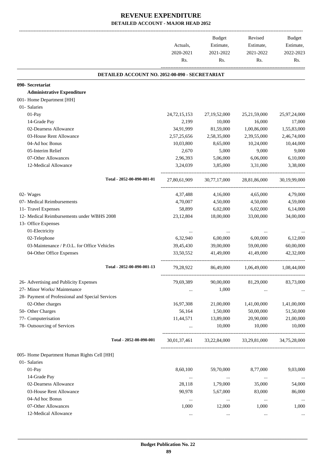|                                                  | Actuals,<br>2020-2021<br>Rs. | Budget<br>Estimate,<br>2021-2022<br>Rs. | Revised<br>Estimate,<br>2021-2022<br>Rs. | Budget<br>Estimate,<br>2022-2023<br>Rs. |
|--------------------------------------------------|------------------------------|-----------------------------------------|------------------------------------------|-----------------------------------------|
| DETAILED ACCOUNT NO. 2052-00-090 - SECRETARIAT   |                              |                                         |                                          |                                         |
| 090- Secretariat                                 |                              |                                         |                                          |                                         |
| <b>Administrative Expenditure</b>                |                              |                                         |                                          |                                         |
| 001- Home Department [HH]                        |                              |                                         |                                          |                                         |
| 01- Salaries                                     |                              |                                         |                                          |                                         |
| 01-Pay                                           | 24, 72, 15, 153              | 27,19,52,000                            | 25, 21, 59, 000                          | 25,97,24,000                            |
| 14-Grade Pay                                     | 2,199                        | 10,000                                  | 16,000                                   | 17,000                                  |
| 02-Dearness Allowance                            | 34,91,999                    | 81,59,000                               | 1,00,86,000                              | 1,55,83,000                             |
| 03-House Rent Allowance                          | 2,57,25,656                  | 2,58,35,000                             | 2,39,55,000                              | 2,46,74,000                             |
| 04-Ad hoc Bonus                                  | 10,03,800                    | 8,65,000                                | 10,24,000                                | 10,44,000                               |
| 05-Interim Relief                                | 2,670                        | 5,000                                   | 9,000                                    | 9,000                                   |
| 07-Other Allowances                              | 2,96,393                     | 5,06,000                                | 6,06,000                                 | 6,10,000                                |
| 12-Medical Allowance                             | 3,24,039                     | 3,85,000                                | 3,31,000                                 | 3,38,000                                |
| Total - 2052-00-090-001-01                       | 27,80,61,909                 | 30,77,17,000                            | 28,81,86,000                             | 30,19,99,000                            |
| 02- Wages                                        | 4,37,488                     | 4,16,000                                | 4,65,000                                 | 4,79,000                                |
| 07- Medical Reimbursements                       | 4,70,007                     | 4,50,000                                | 4,50,000                                 | 4,59,000                                |
| 11- Travel Expenses                              | 58,899                       | 6,02,000                                | 6,02,000                                 | 6,14,000                                |
| 12- Medical Reimbursements under WBHS 2008       | 23,12,804                    | 18,00,000                               | 33,00,000                                | 34,00,000                               |
| 13- Office Expenses                              |                              |                                         |                                          |                                         |
| 01-Electricity                                   | $\ddotsc$                    |                                         |                                          |                                         |
| 02-Telephone                                     | 6,32,940                     | 6,00,000                                | 6,00,000                                 | 6,12,000                                |
| 03-Maintenance / P.O.L. for Office Vehicles      | 39,45,430                    | 39,00,000                               | 59,00,000                                | 60,00,000                               |
| 04-Other Office Expenses                         | 33,50,552                    | 41,49,000                               | 41,49,000                                | 42,32,000                               |
| Total - 2052-00-090-001-13                       | 79,28,922                    | 86,49,000                               | 1,06,49,000                              | 1,08,44,000                             |
| 26- Advertising and Publicity Expenses           | 79,69,389                    | 90,00,000                               | 81,29,000                                | 83,73,000                               |
| 27- Minor Works/ Maintenance                     |                              | 1,000                                   |                                          |                                         |
| 28- Payment of Professional and Special Services |                              |                                         |                                          |                                         |
| 02-Other charges                                 | 16,97,308                    | 21,00,000                               | 1,41,00,000                              | 1,41,00,000                             |
| 50- Other Charges                                | 56,164                       | 1,50,000                                | 50,00,000                                | 51,50,000                               |
| 77- Computerisation                              | 11,44,571                    | 13,89,000                               | 20,90,000                                | 21,00,000                               |
| 78- Outsourcing of Services                      | $\cdots$                     | 10,000                                  | 10,000                                   | 10,000                                  |
| Total - 2052-00-090-001                          | 30,01,37,461                 | 33,22,84,000                            | 33,29,81,000                             | 34,75,28,000                            |
| 005- Home Department Human Rights Cell [HH]      |                              |                                         |                                          |                                         |
| 01- Salaries                                     |                              |                                         |                                          |                                         |
| 01-Pay                                           | 8,60,100                     | 59,70,000                               | 8,77,000                                 | 9,03,000                                |
| 14-Grade Pay                                     | $\cdots$                     | $\ldots$                                | $\ddotsc$                                | $\cdots$                                |
| 02-Dearness Allowance                            | 28,118                       | 1,79,000                                | 35,000                                   | 54,000                                  |
| 03-House Rent Allowance                          | 90,978                       | 5,67,000                                | 83,000                                   | 86,000                                  |
| 04-Ad hoc Bonus                                  | $\cdots$                     | $\cdots$                                | $\cdots$                                 | $\cdots$                                |
| 07-Other Allowances                              | 1,000                        | 12,000                                  | 1,000                                    | 1,000                                   |
| 12-Medical Allowance                             | $\cdots$                     | $\cdots$                                | $\cdots$                                 |                                         |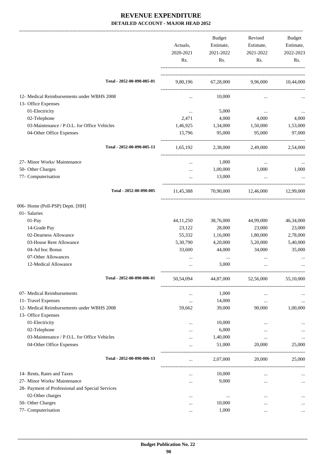|                                                  |                  | Budget<br>Estimate, | Revised                      | Budget           |
|--------------------------------------------------|------------------|---------------------|------------------------------|------------------|
|                                                  | Actuals,         |                     | Estimate,                    | Estimate,        |
|                                                  | 2020-2021<br>Rs. | 2021-2022<br>Rs.    | 2021-2022<br>Rs.             | 2022-2023<br>Rs. |
|                                                  |                  |                     |                              |                  |
| Total - 2052-00-090-005-01                       | 9,80,196         |                     | 67,28,000 9,96,000 10,44,000 |                  |
| 12- Medical Reimbursements under WBHS 2008       | $\cdots$         | 10,000              |                              |                  |
| 13- Office Expenses                              |                  |                     |                              |                  |
| 01-Electricity                                   | $\cdots$         | 5,000               | $\cdots$                     |                  |
| 02-Telephone                                     | 2,471            | 4,000               | 4,000                        | 4,000            |
| 03-Maintenance / P.O.L. for Office Vehicles      | 1,46,925         | 1,34,000            | 1,50,000                     | 1,53,000         |
| 04-Other Office Expenses                         | 15,796           | 95,000              | 95,000                       | 97,000           |
| Total - 2052-00-090-005-13                       | 1,65,192         |                     | 2,38,000 2,49,000            | 2,54,000         |
| 27- Minor Works/ Maintenance                     |                  | 1,000               | $\ldots$                     |                  |
| 50- Other Charges                                |                  | 1,00,000            | 1,000                        | 1,000            |
| 77- Computerisation                              | $\cdots$         | 13,000              | $\ddots$                     |                  |
| Total - 2052-00-090-005                          | 11,45,388        |                     | 70,90,000 12,46,000          | 12,99,000        |
| 006- Home (Poll-PSP) Deptt. [HH]                 |                  |                     |                              |                  |
| 01- Salaries                                     |                  |                     |                              |                  |
| 01-Pay                                           | 44, 11, 250      | 38,76,000           | 44,99,000                    | 46,34,000        |
| 14-Grade Pay                                     | 23,122           | 28,000              | 23,000                       | 23,000           |
| 02-Dearness Allowance                            | 55,332           | 1,16,000            | 1,80,000                     | 2,78,000         |
| 03-House Rent Allowance                          | 5,30,790         | 4,20,000            | 5,20,000                     | 5,40,000         |
| 04-Ad hoc Bonus                                  | 33,600           | 44,000              | 34,000                       | 35,000           |
| 07-Other Allowances                              |                  |                     |                              |                  |
| 12-Medical Allowance                             |                  | 3,000               | $\cdots$                     |                  |
| Total - 2052-00-090-006-01                       | 50,54,094        | 44,87,000           | 52,56,000                    | 55,10,000        |
| 07- Medical Reimbursements                       | $\cdots$         | 1,000               | $\ddotsc$                    |                  |
| 11- Travel Expenses                              | $\ddotsc$        | 14,000              | $\cdots$                     |                  |
| 12- Medical Reimbursements under WBHS 2008       | 59,662           | 39,000              | 90,000                       | 1,00,000         |
| 13- Office Expenses                              |                  |                     |                              |                  |
| 01-Electricity                                   | $\ddotsc$        | 10,000              |                              |                  |
| 02-Telephone                                     |                  | 6,000               | $\ddotsc$                    |                  |
| 03-Maintenance / P.O.L. for Office Vehicles      |                  | 1,40,000            | $\cdots$                     |                  |
| 04-Other Office Expenses                         |                  | 51,000              | 20,000                       | 25,000           |
| Total - 2052-00-090-006-13                       |                  | 2,07,000            | 20,000                       | 25,000           |
| 14- Rents, Rates and Taxes                       | $\ddotsc$        | 10,000              | $\ddotsc$                    |                  |
| 27- Minor Works/ Maintenance                     | $\cdots$         | 9,000               | $\cdots$                     |                  |
| 28- Payment of Professional and Special Services |                  |                     |                              |                  |
| 02-Other charges                                 | $\cdots$         | $\cdots$            | $\ddotsc$                    |                  |
| 50- Other Charges                                | $\ddotsc$        | 10,000              | $\ddotsc$                    |                  |
| 77- Computerisation                              | $\cdots$         | 1,000               | $\ddotsc$                    |                  |
|                                                  |                  |                     |                              |                  |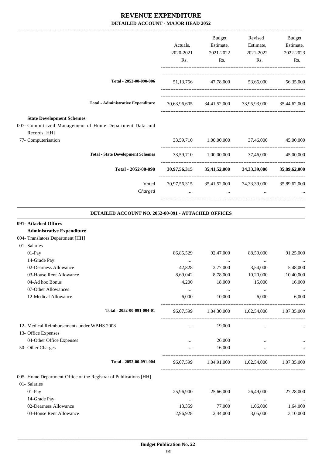|                                                                                                             |           | Budget    | Revised                                             | Budget    |
|-------------------------------------------------------------------------------------------------------------|-----------|-----------|-----------------------------------------------------|-----------|
|                                                                                                             | Actuals,  | Estimate, | Estimate,                                           | Estimate, |
|                                                                                                             | 2020-2021 | 2021-2022 | 2021-2022                                           | 2022-2023 |
|                                                                                                             | Rs.       | Rs.       | Rs.                                                 | Rs.       |
| Total - 2052-00-090-006                                                                                     |           |           | 51,13,756 47,78,000 53,66,000                       | 56,35,000 |
| <b>Total - Administrative Expenditure</b>                                                                   |           |           | 30,63,96,605 34,41,52,000 33,95,93,000 35,44,62,000 |           |
| <b>State Development Schemes</b><br>007- Computrized Management of Home Department Data and<br>Records [HH] |           |           |                                                     |           |
| 77- Computerisation                                                                                         |           |           | 33,59,710 1,00,00,000 37,46,000                     | 45,00,000 |
| <b>Total - State Development Schemes</b>                                                                    |           |           | 33,59,710 1,00,00,000 37,46,000                     | 45,00,000 |
| Total - 2052-00-090                                                                                         |           |           | 30,97,56,315 35,41,52,000 34,33,39,000 35,89,62,000 |           |
| Voted                                                                                                       |           |           | 30,97,56,315 35,41,52,000 34,33,39,000 35,89,62,000 |           |
| Charged                                                                                                     | $\cdots$  | $\cdots$  | $\cdots$                                            |           |
|                                                                                                             |           |           |                                                     |           |

#### **DETAILED ACCOUNT NO. 2052-00-091 - ATTACHED OFFICES**

.

| 091- Attached Offices                                             |           |           |                                               |           |
|-------------------------------------------------------------------|-----------|-----------|-----------------------------------------------|-----------|
| <b>Administrative Expenditure</b>                                 |           |           |                                               |           |
| 004- Translators Department [HH]                                  |           |           |                                               |           |
| 01- Salaries                                                      |           |           |                                               |           |
| 01-Pay                                                            | 86,85,529 | 92,47,000 | 88,59,000                                     | 91,25,000 |
| 14-Grade Pay                                                      | $\cdots$  | $\cdots$  | $\cdots$                                      | $\cdots$  |
| 02-Dearness Allowance                                             | 42,828    | 2,77,000  | 3,54,000                                      | 5,48,000  |
| 03-House Rent Allowance                                           | 8,69,042  | 8,78,000  | 10,20,000                                     | 10,40,000 |
| 04-Ad hoc Bonus                                                   | 4,200     | 18,000    | 15,000                                        | 16,000    |
| 07-Other Allowances                                               | $\cdots$  | $\cdots$  | $\cdots$                                      | $\ddotsc$ |
| 12-Medical Allowance                                              | 6,000     | 10,000    | 6,000                                         | 6,000     |
| Total - 2052-00-091-004-01                                        |           |           | 96,07,599 1,04,30,000 1,02,54,000 1,07,35,000 |           |
| 12- Medical Reimbursements under WBHS 2008                        | $\cdots$  | 19,000    | $\cdots$                                      |           |
| 13- Office Expenses                                               |           |           |                                               |           |
| 04-Other Office Expenses                                          | $\cdots$  | 26,000    | $\cdots$                                      |           |
| 50- Other Charges                                                 | $\cdots$  | 16,000    |                                               |           |
| Total - 2052-00-091-004                                           |           |           | 96,07,599 1,04,91,000 1,02,54,000 1,07,35,000 |           |
| 005- Home Department-Office of the Registrar of Publications [HH] |           |           |                                               |           |
| 01- Salaries                                                      |           |           |                                               |           |
| $01-Pay$                                                          | 25,96,900 | 25,66,000 | 26,49,000                                     | 27,28,000 |
| 14-Grade Pay                                                      | $\cdots$  | $\cdots$  | $\cdots$                                      |           |
| 02-Dearness Allowance                                             | 13,359    | 77,000    | 1,06,000                                      | 1,64,000  |
| 03-House Rent Allowance                                           | 2,96,928  | 2,44,000  | 3,05,000                                      | 3,10,000  |
|                                                                   |           |           |                                               |           |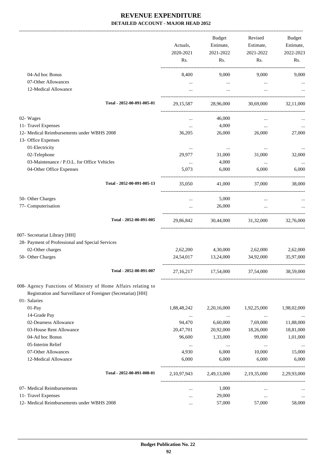-------------------------------------------------------------------------------------------------------------------------------------------------------------------------------

|                                                                                                                                                | Actuals,<br>2020-2021<br>Rs. | <b>Budget</b><br>Estimate,<br>2021-2022 | Revised<br>Estimate,<br>2021-2022 | <b>Budget</b><br>Estimate,<br>2022-2023 |
|------------------------------------------------------------------------------------------------------------------------------------------------|------------------------------|-----------------------------------------|-----------------------------------|-----------------------------------------|
|                                                                                                                                                |                              | Rs.                                     | Rs.                               | Rs.                                     |
| 04-Ad hoc Bonus                                                                                                                                | 8,400                        | 9,000                                   | 9,000                             | 9,000                                   |
| 07-Other Allowances<br>12-Medical Allowance                                                                                                    | $\cdots$<br>$\cdots$         | $\cdots$<br>$\cdots$                    | $\cdots$<br>$\cdots$              |                                         |
| Total - 2052-00-091-005-01                                                                                                                     | 29, 15, 587                  | 28,96,000                               | 30.69,000                         | 32,11,000                               |
| 02- Wages                                                                                                                                      | $\cdots$                     | 46,000                                  | $\cdots$                          |                                         |
| 11- Travel Expenses                                                                                                                            |                              | 4,000                                   | $\cdots$                          |                                         |
| 12- Medical Reimbursements under WBHS 2008                                                                                                     | 36,205                       | 26,000                                  | 26,000                            | 27,000                                  |
| 13- Office Expenses                                                                                                                            |                              |                                         |                                   |                                         |
| 01-Electricity                                                                                                                                 | $\cdots$                     | $\cdots$                                | $\cdots$                          |                                         |
| 02-Telephone                                                                                                                                   | 29,977                       | 31,000                                  | 31,000                            | 32,000                                  |
| 03-Maintenance / P.O.L. for Office Vehicles                                                                                                    | $\cdots$                     | 4,000                                   | $\cdots$                          |                                         |
| 04-Other Office Expenses                                                                                                                       | 5,073                        | 6,000                                   | 6,000                             | 6,000                                   |
| Total - 2052-00-091-005-13                                                                                                                     | 35,050                       | 41,000                                  | 37,000                            | 38,000                                  |
| 50- Other Charges                                                                                                                              | $\cdots$                     | 5,000                                   |                                   |                                         |
| 77- Computerisation                                                                                                                            | $\cdots$                     | 26,000                                  | $\ddotsc$                         |                                         |
| Total - 2052-00-091-005                                                                                                                        | 29,86,842                    | 30,44,000                               | 31,32,000                         | 32,76,000                               |
| 007- Secretariat Library [HH]                                                                                                                  |                              |                                         |                                   |                                         |
| 28- Payment of Professional and Special Services                                                                                               |                              |                                         |                                   |                                         |
| 02-Other charges                                                                                                                               | 2,62,200                     | 4,30,000                                | 2,62,000                          | 2,62,000                                |
| 50- Other Charges                                                                                                                              | 24,54,017                    | 13,24,000                               | 34,92,000                         | 35,97,000                               |
| Total - 2052-00-091-007                                                                                                                        | 27,16,217                    | 17,54,000                               | 37,54,000                         | 38,59,000                               |
| 008- Agency Functions of Ministry of Home Affairs relating to<br>Registration and Surveillance of Foreigner (Secretariat) [HH]<br>01- Salaries |                              |                                         |                                   |                                         |
| 01-Pay                                                                                                                                         | 1,88,48,242                  | 2,20,16,000                             | 1,92,25,000                       | 1,98,02,000                             |
| 14-Grade Pay                                                                                                                                   | $\cdots$                     | $\cdots$                                | $\cdots$                          |                                         |
| 02-Dearness Allowance                                                                                                                          | 94,470                       | 6,60,000                                | 7,69,000                          | 11,88,000                               |
| 03-House Rent Allowance                                                                                                                        | 20,47,701                    | 20,92,000                               | 18,26,000                         | 18,81,000                               |
| 04-Ad hoc Bonus                                                                                                                                | 96,600                       | 1,33,000                                | 99,000                            | 1,01,000                                |
| 05-Interim Relief                                                                                                                              | $\cdots$                     | $\cdots$                                | $\cdots$                          |                                         |
| 07-Other Allowances                                                                                                                            | 4,930                        | 6,000                                   | 10,000                            | 15,000                                  |
| 12-Medical Allowance                                                                                                                           | 6,000                        | 6,000                                   | 6,000                             | 6,000                                   |
| Total - 2052-00-091-008-01                                                                                                                     | 2, 10, 97, 943               | 2,49,13,000                             | 2,19,35,000                       | 2,29,93,000                             |
| 07- Medical Reimbursements                                                                                                                     |                              | 1,000                                   | $\cdots$                          |                                         |
| 11- Travel Expenses                                                                                                                            |                              | 29,000                                  | $\cdots$                          | $\ldots$                                |
| 12- Medical Reimbursements under WBHS 2008                                                                                                     |                              | 57,000                                  | 57,000                            | 58,000                                  |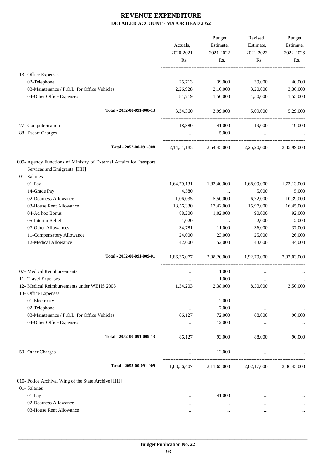|                                                                    |             | Budget      | Revised                                         | Budget      |
|--------------------------------------------------------------------|-------------|-------------|-------------------------------------------------|-------------|
|                                                                    | Actuals,    | Estimate,   | Estimate,                                       | Estimate,   |
|                                                                    | 2020-2021   | 2021-2022   | 2021-2022                                       | 2022-2023   |
|                                                                    | Rs.         | Rs.         | Rs.                                             | Rs.         |
| 13- Office Expenses                                                |             |             |                                                 |             |
| 02-Telephone                                                       | 25,713      | 39,000      | 39,000                                          | 40,000      |
| 03-Maintenance / P.O.L. for Office Vehicles                        | 2,26,928    | 2,10,000    | 3,20,000                                        | 3,36,000    |
| 04-Other Office Expenses                                           | 81,719      | 1,50,000    | 1,50,000                                        | 1,53,000    |
| Total - 2052-00-091-008-13                                         |             |             | 3,34,360 3,99,000 5,09,000                      | 5,29,000    |
| 77- Computerisation                                                | 18,880      | 41,000      | 19,000                                          | 19,000      |
| 88- Escort Charges                                                 | $\cdots$    | 5,000       | $\cdots$                                        |             |
| Total - 2052-00-091-008                                            |             |             | 2,14,51,183 2,54,45,000 2,25,20,000 2,35,99,000 |             |
| 009- Agency Functions of Ministry of External Affairs for Passport |             |             |                                                 |             |
| Services and Emigrants. [HH]                                       |             |             |                                                 |             |
| 01- Salaries                                                       |             |             |                                                 |             |
| 01-Pay                                                             | 1,64,79,131 | 1,83,40,000 | 1,68,09,000                                     | 1,73,13,000 |
| 14-Grade Pay                                                       | 4,580       | $\cdots$    | 5,000                                           | 5,000       |
| 02-Dearness Allowance                                              | 1,06,035    | 5,50,000    | 6,72,000                                        | 10,39,000   |
| 03-House Rent Allowance                                            | 18,56,330   | 17,42,000   | 15,97,000                                       | 16,45,000   |
| 04-Ad hoc Bonus                                                    | 88,200      | 1,02,000    | 90,000                                          | 92,000      |
| 05-Interim Relief                                                  | 1,020       | $\cdots$    | 2,000                                           | 2,000       |
| 07-Other Allowances                                                | 34,781      | 11,000      | 36,000                                          | 37,000      |
| 11-Compensatory Allowance                                          | 24,000      | 23,000      | 25,000                                          | 26,000      |
| 12-Medical Allowance                                               | 42,000      | 52,000      | 43,000                                          | 44,000      |
| Total - 2052-00-091-009-01                                         | 1,86,36,077 |             | 2,08,20,000 1,92,79,000 2,02,03,000             |             |
| 07- Medical Reimbursements                                         | $\cdots$    | 1,000       |                                                 | $\cdots$    |
| 11- Travel Expenses                                                | $\cdots$    | 1,000       | $\cdots$                                        | $\cdots$    |
| 12- Medical Reimbursements under WBHS 2008                         | 1,34,203    | 2,38,000    | 8,50,000                                        | 3,50,000    |
| 13- Office Expenses                                                |             |             |                                                 |             |
| 01-Electricity                                                     | $\cdots$    | 2,000       | $\cdots$                                        | $\cdots$    |
| 02-Telephone                                                       |             | 7,000       | $\cdots$                                        | $\cdots$    |
| 03-Maintenance / P.O.L. for Office Vehicles                        | 86,127      | 72,000      | 88,000                                          | 90,000      |
| 04-Other Office Expenses                                           | $\ddots$    | 12,000      | $\ldots$                                        |             |
| Total - 2052-00-091-009-13                                         | 86,127      | 93,000      | 88,000                                          | 90,000      |
| 50- Other Charges                                                  | $\cdots$    | 12,000      | $\cdots$                                        |             |
| Total - 2052-00-091-009                                            |             |             | 1,88,56,407 2,11,65,000 2,02,17,000             | 2,06,43,000 |
| 010- Police Archival Wing of the State Archive [HH]                |             |             |                                                 |             |
| 01- Salaries                                                       |             |             |                                                 |             |
| 01-Pay                                                             | $\cdots$    | 41,000      | $\cdots$                                        |             |
| 02-Dearness Allowance                                              |             | $\cdots$    | $\cdots$                                        |             |
| 03-House Rent Allowance                                            | $\cdots$    | $\cdots$    | $\cdots$                                        | $\cdots$    |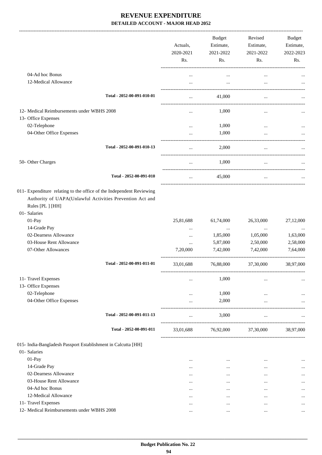|                                                                               |                                                                                                                                  | Actuals,<br>2020-2021<br>Rs. | <b>Budget</b><br>Estimate,<br>2021-2022<br>Rs. | Revised<br>Estimate,<br>2021-2022<br>Rs. | <b>Budget</b><br>Estimate,<br>2022-2023<br>Rs. |
|-------------------------------------------------------------------------------|----------------------------------------------------------------------------------------------------------------------------------|------------------------------|------------------------------------------------|------------------------------------------|------------------------------------------------|
| 04-Ad hoc Bonus                                                               |                                                                                                                                  | $\cdots$                     | $\cdots$                                       | $\cdots$                                 |                                                |
| 12-Medical Allowance                                                          |                                                                                                                                  |                              | $\cdots$                                       | $\ddotsc$                                |                                                |
|                                                                               |                                                                                                                                  |                              |                                                |                                          |                                                |
|                                                                               | Total - 2052-00-091-010-01                                                                                                       | $\cdots$                     | 41,000                                         | $\cdots$                                 |                                                |
| 12- Medical Reimbursements under WBHS 2008                                    |                                                                                                                                  |                              | 1,000                                          |                                          |                                                |
| 13- Office Expenses                                                           |                                                                                                                                  |                              |                                                |                                          |                                                |
| 02-Telephone                                                                  |                                                                                                                                  |                              | 1,000                                          | $\cdots$                                 |                                                |
| 04-Other Office Expenses                                                      |                                                                                                                                  |                              | 1,000                                          |                                          |                                                |
|                                                                               | Total - 2052-00-091-010-13                                                                                                       |                              | 2,000                                          | $\ddotsc$                                |                                                |
| 50- Other Charges                                                             |                                                                                                                                  |                              | 1,000                                          |                                          |                                                |
|                                                                               | Total - 2052-00-091-010                                                                                                          | $\ldots$                     | 45,000                                         | $\cdots$                                 |                                                |
| Rules [PL ] [HH]<br>01- Salaries                                              | 011- Expenditure relating to the office of the Independent Reviewing<br>Authority of UAPA(Unlawful Activities Prevention Act and |                              |                                                |                                          |                                                |
| 01-Pay                                                                        |                                                                                                                                  | 25,81,688                    | 61,74,000                                      | 26,33,000                                | 27,12,000                                      |
| 14-Grade Pay                                                                  |                                                                                                                                  |                              | $\cdots$                                       |                                          |                                                |
| 02-Dearness Allowance<br>03-House Rent Allowance                              |                                                                                                                                  |                              | 1,85,000                                       | 1,05,000                                 | 1,63,000                                       |
| 07-Other Allowances                                                           |                                                                                                                                  | <br>7,20,000                 | 5,87,000<br>7,42,000                           | 2,50,000<br>7,42,000                     | 2,58,000<br>7,64,000                           |
|                                                                               | Total - 2052-00-091-011-01                                                                                                       |                              |                                                |                                          |                                                |
|                                                                               |                                                                                                                                  | 33,01,688                    | 76,88,000                                      | 37,30,000                                | 38,97,000                                      |
| 11- Travel Expenses                                                           |                                                                                                                                  | $\cdots$                     | 1,000                                          |                                          |                                                |
| 13- Office Expenses                                                           |                                                                                                                                  |                              |                                                |                                          |                                                |
| 02-Telephone                                                                  |                                                                                                                                  |                              | 1,000                                          |                                          |                                                |
| 04-Other Office Expenses                                                      |                                                                                                                                  |                              | 2,000                                          | -------------------                      |                                                |
|                                                                               | Total - 2052-00-091-011-13                                                                                                       |                              | 3,000                                          | $\ddotsc$                                |                                                |
|                                                                               | Total - 2052-00-091-011                                                                                                          | 33,01,688                    | 76,92,000                                      | 37,30,000                                | 38,97,000                                      |
| 015- India-Bangladesh Passport Establishment in Calcutta [HH]<br>01- Salaries |                                                                                                                                  |                              |                                                |                                          |                                                |
| 01-Pay                                                                        |                                                                                                                                  | $\cdots$                     | $\cdots$                                       | $\cdots$                                 |                                                |
| 14-Grade Pay                                                                  |                                                                                                                                  | $\cdots$                     | $\cdots$                                       | $\cdots$                                 |                                                |
| 02-Dearness Allowance                                                         |                                                                                                                                  | $\cdots$                     |                                                | $\cdots$                                 |                                                |
| 03-House Rent Allowance                                                       |                                                                                                                                  | $\cdots$                     | $\cdots$                                       | $\cdots$                                 |                                                |
| 04-Ad hoc Bonus                                                               |                                                                                                                                  | $\cdots$                     | $\cdots$                                       |                                          |                                                |
| 12-Medical Allowance                                                          |                                                                                                                                  | $\cdots$                     | $\cdots$                                       | $\cdots$                                 |                                                |
| 11- Travel Expenses                                                           |                                                                                                                                  | $\cdots$                     | $\cdots$                                       | $\cdots$                                 |                                                |
| 12- Medical Reimbursements under WBHS 2008                                    |                                                                                                                                  | $\cdots$                     | $\cdots$                                       | $\cdots$                                 | $\cdots$                                       |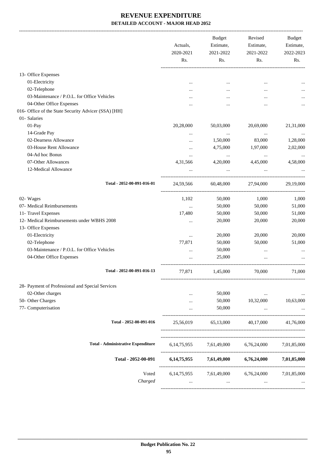|                                                      | Actuals,<br>2020-2021<br>Rs. | <b>Budget</b><br>Estimate,<br>2021-2022<br>Rs. | Revised<br>Estimate,<br>2021-2022<br>Rs.        | Budget<br>Estimate,<br>2022-2023<br>Rs. |
|------------------------------------------------------|------------------------------|------------------------------------------------|-------------------------------------------------|-----------------------------------------|
| 13- Office Expenses                                  |                              |                                                |                                                 |                                         |
| 01-Electricity                                       |                              | $\cdots$                                       |                                                 |                                         |
| 02-Telephone                                         |                              | $\cdots$                                       |                                                 |                                         |
| 03-Maintenance / P.O.L. for Office Vehicles          |                              |                                                |                                                 |                                         |
| 04-Other Office Expenses                             |                              |                                                |                                                 |                                         |
| 016- Office of the State Security Advicer (SSA) [HH] |                              |                                                |                                                 |                                         |
| 01- Salaries                                         |                              |                                                |                                                 |                                         |
| 01-Pay                                               | 20,28,000                    | 50,03,000                                      | 20,69,000                                       | 21,31,000                               |
| 14-Grade Pay                                         | $\ddotsc$                    | $\cdots$                                       | $\cdots$                                        | $\cdots$                                |
| 02-Dearness Allowance                                | $\ddotsc$                    | 1,50,000                                       | 83,000                                          | 1,28,000                                |
| 03-House Rent Allowance                              |                              | 4,75,000                                       | 1,97,000                                        | 2,02,000                                |
| 04-Ad hoc Bonus                                      | $\cdots$                     |                                                |                                                 |                                         |
| 07-Other Allowances                                  | $\cdots$<br>4,31,566         | $\cdots$<br>4,20,000                           | $\cdots$<br>4,45,000                            | 4,58,000                                |
| 12-Medical Allowance                                 |                              |                                                |                                                 |                                         |
|                                                      |                              |                                                |                                                 |                                         |
| Total - 2052-00-091-016-01                           | 24,59,566                    | 60,48,000                                      | 27,94,000                                       | 29,19,000                               |
| 02- Wages                                            | 1,102                        | 50,000                                         | 1,000                                           | 1,000                                   |
| 07- Medical Reimbursements                           | $\cdots$                     | 50,000                                         | 50,000                                          | 51,000                                  |
| 11- Travel Expenses                                  | 17,480                       | 50,000                                         | 50,000                                          | 51,000                                  |
| 12- Medical Reimbursements under WBHS 2008           | $\cdots$                     | 20,000                                         | 20,000                                          | 20,000                                  |
| 13- Office Expenses                                  |                              |                                                |                                                 |                                         |
| 01-Electricity                                       | $\cdots$                     | 20,000                                         | 20,000                                          | 20,000                                  |
| 02-Telephone                                         | 77,871                       | 50,000                                         | 50,000                                          | 51,000                                  |
| 03-Maintenance / P.O.L. for Office Vehicles          | $\cdots$                     | 50,000                                         |                                                 |                                         |
| 04-Other Office Expenses                             |                              | 25,000                                         |                                                 |                                         |
| Total - 2052-00-091-016-13                           | 77,871                       | 1,45,000                                       | 70,000                                          | 71,000                                  |
| 28- Payment of Professional and Special Services     |                              |                                                |                                                 |                                         |
| 02-Other charges                                     |                              | 50,000                                         | <b>Contract Contract</b>                        | $\cdots$                                |
| 50- Other Charges                                    | $\ddotsc$                    | 50,000                                         | 10,32,000                                       | 10,63,000                               |
| 77- Computerisation                                  |                              | 50,000                                         | $\cdots$                                        |                                         |
| Total - 2052-00-091-016                              | 25,56,019                    | 65,13,000                                      | 40,17,000                                       | 41,76,000                               |
| <b>Total - Administrative Expenditure</b>            |                              |                                                | 6,14,75,955 7,61,49,000 6,76,24,000 7,01,85,000 |                                         |
|                                                      |                              |                                                |                                                 |                                         |
| Total - 2052-00-091                                  |                              |                                                | $6,14,75,955$ $7,61,49,000$ $6,76,24,000$       | 7,01,85,000                             |
| Voted                                                |                              |                                                | 6,14,75,955 7,61,49,000 6,76,24,000 7,01,85,000 |                                         |
| Charged                                              | $\cdots$                     | $\cdots$                                       | $\cdots$                                        |                                         |
|                                                      |                              |                                                |                                                 |                                         |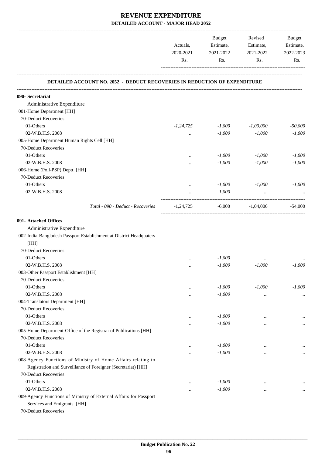|                                                                                                   |             | <b>Budget</b>          | Revised<br>Estimate, | Budget<br>Estimate,<br>2022-2023 |
|---------------------------------------------------------------------------------------------------|-------------|------------------------|----------------------|----------------------------------|
|                                                                                                   | Actuals,    | Estimate,              |                      |                                  |
|                                                                                                   | 2020-2021   | 2021-2022<br>2021-2022 |                      |                                  |
|                                                                                                   | Rs.         | Rs.                    | Rs.                  | Rs.                              |
| DETAILED ACCOUNT NO. 2052 - DEDUCT RECOVERIES IN REDUCTION OF EXPENDITURE                         |             |                        |                      |                                  |
| 090- Secretariat                                                                                  |             |                        |                      |                                  |
| Administrative Expenditure                                                                        |             |                        |                      |                                  |
| 001-Home Department [HH]                                                                          |             |                        |                      |                                  |
| 70-Deduct Recoveries                                                                              |             |                        |                      |                                  |
| 01-Others                                                                                         | $-1,24,725$ | $-1,000$               | $-1,00,000$          | $-50,000$                        |
| 02-W.B.H.S. 2008                                                                                  | $\cdots$    | $-1,000$               | $-1,000$             | $-1,000$                         |
| 005-Home Department Human Rights Cell [HH]                                                        |             |                        |                      |                                  |
| 70-Deduct Recoveries                                                                              |             |                        |                      |                                  |
| 01-Others                                                                                         | $\cdots$    | $-1,000$               | $-1,000$             | $-1,000$                         |
| 02-W.B.H.S. 2008                                                                                  | .           | $-1,000$               | $-1,000$             | $-1,000$                         |
| 006-Home (Poll-PSP) Deptt. [HH]                                                                   |             |                        |                      |                                  |
| 70-Deduct Recoveries                                                                              |             |                        |                      |                                  |
| 01-Others                                                                                         | $\cdots$    | $-1,000$               | $-1,000$             | $-1,000$                         |
| 02-W.B.H.S. 2008                                                                                  | $\cdots$    | $-1,000$               |                      |                                  |
| Total - 090 - Deduct - Recoveries                                                                 | $-1,24,725$ | -6,000                 | $-1,04,000$          | $-54,000$                        |
| 091- Attached Offices                                                                             |             |                        |                      |                                  |
| Administrative Expenditure                                                                        |             |                        |                      |                                  |
| 002-India-Bangladesh Passport Establishment at District Headquaters                               |             |                        |                      |                                  |
|                                                                                                   |             |                        |                      |                                  |
| [HH]<br>70-Deduct Recoveries                                                                      |             |                        |                      |                                  |
|                                                                                                   |             |                        |                      |                                  |
| 01-Others                                                                                         |             | $-1,000$               |                      |                                  |
| 02-W.B.H.S. 2008                                                                                  |             | $-1,000$               | $-1,000$             | $-1,000$                         |
| 003-Other Passport Establishment [HH]                                                             |             |                        |                      |                                  |
| 70-Deduct Recoveries                                                                              |             |                        |                      |                                  |
| 01-Others                                                                                         |             | $-1,000$               | $-1,000$             | $-1,000$                         |
| 02-W.B.H.S. 2008                                                                                  | $\cdots$    | $-1,000$               |                      | $\cdots$                         |
| 004-Translators Department [HH]                                                                   |             |                        |                      |                                  |
| 70-Deduct Recoveries                                                                              |             |                        |                      |                                  |
| 01-Others                                                                                         |             | $-1,000$               |                      | $\cdots$                         |
| 02-W.B.H.S. 2008                                                                                  |             | $-1,000$               |                      | $\cdots$                         |
| 005-Home Department-Office of the Registrar of Publications [HH]                                  |             |                        |                      |                                  |
| 70-Deduct Recoveries                                                                              |             |                        |                      |                                  |
| 01-Others                                                                                         | $\cdots$    | $-1,000$               | $\cdots$             | $\cdots$                         |
| 02-W.B.H.S. 2008                                                                                  | $\cdots$    | $-1,000$               | $\cdots$             | $\cdots$                         |
| 008-Agency Functions of Ministry of Home Affairs relating to                                      |             |                        |                      |                                  |
| Registration and Surveillance of Foreigner (Secretariat) [HH]                                     |             |                        |                      |                                  |
| 70-Deduct Recoveries                                                                              |             |                        |                      |                                  |
| 01-Others                                                                                         | $\cdots$    | $-1,000$               |                      |                                  |
| 02-W.B.H.S. 2008                                                                                  | $\cdots$    | $-1,000$               | $\cdots$             | $\cdots$                         |
| 009-Agency Functions of Ministry of External Affairs for Passport<br>Services and Emigrants. [HH] |             |                        |                      |                                  |

70-Deduct Recoveries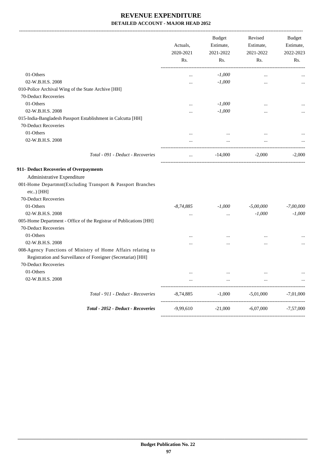|                                                                                                                                                       | Actuals,<br>2020-2021<br>Rs. | <b>Budget</b><br>Estimate,<br>2021-2022<br>Rs. | Revised<br>Estimate,<br>2021-2022<br>Rs. | <b>Budget</b><br>Estimate,<br>2022-2023<br>Rs. |
|-------------------------------------------------------------------------------------------------------------------------------------------------------|------------------------------|------------------------------------------------|------------------------------------------|------------------------------------------------|
| 01-Others                                                                                                                                             |                              | $-1,000$                                       |                                          |                                                |
| 02-W.B.H.S. 2008                                                                                                                                      |                              | $-1,000$                                       | $\cdots$                                 |                                                |
| 010-Police Archival Wing of the State Archive [HH]                                                                                                    |                              |                                                |                                          |                                                |
| 70-Deduct Recoveries                                                                                                                                  |                              |                                                |                                          |                                                |
| 01-Others                                                                                                                                             |                              | $-1,000$                                       |                                          |                                                |
| 02-W.B.H.S. 2008                                                                                                                                      |                              | $-1,000$                                       |                                          |                                                |
| 015-India-Bangladesh Passport Establishment in Calcutta [HH]                                                                                          |                              |                                                |                                          |                                                |
| 70-Deduct Recoveries                                                                                                                                  |                              |                                                |                                          |                                                |
| 01-Others                                                                                                                                             |                              |                                                |                                          |                                                |
| 02-W.B.H.S. 2008                                                                                                                                      | $\ddotsc$                    |                                                |                                          |                                                |
|                                                                                                                                                       |                              |                                                |                                          |                                                |
| Total - 091 - Deduct - Recoveries                                                                                                                     | $\cdots$                     | $-14,000$                                      | $-2,000$                                 | $-2.000$                                       |
| 911- Deduct Recoveries of Overpayments                                                                                                                |                              |                                                |                                          |                                                |
| Administrative Expenditure                                                                                                                            |                              |                                                |                                          |                                                |
| 001-Home Departmnt(Excluding Transport & Passport Branches<br>etc) [HH]                                                                               |                              |                                                |                                          |                                                |
| 70-Deduct Recoveries                                                                                                                                  |                              |                                                |                                          |                                                |
| 01-Others                                                                                                                                             | $-8,74,885$                  | $-1,000$                                       | $-5,00,000$                              | $-7,00,000$                                    |
| 02-W.B.H.S. 2008                                                                                                                                      |                              | $\cdots$                                       | $-1,000$                                 | $-1,000$                                       |
| 005-Home Department - Office of the Registrar of Publications [HH]<br>70-Deduct Recoveries                                                            |                              |                                                |                                          |                                                |
| 01-Others                                                                                                                                             | .                            | $\ddotsc$                                      | $\cdots$                                 |                                                |
| 02-W.B.H.S. 2008                                                                                                                                      |                              |                                                | $\cdots$                                 |                                                |
| 008-Agency Functions of Ministry of Home Affairs relating to<br>Registration and Surveillance of Foreigner (Secretariat) [HH]<br>70-Deduct Recoveries |                              |                                                |                                          |                                                |
| 01-Others                                                                                                                                             | $\cdots$                     | $\cdots$                                       |                                          |                                                |
| 02-W.B.H.S. 2008                                                                                                                                      |                              |                                                |                                          |                                                |
| Total - 911 - Deduct - Recoveries                                                                                                                     | $-8,74,885$                  | $-1,000$                                       | $-5,01,000$                              | $-7,01,000$                                    |
| Total - 2052 - Deduct - Recoveries                                                                                                                    | $-9,99,610$                  | $-21,000$                                      | $-6,07,000$                              | $-7,57,000$                                    |
|                                                                                                                                                       |                              |                                                |                                          |                                                |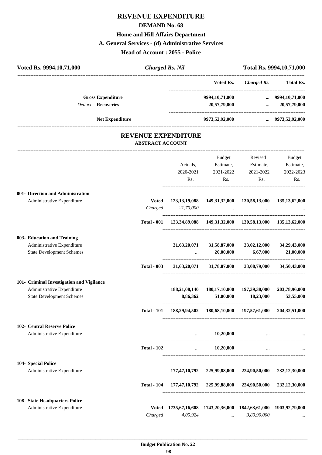# **REVENUE EXPENDITURE DEMAND No. 68 Home and Hill Affairs Department A. General Services - (d) Administrative Services Head of Account : 2055 - Police**

| Voted Rs. 9994, 10, 71, 000               |                            | <b>Charged Rs. Nil</b>                                              |                                                                     | Total Rs. 9994, 10, 71, 000                         |                                                        |
|-------------------------------------------|----------------------------|---------------------------------------------------------------------|---------------------------------------------------------------------|-----------------------------------------------------|--------------------------------------------------------|
|                                           |                            |                                                                     |                                                                     | Voted Rs. Charged Rs. Total Rs.                     |                                                        |
| <b>Gross Expenditure</b>                  |                            |                                                                     | 9994,10,71,000                                                      |                                                     | $\ldots$ 9994,10,71,000                                |
| <b>Deduct - Recoveries</b>                |                            |                                                                     | $-20,57,79,000$                                                     | $\cdots$                                            | $-20,57,79,000$                                        |
| Net Expenditure                           |                            |                                                                     | 9973,52,92,000                                                      |                                                     | $\ldots$ 9973,52,92,000                                |
|                                           | <b>REVENUE EXPENDITURE</b> |                                                                     |                                                                     |                                                     |                                                        |
|                                           | <b>ABSTRACT ACCOUNT</b>    |                                                                     |                                                                     |                                                     |                                                        |
|                                           |                            |                                                                     | <b>Budget</b>                                                       | Revised                                             | Budget                                                 |
|                                           |                            | Actuals,                                                            |                                                                     | Estimate, Estimate,                                 | Estimate,                                              |
|                                           |                            | 2020-2021                                                           | 2021-2022                                                           | 2021-2022                                           | 2022-2023                                              |
|                                           |                            | Rs.                                                                 | Rs.                                                                 | Rs.                                                 | Rs.                                                    |
| 001- Direction and Administration         |                            |                                                                     |                                                                     |                                                     |                                                        |
| Administrative Expenditure                | <b>Voted</b>               |                                                                     | 123, 13, 19, 088 149, 31, 32, 000 130, 58, 13, 000 135, 13, 62, 000 |                                                     |                                                        |
|                                           | Charged                    | 21,70,000                                                           |                                                                     | the contract of the contract of the contract of the |                                                        |
|                                           |                            | Total - 001 123,34,89,088 149,31,32,000 130,58,13,000 135,13,62,000 |                                                                     |                                                     |                                                        |
| 003- Education and Training               |                            |                                                                     |                                                                     |                                                     |                                                        |
| Administrative Expenditure                |                            | 31,63,20,071                                                        | 31,58,87,000                                                        | 33,02,12,000                                        | 34,29,43,000                                           |
| <b>State Development Schemes</b>          |                            |                                                                     | 20,00,000                                                           | 6,67,000                                            | 21,00,000                                              |
|                                           | <b>Total - 003</b>         | 31,63,20,071                                                        |                                                                     | 31,78,87,000 33,08,79,000                           | 34,50,43,000                                           |
| 101- Criminal Investigation and Vigilance |                            |                                                                     |                                                                     |                                                     |                                                        |
| Administrative Expenditure                |                            | 188,21,08,140                                                       | 180,17,10,000                                                       | 197,39,38,000                                       | 203,78,96,000                                          |
| <b>State Development Schemes</b>          |                            | 8,86,362                                                            | 51,00,000                                                           | 18,23,000                                           | 53,55,000                                              |
|                                           | <b>Total - 101</b>         |                                                                     | 188, 29, 94, 502 180, 68, 10, 000 197, 57, 61, 000 204, 32, 51, 000 |                                                     |                                                        |
| 102- Central Reserve Police               |                            |                                                                     |                                                                     |                                                     |                                                        |
| Administrative Expenditure                |                            | $\cdots$                                                            | 10,20,000                                                           |                                                     | <b>Contract Contract Contract Contract</b><br>$\ddots$ |
|                                           | <b>Total - 102</b>         |                                                                     | 10,20,000<br><b>Contract Contract</b>                               | $\cdots$                                            |                                                        |
| 104- Special Police                       |                            |                                                                     |                                                                     |                                                     |                                                        |
| Administrative Expenditure                |                            |                                                                     | 177,47,10,792 225,99,88,000 224,90,50,000 232,12,30,000             |                                                     |                                                        |
|                                           |                            | Total - 104 177,47,10,792 225,99,88,000 224,90,50,000 232,12,30,000 |                                                                     |                                                     |                                                        |
| 108- State Headquarters Police            |                            |                                                                     |                                                                     |                                                     |                                                        |
| Administrative Expenditure                |                            | Voted 1735,67,16,608 1743,20,36,000 1842,63,61,000 1903,92,79,000   |                                                                     |                                                     |                                                        |
|                                           | Charged                    | 4,05,924                                                            | $\ldots$                                                            | 3,89,90,000                                         |                                                        |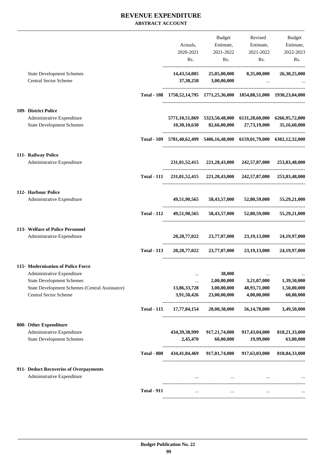### **REVENUE EXPENDITURE ABSTRACT ACCOUNT**

|                                                                                                                                                                                        |                    | Actuals,<br>2020-2021<br>Rs.                                                        | Budget<br>Estimate,<br>2021-2022<br>Rs.                              | Revised<br>Estimate,<br>2021-2022<br>Rs.                                                                    | Budget<br>Estimate,<br>2022-2023<br>Rs.                             |
|----------------------------------------------------------------------------------------------------------------------------------------------------------------------------------------|--------------------|-------------------------------------------------------------------------------------|----------------------------------------------------------------------|-------------------------------------------------------------------------------------------------------------|---------------------------------------------------------------------|
| <b>State Development Schemes</b><br><b>Central Sector Scheme</b>                                                                                                                       |                    | 14,43,54,005                                                                        | 25,05,00,000<br>37,38,258 3,00,00,000                                | 8,35,00,000<br>$\cdots$                                                                                     | 26,30,25,000                                                        |
|                                                                                                                                                                                        |                    | Total - 108 1750, 52, 14, 795 1771, 25, 36, 000 1854, 88, 51, 000 1930, 23, 04, 000 |                                                                      |                                                                                                             |                                                                     |
| 109- District Police<br>Administrative Expenditure<br><b>State Development Schemes</b>                                                                                                 |                    |                                                                                     |                                                                      | 5771,10,51,869 5323,50,48,000 6131,28,60,000 6266,95,72,000<br>$10,30,10,630$ $82,66,00,000$ $27,73,19,000$ | 35,16,60,000                                                        |
|                                                                                                                                                                                        |                    | Total - 109 5781,40,62,499 5406,16,48,000 6159,01,79,000 6302,12,32,000             |                                                                      |                                                                                                             |                                                                     |
| 111- Railway Police<br>Administrative Expenditure                                                                                                                                      |                    |                                                                                     |                                                                      | 231,01,52,415 221,28,43,000 242,57,87,000 253,83,48,000                                                     |                                                                     |
|                                                                                                                                                                                        | Total - 111        |                                                                                     |                                                                      | 231,01,52,415 221,28,43,000 242,57,87,000 253,83,48,000                                                     |                                                                     |
| 112- Harbour Police<br>Administrative Expenditure                                                                                                                                      |                    |                                                                                     |                                                                      | 49,51,90,565 58,43,57,000 52,80,59,000 55,29,21,000                                                         |                                                                     |
|                                                                                                                                                                                        |                    | Total - 112 49,51,90,565 58,43,57,000 52,80,59,000 55,29,21,000                     |                                                                      |                                                                                                             |                                                                     |
| 113- Welfare of Police Personnel<br>Administrative Expenditure                                                                                                                         |                    |                                                                                     |                                                                      | 20, 28, 77, 022 23, 77, 07, 000 23, 19, 13, 000                                                             | 24,19,97,000                                                        |
|                                                                                                                                                                                        | <b>Total - 113</b> |                                                                                     |                                                                      | 20,28,77,022 23,77,07,000 23,19,13,000 24,19,97,000                                                         |                                                                     |
| 115- Modernisation of Police Force<br>Administrative Expenditure<br><b>State Development Schemes</b><br>State Development Schemes (Central Assistance)<br><b>Central Sector Scheme</b> | <b>Total - 115</b> | $\cdots$<br><br>13,86,33,728<br>3,91,50,426<br>17,77,84,154                         | 38,000<br>2,00,00,000<br>3,00,00,000<br>23,00,00,000<br>28,00,38,000 | $\cdots$<br>3,21,07,000<br>48,93,71,000<br>4,00,00,000<br>56,14,78,000                                      | $\ddotsc$<br>1,39,50,000<br>1,50,00,000<br>60,00,000<br>3,49,50,000 |
| 800- Other Expenditure<br>Administrative Expenditure<br><b>State Development Schemes</b>                                                                                               |                    | 434,39,38,999<br>2,45,470                                                           | 917,21,74,000<br>60,00,000                                           | 917,43,04,000<br>19,99,000                                                                                  | 818,21,33,000<br>63,00,000                                          |
|                                                                                                                                                                                        | <b>Total - 800</b> |                                                                                     |                                                                      | 434,41,84,469 917,81,74,000 917,63,03,000 818,84,33,000                                                     |                                                                     |
| 911- Deduct Recoveries of Overpayments<br>Administrative Expenditure                                                                                                                   |                    |                                                                                     | and the company of the company of the                                |                                                                                                             |                                                                     |
|                                                                                                                                                                                        | <b>Total - 911</b> | $\cdots$                                                                            | $\cdots$                                                             |                                                                                                             |                                                                     |
|                                                                                                                                                                                        |                    |                                                                                     |                                                                      |                                                                                                             |                                                                     |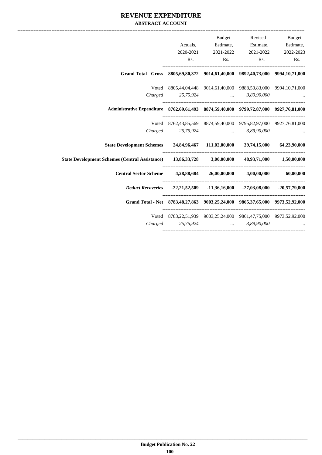### **REVENUE EXPENDITURE ABSTRACT ACCOUNT**

|                                                                                                  |                                                                   | <b>Budget</b>       |                                        | Revised Budget |
|--------------------------------------------------------------------------------------------------|-------------------------------------------------------------------|---------------------|----------------------------------------|----------------|
|                                                                                                  |                                                                   |                     | Actuals, Estimate, Estimate, Estimate, |                |
|                                                                                                  |                                                                   | 2020-2021 2021-2022 | 2021-2022                              | 2022-2023      |
|                                                                                                  |                                                                   |                     | Rs. Rs. Rs. Rs. Rs.                    |                |
| Grand Total - Gross 8805,69,80,372 9014,61,40,000 9892,40,73,000 9994,10,71,000                  |                                                                   |                     |                                        |                |
|                                                                                                  | Voted 8805,44,04,448 9014,61,40,000 9888,50,83,000 9994,10,71,000 |                     |                                        |                |
|                                                                                                  | Charged 25,75,924  3,89,90,000                                    |                     |                                        |                |
| Administrative Expenditure 8762,69,61,493 8874,59,40,000 9799,72,87,000 9927,76,81,000           |                                                                   |                     |                                        |                |
|                                                                                                  | Voted 8762,43,85,569 8874,59,40,000 9795,82,97,000 9927,76,81,000 |                     |                                        |                |
|                                                                                                  | Charged 25,75,924  3,89,90,000                                    |                     |                                        |                |
| State Development Schemes 24,84,96,467 111,02,00,000 39,74,15,000 64,23,90,000                   |                                                                   |                     |                                        |                |
| State Development Schemes (Central Assistance) 13,86,33,728 3,00,00,000 48,93,71,000 1,50,00,000 |                                                                   |                     |                                        |                |
| Central Sector Scheme 4,28,88,684 26,00,00,000 4,00,00,000 60,00,000                             |                                                                   |                     |                                        |                |
| Deduct Recoveries -22,21,52,509 -11,36,16,000 -27,03,08,000 -20,57,79,000                        |                                                                   |                     |                                        |                |
| Grand Total - Net 8783,48,27,863 9003,25,24,000 9865,37,65,000 9973,52,92,000                    |                                                                   |                     |                                        |                |
|                                                                                                  | Voted 8783,22,51,939 9003,25,24,000 9861,47,75,000 9973,52,92,000 |                     |                                        |                |
|                                                                                                  | Charged 25,75,924  3,89,90,000                                    |                     |                                        |                |
|                                                                                                  |                                                                   |                     |                                        |                |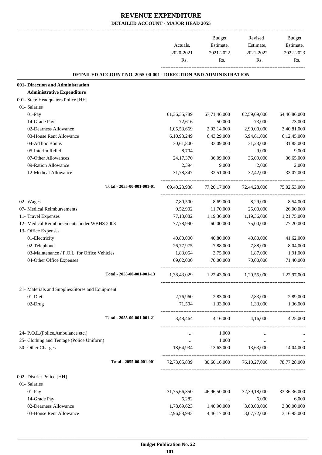|                                                                        | Actuals,<br>2020-2021<br>Rs. | Budget<br>Estimate,<br>2021-2022<br>Rs. | Revised<br>Estimate,<br>2021-2022<br>Rs.        | Budget<br>Estimate,<br>2022-2023<br>Rs. |
|------------------------------------------------------------------------|------------------------------|-----------------------------------------|-------------------------------------------------|-----------------------------------------|
| <b>DETAILED ACCOUNT NO. 2055-00-001 - DIRECTION AND ADMINISTRATION</b> |                              |                                         |                                                 |                                         |
| 001- Direction and Administration                                      |                              |                                         |                                                 |                                         |
| <b>Administrative Expenditure</b>                                      |                              |                                         |                                                 |                                         |
| 001- State Headquaters Police [HH]                                     |                              |                                         |                                                 |                                         |
| 01- Salaries                                                           |                              |                                         |                                                 |                                         |
| 01-Pay                                                                 | 61, 36, 35, 789              | 67,71,46,000                            | 62,59,09,000                                    | 64,46,86,000                            |
| 14-Grade Pay                                                           | 72,616                       | 50,000                                  | 73,000                                          | 73,000                                  |
| 02-Dearness Allowance                                                  | 1,05,53,669                  | 2,03,14,000                             | 2,90,00,000                                     | 3,40,81,000                             |
| 03-House Rent Allowance                                                | 6,10,93,249                  | 6,43,29,000                             | 5,94,61,000                                     | 6,12,45,000                             |
| 04-Ad hoc Bonus                                                        | 30,61,800                    | 33,09,000                               | 31,23,000                                       | 31,85,000                               |
| 05-Interim Relief                                                      | 8,704                        | $\cdots$                                | 9,000                                           | 9,000                                   |
| 07-Other Allowances                                                    | 24, 17, 370                  | 36,09,000                               | 36,09,000                                       | 36,65,000                               |
| 09-Ration Allowance                                                    | 2,394                        | 9,000                                   | 2,000                                           | 2,000                                   |
| 12-Medical Allowance                                                   | 31,78,347                    | 32,51,000                               | 32,42,000                                       | 33,07,000                               |
| Total - 2055-00-001-001-01                                             | 69, 40, 23, 938              | 77,20,17,000                            | 72,44,28,000                                    | 75,02,53,000                            |
| 02- Wages                                                              | 7,80,500                     | 8,69,000                                | 8,29,000                                        | 8,54,000                                |
| 07- Medical Reimbursements                                             | 9,52,902                     | 11,70,000                               | 25,00,000                                       | 26,00,000                               |
| 11- Travel Expenses                                                    | 77,13,082                    | 1,19,36,000                             | 1,19,36,000                                     | 1,21,75,000                             |
| 12- Medical Reimbursements under WBHS 2008                             | 77,78,990                    | 60,00,000                               | 75,00,000                                       | 77,20,000                               |
| 13- Office Expenses                                                    |                              |                                         |                                                 |                                         |
| 01-Electricity                                                         | 40,80,000                    | 40,80,000                               | 40,80,000                                       | 41,62,000                               |
| 02-Telephone                                                           | 26,77,975                    | 7,88,000                                | 7,88,000                                        | 8,04,000                                |
| 03-Maintenance / P.O.L. for Office Vehicles                            | 1,83,054                     | 3,75,000                                | 1,87,000                                        | 1,91,000                                |
| 04-Other Office Expenses                                               | 69,02,000                    | 70,00,000                               | 70,00,000                                       | 71,40,000                               |
| Total - 2055-00-001-001-13                                             |                              |                                         | 1,38,43,029 1,22,43,000 1,20,55,000 1,22,97,000 |                                         |
| 21- Materials and Supplies/Stores and Equipment                        |                              |                                         |                                                 |                                         |
| 01-Diet                                                                | 2,76,960                     | 2,83,000                                | 2,83,000                                        | 2,89,000                                |
| 02-Drug                                                                |                              | 71,504 1,33,000                         | 1,33,000                                        | 1,36,000                                |
| Total - 2055-00-001-001-21                                             |                              |                                         | 3,48,464 4,16,000 4,16,000 4,25,000             |                                         |
| 24- P.O.L.(Police, Ambulance etc.)                                     | $\cdots$                     | 1,000                                   | $\cdots$                                        |                                         |
| 25- Clothing and Tentage (Police Uniform)                              | $\cdots$                     | 1,000                                   | $\sim 10^{-10}$                                 |                                         |
| 50- Other Charges                                                      |                              |                                         | 18,64,934 13,63,000 13,63,000 14,04,000         |                                         |
| Total - 2055-00-001-001                                                | 72,73,05,839                 |                                         | 80,60,16,000 76,10,27,000 78,77,28,000          |                                         |
| 002- District Police [HH]                                              |                              |                                         |                                                 |                                         |
| 01- Salaries                                                           |                              |                                         |                                                 |                                         |
| 01-Pay                                                                 | 31,75,66,350                 | 46,96,50,000                            | 32, 39, 18, 000                                 | 33,36,36,000                            |
| 14-Grade Pay                                                           | 6,282                        | $\cdots$                                | 6,000                                           | 6,000                                   |
| 02-Dearness Allowance                                                  | 1,78,69,623                  | 1,40,90,000                             | 3,00,00,000                                     | 3,30,00,000                             |
| 03-House Rent Allowance                                                | 2,96,88,983                  | 4,46,17,000                             | 3,07,72,000                                     | 3,16,95,000                             |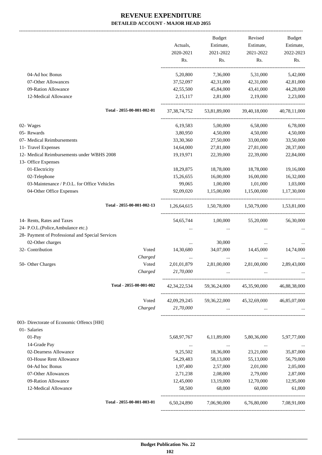|                                                  |                 | Budget                                 | Revised                                                                                                                                                                                                                              | Budget               |
|--------------------------------------------------|-----------------|----------------------------------------|--------------------------------------------------------------------------------------------------------------------------------------------------------------------------------------------------------------------------------------|----------------------|
|                                                  | Actuals,        | Estimate,                              | Estimate,                                                                                                                                                                                                                            | Estimate,            |
|                                                  | 2020-2021       | 2021-2022                              | 2021-2022                                                                                                                                                                                                                            | 2022-2023            |
|                                                  | Rs.             | Rs.                                    | Rs.                                                                                                                                                                                                                                  | Rs.                  |
| 04-Ad hoc Bonus                                  | 5,20,800        | 7,36,000                               | 5,31,000                                                                                                                                                                                                                             | 5,42,000             |
| 07-Other Allowances                              | 37,52,097       | 42,31,000                              | 42,31,000                                                                                                                                                                                                                            | 42,81,000            |
| 09-Ration Allowance                              | 42,55,500       | 45,84,000                              | 43,41,000                                                                                                                                                                                                                            | 44,28,000            |
| 12-Medical Allowance                             | 2,15,117        | 2,81,000                               | 2,19,000                                                                                                                                                                                                                             | 2,23,000             |
| Total - 2055-00-001-002-01                       | 37, 38, 74, 752 | 53,81,89,000                           | 39,40,18,000                                                                                                                                                                                                                         | 40,78,11,000         |
| 02- Wages                                        | 6,19,583        | 5,00,000                               | 6,58,000                                                                                                                                                                                                                             | 6,78,000             |
| 05- Rewards                                      | 3,80,950        | 4,50,000                               | 4,50,000                                                                                                                                                                                                                             | 4,50,000             |
| 07- Medical Reimbursements                       | 33,30,360       | 27,50,000                              | 33,00,000                                                                                                                                                                                                                            | 33,50,000            |
| 11- Travel Expenses                              | 14,64,000       | 27,81,000                              | 27,81,000                                                                                                                                                                                                                            | 28,37,000            |
| 12- Medical Reimbursements under WBHS 2008       | 19,19,971       | 22,39,000                              | 22,39,000                                                                                                                                                                                                                            | 22,84,000            |
| 13- Office Expenses                              |                 |                                        |                                                                                                                                                                                                                                      |                      |
| 01-Electricity                                   | 18,29,875       | 18,78,000                              | 18,78,000                                                                                                                                                                                                                            | 19,16,000            |
| 02-Telephone                                     | 15,26,655       | 16,00,000                              | 16,00,000                                                                                                                                                                                                                            | 16,32,000            |
| 03-Maintenance / P.O.L. for Office Vehicles      | 99,065          | 1,00,000                               | 1,01,000                                                                                                                                                                                                                             | 1,03,000             |
| 04-Other Office Expenses                         | 92,09,020       | 1,15,00,000                            | 1,15,00,000                                                                                                                                                                                                                          | 1,17,30,000          |
| Total - 2055-00-001-002-13                       | 1,26,64,615     | 1,50,78,000                            | 1,50,79,000                                                                                                                                                                                                                          | 1,53,81,000          |
| 14- Rents, Rates and Taxes                       | 54,65,744       | 1,00,000                               | 55,20,000                                                                                                                                                                                                                            | 56,30,000            |
| 24- P.O.L.(Police, Ambulance etc.)               |                 |                                        |                                                                                                                                                                                                                                      |                      |
| 28- Payment of Professional and Special Services |                 |                                        |                                                                                                                                                                                                                                      |                      |
| 02-Other charges                                 |                 | 30,000                                 | $\cdots$                                                                                                                                                                                                                             |                      |
| 32- Contribution<br>Voted                        | 14,30,680       | 34,07,000                              | 14,45,000                                                                                                                                                                                                                            | 14,74,000            |
| Charged                                          |                 |                                        |                                                                                                                                                                                                                                      |                      |
| Voted<br>50- Other Charges                       | 2,01,01,879     | 2,81,00,000                            | 2,81,00,000                                                                                                                                                                                                                          | 2,89,43,000          |
| Charged                                          | 21,70,000       |                                        |                                                                                                                                                                                                                                      |                      |
| Total - 2055-00-001-002                          |                 | 42,34,22,534 59,36,24,000 45,35,90,000 |                                                                                                                                                                                                                                      | 46,88,38,000         |
| Voted                                            |                 | 42,09,29,245 59,36,22,000 45,32,69,000 |                                                                                                                                                                                                                                      | 46,85,07,000         |
| Charged                                          | 21,70,000       |                                        | $\mathbf{r}$ and $\mathbf{r}$ are all the set of the set of the set of the set of the set of the set of the set of the set of the set of the set of the set of the set of the set of the set of the set of the set of the set of the | and the state of the |
| 003- Directorate of Economic Offencs [HH]        |                 |                                        |                                                                                                                                                                                                                                      |                      |
| 01- Salaries                                     |                 |                                        |                                                                                                                                                                                                                                      |                      |
| 01-Pay                                           | 5,68,97,767     | 6,11,89,000                            | 5,80,36,000                                                                                                                                                                                                                          | 5,97,77,000          |
| 14-Grade Pay                                     | $\ldots$        | $\ldots$                               | $\cdots$                                                                                                                                                                                                                             |                      |
| 02-Dearness Allowance                            | 9,25,502        | 18,36,000                              | 23,21,000                                                                                                                                                                                                                            | 35,87,000            |
| 03-House Rent Allowance                          | 54, 29, 483     | 58,13,000                              | 55,13,000                                                                                                                                                                                                                            | 56,79,000            |
| 04-Ad hoc Bonus                                  | 1,97,400        | 2,57,000                               | 2,01,000                                                                                                                                                                                                                             | 2,05,000             |
| 07-Other Allowances                              | 2,71,238        | 2,08,000                               | 2,79,000                                                                                                                                                                                                                             | 2,87,000             |
| 09-Ration Allowance                              | 12,45,000       | 13,19,000                              | 12,70,000                                                                                                                                                                                                                            | 12,95,000            |
| 12-Medical Allowance                             | 58,500          | 68,000                                 | 60,000                                                                                                                                                                                                                               | 61,000               |
| Total - 2055-00-001-003-01                       |                 | 6,50,24,890 7,06,90,000 6,76,80,000    |                                                                                                                                                                                                                                      | 7,08,91,000          |
|                                                  |                 |                                        |                                                                                                                                                                                                                                      |                      |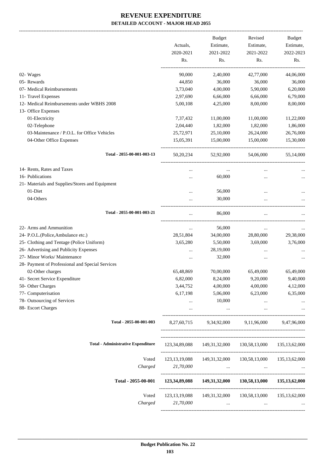-------------------------------------------------------------------------------------------------------------------------------------------------------------------------------

|                                                  | Actuals,         | <b>Budget</b><br>Estimate, | Revised<br>Estimate,                                                | <b>Budget</b><br>Estimate, |
|--------------------------------------------------|------------------|----------------------------|---------------------------------------------------------------------|----------------------------|
|                                                  | 2020-2021<br>Rs. | 2021-2022<br>Rs.           | 2021-2022<br>Rs.                                                    | 2022-2023<br>Rs.           |
| 02- Wages                                        | 90,000           | 2,40,000                   | 42,77,000                                                           | 44,06,000                  |
| 05-Rewards                                       | 44,850           | 36,000                     | 36,000                                                              | 36,000                     |
| 07- Medical Reimbursements                       | 3,73,040         | 4,00,000                   | 5,90,000                                                            | 6,20,000                   |
| 11- Travel Expenses                              | 2,97,690         | 6,66,000                   | 6,66,000                                                            | 6,79,000                   |
| 12- Medical Reimbursements under WBHS 2008       | 5,00,108         | 4,25,000                   | 8,00,000                                                            | 8,00,000                   |
| 13- Office Expenses                              |                  |                            |                                                                     |                            |
| 01-Electricity                                   | 7,37,432         | 11,00,000                  | 11,00,000                                                           | 11,22,000                  |
| 02-Telephone                                     | 2,04,440         | 1,82,000                   | 1,82,000                                                            | 1,86,000                   |
| 03-Maintenance / P.O.L. for Office Vehicles      | 25,72,971        | 25,10,000                  | 26,24,000                                                           | 26,76,000                  |
| 04-Other Office Expenses                         | 15,05,391        | 15,00,000                  | 15,00,000                                                           | 15,30,000                  |
| Total - 2055-00-001-003-13                       | 50, 20, 234      | 52,92,000                  | 54,06,000                                                           | 55,14,000                  |
| 14- Rents, Rates and Taxes                       |                  | $\cdots$                   |                                                                     |                            |
| 16- Publications                                 |                  | 60,000                     |                                                                     |                            |
| 21- Materials and Supplies/Stores and Equipment  |                  |                            |                                                                     |                            |
| 01-Diet                                          | $\ddotsc$        | 56,000                     | $\cdots$                                                            |                            |
| 04-Others                                        | $\cdots$         | 30,000                     |                                                                     |                            |
| Total - 2055-00-001-003-21                       |                  | 86,000                     |                                                                     |                            |
| 22- Arms and Ammunition                          | $\ddotsc$        | 56,000                     | $\ddotsc$                                                           |                            |
| 24- P.O.L.(Police, Ambulance etc.)               | 28,51,804        | 34,00,000                  | 28,80,000                                                           | 29,38,000                  |
| 25- Clothing and Tentage (Police Uniform)        | 3,65,280         | 5,50,000                   | 3,69,000                                                            | 3,76,000                   |
| 26- Advertising and Publicity Expenses           | $\cdots$         | 28,19,000                  |                                                                     |                            |
| 27- Minor Works/ Maintenance                     |                  | 32,000                     |                                                                     |                            |
| 28- Payment of Professional and Special Services |                  |                            |                                                                     |                            |
| 02-Other charges                                 | 65,48,869        | 70,00,000                  | 65,49,000                                                           | 65,49,000                  |
| 41- Secret Service Expenditure                   | 6,82,000         | 8,24,000                   | 9,20,000                                                            | 9,40,000                   |
| 50- Other Charges                                | 3,44,752         | 4,00,000                   | 4,00,000                                                            | 4,12,000                   |
| 77- Computerisation                              | 6,17,198         | 5,06,000                   | 6,23,000                                                            | 6,35,000                   |
| 78- Outsourcing of Services                      | $\cdots$         | 10,000                     | $\cdots$                                                            |                            |
| 88- Escort Charges                               | $\cdots$         | $\cdots$                   | $\cdots$                                                            |                            |
| Total - 2055-00-001-003                          | 8,27,60,715      |                            | 9,34,92,000 9,11,96,000                                             | 9,47,96,000                |
| <b>Total - Administrative Expenditure</b>        |                  |                            | 123, 34, 89, 088 149, 31, 32, 000 130, 58, 13, 000 135, 13, 62, 000 |                            |
|                                                  |                  |                            |                                                                     |                            |
| Voted<br>Charged                                 | 123, 13, 19, 088 |                            | 149,31,32,000 130,58,13,000 135,13,62,000                           |                            |
|                                                  | 21,70,000        | $\cdots$                   | $\cdots$                                                            |                            |
| Total - 2055-00-001                              | 123,34,89,088    | 149,31,32,000              | 130,58,13,000                                                       | 135, 13, 62, 000           |
| Voted                                            | 123, 13, 19, 088 | 149,31,32,000              | 130,58,13,000                                                       | 135, 13, 62, 000           |
| Charged                                          | 21,70,000        | $\cdots$                   | $\cdots$                                                            |                            |
|                                                  |                  |                            |                                                                     |                            |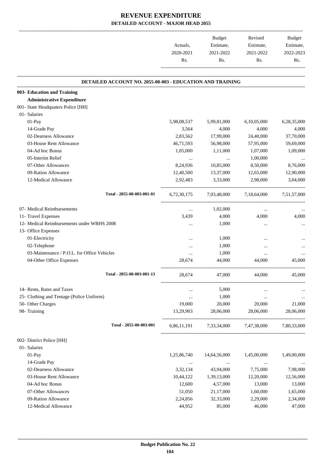|           | <b>Budget</b> | Revised   | Budget    |
|-----------|---------------|-----------|-----------|
| Actuals.  | Estimate,     | Estimate, | Estimate, |
| 2020-2021 | 2021-2022     | 2021-2022 | 2022-2023 |
| Rs.       | Rs.           | Rs.       | Rs        |
|           |               |           |           |

.

#### **DETAILED ACCOUNT NO. 2055-00-003 - EDUCATION AND TRAINING .**

| 003- Education and Training                 |                            |             |              |             |             |
|---------------------------------------------|----------------------------|-------------|--------------|-------------|-------------|
| <b>Administrative Expenditure</b>           |                            |             |              |             |             |
| 001- State Headquaters Police [HH]          |                            |             |              |             |             |
| 01- Salaries                                |                            |             |              |             |             |
| 01-Pay                                      |                            | 5,98,08,537 | 5,99,81,000  | 6,10,05,000 | 6,28,35,000 |
| 14-Grade Pay                                |                            | 3,564       | 4,000        | 4,000       | 4,000       |
| 02-Dearness Allowance                       |                            | 2,83,562    | 17,99,000    | 24,40,000   | 37,70,000   |
| 03-House Rent Allowance                     |                            | 46,71,593   | 56,98,000    | 57,95,000   | 59,69,000   |
| 04-Ad hoc Bonus                             |                            | 1,05,000    | 1,11,000     | 1,07,000    | 1,09,000    |
| 05-Interim Relief                           |                            | $\cdots$    | $\cdots$     | 1,00,000    |             |
| 07-Other Allowances                         |                            | 8,24,936    | 10,85,000    | 8,50,000    | 8,76,000    |
| 09-Ration Allowance                         |                            | 12,40,500   | 13,37,000    | 12,65,000   | 12,90,000   |
| 12-Medical Allowance                        |                            | 2,92,483    | 3,33,000     | 2,98,000    | 3,04,000    |
|                                             | Total - 2055-00-003-001-01 | 6.72.30.175 | 7,03,48,000  | 7,18,64,000 | 7,51,57,000 |
| 07- Medical Reimbursements                  |                            | $\cdots$    | 1,02,000     | $\cdots$    |             |
| 11- Travel Expenses                         |                            | 3,439       | 4,000        | 4,000       | 4,000       |
| 12- Medical Reimbursements under WBHS 2008  |                            | $\cdots$    | 1,000        | $\cdots$    |             |
| 13- Office Expenses                         |                            |             |              |             |             |
| 01-Electricity                              |                            | $\cdots$    | 1,000        | $\cdots$    |             |
| 02-Telephone                                |                            |             | 1,000        |             |             |
| 03-Maintenance / P.O.L. for Office Vehicles |                            | $\cdots$    | 1,000        | $\cdots$    |             |
| 04-Other Office Expenses                    |                            | 28,674      | 44,000       | 44,000      | 45,000      |
|                                             | Total - 2055-00-003-001-13 | 28,674      | 47,000       | 44,000      | 45,000      |
| 14- Rents, Rates and Taxes                  |                            | $\cdots$    | 5,000        | $\cdots$    |             |
| 25- Clothing and Tentage (Police Uniform)   |                            | $\cdots$    | 1,000        | $\cdots$    |             |
| 50- Other Charges                           |                            | 19,000      | 20,000       | 20,000      | 21,000      |
| 98- Training                                |                            | 13,29,903   | 28,06,000    | 28,06,000   | 28,06,000   |
|                                             | Total - 2055-00-003-001    | 6,86,11,191 | 7,33,34,000  | 7,47,38,000 | 7,80,33,000 |
| 002- District Police [HH]                   |                            |             |              |             |             |
| 01- Salaries                                |                            |             |              |             |             |
| 01-Pay                                      |                            | 1,25,86,740 | 14,64,56,000 | 1,45,00,000 | 1,49,00,000 |
| 14-Grade Pay                                |                            | $\cdots$    | $\cdots$     | $\cdots$    |             |
| 02-Dearness Allowance                       |                            | 3,32,134    | 43,94,000    | 7,75,000    | 7,98,000    |
| 03-House Rent Allowance                     |                            | 10,44,122   | 1,39,13,000  | 12,20,000   | 12,56,000   |
| 04-Ad hoc Bonus                             |                            | 12,600      | 4,57,000     | 13,000      | 13,000      |
| 07-Other Allowances                         |                            | 51,050      | 21,17,000    | 1,60,000    | 1,65,000    |
| 09-Ration Allowance                         |                            | 2,24,856    | 32,33,000    | 2,29,000    | 2,34,000    |
| 12-Medical Allowance                        |                            | 44,952      | 85,000       | 46,000      | 47,000      |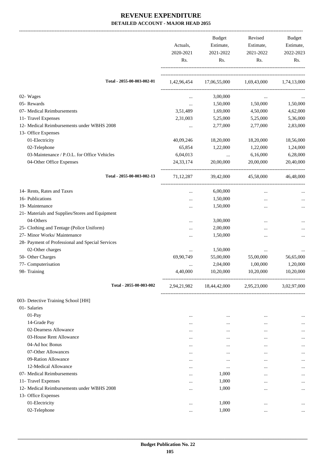|                                                  | Actuals,<br>2020-2021<br>Rs. | <b>Budget</b><br>Estimate,<br>2021-2022<br>Rs.   | Revised<br>Estimate,<br>2021-2022<br>Rs. | Budget<br>Estimate,<br>2022-2023<br>Rs. |
|--------------------------------------------------|------------------------------|--------------------------------------------------|------------------------------------------|-----------------------------------------|
| Total - 2055-00-003-002-01                       |                              | 1,42,96,454 17,06,55,000 1,69,43,000 1,74,13,000 |                                          |                                         |
| 02- Wages                                        | $\cdots$                     | 3,00,000                                         | $\cdots$                                 |                                         |
| 05- Rewards                                      | $\cdots$                     | 1,50,000                                         | 1,50,000                                 | 1,50,000                                |
| 07- Medical Reimbursements                       | 3,51,489                     | 1,69,000                                         | 4,50,000                                 | 4,62,000                                |
| 11- Travel Expenses                              | 2,31,003                     | 5,25,000                                         | 5,25,000                                 | 5,36,000                                |
| 12- Medical Reimbursements under WBHS 2008       | $\cdots$                     | 2,77,000                                         | 2,77,000                                 | 2,83,000                                |
| 13- Office Expenses                              |                              |                                                  |                                          |                                         |
| 01-Electricity                                   | 40,09,246                    | 18,20,000                                        | 18,20,000                                | 18,56,000                               |
| 02-Telephone                                     | 65,854                       | 1,22,000                                         | 1,22,000                                 | 1,24,000                                |
| 03-Maintenance / P.O.L. for Office Vehicles      | 6,04,013                     | $\cdots$                                         | 6,16,000                                 | 6,28,000                                |
| 04-Other Office Expenses                         | 24, 33, 174                  | 20,00,000                                        | 20,00,000                                | 20,40,000                               |
| Total - 2055-00-003-002-13                       | 71, 12, 287                  | 39,42,000                                        | 45,58,000                                | 46,48,000                               |
| 14- Rents, Rates and Taxes                       | $\cdots$                     | 6,00,000                                         | $\cdots$                                 |                                         |
| 16- Publications                                 |                              | 1,50,000                                         | $\ddotsc$                                |                                         |
| 19- Maintenance                                  | $\ddotsc$                    | 1,50,000                                         |                                          | $\cdots$                                |
| 21- Materials and Supplies/Stores and Equipment  |                              |                                                  |                                          |                                         |
| 04-Others                                        |                              | 3,00,000                                         |                                          |                                         |
| 25- Clothing and Tentage (Police Uniform)        |                              | 2,00,000                                         |                                          |                                         |
| 27- Minor Works/ Maintenance                     | $\ddotsc$                    | 1,50,000                                         | $\ddotsc$                                | $\cdots$                                |
| 28- Payment of Professional and Special Services |                              |                                                  |                                          |                                         |
| 02-Other charges                                 | $\cdots$                     | 1,50,000                                         | $\cdots$                                 |                                         |
| 50- Other Charges                                | 69,90,749                    | 55,00,000                                        | 55,00,000                                | 56,65,000                               |
| 77- Computerisation                              | $\cdots$                     | 2,04,000                                         | 1,00,000                                 | 1,20,000                                |
| 98- Training                                     | 4,40,000                     | 10,20,000                                        | 10,20,000                                | 10,20,000                               |
| Total - 2055-00-003-002                          | 2,94,21,982                  | 18,44,42,000                                     | 2,95,23,000                              | 3,02,97,000                             |
| 003- Detective Training School [HH]              |                              |                                                  |                                          |                                         |
| 01- Salaries                                     |                              |                                                  |                                          |                                         |
| $01-Pay$                                         |                              | $\cdots$                                         |                                          |                                         |
| 14-Grade Pay                                     |                              | $\cdots$                                         | $\ddotsc$                                | $\cdots$                                |
| 02-Dearness Allowance                            |                              | $\cdots$                                         | $\ddotsc$                                |                                         |
| 03-House Rent Allowance                          |                              |                                                  |                                          | $\cdots$                                |
| 04-Ad hoc Bonus                                  | $\cdots$                     | $\cdots$                                         | $\cdots$                                 |                                         |
| 07-Other Allowances                              | $\cdots$                     | $\cdots$                                         | $\cdots$                                 | $\cdots$                                |
| 09-Ration Allowance                              |                              | $\ddotsc$                                        | $\cdots$                                 |                                         |
| 12-Medical Allowance                             | $\cdots$                     | $\cdots$                                         | $\cdots$                                 | $\cdots$                                |
| 07- Medical Reimbursements                       | $\cdots$                     | 1,000                                            | $\cdots$                                 | $\cdots$                                |
| 11- Travel Expenses                              | $\cdots$                     | 1,000                                            | $\cdots$                                 | $\cdots$                                |
| 12- Medical Reimbursements under WBHS 2008       | $\cdots$                     | 1,000                                            | $\ddotsc$                                | $\cdots$                                |
| 13- Office Expenses                              |                              |                                                  |                                          |                                         |
| 01-Electricity                                   | $\cdots$                     | 1,000                                            | $\ddotsc$                                | $\cdots$                                |
| 02-Telephone                                     | $\cdots$                     | 1,000                                            | $\cdots$                                 | $\cdots$                                |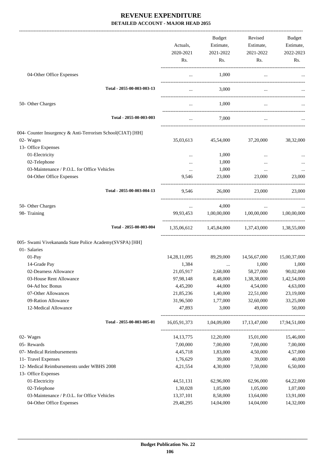|                                                            | Actuals,<br>2020-2021<br>Rs. | Budget<br>Estimate,<br>2021-2022<br>Rs. | Revised<br>Estimate,<br>2021-2022<br>Rs.        | Budget<br>Estimate,<br>2022-2023<br>Rs. |
|------------------------------------------------------------|------------------------------|-----------------------------------------|-------------------------------------------------|-----------------------------------------|
| 04-Other Office Expenses                                   | $\cdots$                     | 1,000                                   | $\cdots$                                        |                                         |
| Total - 2055-00-003-003-13                                 | $\cdots$                     | 3,000                                   |                                                 |                                         |
| 50- Other Charges                                          |                              | 1,000                                   |                                                 |                                         |
| Total - 2055-00-003-003                                    | $\cdots$                     | 7,000                                   | $\cdots$                                        |                                         |
| 004- Counter Insurgency & Anti-Terrorism School(CIAT) [HH] |                              |                                         |                                                 |                                         |
| 02- Wages                                                  | 35,03,613                    | 45,54,000                               | 37,20,000                                       | 38,32,000                               |
| 13- Office Expenses                                        |                              |                                         |                                                 |                                         |
| 01-Electricity                                             | $\cdots$                     | 1,000                                   |                                                 |                                         |
| 02-Telephone                                               |                              | 1,000                                   |                                                 |                                         |
| 03-Maintenance / P.O.L. for Office Vehicles                | $\cdots$                     | 1,000                                   | $\cdots$                                        |                                         |
| 04-Other Office Expenses                                   | 9,546                        | 23,000                                  | 23,000                                          | 23,000                                  |
| Total - 2055-00-003-004-13                                 | 9,546                        | 26,000                                  | 23,000                                          | 23,000                                  |
| 50- Other Charges                                          |                              | 4,000                                   |                                                 |                                         |
| 98- Training                                               |                              |                                         | 99,93,453 1,00,00,000 1,00,00,000 1,00,00,000   |                                         |
| Total - 2055-00-003-004                                    |                              |                                         | 1,35,06,612 1,45,84,000 1,37,43,000 1,38,55,000 |                                         |
| 005- Swami Vivekananda State Police Academy(SVSPA) [HH]    |                              |                                         |                                                 |                                         |
| 01- Salaries                                               |                              |                                         |                                                 |                                         |
| 01-Pay                                                     | 14, 28, 11, 095              | 89,29,000                               | 14,56,67,000                                    | 15,00,37,000                            |
| 14-Grade Pay                                               | 1,384                        |                                         | 1,000                                           | 1,000                                   |
| 02-Dearness Allowance                                      | 21,05,917                    | 2,68,000                                | 58,27,000                                       | 90,02,000                               |
| 03-House Rent Allowance                                    | 97,98,148                    | 8,48,000                                | 1,38,38,000                                     | 1,42,54,000                             |
| 04-Ad hoc Bonus                                            | 4,45,200                     | 44,000                                  | 4,54,000                                        | 4,63,000                                |
| 07-Other Allowances                                        | 21,85,236                    | 1,40,000                                | 22,51,000                                       | 23,19,000                               |
| 09-Ration Allowance                                        | 31,96,500                    | 1,77,000                                | 32,60,000                                       | 33,25,000                               |
| 12-Medical Allowance                                       | 47,893                       | 3,000                                   | 49,000                                          | 50,000                                  |
| Total - 2055-00-003-005-01                                 | 16,05,91,373                 | 1,04,09,000                             | 17, 13, 47, 000                                 | 17,94,51,000                            |
| 02- Wages                                                  | 14, 13, 775                  | 12,20,000                               | 15,01,000                                       | 15,46,000                               |
| 05- Rewards                                                | 7,00,000                     | 7,00,000                                | 7,00,000                                        | 7,00,000                                |
| 07- Medical Reimbursements                                 | 4,45,718                     | 1,83,000                                | 4,50,000                                        | 4,57,000                                |
| 11- Travel Expenses                                        | 1,76,629                     | 39,000                                  | 39,000                                          | 40,000                                  |
| 12- Medical Reimbursements under WBHS 2008                 | 4,21,554                     | 4,30,000                                | 7,50,000                                        | 6,50,000                                |
| 13- Office Expenses                                        |                              |                                         |                                                 |                                         |
| 01-Electricity                                             | 44,51,131                    | 62,96,000                               | 62,96,000                                       | 64,22,000                               |
| 02-Telephone                                               | 1,30,028                     | 1,05,000                                | 1,05,000                                        | 1,07,000                                |
| 03-Maintenance / P.O.L. for Office Vehicles                | 13,37,101                    | 8,58,000                                | 13,64,000                                       | 13,91,000                               |
| 04-Other Office Expenses                                   | 29,48,295                    | 14,04,000                               | 14,04,000                                       | 14,32,000                               |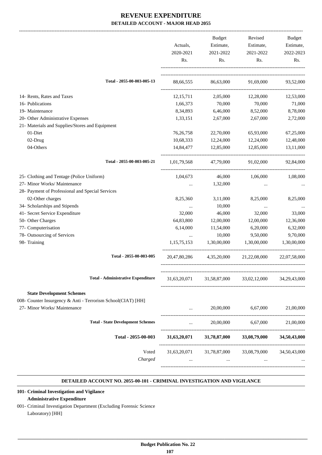|                                                              | Actuals,<br>2020-2021 | <b>Budget</b><br>Estimate,<br>2021-2022 | Revised<br>Estimate,<br>2021-2022 | Budget<br>Estimate,<br>2022-2023 |
|--------------------------------------------------------------|-----------------------|-----------------------------------------|-----------------------------------|----------------------------------|
|                                                              | Rs.                   | Rs.                                     | Rs.                               | Rs.                              |
| Total - 2055-00-003-005-13                                   | 88,66,555             | 86,63,000                               | 91,69,000                         | 93,52,000                        |
| 14- Rents, Rates and Taxes                                   | 12, 15, 711           | 2,05,000                                | 12,28,000                         | 12,53,000                        |
| 16- Publications                                             | 1,66,373              | 70,000                                  | 70,000                            | 71,000                           |
| 19- Maintenance                                              | 8,34,893              | 6,46,000                                | 8,52,000                          | 8,78,000                         |
| 20- Other Administrative Expenses                            | 1,33,151              | 2,67,000                                | 2,67,000                          | 2,72,000                         |
| 21- Materials and Supplies/Stores and Equipment              |                       |                                         |                                   |                                  |
| 01-Diet                                                      | 76, 26, 758           | 22,70,000                               | 65,93,000                         | 67,25,000                        |
| 02-Drug                                                      | 10,68,333             | 12,24,000                               | 12,24,000                         | 12,48,000                        |
| 04-Others                                                    | 14,84,477             | 12,85,000                               | 12,85,000                         | 13,11,000                        |
| Total - 2055-00-003-005-21                                   | 1,01,79,568           | 47,79,000                               | 91,02,000                         | 92,84,000                        |
| 25- Clothing and Tentage (Police Uniform)                    | 1,04,673              | 46,000                                  | 1,06,000                          | 1,08,000                         |
| 27- Minor Works/ Maintenance                                 | $\cdots$              | 1,32,000                                | $\cdots$                          |                                  |
| 28- Payment of Professional and Special Services             |                       |                                         |                                   |                                  |
| 02-Other charges                                             | 8,25,360              | 3,11,000                                | 8,25,000                          | 8,25,000                         |
| 34- Scholarships and Stipends                                | $\cdots$              | 10,000                                  | $\ldots$                          |                                  |
| 41- Secret Service Expenditure                               | 32,000                | 46,000                                  | 32,000                            | 33,000                           |
| 50- Other Charges                                            | 64,83,800             | 12,00,000                               | 12,00,000                         | 12,36,000                        |
| 77- Computerisation                                          | 6,14,000              | 11,54,000                               | 6,20,000                          | 6,32,000                         |
| 78- Outsourcing of Services                                  | $\cdots$              | 10,000                                  | 9,50,000                          | 9,70,000                         |
| 98- Training                                                 | 1,15,75,153           | 1,30,00,000                             | 1,30,00,000                       | 1,30,00,000                      |
| Total - 2055-00-003-005                                      | 20,47,80,286          | 4,35,20,000                             | 21,22,08,000                      | 22,07,58,000                     |
| <b>Total - Administrative Expenditure</b>                    | 31,63,20,071          | 31,58,87,000                            | 33,02,12,000                      | 34,29,43,000                     |
|                                                              |                       |                                         |                                   |                                  |
| <b>State Development Schemes</b>                             |                       |                                         |                                   |                                  |
| 008- Counter Insurgency & Anti - Terrorism School(CIAT) [HH] |                       |                                         |                                   |                                  |
| 27- Minor Works/ Maintenance                                 |                       | 20,00,000                               | 6,67,000                          | 21,00,000                        |
| <b>Total - State Development Schemes</b>                     | $\cdots$              |                                         | 20,00,000 6,67,000                | 21,00,000                        |
| Total - 2055-00-003                                          |                       | 31,63,20,071 31,78,87,000               | 33,08,79,000                      | 34,50,43,000                     |
| Voted                                                        |                       | 31,63,20,071 31,78,87,000               | 33,08,79,000                      | 34,50,43,000                     |
| Charged                                                      |                       |                                         |                                   |                                  |
|                                                              |                       |                                         |                                   |                                  |

#### **DETAILED ACCOUNT NO. 2055-00-101 - CRIMINAL INVESTIGATION AND VIGILANCE .**

#### **101- Criminal Investigation and Vigilance**

#### **Administrative Expenditure**

001- Criminal Investigation Department (Excluding Forensic Science Laboratory) [HH]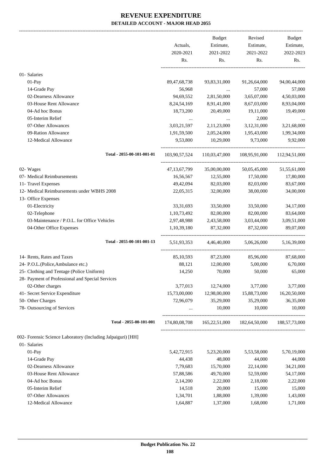|                                                                         |                            | <b>Budget</b>            | Revised                                   | <b>Budget</b>             |
|-------------------------------------------------------------------------|----------------------------|--------------------------|-------------------------------------------|---------------------------|
|                                                                         | Actuals,                   | Estimate,                | Estimate,                                 | Estimate,                 |
|                                                                         | 2020-2021                  | 2021-2022                | 2021-2022                                 | 2022-2023                 |
|                                                                         | Rs.                        | Rs.                      | Rs.                                       | Rs.                       |
| 01- Salaries                                                            |                            |                          |                                           |                           |
| 01-Pay                                                                  | 89,47,68,738               | 93,83,31,000             | 91,26,64,000                              | 94,00,44,000              |
| 14-Grade Pay                                                            | 56,968                     | $\ddotsc$                | 57,000                                    | 57,000                    |
| 02-Dearness Allowance                                                   | 94,69,552                  | 2,81,50,000              | 3,65,07,000                               | 4,50,03,000               |
| 03-House Rent Allowance                                                 | 8,24,54,169                | 8,91,41,000              | 8,67,03,000                               | 8,93,04,000               |
| 04-Ad hoc Bonus                                                         | 18,73,200                  | 20,49,000                | 19,11,000                                 | 19,49,000                 |
| 05-Interim Relief                                                       |                            | $\ldots$                 | 2,000                                     |                           |
| 07-Other Allowances                                                     | 3,03,21,597                | 2,11,23,000              | 3,12,31,000                               | 3,21,68,000               |
| 09-Ration Allowance                                                     | 1,91,59,500                | 2,05,24,000              | 1,95,43,000                               | 1,99,34,000               |
| 12-Medical Allowance                                                    | 9,53,800                   | 10,29,000                | 9,73,000                                  | 9,92,000                  |
| Total - 2055-00-101-001-01                                              | 103,90,57,524              |                          | 110.03.47.000 108.95.91.000 112.94.51.000 |                           |
|                                                                         | 47, 13, 67, 799            | 35,00,00,000             | 50,05,45,000                              |                           |
| 02- Wages<br>07- Medical Reimbursements                                 | 16,56,567                  | 12,55,000                | 17,50,000                                 | 51,55,61,000<br>17,80,000 |
|                                                                         | 49,42,094                  | 82,03,000                |                                           |                           |
| 11- Travel Expenses<br>12- Medical Reimbursements under WBHS 2008       |                            |                          | 82,03,000                                 | 83,67,000                 |
|                                                                         | 22,05,315                  | 32,00,000                | 38,00,000                                 | 34,00,000                 |
| 13- Office Expenses<br>01-Electricity                                   | 33, 31, 693                | 33,50,000                | 33,50,000                                 | 34,17,000                 |
|                                                                         |                            |                          |                                           |                           |
| 02-Telephone                                                            | 1,10,73,492                | 82,00,000                | 82,00,000                                 | 83,64,000                 |
| 03-Maintenance / P.O.L. for Office Vehicles<br>04-Other Office Expenses | 2,97,48,988<br>1,10,39,180 | 2,43,58,000<br>87,32,000 | 3,03,44,000<br>87,32,000                  | 3,09,51,000<br>89,07,000  |
|                                                                         |                            |                          |                                           |                           |
| Total - 2055-00-101-001-13                                              | 5,51,93,353                | 4,46,40,000              | 5,06,26,000                               | 5,16,39,000               |
| 14- Rents, Rates and Taxes                                              | 85,10,593                  | 87,23,000                | 85,96,000                                 | 87,68,000                 |
| 24- P.O.L.(Police, Ambulance etc.)                                      | 88,121                     | 12,00,000                | 5,00,000                                  | 6,70,000                  |
| 25- Clothing and Tentage (Police Uniform)                               | 14,250                     | 70,000                   | 50,000                                    | 65,000                    |
| 28- Payment of Professional and Special Services                        |                            |                          |                                           |                           |
| 02-Other charges                                                        | 3,77,013                   | 12,74,000                | 3,77,000                                  | 3,77,000                  |
| 41- Secret Service Expenditure                                          | 15,73,00,000               | 12,98,00,000             | 15,88,73,000                              | 16,20,50,000              |
| 50- Other Charges                                                       | 72,96,079                  | 35,29,000                | 35,29,000                                 | 36,35,000                 |
| 78- Outsourcing of Services                                             |                            | 10,000                   | 10,000                                    | 10,000                    |
| Total - 2055-00-101-001                                                 | 174,80,08,708              |                          | 165,22,51,000 182,64,50,000               | 188,57,73,000             |
| 002- Forensic Science Laboratory (Including Jalpaiguri) [HH]            |                            |                          |                                           |                           |
| 01- Salaries                                                            |                            |                          |                                           |                           |
| $01-Pay$                                                                | 5, 42, 72, 915             | 5,23,20,000              | 5,53,58,000                               | 5,70,19,000               |
| 14-Grade Pay                                                            | 44,438                     | 48,000                   | 44,000                                    | 44,000                    |
| 02-Dearness Allowance                                                   | 7,79,683                   | 15,70,000                | 22,14,000                                 | 34,21,000                 |
| 03-House Rent Allowance                                                 | 57,88,586                  | 49,70,000                | 52,59,000                                 | 54,17,000                 |
| 04-Ad hoc Bonus                                                         | 2,14,200                   | 2,22,000                 | 2,18,000                                  | 2,22,000                  |
| 05-Interim Relief                                                       | 14,518                     | 20,000                   | 15,000                                    | 15,000                    |
| 07-Other Allowances                                                     | 1,34,701                   | 1,88,000                 | 1,39,000                                  | 1,43,000                  |
| 12-Medical Allowance                                                    | 1,64,887                   | 1,37,000                 | 1,68,000                                  | 1,71,000                  |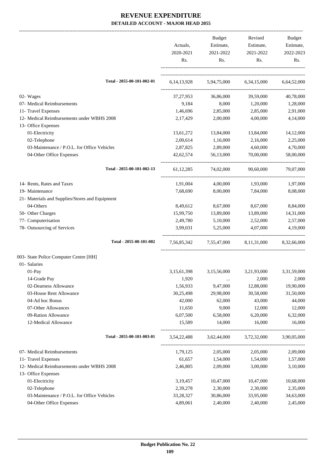|                                                 | Actuals,<br>2020-2021<br>Rs. | Budget<br>Estimate,<br>2021-2022<br>Rs.         | Revised<br>Estimate,<br>2021-2022<br>Rs. | Budget<br>Estimate,<br>2022-2023<br>Rs. |
|-------------------------------------------------|------------------------------|-------------------------------------------------|------------------------------------------|-----------------------------------------|
| Total - 2055-00-101-002-01                      |                              | 6,14,13,928 5,94,75,000 6,34,15,000 6,64,52,000 |                                          |                                         |
| 02- Wages                                       | 37,27,953                    | 36,86,000                                       | 39,59,000                                | 40,78,000                               |
| 07- Medical Reimbursements                      | 9,184                        | 8,000                                           | 1,20,000                                 | 1,28,000                                |
| 11- Travel Expenses                             | 1,46,696                     | 2,85,000                                        | 2,85,000                                 | 2,91,000                                |
| 12- Medical Reimbursements under WBHS 2008      | 2,17,429                     | 2,00,000                                        | 4,00,000                                 | 4,14,000                                |
| 13- Office Expenses                             |                              |                                                 |                                          |                                         |
| 01-Electricity                                  | 13,61,272                    | 13,84,000                                       | 13,84,000                                | 14,12,000                               |
| 02-Telephone                                    | 2,00,614                     | 1,16,000                                        | 2,16,000                                 | 2,25,000                                |
| 03-Maintenance / P.O.L. for Office Vehicles     | 2,87,825                     | 2,89,000                                        | 4,60,000                                 | 4,70,000                                |
| 04-Other Office Expenses                        | 42,62,574                    | 56,13,000                                       | 70,00,000                                | 58,00,000                               |
| Total - 2055-00-101-002-13                      |                              | 61,12,285 74,02,000                             | 90,60,000                                | 79,07,000                               |
| 14- Rents, Rates and Taxes                      | 1,91,004                     | 4,00,000                                        | 1,93,000                                 | 1,97,000                                |
| 19- Maintenance                                 | 7,68,690                     | 8,00,000                                        | 7,84,000                                 | 8,08,000                                |
| 21- Materials and Supplies/Stores and Equipment |                              |                                                 |                                          |                                         |
| 04-Others                                       | 8,49,612                     | 8,67,000                                        | 8,67,000                                 | 8,84,000                                |
| 50- Other Charges                               | 15,99,750                    | 13,89,000                                       | 13,89,000                                | 14,31,000                               |
| 77- Computerisation                             | 2,49,780                     | 5,10,000                                        | 2,52,000                                 | 2,57,000                                |
| 78- Outsourcing of Services                     | 3,99,031                     | 5,25,000                                        | 4,07,000                                 | 4,19,000                                |
| Total - 2055-00-101-002                         |                              | 7,56,85,342 7,55,47,000 8,11,31,000 8,32,66,000 |                                          |                                         |
| 003- State Police Computer Centre [HH]          |                              |                                                 |                                          |                                         |
| 01- Salaries                                    |                              |                                                 |                                          |                                         |
| 01-Pay                                          | 3, 15, 61, 398               | 3,15,56,000                                     | 3,21,93,000                              | 3,31,59,000                             |
| 14-Grade Pay                                    | 1,920                        | $\cdots$                                        | 2,000                                    | 2,000                                   |
| 02-Dearness Allowance                           | 1,56,933                     | 9,47,000                                        | 12,88,000                                | 19,90,000                               |
| 03-House Rent Allowance                         | 30,25,498                    | 29,98,000                                       | 30,58,000                                | 31,50,000                               |
| 04-Ad hoc Bonus                                 | 42,000                       | 62,000                                          | 43,000                                   | 44,000                                  |
| 07-Other Allowances                             | 11,650                       | 9,000                                           | 12,000                                   | 12,000                                  |
| 09-Ration Allowance                             | 6,07,500                     | 6,58,000                                        | 6,20,000                                 | 6,32,000                                |
| 12-Medical Allowance                            | 15,589                       | 14,000                                          | 16,000                                   | 16,000                                  |
| Total - 2055-00-101-003-01                      | 3,54,22,488                  | 3,62,44,000                                     | 3,72,32,000                              | 3,90,05,000                             |
| 07- Medical Reimbursements                      | 1,79,125                     | 2,05,000                                        | 2,05,000                                 | 2,09,000                                |
| 11- Travel Expenses                             | 61,657                       | 1,54,000                                        | 1,54,000                                 | 1,57,000                                |
| 12- Medical Reimbursements under WBHS 2008      | 2,46,805                     | 2,09,000                                        | 3,00,000                                 | 3,10,000                                |
| 13- Office Expenses                             |                              |                                                 |                                          |                                         |
| 01-Electricity                                  | 3,19,457                     | 10,47,000                                       | 10,47,000                                | 10,68,000                               |
| 02-Telephone                                    | 2,39,278                     | 2,30,000                                        | 2,30,000                                 | 2,35,000                                |
| 03-Maintenance / P.O.L. for Office Vehicles     | 33,28,327                    | 30,86,000                                       | 33,95,000                                | 34,63,000                               |
| 04-Other Office Expenses                        | 4,89,061                     | 2,40,000                                        | 2,40,000                                 | 2,45,000                                |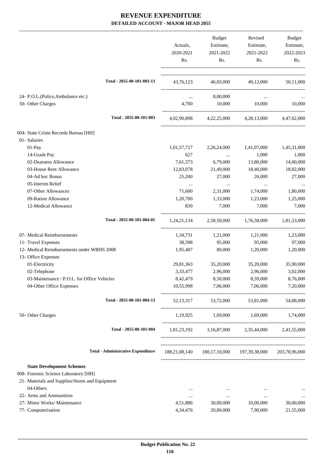|                                                                   | Actuals,<br>2020-2021<br>Rs. | Budget<br>Estimate,<br>2021-2022<br>Rs. | Revised<br>Estimate,<br>2021-2022<br>Rs.                | Budget<br>Estimate,<br>2022-2023<br>Rs. |
|-------------------------------------------------------------------|------------------------------|-----------------------------------------|---------------------------------------------------------|-----------------------------------------|
| Total - 2055-00-101-003-13                                        |                              |                                         | 43,76,123 46,03,000 49,12,000 50,11,000                 |                                         |
| 24- P.O.L.(Police, Ambulance etc.)<br>50- Other Charges           | $\ddots$<br>4,700            | 8,00,000<br>10,000                      | $\cdots$<br>10,000                                      | 10,000                                  |
| Total - 2055-00-101-003                                           |                              |                                         | 4,02,90,898 4,22,25,000 4,28,13,000 4,47,02,000         |                                         |
| 004- State Crime Records Bureau [HH]                              |                              |                                         |                                                         |                                         |
| 01- Salaries                                                      |                              |                                         |                                                         |                                         |
| 01-Pay                                                            | 1,01,57,717                  | 2,26,24,000                             | 1,41,07,000                                             | 1,45,31,000                             |
| 14-Grade Pay                                                      | 627                          | <b>Contractor</b>                       | 1,000                                                   | 1,000                                   |
| 02-Dearness Allowance                                             | 7,61,373                     | 6,79,000                                | 13,80,000                                               | 14,00,000                               |
| 03-House Rent Allowance                                           | 12,83,078                    | 21,49,000                               | 18,40,000                                               | 18,82,000                               |
| 04-Ad hoc Bonus                                                   | 25,200                       | 27,000                                  | 26,000                                                  | 27,000                                  |
| 05-Interim Relief                                                 | $\cdots$                     | $\cdots$                                | $\cdots$                                                | $\cdots$                                |
| 07-Other Allowances                                               | 71,600                       | 2,31,000                                | 1,74,000                                                | 1,80,000                                |
| 09-Ration Allowance                                               | 1,20,700                     | 1,33,000                                | 1,23,000                                                | 1,25,000                                |
| 12-Medical Allowance                                              | 839                          | 7,000                                   | 7,000                                                   | 7,000                                   |
| Total - 2055-00-101-004-01                                        |                              |                                         | 1,24,21,134 2,58,50,000 1,76,58,000                     | 1,81,53,000                             |
| 07- Medical Reimbursements                                        | 1,34,731                     | 1,21,000                                | 1,21,000                                                | 1,23,000                                |
| 11- Travel Expenses                                               | 38,598                       | 95,000                                  | 95,000                                                  | 97,000                                  |
| 12- Medical Reimbursements under WBHS 2008<br>13- Office Expenses | 1,95,487                     | 80,000                                  | 1,20,000                                                | 1,20,000                                |
| 01-Electricity                                                    | 29,81,363                    | 35,20,000                               | 35,20,000                                               | 35,90,000                               |
| 02-Telephone                                                      | 3,33,477                     | 2,96,000                                | 2,96,000                                                | 3,02,000                                |
| 03-Maintenance / P.O.L. for Office Vehicles                       | 8,42,479                     | 8,50,000                                | 8,59,000                                                | 8,76,000                                |
| 04-Other Office Expenses                                          | 10,55,998                    | 7,06,000                                | 7,06,000                                                | 7,20,000                                |
| Total - 2055-00-101-004-13                                        |                              |                                         | 52,13,317 53,72,000 53,81,000 54,88,000                 |                                         |
| 50- Other Charges                                                 |                              |                                         | 1,19,925 1,69,000 1,69,000 1,74,000                     |                                         |
| Total - 2055-00-101-004                                           |                              |                                         | 1,81,23,192 3,16,87,000 2,35,44,000 2,41,55,000         |                                         |
| <b>Total - Administrative Expenditure</b>                         |                              |                                         | 188,21,08,140 180,17,10,000 197,39,38,000 203,78,96,000 |                                         |
| <b>State Development Schemes</b>                                  |                              |                                         |                                                         |                                         |
| 008- Forensic Science Laboratory [HH]                             |                              |                                         |                                                         |                                         |
| 21- Materials and Supplies/Stores and Equipment                   |                              |                                         |                                                         |                                         |
| 04-Others                                                         | $\cdots$                     | $\cdots$                                | $\cdots$                                                |                                         |
| 22- Arms and Ammunition                                           | $\cdots$                     | $\cdots$                                | $\cdots$                                                | $\cdots$                                |
| 27- Minor Works/ Maintenance                                      | 4,51,886                     | 30,00,000                               | 10,00,000                                               | 30,00,000                               |
| 77- Computerisation                                               | 4,34,476                     | 20,00,000                               | 7,90,000                                                | 21,55,000                               |
|                                                                   |                              |                                         |                                                         |                                         |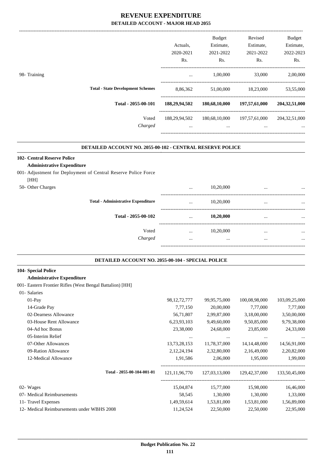| Actuals.<br>2020-2021<br>Rs. | <b>Budget</b><br>Estimate,<br>2021-2022<br>Rs. | Revised<br>Estimate,<br>2021-2022<br>Rs. | <b>Budget</b><br>Estimate,<br>2022-2023<br>Rs. |
|------------------------------|------------------------------------------------|------------------------------------------|------------------------------------------------|
| $\cdots$                     | 1,00,000                                       | 33,000                                   | 2,00,000                                       |
| 8,86,362                     | 51,00,000                                      | 18,23,000                                | 53,55,000                                      |
| 188,29,94,502                | 180,68,10,000                                  | 197,57,61,000                            | 204,32,51,000                                  |
| 188,29,94,502<br>$\cdots$    | 180,68,10,000<br>$\cdots$                      | 197,57,61,000<br>$\cdots$                | 204, 32, 51, 000<br>$\cdots$                   |
|                              |                                                |                                          |                                                |

#### **DETAILED ACCOUNT NO. 2055-00-102 - CENTRAL RESERVE POLICE .**

#### **102- Central Reserve Police**

#### **Administrative Expenditure**

#### 001- Adjustment for Deployment of Central Reserve Police Force

| [HH]              |                                           |          |           |          |          |
|-------------------|-------------------------------------------|----------|-----------|----------|----------|
| 50- Other Charges |                                           | $\cdots$ | 10,20,000 | $\cdots$ |          |
|                   | <b>Total - Administrative Expenditure</b> |          | 10,20,000 |          |          |
|                   | Total - 2055-00-102                       | $\cdots$ | 10,20,000 |          |          |
|                   | Voted                                     | $\cdots$ | 10,20,000 |          | $\cdots$ |
|                   | Charged                                   |          |           |          |          |
|                   |                                           |          |           |          |          |

#### **DETAILED ACCOUNT NO. 2055-00-104 - SPECIAL POLICE .**

.

#### **104- Special Police**

#### **Administrative Expenditure**

#### 001- Eastern Frontier Rifles (West Bengal Battalion) [HH]

| 01- Salaries                               |                  |               |                  |               |
|--------------------------------------------|------------------|---------------|------------------|---------------|
| $01-Pay$                                   | 98, 12, 72, 777  | 99,95,75,000  | 100,08,98,000    | 103,09,25,000 |
| 14-Grade Pay                               | 7,77,150         | 20,00,000     | 7,77,000         | 7,77,000      |
| 02-Dearness Allowance                      | 56,71,807        | 2,99,87,000   | 3,18,00,000      | 3,50,00,000   |
| 03-House Rent Allowance                    | 6,23,93,103      | 9,49,60,000   | 9,50,85,000      | 9,79,38,000   |
| 04-Ad hoc Bonus                            | 23,38,000        | 24,68,000     | 23,85,000        | 24,33,000     |
| 05-Interim Relief                          | $\cdots$         | $\cdots$      | $\cdots$         | $\cdots$      |
| 07-Other Allowances                        | 13, 73, 28, 153  | 11,78,37,000  | 14, 14, 48, 000  | 14,56,91,000  |
| 09-Ration Allowance                        | 2, 12, 24, 194   | 2,32,80,000   | 2,16,49,000      | 2,20,82,000   |
| 12-Medical Allowance                       | 1,91,586         | 2,06,000      | 1,95,000         | 1,99,000      |
| Total - 2055-00-104-001-01                 | 121, 11, 96, 770 | 127,03,13,000 | 129, 42, 37, 000 | 133,50,45,000 |
| 02- Wages                                  | 15,04,874        | 15,77,000     | 15,98,000        | 16,46,000     |
| 07- Medical Reimbursements                 | 58,545           | 1,30,000      | 1,30,000         | 1,33,000      |
| 11- Travel Expenses                        | 1,49,59,614      | 1,53,81,000   | 1,53,81,000      | 1,56,89,000   |
| 12- Medical Reimbursements under WBHS 2008 | 11,24,524        | 22,50,000     | 22,50,000        | 22,95,000     |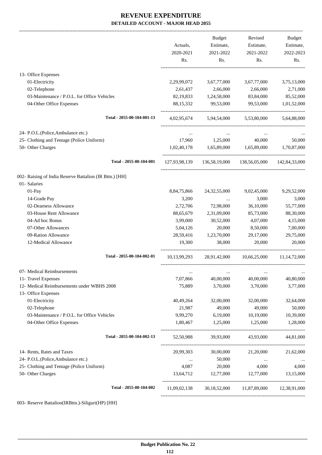-------------------------------------------------------------------------------------------------------------------------------------------------------------------------------

|                                                         | Actuals,<br>2020-2021<br>Rs. | <b>Budget</b><br>Estimate,<br>2021-2022<br>Rs.             | Revised<br>Estimate,<br>2021-2022<br>Rs. | <b>Budget</b><br>Estimate,<br>2022-2023<br>Rs. |
|---------------------------------------------------------|------------------------------|------------------------------------------------------------|------------------------------------------|------------------------------------------------|
|                                                         |                              |                                                            |                                          |                                                |
| 13- Office Expenses                                     |                              |                                                            |                                          |                                                |
| 01-Electricity                                          | 2,29,99,072                  | 3,67,77,000                                                | 3,67,77,000                              | 3,75,13,000                                    |
| 02-Telephone                                            | 2,61,437                     | 2,66,000                                                   | 2,66,000                                 | 2,71,000                                       |
| 03-Maintenance / P.O.L. for Office Vehicles             | 82, 19, 833                  | 1,24,58,000                                                | 83,84,000                                | 85,52,000                                      |
| 04-Other Office Expenses                                | 88, 15, 332                  | 99,53,000                                                  | 99,53,000                                | 1,01,52,000                                    |
| Total - 2055-00-104-001-13                              |                              | 4,02,95,674 5,94,54,000 5,53,80,000 5,64,88,000            |                                          |                                                |
| 24- P.O.L.(Police, Ambulance etc.)                      | $\cdots$                     | $\cdots$                                                   | $\cdots$                                 |                                                |
| 25- Clothing and Tentage (Police Uniform)               |                              | 17,960 1,25,000                                            | 40,000                                   | 50,000                                         |
| 50- Other Charges                                       | 1,02,40,178                  | 1,65,89,000 1,65,89,000 1,70,87,000                        |                                          |                                                |
| Total - 2055-00-104-001                                 |                              | 127,93,98,139  136,58,19,000  138,56,05,000  142,84,33,000 |                                          |                                                |
| 002- Raising of India Reserve Battalion (IR Bttn.) [HH] |                              |                                                            |                                          |                                                |
| 01- Salaries                                            |                              |                                                            |                                          |                                                |
| $01-Pay$                                                | 8,84,75,866                  | 24, 32, 55, 000                                            | 9,02,45,000                              | 9,29,52,000                                    |
| 14-Grade Pay                                            | 3,200                        | $\ldots$                                                   | 3,000                                    | 3,000                                          |
| 02-Dearness Allowance                                   | 2,72,706                     | 72,98,000                                                  | 36,10,000                                | 55,77,000                                      |
| 03-House Rent Allowance                                 | 88,65,679                    | 2,31,09,000                                                | 85,73,000                                | 88,30,000                                      |
| 04-Ad hoc Bonus                                         | 3,99,000                     | 30,52,000                                                  | 4,07,000                                 | 4,15,000                                       |
| 07-Other Allowances                                     | 5,04,126                     | 20,000                                                     | 8,50,000                                 | 7,00,000                                       |
| 09-Ration Allowance                                     | 28,59,416                    | 1,23,70,000                                                | 29,17,000                                | 29,75,000                                      |
| 12-Medical Allowance                                    | 19,300                       | 38,000                                                     | 20,000                                   | 20,000                                         |
| Total - 2055-00-104-002-01                              |                              | 10,13,99,293 28,91,42,000 10,66,25,000                     |                                          | 11, 14, 72, 000                                |
| 07- Medical Reimbursements                              | $\cdots$                     | $\cdots$                                                   | $\cdots$                                 |                                                |
| 11- Travel Expenses                                     | 7,07,866                     | 40,00,000                                                  | 40,00,000                                | 40,80,000                                      |
| 12- Medical Reimbursements under WBHS 2008              | 75,889                       | 3,70,000                                                   | 3,70,000                                 | 3,77,000                                       |
| 13- Office Expenses                                     |                              |                                                            |                                          |                                                |
| 01-Electricity                                          | 40,49,264                    | 32,00,000                                                  | 32,00,000                                | 32,64,000                                      |
| 02-Telephone                                            | 21,987                       | 49,000                                                     | 49,000                                   | 50,000                                         |
| 03-Maintenance / P.O.L. for Office Vehicles             | 9,99,270                     | 6,19,000                                                   | 10,19,000                                | 10,39,000                                      |
| 04-Other Office Expenses                                | 1,80,467                     | 1,25,000                                                   | 1,25,000                                 | 1,28,000                                       |
| Total - 2055-00-104-002-13                              | 52,50,988                    | 39,93,000                                                  | 43,93,000                                | 44,81,000                                      |
| 14- Rents, Rates and Taxes                              | 20,99,303                    | 30,00,000                                                  | 21,20,000                                | 21,62,000                                      |
| 24- P.O.L.(Police, Ambulance etc.)                      | $\cdots$                     | 50,000                                                     | $\cdots$                                 | $\cdots$                                       |
| 25- Clothing and Tentage (Police Uniform)               | 4,087                        | 20,000                                                     | 4,000                                    | 4,000                                          |
| 50- Other Charges                                       | 13,64,712                    | 12,77,000                                                  | 12,77,000                                | 13,15,000                                      |
| Total - 2055-00-104-002                                 |                              | 11,09,02,138 30,18,52,000 11,87,89,000 12,38,91,000        |                                          |                                                |
|                                                         |                              |                                                            |                                          |                                                |

003- Reserve Battalion(IRBttn.)-Siliguri(HP) [HH]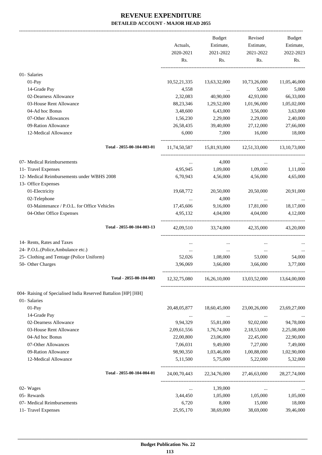|                                                                   | Actuals,<br>2020-2021<br>Rs. | Budget<br>Estimate,<br>2021-2022<br>Rs. | Revised<br>Estimate,<br>2021-2022<br>Rs. | Budget<br>Estimate,<br>2022-2023<br>Rs. |
|-------------------------------------------------------------------|------------------------------|-----------------------------------------|------------------------------------------|-----------------------------------------|
|                                                                   |                              |                                         |                                          |                                         |
| 01-Salaries                                                       |                              |                                         |                                          |                                         |
| 01-Pay                                                            | 10,52,21,335                 | 13,63,32,000                            | 10,73,26,000                             | 11,05,46,000                            |
| 14-Grade Pay                                                      | 4,558                        | $\cdots$                                | 5,000                                    | 5,000                                   |
| 02-Dearness Allowance                                             | 2,32,083                     | 40,90,000                               | 42,93,000                                | 66,33,000                               |
| 03-House Rent Allowance                                           | 88,23,346                    | 1,29,52,000                             | 1,01,96,000                              | 1,05,02,000                             |
| 04-Ad hoc Bonus                                                   | 3,48,600                     | 6,43,000                                | 3,56,000                                 | 3,63,000                                |
| 07-Other Allowances                                               | 1,56,230                     | 2,29,000                                | 2,29,000                                 | 2,40,000                                |
| 09-Ration Allowance                                               | 26,58,435                    | 39,40,000                               | 27,12,000                                | 27,66,000                               |
| 12-Medical Allowance                                              | 6,000                        | 7,000                                   | 16,000                                   | 18,000                                  |
| Total - 2055-00-104-003-01                                        |                              |                                         | 11,74,50,587 15,81,93,000 12,51,33,000   | 13, 10, 73, 000                         |
| 07- Medical Reimbursements                                        | $\cdots$                     | 4,000                                   | $\cdots$                                 |                                         |
| 11- Travel Expenses                                               | 4,95,945                     | 1,09,000                                | 1,09,000                                 | 1,11,000                                |
| 12- Medical Reimbursements under WBHS 2008<br>13- Office Expenses | 6,70,943                     | 4,56,000                                | 4,56,000                                 | 4,65,000                                |
| 01-Electricity                                                    | 19,68,772                    | 20,50,000                               | 20,50,000                                | 20,91,000                               |
| 02-Telephone                                                      |                              | 4,000                                   |                                          |                                         |
| 03-Maintenance / P.O.L. for Office Vehicles                       | 17,45,606                    | 9,16,000                                | 17,81,000                                | 18,17,000                               |
| 04-Other Office Expenses                                          | 4,95,132                     | 4,04,000                                | 4,04,000                                 | 4,12,000                                |
| Total - 2055-00-104-003-13                                        |                              |                                         | 42,09,510 33,74,000 42,35,000 43,20,000  |                                         |
| 14- Rents, Rates and Taxes                                        | $\cdots$                     | $\cdots$                                | $\cdots$                                 |                                         |
| 24- P.O.L.(Police, Ambulance etc.)                                | $\ldots$                     | $\cdots$                                | $\cdots$                                 |                                         |
| 25- Clothing and Tentage (Police Uniform)                         | 52,026                       | 1,08,000                                | 53,000                                   | 54,000                                  |
| 50- Other Charges                                                 | 3,96,069                     | 3,66,000                                | 3,66,000                                 | 3,77,000                                |
| Total - 2055-00-104-003                                           | 12, 32, 75, 080              | 16,26,10,000                            | 13,03,52,000                             | 13,64,00,000                            |
| 004- Raising of Specialised India Reserved Battalion [HP] [HH]    |                              |                                         |                                          |                                         |
| 01- Salaries                                                      |                              |                                         |                                          |                                         |
| 01-Pay                                                            | 20,48,05,877                 | 18,60,45,000                            | 23,00,26,000                             | 23,69,27,000                            |
| 14-Grade Pay                                                      |                              | $\cdots$                                |                                          |                                         |
| 02-Dearness Allowance                                             | 9,94,329                     | 55,81,000                               | 92,02,000                                | 94,78,000                               |
| 03-House Rent Allowance                                           | 2,09,61,556                  | 1,76,74,000                             | 2,18,53,000                              | 2,25,08,000                             |
| 04-Ad hoc Bonus                                                   | 22,00,800                    | 23,06,000                               | 22,45,000                                | 22,90,000                               |
| 07-Other Allowances                                               | 7,06,031                     | 9,49,000                                | 7,27,000                                 | 7,49,000                                |
| 09-Ration Allowance                                               | 98,90,350                    | 1,03,46,000                             | 1,00,88,000                              | 1,02,90,000                             |
| 12-Medical Allowance                                              | 5,11,500                     | 5,75,000                                | 5,22,000                                 | 5,32,000                                |
| Total - 2055-00-104-004-01                                        |                              | 24,00,70,443 22,34,76,000               | 27,46,63,000                             | 28, 27, 74, 000                         |
| 02- Wages                                                         | $\cdots$                     | 1,39,000                                | $\cdots$                                 |                                         |
| 05- Rewards                                                       | 3,44,450                     | 1,05,000                                | 1,05,000                                 | 1,05,000                                |
| 07- Medical Reimbursements                                        | 6,720                        | 8,000                                   | 15,000                                   | 18,000                                  |
| 11- Travel Expenses                                               | 25,95,170                    | 38,69,000                               | 38,69,000                                | 39,46,000                               |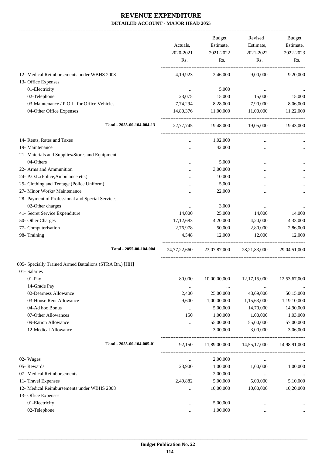|                                                         | Actuals,<br>2020-2021<br>Rs. | Budget<br>Estimate,<br>2021-2022 | Revised<br>Estimate,<br>2021-2022 | Budget<br>Estimate,<br>2022-2023 |
|---------------------------------------------------------|------------------------------|----------------------------------|-----------------------------------|----------------------------------|
|                                                         |                              | Rs.                              | Rs.                               | Rs.                              |
| 12- Medical Reimbursements under WBHS 2008              | 4,19,923                     | 2,46,000                         | 9,00,000                          | 9,20,000                         |
| 13- Office Expenses                                     |                              |                                  |                                   |                                  |
| 01-Electricity                                          | $\cdots$                     | 5,000                            | $\cdots$                          |                                  |
| 02-Telephone                                            | 23,075                       | 15,000                           | 15,000                            | 15,000                           |
| 03-Maintenance / P.O.L. for Office Vehicles             | 7,74,294                     | 8,28,000                         | 7,90,000                          | 8,06,000                         |
| 04-Other Office Expenses                                | 14,80,376                    | 11,00,000                        | 11,00,000                         | 11,22,000                        |
| Total - 2055-00-104-004-13                              | 22,77,745                    | 19,48,000                        | 19,05,000                         | 19,43,000                        |
| 14- Rents, Rates and Taxes                              | $\cdots$                     | 1,02,000                         | $\cdots$                          |                                  |
| 19- Maintenance                                         |                              | 42,000                           |                                   |                                  |
| 21- Materials and Supplies/Stores and Equipment         |                              |                                  |                                   |                                  |
| 04-Others                                               |                              | 5,000                            |                                   |                                  |
| 22- Arms and Ammunition                                 |                              | 3,00,000                         |                                   |                                  |
| 24- P.O.L.(Police, Ambulance etc.)                      |                              | 10,000                           |                                   |                                  |
| 25- Clothing and Tentage (Police Uniform)               |                              | 5,000                            | $\ddotsc$                         |                                  |
| 27- Minor Works/ Maintenance                            |                              | 22,000                           | $\ddotsc$                         |                                  |
| 28- Payment of Professional and Special Services        |                              |                                  |                                   |                                  |
| 02-Other charges                                        | $\ldots$                     | 3,000                            | $\cdots$                          |                                  |
| 41- Secret Service Expenditure                          | 14,000                       | 25,000                           | 14,000                            | 14,000                           |
| 50- Other Charges                                       | 17, 12, 683                  | 4,20,000                         | 4,20,000                          | 4,33,000                         |
| 77- Computerisation                                     | 2,76,978                     | 50,000                           | 2,80,000                          | 2,86,000                         |
| 98- Training                                            | 4,548                        | 12,000                           | 12,000                            | 12,000                           |
| Total - 2055-00-104-004                                 | 24,77,22,660                 |                                  | 23,07,87,000 28,21,83,000         | 29,04,51,000                     |
| 005- Specially Trained Armed Battalions (STRA Bn.) [HH] |                              |                                  |                                   |                                  |
| 01- Salaries                                            |                              |                                  |                                   |                                  |
| 01-Pay                                                  | 80,000                       | 10,00,00,000                     | 12, 17, 15, 000                   | 12,53,67,000                     |
| 14-Grade Pay                                            | $\cdots$                     | $\cdots$                         |                                   |                                  |
| 02-Dearness Allowance                                   | 2,400                        | 25,00,000                        | 48,69,000                         | 50,15,000                        |
| 03-House Rent Allowance                                 | 9,600                        | 1,00,00,000                      | 1,15,63,000                       | 1,19,10,000                      |
| 04-Ad hoc Bonus                                         | $\cdots$                     | 5,00,000                         | 14,70,000                         | 14,90,000                        |
| 07-Other Allowances                                     | 150                          | 1,00,000                         | 1,00,000                          | 1,03,000                         |
| 09-Ration Allowance                                     | $\cdots$                     | 55,00,000                        | 55,00,000                         | 57,00,000                        |
| 12-Medical Allowance                                    | $\cdots$                     | 3,00,000                         | 3,00,000                          | 3,06,000                         |
| Total - 2055-00-104-005-01                              | 92,150                       | 11,89,00,000                     | 14,55,17,000                      | 14,98,91,000                     |
| 02- Wages                                               | $\cdots$                     | 2,00,000                         | $\cdots$                          |                                  |
| 05- Rewards                                             | 23,900                       | 1,00,000                         | 1,00,000                          | 1,00,000                         |
| 07- Medical Reimbursements                              |                              | 2,00,000                         | $\ldots$                          | $\cdots$                         |
| 11- Travel Expenses                                     | 2,49,882                     | 5,00,000                         | 5,00,000                          | 5,10,000                         |
| 12- Medical Reimbursements under WBHS 2008              |                              | 10,00,000                        | 10,00,000                         | 10,20,000                        |
| 13- Office Expenses                                     |                              |                                  |                                   |                                  |
| 01-Electricity                                          |                              | 5,00,000                         |                                   |                                  |
| 02-Telephone                                            |                              | 1,00,000                         |                                   | $\cdots$                         |
|                                                         |                              |                                  |                                   |                                  |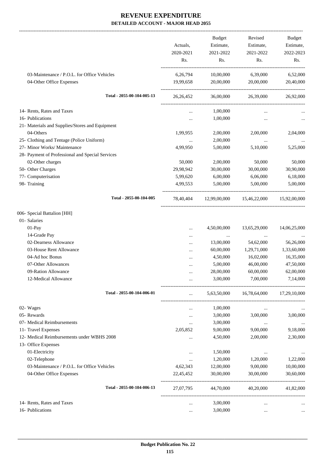-------------------------------------------------------------------------------------------------------------------------------------------------------------------------------

|                                                                         | Actuals,<br>2020-2021<br>Rs. | <b>Budget</b><br>Estimate,<br>2021-2022<br>Rs. | Revised<br>Estimate,<br>2021-2022<br>Rs. | <b>Budget</b><br>Estimate,<br>2022-2023<br>Rs. |
|-------------------------------------------------------------------------|------------------------------|------------------------------------------------|------------------------------------------|------------------------------------------------|
| 03-Maintenance / P.O.L. for Office Vehicles<br>04-Other Office Expenses | 6,26,794<br>19,99,658        | 10,00,000<br>20,00,000                         | 6,39,000<br>20,00,000                    | 6,52,000<br>20,40,000                          |
| Total - 2055-00-104-005-13                                              | 26, 26, 452                  | 36,00,000                                      | 26,39,000                                | 26,92,000                                      |
| 14- Rents, Rates and Taxes                                              |                              | 1,00,000                                       |                                          |                                                |
| 16- Publications                                                        |                              | 1,00,000                                       |                                          |                                                |
| 21- Materials and Supplies/Stores and Equipment                         |                              |                                                |                                          |                                                |
| 04-Others                                                               | 1,99,955                     | 2,00,000                                       | 2,00,000                                 | 2,04,000                                       |
| 25- Clothing and Tentage (Police Uniform)                               | $\cdots$                     | 2,00,000                                       | $\ldots$                                 |                                                |
| 27- Minor Works/ Maintenance                                            | 4,99,950                     | 5,00,000                                       | 5,10,000                                 | 5,25,000                                       |
| 28- Payment of Professional and Special Services                        |                              |                                                |                                          |                                                |
| 02-Other charges                                                        | 50,000                       | 2,00,000                                       | 50,000                                   | 50,000                                         |
| 50- Other Charges                                                       | 29,98,942                    | 30,00,000                                      | 30,00,000                                | 30,90,000                                      |
| 77- Computerisation                                                     | 5,99,620                     | 6,00,000                                       | 6,06,000                                 | 6,18,000                                       |
| 98- Training                                                            | 4,99,553                     | 5,00,000                                       | 5,00,000                                 | 5,00,000                                       |
| Total - 2055-00-104-005                                                 | 78,40,404                    | 12,99,00,000                                   | 15,46,22,000                             | 15,92,00,000                                   |
| 006- Special Battalion [HH]                                             |                              |                                                |                                          |                                                |
| 01- Salaries                                                            |                              |                                                |                                          |                                                |
| 01-Pay                                                                  |                              | 4,50,00,000                                    | 13,65,29,000                             | 14,06,25,000                                   |
| 14-Grade Pay                                                            |                              |                                                |                                          |                                                |
| 02-Dearness Allowance                                                   |                              | 13,00,000                                      | 54,62,000                                | 56,26,000                                      |
| 03-House Rent Allowance                                                 | $\ddotsc$                    | 60,00,000                                      | 1,29,71,000                              | 1,33,60,000                                    |
| 04-Ad hoc Bonus                                                         |                              | 4,50,000                                       | 16,02,000                                | 16,35,000                                      |
| 07-Other Allowances                                                     |                              | 5,00,000                                       | 46,00,000                                | 47,50,000                                      |
| 09-Ration Allowance                                                     |                              | 28,00,000                                      | 60,00,000                                | 62,00,000                                      |
| 12-Medical Allowance                                                    |                              | 3,00,000                                       | 7,00,000                                 | 7,14,000                                       |
| Total - 2055-00-104-006-01                                              |                              | 5,63,50,000                                    | 16,78,64,000                             | 17,29,10,000                                   |
| 02- Wages                                                               |                              | 1,00,000                                       | $\ldots$                                 |                                                |
| 05- Rewards                                                             | $\cdots$                     | 3,00,000                                       | 3,00,000                                 | 3,00,000                                       |
| 07- Medical Reimbursements                                              |                              | 3,00,000                                       | $\ldots$                                 | $\cdots$                                       |
| 11- Travel Expenses                                                     | 2,05,852                     | 9,00,000                                       | 9,00,000                                 | 9,18,000                                       |
| 12- Medical Reimbursements under WBHS 2008                              |                              | 4,50,000                                       | 2,00,000                                 | 2,30,000                                       |
| 13- Office Expenses                                                     |                              |                                                |                                          |                                                |
| 01-Electricity                                                          |                              | 1,50,000                                       |                                          | $\cdots$                                       |
| 02-Telephone                                                            |                              | 1,20,000                                       | 1,20,000                                 | 1,22,000                                       |
| 03-Maintenance / P.O.L. for Office Vehicles                             | 4,62,343                     | 12,00,000                                      | 9,00,000                                 | 10,00,000                                      |
| 04-Other Office Expenses                                                | 22,45,452                    | 30,00,000                                      | 30,00,000                                | 30,60,000                                      |
| Total - 2055-00-104-006-13                                              | 27,07,795                    | 44,70,000                                      | 40,20,000                                | 41,82,000                                      |
| 14- Rents, Rates and Taxes                                              | $\cdots$                     | 3,00,000                                       | $\cdots$                                 |                                                |
| 16- Publications                                                        |                              | 3,00,000                                       | $\cdots$                                 |                                                |
|                                                                         |                              |                                                |                                          |                                                |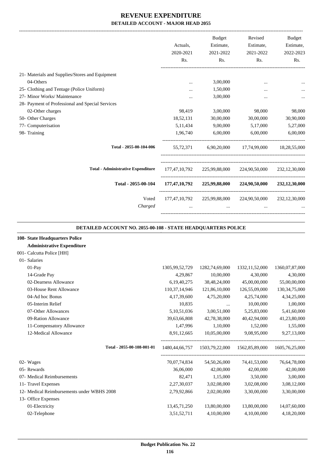|                                                  | Actuals,<br>2020-2021<br>Rs. | <b>Budget</b><br>Estimate,<br>2021-2022<br>Rs. | Revised<br>Estimate,<br>2021-2022<br>Rs. | <b>Budget</b><br>Estimate,<br>2022-2023<br>Rs. |
|--------------------------------------------------|------------------------------|------------------------------------------------|------------------------------------------|------------------------------------------------|
| 21- Materials and Supplies/Stores and Equipment  |                              |                                                |                                          |                                                |
| 04-Others                                        |                              | 3,00,000                                       |                                          |                                                |
| 25- Clothing and Tentage (Police Uniform)        |                              | 1,50,000                                       |                                          |                                                |
| 27- Minor Works/ Maintenance                     | $\cdots$                     | 3,00,000                                       | $\cdots$                                 | $\cdots$                                       |
| 28- Payment of Professional and Special Services |                              |                                                |                                          |                                                |
| 02-Other charges                                 | 98,419                       | 3,00,000                                       | 98,000                                   | 98,000                                         |
| 50- Other Charges                                | 18,52,131                    | 30,00,000                                      | 30,00,000                                | 30,90,000                                      |
| 77- Computerisation                              | 5, 11, 434                   | 9,00,000                                       | 5,17,000                                 | 5,27,000                                       |
| 98- Training                                     | 1,96,740                     | 6,00,000                                       | 6,00,000                                 | 6,00,000                                       |
| Total - 2055-00-104-006                          | 55,72,371                    |                                                | 6,90,20,000 17,74,99,000                 | 18,28,55,000                                   |
| <b>Total - Administrative Expenditure</b>        |                              | 177,47,10,792 225,99,88,000                    | 224,90,50,000                            | 232, 12, 30, 000                               |
| Total - 2055-00-104                              | 177,47,10,792                | 225,99,88,000                                  | 224,90,50,000                            | 232,12,30,000                                  |
| Voted<br>Charged                                 |                              | 177,47,10,792 225,99,88,000<br>$\cdots$        | 224,90,50,000<br>$\cdots$                | 232, 12, 30, 000                               |
|                                                  |                              |                                                |                                          |                                                |

#### **DETAILED ACCOUNT NO. 2055-00-108 - STATE HEADQUARTERS POLICE .**

.

#### **108- State Headquarters Police**

| The State Headquarters Folice              |                  |                |                                                  |                   |
|--------------------------------------------|------------------|----------------|--------------------------------------------------|-------------------|
| <b>Administrative Expenditure</b>          |                  |                |                                                  |                   |
| 001- Calcutta Police [HH]                  |                  |                |                                                  |                   |
| 01- Salaries                               |                  |                |                                                  |                   |
| $01-Pav$                                   | 1305,99,52,729   | 1282,74,69,000 | 1332, 11, 52, 000                                | 1360,07,87,000    |
| 14-Grade Pay                               | 4,29,867         | 10,00,000      | 4,30,000                                         | 4,30,000          |
| 02-Dearness Allowance                      | 6,19,40,275      | 38,48,24,000   | 45,00,00,000                                     | 55,00,00,000      |
| 03-House Rent Allowance                    | 110, 37, 14, 946 | 121,86,10,000  | 126,55,09,000                                    | 130, 34, 75, 000  |
| 04-Ad hoc Bonus                            | 4, 17, 39, 600   | 4,75,20,000    | 4,25,74,000                                      | 4, 34, 25, 000    |
| 05-Interim Relief                          | 10,835           | $\cdots$       | 10,00,000                                        | 1,00,000          |
| 07-Other Allowances                        | 5,10,51,036      | 3,00,51,000    | 5,25,83,000                                      | 5,41,60,000       |
| 09-Ration Allowance                        | 39,63,66,808     | 42,78,38,000   | 40,42,94,000                                     | 41,23,80,000      |
| 11-Compensatory Allowance                  | 1,47,996         | 1,10,000       | 1,52,000                                         | 1,55,000          |
| 12-Medical Allowance                       | 8,91,12,665      | 10,05,00,000   | 9,08,95,000                                      | 9,27,13,000       |
| Total - 2055-00-108-001-01                 |                  |                | 1480,44,66,757   1503,79,22,000   1562,85,89,000 | 1605, 76, 25, 000 |
| 02- Wages                                  | 70,07,74,834     | 54,50,26,000   | 74,41,53,000                                     | 76,64,78,000      |
| 05- Rewards                                | 36,06,000        | 42,00,000      | 42,00,000                                        | 42,00,000         |
| 07- Medical Reimbursements                 | 82,471           | 1,15,000       | 3,50,000                                         | 3,00,000          |
| 11- Travel Expenses                        | 2,27,30,037      | 3,02,08,000    | 3,02,08,000                                      | 3,08,12,000       |
| 12- Medical Reimbursements under WBHS 2008 | 2,79,92,866      | 2,02,00,000    | 3,30,00,000                                      | 3,30,00,000       |
| 13- Office Expenses                        |                  |                |                                                  |                   |
| 01-Electricity                             | 13,45,71,250     | 13,80,00,000   | 13,80,00,000                                     | 14,07,60,000      |
| 02-Telephone                               | 3,51,52,711      | 4,10,00,000    | 4,10,00,000                                      | 4,18,20,000       |
|                                            |                  |                |                                                  |                   |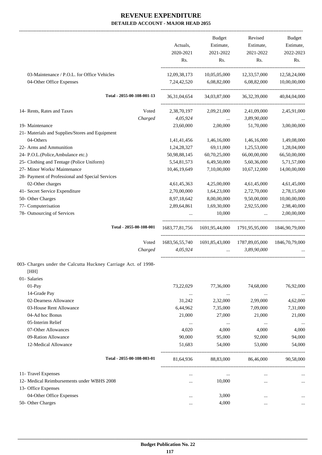-------------------------------------------------------------------------------------------------------------------------------------------------------------------------------

|                                                                | Actuals,<br>2020-2021 | <b>Budget</b><br>Estimate,<br>2021-2022               | Revised<br>Estimate,<br>2021-2022 | <b>Budget</b><br>Estimate,<br>2022-2023 |
|----------------------------------------------------------------|-----------------------|-------------------------------------------------------|-----------------------------------|-----------------------------------------|
|                                                                | Rs.                   | Rs.                                                   | Rs.                               | Rs.                                     |
| 03-Maintenance / P.O.L. for Office Vehicles                    | 12,09,38,173          | 10,05,05,000                                          | 12,33,57,000                      | 12,58,24,000                            |
| 04-Other Office Expenses                                       | 7,24,42,520           | 6,08,82,000                                           | 6,08,82,000                       | 10,00,00,000                            |
| Total - 2055-00-108-001-13                                     | 36,31,04,654          | 34,03,87,000                                          | 36, 32, 39, 000                   | 40,84,04,000                            |
| 14- Rents, Rates and Taxes<br>Voted                            | 2,38,70,197           | 2,09,21,000                                           | 2,41,09,000                       | 2,45,91,000                             |
| Charged                                                        | 4,05,924              | $\ddots$                                              | 3,89,90,000                       |                                         |
| 19- Maintenance                                                | 23,60,000             | 2,00,000                                              | 51,70,000                         | 3,00,00,000                             |
| 21- Materials and Supplies/Stores and Equipment                |                       |                                                       |                                   |                                         |
| 04-Others                                                      | 1,41,41,456           | 1,46,16,000                                           | 1,46,16,000                       | 1,49,08,000                             |
| 22- Arms and Ammunition                                        | 1,24,28,327           | 69,11,000                                             | 1,25,53,000                       | 1,28,04,000                             |
| 24- P.O.L.(Police, Ambulance etc.)                             | 50,98,88,145          | 60,70,25,000                                          | 66,00,00,000                      | 66,50,00,000                            |
| 25- Clothing and Tentage (Police Uniform)                      | 5,54,81,573           | 6,49,50,000                                           | 5,60,36,000                       | 5,71,57,000                             |
| 27- Minor Works/ Maintenance                                   | 10,46,19,649          | 7,10,00,000                                           | 10,67,12,000                      | 14,00,00,000                            |
| 28- Payment of Professional and Special Services               |                       |                                                       |                                   |                                         |
| 02-Other charges                                               | 4,61,45,363           | 4,25,00,000                                           | 4,61,45,000                       | 4,61,45,000                             |
| 41- Secret Service Expenditure                                 | 2,70,00,000           | 1,64,23,000                                           | 2,72,70,000                       | 2,78,15,000                             |
| 50- Other Charges                                              | 8,97,18,642           | 8,00,00,000                                           | 9,50,00,000                       | 10,00,00,000                            |
| 77- Computerisation                                            | 2,89,64,861           | 1,69,30,000                                           | 2,92,55,000                       | 2,98,40,000                             |
| 78- Outsourcing of Services                                    |                       | 10,000                                                | $\ddotsc$                         | 2,00,00,000                             |
| Total - 2055-00-108-001                                        | 1683, 77, 81, 756     | 1691,95,44,000                                        | 1791,95,95,000                    | 1846, 90, 79, 000                       |
| Voted                                                          |                       | 1683, 56, 55, 740 1691, 85, 43, 000 1787, 89, 05, 000 |                                   | 1846,70,79,000                          |
| Charged                                                        | 4,05,924              |                                                       | 3,89,90,000<br>$\mathbf{r}$       |                                         |
| 003- Charges under the Calcutta Huckney Carriage Act. of 1998- |                       |                                                       |                                   |                                         |
| [HH]                                                           |                       |                                                       |                                   |                                         |
| 01- Salaries                                                   |                       |                                                       |                                   |                                         |
| 01-Pay                                                         | 73,22,029             | 77,36,000                                             | 74,68,000                         | 76,92,000                               |
| 14-Grade Pay                                                   | $\cdots$              | $\cdots$                                              | $\cdots$                          | $\cdots$                                |
| 02-Dearness Allowance                                          | 31,242                | 2,32,000                                              | 2,99,000                          | 4,62,000                                |
| 03-House Rent Allowance                                        | 6,44,962              | 7,35,000                                              | 7,09,000                          | 7,31,000                                |
| 04-Ad hoc Bonus                                                | 21,000                | 27,000                                                | 21,000                            | 21,000                                  |
| 05-Interim Relief                                              | $\ldots$              | $\ldots$                                              | $\cdots$                          |                                         |
| 07-Other Allowances                                            | 4,020                 | 4,000                                                 | 4,000                             | 4,000                                   |
| 09-Ration Allowance                                            | 90,000                | 95,000                                                | 92,000                            | 94,000                                  |
| 12-Medical Allowance                                           | 51,683                | 54,000                                                | 53,000                            | 54,000                                  |
| Total - 2055-00-108-003-01                                     | 81,64,936             | 88,83,000                                             | 86,46,000                         | 90,58,000                               |
| 11- Travel Expenses                                            | $\cdots$              | $\cdots$                                              |                                   |                                         |
| 12- Medical Reimbursements under WBHS 2008                     | $\cdots$              | 10,000                                                |                                   |                                         |
| 13- Office Expenses                                            |                       |                                                       |                                   |                                         |
| 04-Other Office Expenses                                       |                       | 3,000                                                 |                                   |                                         |
| 50- Other Charges                                              |                       | 4,000                                                 |                                   |                                         |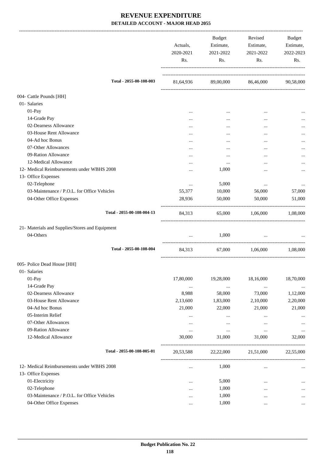|                                                 | Actuals,<br>2020-2021<br>Rs. | Budget<br>Estimate,<br>2021-2022<br>Rs. | Revised<br>Estimate,<br>2021-2022<br>Rs. | Budget<br>Estimate,<br>2022-2023<br>Rs. |
|-------------------------------------------------|------------------------------|-----------------------------------------|------------------------------------------|-----------------------------------------|
| Total - 2055-00-108-003                         |                              |                                         | 81,64,936 89,00,000 86,46,000 90,58,000  |                                         |
| 004- Cattle Pounds [HH]                         |                              |                                         |                                          |                                         |
| 01- Salaries                                    |                              |                                         |                                          |                                         |
| $01-Pay$                                        |                              | $\cdots$                                | $\cdots$                                 |                                         |
| 14-Grade Pay                                    |                              | $\cdots$                                |                                          | $\cdots$                                |
| 02-Dearness Allowance                           |                              | $\cdots$                                |                                          |                                         |
| 03-House Rent Allowance                         |                              | $\cdots$                                |                                          |                                         |
| 04-Ad hoc Bonus                                 |                              |                                         | $\cdots$                                 |                                         |
| 07-Other Allowances                             |                              | $\cdots$                                |                                          |                                         |
| 09-Ration Allowance                             |                              | $\cdots$                                |                                          |                                         |
| 12-Medical Allowance                            |                              | $\cdots$                                |                                          |                                         |
| 12- Medical Reimbursements under WBHS 2008      |                              | 1,000                                   |                                          |                                         |
| 13- Office Expenses                             |                              |                                         |                                          |                                         |
| 02-Telephone                                    | $\cdots$                     | 5,000                                   | $\cdots$                                 |                                         |
| 03-Maintenance / P.O.L. for Office Vehicles     | 55,377                       | 10,000                                  | 56,000                                   | 57,000                                  |
| 04-Other Office Expenses                        | 28,936                       | 50,000                                  | 50,000                                   | 51,000                                  |
| Total - 2055-00-108-004-13                      | 84,313                       |                                         | 65,000 1,06,000 1,08,000                 |                                         |
| 21- Materials and Supplies/Stores and Equipment |                              |                                         |                                          |                                         |
| 04-Others                                       | $\cdots$                     | 1,000                                   | $\cdots$                                 |                                         |
| Total - 2055-00-108-004                         | 84,313                       | 67,000                                  | 1,06,000                                 | 1,08,000                                |
| 005- Police Dead House [HH]                     |                              |                                         |                                          |                                         |
| 01- Salaries                                    |                              |                                         |                                          |                                         |
| 01-Pay                                          | 17,80,000                    | 19,28,000                               | 18,16,000                                | 18,70,000                               |
| 14-Grade Pay                                    | $\ldots$                     | $\cdots$                                | $\ldots$                                 |                                         |
| 02-Dearness Allowance                           | 8,988                        | 58,000                                  | 73,000                                   | 1,12,000                                |
| 03-House Rent Allowance                         | 2,13,600                     | 1,83,000                                | 2,10,000                                 | 2,20,000                                |
| 04-Ad hoc Bonus                                 | 21,000                       | 22,000                                  | 21,000                                   | 21,000                                  |
| 05-Interim Relief                               |                              | $\ldots$                                |                                          |                                         |
| 07-Other Allowances                             | $\cdots$                     | $\ldots$                                |                                          |                                         |
| 09-Ration Allowance                             | $\ldots$                     |                                         |                                          |                                         |
| 12-Medical Allowance                            | 30,000                       | 31,000                                  | 31,000                                   | 32,000                                  |
| Total - 2055-00-108-005-01                      | 20,53,588                    | 22,22,000                               | 21,51,000                                | 22,55,000                               |
| 12- Medical Reimbursements under WBHS 2008      | $\cdots$                     | 1,000                                   | $\cdots$                                 | $\cdots$                                |
| 13- Office Expenses                             |                              |                                         |                                          |                                         |
| 01-Electricity                                  |                              | 5,000                                   | $\cdots$                                 |                                         |
| 02-Telephone                                    |                              | 1,000                                   |                                          | $\cdots$                                |
| 03-Maintenance / P.O.L. for Office Vehicles     |                              | 1,000                                   | $\cdots$                                 |                                         |
| 04-Other Office Expenses                        | $\cdots$                     | 1,000                                   | $\cdots$                                 | $\cdots$                                |
|                                                 |                              |                                         |                                          |                                         |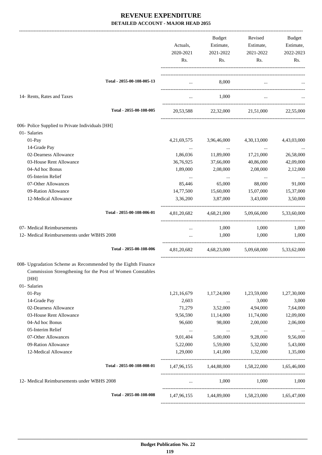|                                                                   | Actuals,<br>2020-2021<br>Rs. | Budget<br>Estimate,<br>2021-2022<br>Rs. | Revised<br>Estimate,<br>2021-2022<br>Rs.        | Budget<br>Estimate,<br>2022-2023<br>Rs. |
|-------------------------------------------------------------------|------------------------------|-----------------------------------------|-------------------------------------------------|-----------------------------------------|
| Total - 2055-00-108-005-13                                        | $\cdots$                     | 8,000                                   | $\cdots$                                        |                                         |
| 14- Rents, Rates and Taxes                                        | $\cdots$                     | 1,000                                   |                                                 |                                         |
| Total - 2055-00-108-005                                           | 20,53,588                    | 22,32,000                               | 21,51,000                                       | 22,55,000                               |
| 006- Police Supplied to Private Individuals [HH]                  |                              |                                         |                                                 |                                         |
| 01- Salaries                                                      |                              |                                         |                                                 |                                         |
| 01-Pay                                                            | 4, 21, 69, 575               | 3,96,46,000                             | 4,30,13,000                                     | 4,43,03,000                             |
| 14-Grade Pay                                                      | $\ldots$                     | $\sim$ $ \sim$                          | $\ddots$                                        |                                         |
| 02-Dearness Allowance                                             | 1,86,036                     | 11,89,000                               | 17,21,000                                       | 26,58,000                               |
| 03-House Rent Allowance                                           | 36,76,925                    | 37,66,000                               | 40,86,000                                       | 42,09,000                               |
| 04-Ad hoc Bonus                                                   | 1,89,000                     | 2,08,000                                | 2,08,000                                        | 2,12,000                                |
| 05-Interim Relief                                                 | $\cdots$                     | $\cdots$                                | $\cdots$                                        | $\cdots$                                |
| 07-Other Allowances                                               | 85,446                       | 65,000                                  | 88,000                                          | 91,000                                  |
| 09-Ration Allowance                                               | 14,77,500                    | 15,60,000                               | 15,07,000                                       | 15,37,000                               |
| 12-Medical Allowance                                              | 3,36,200                     | 3,87,000                                | 3,43,000                                        | 3,50,000                                |
| Total - 2055-00-108-006-01                                        | 4,81,20,682                  | 4,68,21,000                             | 5,09,66,000                                     | 5,33,60,000                             |
| 07- Medical Reimbursements                                        |                              | 1,000                                   | 1,000                                           | 1,000                                   |
| 12- Medical Reimbursements under WBHS 2008                        | $\ldots$                     | 1,000                                   | 1,000                                           | 1,000                                   |
| Total - 2055-00-108-006                                           | 4,81,20,682                  | 4,68,23,000                             | 5,09,68,000                                     | 5,33,62,000                             |
| 008- Upgradation Scheme as Recommended by the Eighth Finance      |                              |                                         |                                                 |                                         |
| Commission Strengthening for the Post of Women Constables<br>[HH] |                              |                                         |                                                 |                                         |
| 01- Salaries                                                      |                              |                                         |                                                 |                                         |
| 01-Pay                                                            | 1,21,16,679                  | 1,17,24,000                             | 1,23,59,000                                     | 1,27,30,000                             |
| 14-Grade Pay                                                      | 2,603                        | $\ldots$                                | 3,000                                           | 3,000                                   |
| 02-Dearness Allowance                                             | 71,279                       | 3,52,000                                | 4,94,000                                        | 7,64,000                                |
| 03-House Rent Allowance                                           | 9,56,590                     | 11,14,000                               | 11,74,000                                       | 12,09,000                               |
| 04-Ad hoc Bonus                                                   | 96,600                       | 98,000                                  | 2,00,000                                        | 2,06,000                                |
| 05-Interim Relief                                                 | $\cdots$                     | $\cdots$                                | $\cdots$                                        |                                         |
| 07-Other Allowances                                               | 9,01,404                     | 5,00,000                                | 9,28,000                                        | 9,56,000                                |
| 09-Ration Allowance                                               | 5,22,000                     | 5,59,000                                | 5,32,000                                        | 5,43,000                                |
| 12-Medical Allowance                                              | 1,29,000                     | 1,41,000                                | 1,32,000                                        | 1,35,000                                |
| Total - 2055-00-108-008-01                                        |                              |                                         | 1,47,96,155 1,44,88,000 1,58,22,000 1,65,46,000 |                                         |
| 12- Medical Reimbursements under WBHS 2008                        | $\cdots$                     | 1,000                                   | 1,000                                           | 1,000                                   |
| Total - 2055-00-108-008                                           |                              |                                         | 1,47,96,155 1,44,89,000 1,58,23,000 1,65,47,000 |                                         |
|                                                                   |                              |                                         |                                                 |                                         |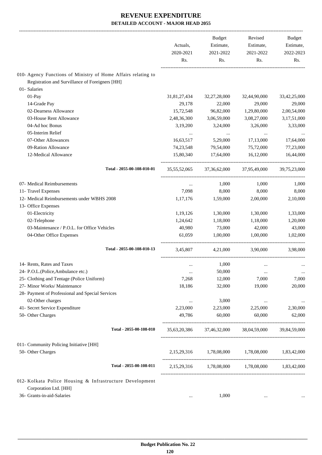|                                                               | Actuals,<br>2020-2021<br>Rs. | <b>Budget</b><br>Estimate,<br>2021-2022<br>Rs. | Revised<br>Estimate,<br>2021-2022<br>Rs.            | Budget<br>Estimate,<br>2022-2023<br>Rs. |
|---------------------------------------------------------------|------------------------------|------------------------------------------------|-----------------------------------------------------|-----------------------------------------|
|                                                               |                              |                                                |                                                     |                                         |
| 010- Agency Functions of Ministry of Home Affairs relating to |                              |                                                |                                                     |                                         |
| Registration and Survillance of Foreigners [HH]               |                              |                                                |                                                     |                                         |
| 01- Salaries                                                  |                              |                                                |                                                     |                                         |
| 01-Pay                                                        | 31,81,27,434                 | 32,27,28,000                                   | 32,44,90,000                                        | 33,42,25,000                            |
| 14-Grade Pay                                                  | 29,178                       | 22,000                                         | 29,000                                              | 29,000                                  |
| 02-Dearness Allowance                                         | 15,72,548                    | 96,82,000                                      | 1,29,80,000                                         | 2,00,54,000                             |
| 03-House Rent Allowance                                       | 2,48,36,300                  | 3,06,59,000                                    | 3,08,27,000                                         | 3,17,51,000                             |
| 04-Ad hoc Bonus                                               | 3,19,200                     | 3,24,000                                       | 3,26,000                                            | 3,33,000                                |
| 05-Interim Relief                                             |                              | $\cdots$                                       | $\cdots$                                            |                                         |
| 07-Other Allowances                                           | 16,63,517                    | 5,29,000                                       | 17,13,000                                           | 17,64,000                               |
| 09-Ration Allowance                                           | 74,23,548                    | 79,54,000                                      | 75,72,000                                           | 77,23,000                               |
| 12-Medical Allowance                                          | 15,80,340                    | 17,64,000                                      | 16,12,000                                           | 16,44,000                               |
| Total - 2055-00-108-010-01                                    | 35,55,52,065                 | 37,36,62,000                                   | 37,95,49,000                                        | 39,75,23,000                            |
| 07- Medical Reimbursements                                    | $\cdots$                     | 1,000                                          | 1,000                                               | 1,000                                   |
| 11- Travel Expenses                                           | 7,098                        | 8,000                                          | 8,000                                               | 8,000                                   |
| 12- Medical Reimbursements under WBHS 2008                    | 1,17,176                     | 1,59,000                                       | 2,00,000                                            | 2,10,000                                |
| 13- Office Expenses                                           |                              |                                                |                                                     |                                         |
| 01-Electricity                                                | 1,19,126                     | 1,30,000                                       | 1,30,000                                            | 1,33,000                                |
| 02-Telephone                                                  | 1,24,642                     | 1,18,000                                       | 1,18,000                                            | 1,20,000                                |
| 03-Maintenance / P.O.L. for Office Vehicles                   | 40,980                       | 73,000                                         | 42,000                                              | 43,000                                  |
| 04-Other Office Expenses                                      | 61,059                       | 1,00,000                                       | 1,00,000                                            | 1,02,000                                |
| Total - 2055-00-108-010-13                                    | 3,45,807                     | 4,21,000                                       | 3.90.000                                            | 3,98,000                                |
| 14- Rents, Rates and Taxes                                    | $\cdots$                     | 1,000                                          |                                                     |                                         |
| 24- P.O.L.(Police, Ambulance etc.)                            |                              | 50,000                                         |                                                     |                                         |
| 25- Clothing and Tentage (Police Uniform)                     | $\cdots$<br>7,268            | 12,000                                         | 7,000                                               | $\ldots$<br>7,000                       |
| 27- Minor Works/ Maintenance                                  | 18,186                       | 32,000                                         | 19,000                                              | 20,000                                  |
| 28- Payment of Professional and Special Services              |                              |                                                |                                                     |                                         |
| 02-Other charges                                              |                              | 3,000                                          |                                                     |                                         |
| 41- Secret Service Expenditure                                | $\cdots$<br>2,23,000         | 2,23,000                                       | $\cdots$<br>2,25,000                                | 2,30,000                                |
| 50- Other Charges                                             | 49,786                       | 60,000                                         | 60,000                                              | 62,000                                  |
| Total - 2055-00-108-010                                       |                              |                                                | 35,63,20,386 37,46,32,000 38,04,59,000 39,84,59,000 |                                         |
|                                                               |                              |                                                |                                                     |                                         |
| 011- Community Policing Initiative [HH]<br>50- Other Charges  |                              |                                                | 2,15,29,316 1,78,08,000 1,78,08,000 1,83,42,000     |                                         |
| Total - 2055-00-108-011                                       |                              |                                                | 2,15,29,316 1,78,08,000 1,78,08,000 1,83,42,000     |                                         |
| 012- Kolkata Police Housing & Infrastructure Development      |                              |                                                |                                                     |                                         |
| Corporation Ltd. [HH]                                         |                              |                                                |                                                     |                                         |
| 36- Grants-in-aid-Salaries                                    | $\cdots$                     | 1,000                                          | $\cdots$                                            |                                         |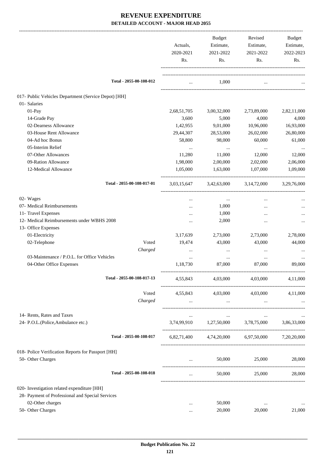|                                                      | Actuals,<br>2020-2021                          | <b>Budget</b><br>Estimate,<br>2021-2022        | Revised<br>Estimate,<br>2021-2022               | Budget<br>Estimate,<br>2022-2023 |
|------------------------------------------------------|------------------------------------------------|------------------------------------------------|-------------------------------------------------|----------------------------------|
|                                                      | Rs.                                            | Rs.                                            | Rs.                                             | Rs.                              |
| Total - 2055-00-108-012                              | $\cdots$                                       | 1,000                                          | $\cdots$                                        |                                  |
| 017- Public Vehicles Department (Service Depot) [HH] |                                                |                                                |                                                 |                                  |
| 01- Salaries                                         |                                                |                                                |                                                 |                                  |
| $01-Pay$                                             | 2,68,51,705                                    | 3,00,32,000                                    | 2,73,89,000                                     | 2,82,11,000                      |
| 14-Grade Pay                                         | 3,600                                          | 5,000                                          | 4,000                                           | 4,000                            |
| 02-Dearness Allowance                                | 1,42,955                                       | 9,01,000                                       | 10,96,000                                       | 16,93,000                        |
| 03-House Rent Allowance                              | 29,44,307                                      | 28,53,000                                      | 26,02,000                                       | 26,80,000                        |
| 04-Ad hoc Bonus                                      | 58,800                                         | 98,000                                         | 60,000                                          | 61,000                           |
| 05-Interim Relief                                    | $\cdots$                                       | $\ldots$                                       | $\cdots$                                        |                                  |
| 07-Other Allowances                                  | 11,280                                         | 11,000                                         | 12,000                                          | 12,000                           |
| 09-Ration Allowance                                  | 1,98,000                                       | 2,00,000                                       | 2,02,000                                        | 2,06,000                         |
| 12-Medical Allowance                                 | 1,05,000                                       | 1,63,000                                       | 1,07,000                                        | 1,09,000                         |
| Total - 2055-00-108-017-01                           | 3,03,15,647                                    | 3,42,63,000                                    | 3, 14, 72, 000                                  | 3,29,76,000                      |
| 02- Wages                                            | $\cdots$                                       | $\cdots$                                       |                                                 |                                  |
| 07- Medical Reimbursements                           |                                                | 1,000                                          |                                                 |                                  |
| 11- Travel Expenses                                  |                                                | 1,000                                          |                                                 |                                  |
| 12- Medical Reimbursements under WBHS 2008           |                                                | 2,000                                          | $\ddotsc$                                       | $\cdots$                         |
| 13- Office Expenses                                  |                                                |                                                |                                                 |                                  |
| 01-Electricity                                       | 3,17,639                                       | 2,73,000                                       | 2,73,000                                        | 2,78,000                         |
| 02-Telephone<br>Voted                                | 19,474                                         | 43,000                                         | 43,000                                          | 44,000                           |
| Charged                                              | $\cdots$                                       |                                                | $\cdots$                                        |                                  |
| 03-Maintenance / P.O.L. for Office Vehicles          | $\cdots$                                       | $\cdots$                                       |                                                 |                                  |
| 04-Other Office Expenses                             | 1,18,730                                       | 87,000                                         | 87,000                                          | 89,000                           |
| Total - 2055-00-108-017-13                           | 4,55,843                                       | 4,03,000                                       | 4,03,000                                        | 4,11,000                         |
| Voted                                                | 4,55,843                                       | 4,03,000                                       | 4,03,000                                        | 4,11,000                         |
| Charged                                              | $\mathbf{1}$ and $\mathbf{1}$ and $\mathbf{1}$ | $\mathbf{1}$ and $\mathbf{1}$ and $\mathbf{1}$ | $\cdots$                                        |                                  |
| 14- Rents, Rates and Taxes                           |                                                |                                                | ---------------------                           |                                  |
| 24- P.O.L.(Police, Ambulance etc.)                   |                                                |                                                | 3,74,99,910 1,27,50,000 3,78,75,000 3,86,33,000 |                                  |
| Total - 2055-00-108-017                              | 6,82,71,400                                    |                                                | 4,74,20,000 6,97,50,000 7,20,20,000             |                                  |
| 018- Police Verification Reports for Passport [HH]   |                                                |                                                |                                                 |                                  |
| 50- Other Charges                                    |                                                | 50,000                                         | 25,000                                          | 28,000                           |
| Total - 2055-00-108-018                              |                                                | 50,000                                         |                                                 | 25,000 28,000                    |
| 020- Investigation related expenditure [HH]          |                                                |                                                |                                                 |                                  |
| 28- Payment of Professional and Special Services     |                                                |                                                |                                                 |                                  |
| 02-Other charges                                     |                                                | 50,000                                         | $\cdots$                                        |                                  |
| 50- Other Charges                                    | $\cdots$                                       | 20,000                                         | 20,000                                          | 21,000                           |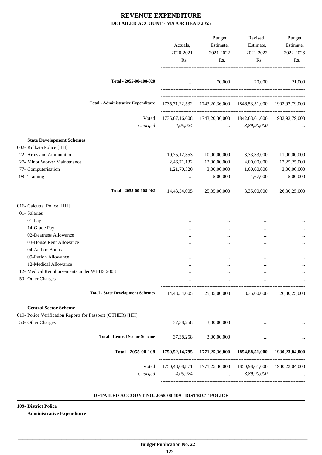|                                                              | Actuals,<br>2020-2021<br>Rs. | Budget<br>Estimate,<br>2021-2022<br>Rs. | Revised<br>Estimate,<br>2021-2022<br>Rs.                                                                | <b>Budget</b><br>Estimate,<br>2022-2023<br>Rs. |
|--------------------------------------------------------------|------------------------------|-----------------------------------------|---------------------------------------------------------------------------------------------------------|------------------------------------------------|
| Total - 2055-00-108-020                                      | $\ddotsc$                    |                                         | 70,000                                                                                                  | 20,000<br>21,000                               |
| <b>Total - Administrative Expenditure</b>                    |                              |                                         | 1735,71,22,532 1743,20,36,000 1846,53,51,000 1903,92,79,000                                             |                                                |
| Voted<br>Charged                                             | 4,05,924                     | <b>Contract Contract</b>                | 1735, 67, 16, 608 1743, 20, 36, 000 1842, 63, 61, 000 1903, 92, 79, 000<br>3,89,90,000                  |                                                |
| <b>State Development Schemes</b><br>002- Kolkata Police [HH] |                              |                                         |                                                                                                         |                                                |
| 22- Arms and Ammunition                                      | 10,75,12,353<br>2,46,71,132  | 10,00,00,000                            | 3,33,33,000                                                                                             | 11,00,00,000                                   |
| 27- Minor Works/ Maintenance                                 |                              | 12,00,00,000                            | 4,00,00,000<br>1,00,00,000                                                                              | 12,25,25,000<br>3,00,00,000                    |
| 77- Computerisation<br>98- Training                          | 1,21,70,520<br>$\cdots$      | 3,00,00,000<br>5,00,000                 | 1,67,000                                                                                                | 5,00,000                                       |
|                                                              |                              |                                         |                                                                                                         |                                                |
| Total - 2055-00-108-002                                      | 14,43,54,005                 | 25,05,00,000                            | 8,35,00,000                                                                                             | 26, 30, 25, 000                                |
| 016- Calcutta Police [HH]                                    |                              |                                         |                                                                                                         |                                                |
| 01- Salaries                                                 |                              |                                         |                                                                                                         |                                                |
| 01-Pay                                                       |                              |                                         |                                                                                                         |                                                |
| 14-Grade Pay                                                 |                              | $\cdots$                                |                                                                                                         |                                                |
| 02-Dearness Allowance                                        |                              | $\cdots$                                |                                                                                                         |                                                |
| 03-House Rent Allowance                                      |                              | $\cdots$                                |                                                                                                         |                                                |
| 04-Ad hoc Bonus                                              |                              |                                         |                                                                                                         |                                                |
| 09-Ration Allowance                                          |                              |                                         |                                                                                                         |                                                |
| 12-Medical Allowance                                         |                              | $\cdots$                                |                                                                                                         |                                                |
| 12- Medical Reimbursements under WBHS 2008                   |                              |                                         |                                                                                                         |                                                |
| 50- Other Charges                                            | $\cdots$                     |                                         | $\cdots$                                                                                                |                                                |
| <b>Total - State Development Schemes</b>                     |                              |                                         | 14,43,54,005 25,05,00,000 8,35,00,000                                                                   | 26, 30, 25, 000                                |
| <b>Central Sector Scheme</b>                                 |                              |                                         |                                                                                                         |                                                |
| 019- Police Verification Reports for Passport (OTHER) [HH]   |                              |                                         |                                                                                                         |                                                |
| 50- Other Charges                                            |                              | 37,38,258 3,00,00,000                   | $\ddots$                                                                                                |                                                |
| <b>Total - Central Sector Scheme</b>                         | 37, 38, 258                  | 3,00,00,000                             | $\cdots$                                                                                                |                                                |
| Total - 2055-00-108                                          |                              |                                         | 1750, 52, 14, 795 1771, 25, 36, 000 1854, 88, 51, 000 1930, 23, 04, 000                                 |                                                |
| Voted<br>Charged                                             | 4,05,924                     |                                         | 1750,48,08,871  1771,25,36,000  1850,98,61,000  1930,23,04,000<br>3,89,90,000<br><b>Second Contract</b> |                                                |
|                                                              |                              |                                         |                                                                                                         |                                                |

#### **DETAILED ACCOUNT NO. 2055-00-109 - DISTRICT POLICE .**

**109- District Police Administrative Expenditure**

 **Budget Publication No. 22 122**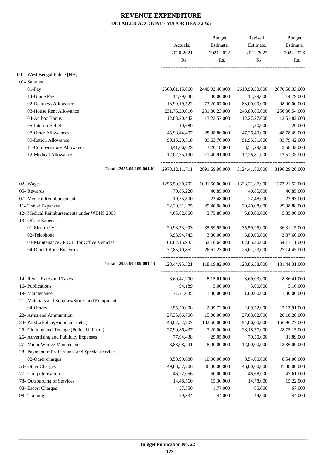|                                                  | Actuals,<br>2020-2021 | <b>Budget</b><br>Estimate, | Revised<br>Estimate, | Budget<br>Estimate, |
|--------------------------------------------------|-----------------------|----------------------------|----------------------|---------------------|
|                                                  | Rs.                   | 2021-2022<br>Rs.           | 2021-2022<br>Rs.     | 2022-2023<br>Rs.    |
| 001- West Bengal Police [HH]                     |                       |                            |                      |                     |
| 01- Salaries                                     |                       |                            |                      |                     |
| 01-Pay                                           | 2568,61,15,860        | 2440,02,46,000             | 2619,98,38,000       | 2670,58,33,000      |
| 14-Grade Pay                                     | 14,79,038             | 30,00,000                  | 14,79,000            | 14,79,000           |
| 02-Dearness Allowance                            | 13,99,19,522          | 73,20,07,000               | 88,00,00,000         | 98,00,00,000        |
| 03-House Rent Allowance                          | 231,76,20,016         | 231,80,23,000              | 248,89,85,000        | 256, 36, 54, 000    |
| 04-Ad hoc Bonus                                  | 12,03,20,442          | 13,23,57,000               | 12,27,27,000         | 12,51,82,000        |
| 05-Interim Relief                                | 10,689                | $\cdots$                   | 1,50,000             | 20,000              |
| 07-Other Allowances                              | 45,98,44,407          | 28,88,86,000               | 47,36,40,000         | 48,78,49,000        |
| 09-Ration Allowance                              | 90,15,20,518          | 89,63,70,000               | 91,95,51,000         | 93,79,42,000        |
| 11-Compensatory Allowance                        | 3,41,06,029           | 3,20,18,000                | 3,51,29,000          | 3,58,32,000         |
| 12-Medical Allowance                             | 12,02,75,190          | 11,40,91,000               | 12,26,81,000         | 12,51,35,000        |
| Total - 2055-00-109-001-01                       | 2978, 12, 11, 711     | 2891,69,98,000             | 3124,41,80,000       | 3196,29,26,000      |
| 02- Wages                                        | 1255,50,30,702        | 1081,50,00,000             | 1333, 21, 87, 000    | 1373,21,53,000      |
| 05- Rewards                                      | 79,85,220             | 40,85,000                  | 40,85,000            | 40,85,000           |
| 07- Medical Reimbursements                       | 19,55,800             | 22,48,000                  | 22,48,000            | 22,93,000           |
| 11- Travel Expenses                              | 22, 29, 31, 375       | 29,40,08,000               | 29,40,08,000         | 29,98,88,000        |
| 12- Medical Reimbursements under WBHS 2008       | 4,65,82,660           | 3,75,88,000                | 5,80,00,000          | 5,85,00,000         |
| 13- Office Expenses                              |                       |                            |                      |                     |
| 01-Electricity                                   | 29,98,73,993          | 35,59,95,000               | 35,59,95,000         | 36, 31, 15, 000     |
| 02-Telephone                                     | 3,98,94,743           | 3,80,00,000                | 3,80,00,000          | 3,87,60,000         |
| 03-Maintenance / P.O.L. for Office Vehicles      | 61, 62, 15, 933       | 52,18,64,000               | 62,85,40,000         | 64,11,11,000        |
| 04-Other Office Expenses                         | 32,85,10,852          | 26,61,23,000               | 26,61,23,000         | 27, 14, 45, 000     |
| Total - 2055-00-109-001-13                       | 128,44,95,521         | 118,19,82,000              | 128,86,58,000        | 131,44,31,000       |
| 14- Rents, Rates and Taxes                       | 8,60,42,200           | 8,15,61,000                | 8,69,03,000          | 8,86,41,000         |
| 16- Publications                                 | 94,189                | 5,00,000                   | 5,00,000             | 5,10,000            |
| 19- Maintenance                                  | 77,71,035             | 1,80,00,000                | 1,80,00,000          | 1,80,00,000         |
| 21- Materials and Supplies/Stores and Equipment  |                       |                            |                      |                     |
| 04-Others                                        | 2,55,50,008           | 2,09,72,000                | 2,09,72,000          | 2,13,91,000         |
| 22- Arms and Ammunition                          | 27, 35, 66, 706       | 15,00,00,000               | 27,63,02,000         | 28,18,28,000        |
| 24- P.O.L.(Police,Ambulance etc.)                | 143,62,52,707         | 132,60,00,000              | 194,06,00,000        | 166,96,27,000       |
| 25- Clothing and Tentage (Police Uniform)        | 27,90,86,437          | 7,20,00,000                | 28, 18, 77, 000      | 28,75,15,000        |
| 26- Advertising and Publicity Expenses           | 77,94,438             | 29,05,000                  | 79,50,000            | 81,89,000           |
| 27- Minor Works/ Maintenance                     | 3,83,08,291           | 8,00,00,000                | 12,00,00,000         | 12,36,00,000        |
| 28- Payment of Professional and Special Services |                       |                            |                      |                     |
| 02-Other charges                                 | 8,53,99,680           | 10,00,00,000               | 8,54,00,000          | 8,54,00,000         |
| 50- Other Charges                                | 49,88,37,206          | 46,00,00,000               | 46,00,00,000         | 47,38,00,000        |
| 77- Computerisation                              | 46,22,056             | 60,00,000                  | 46,68,000            | 47,61,000           |
| 78- Outsourcing of Services                      | 14,48,560             | 15,30,000                  | 14,78,000            | 15,22,000           |
| 88- Escort Charges                               | 37,550                | 1,77,000                   | 65,000               | 67,000              |
| 98- Training                                     | 29,334                | 44,000                     | 44,000               | 44,000              |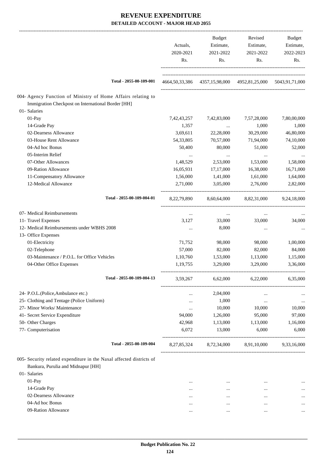|                                                                      | Actuals,<br>2020-2021<br>Rs. | Budget<br>Estimate,<br>2021-2022<br>Rs. | Revised<br>Estimate,<br>2021-2022<br>Rs.                                | Budget<br>Estimate,<br>2022-2023<br>Rs. |
|----------------------------------------------------------------------|------------------------------|-----------------------------------------|-------------------------------------------------------------------------|-----------------------------------------|
| Total - 2055-00-109-001                                              |                              |                                         | 4664, 50, 33, 386 4357, 15, 98, 000 4952, 81, 25, 000 5043, 91, 71, 000 |                                         |
| 004- Agency Function of Ministry of Home Affairs relating to         |                              |                                         |                                                                         |                                         |
| Immigration Checkpost on International Border [HH]                   |                              |                                         |                                                                         |                                         |
| 01- Salaries                                                         |                              |                                         |                                                                         |                                         |
| 01-Pay                                                               | 7,42,43,257                  | 7,42,83,000                             | 7,57,28,000                                                             | 7,80,00,000                             |
| 14-Grade Pay                                                         | 1,357                        | $\ldots$                                | 1,000                                                                   | 1,000                                   |
| 02-Dearness Allowance                                                | 3,69,611                     | 22,28,000                               | 30,29,000                                                               | 46,80,000                               |
| 03-House Rent Allowance                                              | 54,33,805                    | 70,57,000                               | 71,94,000                                                               | 74,10,000                               |
| 04-Ad hoc Bonus                                                      | 50,400                       | 80,000                                  | 51,000                                                                  | 52,000                                  |
| 05-Interim Relief                                                    | $\cdots$                     | $\cdots$                                | $\cdots$                                                                |                                         |
| 07-Other Allowances                                                  | 1,48,529                     | 2,53,000                                | 1,53,000                                                                | 1,58,000                                |
| 09-Ration Allowance                                                  | 16,05,931                    | 17,17,000                               | 16,38,000                                                               | 16,71,000                               |
| 11-Compensatory Allowance                                            | 1,56,000                     | 1,41,000                                | 1,61,000                                                                | 1,64,000                                |
| 12-Medical Allowance                                                 | 2,71,000                     | 3,05,000                                | 2,76,000                                                                | 2,82,000                                |
| Total - 2055-00-109-004-01                                           | 8,22,79,890                  |                                         | 8,60,64,000 8,82,31,000 9,24,18,000                                     |                                         |
| 07- Medical Reimbursements                                           | $\cdots$                     | $\cdots$                                | $\cdots$                                                                |                                         |
| 11- Travel Expenses                                                  | 3,127                        | 33,000                                  | 33,000                                                                  | 34,000                                  |
| 12- Medical Reimbursements under WBHS 2008                           |                              | 8,000                                   | $\cdots$                                                                |                                         |
| 13- Office Expenses                                                  |                              |                                         |                                                                         |                                         |
| 01-Electricity                                                       | 71,752                       | 98,000                                  | 98,000                                                                  | 1,00,000                                |
| 02-Telephone                                                         | 57,000                       | 82,000                                  | 82,000                                                                  | 84,000                                  |
| 03-Maintenance / P.O.L. for Office Vehicles                          | 1,10,760                     | 1,53,000                                | 1,13,000                                                                | 1,15,000                                |
| 04-Other Office Expenses                                             | 1,19,755                     | 3,29,000                                | 3,29,000                                                                | 3,36,000                                |
| Total - 2055-00-109-004-13                                           | 3,59,267                     | 6,62,000                                | 6,22,000                                                                | 6,35,000                                |
| 24- P.O.L.(Police, Ambulance etc.)                                   |                              | 2,04,000                                |                                                                         |                                         |
| 25- Clothing and Tentage (Police Uniform)                            | $\cdots$                     | 1,000                                   | $\cdots$                                                                |                                         |
| 27- Minor Works/ Maintenance                                         | <br>                         | 10,000                                  | $\cdots$<br>10,000                                                      | 10,000                                  |
| 41- Secret Service Expenditure                                       | 94,000                       | 1,26,000                                | 95,000                                                                  | 97,000                                  |
| 50- Other Charges                                                    | 42,968                       | 1,13,000                                | 1,13,000                                                                | 1,16,000                                |
| 77- Computerisation                                                  | 6,072                        | 13,000                                  | 6,000                                                                   | 6,000                                   |
| Total - 2055-00-109-004                                              | 8, 27, 85, 324               | 8,72,34,000                             |                                                                         | 8,91,10,000 9,33,16,000                 |
| 005- Security related expenditure in the Naxal affected districts of |                              |                                         |                                                                         |                                         |
| Bankura, Purulia and Midnapur [HH]                                   |                              |                                         |                                                                         |                                         |
| 01- Salaries                                                         |                              |                                         |                                                                         |                                         |
| 01-Pay                                                               | $\cdots$                     | $\cdots$                                | $\cdots$                                                                |                                         |
| 14-Grade Pay                                                         |                              | $\cdots$                                | $\cdots$                                                                |                                         |
| 02-Dearness Allowance                                                | $\cdots$                     | $\cdots$                                | $\cdots$                                                                |                                         |
| 04-Ad hoc Bonus                                                      |                              | $\cdots$                                | $\cdots$                                                                |                                         |
| 09-Ration Allowance                                                  | $\cdots$                     | $\cdots$                                | $\cdots$                                                                | $\cdots$                                |
|                                                                      |                              |                                         |                                                                         |                                         |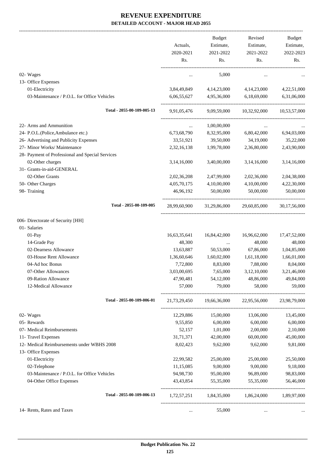|                                                  | Actuals,<br>2020-2021<br>Rs. | <b>Budget</b><br>Estimate,<br>2021-2022<br>Rs. | Revised<br>Estimate,<br>2021-2022<br>Rs.        | Budget<br>Estimate,<br>2022-2023<br>Rs. |
|--------------------------------------------------|------------------------------|------------------------------------------------|-------------------------------------------------|-----------------------------------------|
| 02- Wages                                        |                              | 5,000                                          |                                                 |                                         |
| 13- Office Expenses                              |                              |                                                |                                                 |                                         |
| 01-Electricity                                   | 3,84,49,849                  | 4, 14, 23, 000                                 | 4,14,23,000                                     | 4,22,51,000                             |
| 03-Maintenance / P.O.L. for Office Vehicles      | 6,06,55,627                  | 4,95,36,000                                    | 6,18,69,000                                     | 6,31,06,000                             |
| Total - 2055-00-109-005-13                       | 9,91,05,476                  | 9,09,59,000                                    | 10,32,92,000                                    | 10,53,57,000                            |
| 22- Arms and Ammunition                          | $\cdots$                     | 1,00,00,000                                    | $\cdots$                                        |                                         |
| 24- P.O.L.(Police, Ambulance etc.)               | 6,73,68,790                  | 8,32,95,000                                    | 6,80,42,000                                     | 6,94,03,000                             |
| 26- Advertising and Publicity Expenses           | 33,51,921                    | 39,50,000                                      | 34,19,000                                       | 35,22,000                               |
| 27- Minor Works/ Maintenance                     | 2,32,16,138                  | 1,99,78,000                                    | 2,36,80,000                                     | 2,43,90,000                             |
| 28- Payment of Professional and Special Services |                              |                                                |                                                 |                                         |
| 02-Other charges                                 | 3,14,16,000                  | 3,40,00,000                                    | 3,14,16,000                                     | 3,14,16,000                             |
| 31- Grants-in-aid-GENERAL                        |                              |                                                |                                                 |                                         |
| 02-Other Grants                                  | 2,02,36,208                  | 2,47,99,000                                    | 2,02,36,000                                     | 2,04,38,000                             |
| 50- Other Charges                                | 4,05,70,175                  | 4,10,00,000                                    | 4,10,00,000                                     | 4,22,30,000                             |
| 98- Training                                     | 46,96,192                    | 50,00,000                                      | 50,00,000                                       | 50,00,000                               |
| Total - 2055-00-109-005                          | 28,99,60,900                 | 31,29,86,000                                   | 29,60,85,000                                    | 30,17,56,000                            |
| 006- Directorate of Security [HH]                |                              |                                                |                                                 |                                         |
| 01- Salaries                                     |                              |                                                |                                                 |                                         |
| 01-Pay                                           | 16,63,35,641                 | 16,84,42,000                                   | 16,96,62,000                                    | 17,47,52,000                            |
| 14-Grade Pay                                     | 48,300                       | $\cdots$                                       | 48,000                                          | 48,000                                  |
| 02-Dearness Allowance                            | 13,63,887                    | 50,53,000                                      | 67,86,000                                       | 1,04,85,000                             |
| 03-House Rent Allowance                          | 1,36,60,646                  | 1,60,02,000                                    | 1,61,18,000                                     | 1,66,01,000                             |
| 04-Ad hoc Bonus                                  | 7,72,800                     | 8,83,000                                       | 7,88,000                                        | 8,04,000                                |
| 07-Other Allowances                              | 3,03,00,695                  | 7,65,000                                       | 3,12,10,000                                     | 3,21,46,000                             |
| 09-Ration Allowance                              | 47,90,481                    | 54,12,000                                      | 48,86,000                                       | 49,84,000                               |
| 12-Medical Allowance                             | 57,000                       | 79,000                                         | 58,000                                          | 59,000                                  |
| Total - 2055-00-109-006-01                       |                              |                                                | 21,73,29,450 19,66,36,000 22,95,56,000          | 23,98,79,000                            |
| 02- Wages                                        | 12,29,886                    | 15,00,000                                      | 13,06,000                                       | 13,45,000                               |
| 05- Rewards                                      | 9,55,850                     | 6,00,000                                       | 6,00,000                                        | 6,00,000                                |
| 07- Medical Reimbursements                       | 52,157                       | 1,01,000                                       | 2,00,000                                        | 2,10,000                                |
| 11- Travel Expenses                              | 31,71,371                    | 42,00,000                                      | 60,00,000                                       | 45,00,000                               |
| 12- Medical Reimbursements under WBHS 2008       | 8,02,423                     | 9,62,000                                       | 9,62,000                                        | 9,81,000                                |
| 13- Office Expenses                              |                              |                                                |                                                 |                                         |
| 01-Electricity                                   | 22,99,582                    | 25,00,000                                      | 25,00,000                                       | 25,50,000                               |
| 02-Telephone                                     | 11,15,085                    | 9,00,000                                       | 9,00,000                                        | 9,18,000                                |
| 03-Maintenance / P.O.L. for Office Vehicles      | 94,98,730                    | 95,00,000                                      | 96,89,000                                       | 98,83,000                               |
| 04-Other Office Expenses                         | 43,43,854                    | 55,35,000                                      | 55,35,000                                       | 56,46,000                               |
| Total - 2055-00-109-006-13                       |                              |                                                | 1,72,57,251 1,84,35,000 1,86,24,000 1,89,97,000 |                                         |
| 14- Rents, Rates and Taxes                       | $\cdots$                     | 55,000                                         |                                                 |                                         |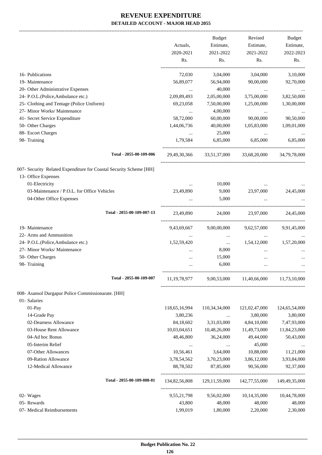-------------------------------------------------------------------------------------------------------------------------------------------------------------------------------

| 16- Publications<br>19- Maintenance<br>20- Other Administrative Expenses<br>24- P.O.L.(Police, Ambulance etc.)<br>25- Clothing and Tentage (Police Uniform)<br>27- Minor Works/ Maintenance | Actuals,<br>2020-2021<br>Rs.<br>72,030<br>56,89,077<br>2,09,89,493<br>69,23,058 | <b>Budget</b><br>Estimate,<br>2021-2022<br>Rs.<br>3,04,000<br>56,94,000<br>40,000<br>2,05,00,000<br>7,50,00,000 | Revised<br>Estimate,<br>2021-2022<br>Rs.<br>3,04,000<br>90,00,000<br>$\cdots$<br>3,75,00,000<br>1,25,00,000 | <b>Budget</b><br>Estimate,<br>2022-2023<br>Rs.<br>3,10,000<br>92,70,000<br>3,82,50,000<br>1,30,00,000 |
|---------------------------------------------------------------------------------------------------------------------------------------------------------------------------------------------|---------------------------------------------------------------------------------|-----------------------------------------------------------------------------------------------------------------|-------------------------------------------------------------------------------------------------------------|-------------------------------------------------------------------------------------------------------|
| 41- Secret Service Expenditure                                                                                                                                                              | $\cdots$<br>58,72,000                                                           | 4,00,000<br>60,00,000                                                                                           | $\cdots$<br>90,00,000                                                                                       | 90,50,000                                                                                             |
| 50- Other Charges                                                                                                                                                                           | 1,44,06,736                                                                     | 40,00,000                                                                                                       | 1,05,83,000                                                                                                 | 1,09,01,000                                                                                           |
| 88- Escort Charges                                                                                                                                                                          | $\cdots$                                                                        | 25,000                                                                                                          | $\ldots$                                                                                                    |                                                                                                       |
| 98- Training                                                                                                                                                                                | 1,79,584                                                                        | 6,85,000                                                                                                        | 6,85,000                                                                                                    | 6,85,000                                                                                              |
| Total - 2055-00-109-006                                                                                                                                                                     | 29,49,30,366                                                                    | 33,51,37,000                                                                                                    | 33,68,20,000                                                                                                | 34,79,78,000                                                                                          |
| 007- Security Related Expenditure for Coastal Security Scheme [HH]<br>13- Office Expenses                                                                                                   |                                                                                 |                                                                                                                 |                                                                                                             |                                                                                                       |
| 01-Electricity                                                                                                                                                                              | $\cdots$                                                                        | 10,000                                                                                                          |                                                                                                             |                                                                                                       |
| 03-Maintenance / P.O.L. for Office Vehicles                                                                                                                                                 | 23,49,890                                                                       | 9,000                                                                                                           | 23,97,000                                                                                                   | 24,45,000                                                                                             |
| 04-Other Office Expenses                                                                                                                                                                    |                                                                                 | 5,000                                                                                                           |                                                                                                             |                                                                                                       |
| Total - 2055-00-109-007-13                                                                                                                                                                  | 23,49,890                                                                       | 24,000                                                                                                          | 23,97,000                                                                                                   | 24,45,000                                                                                             |
| 19- Maintenance                                                                                                                                                                             | 9,43,69,667                                                                     | 9,00,00,000                                                                                                     | 9,62,57,000                                                                                                 | 9,91,45,000                                                                                           |
| 22- Arms and Ammunition                                                                                                                                                                     |                                                                                 | $\cdots$                                                                                                        | $\cdots$                                                                                                    |                                                                                                       |
| 24- P.O.L.(Police, Ambulance etc.)                                                                                                                                                          | 1,52,59,420                                                                     | $\cdots$                                                                                                        | 1,54,12,000                                                                                                 | 1,57,20,000                                                                                           |
| 27- Minor Works/ Maintenance                                                                                                                                                                |                                                                                 | 8,000                                                                                                           | $\cdots$                                                                                                    |                                                                                                       |
| 50- Other Charges                                                                                                                                                                           | $\cdots$                                                                        | 15,000                                                                                                          | $\cdots$                                                                                                    |                                                                                                       |
| 98- Training                                                                                                                                                                                |                                                                                 | 6,000                                                                                                           |                                                                                                             |                                                                                                       |
| Total - 2055-00-109-007                                                                                                                                                                     | 11, 19, 78, 977                                                                 |                                                                                                                 | 9,00,53,000 11,40,66,000                                                                                    | 11,73,10,000                                                                                          |
| 008- Asansol Durgapur Police Commissionarate. [HH]<br>01- Salaries                                                                                                                          |                                                                                 |                                                                                                                 |                                                                                                             |                                                                                                       |
| $01-Pay$                                                                                                                                                                                    | 118,65,16,994                                                                   | 110,34,34,000                                                                                                   | 121,02,47,000                                                                                               | 124,65,54,000                                                                                         |
| 14-Grade Pay                                                                                                                                                                                | 3,80,236                                                                        | $\cdots$                                                                                                        | 3,80,000                                                                                                    | 3,80,000                                                                                              |
| 02-Dearness Allowance                                                                                                                                                                       | 84,18,602                                                                       | 3,31,03,000                                                                                                     | 4,84,10,000                                                                                                 | 7,47,93,000                                                                                           |
| 03-House Rent Allowance                                                                                                                                                                     | 10,03,04,651                                                                    | 10,48,26,000                                                                                                    | 11,49,73,000                                                                                                | 11,84,23,000                                                                                          |
| 04-Ad hoc Bonus                                                                                                                                                                             | 48,46,800                                                                       | 36,24,000                                                                                                       | 49,44,000                                                                                                   | 50,43,000                                                                                             |
| 05-Interim Relief                                                                                                                                                                           | $\cdots$                                                                        | $\ldots$                                                                                                        | 45,000                                                                                                      |                                                                                                       |
| 07-Other Allowances                                                                                                                                                                         | 10,56,461                                                                       | 3,64,000                                                                                                        | 10,88,000                                                                                                   | 11,21,000                                                                                             |
| 09-Ration Allowance                                                                                                                                                                         | 3,78,54,562                                                                     | 3,70,23,000                                                                                                     | 3,86,12,000                                                                                                 | 3,93,84,000                                                                                           |
| 12-Medical Allowance                                                                                                                                                                        | 88,78,502                                                                       | 87,85,000                                                                                                       | 90,56,000                                                                                                   | 92,37,000                                                                                             |
| Total - 2055-00-109-008-01                                                                                                                                                                  | 134,82,56,808                                                                   | 129, 11, 59, 000                                                                                                | 142,77,55,000                                                                                               | 149,49,35,000                                                                                         |
| 02- Wages                                                                                                                                                                                   | 9,55,21,798                                                                     | 9,56,02,000                                                                                                     | 10, 14, 35, 000                                                                                             | 10,44,78,000                                                                                          |
| 05- Rewards                                                                                                                                                                                 | 43,800                                                                          | 48,000                                                                                                          | 48,000                                                                                                      | 48,000                                                                                                |
| 07- Medical Reimbursements                                                                                                                                                                  | 1,99,019                                                                        | 1,80,000                                                                                                        | 2,20,000                                                                                                    | 2,30,000                                                                                              |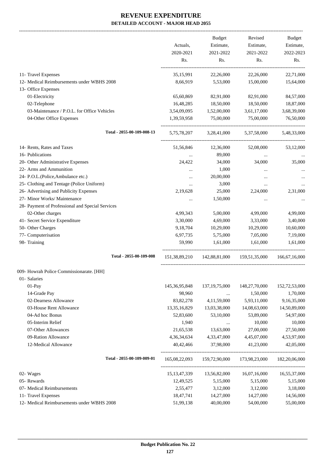-------------------------------------------------------------------------------------------------------------------------------------------------------------------------------

|                                |                                                  | Actuals,         | <b>Budget</b><br>Estimate, | Revised<br>Estimate, | <b>Budget</b><br>Estimate, |
|--------------------------------|--------------------------------------------------|------------------|----------------------------|----------------------|----------------------------|
|                                |                                                  | 2020-2021        | 2021-2022                  | 2021-2022            | 2022-2023                  |
|                                |                                                  | Rs.              | Rs.                        | Rs.                  | Rs.                        |
|                                |                                                  |                  |                            |                      |                            |
| 11- Travel Expenses            |                                                  | 35,15,991        | 22,26,000                  | 22,26,000            | 22,71,000                  |
|                                | 12- Medical Reimbursements under WBHS 2008       | 8,66,919         | 5,53,000                   | 15,00,000            | 15,64,000                  |
| 13- Office Expenses            |                                                  |                  |                            |                      |                            |
| 01-Electricity                 |                                                  | 65,60,869        | 82,91,000                  | 82,91,000            | 84,57,000                  |
| 02-Telephone                   |                                                  | 16,48,285        | 18,50,000                  | 18,50,000            | 18,87,000                  |
|                                | 03-Maintenance / P.O.L. for Office Vehicles      | 3,54,09,095      | 1,52,00,000                | 3,61,17,000          | 3,68,39,000                |
|                                | 04-Other Office Expenses                         | 1,39,59,958      | 75,00,000                  | 75,00,000            | 76,50,000                  |
|                                | Total - 2055-00-109-008-13                       | 5, 75, 78, 207   | 3,28,41,000                | 5,37,58,000          | 5,48,33,000                |
| 14- Rents, Rates and Taxes     |                                                  | 51,56,846        | 12,36,000                  | 52,08,000            | 53,12,000                  |
| 16- Publications               |                                                  | $\cdots$         | 89,000                     | $\cdots$             |                            |
|                                | 20- Other Administrative Expenses                | 24,422           | 34,000                     | 34,000               | 35,000                     |
| 22- Arms and Ammunition        |                                                  | $\cdots$         | 1,000                      | $\cdots$             |                            |
|                                | 24- P.O.L.(Police, Ambulance etc.)               |                  | 20,00,000                  |                      |                            |
|                                | 25- Clothing and Tentage (Police Uniform)        | $\cdots$         | 3,000                      |                      |                            |
|                                | 26- Advertising and Publicity Expenses           | 2,19,628         | 25,000                     | 2,24,000             | 2,31,000                   |
| 27- Minor Works/ Maintenance   |                                                  |                  | 1,50,000                   |                      |                            |
|                                | 28- Payment of Professional and Special Services |                  |                            |                      |                            |
| 02-Other charges               |                                                  | 4,99,343         | 5,00,000                   | 4,99,000             | 4,99,000                   |
| 41- Secret Service Expenditure |                                                  | 3,30,000         | 4,69,000                   | 3,33,000             | 3,40,000                   |
| 50- Other Charges              |                                                  | 9,18,704         | 10,29,000                  | 10,29,000            | 10,60,000                  |
| 77- Computerisation            |                                                  | 6,97,735         | 5,75,000                   | 7,05,000             | 7,19,000                   |
| 98- Training                   |                                                  | 59.990           | 1.61.000                   | 1,61,000             | 1.61.000                   |
|                                | Total - 2055-00-109-008                          | 151,38,89,210    | 142,88,81,000              | 159,51,35,000        | 166,67,16,000              |
|                                | 009- Howrah Police Commissionarate. [HH]         |                  |                            |                      |                            |
| 01- Salaries                   |                                                  |                  |                            |                      |                            |
| 01-Pay                         |                                                  | 145, 36, 95, 848 | 137, 19, 75, 000           | 148,27,70,000        | 152,72,53,000              |
| 14-Grade Pay                   |                                                  | 98,960           | $\ldots$                   | 1,50,000             | 1,70,000                   |
| 02-Dearness Allowance          |                                                  | 83, 82, 278      | 4, 11, 59, 000             | 5,93,11,000          | 9,16,35,000                |
|                                | 03-House Rent Allowance                          | 13,35,16,829     | 13,03,38,000               | 14,08,63,000         | 14,50,89,000               |
| 04-Ad hoc Bonus                |                                                  | 52,83,600        | 53,10,000                  | 53,89,000            | 54,97,000                  |
| 05-Interim Relief              |                                                  | 1,940            | $\ldots$                   | 10,000               | 10,000                     |
| 07-Other Allowances            |                                                  | 21,65,538        | 13,63,000                  | 27,00,000            | 27,50,000                  |
| 09-Ration Allowance            |                                                  | 4, 36, 34, 634   | 4,33,47,000                | 4,45,07,000          | 4,53,97,000                |
| 12-Medical Allowance           |                                                  | 40,42,466        | 37,98,000                  | 41,23,000            | 42,05,000                  |
|                                | Total - 2055-00-109-009-01                       | 165,08,22,093    | 159,72,90,000              | 173,98,23,000        | 182,20,06,000              |
| 02- Wages                      |                                                  | 15, 13, 47, 339  | 13,56,82,000               | 16,07,16,000         | 16,55,37,000               |
| 05- Rewards                    |                                                  | 12,49,525        | 5,15,000                   | 5,15,000             | 5,15,000                   |
| 07- Medical Reimbursements     |                                                  | 2,55,477         | 3,12,000                   | 3,12,000             | 3,18,000                   |
| 11- Travel Expenses            |                                                  | 18,47,741        | 14,27,000                  | 14,27,000            | 14,56,000                  |
|                                | 12- Medical Reimbursements under WBHS 2008       | 51,99,138        | 40,00,000                  | 54,00,000            | 55,00,000                  |
|                                |                                                  |                  |                            |                      |                            |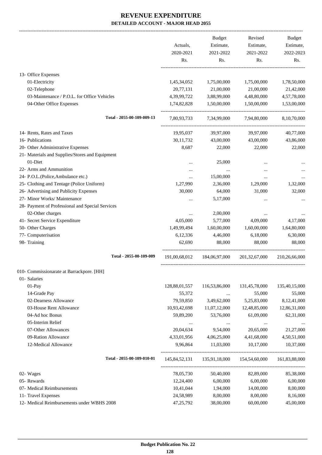|                                                  |               | <b>Budget</b> | Revised                                     | <b>Budget</b> |
|--------------------------------------------------|---------------|---------------|---------------------------------------------|---------------|
|                                                  | Actuals,      | Estimate,     | Estimate,                                   | Estimate,     |
|                                                  | 2020-2021     | 2021-2022     | 2021-2022                                   | 2022-2023     |
|                                                  | Rs.           | Rs.           | Rs.                                         | Rs.           |
| 13- Office Expenses                              |               |               |                                             |               |
| 01-Electricity                                   | 1,45,34,052   | 1,75,00,000   | 1,75,00,000                                 | 1,78,50,000   |
| 02-Telephone                                     | 20,77,131     | 21,00,000     | 21,00,000                                   | 21,42,000     |
| 03-Maintenance / P.O.L. for Office Vehicles      | 4,39,99,722   | 3,88,99,000   | 4,48,80,000                                 | 4,57,78,000   |
| 04-Other Office Expenses                         | 1,74,82,828   | 1,50,00,000   | 1,50,00,000                                 | 1,53,00,000   |
| Total - 2055-00-109-009-13                       | 7,80,93,733   | 7,34,99,000   | 7,94,80,000                                 | 8,10,70,000   |
| 14- Rents, Rates and Taxes                       | 19,95,037     | 39,97,000     | 39,97,000                                   | 40,77,000     |
| 16- Publications                                 | 30,11,732     | 43,00,000     | 43,00,000                                   | 43,86,000     |
| 20- Other Administrative Expenses                | 8,687         | 22,000        | 22,000                                      | 22,000        |
| 21- Materials and Supplies/Stores and Equipment  |               |               |                                             |               |
| 01-Diet                                          |               | 25,000        |                                             |               |
| 22- Arms and Ammunition                          |               |               |                                             |               |
| 24- P.O.L.(Police, Ambulance etc.)               |               | 15,00,000     | $\ddotsc$                                   |               |
| 25- Clothing and Tentage (Police Uniform)        | 1,27,990      | 2,36,000      | 1,29,000                                    | 1,32,000      |
| 26- Advertising and Publicity Expenses           | 30,000        | 64,000        | 31,000                                      | 32,000        |
| 27- Minor Works/ Maintenance                     |               | 5,17,000      |                                             |               |
| 28- Payment of Professional and Special Services |               |               |                                             |               |
| 02-Other charges                                 |               | 2,00,000      |                                             |               |
| 41- Secret Service Expenditure                   | 4,05,000      | 5,77,000      | 4,09,000                                    | 4,17,000      |
| 50- Other Charges                                | 1,49,99,494   | 1,60,00,000   | 1,60,00,000                                 | 1,64,80,000   |
| 77- Computerisation                              | 6,12,336      | 4,46,000      | 6,18,000                                    | 6,30,000      |
| 98- Training                                     | 62,690        | 88,000        | 88,000                                      | 88,000        |
| Total - 2055-00-109-009                          | 191,00,68,012 | 184,06,97,000 | 201, 32, 67, 000                            | 210,26,66,000 |
| 010- Commissionarate at Barrackpore. [HH]        |               |               |                                             |               |
| 01- Salaries                                     |               |               |                                             |               |
| 01-Pay                                           | 128,88,01,557 | 116,53,86,000 | 131,45,78,000                               | 135,40,15,000 |
| 14-Grade Pay                                     | 55,372        | $\cdots$      | 55,000                                      | 55,000        |
| 02-Dearness Allowance                            | 79,59,850     | 3,49,62,000   | 5,25,83,000                                 | 8,12,41,000   |
| 03-House Rent Allowance                          | 10,93,42,698  | 11,07,12,000  | 12,48,85,000                                | 12,86,31,000  |
| 04-Ad hoc Bonus                                  | 59,89,200     | 53,76,000     | 61,09,000                                   | 62,31,000     |
| 05-Interim Relief                                | $\cdots$      | $\cdots$      | $\ddotsc$                                   |               |
| 07-Other Allowances                              | 20,04,634     | 9,54,000      | 20,65,000                                   | 21,27,000     |
| 09-Ration Allowance                              | 4,33,01,956   | 4,06,25,000   | 4,41,68,000                                 | 4,50,51,000   |
| 12-Medical Allowance                             | 9,96,864      | 11,03,000     | 10,17,000                                   | 10,37,000     |
| Total - 2055-00-109-010-01                       |               |               | 145,84,52,131  135,91,18,000  154,54,60,000 | 161,83,88,000 |
| 02- Wages                                        | 78,05,730     | 50,40,000     | 82,89,000                                   | 85,38,000     |
| 05- Rewards                                      | 12,24,400     | 6,00,000      | 6,00,000                                    | 6,00,000      |
| 07- Medical Reimbursements                       | 10,41,044     | 1,94,000      | 14,00,000                                   | 8,00,000      |
| 11- Travel Expenses                              | 24,58,989     | 8,00,000      | 8,00,000                                    | 8,16,000      |
| 12- Medical Reimbursements under WBHS 2008       | 47,25,792     | 38,00,000     | 60,00,000                                   | 45,00,000     |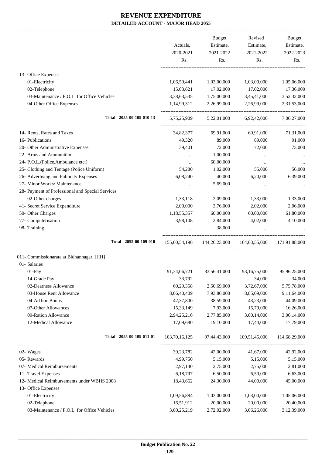|                                                  |               | Budget                  | Revised         | Budget        |
|--------------------------------------------------|---------------|-------------------------|-----------------|---------------|
|                                                  | Actuals,      | Estimate,               | Estimate,       | Estimate,     |
|                                                  | 2020-2021     | 2021-2022               | 2021-2022       | 2022-2023     |
|                                                  | Rs.           | Rs.                     | Rs.             | Rs.           |
| 13- Office Expenses                              |               |                         |                 |               |
| 01-Electricity                                   | 1,06,59,441   | 1,03,00,000             | 1,03,00,000     | 1,05,06,000   |
| 02-Telephone                                     | 15,03,621     | 17,02,000               | 17,02,000       | 17,36,000     |
| 03-Maintenance / P.O.L. for Office Vehicles      | 3,38,63,535   | 1,75,00,000             | 3,45,41,000     | 3,52,32,000   |
| 04-Other Office Expenses                         | 1,14,99,312   | 2,26,99,000             | 2,26,99,000     | 2,31,53,000   |
| Total - 2055-00-109-010-13                       | 5,75,25,909   | 5,22,01,000             | 6,92,42,000     | 7,06,27,000   |
| 14- Rents, Rates and Taxes                       | 34,82,377     | 69,91,000               | 69,91,000       | 71,31,000     |
| 16- Publications                                 | 49,320        | 89,000                  | 89,000          | 91,000        |
| 20- Other Administrative Expenses                | 39,401        | 72,000                  | 72,000          | 73,000        |
| 22- Arms and Ammunition                          | $\cdots$      | 1,00,000                | $\ddotsc$       |               |
| 24- P.O.L.(Police, Ambulance etc.)               | $\cdots$      | 60,00,000               |                 |               |
| 25- Clothing and Tentage (Police Uniform)        | 54,280        | 1,02,000                | 55,000          | 56,000        |
| 26- Advertising and Publicity Expenses           | 6,08,240      | 40,000                  | 6,20,000        | 6,39,000      |
| 27- Minor Works/ Maintenance                     | $\cdots$      | 5,69,000                |                 |               |
| 28- Payment of Professional and Special Services |               |                         |                 |               |
| 02-Other charges                                 | 1,33,118      | 2,09,000                | 1,33,000        | 1,33,000      |
| 41- Secret Service Expenditure                   | 2,00,000      | 3,76,000                | 2,02,000        | 2,06,000      |
| 50- Other Charges                                | 1,18,55,357   | 60,00,000               | 60,00,000       | 61,80,000     |
| 77- Computerisation                              | 3,98,108      |                         | 4,02,000        | 4,10,000      |
| 98- Training                                     |               | 2,84,000<br>38,000      |                 |               |
| Total - 2055-00-109-010                          | 155,00,54,196 | 144,26,23,000           | 164,63,55,000   | 171.91.88.000 |
| 011- Commissionarate at Bidhannagar. [HH]        |               |                         |                 |               |
| 01- Salaries                                     |               |                         |                 |               |
| $01-Pay$                                         | 91,34,06,721  | 83,56,41,000            | 93, 16, 75, 000 | 95,96,25,000  |
| 14-Grade Pay                                     | 33,792        |                         | 34,000          | 34,000        |
| 02-Dearness Allowance                            | 60,29,358     | $\cdots$<br>2,50,69,000 | 3,72,67,000     | 5,75,78,000   |
| 03-House Rent Allowance                          | 8,06,40,409   | 7,93,86,000             | 8,85,09,000     | 9,11,64,000   |
| 04-Ad hoc Bonus                                  | 42,37,800     | 38,59,000               | 43,23,000       | 44,09,000     |
| 07-Other Allowances                              | 15,33,149     | 7,93,000                | 15,79,000       | 16,26,000     |
| 09-Ration Allowance                              | 2,94,25,216   | 2,77,85,000             | 3,00,14,000     | 3,06,14,000   |
| 12-Medical Allowance                             | 17,09,680     | 19,10,000               | 17,44,000       | 17,79,000     |
| Total - 2055-00-109-011-01                       | 103,70,16,125 | 97,44,43,000            | 109,51,45,000   | 114,68,29,000 |
|                                                  |               |                         |                 |               |
| 02- Wages                                        | 39, 23, 782   | 42,00,000               | 41,67,000       | 42,92,000     |
| 05- Rewards                                      | 4,99,750      | 5,15,000                | 5,15,000        | 5,15,000      |
| 07- Medical Reimbursements                       | 2,97,140      | 2,75,000                | 2,75,000        | 2,81,000      |
| 11- Travel Expenses                              | 6,18,797      | 6,50,000                | 6,50,000        | 6,63,000      |
| 12- Medical Reimbursements under WBHS 2008       | 18,43,662     | 24,30,000               | 44,00,000       | 45,00,000     |
| 13- Office Expenses                              |               |                         |                 |               |
| 01-Electricity                                   | 1,09,56,884   | 1,03,00,000             | 1,03,00,000     | 1,05,06,000   |
| 02-Telephone                                     | 16,51,912     | 20,00,000               | 20,00,000       | 20,40,000     |
| 03-Maintenance / P.O.L. for Office Vehicles      | 3,00,25,219   | 2,72,02,000             | 3,06,26,000     | 3,12,39,000   |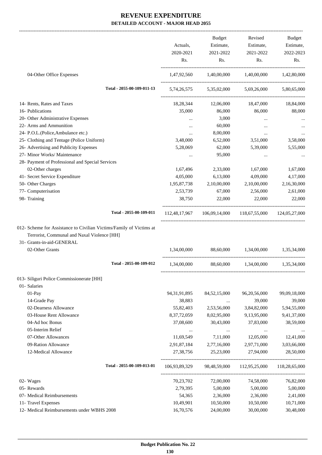|                                                                                                                                                                    | Actuals,<br>2020-2021<br>Rs. | Budget<br>Estimate,<br>2021-2022<br>Rs. | Revised<br>Estimate,<br>2021-2022<br>Rs.                | Budget<br>Estimate,<br>2022-2023<br>Rs.                                                         |
|--------------------------------------------------------------------------------------------------------------------------------------------------------------------|------------------------------|-----------------------------------------|---------------------------------------------------------|-------------------------------------------------------------------------------------------------|
| 04-Other Office Expenses                                                                                                                                           |                              |                                         | 1,47,92,560 1,40,00,000 1,40,00,000 1,42,80,000         |                                                                                                 |
| Total - 2055-00-109-011-13                                                                                                                                         |                              |                                         | 5,74,26,575 5,35,02,000 5,69,26,000 5,80,65,000         |                                                                                                 |
| 14- Rents, Rates and Taxes                                                                                                                                         | 18,28,344                    | 12,06,000                               | 18,47,000                                               | 18,84,000                                                                                       |
| 16- Publications                                                                                                                                                   | 35,000                       | 86,000                                  | 86,000                                                  | 88,000                                                                                          |
| 20- Other Administrative Expenses                                                                                                                                  | $\ldots$                     | 3,000                                   | $\cdots$                                                | $\cdots$                                                                                        |
| 22- Arms and Ammunition                                                                                                                                            | $\cdots$                     | 60,000                                  | $\cdots$                                                |                                                                                                 |
| 24- P.O.L.(Police, Ambulance etc.)                                                                                                                                 | $\cdots$                     | 8,00,000                                | $\cdots$                                                |                                                                                                 |
| 25- Clothing and Tentage (Police Uniform)                                                                                                                          | 3,48,000                     | 6,52,000                                | 3,51,000                                                | 3,58,000                                                                                        |
| 26- Advertising and Publicity Expenses                                                                                                                             | 5,28,069                     | 62,000                                  | 5,39,000                                                | 5,55,000                                                                                        |
| 27- Minor Works/ Maintenance                                                                                                                                       | $\cdots$                     | 95,000                                  | $\cdots$                                                |                                                                                                 |
| 28- Payment of Professional and Special Services                                                                                                                   |                              |                                         |                                                         |                                                                                                 |
| 02-Other charges                                                                                                                                                   | 1,67,496                     | 2,33,000                                | 1,67,000                                                | 1,67,000                                                                                        |
| 41- Secret Service Expenditure                                                                                                                                     | 4,05,000                     | 6,13,000                                | 4,09,000                                                | 4,17,000                                                                                        |
| 50- Other Charges                                                                                                                                                  | 1,95,87,738                  | 2,10,00,000                             | 2,10,00,000                                             | 2,16,30,000                                                                                     |
| 77- Computerisation                                                                                                                                                | 2,53,739                     | 67,000                                  | 2,56,000                                                | 2,61,000                                                                                        |
| 98- Training                                                                                                                                                       | 38,750                       | 22,000                                  | 22,000                                                  | 22,000                                                                                          |
|                                                                                                                                                                    |                              |                                         |                                                         |                                                                                                 |
| Total - 2055-00-109-011                                                                                                                                            |                              |                                         | 112,48,17,967 106,09,14,000 118,67,55,000 124,05,27,000 |                                                                                                 |
| 012- Scheme for Assistance to Civilian Victims/Family of Victims at<br>Terrorist, Communal and Naxal Violence [HH]<br>31- Grants-in-aid-GENERAL<br>02-Other Grants | 1,34,00,000                  |                                         | 88,60,000 1,34,00,000                                   |                                                                                                 |
| Total - 2055-00-109-012                                                                                                                                            | 1,34,00,000                  | 88,60,000                               | 1,34,00,000                                             | 1,35,34,000<br>1,35,34,000                                                                      |
| 013- Siliguri Police Commissionerate [HH]                                                                                                                          |                              |                                         |                                                         |                                                                                                 |
| 01- Salaries                                                                                                                                                       |                              |                                         |                                                         |                                                                                                 |
| 01-Pay                                                                                                                                                             | 94, 31, 91, 895              | 84,52,15,000                            | 96,20,56,000                                            |                                                                                                 |
| 14-Grade Pay                                                                                                                                                       | 38,883                       | $\cdots$                                | 39,000                                                  | 99,09,18,000<br>39,000                                                                          |
| 02-Dearness Allowance                                                                                                                                              | 55,82,403                    | 2,53,56,000                             | 3,84,82,000                                             | 5,94,55,000                                                                                     |
| 03-House Rent Allowance                                                                                                                                            | 8,37,72,059                  | 8,02,95,000                             | 9,13,95,000                                             |                                                                                                 |
| 04-Ad hoc Bonus                                                                                                                                                    | 37,08,600                    | 30,43,000                               | 37,83,000                                               |                                                                                                 |
| 05-Interim Relief                                                                                                                                                  | $\cdots$                     | $\cdots$                                | $\cdots$                                                |                                                                                                 |
| 07-Other Allowances                                                                                                                                                | 11,69,549                    | 7,11,000                                | 12,05,000                                               |                                                                                                 |
| 09-Ration Allowance                                                                                                                                                | 2,91,87,184                  | 2,77,16,000                             | 2,97,71,000                                             |                                                                                                 |
| 12-Medical Allowance                                                                                                                                               | 27,38,756                    | 25,23,000                               | 27,94,000                                               |                                                                                                 |
| Total - 2055-00-109-013-01                                                                                                                                         | 106,93,89,329                | 98,48,59,000                            | 112,95,25,000                                           |                                                                                                 |
| 02- Wages                                                                                                                                                          | 70,23,702                    | 72,00,000                               | 74,58,000                                               | 9,41,37,000<br>38,59,000<br>12,41,000<br>3,03,66,000<br>28,50,000<br>118,28,65,000<br>76,82,000 |
| 05- Rewards                                                                                                                                                        | 2,79,395                     | 5,00,000                                | 5,00,000                                                | 5,00,000                                                                                        |
| 07- Medical Reimbursements                                                                                                                                         | 54,365                       | 2,36,000                                | 2,36,000                                                | 2,41,000                                                                                        |
| 11- Travel Expenses                                                                                                                                                | 10,49,901                    | 10,50,000                               | 10,50,000                                               | 10,71,000                                                                                       |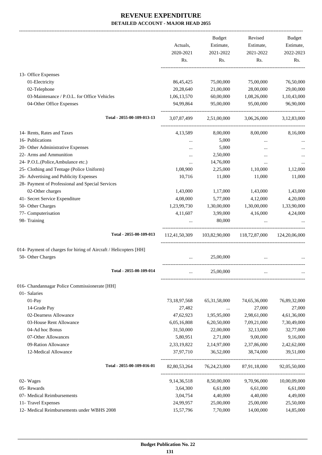-------------------------------------------------------------------------------------------------------------------------------------------------------------------------------

|                                                                   | Actuals,<br>2020-2021<br>Rs. | <b>Budget</b><br>Estimate,<br>2021-2022<br>Rs. | Revised<br>Estimate,<br>2021-2022<br>Rs.  | <b>Budget</b><br>Estimate,<br>2022-2023<br>Rs. |
|-------------------------------------------------------------------|------------------------------|------------------------------------------------|-------------------------------------------|------------------------------------------------|
| 13- Office Expenses                                               |                              |                                                |                                           |                                                |
| 01-Electricity                                                    | 86,45,425                    | 75,00,000                                      | 75,00,000                                 | 76,50,000                                      |
| 02-Telephone                                                      | 20,28,640                    | 21,00,000                                      | 28,00,000                                 | 29,00,000                                      |
| 03-Maintenance / P.O.L. for Office Vehicles                       | 1,06,13,570                  | 60,00,000                                      | 1,08,26,000                               | 1,10,43,000                                    |
| 04-Other Office Expenses                                          | 94,99,864                    | 95,00,000                                      | 95,00,000                                 | 96,90,000                                      |
| Total - 2055-00-109-013-13                                        | 3,07,87,499                  | 2,51,00,000                                    | 3,06,26,000                               | 3,12,83,000                                    |
| 14- Rents, Rates and Taxes                                        | 4,13,589                     | 8,00,000                                       | 8,00,000                                  | 8,16,000                                       |
| 16- Publications                                                  | $\cdots$                     | 5,000                                          | $\cdots$                                  |                                                |
| 20- Other Administrative Expenses                                 |                              | 5,000                                          |                                           |                                                |
| 22- Arms and Ammunition                                           | $\cdots$                     | 2,50,000                                       | $\ddotsc$                                 |                                                |
| 24- P.O.L.(Police, Ambulance etc.)                                |                              | 14,76,000                                      | $\cdots$                                  |                                                |
| 25- Clothing and Tentage (Police Uniform)                         | 1,08,900                     | 2,25,000                                       | 1,10,000                                  | 1,12,000                                       |
| 26- Advertising and Publicity Expenses                            | 10,716                       | 11,000                                         | 11,000                                    | 11,000                                         |
| 28- Payment of Professional and Special Services                  |                              |                                                |                                           |                                                |
| 02-Other charges                                                  | 1,43,000                     | 1,17,000                                       | 1,43,000                                  | 1,43,000                                       |
| 41- Secret Service Expenditure                                    | 4,08,000                     | 5,77,000                                       | 4,12,000                                  | 4,20,000                                       |
| 50- Other Charges                                                 | 1,23,99,730                  | 1,30,00,000                                    | 1,30,00,000                               | 1,33,90,000                                    |
| 77- Computerisation                                               | 4,11,607                     | 3,99,000                                       | 4,16,000                                  | 4,24,000                                       |
| 98- Training                                                      |                              | 80,000                                         |                                           |                                                |
| Total - 2055-00-109-013                                           | 112,41,50,309                |                                                | 103,82,90,000 118,72,87,000 124,20,06,000 |                                                |
| 014- Payment of charges for hiring of Aircraft / Helicopters [HH] |                              |                                                |                                           |                                                |
| 50- Other Charges                                                 |                              | 25,00,000                                      |                                           |                                                |
| Total - 2055-00-109-014                                           | $\cdots$                     | 25,00,000                                      | $\cdots$                                  |                                                |
| 016- Chandannagar Police Commissionerate [HH]                     |                              |                                                |                                           |                                                |
| 01- Salaries                                                      |                              |                                                |                                           |                                                |
| 01-Pay                                                            | 73, 18, 97, 568              | 65, 31, 58, 000                                | 74,65,36,000                              | 76,89,32,000                                   |
| 14-Grade Pay                                                      | 27,482                       | $\cdots$                                       | 27,000                                    | 27,000                                         |
| 02-Dearness Allowance                                             | 47,62,923                    | 1,95,95,000                                    | 2,98,61,000                               | 4,61,36,000                                    |
| 03-House Rent Allowance                                           | 6,05,16,808                  | 6,20,50,000                                    | 7,09,21,000                               | 7,30,49,000                                    |
| 04-Ad hoc Bonus                                                   | 31,50,000                    | 22,00,000                                      | 32,13,000                                 | 32,77,000                                      |
| 07-Other Allowances                                               | 5,80,951                     | 2,71,000                                       | 9,00,000                                  | 9,16,000                                       |
| 09-Ration Allowance                                               | 2,33,19,822                  | 2,14,97,000                                    | 2,37,86,000                               | 2,42,62,000                                    |
| 12-Medical Allowance                                              | 37,97,710                    | 36,52,000                                      | 38,74,000                                 | 39,51,000                                      |
| Total - 2055-00-109-016-01                                        | 82, 80, 53, 264              | 76, 24, 23, 000                                | 87,91,18,000                              | 92,05,50,000                                   |
| 02- Wages                                                         | 9, 14, 36, 518               | 8,50,00,000                                    | 9,70,96,000                               | 10,00,09,000                                   |
| 05- Rewards                                                       | 3,64,300                     | 6,61,000                                       | 6,61,000                                  | 6,61,000                                       |
| 07- Medical Reimbursements                                        | 3,04,754                     | 4,40,000                                       | 4,40,000                                  | 4,49,000                                       |
| 11- Travel Expenses                                               | 24,99,957                    | 25,00,000                                      | 25,00,000                                 | 25,50,000                                      |
| 12- Medical Reimbursements under WBHS 2008                        | 15,57,796                    | 7,70,000                                       | 14,00,000                                 | 14,85,000                                      |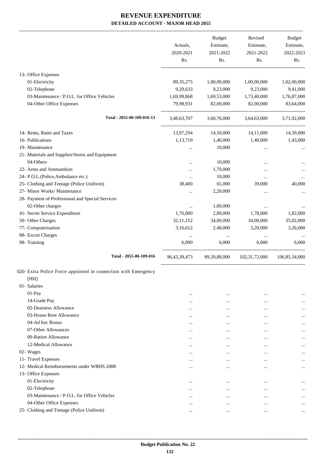|                                                                | Actuals,<br>2020-2021 | <b>Budget</b><br>Estimate,<br>2021-2022 | Revised<br>Estimate,<br>2021-2022 | <b>Budget</b><br>Estimate,<br>2022-2023 |
|----------------------------------------------------------------|-----------------------|-----------------------------------------|-----------------------------------|-----------------------------------------|
|                                                                | Rs.                   | Rs.                                     | Rs.                               | Rs.                                     |
| 13- Office Expenses                                            |                       |                                         |                                   |                                         |
| 01-Electricity                                                 | 89, 35, 275           | 1,00,00,000                             | 1,00,00,000                       | 1,02,00,000                             |
| 02-Telephone                                                   | 9,29,633              | 9,23,000                                | 9,23,000                          | 9,41,000                                |
| 03-Maintenance / P.O.L. for Office Vehicles                    | 1,69,99,868           | 1,69,53,000                             | 1,73,40,000                       | 1,76,87,000                             |
| 04-Other Office Expenses                                       | 79,98,931             | 82,00,000                               | 82,00,000                         | 83,64,000                               |
| Total - 2055-00-109-016-13                                     | 3,48,63,707           | 3,60,76,000                             | 3,64,63,000                       | 3,71,92,000                             |
| 14- Rents, Rates and Taxes                                     | 13,97,294             | 14,50,000                               | 14,11,000                         | 14,39,000                               |
| 16- Publications                                               | 1,13,719              | 1,40,000                                | 1,40,000                          | 1,43,000                                |
| 19- Maintenance                                                | $\cdots$              | 10,000                                  | $\cdots$                          |                                         |
| 21- Materials and Supplies/Stores and Equipment                |                       |                                         |                                   |                                         |
| 04-Others                                                      |                       | 10,000                                  |                                   |                                         |
| 22- Arms and Ammunition                                        |                       | 1,70,000                                |                                   |                                         |
| 24- P.O.L.(Police, Ambulance etc.)                             |                       | 10,000                                  |                                   |                                         |
| 25- Clothing and Tentage (Police Uniform)                      | 38,400                | 65,000                                  | 39,000                            | 40,000                                  |
| 27- Minor Works/ Maintenance                                   |                       | 2,20,000                                | $\ddotsc$                         |                                         |
| 28- Payment of Professional and Special Services               |                       |                                         |                                   |                                         |
| 02-Other charges                                               | $\cdots$              | 1,00,000                                | $\cdots$                          |                                         |
| 41- Secret Service Expenditure                                 | 1,76,000              | 2,89,000                                | 1,78,000                          | 1,82,000                                |
| 50- Other Charges                                              | 32,11,152             | 34,00,000                               | 34,00,000                         | 35,02,000                               |
| 77- Computerisation                                            | 3,16,612              | 2,48,000                                | 3,20,000                          | 3,26,000                                |
| 88- Escort Charges                                             | $\cdots$              | $\cdots$                                | $\cdots$                          |                                         |
| 98- Training                                                   | 6,000                 | 6,000                                   | 6,000                             | 6,000                                   |
| Total - 2055-00-109-016                                        | 96, 43, 39, 473       | 89,39,88,000                            | 102,31,72,000                     | 106,85,34,000                           |
| 020- Extra Police Force appointed in connection with Emergency |                       |                                         |                                   |                                         |
| [HH]                                                           |                       |                                         |                                   |                                         |
| 01- Salaries                                                   |                       |                                         |                                   |                                         |
| 01-Pay                                                         | $\cdots$              | $\cdots$                                |                                   |                                         |
| 14-Grade Pay                                                   | $\cdots$              |                                         | $\cdots$                          |                                         |
| 02-Dearness Allowance                                          | $\cdots$              | $\cdots$                                |                                   |                                         |
| 03-House Rent Allowance                                        | $\cdots$              | $\ddotsc$                               |                                   |                                         |
| 04-Ad hoc Bonus                                                | $\cdots$              |                                         |                                   | $\cdots$                                |
| 07-Other Allowances                                            | $\cdots$              | $\ddotsc$                               |                                   | $\cdots$                                |
| 09-Ration Allowance                                            | $\cdots$              | $\cdots$                                |                                   | $\cdots$                                |
| 12-Medical Allowance                                           | $\cdots$              | $\ddotsc$                               | $\cdots$                          |                                         |
| 02- Wages                                                      | $\cdots$              | $\ddotsc$                               | $\cdots$                          |                                         |
| 11- Travel Expenses                                            |                       |                                         | $\cdots$                          |                                         |
| 12- Medical Reimbursements under WBHS 2008                     | $\cdots$              |                                         | $\cdots$                          | $\cdots$                                |
| 13- Office Expenses                                            |                       |                                         |                                   |                                         |
| 01-Electricity                                                 | $\cdots$              | $\ddotsc$                               | $\cdots$                          |                                         |
| 02-Telephone                                                   | $\cdots$              |                                         | $\cdots$                          | $\ddotsc$                               |
| 03-Maintenance / P.O.L. for Office Vehicles                    | $\cdots$              | $\ddotsc$                               | $\cdots$                          | $\cdots$                                |
| 04-Other Office Expenses                                       | $\cdots$              | $\cdots$                                | $\cdots$                          |                                         |
| 25- Clothing and Tentage (Police Uniform)                      | $\cdots$              | $\ddotsc$                               |                                   | $\cdots$                                |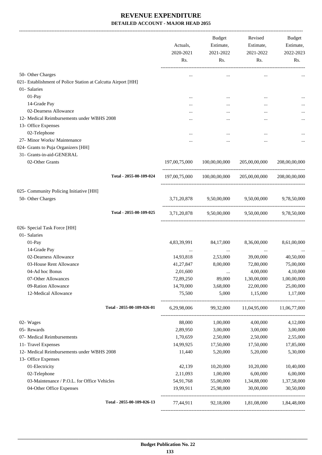| Rs.           | Revised<br>Estimate,<br>2021-2022<br>Rs.       | Budget<br>Estimate,<br>2021-2022<br>Rs.         | Actuals,<br>2020-2021<br>Rs.              |                                                                                                      |
|---------------|------------------------------------------------|-------------------------------------------------|-------------------------------------------|------------------------------------------------------------------------------------------------------|
|               | $\cdots$                                       | $\cdots$                                        |                                           | 50- Other Charges                                                                                    |
|               |                                                |                                                 |                                           | 021- Establishment of Police Station at Calcutta Airport [HH]                                        |
|               |                                                |                                                 |                                           | 01- Salaries                                                                                         |
|               |                                                | $\cdots$                                        |                                           | 01-Pay                                                                                               |
|               |                                                |                                                 |                                           | 14-Grade Pay                                                                                         |
|               |                                                |                                                 |                                           | 02-Dearness Allowance                                                                                |
|               | $\ddotsc$                                      |                                                 | .                                         | 12- Medical Reimbursements under WBHS 2008                                                           |
|               |                                                |                                                 |                                           | 13- Office Expenses                                                                                  |
|               |                                                |                                                 |                                           | 02-Telephone                                                                                         |
|               |                                                |                                                 |                                           | 27- Minor Works/ Maintenance                                                                         |
|               |                                                |                                                 |                                           | 024- Grants to Puja Organizers [HH]                                                                  |
|               |                                                |                                                 |                                           | 31- Grants-in-aid-GENERAL                                                                            |
| 208,00,00,000 | 205,00,00,000                                  | 100,00,00,000                                   | 197,00,75,000                             | 02-Other Grants                                                                                      |
| 208,00,00,000 |                                                | 197,00,75,000 100,00,00,000 205,00,00,000       |                                           | Total - 2055-00-109-024                                                                              |
|               |                                                |                                                 |                                           | 025- Community Policing Initiative [HH]                                                              |
|               |                                                | 3,71,20,878 9,50,00,000 9,50,00,000 9,78,50,000 |                                           | 50- Other Charges                                                                                    |
|               |                                                | 3,71,20,878 9,50,00,000 9,50,00,000 9,78,50,000 |                                           | Total - 2055-00-109-025                                                                              |
|               |                                                |                                                 |                                           | 026- Special Task Force [HH]                                                                         |
|               |                                                |                                                 |                                           | 01- Salaries                                                                                         |
| 8,61,00,000   | 8,36,00,000                                    | 84,17,000                                       | 4,83,39,991                               | 01-Pay                                                                                               |
|               | $\ldots$                                       | $\cdots$                                        |                                           | 14-Grade Pay                                                                                         |
| 40,50,000     | 39,00,000                                      | 2,53,000                                        | 14,93,818                                 | 02-Dearness Allowance                                                                                |
| 75,00,000     | 72,80,000                                      | 8,00,000                                        | 41,27,847                                 | 03-House Rent Allowance                                                                              |
| 4,10,000      |                                                | $\cdots$                                        |                                           | 04-Ad hoc Bonus                                                                                      |
| 1,00,00,000   | 1,30,00,000                                    | 89,000                                          | 72,89,250                                 | 07-Other Allowances                                                                                  |
| 25,00,000     |                                                |                                                 |                                           |                                                                                                      |
| 1,17,000      |                                                |                                                 |                                           |                                                                                                      |
| 11,06,77,000  | 11,04,95,000                                   | 99,32,000                                       | 6,29,98,006                               | Total - 2055-00-109-026-01                                                                           |
| 4,12,000      | 4,00,000                                       | 1,00,000                                        | 88,000                                    | 02- Wages                                                                                            |
| 3,00,000      | 3,00,000                                       | 3,00,000                                        | 2,89,950                                  | 05- Rewards                                                                                          |
| 2,55,000      | 2,50,000                                       | 2,50,000                                        | 1,70,659                                  | 07- Medical Reimbursements                                                                           |
| 17,85,000     | 17,50,000                                      | 17,50,000                                       | 14,99,925                                 | 11- Travel Expenses                                                                                  |
| 5,30,000      | 5,20,000                                       | 5,20,000                                        | 11,440                                    | 12- Medical Reimbursements under WBHS 2008                                                           |
| 10,40,000     |                                                |                                                 |                                           |                                                                                                      |
| 6,00,000      | 6,00,000                                       | 1,00,000                                        | 2,11,093                                  |                                                                                                      |
| 1,37,58,000   | 1,34,88,000                                    | 55,00,000                                       | 54,91,768                                 | 03-Maintenance / P.O.L. for Office Vehicles                                                          |
| 30,50,000     | 30,00,000                                      | 25,98,000                                       | 19,99,911                                 | 04-Other Office Expenses                                                                             |
|               |                                                |                                                 |                                           |                                                                                                      |
|               | 4,00,000<br>22,00,000<br>1,15,000<br>10,20,000 | 3,68,000<br>5,000<br>10,20,000                  | 2,01,600<br>14,70,000<br>75,500<br>42,139 | 09-Ration Allowance<br>12-Medical Allowance<br>13- Office Expenses<br>01-Electricity<br>02-Telephone |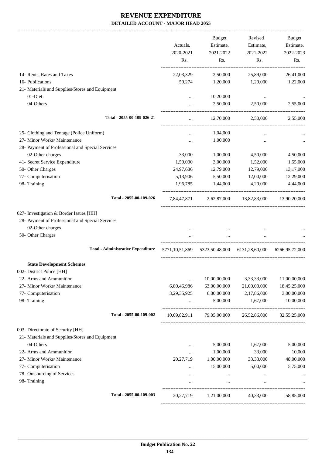|                                                  |              | <b>Budget</b>                                      | Revised                  | Budget            |
|--------------------------------------------------|--------------|----------------------------------------------------|--------------------------|-------------------|
|                                                  | Actuals,     | Estimate,                                          | Estimate,                | Estimate,         |
|                                                  | 2020-2021    | 2021-2022                                          | 2021-2022                | 2022-2023         |
|                                                  | Rs.          | Rs.                                                | Rs.                      | Rs.               |
| 14- Rents, Rates and Taxes                       | 22,03,329    | 2,50,000                                           | 25,89,000                | 26,41,000         |
| 16- Publications                                 | 50,274       | 1,20,000                                           | 1,20,000                 | 1,22,000          |
| 21- Materials and Supplies/Stores and Equipment  |              |                                                    |                          |                   |
| 01-Diet                                          | $\cdots$     | 10,20,000                                          | $\cdots$                 |                   |
| 04-Others                                        |              | 2,50,000                                           | 2,50,000                 | 2,55,000          |
| Total - 2055-00-109-026-21                       | $\cdots$     | 12,70,000                                          | 2,50,000                 | 2,55,000          |
| 25- Clothing and Tentage (Police Uniform)        | $\cdots$     | 1,04,000                                           |                          |                   |
| 27- Minor Works/ Maintenance                     | $\ddotsc$    | 1,00,000                                           |                          |                   |
| 28- Payment of Professional and Special Services |              |                                                    |                          |                   |
| 02-Other charges                                 | 33,000       | 1,00,000                                           | 4,50,000                 | 4,50,000          |
| 41- Secret Service Expenditure                   | 1,50,000     | 3,00,000                                           | 1,52,000                 | 1,55,000          |
| 50- Other Charges                                | 24,97,686    | 12,79,000                                          | 12,79,000                | 13,17,000         |
| 77- Computerisation                              | 5,13,906     | 5,50,000                                           | 12,00,000                | 12,29,000         |
| 98- Training                                     | 1,96,785     | 1,44,000                                           | 4,20,000                 | 4,44,000          |
| Total - 2055-00-109-026                          | 7,84,47,871  |                                                    | 2,62,87,000 13,82,83,000 | 13,90,20,000      |
| 027- Investigation & Border Issues [HH]          |              |                                                    |                          |                   |
| 28- Payment of Professional and Special Services |              |                                                    |                          |                   |
| 02-Other charges                                 |              |                                                    |                          |                   |
| 50- Other Charges                                | $\cdots$     | $\cdots$                                           | $\cdots$                 |                   |
| <b>Total - Administrative Expenditure</b>        |              | 5771,10,51,869    5323,50,48,000    6131,28,60,000 |                          | 6266, 95, 72, 000 |
| <b>State Development Schemes</b>                 |              |                                                    |                          |                   |
| 002- District Police [HH]                        |              |                                                    |                          |                   |
| 22- Arms and Ammunition                          |              | 10,00,00,000                                       | 3,33,33,000              | 11,00,00,000      |
| 27- Minor Works/ Maintenance                     | 6,80,46,986  | 63,00,00,000                                       | 21,00,00,000             | 18,45,25,000      |
| 77- Computerisation                              | 3,29,35,925  | 6,00,00,000                                        | 2,17,86,000              | 3,00,00,000       |
| 98- Training                                     |              | 5,00,000                                           | 1,67,000                 | 10,00,000         |
| Total - 2055-00-109-002                          | 10,09,82,911 | 79,05,00,000                                       | 26,52,86,000             | 32,55,25,000      |
| 003- Directorate of Security [HH]                |              |                                                    |                          |                   |
| 21- Materials and Supplies/Stores and Equipment  |              |                                                    |                          |                   |
| 04-Others                                        | $\cdots$     | 5,00,000                                           | 1,67,000                 | 5,00,000          |
| 22- Arms and Ammunition                          | $\cdots$     | 1,00,000                                           | 33,000                   | 10,000            |
| 27- Minor Works/ Maintenance                     | 20,27,719    | 1,00,00,000                                        | 33,33,000                | 48,00,000         |
| 77- Computerisation                              |              | 15,00,000                                          | 5,00,000                 | 5,75,000          |
| 78- Outsourcing of Services                      |              | $\cdots$                                           | $\cdots$                 |                   |
| 98- Training                                     | $\cdots$     | $\cdots$                                           | $\cdots$                 |                   |
| Total - 2055-00-109-003                          | 20,27,719    | 1,21,00,000                                        | 40,33,000                | 58,85,000         |
|                                                  |              |                                                    |                          |                   |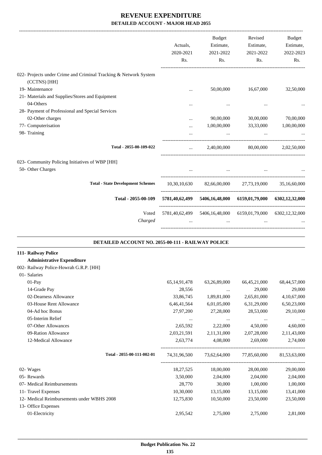|                                                                  |           | Budget                                                      | Revised   | Budget      |
|------------------------------------------------------------------|-----------|-------------------------------------------------------------|-----------|-------------|
|                                                                  | Actuals,  | Estimate,                                                   | Estimate, | Estimate,   |
|                                                                  | 2020-2021 | 2021-2022                                                   | 2021-2022 | 2022-2023   |
|                                                                  | Rs.       | Rs.                                                         | Rs.       | Rs.         |
| 022- Projects under Crime and Criminal Tracking & Network System |           |                                                             |           |             |
| (CCTNS) [HH]                                                     |           |                                                             |           |             |
| 19- Maintenance                                                  |           | 50,00,000                                                   | 16,67,000 | 32,50,000   |
| 21- Materials and Supplies/Stores and Equipment                  |           |                                                             |           |             |
| 04-Others                                                        | $\ddotsc$ | $\cdots$                                                    |           |             |
| 28- Payment of Professional and Special Services                 |           |                                                             |           |             |
| 02-Other charges                                                 | $\cdots$  | 90,00,000                                                   | 30,00,000 | 70,00,000   |
| 77- Computerisation                                              | $\ddotsc$ | 1,00,00,000                                                 | 33,33,000 | 1,00,00,000 |
| 98- Training                                                     |           |                                                             |           |             |
| Total - 2055-00-109-022                                          | $\cdots$  | 2,40,00,000                                                 | 80,00,000 | 2,02,50,000 |
| 023- Community Policing Initiatives of WBP [HH]                  |           |                                                             |           |             |
| 50- Other Charges                                                |           | $\cdots$                                                    |           |             |
| <b>Total - State Development Schemes</b>                         |           | 10,30,10,630 82,66,00,000 27,73,19,000 35,16,60,000         |           |             |
| Total - 2055-00-109                                              |           | 5781,40,62,499 5406,16,48,000 6159,01,79,000 6302,12,32,000 |           |             |
| Voted                                                            |           | 5781,40,62,499 5406,16,48,000 6159,01,79,000 6302,12,32,000 |           |             |
| Charged                                                          |           | $\ddotsc$                                                   | $\ddots$  |             |
| DETAILED ACCOUNT NO. 2055-00-111 - RAILWAY POLICE                |           |                                                             |           |             |
| 111- Railway Police<br><b>Administrative Expenditure</b>         |           |                                                             |           |             |

|  | 002- Railway Police-Howrah G.R.P. [HH] |  |
|--|----------------------------------------|--|
|  |                                        |  |

| 01- Salaries                               |                 |                |                 |              |
|--------------------------------------------|-----------------|----------------|-----------------|--------------|
| $01-Pay$                                   | 65, 14, 91, 478 | 63,26,89,000   | 66, 45, 21, 000 | 68,44,57,000 |
| 14-Grade Pay                               | 28,556          | $\cdots$       | 29,000          | 29,000       |
| 02-Dearness Allowance                      | 33,86,745       | 1,89,81,000    | 2,65,81,000     | 4,10,67,000  |
| 03-House Rent Allowance                    | 6,46,41,564     | 6,01,05,000    | 6, 31, 29, 000  | 6,50,23,000  |
| 04-Ad hoc Bonus                            | 27,97,200       | 27,28,000      | 28,53,000       | 29,10,000    |
| 05-Interim Relief                          | $\cdots$        | $\cdots$       | $\cdots$        |              |
| 07-Other Allowances                        | 2,65,592        | 2,22,000       | 4,50,000        | 4,60,000     |
| 09-Ration Allowance                        | 2,03,21,591     | 2, 11, 31, 000 | 2,07,28,000     | 2,11,43,000  |
| 12-Medical Allowance                       | 2,63,774        | 4,08,000       | 2,69,000        | 2,74,000     |
| Total - 2055-00-111-002-01                 | 74,31,96,500    | 73,62,64,000   | 77,85,60,000    | 81,53,63,000 |
| 02- Wages                                  | 18,27,525       | 18,00,000      | 28,00,000       | 29,00,000    |
| 05- Rewards                                | 3,50,000        | 2,04,000       | 2,04,000        | 2,04,000     |
| 07- Medical Reimbursements                 | 28,770          | 30,000         | 1,00,000        | 1,00,000     |
| 11- Travel Expenses                        | 10,30,000       | 13,15,000      | 13,15,000       | 13,41,000    |
| 12- Medical Reimbursements under WBHS 2008 | 12,75,830       | 10,50,000      | 23,50,000       | 23,50,000    |
| 13- Office Expenses                        |                 |                |                 |              |
| 01-Electricity                             | 2,95,542        | 2,75,000       | 2,75,000        | 2,81,000     |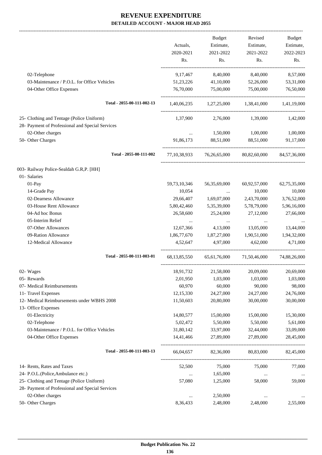-------------------------------------------------------------------------------------------------------------------------------------------------------------------------------

|                                                                                               | Actuals,<br>2020-2021<br>Rs. | <b>Budget</b><br>Estimate,<br>2021-2022<br>Rs. | Revised<br>Estimate,<br>2021-2022<br>Rs. | <b>Budget</b><br>Estimate,<br>2022-2023<br>Rs. |
|-----------------------------------------------------------------------------------------------|------------------------------|------------------------------------------------|------------------------------------------|------------------------------------------------|
|                                                                                               |                              |                                                |                                          |                                                |
| 02-Telephone<br>03-Maintenance / P.O.L. for Office Vehicles                                   | 9, 17, 467<br>51,23,226      | 8,40,000<br>41,10,000                          | 8,40,000<br>52,26,000                    | 8,57,000<br>53,31,000                          |
| 04-Other Office Expenses                                                                      | 76,70,000                    | 75,00,000                                      | 75,00,000                                | 76,50,000                                      |
| Total - 2055-00-111-002-13                                                                    | 1,40,06,235                  | 1,27,25,000                                    | 1,38,41,000                              | 1,41,19,000                                    |
| 25- Clothing and Tentage (Police Uniform)<br>28- Payment of Professional and Special Services | 1,37,900                     | 2,76,000                                       | 1,39,000                                 | 1,42,000                                       |
| 02-Other charges                                                                              |                              | 1,50,000                                       | 1,00,000                                 | 1,00,000                                       |
| 50- Other Charges                                                                             | $\cdots$<br>91,86,173        | 88.51.000                                      | 88,51,000                                | 91,17,000                                      |
| Total - 2055-00-111-002                                                                       | 77, 10, 38, 933              |                                                | 76,26,65,000 80,82,60,000                | 84,57,36,000                                   |
| 003- Railway Police-Sealdah G.R,P. [HH]                                                       |                              |                                                |                                          |                                                |
| 01- Salaries                                                                                  |                              |                                                |                                          |                                                |
| 01-Pay                                                                                        | 59,73,10,346                 | 56, 35, 69, 000                                | 60,92,57,000                             | 62,75,35,000                                   |
| 14-Grade Pay                                                                                  | 10,054                       | $\cdots$                                       | 10,000                                   | 10,000                                         |
| 02-Dearness Allowance                                                                         | 29,66,407                    | 1,69,07,000                                    | 2,43,70,000                              | 3,76,52,000                                    |
| 03-House Rent Allowance                                                                       | 5,80,42,460                  | 5,35,39,000                                    | 5,78,79,000                              | 5,96,16,000                                    |
| 04-Ad hoc Bonus                                                                               | 26,58,600                    | 25,24,000                                      | 27,12,000                                | 27,66,000                                      |
| 05-Interim Relief                                                                             | $\cdots$                     | $\ldots$                                       | $\cdots$                                 |                                                |
| 07-Other Allowances                                                                           | 12,67,366                    | 4,13,000                                       | 13,05,000                                | 13,44,000                                      |
| 09-Ration Allowance                                                                           | 1,86,77,670                  | 1,87,27,000                                    | 1,90,51,000                              | 1,94,32,000                                    |
| 12-Medical Allowance                                                                          | 4.52.647                     | 4,97,000                                       | 4.62,000                                 | 4,71,000                                       |
| Total - 2055-00-111-003-01                                                                    | 68, 13, 85, 550              |                                                | 65,61,76,000 71,50,46,000                | 74,88,26,000                                   |
| 02- Wages                                                                                     | 18,91,732                    | 21,58,000                                      | 20,09,000                                | 20,69,000                                      |
| 05- Rewards                                                                                   | 2,01,950                     | 1,03,000                                       | 1,03,000                                 | 1,03,000                                       |
| 07- Medical Reimbursements                                                                    | 60,970                       | 60,000                                         | 90,000                                   | 98,000                                         |
| 11- Travel Expenses                                                                           | 12,15,330                    | 24,27,000                                      | 24,27,000                                | 24,76,000                                      |
| 12- Medical Reimbursements under WBHS 2008<br>13- Office Expenses                             | 11,50,603                    | 20,80,000                                      | 30,00,000                                | 30,00,000                                      |
| 01-Electricity                                                                                | 14,80,577                    | 15,00,000                                      | 15,00,000                                | 15,30,000                                      |
| 02-Telephone                                                                                  | 5,02,472                     | 5,50,000                                       | 5,50,000                                 | 5,61,000                                       |
| 03-Maintenance / P.O.L. for Office Vehicles                                                   | 31,80,142                    | 33,97,000                                      | 32,44,000                                | 33,09,000                                      |
| 04-Other Office Expenses                                                                      | 14,41,466                    | 27,89,000                                      | 27,89,000                                | 28,45,000                                      |
| Total - 2055-00-111-003-13                                                                    | 66,04,657                    | 82,36,000                                      | 80,83,000                                | 82,45,000                                      |
| 14- Rents, Rates and Taxes                                                                    | 52,500                       | 75,000                                         | 75,000                                   | 77,000                                         |
| 24- P.O.L.(Police, Ambulance etc.)                                                            | $\cdots$                     | 1,65,000                                       |                                          |                                                |
| 25- Clothing and Tentage (Police Uniform)                                                     | 57,080                       | 1,25,000                                       | 58,000                                   | 59,000                                         |
| 28- Payment of Professional and Special Services                                              |                              |                                                |                                          |                                                |
| 02-Other charges                                                                              | $\ldots$                     | 2,50,000                                       | $\cdots$                                 |                                                |
| 50- Other Charges                                                                             | 8,36,433                     | 2,48,000                                       | 2,48,000                                 | 2,55,000                                       |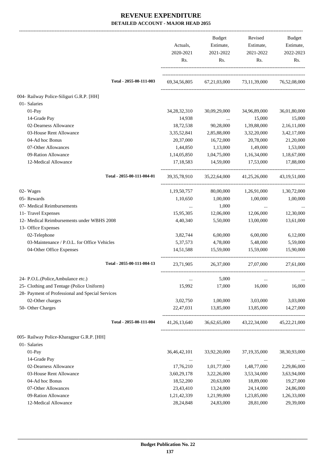|                                                  | Actuals,<br>2020-2021<br>Rs. | <b>Budget</b><br>Estimate,<br>2021-2022<br>Rs. | Revised<br>Estimate,<br>2021-2022<br>Rs. | Budget<br>Estimate,<br>2022-2023<br>Rs. |
|--------------------------------------------------|------------------------------|------------------------------------------------|------------------------------------------|-----------------------------------------|
| Total - 2055-00-111-003                          | 69, 34, 56, 805              |                                                | 67,21,03,000 73,11,39,000                | 76,52,08,000                            |
| 004- Railway Police-Siliguri G.R.P. [HH]         |                              |                                                |                                          |                                         |
| 01- Salaries                                     |                              |                                                |                                          |                                         |
| $01-Pay$                                         | 34, 28, 32, 310              | 30,09,29,000                                   | 34,96,89,000                             | 36,01,80,000                            |
| 14-Grade Pay                                     | 14,938                       | $\cdots$                                       | 15,000                                   | 15,000                                  |
| 02-Dearness Allowance                            | 18,72,538                    | 90,28,000                                      | 1,39,88,000                              | 2,16,11,000                             |
| 03-House Rent Allowance                          | 3, 35, 52, 841               | 2,85,88,000                                    | 3,32,20,000                              | 3,42,17,000                             |
| 04-Ad hoc Bonus                                  | 20,37,000                    | 16,72,000                                      | 20,78,000                                | 21,20,000                               |
| 07-Other Allowances                              | 1,44,850                     | 1,13,000                                       | 1,49,000                                 | 1,53,000                                |
| 09-Ration Allowance                              | 1,14,05,850                  | 1,04,75,000                                    | 1,16,34,000                              | 1,18,67,000                             |
| 12-Medical Allowance                             | 17,18,583                    | 14,59,000                                      | 17,53,000                                | 17,88,000                               |
| Total - 2055-00-111-004-01                       |                              | 39, 35, 78, 910 35, 22, 64, 000                | 41,25,26,000                             | 43, 19, 51, 000                         |
| 02- Wages                                        | 1,19,50,757                  | 80,00,000                                      | 1,26,91,000                              | 1,30,72,000                             |
| 05- Rewards                                      | 1,10,650                     | 1,00,000                                       | 1,00,000                                 | 1,00,000                                |
| 07- Medical Reimbursements                       |                              | 1,000                                          | $\ldots$                                 |                                         |
| 11- Travel Expenses                              | 15,95,305                    | 12,06,000                                      | 12,06,000                                | 12,30,000                               |
| 12- Medical Reimbursements under WBHS 2008       | 4,40,340                     | 5,50,000                                       | 13,00,000                                | 13,61,000                               |
| 13- Office Expenses                              |                              |                                                |                                          |                                         |
| 02-Telephone                                     | 3,82,744                     | 6,00,000                                       | 6,00,000                                 | 6,12,000                                |
| 03-Maintenance / P.O.L. for Office Vehicles      | 5, 37, 573                   | 4,78,000                                       | 5,48,000                                 | 5,59,000                                |
| 04-Other Office Expenses                         | 14,51,588                    | 15,59,000                                      | 15,59,000                                | 15,90,000                               |
| Total - 2055-00-111-004-13                       | 23,71,905                    | 26,37,000                                      | 27,07,000                                | 27,61,000                               |
| 24- P.O.L.(Police, Ambulance etc.)               | $\cdots$                     | 5,000                                          | $\ddotsc$                                |                                         |
| 25- Clothing and Tentage (Police Uniform)        | 15,992                       | 17,000                                         | 16,000                                   | 16,000                                  |
| 28- Payment of Professional and Special Services |                              |                                                |                                          |                                         |
| 02-Other charges                                 | 3,02,750                     | 1,00,000                                       | 3,03,000                                 | 3,03,000                                |
| 50- Other Charges                                | 22,47,031                    | 13,85,000                                      | 13,85,000                                | 14,27,000                               |
| Total - 2055-00-111-004                          | 41, 26, 13, 640              | 36,62,65,000                                   | 43,22,34,000                             | 45, 22, 21, 000                         |
| 005- Railway Police-Kharagpur G.R.P. [HH]        |                              |                                                |                                          |                                         |
| 01- Salaries                                     |                              |                                                |                                          |                                         |
| $01-Pay$                                         | 36,46,42,101                 | 33,92,20,000                                   | 37, 19, 35, 000                          | 38, 30, 93, 000                         |
| 14-Grade Pay                                     | $\cdots$                     |                                                |                                          |                                         |
| 02-Dearness Allowance                            | 17,76,210                    | 1,01,77,000                                    | 1,48,77,000                              | 2,29,86,000                             |
| 03-House Rent Allowance                          | 3,60,29,178                  | 3,22,26,000                                    | 3,53,34,000                              | 3,63,94,000                             |
| 04-Ad hoc Bonus                                  | 18,52,200                    | 20,63,000                                      | 18,89,000                                | 19,27,000                               |
| 07-Other Allowances                              | 23,43,410                    | 13,24,000                                      | 24,14,000                                | 24,86,000                               |
| 09-Ration Allowance                              | 1,21,42,339                  | 1,21,99,000                                    | 1,23,85,000                              | 1,26,33,000                             |
| 12-Medical Allowance                             | 28,24,848                    | 24,83,000                                      | 28,81,000                                | 29,39,000                               |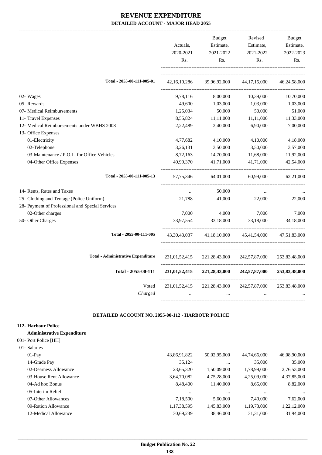|                                                  | Actuals,<br>2020-2021<br>Rs.    | Budget<br>Estimate,<br>2021-2022<br>Rs. | Revised<br>Estimate,<br>2021-2022<br>Rs.                        | <b>Budget</b><br>Estimate,<br>2022-2023<br>Rs. |
|--------------------------------------------------|---------------------------------|-----------------------------------------|-----------------------------------------------------------------|------------------------------------------------|
| Total - 2055-00-111-005-01                       | 42, 16, 10, 286                 | 39,96,92,000                            | 44, 17, 15, 000                                                 | 46,24,58,000                                   |
| 02- Wages                                        |                                 |                                         |                                                                 |                                                |
|                                                  | 9,78,116                        | 8,00,000                                | 10,39,000                                                       | 10,70,000                                      |
| 05- Rewards                                      | 49,600                          | 1,03,000                                | 1,03,000                                                        | 1,03,000                                       |
| 07- Medical Reimbursements                       | 1,25,034                        | 50,000                                  | 50,000                                                          | 51,000                                         |
| 11- Travel Expenses                              | 8,55,824                        | 11,11,000                               | 11,11,000                                                       | 11,33,000                                      |
| 12- Medical Reimbursements under WBHS 2008       | 2,22,489                        | 2,40,000                                | 6,90,000                                                        | 7,00,000                                       |
| 13- Office Expenses                              |                                 |                                         |                                                                 |                                                |
| 01-Electricity                                   | 4,77,682                        | 4,10,000                                | 4,10,000                                                        | 4,18,000                                       |
| 02-Telephone                                     | 3,26,131                        | 3,50,000                                | 3,50,000                                                        | 3,57,000                                       |
| 03-Maintenance / P.O.L. for Office Vehicles      | 8,72,163                        | 14,70,000                               | 11,68,000                                                       | 11,92,000                                      |
| 04-Other Office Expenses                         | 40,99,370                       | 41,71,000                               | 41,71,000                                                       | 42,54,000                                      |
| Total - 2055-00-111-005-13                       | 57, 75, 346                     | 64,01,000                               | 60,99,000                                                       | 62,21,000                                      |
| 14- Rents, Rates and Taxes                       | $\cdots$                        | 50,000                                  | $\cdots$                                                        |                                                |
| 25- Clothing and Tentage (Police Uniform)        | 21,788                          | 41,000                                  | 22,000                                                          | 22,000                                         |
| 28- Payment of Professional and Special Services |                                 |                                         |                                                                 |                                                |
| 02-Other charges                                 | 7,000                           | 4,000                                   | 7,000                                                           | 7,000                                          |
| 50- Other Charges                                | 33,97,554                       | 33,18,000                               | 33,18,000                                                       | 34,18,000                                      |
| Total - 2055-00-111-005                          |                                 |                                         | 43, 30, 43, 037 41, 18, 10, 000 45, 41, 54, 000 47, 51, 83, 000 |                                                |
| <b>Total - Administrative Expenditure</b>        | 231,01,52,415                   | 221, 28, 43, 000                        | 242,57,87,000                                                   | 253,83,48,000                                  |
| Total - 2055-00-111                              | 231,01,52,415                   | 221,28,43,000                           | 242,57,87,000                                                   | 253,83,48,000                                  |
| Voted<br>Charged                                 | 231,01,52,415<br>$\overline{a}$ | 221,28,43,000<br>$\cdots$               | 242,57,87,000                                                   | 253,83,48,000                                  |

#### **DETAILED ACCOUNT NO. 2055-00-112 - HARBOUR POLICE .**

.

#### **112- Harbour Police**

#### **Administrative Expenditure**

#### 001- Port Police [HH]

| 01- Salaries            |              |              |              |              |
|-------------------------|--------------|--------------|--------------|--------------|
| $01-Pav$                | 43,86,91,822 | 50,02,95,000 | 44,74,66,000 | 46,08,90,000 |
| 14-Grade Pay            | 35,124       | $\cdots$     | 35,000       | 35,000       |
| 02-Dearness Allowance   | 23,65,320    | 1,50,09,000  | 1,78,99,000  | 2,76,53,000  |
| 03-House Rent Allowance | 3,64,70,082  | 4,75,28,000  | 4,25,09,000  | 4,37,85,000  |
| 04-Ad hoc Bonus         | 8,48,400     | 11,40,000    | 8,65,000     | 8,82,000     |
| 05-Interim Relief       | $\cdots$     | $\cdots$     | $\cdots$     | $\cdots$     |
| 07-Other Allowances     | 7,18,500     | 5,60,000     | 7,40,000     | 7,62,000     |
| 09-Ration Allowance     | 1,17,38,595  | 1,45,83,000  | 1,19,73,000  | 1,22,12,000  |
| 12-Medical Allowance    | 30.69.239    | 38,46,000    | 31,31,000    | 31.94.000    |
|                         |              |              |              |              |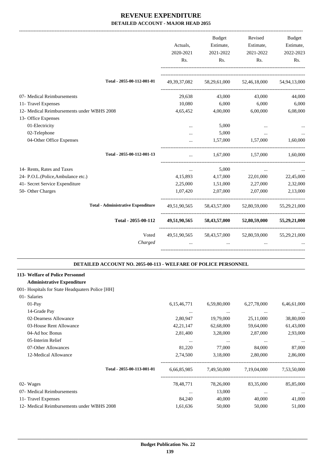|                                            | Actuals,  | Budget            | Revised<br>Estimate, Estimate,                      | <b>Budget</b><br>Estimate, |
|--------------------------------------------|-----------|-------------------|-----------------------------------------------------|----------------------------|
|                                            | 2020-2021 | 2021-2022         | 2021-2022                                           | 2022-2023                  |
|                                            | Rs.       | Rs.               | Rs.                                                 | Rs.                        |
| Total - 2055-00-112-001-01                 |           |                   | 49, 39, 37, 082 58, 29, 61, 000 52, 46, 18, 000     | 54.94.13.000               |
| 07- Medical Reimbursements                 | 29,638    | 43,000            | 43,000                                              | 44,000                     |
| 11- Travel Expenses                        | 10,080    | 6,000             | 6,000                                               | 6,000                      |
| 12- Medical Reimbursements under WBHS 2008 | 4,65,452  | 4,00,000          | 6,00,000                                            | 6,08,000                   |
| 13- Office Expenses                        |           |                   |                                                     |                            |
| 01-Electricity                             | $\cdots$  | 5,000             |                                                     |                            |
| 02-Telephone                               | $\cdots$  | 5,000             | $\cdots$                                            |                            |
| 04-Other Office Expenses                   |           | 1,57,000          | 1,57,000                                            | 1.60.000                   |
| Total - 2055-00-112-001-13                 | $\cdots$  | 1,67,000          | 1,57,000                                            | 1.60.000                   |
| 14- Rents, Rates and Taxes                 | $\cdots$  | 5,000             | $\cdots$                                            |                            |
| 24- P.O.L.(Police, Ambulance etc.)         |           | 4,15,893 4,17,000 | 22,01,000                                           | 22,45,000                  |
| 41- Secret Service Expenditure             | 2,25,000  | 1,51,000          | 2,27,000                                            | 2,32,000                   |
| 50- Other Charges                          | 1,07,420  | 2,07,000          | 2,07,000                                            | 2,13,000                   |
| <b>Total - Administrative Expenditure</b>  |           |                   | 49,51,90,565 58,43,57,000 52,80,59,000 55,29,21,000 |                            |
| Total - 2055-00-112                        |           |                   | 49,51,90,565 58,43,57,000 52,80,59,000              | 55,29,21,000               |
| Voted<br>Charged                           |           |                   | 49,51,90,565 58,43,57,000 52,80,59,000 55,29,21,000 |                            |
|                                            |           |                   |                                                     |                            |

#### **DETAILED ACCOUNT NO. 2055-00-113 - WELFARE OF POLICE PERSONNEL .**

.

# **113- Welfare of Police Personnel**

# **Administrative Expenditure**

### 001- Hospitals for State Headquaters Police [HH]

| 01-Salaries                                |                |             |             |             |
|--------------------------------------------|----------------|-------------|-------------|-------------|
| $01-Pav$                                   | 6, 15, 46, 771 | 6,59,80,000 | 6,27,78,000 | 6,46,61,000 |
| 14-Grade Pay                               | $\cdots$       | $\cdots$    | $\cdots$    | $\cdots$    |
| 02-Dearness Allowance                      | 2,80,947       | 19,79,000   | 25,11,000   | 38,80,000   |
| 03-House Rent Allowance                    | 42, 21, 147    | 62,68,000   | 59,64,000   | 61,43,000   |
| 04-Ad hoc Bonus                            | 2,81,400       | 3,28,000    | 2,87,000    | 2,93,000    |
| 05-Interim Relief                          | $\cdots$       | $\cdots$    | $\cdots$    | $\cdots$    |
| 07-Other Allowances                        | 81,220         | 77,000      | 84,000      | 87,000      |
| 12-Medical Allowance                       | 2,74,500       | 3,18,000    | 2,80,000    | 2,86,000    |
| Total - 2055-00-113-001-01                 | 6,66,85,985    | 7,49,50,000 | 7,19,04,000 | 7,53,50,000 |
| 02- Wages                                  | 78,48,771      | 78,26,000   | 83,35,000   | 85,85,000   |
| 07- Medical Reimbursements                 | $\cdots$       | 13,000      | $\cdots$    | $\cdots$    |
| 11- Travel Expenses                        | 84,240         | 40,000      | 40,000      | 41,000      |
| 12- Medical Reimbursements under WBHS 2008 | 1,61,636       | 50,000      | 50,000      | 51,000      |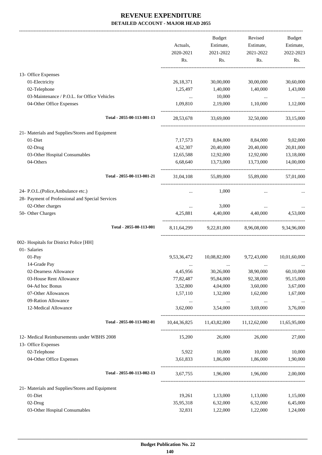|                                                  |                | <b>Budget</b>                     | Revised                                | <b>Budget</b> |
|--------------------------------------------------|----------------|-----------------------------------|----------------------------------------|---------------|
|                                                  | Actuals,       | Estimate,                         | Estimate,                              | Estimate,     |
|                                                  | 2020-2021      | 2021-2022                         | 2021-2022                              | 2022-2023     |
|                                                  | Rs.            | Rs.                               | Rs.                                    | Rs.           |
| 13- Office Expenses                              |                |                                   |                                        |               |
| 01-Electricity                                   | 26,18,371      | 30,00,000                         | 30,00,000                              | 30,60,000     |
| 02-Telephone                                     | 1,25,497       | 1,40,000                          | 1,40,000                               | 1,43,000      |
| 03-Maintenance / P.O.L. for Office Vehicles      | $\cdots$       | 10,000                            | $\cdots$                               |               |
| 04-Other Office Expenses                         | 1,09,810       | 2,19,000                          | 1,10,000                               | 1,12,000      |
| Total - 2055-00-113-001-13                       | 28,53,678      | 33,69,000                         | 32,50,000                              | 33,15,000     |
| 21- Materials and Supplies/Stores and Equipment  |                |                                   |                                        |               |
| 01-Diet                                          | 7, 17, 573     | 8,84,000                          | 8,84,000                               | 9,02,000      |
| 02-Drug                                          | 4,52,307       | 20,40,000                         | 20,40,000                              | 20,81,000     |
| 03-Other Hospital Consumables                    | 12,65,588      | 12,92,000                         | 12,92,000                              | 13,18,000     |
| 04-Others                                        | 6,68,640       | 13,73,000                         | 13,73,000                              | 14,00,000     |
| Total - 2055-00-113-001-21                       | 31,04,108      | 55,89,000                         | 55,89,000                              | 57,01,000     |
| 24- P.O.L.(Police, Ambulance etc.)               | $\cdots$       | 1,000                             | $\cdots$                               |               |
| 28- Payment of Professional and Special Services |                |                                   |                                        |               |
| 02-Other charges                                 | $\cdots$       | 3,000                             | $\cdots$                               |               |
| 50- Other Charges                                | 4,25,881       | 4,40,000                          | 4,40,000                               | 4,53,000      |
| Total - 2055-00-113-001                          | 8, 11, 64, 299 | 9,22,81,000                       | 8,96,08,000                            | 9,34,96,000   |
| 002- Hospitals for District Police [HH]          |                |                                   |                                        |               |
| 01- Salaries                                     |                |                                   |                                        |               |
| 01-Pay                                           | 9,53,36,472    | 10,08,82,000                      | 9,72,43,000                            | 10,01,60,000  |
| 14-Grade Pay                                     |                |                                   |                                        |               |
| 02-Dearness Allowance                            | 4,45,956       | 30,26,000                         | 38,90,000                              | 60,10,000     |
| 03-House Rent Allowance                          | 77,82,487      | 95,84,000                         | 92,38,000                              | 95,15,000     |
| 04-Ad hoc Bonus                                  | 3,52,800       | 4,04,000                          | 3,60,000                               | 3,67,000      |
| 07-Other Allowances                              | 1,57,110       | 1,32,000                          | 1,62,000                               | 1,67,000      |
| 09-Ration Allowance                              | $\cdots$       | $\sim 10^{11}$ and $\sim 10^{11}$ | $\ldots$                               |               |
| 12-Medical Allowance                             | 3,62,000       | 3,54,000                          | 3.69.000                               | 3,76,000      |
| Total - 2055-00-113-002-01                       |                |                                   | 10,44,36,825 11,43,82,000 11,12,62,000 | 11,65,95,000  |
| 12- Medical Reimbursements under WBHS 2008       | 15,200         | 26,000                            | 26,000                                 | 27,000        |
| 13- Office Expenses                              |                |                                   |                                        |               |
| 02-Telephone                                     | 5,922          | 10,000                            | 10,000                                 | 10,000        |
| 04-Other Office Expenses                         | 3,61,833       | 1,86,000                          | 1,86,000                               | 1,90,000      |
| Total - 2055-00-113-002-13                       |                | 3,67,755 1,96,000 1,96,000        |                                        | 2,00,000      |
| 21- Materials and Supplies/Stores and Equipment  |                |                                   |                                        |               |
| 01-Diet                                          | 19,261         | 1,13,000                          | 1,13,000                               | 1,15,000      |
| 02-Drug                                          | 35,95,318      | 6,32,000                          | 6,32,000                               | 6,45,000      |
| 03-Other Hospital Consumables                    | 32,831         | 1,22,000                          | 1,22,000                               | 1,24,000      |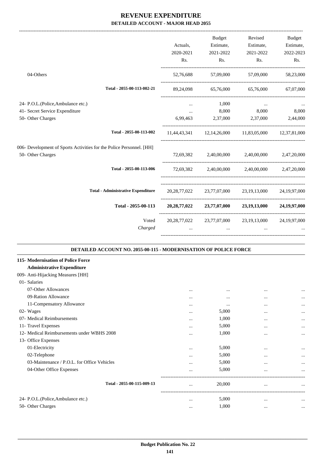|                                                                         | Actuals,<br>2020-2021<br>Rs. | <b>Budget</b><br>Estimate,<br>2021-2022<br>Rs. | Revised<br>Estimate,<br>2021-2022<br>Rs.                        | Budget<br>Estimate,<br>2022-2023<br>Rs. |
|-------------------------------------------------------------------------|------------------------------|------------------------------------------------|-----------------------------------------------------------------|-----------------------------------------|
| 04-Others                                                               | 52,76,688                    | 57,09,000                                      | 57,09,000                                                       | 58,23,000                               |
| Total - 2055-00-113-002-21                                              |                              |                                                | 89,24,098 65,76,000 65,76,000                                   | 67,07,000                               |
| 24- P.O.L.(Police, Ambulance etc.)                                      |                              | 1,000                                          | $\cdots$                                                        |                                         |
| 41- Secret Service Expenditure                                          | $\cdots$                     | 8,000                                          | 8,000                                                           | 8,000                                   |
| 50- Other Charges                                                       | 6,99,463                     | 2,37,000                                       | 2,37,000                                                        | 2,44,000                                |
| Total - 2055-00-113-002                                                 |                              |                                                | 11,44,43,341 12,14,26,000 11,83,05,000 12,37,81,000             |                                         |
| 006- Development of Sports Activities for the Police Personnel. [HH]    |                              |                                                |                                                                 |                                         |
| 50- Other Charges                                                       |                              |                                                | 72,69,382 2,40,00,000 2,40,00,000 2,47,20,000                   |                                         |
| Total - 2055-00-113-006                                                 |                              |                                                | 72,69,382 2,40,00,000 2,40,00,000 2,47,20,000                   |                                         |
| <b>Total - Administrative Expenditure</b>                               |                              |                                                | 20,28,77,022 23,77,07,000 23,19,13,000 24,19,97,000             |                                         |
| Total - 2055-00-113                                                     |                              |                                                | 20,28,77,022 23,77,07,000 23,19,13,000 24,19,97,000             |                                         |
| Voted                                                                   |                              |                                                | 20, 28, 77, 022 23, 77, 07, 000 23, 19, 13, 000 24, 19, 97, 000 |                                         |
| Charged                                                                 |                              |                                                |                                                                 |                                         |
| <b>DETAILED ACCOUNT NO. 2055-00-115 - MODERNISATION OF POLICE FORCE</b> |                              |                                                |                                                                 |                                         |
| 115-Modernisation of Police Force                                       |                              |                                                |                                                                 |                                         |
| <b>Administrative Expenditure</b>                                       |                              |                                                |                                                                 |                                         |
| 009- Anti-Hijacking Measures [HH]                                       |                              |                                                |                                                                 |                                         |
| 01- Salaries                                                            |                              |                                                |                                                                 |                                         |
| 07-Other Allowances                                                     |                              | $\ddotsc$                                      | $\ddotsc$                                                       |                                         |
| 09-Ration Allowance                                                     | $\cdots$                     | $\cdots$                                       | $\cdots$                                                        | $\cdots$                                |
| 11-Compensatory Allowance                                               |                              | $\ddotsc$                                      | $\cdots$                                                        | $\cdots$                                |
| 02- Wages                                                               |                              | 5,000                                          | $\cdots$                                                        | $\cdots$                                |
| 07- Medical Reimbursements                                              |                              | 1,000                                          | $\cdots$                                                        |                                         |
| 11- Travel Expenses                                                     |                              | 5,000                                          | $\cdots$                                                        |                                         |
| 12- Medical Reimbursements under WBHS 2008                              |                              | 1,000                                          | $\cdots$                                                        |                                         |
| 13- Office Expenses                                                     |                              |                                                |                                                                 |                                         |
| 01-Electricity                                                          |                              | 5,000                                          |                                                                 |                                         |
| 02-Telephone                                                            |                              | 5,000                                          | $\cdots$                                                        |                                         |
| 03-Maintenance / P.O.L. for Office Vehicles                             |                              | 5,000                                          |                                                                 |                                         |
| 04-Other Office Expenses                                                |                              | 5,000                                          |                                                                 |                                         |
| Total - 2055-00-115-009-13                                              |                              | 20,000                                         | $\cdots$                                                        |                                         |

-----------------------------------------------------------------------------------------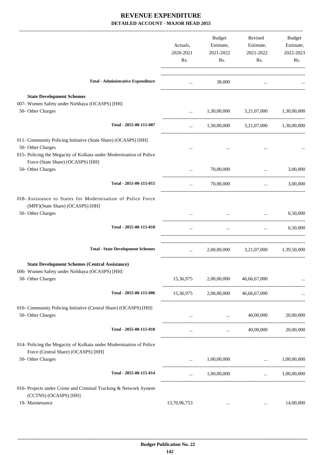|                                                                                                                                                                                                 | Actuals,<br>2020-2021<br>Rs. | Budget<br>Estimate,<br>2021-2022<br>Rs. | Revised<br>Estimate,<br>2021-2022<br>Rs. | Budget<br>Estimate,<br>2022-2023<br>Rs. |
|-------------------------------------------------------------------------------------------------------------------------------------------------------------------------------------------------|------------------------------|-----------------------------------------|------------------------------------------|-----------------------------------------|
| <b>Total - Administrative Expenditure</b>                                                                                                                                                       | $\cdots$                     | 38,000                                  | $\cdots$                                 |                                         |
| <b>State Development Schemes</b>                                                                                                                                                                |                              |                                         |                                          |                                         |
| 007- Women Safety under Nirbhaya (OCASPS) [HH]<br>50- Other Charges                                                                                                                             | $\cdots$                     |                                         | 1,30,00,000 3,21,07,000 1,30,00,000      |                                         |
|                                                                                                                                                                                                 |                              |                                         |                                          |                                         |
| Total - 2055-00-115-007                                                                                                                                                                         | $\cdots$                     | 1,30,00,000                             | 3,21,07,000 1,30,00,000                  |                                         |
| 011- Community Policing Initiative (State Share) (OCASPS) [HH]<br>50- Other Charges<br>015- Policing the Megacity of Kolkata under Modernisation of Police<br>Force (State Share) (OCASPS) [HH] | $\cdots$                     |                                         |                                          |                                         |
| 50- Other Charges                                                                                                                                                                               |                              | 70,00,000                               | $\ddotsc$                                | 3,00,000                                |
| Total - 2055-00-115-015                                                                                                                                                                         | $\cdots$                     | 70,00,000                               | $\ddots$                                 | 3,00,000                                |
| 018- Assistance to States for Modernisation of Police Force<br>(MPF)(State Share) (OCASPS) [HH]<br>50- Other Charges                                                                            |                              | $\cdots$                                | $\cdots$                                 | 6,50,000                                |
| Total - 2055-00-115-018                                                                                                                                                                         |                              |                                         |                                          |                                         |
|                                                                                                                                                                                                 | $\cdots$                     | $\cdots$                                | $\cdots$                                 | 6,50,000                                |
| <b>Total - State Development Schemes</b>                                                                                                                                                        | <b>Sales Control</b>         |                                         | 2,00,00,000 3,21,07,000 1,39,50,000      |                                         |
| <b>State Development Schemes (Central Assistance)</b><br>006- Women Safety under Nirbhaya (OCASPS) [HH]                                                                                         |                              |                                         |                                          |                                         |
| 50- Other Charges                                                                                                                                                                               | 15,36,975                    | 2,00,00,000                             | 46,66,67,000                             |                                         |
| Total - 2055-00-115-006                                                                                                                                                                         |                              | 15,36,975 2,00,00,000 46,66,67,000      |                                          |                                         |
| 010- Community Policing Initiative (Central Share) (OCASPS) [HH]<br>50- Other Charges                                                                                                           |                              |                                         | 40,00,000<br><b>Section Contract</b>     | 20,00,000                               |
| Total - 2055-00-115-010                                                                                                                                                                         | $\cdots$                     | $\cdots$                                | 40,00,000                                | 20,00,000                               |
| 014- Policing the Megacity of Kolkata under Modernisation of Police<br>Force (Central Share) (OCASPS) [HH]                                                                                      |                              |                                         |                                          |                                         |
| 50- Other Charges                                                                                                                                                                               | $\cdots$                     | 1,00,00,000                             | and the state of the control of the      | 1,00,00,000                             |
| Total - 2055-00-115-014                                                                                                                                                                         | $\cdots$                     |                                         | $1,00,00,000$ $1,00,00,000$              |                                         |
| 016- Projects under Crime and Criminal Tracking & Network System<br>(CCTNS) (OCASPS) [HH]                                                                                                       |                              |                                         |                                          |                                         |
| 19- Maintenance                                                                                                                                                                                 | 13,70,96,753                 | $\ldots$                                |                                          | 14,00,000                               |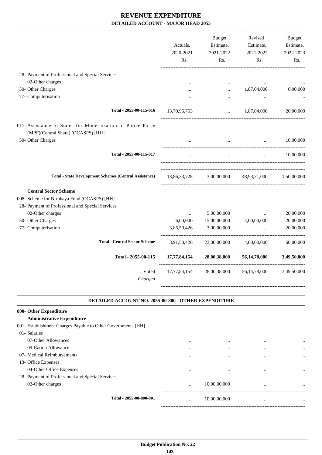| Actuals,<br>2020-2021<br>Rs. | <b>Budget</b><br>Estimate,<br>2021-2022<br>Rs. | Revised<br>Estimate,<br>2021-2022<br>Rs. | <b>Budget</b><br>Estimate,<br>2022-2023<br>Rs. |
|------------------------------|------------------------------------------------|------------------------------------------|------------------------------------------------|
|                              |                                                |                                          |                                                |
| $\ddotsc$                    | $\ldots$                                       | $\ddotsc$                                |                                                |
|                              | $\cdots$                                       | 1,87,04,000                              | 6,00,000                                       |
|                              |                                                |                                          |                                                |
| 13,70,96,753                 | $\ddotsc$                                      | 1,87,04,000                              | 20,00,000                                      |
|                              |                                                |                                          |                                                |
|                              |                                                | $\cdots$                                 | 10,00,000                                      |
|                              | $\dddot{\phantom{0}}$                          | $\ddot{\phantom{a}}$                     | 10,00,000                                      |
| 13,86,33,728                 | 3,00,00,000                                    | 48,93,71,000                             | 1,50,00,000                                    |
|                              |                                                |                                          |                                                |
|                              |                                                |                                          | 20,00,000                                      |
|                              |                                                |                                          | 20,00,000                                      |
| 3,85,50,426                  | 3,00,00,000                                    | $\ddotsc$                                | 20,00,000                                      |
| 3,91,50,426                  | 23,00,00,000                                   | 4,00,00,000                              | 60,00,000                                      |
| 17,77,84,154                 | 28,00,38,000                                   | 56, 14, 78, 000                          | 3,49,50,000                                    |
| 17,77,84,154                 | 28,00,38,000                                   | 56, 14, 78, 000                          | 3,49,50,000                                    |
|                              |                                                |                                          |                                                |
|                              | $\ddotsc$<br>6,00,000                          | 5,00,00,000<br>15,00,00,000              | -------------------------<br>4,00,00,000       |

#### **DETAILED ACCOUNT NO. 2055-00-800 - OTHER EXPENDITURE .**

| 800- Other Expenditure                                       |                         |          |              |          |           |
|--------------------------------------------------------------|-------------------------|----------|--------------|----------|-----------|
| <b>Administrative Expenditure</b>                            |                         |          |              |          |           |
| 001- Establishment Charges Payable to Other Governments [HH] |                         |          |              |          |           |
| 01- Salaries                                                 |                         |          |              |          |           |
| 07-Other Allowances                                          |                         |          |              |          | $\cdots$  |
| 09-Ration Allowance                                          |                         |          |              |          | $\cdots$  |
| 07- Medical Reimbursements                                   |                         | $\cdots$ | $\cdots$     | $\cdots$ | $\cdots$  |
| 13- Office Expenses                                          |                         |          |              |          |           |
| 04-Other Office Expenses                                     |                         | $\cdots$ | $\cdots$     | $\cdots$ | $\ddotsc$ |
| 28- Payment of Professional and Special Services             |                         |          |              |          |           |
| 02-Other charges                                             |                         | $\cdots$ | 10,00,00,000 | $\cdots$ | $\cdots$  |
|                                                              | Total - 2055-00-800-001 |          |              |          |           |
|                                                              |                         | $\cdots$ | 10,00,00,000 | $\cdots$ | $\ddotsc$ |
|                                                              |                         |          |              |          |           |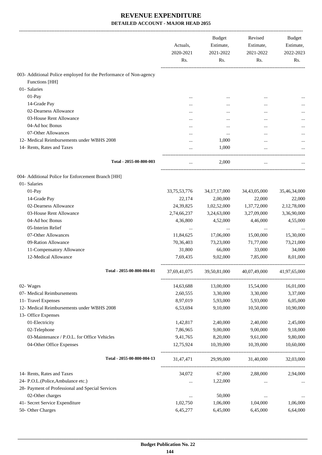|                                                                   | Actuals,<br>2020-2021 | <b>Budget</b><br>Estimate,<br>2021-2022 | Revised<br>Estimate,<br>2021-2022 | Budget<br>Estimate,<br>2022-2023 |
|-------------------------------------------------------------------|-----------------------|-----------------------------------------|-----------------------------------|----------------------------------|
|                                                                   | Rs.                   | Rs.                                     | Rs.                               | Rs.                              |
| 003- Additional Police employed for the Performance of Non-agency |                       |                                         |                                   |                                  |
| Functions [HH]                                                    |                       |                                         |                                   |                                  |
| 01- Salaries                                                      |                       |                                         |                                   |                                  |
| 01-Pay                                                            |                       |                                         |                                   |                                  |
| 14-Grade Pay                                                      |                       |                                         |                                   |                                  |
| 02-Dearness Allowance                                             |                       |                                         | $\ddotsc$                         |                                  |
| 03-House Rent Allowance                                           |                       |                                         |                                   |                                  |
| 04-Ad hoc Bonus                                                   |                       |                                         |                                   |                                  |
| 07-Other Allowances                                               |                       |                                         | $\ddotsc$                         |                                  |
| 12- Medical Reimbursements under WBHS 2008                        |                       | 1,000                                   | $\ddotsc$                         |                                  |
| 14- Rents, Rates and Taxes                                        |                       | 1,000                                   |                                   |                                  |
| Total - 2055-00-800-003                                           |                       | 2,000                                   |                                   |                                  |
|                                                                   |                       |                                         |                                   |                                  |
| 004- Additional Police for Enforcement Branch [HH]                |                       |                                         |                                   |                                  |
| 01- Salaries                                                      |                       |                                         |                                   |                                  |
| 01-Pay                                                            | 33, 75, 53, 776       | 34, 17, 17, 000                         | 34,43,05,000                      | 35,46,34,000                     |
| 14-Grade Pay                                                      | 22,174                | 2,00,000                                | 22,000                            | 22,000                           |
| 02-Dearness Allowance                                             | 24,39,825             | 1,02,52,000                             | 1,37,72,000                       | 2,12,78,000                      |
| 03-House Rent Allowance                                           | 2,74,66,237           | 3,24,63,000                             | 3,27,09,000                       | 3,36,90,000                      |
| 04-Ad hoc Bonus                                                   | 4,36,800              | 4,52,000                                | 4,46,000                          | 4,55,000                         |
| 05-Interim Relief                                                 |                       |                                         |                                   |                                  |
| 07-Other Allowances                                               | 11,84,625             | 17,06,000                               | 15,00,000                         | 15,30,000                        |
| 09-Ration Allowance                                               | 70,36,403             | 73,23,000                               | 71,77,000                         | 73,21,000                        |
| 11-Compensatory Allowance                                         | 31,800                | 66,000                                  | 33,000                            | 34,000                           |
| 12-Medical Allowance                                              | 7,69,435              | 9,02,000                                | 7,85,000                          | 8,01,000                         |
| Total - 2055-00-800-004-01                                        | 37,69,41,075          | 39,50,81,000                            | 40,07,49,000                      | 41,97,65,000                     |
| 02- Wages                                                         | 14,63,688             | 13,00,000                               | 15,54,000                         | 16,01,000                        |
| 07- Medical Reimbursements                                        | 2,60,555              | 3,30,000                                | 3,30,000                          | 3,37,000                         |
| 11- Travel Expenses                                               | 8,97,019              | 5,93,000                                | 5,93,000                          | 6,05,000                         |
| 12- Medical Reimbursements under WBHS 2008                        | 6,53,694              | 9,10,000                                | 10,50,000                         | 10,90,000                        |
| 13- Office Expenses                                               |                       |                                         |                                   |                                  |
| 01-Electricity                                                    | 1,42,817              | 2,40,000                                | 2,40,000                          | 2,45,000                         |
| 02-Telephone                                                      | 7,86,965              | 9,00,000                                | 9,00,000                          | 9,18,000                         |
| 03-Maintenance / P.O.L. for Office Vehicles                       | 9,41,765              | 8,20,000                                | 9,61,000                          | 9,80,000                         |
| 04-Other Office Expenses                                          | 12,75,924             | 10,39,000                               | 10,39,000                         | 10,60,000                        |
| Total - 2055-00-800-004-13                                        | 31,47,471             | 29,99,000                               | 31,40,000                         | 32,03,000                        |
|                                                                   |                       |                                         |                                   |                                  |
| 14- Rents, Rates and Taxes                                        | 34,072                | 67,000                                  | 2,88,000                          | 2,94,000                         |
| 24- P.O.L.(Police,Ambulance etc.)                                 |                       | 1,22,000                                | $\cdots$                          |                                  |
| 28- Payment of Professional and Special Services                  |                       |                                         |                                   |                                  |
| 02-Other charges<br>41- Secret Service Expenditure                | $\cdots$<br>1,02,750  | 50,000<br>1,06,000                      | $\cdots$<br>1,04,000              | 1,06,000                         |
| 50- Other Charges                                                 | 6,45,277              | 6,45,000                                | 6,45,000                          | 6,64,000                         |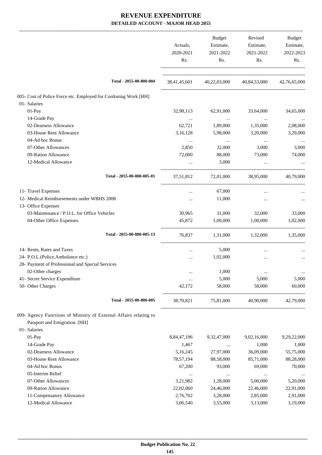|                                                                                                                    | Actuals,<br>2020-2021<br>Rs. | Budget<br>Estimate,<br>2021-2022<br>Rs. | Revised<br>Estimate,<br>2021-2022<br>Rs.            | Budget<br>Estimate,<br>2022-2023<br>Rs. |
|--------------------------------------------------------------------------------------------------------------------|------------------------------|-----------------------------------------|-----------------------------------------------------|-----------------------------------------|
| Total - 2055-00-800-004                                                                                            |                              |                                         | 38,41,45,601 40,22,03,000 40,84,53,000 42,76,65,000 |                                         |
| 005- Cost of Police Force etc. Employed for Cordoning Work [HH]                                                    |                              |                                         |                                                     |                                         |
| 01- Salaries                                                                                                       |                              |                                         |                                                     |                                         |
| $01-Pay$                                                                                                           | 32,98,113                    | 62,91,000                               | 33,64,000                                           | 34,65,000                               |
| 14-Grade Pay                                                                                                       | $\cdots$                     | $\cdots$                                | $\cdots$                                            | $\cdots$                                |
| 02-Dearness Allowance                                                                                              | 62,721                       | 1,89,000                                | 1,35,000                                            | 2,08,000                                |
| 03-House Rent Allowance                                                                                            | 3,16,128                     | 5,98,000                                | 3,20,000                                            | 3,29,000                                |
| 04-Ad hoc Bonus                                                                                                    |                              | $\cdots$                                | $\ldots$                                            |                                         |
| 07-Other Allowances                                                                                                | 2,850                        | 32,000                                  | 3,000                                               | 3,000                                   |
| 09-Ration Allowance                                                                                                | 72,000                       | 88,000                                  | 73,000                                              | 74,000                                  |
| 12-Medical Allowance                                                                                               |                              | 3,000                                   |                                                     |                                         |
| Total - 2055-00-800-005-01                                                                                         | 37,51,812                    |                                         | 72,01,000 38,95,000                                 | 40,79,000                               |
| 11- Travel Expenses                                                                                                | $\cdots$                     | 67,000                                  | $\ddotsc$                                           |                                         |
| 12- Medical Reimbursements under WBHS 2008                                                                         |                              | 11,000                                  | $\cdots$                                            |                                         |
| 13- Office Expenses                                                                                                |                              |                                         |                                                     |                                         |
| 03-Maintenance / P.O.L. for Office Vehicles                                                                        | 30,965                       | 31,000                                  | 32,000                                              | 33,000                                  |
| 04-Other Office Expenses                                                                                           | 45,872                       | 1,00,000                                | 1,00,000                                            | 1,02,000                                |
| Total - 2055-00-800-005-13                                                                                         | 76,837                       |                                         | 1,31,000 1,32,000                                   | 1,35,000                                |
| 14- Rents, Rates and Taxes                                                                                         | $\cdots$                     | 5,000                                   | $\ddotsc$                                           |                                         |
| 24- P.O.L.(Police, Ambulance etc.)                                                                                 |                              | 1,02,000                                | $\ddotsc$                                           |                                         |
| 28- Payment of Professional and Special Services                                                                   |                              |                                         |                                                     |                                         |
| 02-Other charges                                                                                                   |                              | 1,000                                   |                                                     | $\cdots$                                |
| 41- Secret Service Expenditure                                                                                     |                              | 5,000                                   | 5,000                                               | 5,000                                   |
| 50- Other Charges                                                                                                  | 42,172                       | 58,000                                  | 58,000                                              | 60,000                                  |
| Total - 2055-00-800-005                                                                                            | 38,70,821                    | 75,81,000                               | 40,90,000                                           | 42,79,000                               |
| 009- Agency Functions of Ministry of External Affairs relating to<br>Passport and Emigration. [HH]<br>01- Salaries |                              |                                         |                                                     |                                         |
| 01-Pay                                                                                                             | 8,84,47,196                  | 9,32,47,000                             | 9,02,16,000                                         | 9,29,22,000                             |
| 14-Grade Pay                                                                                                       |                              |                                         | 1,000                                               |                                         |
| 02-Dearness Allowance                                                                                              | 1,467                        | $\cdots$                                |                                                     | 1,000                                   |
| 03-House Rent Allowance                                                                                            | 5,16,245<br>78,57,194        | 27,97,000                               | 36,09,000                                           | 55,75,000                               |
| 04-Ad hoc Bonus                                                                                                    |                              | 88,58,000                               | 85,71,000                                           | 88,28,000                               |
|                                                                                                                    | 67,200                       | 93,000                                  | 69,000                                              | 70,000                                  |
| 05-Interim Relief                                                                                                  |                              | $\cdots$                                | $\cdots$                                            |                                         |
| 07-Other Allowances                                                                                                | 3,21,982                     | 1,28,000                                | 5,00,000                                            | 5,20,000                                |
| 09-Ration Allowance                                                                                                | 22,02,060                    | 24,46,000                               | 22,46,000                                           | 22,91,000                               |
| 11-Compensatory Allowance                                                                                          | 2,76,702                     | 3,28,000                                | 2,85,000                                            | 2,91,000                                |
| 12-Medical Allowance                                                                                               | 3,06,540                     | 3,55,000                                | 3,13,000                                            | 3,19,000                                |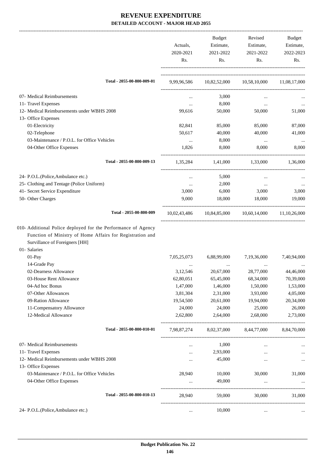|                                                                                                                                                                                                                                                                                                                                                                                  | Actuals,<br>2020-2021<br>Rs.                                                                    | Budget<br>Estimate,<br>2021-2022<br>Rs.                                                          | Revised<br>Estimate,<br>2021-2022<br>Rs.                                                         | Budget<br>Estimate,<br>2022-2023<br>Rs.                                                          |
|----------------------------------------------------------------------------------------------------------------------------------------------------------------------------------------------------------------------------------------------------------------------------------------------------------------------------------------------------------------------------------|-------------------------------------------------------------------------------------------------|--------------------------------------------------------------------------------------------------|--------------------------------------------------------------------------------------------------|--------------------------------------------------------------------------------------------------|
| Total - 2055-00-800-009-01                                                                                                                                                                                                                                                                                                                                                       |                                                                                                 |                                                                                                  | 9,99,96,586 10,82,52,000 10,58,10,000 11,08,17,000                                               |                                                                                                  |
| 07- Medical Reimbursements                                                                                                                                                                                                                                                                                                                                                       | $\cdots$                                                                                        | 3,000                                                                                            |                                                                                                  |                                                                                                  |
| 11- Travel Expenses                                                                                                                                                                                                                                                                                                                                                              | $\cdots$                                                                                        | 8,000                                                                                            | $\cdots$                                                                                         |                                                                                                  |
| 12- Medical Reimbursements under WBHS 2008                                                                                                                                                                                                                                                                                                                                       | 99,616                                                                                          | 50,000                                                                                           | 50,000                                                                                           | 51,000                                                                                           |
| 13- Office Expenses                                                                                                                                                                                                                                                                                                                                                              |                                                                                                 |                                                                                                  |                                                                                                  |                                                                                                  |
| 01-Electricity                                                                                                                                                                                                                                                                                                                                                                   | 82,841                                                                                          | 85,000                                                                                           | 85,000                                                                                           | 87,000                                                                                           |
| 02-Telephone                                                                                                                                                                                                                                                                                                                                                                     | 50,617                                                                                          | 40,000                                                                                           | 40,000                                                                                           | 41,000                                                                                           |
| 03-Maintenance / P.O.L. for Office Vehicles                                                                                                                                                                                                                                                                                                                                      | $\cdots$                                                                                        | 8,000                                                                                            | $\cdots$                                                                                         |                                                                                                  |
| 04-Other Office Expenses                                                                                                                                                                                                                                                                                                                                                         | 1,826                                                                                           | 8,000                                                                                            | 8,000                                                                                            | 8,000                                                                                            |
| Total - 2055-00-800-009-13                                                                                                                                                                                                                                                                                                                                                       | 1,35,284                                                                                        | 1,41,000                                                                                         | 1,33,000                                                                                         | 1,36,000                                                                                         |
| 24- P.O.L.(Police, Ambulance etc.)                                                                                                                                                                                                                                                                                                                                               | $\cdots$                                                                                        | 5,000                                                                                            | $\cdots$                                                                                         |                                                                                                  |
| 25- Clothing and Tentage (Police Uniform)                                                                                                                                                                                                                                                                                                                                        | $\cdots$                                                                                        | 2,000                                                                                            | $\cdots$                                                                                         |                                                                                                  |
| 41- Secret Service Expenditure                                                                                                                                                                                                                                                                                                                                                   | 3,000                                                                                           | 6,000                                                                                            | 3,000                                                                                            | 3,000                                                                                            |
| 50- Other Charges                                                                                                                                                                                                                                                                                                                                                                | 9,000                                                                                           | 18,000                                                                                           | 18,000                                                                                           | 19,000                                                                                           |
| Total - 2055-00-800-009                                                                                                                                                                                                                                                                                                                                                          |                                                                                                 |                                                                                                  | 10,02,43,486 10,84,85,000 10,60,14,000 11,10,26,000                                              |                                                                                                  |
| 010- Additional Police deployed for the Performance of Agency<br>Function of Ministry of Home Affairs for Registration and<br>Survillance of Foreigners [HH]<br>01- Salaries<br>01-Pay<br>14-Grade Pay<br>02-Dearness Allowance<br>03-House Rent Allowance<br>04-Ad hoc Bonus<br>07-Other Allowances<br>09-Ration Allowance<br>11-Compensatory Allowance<br>12-Medical Allowance | 7,05,25,073<br>3,12,546<br>62,80,051<br>1,47,000<br>3,81,304<br>19,54,500<br>24,000<br>2,62,800 | 6,88,99,000<br>20,67,000<br>65,45,000<br>1,46,000<br>2,31,000<br>20,61,000<br>24,000<br>2,64,000 | 7,19,36,000<br>28,77,000<br>68,34,000<br>1,50,000<br>3,93,000<br>19,94,000<br>25,000<br>2,68,000 | 7,40,94,000<br>44,46,000<br>70,39,000<br>1,53,000<br>4,05,000<br>20,34,000<br>26,000<br>2,73,000 |
| Total - 2055-00-800-010-01                                                                                                                                                                                                                                                                                                                                                       | 7,98,87,274                                                                                     | 8,02,37,000                                                                                      | 8,44,77,000                                                                                      | 8,84,70,000                                                                                      |
| 07- Medical Reimbursements                                                                                                                                                                                                                                                                                                                                                       | $\cdots$                                                                                        | 1,000                                                                                            | $\cdots$                                                                                         |                                                                                                  |
| 11- Travel Expenses                                                                                                                                                                                                                                                                                                                                                              |                                                                                                 | 2,93,000                                                                                         | $\cdots$                                                                                         | $\cdots$                                                                                         |
| 12- Medical Reimbursements under WBHS 2008                                                                                                                                                                                                                                                                                                                                       | $\cdots$                                                                                        | 45,000                                                                                           |                                                                                                  | $\ldots$                                                                                         |
| 13- Office Expenses                                                                                                                                                                                                                                                                                                                                                              |                                                                                                 |                                                                                                  |                                                                                                  |                                                                                                  |
| 03-Maintenance / P.O.L. for Office Vehicles                                                                                                                                                                                                                                                                                                                                      | 28,940                                                                                          | 10,000                                                                                           | 30,000                                                                                           | 31,000                                                                                           |
| 04-Other Office Expenses                                                                                                                                                                                                                                                                                                                                                         | $\cdots$                                                                                        | 49,000                                                                                           | $\ddots$                                                                                         |                                                                                                  |
| Total - 2055-00-800-010-13                                                                                                                                                                                                                                                                                                                                                       | 28,940                                                                                          | 59,000                                                                                           | 30,000                                                                                           | 31,000                                                                                           |
| 24- P.O.L.(Police, Ambulance etc.)                                                                                                                                                                                                                                                                                                                                               | $\cdots$                                                                                        | 10,000                                                                                           | $\cdots$                                                                                         |                                                                                                  |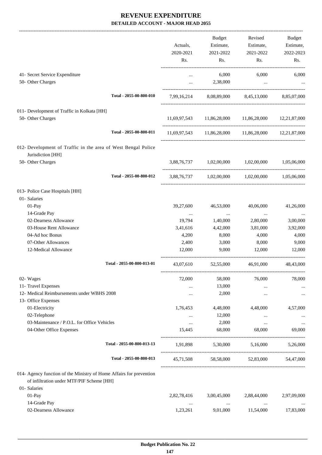-------------------------------------------------------------------------------------------------------------------------------------------------------------------------------

|                                                                                    |                            | Actuals,<br>2020-2021 | <b>Budget</b><br>Estimate,<br>2021-2022 | Revised<br>Estimate,<br>2021-2022                   | Budget<br>Estimate,<br>2022-2023 |
|------------------------------------------------------------------------------------|----------------------------|-----------------------|-----------------------------------------|-----------------------------------------------------|----------------------------------|
|                                                                                    |                            | Rs.                   | Rs.                                     | Rs.                                                 | Rs.                              |
| 41- Secret Service Expenditure<br>50- Other Charges                                |                            | $\cdots$              | 6,000<br>2,38,000                       | 6,000<br>$\cdots$                                   | 6,000                            |
|                                                                                    | Total - 2055-00-800-010    |                       |                                         | 7,99,16,214 8,08,89,000 8,45,13,000 8,85,07,000     |                                  |
| 011- Development of Traffic in Kolkata [HH]<br>50- Other Charges                   |                            |                       |                                         | 11,69,97,543 11,86,28,000 11,86,28,000 12,21,87,000 |                                  |
|                                                                                    | Total - 2055-00-800-011    |                       |                                         | 11,69,97,543 11,86,28,000 11,86,28,000 12,21,87,000 |                                  |
| 012- Development of Traffic in the area of West Bengal Police<br>Jurisdiction [HH] |                            |                       |                                         |                                                     |                                  |
| 50- Other Charges                                                                  |                            |                       | 3,88,76,737 1,02,00,000 1,02,00,000     |                                                     | 1,05,06,000                      |
|                                                                                    | Total - 2055-00-800-012    |                       |                                         | 3,88,76,737 1,02,00,000 1,02,00,000 1,05,06,000     |                                  |
| 013- Police Case Hospitals [HH]                                                    |                            |                       |                                         |                                                     |                                  |
| 01- Salaries<br>01-Pay                                                             |                            | 39,27,600             | 46,53,000                               | 40,06,000                                           | 41,26,000                        |
| 14-Grade Pay<br>02-Dearness Allowance                                              |                            | $\cdots$<br>19,794    | $\cdots$<br>1,40,000                    | $\sim$ 100 $\mu$<br>2,80,000                        | $\cdots$<br>3,00,000             |
| 03-House Rent Allowance                                                            |                            | 3,41,616              | 4,42,000                                | 3,81,000                                            | 3,92,000                         |
| 04-Ad hoc Bonus                                                                    |                            | 4,200                 | 8,000                                   | 4,000                                               | 4,000                            |
| 07-Other Allowances                                                                |                            | 2,400                 | 3,000                                   | 8,000                                               | 9,000                            |
| 12-Medical Allowance                                                               |                            | 12,000                | 9,000                                   | 12,000                                              | 12,000                           |
|                                                                                    | Total - 2055-00-800-013-01 |                       | 43,07,610 52,55,000                     | 46,91,000 48,43,000                                 |                                  |
| 02- Wages                                                                          |                            | 72,000                | 58,000                                  | 76,000                                              | 78,000                           |
| 11- Travel Expenses                                                                |                            |                       | 13,000                                  |                                                     |                                  |
| 12- Medical Reimbursements under WBHS 2008                                         |                            | $\cdots$              | 2,000                                   |                                                     | $\cdots$                         |
| 13- Office Expenses<br>01-Electricity                                              |                            | 1,76,453              | 4,48,000                                | 4,48,000                                            | 4,57,000                         |
| 02-Telephone                                                                       |                            | $\cdots$              | 12,000                                  | $\cdots$                                            |                                  |
| 03-Maintenance / P.O.L. for Office Vehicles                                        |                            | $\cdots$              | 2,000                                   | $\cdots$                                            |                                  |
| 04-Other Office Expenses                                                           |                            | 15,445                | 68,000                                  | 68,000                                              | 69,000                           |
|                                                                                    | Total - 2055-00-800-013-13 | 1,91,898              | 5,30,000                                | 5,16,000                                            | 5,26,000                         |
|                                                                                    | Total - 2055-00-800-013    | 45,71,508             | 58,58,000                               | 52,83,000                                           | 54,47,000                        |
| 014- Agency function of the Ministry of Home Affairs for prevention                |                            |                       |                                         |                                                     |                                  |
| of infiltration under MTF/PIF Scheme [HH]                                          |                            |                       |                                         |                                                     |                                  |
| 01- Salaries                                                                       |                            |                       |                                         |                                                     |                                  |
| 01-Pay                                                                             |                            | 2,82,78,416           | 3,00,45,000                             | 2,88,44,000                                         | 2,97,09,000                      |
| 14-Grade Pay                                                                       |                            | $\cdots$              | $\ldots$                                | $\cdots$                                            |                                  |
| 02-Dearness Allowance                                                              |                            | 1,23,261              | 9,01,000                                | 11,54,000                                           | 17,83,000                        |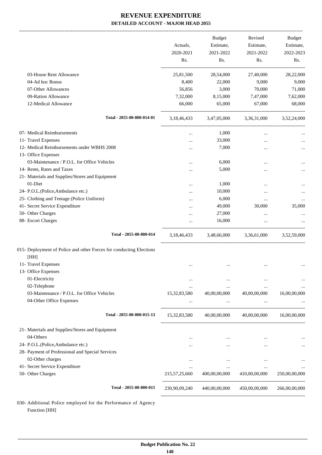| 03-House Rent Allowance<br>04-Ad hoc Bonus<br>07-Other Allowances<br>09-Ration Allowance<br>12-Medical Allowance | 25,81,500<br>8,400<br>56,856<br>7,32,000<br>66,000 | 28,54,000<br>22,000<br>3,000<br>8,15,000<br>65,000 | 27,40,000<br>9,000<br>70,000<br>7,47,000 | 28,22,000<br>9,000 |
|------------------------------------------------------------------------------------------------------------------|----------------------------------------------------|----------------------------------------------------|------------------------------------------|--------------------|
|                                                                                                                  |                                                    |                                                    |                                          |                    |
|                                                                                                                  |                                                    |                                                    |                                          | 71,000             |
|                                                                                                                  |                                                    |                                                    |                                          |                    |
|                                                                                                                  |                                                    |                                                    |                                          | 7,62,000           |
|                                                                                                                  |                                                    |                                                    | 67,000                                   | 68,000             |
| Total - 2055-00-800-014-01                                                                                       |                                                    | 3,18,46,433 3,47,05,000 3,36,31,000 3,52,24,000    |                                          |                    |
| 07- Medical Reimbursements                                                                                       | $\cdots$                                           | 1,000                                              | $\cdots$                                 |                    |
| 11- Travel Expenses                                                                                              |                                                    | 33,000                                             | $\ddotsc$                                |                    |
| 12- Medical Reimbursements under WBHS 2008                                                                       |                                                    | 7,000                                              |                                          |                    |
| 13- Office Expenses                                                                                              |                                                    |                                                    |                                          |                    |
| 03-Maintenance / P.O.L. for Office Vehicles                                                                      |                                                    | 6,000                                              |                                          |                    |
| 14- Rents, Rates and Taxes                                                                                       |                                                    | 5,000                                              |                                          |                    |
| 21- Materials and Supplies/Stores and Equipment                                                                  |                                                    |                                                    |                                          |                    |
| 01-Diet                                                                                                          |                                                    | 1,000                                              | $\ddotsc$                                |                    |
| 24- P.O.L.(Police, Ambulance etc.)                                                                               |                                                    | 10,000                                             |                                          |                    |
| 25- Clothing and Tentage (Police Uniform)                                                                        |                                                    | 6,000                                              | $\cdots$                                 |                    |
| 41- Secret Service Expenditure                                                                                   |                                                    | 49,000                                             | 30,000                                   | 35,000             |
| 50- Other Charges                                                                                                |                                                    | 27,000                                             | $\cdots$                                 |                    |
| 88- Escort Charges                                                                                               |                                                    | 16,000                                             | $\cdots$                                 |                    |
| Total - 2055-00-800-014                                                                                          | 3,18,46,433                                        |                                                    | 3,48,66,000 3,36,61,000                  | 3,52,59,000        |
| 015- Deployment of Police and other Forces for conducting Elections<br>[HH]                                      |                                                    |                                                    |                                          |                    |
| 11- Travel Expenses                                                                                              | $\ddotsc$                                          | $\cdots$                                           | $\ddotsc$                                |                    |
| 13- Office Expenses                                                                                              |                                                    |                                                    |                                          |                    |
| 01-Electricity                                                                                                   | $\cdots$                                           | $\cdots$                                           |                                          |                    |
| 02-Telephone                                                                                                     | $\cdots$                                           | $\cdots$                                           | $\ddotsc$                                |                    |
| 03-Maintenance / P.O.L. for Office Vehicles                                                                      | 15,32,83,580                                       | 40,00,00,000                                       | 40,00,00,000                             | 16,00,00,000       |
| 04-Other Office Expenses                                                                                         |                                                    | $\cdots$                                           | $\cdots$                                 |                    |
| Total - 2055-00-800-015-13                                                                                       | 15, 32, 83, 580                                    | 40,00,00,000                                       | 40,00,00,000                             | 16,00,00,000       |
| 21- Materials and Supplies/Stores and Equipment                                                                  |                                                    |                                                    |                                          |                    |
| 04-Others                                                                                                        |                                                    |                                                    | $\cdots$                                 |                    |
| 24- P.O.L.(Police, Ambulance etc.)                                                                               | $\cdots$                                           | $\cdots$                                           | $\cdots$                                 |                    |
| 28- Payment of Professional and Special Services                                                                 |                                                    |                                                    |                                          |                    |
| 02-Other charges                                                                                                 | $\cdots$                                           | $\cdots$                                           | $\ddotsc$                                |                    |
| 41- Secret Service Expenditure                                                                                   | $\cdots$                                           | $\cdots$                                           | $\cdots$                                 |                    |
| 50- Other Charges                                                                                                | 215, 57, 25, 660                                   | 400,00,00,000                                      | 410,00,00,000                            | 250,00,00,000      |
| Total - 2055-00-800-015                                                                                          | 230,90,09,240                                      | 440,00,00,000                                      | 450,00,00,000                            | 266,00,00,000      |

030- Additional Police employed for the Performance of Agency Function [HH]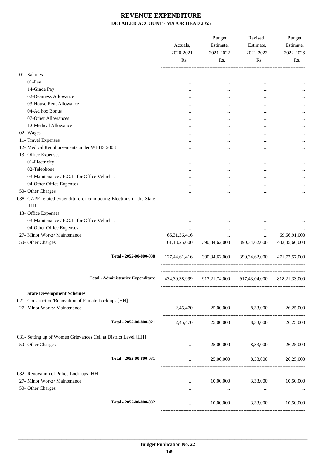|                                                                                              | Actuals,<br>2020-2021<br>Rs. | Budget<br>Estimate,<br>2021-2022<br>Rs. | Revised<br>Estimate,<br>2021-2022<br>Rs.           | Budget<br>Estimate,<br>2022-2023<br>Rs. |
|----------------------------------------------------------------------------------------------|------------------------------|-----------------------------------------|----------------------------------------------------|-----------------------------------------|
|                                                                                              |                              |                                         |                                                    |                                         |
| 01-Salaries                                                                                  |                              |                                         |                                                    |                                         |
| 01-Pay                                                                                       |                              | $\cdots$                                |                                                    |                                         |
| 14-Grade Pay                                                                                 |                              | $\cdots$                                |                                                    |                                         |
| 02-Dearness Allowance                                                                        | $\cdots$                     |                                         |                                                    |                                         |
| 03-House Rent Allowance                                                                      |                              | $\cdots$                                |                                                    |                                         |
| 04-Ad hoc Bonus                                                                              |                              |                                         |                                                    |                                         |
| 07-Other Allowances                                                                          |                              | $\cdots$                                |                                                    |                                         |
| 12-Medical Allowance                                                                         |                              |                                         |                                                    |                                         |
| 02- Wages                                                                                    |                              |                                         |                                                    |                                         |
| 11- Travel Expenses                                                                          | $\cdots$                     |                                         | $\cdots$                                           |                                         |
| 12- Medical Reimbursements under WBHS 2008                                                   |                              |                                         |                                                    |                                         |
| 13- Office Expenses                                                                          |                              |                                         |                                                    |                                         |
| 01-Electricity                                                                               |                              |                                         |                                                    |                                         |
| 02-Telephone                                                                                 |                              |                                         | $\cdots$                                           |                                         |
| 03-Maintenance / P.O.L. for Office Vehicles                                                  |                              | $\cdots$                                |                                                    |                                         |
| 04-Other Office Expenses                                                                     | $\cdots$                     |                                         |                                                    |                                         |
| 50- Other Charges                                                                            |                              | $\cdots$                                | $\cdots$                                           |                                         |
| 038- CAPF related expenditurefor conducting Elections in the State<br>[HH]                   |                              |                                         |                                                    |                                         |
| 13- Office Expenses                                                                          |                              |                                         |                                                    |                                         |
| 03-Maintenance / P.O.L. for Office Vehicles                                                  | $\cdots$                     |                                         | $\cdots$                                           |                                         |
| 04-Other Office Expenses                                                                     | $\cdots$                     | $\cdots$                                | $\cdots$                                           |                                         |
| 27- Minor Works/ Maintenance                                                                 | 66, 31, 36, 416              | $\cdots$                                | $\cdots$                                           | 69,66,91,000                            |
| 50- Other Charges                                                                            | 61, 13, 25, 000              | 390,34,62,000                           | 390, 34, 62, 000                                   | 402,05,66,000                           |
| Total - 2055-00-800-038                                                                      | 127,44,61,416                | 390,34,62,000                           | 390,34,62,000                                      | 471,72,57,000                           |
| <b>Total - Administrative Expenditure</b>                                                    |                              |                                         | 434, 39, 38, 999 917, 21, 74, 000 917, 43, 04, 000 | 818,21,33,000                           |
| <b>State Development Schemes</b>                                                             |                              |                                         |                                                    |                                         |
| 021- Construction/Renovation of Female Lock ups [HH]                                         |                              |                                         |                                                    |                                         |
| 27- Minor Works/ Maintenance                                                                 |                              |                                         | 2,45,470 25,00,000 8,33,000                        | 26,25,000                               |
| Total - 2055-00-800-021                                                                      |                              |                                         | 2,45,470 25,00,000 8,33,000 26,25,000              |                                         |
| 031- Setting up of Women Grievances Cell at District Lavel [HH]                              |                              |                                         |                                                    |                                         |
| 50- Other Charges                                                                            |                              |                                         | $25,00,000$ $8,33,000$ $26,25,000$                 |                                         |
| Total - 2055-00-800-031                                                                      |                              | $\cdots$ . The same state $\cdots$      | 25,00,000 8,33,000 26,25,000                       |                                         |
| 032- Renovation of Police Lock-ups [HH]<br>27- Minor Works/ Maintenance<br>50- Other Charges | $\cdots$<br>$\cdots$         | $\cdots$                                | 10,00,000 3,33,000<br>$\ldots$                     | 10,50,000                               |
| Total - 2055-00-800-032                                                                      | $\cdots$                     |                                         | 10,00,000 3,33,000 10,50,000                       |                                         |
|                                                                                              |                              |                                         |                                                    |                                         |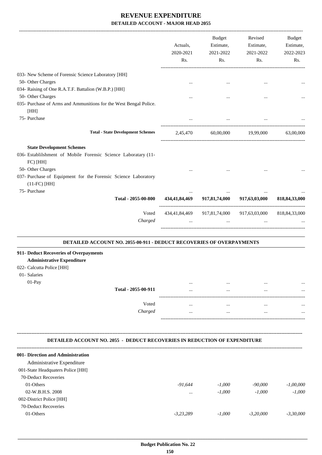|                                                                                                                                                                                                  | Actuals,<br>2020-2021<br>Rs. | <b>Budget</b><br>Estimate,<br>2021-2022<br>Rs.          | Revised<br>Estimate,<br>2021-2022<br>Rs. | Budget<br>Estimate,<br>2022-2023<br>Rs. |
|--------------------------------------------------------------------------------------------------------------------------------------------------------------------------------------------------|------------------------------|---------------------------------------------------------|------------------------------------------|-----------------------------------------|
| 033- New Scheme of Forensic Science Laboratory [HH]                                                                                                                                              |                              |                                                         |                                          |                                         |
| 50- Other Charges                                                                                                                                                                                | $\cdots$                     | $\cdots$                                                | $\cdots$                                 |                                         |
| 034- Raising of One R.A.T.F. Battalion (W.B.P.) [HH]                                                                                                                                             |                              |                                                         |                                          |                                         |
| 50- Other Charges                                                                                                                                                                                |                              | $\cdots$                                                | $\ddotsc$                                |                                         |
| 035- Purchase of Arms and Ammunitions for the West Bengal Police.                                                                                                                                |                              |                                                         |                                          |                                         |
| [HH]                                                                                                                                                                                             |                              |                                                         |                                          |                                         |
| 75- Purchase                                                                                                                                                                                     |                              |                                                         |                                          |                                         |
| <b>Total - State Development Schemes</b>                                                                                                                                                         |                              | 2,45,470 60,00,000 19,99,000                            |                                          | 63,00,000                               |
| <b>State Development Schemes</b>                                                                                                                                                                 |                              |                                                         |                                          |                                         |
| 036- Establilshment of Mobile Forensic Science Laboratary (11-                                                                                                                                   |                              |                                                         |                                          |                                         |
| FC) [HH]                                                                                                                                                                                         |                              |                                                         |                                          |                                         |
| 50- Other Charges                                                                                                                                                                                |                              |                                                         |                                          |                                         |
| 037- Purchase of Equipment for the Forensic Science Laboratory                                                                                                                                   |                              |                                                         |                                          |                                         |
| $(11-FC)$ [HH]                                                                                                                                                                                   |                              |                                                         |                                          |                                         |
| 75- Purchase                                                                                                                                                                                     |                              | $\cdots$                                                | $\cdots$                                 |                                         |
| Total - 2055-00-800                                                                                                                                                                              |                              | 434,41,84,469 917,81,74,000 917,63,03,000               |                                          | 818, 84, 33, 000                        |
| Voted                                                                                                                                                                                            |                              | 434,41,84,469 917,81,74,000 917,63,03,000 818,84,33,000 |                                          |                                         |
| Charged                                                                                                                                                                                          | $\cdots$                     |                                                         | and the state of the state<br>$\cdots$   |                                         |
| DETAILED ACCOUNT NO. 2055-00-911 - DEDUCT RECOVERIES OF OVERPAYMENTS<br>911- Deduct Recoveries of Overpayments<br><b>Administrative Expenditure</b><br>022- Calcutta Police [HH]<br>01- Salaries |                              |                                                         |                                          |                                         |
| 01-Pay                                                                                                                                                                                           |                              |                                                         |                                          |                                         |
| Total - 2055-00-911                                                                                                                                                                              |                              |                                                         |                                          |                                         |
| Voted                                                                                                                                                                                            | $\cdots$                     | $\cdots$                                                | $\cdots$                                 |                                         |
| Charged                                                                                                                                                                                          |                              | $\cdots$                                                | $\cdots$                                 |                                         |
|                                                                                                                                                                                                  |                              |                                                         |                                          |                                         |
| <b>DETAILED ACCOUNT NO. 2055 - DEDUCT RECOVERIES IN REDUCTION OF EXPENDITURE</b>                                                                                                                 |                              |                                                         |                                          |                                         |
| 001- Direction and Administration                                                                                                                                                                |                              |                                                         |                                          |                                         |
| Administrative Expenditure                                                                                                                                                                       |                              |                                                         |                                          |                                         |
| 001-State Headquaters Police [HH]                                                                                                                                                                |                              |                                                         |                                          |                                         |
| 70-Deduct Recoveries                                                                                                                                                                             |                              |                                                         |                                          |                                         |
| 01-Others                                                                                                                                                                                        | $-91,644$                    | $-1,000$                                                | $-90,000$                                | $-1,00,000$                             |
| 02-W.B.H.S. 2008                                                                                                                                                                                 |                              | $-1,000$                                                | $-1,000$                                 | $-1,000$                                |
| 002-District Police [HH]                                                                                                                                                                         |                              |                                                         |                                          |                                         |
| 70-Deduct Recoveries                                                                                                                                                                             |                              |                                                         |                                          |                                         |
| 01-Others                                                                                                                                                                                        | $-3,23,289$                  | $-1,000$                                                | $-3,20,000$                              | $-3,30,000$                             |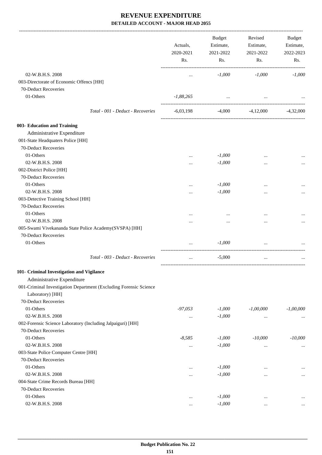-------------------------------------------------------------------------------------------------------------------------------------------------------------------------------

|                                                                   | Actuals,<br>2020-2021<br>Rs. | <b>Budget</b><br>Estimate,<br>2021-2022<br>Rs. | Revised<br>Estimate,<br>2021-2022<br>Rs. | <b>Budget</b><br>Estimate,<br>2022-2023<br>Rs. |
|-------------------------------------------------------------------|------------------------------|------------------------------------------------|------------------------------------------|------------------------------------------------|
| 02-W.B.H.S. 2008                                                  | $\cdots$                     | $-1,000$                                       | $-1,000$                                 | $-1,000$                                       |
| 003-Directorate of Economic Offencs [HH]                          |                              |                                                |                                          |                                                |
| 70-Deduct Recoveries                                              |                              |                                                |                                          |                                                |
| 01-Others                                                         | $-1,88,265$                  | $\ldots$                                       | $\cdots$                                 |                                                |
|                                                                   |                              |                                                |                                          |                                                |
| Total - 001 - Deduct - Recoveries                                 | $-6,03,198$                  | -4,000                                         | $-4,12,000$                              | $-4,32,000$                                    |
| 003- Education and Training                                       |                              |                                                |                                          |                                                |
| Administrative Expenditure                                        |                              |                                                |                                          |                                                |
| 001-State Headquaters Police [HH]                                 |                              |                                                |                                          |                                                |
| 70-Deduct Recoveries                                              |                              |                                                |                                          |                                                |
| 01-Others                                                         |                              | $-1,000$                                       |                                          |                                                |
| 02-W.B.H.S. 2008                                                  | $\cdots$                     | $-1,000$                                       |                                          |                                                |
| 002-District Police [HH]                                          |                              |                                                |                                          |                                                |
| 70-Deduct Recoveries                                              |                              |                                                |                                          |                                                |
| 01-Others                                                         |                              | $-1,000$                                       |                                          |                                                |
| 02-W.B.H.S. 2008                                                  | $\cdots$                     | $-1,000$                                       | $\cdots$                                 |                                                |
| 003-Detective Training School [HH]                                |                              |                                                |                                          |                                                |
| 70-Deduct Recoveries                                              |                              |                                                |                                          |                                                |
| 01-Others                                                         |                              |                                                |                                          |                                                |
| 02-W.B.H.S. 2008                                                  |                              |                                                |                                          |                                                |
| 005-Swami Vivekananda State Police Academy(SVSPA) [HH]            | .                            | $\cdots$                                       | $\cdots$                                 | $\cdots$                                       |
| 70-Deduct Recoveries                                              |                              |                                                |                                          |                                                |
|                                                                   |                              |                                                |                                          |                                                |
| 01-Others                                                         | $\cdots$                     | $-1,000$                                       | $\cdots$                                 |                                                |
| Total - 003 - Deduct - Recoveries                                 | $\cdots$                     | $-5,000$                                       | $\cdots$                                 |                                                |
| 101- Criminal Investigation and Vigilance                         |                              |                                                |                                          |                                                |
| Administrative Expenditure                                        |                              |                                                |                                          |                                                |
| 001-Criminal Investigation Department (Excluding Forensic Science |                              |                                                |                                          |                                                |
| Laboratory) [HH]                                                  |                              |                                                |                                          |                                                |
| 70-Deduct Recoveries                                              |                              |                                                |                                          |                                                |
| 01-Others                                                         | $-97,053$                    | $-1,000$                                       | $-1,00,000$                              | $-1,00,000$                                    |
| 02-W.B.H.S. 2008                                                  | $\cdots$                     | $-1,000$                                       | $\cdots$                                 | $\cdots$                                       |
| 002-Forensic Science Laboratory (Including Jalpaiguri) [HH]       |                              |                                                |                                          |                                                |
| 70-Deduct Recoveries                                              |                              |                                                |                                          |                                                |
| 01-Others                                                         | $-8,585$                     | $-1,000$                                       | $-10,000$                                | $-10,000$                                      |
| 02-W.B.H.S. 2008                                                  | $\cdots$                     | $-1,000$                                       | $\cdots$                                 | $\cdots$                                       |
| 003-State Police Computer Centre [HH]                             |                              |                                                |                                          |                                                |
| 70-Deduct Recoveries                                              |                              |                                                |                                          |                                                |
| 01-Others                                                         | $\ddotsc$                    | $-1,000$                                       | $\cdots$                                 |                                                |
| 02-W.B.H.S. 2008                                                  |                              | $-1,000$                                       | $\cdots$                                 |                                                |
| 004-State Crime Records Bureau [HH]                               |                              |                                                |                                          |                                                |
| 70-Deduct Recoveries                                              |                              |                                                |                                          |                                                |
| 01-Others                                                         | $\ddotsc$                    | $-1,000$                                       | $\cdots$                                 |                                                |
| 02-W.B.H.S. 2008                                                  | $\cdots$                     | $-1,000$                                       | $\cdots$                                 | $\cdots$                                       |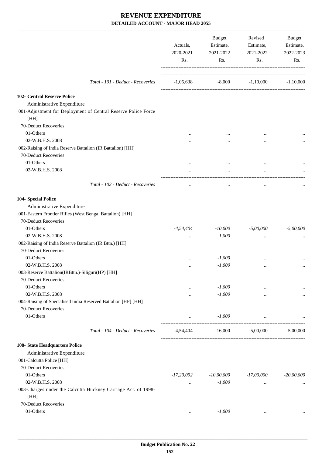|                                                                                                                            | Actuals,<br>2020-2021<br>Rs. | Budget<br>Estimate,<br>2021-2022<br>Rs. | Revised<br>Estimate,<br>2021-2022<br>Rs. | Budget<br>Estimate,<br>2022-2023<br>Rs. |
|----------------------------------------------------------------------------------------------------------------------------|------------------------------|-----------------------------------------|------------------------------------------|-----------------------------------------|
| Total - 101 - Deduct - Recoveries                                                                                          | $-1,05,638$                  |                                         | $-8,000$ $-1,10,000$                     | $-1,10,000$                             |
| 102- Central Reserve Police<br>Administrative Expenditure<br>001-Adjustment for Deployment of Central Reserve Police Force |                              |                                         |                                          |                                         |
| [HH]<br>70-Deduct Recoveries                                                                                               |                              |                                         |                                          |                                         |
| 01-Others                                                                                                                  |                              |                                         |                                          |                                         |
| 02-W.B.H.S. 2008                                                                                                           |                              |                                         |                                          |                                         |
| 002-Raising of India Reserve Battalion (IR Battalion) [HH]<br>70-Deduct Recoveries                                         |                              |                                         |                                          |                                         |
| 01-Others                                                                                                                  |                              |                                         |                                          |                                         |
| 02-W.B.H.S. 2008                                                                                                           | $\cdots$                     | $\cdots$                                | $\cdots$                                 |                                         |
| Total - 102 - Deduct - Recoveries                                                                                          | $\cdots$                     | $\cdots$                                | $\ldots$                                 |                                         |
| 104- Special Police                                                                                                        |                              |                                         |                                          |                                         |
| Administrative Expenditure                                                                                                 |                              |                                         |                                          |                                         |
| 001-Eastern Frontier Rifles (West Bengal Battalion) [HH]                                                                   |                              |                                         |                                          |                                         |
| 70-Deduct Recoveries                                                                                                       |                              |                                         |                                          |                                         |
| 01-Others                                                                                                                  | $-4,54,404$                  | $-10,000$                               | $-5,00,000$                              | $-5,00,000$                             |
| 02-W.B.H.S. 2008                                                                                                           | $\cdots$                     | $-1,000$                                | $\ddotsc$                                |                                         |
| 002-Raising of India Reserve Battalion (IR Bttn.) [HH]<br>70-Deduct Recoveries                                             |                              |                                         |                                          |                                         |
| 01-Others                                                                                                                  |                              | $-1,000$                                |                                          |                                         |
| 02-W.B.H.S. 2008                                                                                                           | $\ddotsc$                    | $-1,000$                                |                                          |                                         |
| 003-Reserve Battalion(IRBttn.)-Siliguri(HP) [HH]                                                                           |                              |                                         |                                          |                                         |
| 70-Deduct Recoveries                                                                                                       |                              |                                         |                                          |                                         |
| 01-Others                                                                                                                  | $\cdots$                     | $-1,000$                                | $\cdots$                                 |                                         |
| 02-W.B.H.S. 2008                                                                                                           | $\cdots$                     | $-1,000$                                | $\cdots$                                 |                                         |
| 004-Raising of Specialised India Reserved Battalion [HP] [HH]                                                              |                              |                                         |                                          |                                         |
| 70-Deduct Recoveries                                                                                                       |                              |                                         |                                          |                                         |
| 01-Others                                                                                                                  | $\cdots$                     | $-1,000$                                | $\cdots$                                 |                                         |
| Total - 104 - Deduct - Recoveries                                                                                          | -4,54,404                    | $-16,000$                               | $-5,00,000$                              | $-5,00,000$                             |
| 108- State Headquarters Police                                                                                             |                              |                                         |                                          |                                         |
| Administrative Expenditure                                                                                                 |                              |                                         |                                          |                                         |
| 001-Calcutta Police [HH]                                                                                                   |                              |                                         |                                          |                                         |
| 70-Deduct Recoveries                                                                                                       |                              |                                         |                                          |                                         |
| 01-Others                                                                                                                  | $-17,20,092$                 | $-10,00,000$                            | -17,00,000                               | $-20,00,000$                            |
| 02-W.B.H.S. 2008                                                                                                           | $\cdots$                     | $-1,000$                                | $\cdots$                                 | $\cdots$                                |
| 003-Charges under the Calcutta Huckney Carriage Act. of 1998-<br>[HH]                                                      |                              |                                         |                                          |                                         |
| 70-Deduct Recoveries                                                                                                       |                              |                                         |                                          |                                         |
| 01-Others                                                                                                                  | $\cdots$                     | $-1,000$                                | $\cdots$                                 | $\cdots$                                |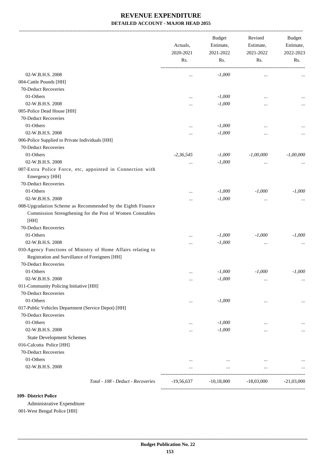|                                                                                                                                         | Actuals,<br>2020-2021<br>Rs. | <b>Budget</b><br>Estimate,<br>2021-2022<br>Rs. | Revised<br>Estimate,<br>2021-2022<br>Rs. | Budget<br>Estimate,<br>2022-2023<br>Rs. |
|-----------------------------------------------------------------------------------------------------------------------------------------|------------------------------|------------------------------------------------|------------------------------------------|-----------------------------------------|
| 02-W.B.H.S. 2008                                                                                                                        |                              | $-1,000$                                       |                                          |                                         |
| 004-Cattle Pounds [HH]                                                                                                                  | $\ddotsc$                    |                                                | $\ldots$                                 |                                         |
| 70-Deduct Recoveries                                                                                                                    |                              |                                                |                                          |                                         |
| 01-Others                                                                                                                               |                              |                                                |                                          |                                         |
| 02-W.B.H.S. 2008                                                                                                                        | $\ddotsc$                    | $-1,000$                                       | $\ddotsc$                                |                                         |
|                                                                                                                                         |                              | $-1,000$                                       |                                          |                                         |
| 005-Police Dead House [HH]                                                                                                              |                              |                                                |                                          |                                         |
| 70-Deduct Recoveries                                                                                                                    |                              |                                                |                                          |                                         |
| 01-Others                                                                                                                               | $\ddotsc$                    | $-1,000$                                       | $\ddotsc$                                |                                         |
| 02-W.B.H.S. 2008                                                                                                                        |                              | $-1,000$                                       |                                          |                                         |
| 006-Police Supplied to Private Individuals [HH]                                                                                         |                              |                                                |                                          |                                         |
| 70-Deduct Recoveries                                                                                                                    |                              |                                                |                                          |                                         |
| 01-Others                                                                                                                               | $-2,36,545$                  | $-1,000$                                       | $-1,00,000$                              | $-1,00,000$                             |
| 02-W.B.H.S. 2008                                                                                                                        | $\ddotsc$                    | $-1,000$                                       | $\cdots$                                 |                                         |
| 007-Extra Police Force, etc, appointed in Connection with                                                                               |                              |                                                |                                          |                                         |
| Emergency [HH]                                                                                                                          |                              |                                                |                                          |                                         |
| 70-Deduct Recoveries                                                                                                                    |                              |                                                |                                          |                                         |
| 01-Others                                                                                                                               |                              | $-1,000$                                       | $-1,000$                                 | $-1,000$                                |
| 02-W.B.H.S. 2008                                                                                                                        |                              | $-1,000$                                       | $\cdots$                                 |                                         |
| 008-Upgradation Scheme as Recommended by the Eighth Finance                                                                             |                              |                                                |                                          |                                         |
| Commission Strengthening for the Post of Women Constables                                                                               |                              |                                                |                                          |                                         |
| [HH]                                                                                                                                    |                              |                                                |                                          |                                         |
| 70-Deduct Recoveries                                                                                                                    |                              |                                                |                                          |                                         |
| 01-Others                                                                                                                               |                              | $-1,000$                                       | $-1,000$                                 | $-1,000$                                |
| 02-W.B.H.S. 2008                                                                                                                        | $\ddotsc$                    | $-1,000$                                       |                                          |                                         |
| 010-Agency Functions of Ministry of Home Affairs relating to<br>Registration and Survillance of Foreigners [HH]<br>70-Deduct Recoveries |                              |                                                |                                          |                                         |
| 01-Others                                                                                                                               | $\cdots$                     | $-1,000$                                       | $-1,000$                                 | $-1,000$                                |
| 02-W.B.H.S. 2008                                                                                                                        | $\cdots$                     | $-1,000$                                       | $\cdots$                                 |                                         |
| 011-Community Policing Initiative [HH]                                                                                                  |                              |                                                |                                          |                                         |
| 70-Deduct Recoveries                                                                                                                    |                              |                                                |                                          |                                         |
| 01-Others                                                                                                                               |                              | $-1,000$                                       | $\cdots$                                 |                                         |
| 017-Public Vehicles Department (Service Depot) [HH]                                                                                     |                              |                                                |                                          |                                         |
| 70-Deduct Recoveries                                                                                                                    |                              |                                                |                                          |                                         |
| 01-Others                                                                                                                               |                              | $-1,000$                                       |                                          |                                         |
| 02-W.B.H.S. 2008                                                                                                                        | $\ddotsc$                    | $-1,000$                                       |                                          |                                         |
| <b>State Development Schemes</b>                                                                                                        |                              |                                                |                                          |                                         |
| 016-Calcutta Police [HH]                                                                                                                |                              |                                                |                                          |                                         |
| 70-Deduct Recoveries                                                                                                                    |                              |                                                |                                          |                                         |
| 01-Others                                                                                                                               | $\cdots$                     | $\cdots$                                       | $\cdots$                                 |                                         |
| 02-W.B.H.S. 2008                                                                                                                        |                              | $\cdots$                                       | $\cdots$                                 |                                         |
| Total - 108 - Deduct - Recoveries                                                                                                       | $-19,56,637$                 | $-10,18,000$                                   | $-18,03,000$                             | $-21,03,000$                            |

#### **109- District Police**

Administrative Expenditure 001-West Bengal Police [HH]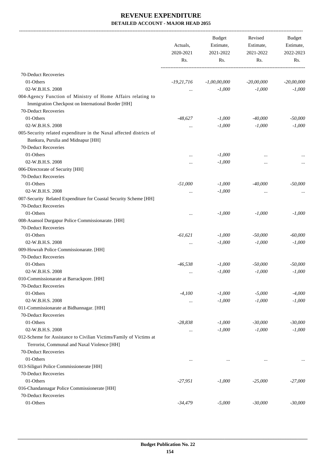-------------------------------------------------------------------------------------------------------------------------------------------------------------------------------

|                                                                                                                   | Actuals,<br>2020-2021<br>Rs. | <b>Budget</b><br>Estimate,<br>2021-2022<br>Rs. | Revised<br>Estimate,<br>2021-2022<br>Rs. | <b>Budget</b><br>Estimate,<br>2022-2023<br>Rs. |
|-------------------------------------------------------------------------------------------------------------------|------------------------------|------------------------------------------------|------------------------------------------|------------------------------------------------|
|                                                                                                                   |                              |                                                |                                          |                                                |
| 70-Deduct Recoveries                                                                                              |                              |                                                |                                          |                                                |
| 01-Others                                                                                                         | $-19,21,716$                 | $-1,00,00,000$                                 | $-20,00,000$                             | $-20,00,000$                                   |
| 02-W.B.H.S. 2008                                                                                                  | $\cdots$                     | $-1,000$                                       | $-1,000$                                 | $-1,000$                                       |
| 004-Agency Function of Ministry of Home Affairs relating to<br>Immigration Checkpost on International Border [HH] |                              |                                                |                                          |                                                |
| 70-Deduct Recoveries                                                                                              |                              |                                                |                                          |                                                |
| 01-Others                                                                                                         | $-48,627$                    | $-1,000$                                       | $-40,000$                                | $-50,000$                                      |
| 02-W.B.H.S. 2008                                                                                                  | $\ldots$                     | $-1,000$                                       | $-1,000$                                 | $-1,000$                                       |
| 005-Security related expenditure in the Naxal affected districts of                                               |                              |                                                |                                          |                                                |
| Bankura, Purulia and Midnapur [HH]                                                                                |                              |                                                |                                          |                                                |
| 70-Deduct Recoveries                                                                                              |                              |                                                |                                          |                                                |
| 01-Others                                                                                                         | $\cdots$                     | $-1,000$                                       |                                          |                                                |
| 02-W.B.H.S. 2008                                                                                                  | $\cdots$                     | $-1,000$                                       |                                          | $\cdots$                                       |
| 006-Directorate of Security [HH]                                                                                  |                              |                                                |                                          |                                                |
| 70-Deduct Recoveries                                                                                              |                              |                                                |                                          |                                                |
| 01-Others                                                                                                         | $-51,000$                    | $-1,000$                                       | $-40,000$                                | $-50,000$                                      |
| 02-W.B.H.S. 2008                                                                                                  | $\cdots$                     | $-1,000$                                       | $\cdots$                                 |                                                |
| 007-Security Related Expenditure for Coastal Security Scheme [HH]<br>70-Deduct Recoveries                         |                              |                                                |                                          |                                                |
| 01-Others                                                                                                         |                              | $-1,000$                                       | $-1,000$                                 | $-1,000$                                       |
| 008-Asansol Durgapur Police Commissionarate. [HH]                                                                 | $\cdots$                     |                                                |                                          |                                                |
| 70-Deduct Recoveries                                                                                              |                              |                                                |                                          |                                                |
| 01-Others                                                                                                         | $-61,621$                    | $-1,000$                                       | $-50,000$                                | $-60,000$                                      |
| 02-W.B.H.S. 2008                                                                                                  |                              | $-1,000$                                       | $-1,000$                                 | $-1,000$                                       |
| 009-Howrah Police Commissionarate. [HH]                                                                           | $\ldots$                     |                                                |                                          |                                                |
| 70-Deduct Recoveries                                                                                              |                              |                                                |                                          |                                                |
| 01-Others                                                                                                         | $-46,538$                    | $-1,000$                                       | $-50,000$                                | $-50,000$                                      |
| 02-W.B.H.S. 2008                                                                                                  |                              | $-1,000$                                       | $-1,000$                                 | $-1,000$                                       |
| 010-Commissionarate at Barrackpore. [HH]                                                                          | $\cdots$                     |                                                |                                          |                                                |
| 70-Deduct Recoveries                                                                                              |                              |                                                |                                          |                                                |
| 01-Others                                                                                                         | $-4,100$                     | $-1,000$                                       | $-5,000$                                 | $-4,000$                                       |
| 02-W.B.H.S. 2008                                                                                                  |                              | $-1,000$                                       | $-1,000$                                 | $-1,000$                                       |
| 011-Commissionarate at Bidhannagar. [HH]                                                                          | $\cdots$                     |                                                |                                          |                                                |
| 70-Deduct Recoveries                                                                                              |                              |                                                |                                          |                                                |
| 01-Others                                                                                                         | $-28,838$                    | $-1,000$                                       | $-30,000$                                | $-30,000$                                      |
| 02-W.B.H.S. 2008                                                                                                  |                              | $-1,000$                                       | $-1,000$                                 | $-1,000$                                       |
| 012-Scheme for Assistance to Civilian Victims/Family of Victims at                                                | $\ldots$                     |                                                |                                          |                                                |
| Terrorist, Communal and Naxal Violence [HH]                                                                       |                              |                                                |                                          |                                                |
| 70-Deduct Recoveries                                                                                              |                              |                                                |                                          |                                                |
| 01-Others                                                                                                         |                              |                                                |                                          |                                                |
| 013-Siliguri Police Commissionerate [HH]                                                                          |                              |                                                |                                          |                                                |
| 70-Deduct Recoveries                                                                                              |                              |                                                |                                          |                                                |
| 01-Others                                                                                                         | $-27,951$                    | $-1,000$                                       | $-25,000$                                | $-27,000$                                      |
| 016-Chandannagar Police Commissionerate [HH]                                                                      |                              |                                                |                                          |                                                |
| 70-Deduct Recoveries                                                                                              |                              |                                                |                                          |                                                |
| 01-Others                                                                                                         | $-34,479$                    | $-5,000$                                       | $-30,000$                                | $-30,000$                                      |
|                                                                                                                   |                              |                                                |                                          |                                                |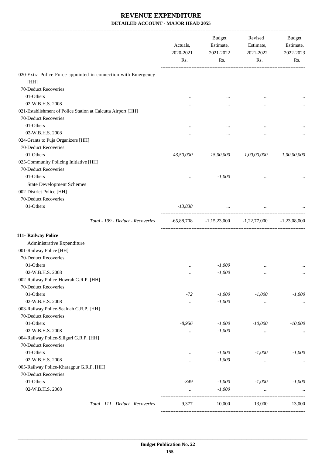|                                                               | Actuals,<br>2020-2021<br>Rs. | <b>Budget</b><br>Estimate,<br>2021-2022<br>Rs. | Revised<br>Estimate,<br>2021-2022<br>Rs.   | Budget<br>Estimate,<br>2022-2023<br>Rs. |
|---------------------------------------------------------------|------------------------------|------------------------------------------------|--------------------------------------------|-----------------------------------------|
| 020-Extra Police Force appointed in connection with Emergency |                              |                                                |                                            |                                         |
| [HH]                                                          |                              |                                                |                                            |                                         |
| 70-Deduct Recoveries                                          |                              |                                                |                                            |                                         |
| 01-Others                                                     |                              |                                                | $\ddotsc$                                  |                                         |
| 02-W.B.H.S. 2008                                              |                              |                                                |                                            |                                         |
| 021-Establishment of Police Station at Calcutta Airport [HH]  |                              |                                                |                                            |                                         |
| 70-Deduct Recoveries                                          |                              |                                                |                                            |                                         |
| 01-Others                                                     |                              |                                                | $\ddotsc$                                  |                                         |
| 02-W.B.H.S. 2008                                              |                              |                                                |                                            |                                         |
| 024-Grants to Puja Organizers [HH]                            |                              |                                                |                                            |                                         |
| 70-Deduct Recoveries                                          |                              |                                                |                                            |                                         |
| 01-Others                                                     | $-43,50,000$                 | $-15,00,000$                                   | $-1,00,00,000$                             | $-1,00,00,000$                          |
| 025-Community Policing Initiative [HH]                        |                              |                                                |                                            |                                         |
| 70-Deduct Recoveries                                          |                              |                                                |                                            |                                         |
| 01-Others                                                     |                              | $-1,000$                                       | $\ddotsc$                                  |                                         |
| <b>State Development Schemes</b>                              |                              |                                                |                                            |                                         |
| 002-District Police [HH]                                      |                              |                                                |                                            |                                         |
| 70-Deduct Recoveries                                          |                              |                                                |                                            |                                         |
| 01-Others                                                     | $-13,838$                    | and the company of the company                 |                                            |                                         |
|                                                               |                              |                                                |                                            |                                         |
| Total - 109 - Deduct - Recoveries                             |                              |                                                | $-65,88,708$ $-1,15,23,000$ $-1,22,77,000$ | $-1,23,08,000$                          |
| 111- Railway Police                                           |                              |                                                |                                            |                                         |
| Administrative Expenditure                                    |                              |                                                |                                            |                                         |
| 001-Railway Police [HH]                                       |                              |                                                |                                            |                                         |
| 70-Deduct Recoveries                                          |                              |                                                |                                            |                                         |
| 01-Others                                                     | $\cdots$                     | $-1,000$                                       | $\ddotsc$                                  |                                         |
| 02-W.B.H.S. 2008                                              | $\ldots$                     | $-1,000$                                       | $\ldots$                                   | $\ldots$                                |
| 002-Railway Police-Howrah G.R.P. [HH]                         |                              |                                                |                                            |                                         |
| 70-Deduct Recoveries                                          |                              |                                                |                                            |                                         |
| 01-Others                                                     | $-72$                        | $-1,000$                                       | $-1,000$                                   | $-1,000$                                |
| 02-W.B.H.S. 2008                                              | $\ldots$                     | $-1,000$                                       | $\ldots$                                   | $\cdots$                                |
| 003-Railway Police-Sealdah G.R,P. [HH]                        |                              |                                                |                                            |                                         |
| 70-Deduct Recoveries                                          |                              |                                                |                                            |                                         |
| 01-Others                                                     | $-8,956$                     | $-1,000$                                       | $-10,000$                                  | $-10,000$                               |
| 02-W.B.H.S. 2008                                              |                              | $-1,000$                                       | $\ddotsc$                                  |                                         |
| 004-Railway Police-Siliguri G.R.P. [HH]                       |                              |                                                |                                            |                                         |
| 70-Deduct Recoveries                                          |                              |                                                |                                            |                                         |
| 01-Others                                                     |                              | $-1,000$                                       | $-1,000$                                   | $-1,000$                                |
| 02-W.B.H.S. 2008                                              |                              | $-1,000$                                       | $\ldots$                                   | $\ldots$                                |
| 005-Railway Police-Kharagpur G.R.P. [HH]                      |                              |                                                |                                            |                                         |
| 70-Deduct Recoveries                                          |                              |                                                |                                            |                                         |
| 01-Others                                                     | $-349$                       | $-1,000$                                       | $-1,000$                                   | $-1,000$                                |
| 02-W.B.H.S. 2008                                              | $\cdots$                     | $-1,000$                                       | $\cdots$                                   |                                         |
|                                                               |                              |                                                |                                            |                                         |
| Total - 111 - Deduct - Recoveries                             | $-9,377$                     | $-10,000$                                      | $-13,000$                                  | $-13,000$                               |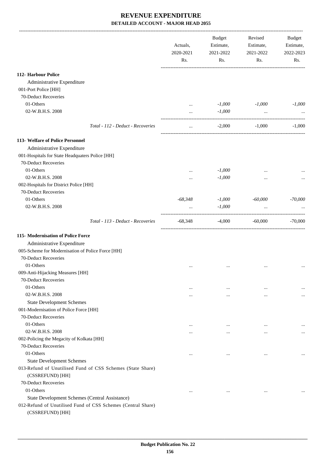|                                                                                  | Actuals,<br>2020-2021<br>Rs. | <b>Budget</b><br>Estimate,<br>2021-2022<br>Rs. | Revised<br>Estimate,<br>2021-2022<br>Rs. | Budget<br>Estimate,<br>2022-2023<br>Rs. |
|----------------------------------------------------------------------------------|------------------------------|------------------------------------------------|------------------------------------------|-----------------------------------------|
| 112- Harbour Police                                                              |                              |                                                |                                          |                                         |
| Administrative Expenditure                                                       |                              |                                                |                                          |                                         |
| 001-Port Police [HH]                                                             |                              |                                                |                                          |                                         |
| 70-Deduct Recoveries                                                             |                              |                                                |                                          |                                         |
| 01-Others                                                                        | $\cdots$                     | $-1,000$                                       | $-1,000$                                 | $-1,000$                                |
| 02-W.B.H.S. 2008                                                                 | $\cdots$                     | $-1,000$                                       | $\ddots$                                 |                                         |
| Total - 112 - Deduct - Recoveries                                                | $\cdots$                     | $-2,000$                                       | $-1,000$                                 | $-1,000$                                |
| 113- Welfare of Police Personnel                                                 |                              |                                                |                                          |                                         |
| Administrative Expenditure                                                       |                              |                                                |                                          |                                         |
| 001-Hospitals for State Headquaters Police [HH]                                  |                              |                                                |                                          |                                         |
| 70-Deduct Recoveries                                                             |                              |                                                |                                          |                                         |
| 01-Others                                                                        |                              | $-1,000$                                       |                                          |                                         |
| 02-W.B.H.S. 2008                                                                 | $\ddotsc$                    | $\text{-}1,000$                                |                                          |                                         |
| 002-Hospitals for District Police [HH]                                           |                              |                                                |                                          |                                         |
| 70-Deduct Recoveries                                                             |                              |                                                |                                          |                                         |
| 01-Others                                                                        | $-68,348$                    | $-1,000$                                       | $-60,000$                                | $-70,000$                               |
| 02-W.B.H.S. 2008                                                                 |                              | $-1,000$                                       |                                          |                                         |
| Total - 113 - Deduct - Recoveries                                                | $-68,348$                    | $-4,000$                                       | ---------------------<br>$-60,000$       | $-70,000$                               |
| 115-Modernisation of Police Force                                                |                              |                                                |                                          |                                         |
| Administrative Expenditure                                                       |                              |                                                |                                          |                                         |
| 005-Scheme for Modernisation of Police Force [HH]                                |                              |                                                |                                          |                                         |
| 70-Deduct Recoveries                                                             |                              |                                                |                                          |                                         |
| 01-Others                                                                        | $\ddotsc$                    | $\cdots$                                       |                                          |                                         |
| 009-Anti-Hijacking Measures [HH]                                                 |                              |                                                |                                          |                                         |
| 70-Deduct Recoveries                                                             |                              |                                                |                                          |                                         |
| 01-Others                                                                        | $\cdots$                     | $\cdots$                                       | $\cdots$                                 |                                         |
| 02-W.B.H.S. 2008                                                                 | $\cdots$                     | $\cdots$                                       | $\cdots$                                 | $\cdots$                                |
| <b>State Development Schemes</b>                                                 |                              |                                                |                                          |                                         |
| 001-Modernisation of Police Force [HH]                                           |                              |                                                |                                          |                                         |
| 70-Deduct Recoveries                                                             |                              |                                                |                                          |                                         |
| 01-Others                                                                        | $\cdots$                     | $\cdots$                                       | $\cdots$                                 | $\cdots$                                |
| 02-W.B.H.S. 2008                                                                 | $\cdots$                     | $\cdots$                                       | $\cdots$                                 | $\cdots$                                |
| 002-Policing the Megacity of Kolkata [HH]                                        |                              |                                                |                                          |                                         |
| 70-Deduct Recoveries                                                             |                              |                                                |                                          |                                         |
| 01-Others                                                                        | $\cdots$                     | $\cdots$                                       | $\cdots$                                 | $\cdots$                                |
| <b>State Development Schemes</b>                                                 |                              |                                                |                                          |                                         |
| 013-Refund of Unutilised Fund of CSS Schemes (State Share)<br>(CSSREFUND) [HH]   |                              |                                                |                                          |                                         |
| 70-Deduct Recoveries                                                             |                              |                                                |                                          |                                         |
| 01-Others                                                                        | $\cdots$                     | $\cdots$                                       | $\cdots$                                 |                                         |
| State Development Schemes (Central Assistance)                                   |                              |                                                |                                          |                                         |
| 012-Refund of Unutilised Fund of CSS Schemes (Central Share)<br>(CSSREFUND) [HH] |                              |                                                |                                          |                                         |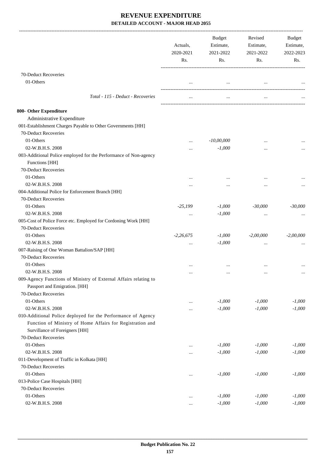|                                                                                             | Actuals,<br>2020-2021<br>Rs. | Budget<br>Estimate,<br>2021-2022<br>Rs. | Revised<br>Estimate,<br>2021-2022<br>Rs. | Budget<br>Estimate,<br>2022-2023<br>Rs. |
|---------------------------------------------------------------------------------------------|------------------------------|-----------------------------------------|------------------------------------------|-----------------------------------------|
| 70-Deduct Recoveries                                                                        |                              |                                         |                                          |                                         |
| 01-Others                                                                                   |                              |                                         |                                          |                                         |
|                                                                                             |                              |                                         |                                          |                                         |
| Total - 115 - Deduct - Recoveries                                                           |                              | $\cdots$                                |                                          |                                         |
| 800- Other Expenditure                                                                      |                              |                                         |                                          |                                         |
| Administrative Expenditure                                                                  |                              |                                         |                                          |                                         |
| 001-Establishment Charges Payable to Other Governments [HH]                                 |                              |                                         |                                          |                                         |
| 70-Deduct Recoveries                                                                        |                              |                                         |                                          |                                         |
| 01-Others                                                                                   |                              | $-10,00,000$                            |                                          |                                         |
| 02-W.B.H.S. 2008                                                                            | .                            | $-1,000$                                | $\ddotsc$                                |                                         |
| 003-Additional Police employed for the Performance of Non-agency                            |                              |                                         |                                          |                                         |
| Functions [HH]                                                                              |                              |                                         |                                          |                                         |
| 70-Deduct Recoveries                                                                        |                              |                                         |                                          |                                         |
| 01-Others                                                                                   | $\cdots$                     | $\cdots$                                |                                          |                                         |
| 02-W.B.H.S. 2008                                                                            | .                            |                                         |                                          |                                         |
| 004-Additional Police for Enforcement Branch [HH]                                           |                              |                                         |                                          |                                         |
| 70-Deduct Recoveries                                                                        |                              |                                         |                                          |                                         |
| 01-Others                                                                                   | $-25,199$                    | $-1,000$                                | $-30,000$                                | $-30,000$                               |
| 02-W.B.H.S. 2008                                                                            |                              | $-1,000$                                |                                          |                                         |
| 005-Cost of Police Force etc. Employed for Cordoning Work [HH]                              |                              |                                         |                                          |                                         |
| 70-Deduct Recoveries                                                                        |                              |                                         |                                          |                                         |
| 01-Others                                                                                   | $-2,26,675$                  | $-1,000$                                | $-2,00,000$                              | $-2,00,000$                             |
| 02-W.B.H.S. 2008                                                                            | $\cdots$                     | $-1,000$                                | $\cdots$                                 |                                         |
| 007-Raising of One Woman Battalion/SAP [HH]                                                 |                              |                                         |                                          |                                         |
| 70-Deduct Recoveries                                                                        |                              |                                         |                                          |                                         |
| 01-Others                                                                                   | $\cdots$                     | $\cdots$                                |                                          |                                         |
| 02-W.B.H.S. 2008                                                                            | $\cdots$                     | $\cdots$                                | $\cdots$                                 | $\cdots$                                |
| 009-Agency Functions of Ministry of External Affairs relating to                            |                              |                                         |                                          |                                         |
| Passport and Emigration. [HH]                                                               |                              |                                         |                                          |                                         |
| 70-Deduct Recoveries                                                                        |                              |                                         |                                          |                                         |
| 01-Others                                                                                   | $\cdots$                     | $-1,000$                                | $-1,000$                                 | $-1,000$                                |
| 02-W.B.H.S. 2008                                                                            |                              | $-1,000$                                | $-1,000$                                 | $-1,000$                                |
| 010-Additional Police deployed for the Performance of Agency                                |                              |                                         |                                          |                                         |
| Function of Ministry of Home Affairs for Registration and<br>Survillance of Foreigners [HH] |                              |                                         |                                          |                                         |
| 70-Deduct Recoveries                                                                        |                              |                                         |                                          |                                         |
| 01-Others                                                                                   |                              | $-1,000$                                | $-1,000$                                 | $-1,000$                                |
| 02-W.B.H.S. 2008                                                                            |                              | $-1,000$                                | $-1,000$                                 | $-1,000$                                |
| 011-Development of Traffic in Kolkata [HH]                                                  |                              |                                         |                                          |                                         |
| 70-Deduct Recoveries                                                                        |                              |                                         |                                          |                                         |
| 01-Others                                                                                   |                              | $-1,000$                                | $-1,000$                                 | $-1,000$                                |
| 013-Police Case Hospitals [HH]                                                              |                              |                                         |                                          |                                         |
| 70-Deduct Recoveries                                                                        |                              |                                         |                                          |                                         |
| 01-Others                                                                                   |                              | $-1,000$                                | $-1,000$                                 | $-1,000$                                |
| 02-W.B.H.S. 2008                                                                            |                              | $-1,000$                                | $-1,000$                                 | $-1,000$                                |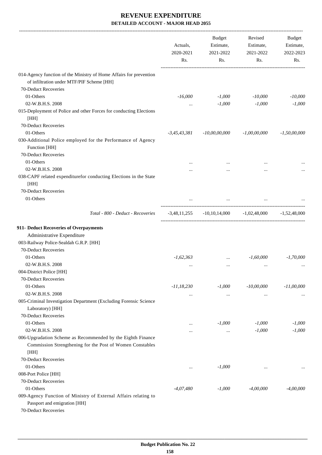|                                                                                                                 | Actuals,<br>2020-2021<br>Rs. | <b>Budget</b><br>Estimate,<br>2021-2022<br>Rs. | Revised<br>Estimate,<br>2021-2022<br>Rs. | <b>Budget</b><br>Estimate,<br>2022-2023<br>Rs. |
|-----------------------------------------------------------------------------------------------------------------|------------------------------|------------------------------------------------|------------------------------------------|------------------------------------------------|
| 014-Agency function of the Ministry of Home Affairs for prevention<br>of infiltration under MTF/PIF Scheme [HH] |                              |                                                |                                          |                                                |
| 70-Deduct Recoveries                                                                                            |                              |                                                |                                          |                                                |
| 01-Others                                                                                                       | $-16,000$                    | $-1,000$                                       | $-10,000$                                | $-10,000$                                      |
| 02-W.B.H.S. 2008                                                                                                | $\cdots$                     | $-1,000$                                       | $-1,000$                                 | $-1,000$                                       |
| 015-Deployment of Police and other Forces for conducting Elections<br>[HH]                                      |                              |                                                |                                          |                                                |
| 70-Deduct Recoveries                                                                                            |                              |                                                |                                          |                                                |
| 01-Others                                                                                                       | $-3,45,43,381$               | $-10,00,00,000$                                | $-1,00,00,000$                           | $-1,50,00,000$                                 |
| 030-Additional Police employed for the Performance of Agency<br>Function [HH]                                   |                              |                                                |                                          |                                                |
| 70-Deduct Recoveries                                                                                            |                              |                                                |                                          |                                                |
| 01-Others                                                                                                       |                              |                                                |                                          |                                                |
| 02-W.B.H.S. 2008                                                                                                |                              |                                                |                                          |                                                |
| 038-CAPF related expenditurefor conducting Elections in the State<br>[HH]                                       |                              |                                                |                                          |                                                |
| 70-Deduct Recoveries                                                                                            |                              |                                                |                                          |                                                |
| 01-Others                                                                                                       |                              |                                                |                                          |                                                |
| Total - 800 - Deduct - Recoveries                                                                               | $-3,48,11,255$               | $-10, 10, 14, 000$                             | $-1,02,48,000$                           | -1.52.48.000                                   |
| 911- Deduct Recoveries of Overpayments                                                                          |                              |                                                |                                          |                                                |
| Administrative Expenditure                                                                                      |                              |                                                |                                          |                                                |
| 003-Railway Police-Sealdah G.R.P. [HH]                                                                          |                              |                                                |                                          |                                                |
| 70-Deduct Recoveries                                                                                            |                              |                                                |                                          |                                                |
| 01-Others                                                                                                       | $-1,62,363$                  | $\cdots$                                       | $-1,60,000$                              | $-1,70,000$                                    |
| 02-W.B.H.S. 2008                                                                                                | $\cdots$                     |                                                | $\cdots$                                 |                                                |
| 004-District Police [HH]                                                                                        |                              |                                                |                                          |                                                |
| 70-Deduct Recoveries                                                                                            |                              |                                                |                                          |                                                |
| 01-Others                                                                                                       | $-11,18,230$                 | $-1,000$                                       | $-10,00,000$                             | $-11,00,000$                                   |
| 02-W.B.H.S. 2008                                                                                                | $\cdots$                     | $\cdots$                                       | $\cdots$                                 |                                                |
| 005-Criminal Investigation Department (Excluding Forensic Science                                               |                              |                                                |                                          |                                                |
| Laboratory) [HH]                                                                                                |                              |                                                |                                          |                                                |
| 70-Deduct Recoveries                                                                                            |                              |                                                |                                          |                                                |
| 01-Others                                                                                                       | $\cdots$                     | $-1,000$                                       | $-1,000$                                 | $-1,000$                                       |
| 02-W.B.H.S. 2008<br>006-Upgradation Scheme as Recommended by the Eighth Finance                                 | $\cdots$                     | $\ldots$                                       | $-1,000$                                 | $-1,000$                                       |
| Commission Strengthening for the Post of Women Constables                                                       |                              |                                                |                                          |                                                |
| [HH]                                                                                                            |                              |                                                |                                          |                                                |
| 70-Deduct Recoveries                                                                                            |                              |                                                |                                          |                                                |
| 01-Others                                                                                                       |                              | $-1,000$                                       |                                          |                                                |
| 008-Port Police [HH]                                                                                            | $\cdots$                     |                                                | $\cdots$                                 | $\cdots$                                       |
| 70-Deduct Recoveries                                                                                            |                              |                                                |                                          |                                                |
| 01-Others                                                                                                       | $-4,07,480$                  | $-1,000$                                       | $-4,00,000$                              | -4,00,000                                      |
| 009-Agency Function of Ministry of External Affairs relating to<br>Passport and emigration [HH]                 |                              |                                                |                                          |                                                |
| 70-Deduct Recoveries                                                                                            |                              |                                                |                                          |                                                |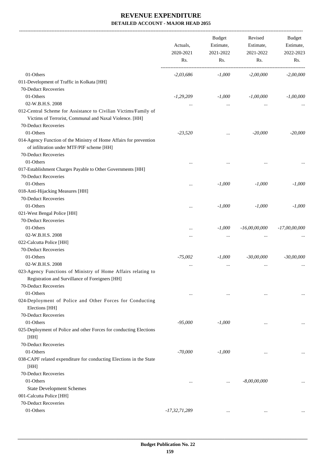-------------------------------------------------------------------------------------------------------------------------------------------------------------------------------

|                                                                                                                                         | Actuals,<br>2020-2021<br>Rs. | <b>Budget</b><br>Estimate,<br>2021-2022<br>Rs. | Revised<br>Estimate,<br>2021-2022<br>Rs. | <b>Budget</b><br>Estimate,<br>2022-2023<br>Rs. |
|-----------------------------------------------------------------------------------------------------------------------------------------|------------------------------|------------------------------------------------|------------------------------------------|------------------------------------------------|
| 01-Others                                                                                                                               | $-2,03,686$                  | $-1,000$                                       | $-2,00,000$                              | $-2,00,000$                                    |
| 011-Development of Traffic in Kolkata [HH]                                                                                              |                              |                                                |                                          |                                                |
| 70-Deduct Recoveries                                                                                                                    |                              |                                                |                                          |                                                |
| 01-Others                                                                                                                               | $-1,29,209$                  | $-1,000$                                       | $-1,00,000$                              | $-1,00,000$                                    |
| 02-W.B.H.S. 2008                                                                                                                        | $\cdots$                     |                                                |                                          |                                                |
| 012-Central Scheme for Assistance to Civilian Victims/Family of                                                                         |                              |                                                |                                          |                                                |
| Victims of Terrorist, Communal and Naxal Violence. [HH]                                                                                 |                              |                                                |                                          |                                                |
| 70-Deduct Recoveries                                                                                                                    |                              |                                                |                                          |                                                |
| 01-Others                                                                                                                               | $-23,520$                    | $\cdots$                                       | $-20,000$                                | $-20,000$                                      |
| 014-Agency Function of the Ministry of Home Affairs for prevention<br>of infiltration under MTF/PIF scheme [HH]<br>70-Deduct Recoveries |                              |                                                |                                          |                                                |
| 01-Others                                                                                                                               |                              |                                                |                                          |                                                |
| 017-Establishment Charges Payable to Other Governments [HH]                                                                             |                              |                                                |                                          |                                                |
| 70-Deduct Recoveries                                                                                                                    |                              |                                                |                                          |                                                |
| 01-Others                                                                                                                               |                              | $-1,000$                                       | $-1,000$                                 | $-1,000$                                       |
| 018-Anti-Hijacking Measures [HH]                                                                                                        |                              |                                                |                                          |                                                |
| 70-Deduct Recoveries                                                                                                                    |                              |                                                |                                          |                                                |
| 01-Others                                                                                                                               | $\ddotsc$                    | $-1,000$                                       | $-1,000$                                 | $-1,000$                                       |
| 021-West Bengal Police [HH]                                                                                                             |                              |                                                |                                          |                                                |
| 70-Deduct Recoveries                                                                                                                    |                              |                                                |                                          |                                                |
| 01-Others                                                                                                                               |                              | $-1,000$                                       | $-16,00,00,000$                          | $-17,00,00,000$                                |
| 02-W.B.H.S. 2008                                                                                                                        | $\cdots$                     | $\cdots$                                       |                                          |                                                |
| 022-Calcutta Police [HH]                                                                                                                |                              |                                                |                                          |                                                |
| 70-Deduct Recoveries                                                                                                                    |                              |                                                |                                          |                                                |
| 01-Others                                                                                                                               | $-75,002$                    | $-1,000$                                       | $-30,00,000$                             | $-30,00,000$                                   |
| 02-W.B.H.S. 2008                                                                                                                        | $\ddotsc$                    | $\cdots$                                       |                                          |                                                |
| 023-Agency Functions of Ministry of Home Affairs relating to<br>Registration and Survillance of Foreigners [HH]                         |                              |                                                |                                          |                                                |
| 70-Deduct Recoveries                                                                                                                    |                              |                                                |                                          |                                                |
| 01-Others                                                                                                                               | $\ddotsc$                    | $\cdots$                                       | $\cdots$                                 |                                                |
| 024-Deployment of Police and Other Forces for Conducting<br>Elections [HH]                                                              |                              |                                                |                                          |                                                |
| 70-Deduct Recoveries                                                                                                                    |                              |                                                |                                          |                                                |
| 01-Others                                                                                                                               | $-95,000$                    | $-1,000$                                       | $\cdots$                                 |                                                |
| 025-Deployment of Police and other Forces for conducting Elections<br>[HH]                                                              |                              |                                                |                                          |                                                |
| 70-Deduct Recoveries                                                                                                                    |                              |                                                |                                          |                                                |
| 01-Others                                                                                                                               | $-70,000$                    | $-1,000$                                       |                                          |                                                |
| 038-CAPF related expenditure for conducting Elections in the State<br>[HH]                                                              |                              |                                                |                                          |                                                |
| 70-Deduct Recoveries                                                                                                                    |                              |                                                |                                          |                                                |
| 01-Others                                                                                                                               | $\cdots$                     |                                                | $-8,00,00,000$                           |                                                |
| <b>State Development Schemes</b>                                                                                                        |                              |                                                |                                          |                                                |
| 001-Calcutta Police [HH]                                                                                                                |                              |                                                |                                          |                                                |
| 70-Deduct Recoveries                                                                                                                    |                              |                                                |                                          |                                                |
| 01-Others                                                                                                                               | $-17,32,71,289$              | $\cdots$                                       | $\cdots$                                 | $\cdots$                                       |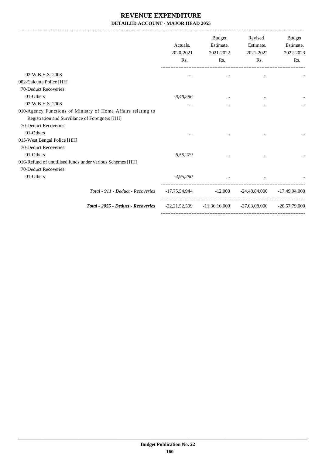-------------------------------------------------------------------------------------------------------------------------------------------------------------------------------

|                                                                                                                 | Actuals,<br>2020-2021<br>Rs.                              | <b>Budget</b><br>Estimate,<br>2021-2022<br>Rs. | Revised<br>Estimate,<br>2021-2022<br>Rs.                        | <b>Budget</b><br>Estimate,<br>2022-2023<br>Rs. |
|-----------------------------------------------------------------------------------------------------------------|-----------------------------------------------------------|------------------------------------------------|-----------------------------------------------------------------|------------------------------------------------|
| 02-W.B.H.S. 2008                                                                                                | $\cdots$                                                  |                                                |                                                                 |                                                |
| 002-Calcutta Police [HH]                                                                                        |                                                           |                                                |                                                                 |                                                |
| 70-Deduct Recoveries                                                                                            |                                                           |                                                |                                                                 |                                                |
| 01-Others                                                                                                       | $-8,48,596$                                               | $\cdots$                                       | $\cdots$                                                        |                                                |
| 02-W.B.H.S. 2008                                                                                                | $\cdots$                                                  | $\cdots$                                       | $\cdots$                                                        |                                                |
| 010-Agency Functions of Ministry of Home Affairs relating to<br>Registration and Survillance of Foreigners [HH] |                                                           |                                                |                                                                 |                                                |
| 70-Deduct Recoveries<br>01-Others                                                                               |                                                           |                                                |                                                                 |                                                |
|                                                                                                                 | $\cdots$                                                  |                                                | $\cdots$                                                        |                                                |
| 015-West Bengal Police [HH]<br>70-Deduct Recoveries                                                             |                                                           |                                                |                                                                 |                                                |
| 01-Others                                                                                                       | $-6,55,279$                                               | $\cdots$                                       |                                                                 |                                                |
| 016-Refund of unutilised funds under various Schemes [HH]                                                       |                                                           |                                                |                                                                 |                                                |
| 70-Deduct Recoveries                                                                                            |                                                           |                                                |                                                                 |                                                |
| 01-Others                                                                                                       | $-4,95,290$                                               | $\ddotsc$                                      | $\cdots$                                                        |                                                |
| Total - 911 - Deduct - Recoveries                                                                               | $-17,75,54,944$ $-12,000$ $-24,48,84,000$ $-17,49,94,000$ |                                                |                                                                 |                                                |
| Total - 2055 - Deduct - Recoveries                                                                              |                                                           |                                                | $-22,21,52,509$ $-11,36,16,000$ $-27,03,08,000$ $-20,57,79,000$ |                                                |
|                                                                                                                 |                                                           |                                                |                                                                 |                                                |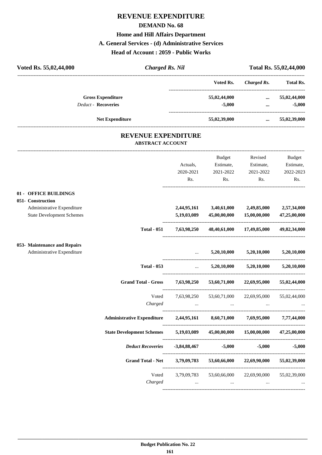# **REVENUE EXPENDITURE DEMAND No. 68 Home and Hill Affairs Department A. General Services - (d) Administrative Services Head of Account : 2059 - Public Works**

| <b>Charged Rs. Nil</b><br>Voted Rs. 55,02,44,000                                                             |                               |                                     |                                                    | Total Rs. 55,02,44,000                  |
|--------------------------------------------------------------------------------------------------------------|-------------------------------|-------------------------------------|----------------------------------------------------|-----------------------------------------|
|                                                                                                              |                               | Voted Rs.                           | <b>Charged Rs.</b>                                 | <b>Total Rs.</b>                        |
| <b>Gross Expenditure</b><br><b>Deduct - Recoveries</b>                                                       |                               | 55,02,44,000<br>$-5,000$            | $\cdots$<br>$\cdots$                               | 55,02,44,000<br>$-5,000$                |
| <b>Net Expenditure</b>                                                                                       |                               | 55,02,39,000                        |                                                    | $\dots$ 55,02,39,000                    |
| <b>REVENUE EXPENDITURE</b><br><b>ABSTRACT ACCOUNT</b>                                                        |                               |                                     |                                                    |                                         |
|                                                                                                              | Actuals,<br>2020-2021<br>Rs.  | <b>Budget</b><br>2021-2022<br>Rs.   | Revised<br>Estimate, Estimate,<br>2021-2022<br>Rs. | Budget<br>Estimate,<br>2022-2023<br>Rs. |
| 01 - OFFICE BUILDINGS<br>051- Construction<br>Administrative Expenditure<br><b>State Development Schemes</b> | 2,44,95,161<br>5,19,03,089    | 3,40,61,000<br>45,00,00,000         | 2,49,85,000<br>15,00,00,000                        | 2,57,34,000<br>47,25,00,000             |
| <b>Total - 051</b>                                                                                           | 7,63,98,250                   |                                     | 48,40,61,000 17,49,85,000                          | 49,82,34,000                            |
| 053- Maintenance and Repairs<br>Administrative Expenditure                                                   |                               | 5,20,10,000                         | 5,20,10,000                                        | 5,20,10,000                             |
| <b>Total - 053</b>                                                                                           | $\mathbf{r}$ and $\mathbf{r}$ | 5,20,10,000                         | 5,20,10,000                                        | 5,20,10,000                             |
| <b>Grand Total - Gross</b>                                                                                   | 7,63,98,250                   | 53,60,71,000                        | 22,69,95,000                                       | 55,02,44,000                            |
| Voted<br>Charged                                                                                             | 7,63,98,250<br>$\cdots$       | 53,60,71,000<br>$\cdots$            | 22,69,95,000                                       | 55,02,44,000                            |
| <b>Administrative Expenditure</b>                                                                            |                               | 2,44,95,161 8,60,71,000 7,69,95,000 |                                                    | 7,77,44,000                             |
| <b>State Development Schemes</b>                                                                             | 5,19,03,089                   | 45,00,00,000                        | 15,00,00,000                                       | 47,25,00,000                            |
| <b>Deduct Recoveries</b>                                                                                     | -3,84,88,467                  | $-5,000$                            | $-5,000$                                           | $-5,000$                                |
| Grand Total - Net 3,79,09,783                                                                                |                               |                                     | 53,60,66,000 22,69,90,000                          | 55,02,39,000                            |
| Voted<br>Charged                                                                                             | 3,79,09,783<br>$\cdots$       | $\cdots$                            | 53,60,66,000 22,69,90,000<br>$\cdots$              | 55,02,39,000                            |

----------------------------------------------------------------------------------------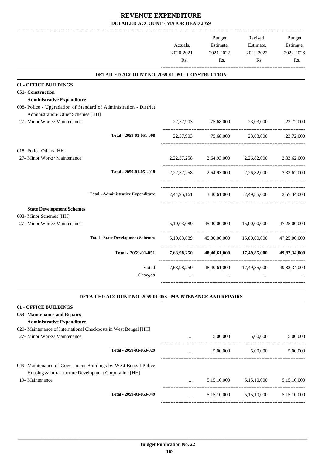|                                                                                            |                                                                    | Actuals,<br>2020-2021<br>Rs. | Budget<br>Estimate,<br>2021-2022<br>Rs. | Revised<br>Estimate,<br>2021-2022<br>Rs.        | Budget<br>Estimate,<br>2022-2023<br>Rs. |
|--------------------------------------------------------------------------------------------|--------------------------------------------------------------------|------------------------------|-----------------------------------------|-------------------------------------------------|-----------------------------------------|
|                                                                                            | DETAILED ACCOUNT NO. 2059-01-051 - CONSTRUCTION                    |                              |                                         |                                                 |                                         |
| 01 - OFFICE BUILDINGS                                                                      |                                                                    |                              |                                         |                                                 |                                         |
| 051- Construction<br><b>Administrative Expenditure</b>                                     |                                                                    |                              |                                         |                                                 |                                         |
|                                                                                            | 008- Police - Upgradation of Standard of Administration - District |                              |                                         |                                                 |                                         |
| Administration- Other Schemes [HH]                                                         |                                                                    |                              |                                         |                                                 |                                         |
| 27- Minor Works/ Maintenance                                                               |                                                                    |                              |                                         | 22,57,903 75,68,000 23,03,000                   | 23,72,000                               |
|                                                                                            | Total - 2059-01-051-008                                            |                              |                                         | 22,57,903 75,68,000 23,03,000 23,72,000         |                                         |
| 018- Police-Others [HH]                                                                    |                                                                    |                              |                                         |                                                 |                                         |
| 27- Minor Works/ Maintenance                                                               |                                                                    |                              |                                         | 2,22,37,258 2,64,93,000 2,26,82,000             | 2,33,62,000                             |
|                                                                                            | Total - 2059-01-051-018                                            |                              |                                         | 2,22,37,258 2,64,93,000 2,26,82,000 2,33,62,000 |                                         |
|                                                                                            | <b>Total - Administrative Expenditure</b>                          |                              |                                         | 2,44,95,161 3,40,61,000 2,49,85,000 2,57,34,000 |                                         |
| <b>State Development Schemes</b>                                                           |                                                                    |                              |                                         |                                                 |                                         |
| 003- Minor Schemes [HH]                                                                    |                                                                    |                              |                                         |                                                 |                                         |
| 27- Minor Works/ Maintenance                                                               |                                                                    | 5,19,03,089                  |                                         | 45,00,00,000 15,00,00,000                       | 47,25,00,000                            |
|                                                                                            | <b>Total - State Development Schemes</b>                           | 5,19,03,089                  |                                         | 45,00,00,000 15,00,00,000                       | 47,25,00,000                            |
|                                                                                            | Total - 2059-01-051                                                | 7,63,98,250                  |                                         | 48,40,61,000 17,49,85,000                       | 49,82,34,000                            |
|                                                                                            | Voted<br>Charged                                                   | 7,63,98,250                  | 48,40,61,000                            | 17,49,85,000                                    | 49,82,34,000                            |
|                                                                                            |                                                                    |                              |                                         |                                                 |                                         |
|                                                                                            | <b>DETAILED ACCOUNT NO. 2059-01-053 - MAINTENANCE AND REPAIRS</b>  |                              |                                         |                                                 |                                         |
| 01 - OFFICE BUILDINGS<br>053- Maintenance and Repairs<br><b>Administrative Expenditure</b> |                                                                    |                              |                                         |                                                 |                                         |
| 029- Maintenance of International Checkposts in West Bengal [HH]                           |                                                                    |                              |                                         |                                                 |                                         |
| 27- Minor Works/ Maintenance                                                               |                                                                    |                              | 5,00,000                                | 5,00,000                                        | 5,00,000                                |
|                                                                                            | Total - 2059-01-053-029                                            | $\cdots$                     |                                         | 5,00,000 5,00,000                               | 5,00,000                                |
|                                                                                            | 049- Maintenance of Government Buildings by West Bengal Police     |                              |                                         |                                                 |                                         |
| Housing & Infrastructure Development Corporation [HH]                                      |                                                                    |                              |                                         |                                                 |                                         |
| 19- Maintenance                                                                            |                                                                    |                              |                                         | 5,15,10,000 5,15,10,000 5,15,10,000             |                                         |
|                                                                                            | Total - 2059-01-053-049                                            | $\cdots$                     | 5,15,10,000                             | 5,15,10,000                                     | 5,15,10,000                             |
|                                                                                            |                                                                    |                              |                                         |                                                 |                                         |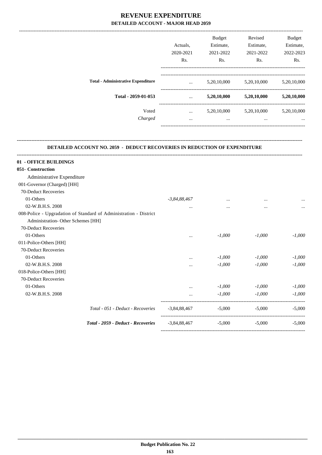|                                           |                  | <b>Budget</b> | Revised     | <b>Budget</b> |
|-------------------------------------------|------------------|---------------|-------------|---------------|
|                                           | Actuals.         | Estimate,     | Estimate,   | Estimate,     |
|                                           | 2020-2021        | 2021-2022     | 2021-2022   | 2022-2023     |
|                                           | R <sub>s</sub> . | Rs.           | Rs.         | Rs.           |
| <b>Total - Administrative Expenditure</b> | $\cdots$         | 5,20,10,000   | 5,20,10,000 | 5,20,10,000   |
| Total - 2059-01-053                       |                  |               |             |               |
|                                           | $\cdots$         | 5,20,10,000   | 5,20,10,000 | 5,20,10,000   |
| Voted                                     | $\cdots$         | 5,20,10,000   | 5,20,10,000 | 5,20,10,000   |
| Charged                                   | $\cdots$         | $\cdots$      | $\cdots$    | $\cdots$      |
|                                           |                  |               |             |               |

#### **DETAILED ACCOUNT NO. 2059 - DEDUCT RECOVERIES IN REDUCTION OF EXPENDITURE**

**--------------------------------------------------------------------------------------------------------------------------------------------------------------------------------**

| $-3,84,88,467$ | $\cdots$ | $\cdots$       |          |
|----------------|----------|----------------|----------|
| $\cdots$       | $\cdots$ | $\cdots$       |          |
|                |          |                |          |
|                |          |                |          |
|                |          |                |          |
| $\cdots$       | $-1,000$ | $-1,000$       | $-1.000$ |
|                |          |                |          |
|                |          |                |          |
| $\cdots$       | $-1,000$ | $-1,000$       | $-1,000$ |
|                | $-1,000$ | $-1,000$       | $-1.000$ |
|                |          |                |          |
|                |          |                |          |
| $\cdots$       | $-1,000$ | $-1,000$       | $-1,000$ |
|                | $-1,000$ | $-1,000$       | $-1,000$ |
| -3,84,88,467   | $-5,000$ | $-5,000$       | $-5,000$ |
|                | $-5,000$ | $-5,000$       | $-5.000$ |
|                |          | $-3,84,88,467$ |          |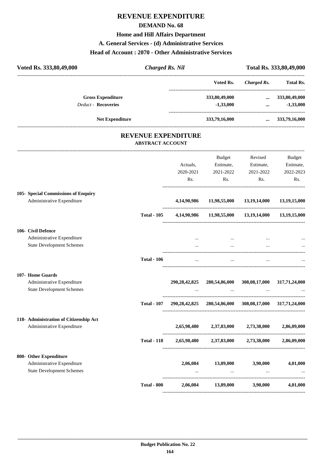## **REVENUE EXPENDITURE**

#### **DEMAND No. 68**

## **Home and Hill Affairs Department**

#### **A. General Services - (d) Administrative Services**

#### **Head of Account : 2070 - Other Administrative Services**

| Voted Rs. 333,80,49,000                                              | <b>Charged Rs. Nil</b>  |                            |                                                         |                           | Total Rs. 333,80,49,000 |
|----------------------------------------------------------------------|-------------------------|----------------------------|---------------------------------------------------------|---------------------------|-------------------------|
|                                                                      |                         |                            | Voted Rs.                                               | <b>Charged Rs.</b>        | <b>Total Rs.</b>        |
| <b>Gross Expenditure</b>                                             |                         |                            | 333,80,49,000                                           |                           | $\dots$ 333,80,49,000   |
| <b>Deduct - Recoveries</b>                                           |                         |                            | $-1,33,000$<br>------------------------------------     | $\cdots$                  | $-1,33,000$             |
| Net Expenditure                                                      |                         |                            | 333,79,16,000                                           | $\cdots$                  | 333,79,16,000           |
|                                                                      | <b>ABSTRACT ACCOUNT</b> | <b>REVENUE EXPENDITURE</b> |                                                         |                           |                         |
|                                                                      |                         |                            | Budget                                                  | Revised                   | <b>Budget</b>           |
|                                                                      |                         | Actuals,                   | Estimate,                                               | Estimate,                 | Estimate,               |
|                                                                      |                         | 2020-2021                  | 2021-2022                                               | 2021-2022                 | 2022-2023               |
|                                                                      |                         | Rs.                        | Rs.                                                     | Rs.                       | Rs.                     |
| 105- Special Commissions of Enquiry                                  |                         |                            |                                                         |                           |                         |
| Administrative Expenditure                                           |                         | 4,14,90,986                |                                                         | 11,98,55,000 13,19,14,000 | 13,19,15,000            |
|                                                                      | <b>Total - 105</b>      |                            | 4,14,90,986 11,98,55,000 13,19,14,000 13,19,15,000      |                           |                         |
| 106- Civil Defence                                                   |                         |                            |                                                         |                           |                         |
| Administrative Expenditure                                           |                         |                            | $\cdots$                                                |                           |                         |
| <b>State Development Schemes</b>                                     |                         |                            | $\cdots$                                                |                           |                         |
|                                                                      | <b>Total - 106</b>      |                            |                                                         |                           |                         |
| 107- Home Guards                                                     |                         |                            |                                                         |                           |                         |
| Administrative Expenditure<br><b>State Development Schemes</b>       |                         | 290, 28, 42, 825           | 280,54,86,000                                           | 308,08,17,000             | 317,71,24,000           |
|                                                                      | <b>Total - 107</b>      |                            | 290,28,42,825 280,54,86,000 308,08,17,000 317,71,24,000 |                           |                         |
| 118- Administration of Citizenship Act<br>Administrative Expenditure |                         |                            | 2,65,98,480 2,37,83,000 2,73,38,000                     |                           | 2,86,09,000             |
|                                                                      | <b>Total - 118</b>      |                            | 2,65,98,480 2,37,83,000 2,73,38,000 2,86,09,000         |                           |                         |
| 800- Other Expenditure                                               |                         |                            |                                                         |                           |                         |
| Administrative Expenditure<br><b>State Development Schemes</b>       |                         | 2,06,084                   | 13,89,000                                               | 3,90,000                  | 4,01,000                |
|                                                                      |                         |                            | $\sim 100$                                              | $\cdots$                  |                         |
|                                                                      | <b>Total - 800</b>      |                            | 2,06,084 13,89,000 3,90,000                             |                           | 4,01,000                |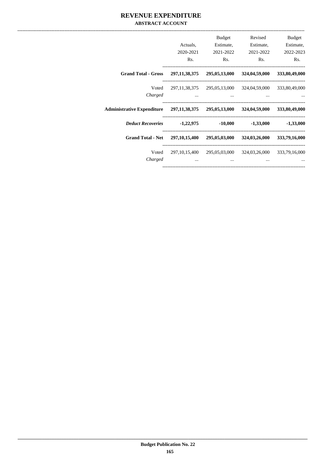#### **REVENUE EXPENDITURE ABSTRACT ACCOUNT**

| Budget<br>Estimate,<br>2022-2023 | Revised<br>Estimate,<br>2021-2022 | Budget<br>Estimate,<br>2021-2022  | Actuals,<br>2020-2021 |                                                                      |
|----------------------------------|-----------------------------------|-----------------------------------|-----------------------|----------------------------------------------------------------------|
| Rs.                              | Rs.                               | Rs.                               | Rs.                   |                                                                      |
| 333,80,49,000                    | 324,04,59,000                     | 295,05,13,000                     | 297, 11, 38, 375      | <b>Grand Total - Gross</b>                                           |
| 333,80,49,000                    | 324,04,59,000                     | 297,11,38,375 295,05,13,000       |                       | Voted                                                                |
|                                  | $\cdots$                          | $\cdots$                          | $\cdots$              | Charged                                                              |
| 333,80,49,000                    |                                   |                                   |                       | Administrative Expenditure 297,11,38,375 295,05,13,000 324,04,59,000 |
| $-1,33,000$                      | $-1,33,000$                       | $-10,000$                         |                       | Deduct Recoveries -1,22,975                                          |
| 333,79,16,000                    | 324,03,26,000                     | 297,10,15,400 295,05,03,000       |                       | <b>Grand Total - Net</b>                                             |
| 333,79,16,000                    | 324,03,26,000                     | 297, 10, 15, 400 295, 05, 03, 000 |                       | Voted                                                                |
|                                  | $\cdots$                          | $\cdots$                          | $\cdots$              | Charged                                                              |
|                                  |                                   |                                   |                       |                                                                      |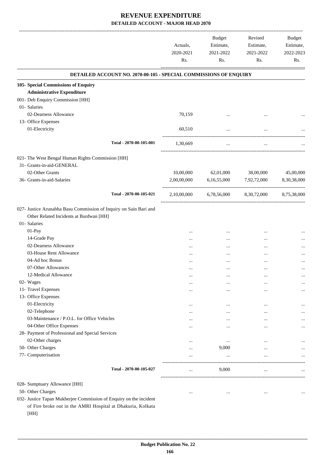|                                                                    | Actuals,<br>2020-2021<br>Rs. | <b>Budget</b><br>Estimate,<br>2021-2022<br>Rs. | Revised<br>Estimate,<br>2021-2022<br>Rs. | Budget<br>Estimate,<br>2022-2023<br>Rs. |
|--------------------------------------------------------------------|------------------------------|------------------------------------------------|------------------------------------------|-----------------------------------------|
| DETAILED ACCOUNT NO. 2070-00-105 - SPECIAL COMMISSIONS OF ENQUIRY  |                              |                                                |                                          |                                         |
| 105- Special Commissions of Enquiry                                |                              |                                                |                                          |                                         |
| <b>Administrative Expenditure</b>                                  |                              |                                                |                                          |                                         |
| 001- Deb Enquiry Commission [HH]                                   |                              |                                                |                                          |                                         |
| 01- Salaries                                                       |                              |                                                |                                          |                                         |
| 02-Dearness Allowance                                              | 70,159                       |                                                | $\ddotsc$                                |                                         |
| 13- Office Expenses                                                |                              |                                                |                                          |                                         |
| 01-Electricity                                                     | 60,510                       |                                                |                                          |                                         |
| Total - 2070-00-105-001                                            | 1,30,669                     | ------------------<br>$\cdots$                 |                                          |                                         |
| 021- The West Bengal Human Rights Commission [HH]                  |                              |                                                |                                          |                                         |
| 31- Grants-in-aid-GENERAL                                          |                              |                                                |                                          |                                         |
| 02-Other Grants                                                    | 10,00,000                    | 62,01,000                                      | 38,00,000                                | 45,00,000                               |
| 36- Grants-in-aid-Salaries                                         | 2,00,00,000                  | 6,16,55,000                                    | 7,92,72,000                              | 8,30,38,000                             |
| Total - 2070-00-105-021                                            |                              |                                                |                                          |                                         |
|                                                                    | 2,10,00,000                  | 6,78,56,000                                    | 8,30,72,000                              | 8,75,38,000                             |
| 027- Justice Arunabha Basu Commission of Inquiry on Sain Bari and  |                              |                                                |                                          |                                         |
| Other Related Incidents at Burdwan [HH]                            |                              |                                                |                                          |                                         |
| 01- Salaries                                                       |                              |                                                |                                          |                                         |
| 01-Pay                                                             |                              |                                                |                                          |                                         |
| 14-Grade Pay                                                       | $\cdots$                     | $\cdots$                                       | $\cdots$                                 |                                         |
| 02-Dearness Allowance                                              |                              |                                                |                                          |                                         |
| 03-House Rent Allowance                                            |                              |                                                | $\ddotsc$                                |                                         |
| 04-Ad hoc Bonus                                                    |                              |                                                |                                          |                                         |
| 07-Other Allowances                                                |                              |                                                |                                          |                                         |
| 12-Medical Allowance                                               | $\cdots$                     |                                                |                                          |                                         |
| 02- Wages                                                          | $\cdots$                     | $\cdots$                                       | $\cdots$                                 | $\cdots$                                |
| 11- Travel Expenses                                                | $\cdots$                     | $\cdots$                                       |                                          | $\cdots$                                |
| 13- Office Expenses                                                |                              |                                                |                                          |                                         |
| 01-Electricity                                                     |                              | $\cdots$                                       | $\ddotsc$                                |                                         |
| 02-Telephone                                                       |                              | $\cdots$                                       |                                          | $\cdots$                                |
| 03-Maintenance / P.O.L. for Office Vehicles                        | $\cdots$                     | $\cdots$                                       |                                          |                                         |
| 04-Other Office Expenses                                           |                              | $\cdots$                                       | $\ddotsc$                                | $\cdots$                                |
| 28- Payment of Professional and Special Services                   |                              |                                                |                                          |                                         |
| 02-Other charges                                                   | $\cdots$                     | $\cdots$                                       |                                          | $\cdots$                                |
| 50- Other Charges                                                  | $\cdots$                     | 9,000                                          | $\cdots$                                 |                                         |
| 77- Computerisation                                                | $\cdots$                     | $\ldots$                                       |                                          |                                         |
| Total - 2070-00-105-027                                            | $\cdots$                     | 9,000                                          | $\cdots$                                 |                                         |
| 028- Sumptuary Allowance [HH]                                      |                              |                                                |                                          |                                         |
| 50- Other Charges                                                  | $\cdots$                     | $\cdots$                                       | $\cdots$                                 | $\cdots$                                |
| 032- Justice Tapan Mukherjee Commission of Enquiry on the incident |                              |                                                |                                          |                                         |
| of Fire broke out in the AMRI Hospital at Dhakuria, Kolkata        |                              |                                                |                                          |                                         |
| [HH]                                                               |                              |                                                |                                          |                                         |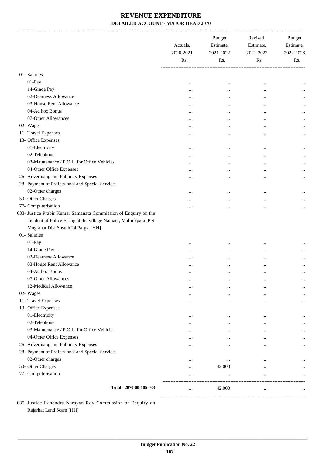|                                                                    | Actuals,<br>2020-2021<br>Rs. | <b>Budget</b><br>Estimate,<br>2021-2022<br>Rs. | Revised<br>Estimate,<br>2021-2022<br>Rs. | Budget<br>Estimate,<br>2022-2023<br>Rs. |
|--------------------------------------------------------------------|------------------------------|------------------------------------------------|------------------------------------------|-----------------------------------------|
| 01- Salaries                                                       |                              |                                                |                                          |                                         |
| 01-Pay                                                             | $\cdots$                     | $\cdots$                                       | $\cdots$                                 |                                         |
| 14-Grade Pay                                                       | $\cdots$                     | $\ddotsc$                                      | $\ddotsc$                                |                                         |
| 02-Dearness Allowance                                              | $\cdots$                     | $\ddotsc$                                      | $\ddotsc$                                |                                         |
| 03-House Rent Allowance                                            | $\cdots$                     | $\cdots$                                       | $\ddotsc$                                |                                         |
| 04-Ad hoc Bonus                                                    |                              | $\cdots$                                       | $\ddotsc$                                |                                         |
| 07-Other Allowances                                                |                              | $\cdots$                                       | $\ddotsc$                                |                                         |
| 02- Wages                                                          | $\cdots$                     | $\cdots$                                       | $\ddotsc$                                |                                         |
| 11- Travel Expenses                                                | $\cdots$                     | $\cdots$                                       | $\ddotsc$                                |                                         |
| 13- Office Expenses                                                |                              |                                                |                                          |                                         |
| 01-Electricity                                                     | $\cdots$                     | $\cdots$                                       | $\ddotsc$                                |                                         |
| 02-Telephone                                                       | $\cdots$                     | $\ddotsc$                                      | $\ddotsc$                                |                                         |
| 03-Maintenance / P.O.L. for Office Vehicles                        | $\cdots$                     | $\ddotsc$                                      | $\ddotsc$                                |                                         |
| 04-Other Office Expenses                                           | $\cdots$                     | $\cdots$                                       | $\cdots$                                 |                                         |
| 26- Advertising and Publicity Expenses                             | $\cdots$                     | $\cdots$                                       | $\cdots$                                 |                                         |
| 28- Payment of Professional and Special Services                   |                              |                                                |                                          |                                         |
| 02-Other charges                                                   | $\cdots$                     | $\cdots$                                       | $\cdots$                                 |                                         |
| 50- Other Charges                                                  |                              | $\ddotsc$                                      | $\cdots$                                 |                                         |
| 77- Computerisation                                                |                              | $\ddotsc$                                      | $\ddotsc$                                |                                         |
| 033- Justice Prabir Kumar Samanata Commission of Enquiry on the    |                              |                                                |                                          |                                         |
| incident of Police Firing at the village Nainan, Mallickpara, P.S. |                              |                                                |                                          |                                         |
| Mograhat Dist Sosuth 24 Pargs. [HH]                                |                              |                                                |                                          |                                         |
| 01- Salaries                                                       |                              |                                                |                                          |                                         |
| 01-Pay                                                             | $\cdots$                     | $\cdots$                                       | $\cdots$                                 |                                         |
| 14-Grade Pay                                                       | $\cdots$                     | $\cdots$                                       | $\ddotsc$                                |                                         |
| 02-Dearness Allowance                                              | $\cdots$                     | $\ddotsc$                                      | $\cdots$                                 |                                         |
| 03-House Rent Allowance                                            | $\cdots$                     | $\cdots$                                       | $\ddotsc$                                |                                         |
| 04-Ad hoc Bonus                                                    | $\cdots$                     | $\ddotsc$                                      | $\cdots$                                 |                                         |
| 07-Other Allowances                                                | $\cdots$                     | $\cdots$                                       | $\ddotsc$                                |                                         |
| 12-Medical Allowance                                               | $\cdots$                     | $\cdots$                                       | $\cdots$                                 |                                         |
| 02- Wages                                                          |                              | $\cdots$                                       | $\cdots$                                 |                                         |
| 11- Travel Expenses                                                | $\cdots$                     |                                                | $\ddotsc$                                |                                         |
| 13- Office Expenses                                                | $\cdots$                     | $\cdots$                                       |                                          |                                         |
| 01-Electricity                                                     |                              |                                                | $\ddotsc$                                |                                         |
| 02-Telephone                                                       | $\cdots$                     | $\cdots$                                       | $\ddotsc$                                |                                         |
| 03-Maintenance / P.O.L. for Office Vehicles                        |                              | $\cdots$                                       | $\ddotsc$                                |                                         |
| 04-Other Office Expenses                                           |                              | $\cdots$                                       | $\ddotsc$                                | <br>                                    |
| 26- Advertising and Publicity Expenses                             | $\cdots$                     | $\cdots$                                       |                                          |                                         |
| 28- Payment of Professional and Special Services                   | $\ddotsc$                    | $\ddotsc$                                      |                                          | $\cdots$                                |
| 02-Other charges                                                   |                              |                                                |                                          |                                         |
| 50- Other Charges                                                  | $\cdots$                     | $\cdots$<br>42,000                             | $\cdots$                                 |                                         |
| 77- Computerisation                                                | $\cdots$                     |                                                | $\cdots$                                 |                                         |
|                                                                    |                              | $\cdots$                                       |                                          |                                         |
| Total - 2070-00-105-033                                            | $\cdots$                     | 42,000                                         | $\cdots$                                 |                                         |

035- Justice Ranendra Narayan Roy Commission of Enquiry on Rajarhat Land Scam [HH]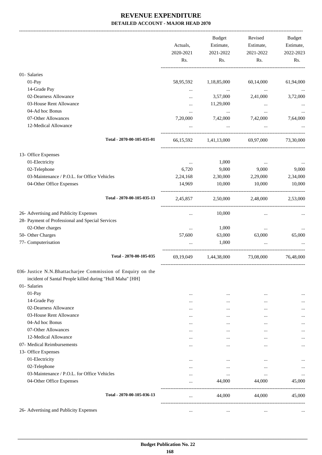|                                                                                                                                         | Actuals,<br>2020-2021<br>Rs. | Budget<br>Estimate,<br>2021-2022<br>Rs.   | Revised<br>Estimate,<br>2021-2022<br>Rs. | Budget<br>Estimate,<br>2022-2023<br>Rs. |
|-----------------------------------------------------------------------------------------------------------------------------------------|------------------------------|-------------------------------------------|------------------------------------------|-----------------------------------------|
| 01- Salaries                                                                                                                            |                              |                                           |                                          |                                         |
| 01-Pay                                                                                                                                  | 58,95,592                    | 1,18,85,000                               | 60,14,000                                | 61,94,000                               |
| 14-Grade Pay                                                                                                                            |                              | <b>Contract Contract</b>                  | $\sim$ 100 $\mu$                         | $\cdots$                                |
| 02-Dearness Allowance                                                                                                                   | $\cdots$                     | 3,57,000                                  | 2,41,000                                 | 3,72,000                                |
| 03-House Rent Allowance                                                                                                                 |                              | 11,29,000                                 | $\cdots$                                 |                                         |
| 04-Ad hoc Bonus                                                                                                                         | $\cdots$                     | $\cdots$                                  | $\cdots$                                 |                                         |
| 07-Other Allowances                                                                                                                     | 7,20,000                     | 7,42,000                                  | 7,42,000                                 | 7,64,000                                |
| 12-Medical Allowance                                                                                                                    |                              | $\ldots$                                  | $\cdots$                                 |                                         |
| Total - 2070-00-105-035-01                                                                                                              |                              | 66,15,592 1,41,13,000 69,97,000 73,30,000 |                                          |                                         |
| 13- Office Expenses                                                                                                                     |                              |                                           |                                          |                                         |
| 01-Electricity                                                                                                                          | $\cdots$                     | 1,000                                     | $\ldots$                                 |                                         |
| 02-Telephone                                                                                                                            | 6,720                        | 9,000                                     | 9,000                                    | 9,000                                   |
| 03-Maintenance / P.O.L. for Office Vehicles                                                                                             | 2,24,168                     | 2,30,000                                  | 2,29,000                                 | 2,34,000                                |
| 04-Other Office Expenses                                                                                                                | 14,969                       | 10,000                                    | 10,000                                   | 10,000                                  |
| Total - 2070-00-105-035-13                                                                                                              | 2,45,857                     |                                           | 2,50,000 2,48,000 2,53,000               |                                         |
| 26- Advertising and Publicity Expenses                                                                                                  | $\cdots$                     | 10,000                                    |                                          |                                         |
| 28- Payment of Professional and Special Services                                                                                        |                              |                                           |                                          |                                         |
| 02-Other charges                                                                                                                        | $\cdots$                     | 1,000                                     | $\cdots$                                 |                                         |
| 50- Other Charges                                                                                                                       | 57,600                       | 63,000                                    | 63,000                                   | 65,000                                  |
| 77- Computerisation                                                                                                                     | $\cdots$                     | 1,000                                     | $\cdots$                                 |                                         |
| Total - 2070-00-105-035                                                                                                                 | 69,19,049                    | 1,44,38,000<br>-----------------------    | 73,08,000                                | 76,48,000                               |
| 036- Justice N.N.Bhattacharjee Commission of Enquiry on the<br>incident of Santal People killed during "Hull Maha" [HH]<br>01- Salaries |                              |                                           |                                          |                                         |
| 01-Pay                                                                                                                                  | $\ddotsc$                    | $\cdots$                                  |                                          |                                         |
| 14-Grade Pay                                                                                                                            |                              |                                           |                                          |                                         |
| 02-Dearness Allowance                                                                                                                   |                              | $\cdots$                                  | $\cdots$                                 |                                         |
| 03-House Rent Allowance                                                                                                                 |                              |                                           | $\cdots$                                 |                                         |
| 04-Ad hoc Bonus<br>07-Other Allowances                                                                                                  |                              |                                           |                                          |                                         |
| 12-Medical Allowance                                                                                                                    |                              | $\cdots$                                  |                                          |                                         |
| 07- Medical Reimbursements                                                                                                              | $\cdots$                     | $\cdots$                                  |                                          |                                         |
| 13- Office Expenses                                                                                                                     | $\cdots$                     | $\cdots$                                  | $\cdots$                                 |                                         |
| 01-Electricity                                                                                                                          |                              |                                           |                                          |                                         |
| 02-Telephone                                                                                                                            | $\cdots$                     | $\cdots$                                  | $\cdots$                                 |                                         |
| 03-Maintenance / P.O.L. for Office Vehicles                                                                                             | $\cdots$                     | $\cdots$                                  | $\cdots$                                 |                                         |
| 04-Other Office Expenses                                                                                                                | $\cdots$<br>$\cdots$         | $\cdots$<br>44,000                        | $\cdots$<br>44,000                       | <br>45,000                              |
| Total - 2070-00-105-036-13                                                                                                              | $\cdots$                     | 44,000                                    | 44,000                                   | 45,000                                  |
| 26- Advertising and Publicity Expenses                                                                                                  |                              | $\cdots$                                  | $\cdots$                                 |                                         |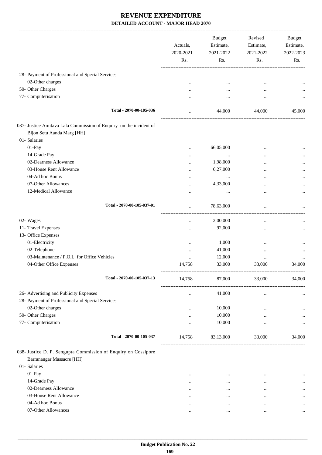|                                                                                                  | Actuals,<br>2020-2021<br>Rs. | <b>Budget</b><br>Estimate,<br>2021-2022<br>Rs. | Revised<br>Estimate,<br>2021-2022<br>Rs. | Budget<br>Estimate,<br>2022-2023<br>Rs. |
|--------------------------------------------------------------------------------------------------|------------------------------|------------------------------------------------|------------------------------------------|-----------------------------------------|
| 28- Payment of Professional and Special Services                                                 |                              |                                                |                                          |                                         |
| 02-Other charges                                                                                 | $\cdots$                     |                                                | $\ddotsc$                                |                                         |
| 50- Other Charges                                                                                |                              |                                                |                                          |                                         |
| 77- Computerisation                                                                              |                              |                                                |                                          |                                         |
| Total - 2070-00-105-036                                                                          |                              | 44,000                                         | 44,000                                   | 45,000                                  |
| 037- Justice Amitava Lala Commission of Enquiry on the incident of<br>Bijon Setu Aanda Marg [HH] |                              |                                                |                                          |                                         |
| 01- Salaries                                                                                     |                              |                                                |                                          |                                         |
| 01-Pay                                                                                           |                              | 66,05,000                                      |                                          |                                         |
| 14-Grade Pay                                                                                     | $\cdots$                     | $\cdots$                                       |                                          |                                         |
| 02-Dearness Allowance                                                                            | $\cdots$                     | 1,98,000                                       | $\cdots$                                 |                                         |
| 03-House Rent Allowance                                                                          |                              | 6,27,000                                       |                                          |                                         |
| 04-Ad hoc Bonus                                                                                  |                              | $\cdots$                                       |                                          |                                         |
| 07-Other Allowances                                                                              | $\ddotsc$                    | 4,33,000                                       |                                          |                                         |
| 12-Medical Allowance                                                                             |                              | $\cdots$                                       | $\cdots$                                 |                                         |
| Total - 2070-00-105-037-01                                                                       |                              | 78,63,000                                      |                                          |                                         |
| 02- Wages                                                                                        |                              | 2,00,000                                       |                                          |                                         |
| 11- Travel Expenses                                                                              | $\cdots$                     | 92,000                                         |                                          |                                         |
| 13- Office Expenses                                                                              |                              |                                                |                                          |                                         |
| 01-Electricity                                                                                   |                              | 1,000                                          |                                          |                                         |
| 02-Telephone                                                                                     |                              | 41,000                                         |                                          |                                         |
| 03-Maintenance / P.O.L. for Office Vehicles                                                      |                              | 12,000                                         | $\ddotsc$                                |                                         |
| 04-Other Office Expenses                                                                         | 14,758                       | 33,000                                         | 33,000                                   | 34,000                                  |
| Total - 2070-00-105-037-13                                                                       | 14,758                       | 87,000                                         | 33,000                                   | 34,000                                  |
| 26- Advertising and Publicity Expenses                                                           | $\cdots$                     | 41,000                                         | $\cdots$                                 |                                         |
| 28- Payment of Professional and Special Services                                                 |                              |                                                |                                          |                                         |
| 02-Other charges                                                                                 |                              | 10,000                                         |                                          |                                         |
| 50- Other Charges                                                                                |                              | 10,000                                         |                                          |                                         |
| 77- Computerisation                                                                              |                              | 10,000                                         | $\ldots$                                 |                                         |
| Total - 2070-00-105-037                                                                          | 14,758                       | 83,13,000                                      | 33,000                                   | 34,000                                  |
| 038- Justice D. P. Sengupta Commission of Enquiry on Cossipore                                   |                              |                                                |                                          |                                         |
| Barranangar Massacre [HH]                                                                        |                              |                                                |                                          |                                         |
| 01- Salaries                                                                                     |                              |                                                |                                          |                                         |
| 01-Pay                                                                                           | $\cdots$                     | $\cdots$                                       | $\cdots$                                 | $\cdots$                                |
| 14-Grade Pay                                                                                     | $\cdots$                     | $\cdots$                                       | $\cdots$                                 |                                         |
| 02-Dearness Allowance                                                                            | $\cdots$                     | $\cdots$                                       | $\cdots$                                 |                                         |
| 03-House Rent Allowance                                                                          | $\cdots$                     | $\cdots$                                       | $\cdots$                                 |                                         |
| 04-Ad hoc Bonus                                                                                  | $\cdots$                     | $\cdots$                                       | $\ddotsc$                                |                                         |
| 07-Other Allowances                                                                              | $\cdots$                     | $\cdots$                                       | $\cdots$                                 | $\cdots$                                |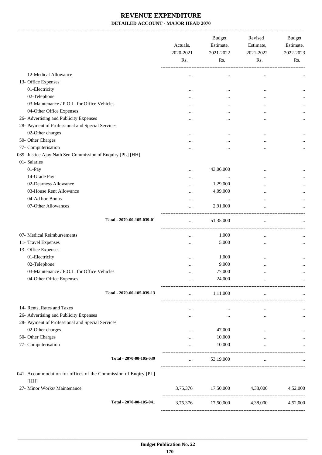-------------------------------------------------------------------------------------------------------------------------------------------------------------------------------

|                                                                 | Actuals,<br>2020-2021<br>Rs. | <b>Budget</b><br>Estimate,<br>2021-2022<br>Rs. | Revised<br>Estimate,<br>2021-2022<br>Rs. | <b>Budget</b><br>Estimate,<br>2022-2023<br>Rs. |
|-----------------------------------------------------------------|------------------------------|------------------------------------------------|------------------------------------------|------------------------------------------------|
| 12-Medical Allowance                                            |                              | $\cdots$                                       |                                          |                                                |
| 13- Office Expenses                                             |                              |                                                |                                          |                                                |
| 01-Electricity                                                  | $\cdots$                     | $\ddotsc$                                      | $\ddotsc$                                | $\ddotsc$                                      |
| 02-Telephone                                                    | $\cdots$                     | $\ddotsc$                                      | $\cdots$                                 | $\cdots$                                       |
| 03-Maintenance / P.O.L. for Office Vehicles                     | $\cdots$                     | $\ddotsc$                                      | $\ddotsc$                                | $\cdots$                                       |
| 04-Other Office Expenses                                        | $\cdots$                     | $\ddotsc$                                      | $\cdots$                                 | $\cdots$                                       |
| 26- Advertising and Publicity Expenses                          | $\cdots$                     | $\ddotsc$                                      | $\ddotsc$                                | $\cdots$                                       |
| 28- Payment of Professional and Special Services                |                              |                                                |                                          |                                                |
| 02-Other charges                                                | $\cdots$                     | $\ddotsc$                                      | $\cdots$                                 |                                                |
| 50- Other Charges                                               |                              |                                                | $\ddotsc$                                | $\cdots$                                       |
| 77- Computerisation                                             |                              |                                                | $\ddotsc$                                | $\cdots$                                       |
| 039- Justice Ajay Nath Sen Commission of Enquiry [PL] [HH]      |                              |                                                |                                          |                                                |
| 01- Salaries                                                    |                              |                                                |                                          |                                                |
| 01-Pay                                                          |                              | 43,06,000                                      |                                          |                                                |
| 14-Grade Pay                                                    | $\cdots$                     |                                                | $\ddotsc$                                | $\cdots$                                       |
| 02-Dearness Allowance                                           | $\cdots$                     | $\cdots$<br>1,29,000                           | $\cdots$                                 |                                                |
| 03-House Rent Allowance                                         | $\cdots$                     | 4,09,000                                       | $\cdots$                                 |                                                |
| 04-Ad hoc Bonus                                                 | $\cdots$                     |                                                | $\cdots$                                 |                                                |
| 07-Other Allowances                                             | $\cdots$                     | $\cdots$                                       | $\cdots$                                 | $\cdots$                                       |
|                                                                 | $\cdots$                     | 2,91,000                                       | $\ddotsc$                                |                                                |
| Total - 2070-00-105-039-01                                      | $\ddotsc$                    | 51,35,000                                      | $\cdots$                                 |                                                |
| 07- Medical Reimbursements                                      | $\cdots$                     | 1,000                                          | $\cdots$                                 |                                                |
| 11- Travel Expenses                                             | $\cdots$                     | 5,000                                          | $\cdots$                                 | $\cdots$                                       |
| 13- Office Expenses                                             |                              |                                                |                                          |                                                |
| 01-Electricity                                                  | $\cdots$                     | 1,000                                          | $\cdots$                                 |                                                |
| 02-Telephone                                                    |                              | 9,000                                          | $\cdots$                                 | $\ddotsc$                                      |
| 03-Maintenance / P.O.L. for Office Vehicles                     |                              | 77,000                                         | $\cdots$                                 | $\cdots$                                       |
| 04-Other Office Expenses                                        |                              | 24,000                                         |                                          |                                                |
|                                                                 |                              |                                                |                                          |                                                |
| Total - 2070-00-105-039-13                                      |                              | 1,11,000                                       |                                          |                                                |
| 14- Rents, Rates and Taxes                                      | $\cdots$                     | $\cdots$                                       |                                          |                                                |
| 26- Advertising and Publicity Expenses                          |                              | $\ddotsc$                                      | $\cdots$                                 | $\cdots$                                       |
| 28- Payment of Professional and Special Services                |                              |                                                |                                          |                                                |
| 02-Other charges                                                |                              | 47,000                                         |                                          |                                                |
| 50- Other Charges                                               |                              | 10,000                                         | $\cdots$                                 |                                                |
| 77- Computerisation                                             | $\cdots$                     | 10,000                                         |                                          |                                                |
|                                                                 |                              |                                                |                                          |                                                |
| Total - 2070-00-105-039                                         |                              | 53,19,000                                      | $\cdots$                                 |                                                |
| 041- Accommodation for offices of the Commission of Enqiry [PL] |                              |                                                |                                          |                                                |
| [HH]                                                            |                              |                                                |                                          |                                                |
| 27- Minor Works/ Maintenance                                    | 3,75,376                     | 17,50,000                                      | 4,38,000                                 | 4,52,000                                       |
| Total - 2070-00-105-041                                         | 3,75,376                     | 17,50,000                                      | 4,38,000                                 | 4,52,000                                       |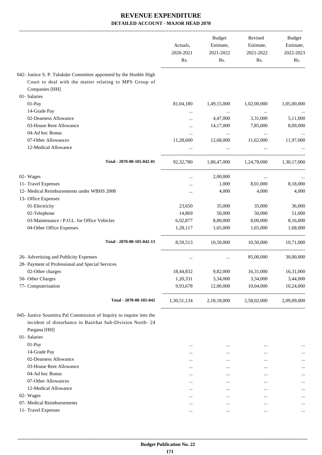|                                                                     |             | Budget                  | Revised     | <b>Budget</b> |
|---------------------------------------------------------------------|-------------|-------------------------|-------------|---------------|
|                                                                     | Actuals,    | Estimate,               | Estimate,   | Estimate,     |
|                                                                     | 2020-2021   | 2021-2022               | 2021-2022   | 2022-2023     |
|                                                                     | Rs.         | Rs.                     | Rs.         | Rs.           |
| 042- Justice S. P. Talukdar Committee appointed by the Honble High  |             |                         |             |               |
| Court to deal with the matter relating to MPS Group of              |             |                         |             |               |
| Companies [HH]                                                      |             |                         |             |               |
| 01- Salaries                                                        |             |                         |             |               |
| $01-Pay$                                                            | 81,04,180   | 1,49,15,000             | 1,02,00,000 | 1,05,00,000   |
| 14-Grade Pay                                                        | $\cdots$    | $\cdots$                | $\ldots$    |               |
| 02-Dearness Allowance                                               | $\cdots$    | 4,47,000                | 3,31,000    | 5,11,000      |
| 03-House Rent Allowance                                             | $\cdots$    | 14,17,000               | 7,85,000    | 8,09,000      |
| 04-Ad hoc Bonus                                                     | $\cdots$    | $\cdots$                | $\cdots$    |               |
| 07-Other Allowances                                                 | 11,28,600   | 12,68,000               | 11,62,000   | 11,97,000     |
| 12-Medical Allowance                                                |             | $\cdots$                |             |               |
| Total - 2070-00-105-042-01                                          | 92, 32, 780 | 1,80,47,000 1,24,78,000 |             | 1,30,17,000   |
|                                                                     |             |                         |             |               |
| 02- Wages                                                           | $\cdots$    | 2,00,000                | $\ldots$    |               |
| 11- Travel Expenses                                                 | $\cdots$    | 1,000                   | 8,01,000    | 8,18,000      |
| 12- Medical Reimbursements under WBHS 2008                          |             | 4,000                   | 4,000       | 4,000         |
| 13- Office Expenses                                                 |             |                         |             |               |
| 01-Electricity                                                      | 23,650      | 35,000                  | 35,000      | 36,000        |
| 02-Telephone                                                        | 14,869      | 50,000                  | 50,000      | 51,000        |
| 03-Maintenance / P.O.L. for Office Vehicles                         | 6,92,877    | 8,00,000                | 8,00,000    | 8,16,000      |
| 04-Other Office Expenses                                            | 1,28,117    | 1,65,000                | 1,65,000    | 1,68,000      |
| Total - 2070-00-105-042-13                                          | 8,59,513    | 10,50,000               | 10,50,000   | 10,71,000     |
| 26- Advertising and Publicity Expenses                              |             |                         | 85,00,000   | 30,00,000     |
| 28- Payment of Professional and Special Services                    | $\cdots$    | $\cdots$                |             |               |
| 02-Other charges                                                    | 18,44,832   | 9,82,000                | 16,31,000   | 16,31,000     |
| 50- Other Charges                                                   | 1,20,331    | 3,34,000                | 3,34,000    | 3,44,000      |
| 77- Computerisation                                                 | 9,93,678    | 12,00,000               | 10,04,000   | 10,24,000     |
|                                                                     |             |                         |             |               |
| Total - 2070-00-105-042                                             | 1,30,51,134 | 2,18,18,000             | 2,58,02,000 | 2,09,09,000   |
| 045- Justice Soumitra Pal Commission of Inquiry to inquire into the |             |                         |             |               |
| incident of disturbance in Basirhat Sub-Division North- 24          |             |                         |             |               |
| Pargana [HH]                                                        |             |                         |             |               |
| 01- Salaries                                                        |             |                         |             |               |
| 01-Pay                                                              |             | $\ddotsc$               | $\ddotsc$   |               |
| 14-Grade Pay                                                        |             |                         |             |               |
| 02-Dearness Allowance                                               |             |                         |             |               |
| 03-House Rent Allowance                                             |             |                         | $\ddotsc$   |               |
| 04-Ad hoc Bonus                                                     |             | $\ddotsc$               | $\ddotsc$   |               |
| 07-Other Allowances                                                 |             | $\ddotsc$               | $\ddotsc$   |               |
| 12-Medical Allowance                                                |             | $\ddotsc$               | $\ddotsc$   | $\cdots$      |
| 02- Wages                                                           |             |                         | $\ddotsc$   |               |
| 07- Medical Reimbursements                                          |             | $\ddotsc$               | $\ddotsc$   |               |
| 11- Travel Expenses                                                 |             | $\ddotsc$               | $\cdots$    | $\cdots$      |
|                                                                     |             |                         |             |               |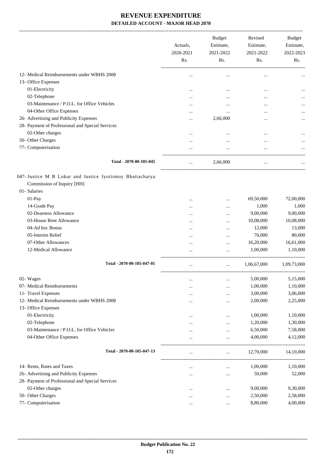|                                                                                                         | Actuals,<br>2020-2021<br>Rs. | <b>Budget</b><br>Estimate,<br>2021-2022<br>Rs. | Revised<br>Estimate,<br>2021-2022<br>Rs. | <b>Budget</b><br>Estimate,<br>2022-2023<br>Rs. |
|---------------------------------------------------------------------------------------------------------|------------------------------|------------------------------------------------|------------------------------------------|------------------------------------------------|
| 12- Medical Reimbursements under WBHS 2008                                                              |                              |                                                |                                          |                                                |
| 13- Office Expenses                                                                                     |                              |                                                |                                          |                                                |
| 01-Electricity                                                                                          |                              |                                                |                                          |                                                |
| 02-Telephone                                                                                            |                              |                                                |                                          |                                                |
| 03-Maintenance / P.O.L. for Office Vehicles                                                             |                              |                                                |                                          |                                                |
| 04-Other Office Expenses                                                                                |                              |                                                |                                          |                                                |
| 26- Advertising and Publicity Expenses                                                                  |                              | 2,66,000                                       |                                          | $\cdots$                                       |
| 28- Payment of Professional and Special Services                                                        |                              |                                                |                                          |                                                |
| 02-Other charges                                                                                        |                              |                                                |                                          |                                                |
| 50- Other Charges                                                                                       |                              |                                                |                                          |                                                |
| 77- Computerisation                                                                                     |                              | $\cdots$                                       | $\ddotsc$                                |                                                |
|                                                                                                         |                              |                                                |                                          |                                                |
| Total - 2070-00-105-045                                                                                 | $\cdots$                     | 2,66,000                                       | $\ddotsc$                                |                                                |
| 047- Justice M B Lokur and Justice Jyotirmoy Bhattacharya<br>Commission of Inquiry [HH]<br>01- Salaries |                              |                                                |                                          |                                                |
| 01-Pay                                                                                                  |                              |                                                | 69,50,000                                | 72,00,000                                      |
| 14-Grade Pay                                                                                            |                              |                                                | 1,000                                    | 1,000                                          |
| 02-Dearness Allowance                                                                                   |                              |                                                | 9,00,000                                 | 9,00,000                                       |
| 03-House Rent Allowance                                                                                 |                              |                                                | 10,08,000                                | 10,08,000                                      |
| 04-Ad hoc Bonus                                                                                         |                              |                                                | 12,000                                   | 13,000                                         |
| 05-Interim Relief                                                                                       |                              |                                                | 76,000                                   | 80,000                                         |
| 07-Other Allowances                                                                                     |                              |                                                | 16,20,000                                | 16,61,000                                      |
| 12-Medical Allowance                                                                                    |                              |                                                | 1,00,000                                 | 1,10,000                                       |
| Total - 2070-00-105-047-01                                                                              |                              |                                                | 1,06,67,000                              |                                                |
|                                                                                                         |                              | $\ldots$                                       |                                          | 1,09,73,000                                    |
| 02- Wages                                                                                               |                              |                                                | 5,00,000                                 | 5,15,000                                       |
| 07- Medical Reimbursements                                                                              | $\ddotsc$                    |                                                | 1,00,000                                 | 1,10,000                                       |
| 11- Travel Expenses                                                                                     | .                            |                                                | 3,00,000                                 | 3,06,000                                       |
| 12- Medical Reimbursements under WBHS 2008                                                              |                              |                                                | 2,00,000                                 | 2,25,000                                       |
| 13- Office Expenses                                                                                     |                              |                                                |                                          |                                                |
| 01-Electricity                                                                                          |                              |                                                | 1,00,000                                 | 1,10,000                                       |
| 02-Telephone                                                                                            |                              |                                                | 1,20,000                                 | 1,30,000                                       |
| 03-Maintenance / P.O.L. for Office Vehicles                                                             |                              |                                                | 6,50,000                                 | 7,58,000                                       |
| 04-Other Office Expenses                                                                                |                              |                                                | 4,00,000                                 | 4,12,000                                       |
| Total - 2070-00-105-047-13                                                                              | $\cdots$                     | $\cdots$                                       | 12,70,000                                | 14,10,000                                      |
| 14- Rents, Rates and Taxes                                                                              |                              | $\cdots$                                       | 1,00,000                                 | 1,10,000                                       |
| 26- Advertising and Publicity Expenses                                                                  |                              |                                                | 50,000                                   | 52,000                                         |
| 28- Payment of Professional and Special Services                                                        |                              |                                                |                                          |                                                |
| 02-Other charges                                                                                        |                              |                                                | 9,00,000                                 | 9,30,000                                       |
| 50- Other Charges                                                                                       |                              |                                                | 2,50,000                                 | 2,58,000                                       |
| 77- Computerisation                                                                                     |                              |                                                | 8,80,000                                 | 4,00,000                                       |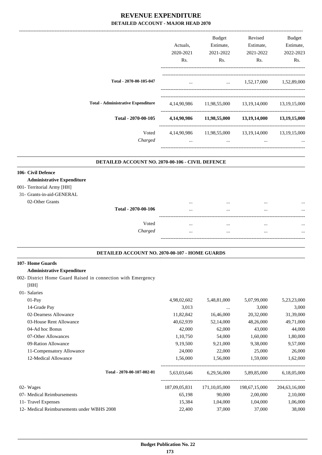|                                                  |             | <b>Budget</b>                                | Revised                                | <b>Budget</b>   |
|--------------------------------------------------|-------------|----------------------------------------------|----------------------------------------|-----------------|
|                                                  | Actuals.    | Estimate,                                    | Estimate,                              | Estimate,       |
|                                                  | 2020-2021   | 2021-2022                                    | 2021-2022                              | 2022-2023       |
|                                                  | Rs.         | Rs.                                          | Rs.                                    | Rs.             |
| Total - 2070-00-105-047                          | $\cdots$    | $\mathbf{r}$ , and the state of $\mathbf{r}$ | 1,52,17,000                            | 1,52,89,000     |
|                                                  |             |                                              |                                        |                 |
| <b>Total - Administrative Expenditure</b>        | 4,14,90,986 |                                              | 11,98,55,000 13,19,14,000 13,19,15,000 |                 |
| Total - 2070-00-105                              | 4,14,90,986 |                                              | 11,98,55,000 13,19,14,000              | 13,19,15,000    |
| Voted                                            | 4,14,90,986 |                                              | 11,98,55,000 13,19,14,000              | 13, 19, 15, 000 |
| Charged                                          | $\cdots$    | $\cdots$                                     | $\cdots$                               |                 |
| DETAILED ACCOUNT NO. 2070-00-106 - CIVIL DEFENCE |             |                                              |                                        |                 |
| 106- Civil Defence                               |             |                                              |                                        |                 |
| <b>Administrative Expenditure</b>                |             |                                              |                                        |                 |
| 001- Territorial Army [HH]                       |             |                                              |                                        |                 |
| 31- Grants-in-aid-GENERAL                        |             |                                              |                                        |                 |
| 02-Other Grants                                  | $\cdots$    | $\cdots$                                     | $\cdots$                               | $\cdots$        |

| ,,,,,, |                     | <br>         | <br>$\cdots$ |
|--------|---------------------|--------------|--------------|
|        | Total - 2070-00-106 | <br>         | <br>         |
|        |                     |              |              |
|        | Voted               | <br>         | <br>         |
|        | Charged             | <br>$\cdots$ | <br>         |
|        |                     |              |              |

.

#### **DETAILED ACCOUNT NO. 2070-00-107 - HOME GUARDS .**

#### **107- Home Guards**

[HH]

#### **Administrative Expenditure**

002- District Home Guard Raised in connection with Emergency

 01- Salaries 01-Pay 6.62, 198,02,602 5,48,81,000 5,07,99,000 5,23,23,000 5,23,23,000 14-Grade Pay 3,000 3,000 3,000 3,000 3,000 3,000 3,000 3,000 3,000 3,000 3,000 3,000 3,000 3,000 3,000 3,000 3,000 3,000 3,000 3,000 3,000 3,000 3,000 3,000 3,000 3,000 5 3,000 3,000 5 3,000 5 3,000 5 3,000 5 3,000 5 3,000 02-Dearness Allowance 11,82,842 16,46,000 20,32,000 31,39,000 03-House Rent Allowance  $40,62,939$   $52,14,000$   $48,26,000$   $49,71,000$ 04-Ad hoc Bonus 42,000 62,000 43,000 44,000 07-Other Allowances 1,10,750 54,000 1,60,000 1,80,000 09-Ration Allowance 0 09-Ration Allowance 0 0,19,500 9,21,000 9,38,000 9,57,000 11-Compensatory Allowance 24,000 22,000 25,000 26,000 12-Medical Allowance 1,56,000 1,56,000 1,59,000 1,62,000 ----------------------------------------------------------------------------------------- **Total - 2070-00-107-002-01** 5,63,03,646 6,29,56,000 5,89,85,000 6,18,05,000 ----------------------------------------------------------------------------------------- 02- Wages 187,09,05,831 171,10,05,000 198,67,15,000 204,63,16,000 07- Medical Reimbursements 65,198 90,000 2,00,000 2,10,000 11- Travel Expenses 15,384 1,04,000 1,04,000 1,06,000 12- Medical Reimbursements under WBHS 2008 22,400 37,000 37,000 38,000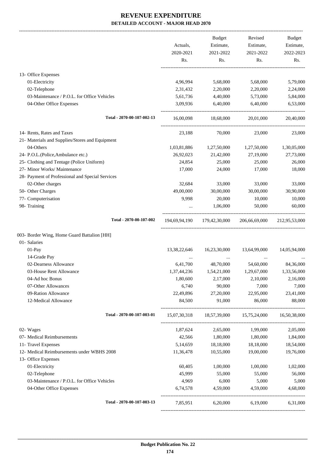-------------------------------------------------------------------------------------------------------------------------------------------------------------------------------

|                                                  | Actuals,<br>2020-2021 | <b>Budget</b><br>Estimate,<br>2021-2022 | Revised<br>Estimate,<br>2021-2022 | <b>Budget</b><br>Estimate,<br>2022-2023 |
|--------------------------------------------------|-----------------------|-----------------------------------------|-----------------------------------|-----------------------------------------|
|                                                  | Rs.                   | Rs.                                     | Rs.                               | Rs.                                     |
| 13- Office Expenses                              |                       |                                         |                                   |                                         |
| 01-Electricity                                   | 4,96,994              | 5,68,000                                | 5,68,000                          | 5,79,000                                |
| 02-Telephone                                     | 2,31,432              | 2,20,000                                | 2,20,000                          | 2,24,000                                |
| 03-Maintenance / P.O.L. for Office Vehicles      | 5,61,736              | 4,40,000                                | 5,73,000                          | 5,84,000                                |
| 04-Other Office Expenses                         | 3,09,936              | 6,40,000                                | 6,40,000                          | 6,53,000                                |
| Total - 2070-00-107-002-13                       | 16,00,098             | 18,68,000                               | 20,01,000                         | 20,40,000                               |
| 14- Rents, Rates and Taxes                       | 23,188                | 70,000                                  | 23,000                            | 23,000                                  |
| 21- Materials and Supplies/Stores and Equipment  |                       |                                         |                                   |                                         |
| 04-Others                                        | 1,03,81,886           | 1,27,50,000                             | 1,27,50,000                       | 1,30,05,000                             |
| 24- P.O.L.(Police, Ambulance etc.)               | 26,92,023             | 21,42,000                               | 27,19,000                         | 27,73,000                               |
| 25- Clothing and Tentage (Police Uniform)        | 24,854                | 25,000                                  | 25,000                            | 26,000                                  |
| 27- Minor Works/ Maintenance                     | 17,000                | 24,000                                  | 17,000                            | 18,000                                  |
| 28- Payment of Professional and Special Services |                       |                                         |                                   |                                         |
| 02-Other charges                                 | 32,684                | 33,000                                  | 33,000                            | 33,000                                  |
| 50- Other Charges                                | 49,00,000             | 30,00,000                               | 30,00,000                         | 30,90,000                               |
| 77- Computerisation                              | 9,998                 | 20,000                                  | 10,000                            | 10,000                                  |
| 98- Training                                     | $\cdots$              | 1,06,000                                | 50,000                            | 60,000                                  |
| Total - 2070-00-107-002                          |                       | 194,69,94,190 179,42,30,000             | 206,66,69,000                     | 212,95,53,000                           |
| 003- Border Wing, Home Guard Battalion [HH]      |                       |                                         |                                   |                                         |
| 01- Salaries                                     |                       |                                         |                                   |                                         |
| 01-Pay                                           | 13,38,22,646          | 16,23,30,000                            | 13,64,99,000                      | 14,05,94,000                            |
| 14-Grade Pay                                     | $\cdots$              | $\cdots$                                | $\cdots$                          |                                         |
| 02-Dearness Allowance                            | 6,41,700              | 48,70,000                               | 54,60,000                         | 84,36,000                               |
| 03-House Rent Allowance                          | 1,37,44,236           | 1,54,21,000                             | 1,29,67,000                       | 1,33,56,000                             |
| 04-Ad hoc Bonus                                  | 1,80,600              | 2,17,000                                | 2,10,000                          | 2,16,000                                |
| 07-Other Allowances                              | 6,740                 | 90,000                                  | 7,000                             | 7,000                                   |
| 09-Ration Allowance                              | 22,49,896             | 27,20,000                               | 22,95,000                         | 23,41,000                               |
| 12-Medical Allowance                             | 84,500                | 91,000                                  | 86,000                            | 88,000                                  |
| Total - 2070-00-107-003-01                       | 15,07,30,318          | 18,57,39,000                            | 15,75,24,000                      | 16,50,38,000                            |
| 02- Wages                                        | 1,87,624              | 2,65,000                                | 1,99,000                          | 2,05,000                                |
| 07- Medical Reimbursements                       | 42,566                | 1,80,000                                | 1,80,000                          | 1,84,000                                |
| 11- Travel Expenses                              | 5,14,659              | 18,18,000                               | 18,18,000                         | 18,54,000                               |
| 12- Medical Reimbursements under WBHS 2008       | 11,36,478             | 10,55,000                               | 19,00,000                         | 19,76,000                               |
| 13- Office Expenses                              |                       |                                         |                                   |                                         |
| 01-Electricity                                   | 60,405                | 1,00,000                                | 1,00,000                          | 1,02,000                                |
| 02-Telephone                                     | 45,999                | 55,000                                  | 55,000                            | 56,000                                  |
| 03-Maintenance / P.O.L. for Office Vehicles      | 4,969                 | 6,000                                   | 5,000                             | 5,000                                   |
| 04-Other Office Expenses                         | 6,74,578              | 4,59,000                                | 4,59,000                          | 4,68,000                                |
| Total - 2070-00-107-003-13                       | 7,85,951              | 6,20,000                                | 6,19,000                          | 6,31,000                                |
|                                                  |                       |                                         |                                   |                                         |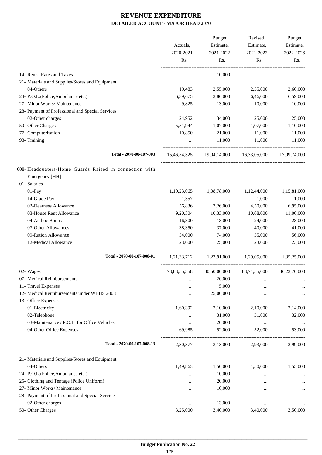-------------------------------------------------------------------------------------------------------------------------------------------------------------------------------

|                                                        |                 | <b>Budget</b> | Revised      | <b>Budget</b> |
|--------------------------------------------------------|-----------------|---------------|--------------|---------------|
|                                                        | Actuals,        | Estimate,     | Estimate,    | Estimate,     |
|                                                        | 2020-2021       | 2021-2022     | 2021-2022    | 2022-2023     |
|                                                        | Rs.             | Rs.           | Rs.          | Rs.           |
| 14- Rents, Rates and Taxes                             | $\ddotsc$       | 10,000        | $\cdots$     |               |
| 21- Materials and Supplies/Stores and Equipment        |                 |               |              |               |
| 04-Others                                              | 19,483          | 2,55,000      | 2,55,000     | 2,60,000      |
| 24- P.O.L.(Police, Ambulance etc.)                     | 6,39,675        | 2,86,000      | 6,46,000     | 6,59,000      |
| 27- Minor Works/ Maintenance                           | 9,825           | 13,000        | 10,000       | 10,000        |
| 28- Payment of Professional and Special Services       |                 |               |              |               |
| 02-Other charges                                       | 24,952          | 34,000        | 25,000       | 25,000        |
| 50- Other Charges                                      | 5,51,944        | 1,07,000      | 1,07,000     | 1,10,000      |
| 77- Computerisation                                    | 10,850          | 21,000        | 11,000       | 11,000        |
| 98- Training                                           |                 | 11,000        | 11,000       | 11,000        |
| Total - 2070-00-107-003                                | 15,46,54,325    | 19,04,14,000  | 16,33,05,000 | 17,09,74,000  |
| 008- Headquaters-Home Guards Raised in connection with |                 |               |              |               |
| Emergency [HH]                                         |                 |               |              |               |
| 01- Salaries                                           |                 |               |              |               |
| 01-Pay                                                 | 1,10,23,065     | 1,08,78,000   | 1,12,44,000  | 1,15,81,000   |
| 14-Grade Pay                                           | 1,357           | $\cdots$      | 1,000        | 1,000         |
| 02-Dearness Allowance                                  | 56,836          | 3,26,000      | 4,50,000     | 6,95,000      |
| 03-House Rent Allowance                                | 9,20,304        | 10,33,000     | 10,68,000    | 11,00,000     |
| 04-Ad hoc Bonus                                        | 16,800          | 18,000        | 24,000       | 28,000        |
| 07-Other Allowances                                    | 38,350          | 37,000        | 40,000       | 41,000        |
| 09-Ration Allowance                                    | 54,000          | 74,000        | 55,000       | 56,000        |
| 12-Medical Allowance                                   | 23,000          | 25,000        | 23,000       | 23,000        |
| Total - 2070-00-107-008-01                             | 1,21,33,712     | 1,23,91,000   | 1,29,05,000  | 1,35,25,000   |
| 02- Wages                                              | 78, 83, 55, 358 | 80,50,00,000  | 83,71,55,000 | 86,22,70,000  |
| 07- Medical Reimbursements                             |                 | 20,000        |              | $\cdots$      |
| 11- Travel Expenses                                    |                 | 5,000         |              |               |
| 12- Medical Reimbursements under WBHS 2008             | .               | 25,00,000     |              | $\cdots$      |
| 13- Office Expenses                                    |                 |               |              |               |
| 01-Electricity                                         | 1,60,392        | 2,10,000      | 2,10,000     | 2,14,000      |
| 02-Telephone                                           |                 | 31,000        | 31,000       | 32,000        |
| 03-Maintenance / P.O.L. for Office Vehicles            | $\cdots$        | 20,000        | $\cdots$     |               |
| 04-Other Office Expenses                               | 69,985          | 52,000        | 52,000       | 53,000        |
| Total - 2070-00-107-008-13                             | 2,30,377        | 3,13,000      | 2,93,000     | 2,99,000      |
| 21- Materials and Supplies/Stores and Equipment        |                 |               |              |               |
| 04-Others                                              | 1,49,863        | 1,50,000      | 1,50,000     | 1,53,000      |
| 24- P.O.L.(Police, Ambulance etc.)                     | $\ddotsc$       | 10,000        | $\cdots$     |               |
| 25- Clothing and Tentage (Police Uniform)              |                 | 20,000        | $\ddotsc$    | $\cdots$      |
| 27- Minor Works/ Maintenance                           |                 | 10,000        | $\ddotsc$    | $\cdots$      |
| 28- Payment of Professional and Special Services       |                 |               |              |               |
| 02-Other charges                                       |                 | 13,000        |              |               |
| 50- Other Charges                                      | 3,25,000        | 3,40,000      | 3,40,000     | 3,50,000      |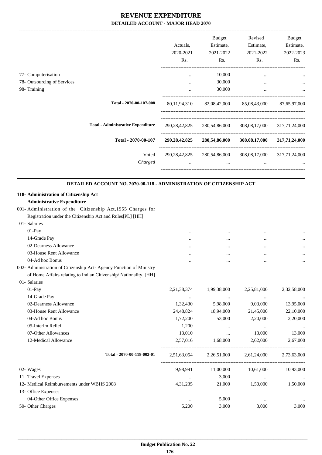|                                                                      | Actuals,<br>2020-2021 | <b>Budget</b><br>Estimate,<br>2021-2022 | Revised<br>Estimate,<br>2021-2022                     | Budget<br>Estimate,<br>2022-2023 |
|----------------------------------------------------------------------|-----------------------|-----------------------------------------|-------------------------------------------------------|----------------------------------|
|                                                                      | Rs.                   | Rs.                                     | Rs.                                                   | Rs.                              |
| 77- Computerisation                                                  | $\cdots$              | 10,000                                  | $\cdots$                                              |                                  |
| 78- Outsourcing of Services                                          | $\cdot$ $\cdot$       | 30,000                                  | $\ddotsc$                                             |                                  |
| 98- Training                                                         | $\cdots$              | 30,000                                  | $\cdots$                                              |                                  |
| Total - 2070-00-107-008                                              | 80,11,94,310          |                                         | 82,08,42,000 85,08,43,000                             | 87,65,97,000                     |
| <b>Total - Administrative Expenditure</b>                            |                       | 290, 28, 42, 825 280, 54, 86, 000       | 308,08,17,000                                         | 317,71,24,000                    |
| Total - 2070-00-107                                                  | 290,28,42,825         | 280,54,86,000                           | 308,08,17,000                                         | 317,71,24,000                    |
| Voted<br>Charged                                                     | 290,28,42,825         | $\cdots$                                | 280,54,86,000 308,08,17,000 317,71,24,000<br>$\cdots$ |                                  |
| DETAILED ACCOUNT NO. 2070-00-118 - ADMINISTRATION OF CITIZENSHIP ACT |                       |                                         |                                                       |                                  |
| 118- Administration of Citizenship Act                               |                       |                                         |                                                       |                                  |
| <b>Administrative Expenditure</b>                                    |                       |                                         |                                                       |                                  |
| 001- Administration of the Citizenship Act, 1955 Charges for         |                       |                                         |                                                       |                                  |
| Registration under the Citizenship Act and Rules[PL] [HH]            |                       |                                         |                                                       |                                  |
| 01- Salaries                                                         |                       |                                         |                                                       |                                  |
| 01-Pay                                                               | .                     | $\cdots$                                | $\cdots$                                              |                                  |
| 14-Grade Pay                                                         |                       | $\cdots$                                | $\cdots$                                              |                                  |
| 02-Dearness Allowance                                                |                       |                                         | $\cdots$                                              |                                  |
| 03-House Rent Allowance                                              |                       |                                         |                                                       |                                  |
| 04-Ad hoc Bonus                                                      |                       |                                         | $\cdots$                                              |                                  |
| 002- Administration of Citizenship Act- Agency Function of Ministry  |                       |                                         |                                                       |                                  |

of Home Affairs relating to Indian Citizenship/ Nationality. [HH]

| 01- Salaries                               |                |                |             |             |
|--------------------------------------------|----------------|----------------|-------------|-------------|
| $01-Pay$                                   | 2, 21, 38, 374 | 1,99,38,000    | 2,25,81,000 | 2,32,58,000 |
| 14-Grade Pay                               | $\cdots$       | $\cdots$       | $\cdots$    | $\cdots$    |
| 02-Dearness Allowance                      | 1,32,430       | 5,98,000       | 9,03,000    | 13,95,000   |
| 03-House Rent Allowance                    | 24,48,824      | 18,94,000      | 21,45,000   | 22,10,000   |
| 04-Ad hoc Bonus                            | 1,72,200       | 53,000         | 2,20,000    | 2,20,000    |
| 05-Interim Relief                          | 1,200          | $\cdots$       | $\cdots$    | $\cdots$    |
| 07-Other Allowances                        | 13,010         | $\cdots$       | 13,000      | 13,000      |
| 12-Medical Allowance                       | 2,57,016       | 1,68,000       | 2,62,000    | 2,67,000    |
| Total - 2070-00-118-002-01                 | 2,51,63,054    | 2, 26, 51, 000 | 2,61,24,000 | 2,73,63,000 |
| 02- Wages                                  | 9,98,991       | 11,00,000      | 10,61,000   | 10,93,000   |
| 11- Travel Expenses                        | $\cdots$       | 3,000          | $\cdots$    | $\cdots$    |
| 12- Medical Reimbursements under WBHS 2008 | 4, 31, 235     | 21,000         | 1,50,000    | 1,50,000    |
| 13- Office Expenses                        |                |                |             |             |
| 04-Other Office Expenses                   | $\cdots$       | 5,000          | $\cdots$    |             |
| 50- Other Charges                          | 5,200          | 3,000          | 3,000       | 3,000       |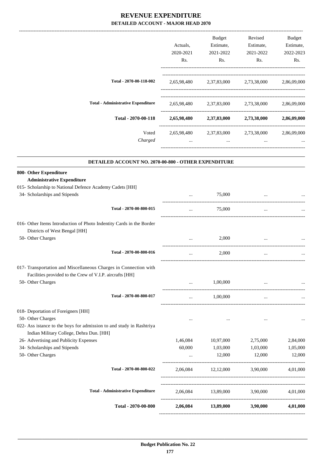|                                                                                                                  | Actuals,<br>2020-2021<br>Rs. | Budget<br>Estimate,<br>2021-2022<br>Rs. | Revised<br>Estimate,<br>2021-2022<br>Rs. | Budget<br>Estimate,<br>2022-2023<br>Rs. |
|------------------------------------------------------------------------------------------------------------------|------------------------------|-----------------------------------------|------------------------------------------|-----------------------------------------|
| Total - 2070-00-118-002                                                                                          | 2,65,98,480                  |                                         | 2,37,83,000 2,73,38,000 2,86,09,000      |                                         |
| <b>Total - Administrative Expenditure</b>                                                                        | 2,65,98,480                  | 2,37,83,000                             | 2,73,38,000                              | 2,86,09,000                             |
| Total - 2070-00-118                                                                                              |                              |                                         | 2,65,98,480 2,37,83,000 2,73,38,000      | 2,86,09,000                             |
| Voted<br>Charged                                                                                                 | 2,65,98,480                  | 2,37,83,000                             | 2,73,38,000                              | 2,86,09,000                             |
| DETAILED ACCOUNT NO. 2070-00-800 - OTHER EXPENDITURE                                                             |                              |                                         |                                          |                                         |
| 800- Other Expenditure<br><b>Administrative Expenditure</b>                                                      |                              |                                         |                                          |                                         |
| 015- Scholarship to National Defence Academy Cadets [HH]                                                         |                              |                                         |                                          |                                         |
| 34- Scholarships and Stipends                                                                                    |                              | 75,000                                  |                                          |                                         |
| Total - 2070-00-800-015                                                                                          | $\cdots$                     | 75,000                                  | $\cdots$                                 |                                         |
| 016- Other Items Introduction of Photo Indentity Cards in the Border<br>Districts of West Bengal [HH]            |                              |                                         |                                          |                                         |
| 50- Other Charges                                                                                                |                              | 2,000                                   | ________________                         |                                         |
| Total - 2070-00-800-016                                                                                          |                              | 2,000                                   |                                          |                                         |
| 017- Transportation and Miscellaneous Charges in Connection with                                                 |                              |                                         |                                          |                                         |
| Facilities provided to the Crew of V.I.P. aircrafts [HH]<br>50- Other Charges                                    |                              | 1,00,000                                |                                          |                                         |
| Total - 2070-00-800-017                                                                                          | $\cdots$                     | 1,00,000                                | $\cdots$                                 |                                         |
| 018- Deportation of Foreigners [HH]                                                                              |                              |                                         |                                          |                                         |
| 50- Other Charges                                                                                                | $\cdots$                     | $\cdots$                                | $\cdots$                                 | $\ddots$                                |
| 022- Ass istance to the boys for admission to and study in Rashtriya<br>Indian Military College, Dehra Dun. [HH] |                              |                                         |                                          |                                         |
| 26- Advertising and Publicity Expenses                                                                           | 1,46,084                     | 10,97,000                               | 2,75,000                                 | 2,84,000                                |
| 34- Scholarships and Stipends                                                                                    | 60,000                       | 1,03,000                                | 1,03,000                                 | 1,05,000                                |
| 50- Other Charges                                                                                                | $\cdots$                     | 12,000                                  | 12,000                                   | 12,000                                  |
| Total - 2070-00-800-022                                                                                          | 2,06,084                     | 12,12,000                               | 3,90,000                                 | 4,01,000                                |
| <b>Total - Administrative Expenditure</b>                                                                        |                              | 2,06,084 13,89,000 3,90,000             |                                          | 4,01,000                                |
| Total - 2070-00-800                                                                                              | 2,06,084                     | 13,89,000                               | 3,90,000                                 | 4,01,000                                |

------------------------------------------------------------------------------------------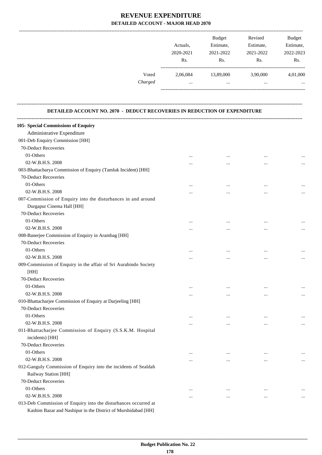|         |           | <b>Budget</b> | Revised   | <b>Budget</b> |
|---------|-----------|---------------|-----------|---------------|
|         | Actuals.  | Estimate,     | Estimate, | Estimate,     |
|         | 2020-2021 | 2021-2022     | 2021-2022 | 2022-2023     |
|         | Rs.       | Rs.           | Rs.       | Rs.           |
| Voted   | 2.06.084  | 13,89,000     | 3,90,000  | 4,01,000      |
| Charged | $\cdots$  |               |           | $\cdots$      |
|         |           |               |           |               |

### **DETAILED ACCOUNT NO. 2070 - DEDUCT RECOVERIES IN REDUCTION OF EXPENDITURE**

**--------------------------------------------------------------------------------------------------------------------------------------------------------------------------------**

| 105- Special Commissions of Enquiry                              |          |           |           |          |
|------------------------------------------------------------------|----------|-----------|-----------|----------|
| Administrative Expenditure                                       |          |           |           |          |
| 001-Deb Enquiry Commission [HH]                                  |          |           |           |          |
| 70-Deduct Recoveries                                             |          |           |           |          |
| 01-Others                                                        | $\cdots$ |           |           |          |
| 02-W.B.H.S. 2008                                                 | $\cdots$ |           |           |          |
| 003-Bhattacharya Commission of Enquiry (Tamluk Incident) [HH]    |          |           |           |          |
| 70-Deduct Recoveries                                             |          |           |           |          |
| 01-Others                                                        | $\cdots$ |           | $\ddotsc$ |          |
| 02-W.B.H.S. 2008                                                 | $\cdots$ |           | $\ddotsc$ | $\cdots$ |
| 007-Commission of Enquiry into the disturbances in and around    |          |           |           |          |
| Durgapur Cinema Hall [HH]                                        |          |           |           |          |
| 70-Deduct Recoveries                                             |          |           |           |          |
| 01-Others                                                        | $\cdots$ |           |           |          |
| 02-W.B.H.S. 2008                                                 | $\cdots$ |           | $\ddotsc$ | $\ldots$ |
| 008-Banerjee Commission of Enquiry in Arambag [HH]               |          |           |           |          |
| 70-Deduct Recoveries                                             |          |           |           |          |
| 01-Others                                                        | $\cdots$ |           | $\ddotsc$ |          |
| 02-W.B.H.S. 2008                                                 | $\cdots$ |           | $\ddotsc$ | $\ldots$ |
| 009-Commission of Enquiry in the affair of Sri Aurabindo Society |          |           |           |          |
| [HH]                                                             |          |           |           |          |
| 70-Deduct Recoveries                                             |          |           |           |          |
| 01-Others                                                        | $\cdots$ |           | $\cdots$  |          |
| 02-W.B.H.S. 2008                                                 | $\cdots$ |           | $\ddotsc$ |          |
| 010-Bhattacharjee Commission of Enquiry at Darjeeling [HH]       |          |           |           |          |
| 70-Deduct Recoveries                                             |          |           |           |          |
| 01-Others                                                        | $\cdots$ |           | $\ddotsc$ |          |
| 02-W.B.H.S. 2008                                                 | $\cdots$ | $\cdots$  |           |          |
| 011-Bhattacharjee Commission of Enquiry (S.S.K.M. Hospital       |          |           |           |          |
| incidents) [HH]                                                  |          |           |           |          |
| 70-Deduct Recoveries                                             |          |           |           |          |
| 01-Others                                                        | $\cdots$ | $\ddotsc$ | $\ddotsc$ |          |
| 02-W.B.H.S. 2008                                                 | $\cdots$ | $\cdots$  | $\cdots$  | $\ldots$ |
| 012-Ganguly Commission of Enquiry into the incidents of Sealdah  |          |           |           |          |
| Railway Station [HH]                                             |          |           |           |          |
| 70-Deduct Recoveries                                             |          |           |           |          |
| 01-Others                                                        | $\cdots$ | $\cdots$  | $\ddotsc$ | $\cdots$ |
| 02-W.B.H.S. 2008                                                 | $\cdots$ | $\cdots$  | $\ddotsc$ | $\cdots$ |
| 013-Deb Commission of Enquiry into the disturbances occurred at  |          |           |           |          |
| Kashim Bazar and Nashipur in the District of Murshidabad [HH]    |          |           |           |          |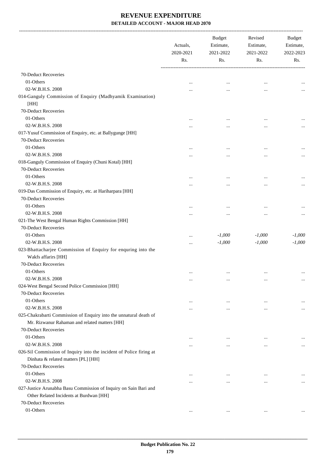-------------------------------------------------------------------------------------------------------------------------------------------------------------------------------

|                                                                                      | Actuals,<br>2020-2021<br>Rs. | <b>Budget</b><br>Estimate,<br>2021-2022<br>Rs. | Revised<br>Estimate,<br>2021-2022<br>Rs. | <b>Budget</b><br>Estimate,<br>2022-2023<br>Rs. |
|--------------------------------------------------------------------------------------|------------------------------|------------------------------------------------|------------------------------------------|------------------------------------------------|
|                                                                                      |                              |                                                |                                          |                                                |
| 70-Deduct Recoveries                                                                 |                              |                                                |                                          |                                                |
| 01-Others                                                                            | $\cdots$                     | $\cdots$                                       | $\cdots$                                 |                                                |
| 02-W.B.H.S. 2008                                                                     | $\cdots$                     | $\cdots$                                       | $\cdots$                                 | $\cdots$                                       |
| 014-Ganguly Commission of Enquiry (Madhyamik Examination)                            |                              |                                                |                                          |                                                |
| [HH]                                                                                 |                              |                                                |                                          |                                                |
| 70-Deduct Recoveries                                                                 |                              |                                                |                                          |                                                |
| 01-Others                                                                            | $\cdots$                     | $\cdots$                                       | $\ddotsc$                                |                                                |
| 02-W.B.H.S. 2008                                                                     | $\cdots$                     | $\cdots$                                       | $\cdots$                                 | $\cdots$                                       |
| 017-Yusuf Commission of Enquiry, etc. at Ballygunge [HH]                             |                              |                                                |                                          |                                                |
| 70-Deduct Recoveries                                                                 |                              |                                                |                                          |                                                |
| 01-Others                                                                            | $\cdots$                     | $\cdots$                                       | $\cdots$                                 | $\cdots$                                       |
| 02-W.B.H.S. 2008                                                                     | $\cdots$                     | $\cdots$                                       | $\cdots$                                 | $\cdots$                                       |
| 018-Ganguly Commission of Enquiry (Chuni Kotal) [HH]                                 |                              |                                                |                                          |                                                |
| 70-Deduct Recoveries                                                                 |                              |                                                |                                          |                                                |
| 01-Others                                                                            | $\cdots$                     | $\cdots$                                       | $\cdots$                                 |                                                |
| 02-W.B.H.S. 2008                                                                     | $\cdots$                     | $\cdots$                                       |                                          | $\cdots$                                       |
| 019-Das Commission of Enquiry, etc. at Hariharpara [HH]                              |                              |                                                |                                          |                                                |
| 70-Deduct Recoveries                                                                 |                              |                                                |                                          |                                                |
| 01-Others                                                                            | $\cdots$                     | $\cdots$                                       | $\ddotsc$                                | $\cdots$                                       |
| 02-W.B.H.S. 2008                                                                     | $\cdots$                     | $\cdots$                                       |                                          | $\cdots$                                       |
| 021-The West Bengal Human Rights Commission [HH]                                     |                              |                                                |                                          |                                                |
| 70-Deduct Recoveries                                                                 |                              |                                                |                                          |                                                |
| 01-Others                                                                            | $\cdots$                     | $-1,000$                                       | $-1,000$                                 | $-1,000$                                       |
| 02-W.B.H.S. 2008                                                                     | $\cdots$                     | $-1,000$                                       | $-1,000$                                 | $-1,000$                                       |
| 023-Bhattacharjee Commission of Enquiry for enquring into the<br>Wakfs affarirs [HH] |                              |                                                |                                          |                                                |
| 70-Deduct Recoveries                                                                 |                              |                                                |                                          |                                                |
| 01-Others                                                                            | $\cdots$                     | $\cdots$                                       | $\cdots$                                 |                                                |
| 02-W.B.H.S. 2008                                                                     | $\cdots$                     | $\cdots$                                       | $\cdots$                                 | $\cdots$                                       |
| 024-West Bengal Second Police Commission [HH]                                        |                              |                                                |                                          |                                                |
| 70-Deduct Recoveries                                                                 |                              |                                                |                                          |                                                |
| 01-Others                                                                            | $\cdots$                     | $\cdots$                                       | $\cdots$                                 | $\cdots$                                       |
| 02-W.B.H.S. 2008                                                                     | $\cdots$                     | $\cdots$                                       | $\cdots$                                 | $\cdots$                                       |
| 025-Chakrabarti Commission of Enquiry into the unnatural death of                    |                              |                                                |                                          |                                                |
| Mr. Rizwanur Rahaman and related matters [HH]                                        |                              |                                                |                                          |                                                |
| 70-Deduct Recoveries                                                                 |                              |                                                |                                          |                                                |
| 01-Others                                                                            | $\cdots$                     | $\cdots$                                       | $\ddotsc$                                |                                                |
| 02-W.B.H.S. 2008                                                                     |                              | $\cdots$                                       | $\ddotsc$                                | $\cdots$                                       |
| 026-Sil Commission of Inquiry into the incident of Police firing at                  |                              |                                                |                                          |                                                |
| Dinhata & related matters [PL] [HH]                                                  |                              |                                                |                                          |                                                |
| 70-Deduct Recoveries                                                                 |                              |                                                |                                          |                                                |
| 01-Others                                                                            |                              |                                                |                                          |                                                |
| 02-W.B.H.S. 2008                                                                     |                              | $\cdots$                                       |                                          | $\cdots$                                       |
| 027-Justice Arunabha Basu Commission of Inquiry on Sain Bari and                     |                              |                                                |                                          |                                                |
| Other Related Incidents at Burdwan [HH]<br>70-Deduct Recoveries                      |                              |                                                |                                          |                                                |
| 01-Others                                                                            |                              |                                                |                                          |                                                |
|                                                                                      | $\cdots$                     | $\cdots$                                       | $\cdots$                                 |                                                |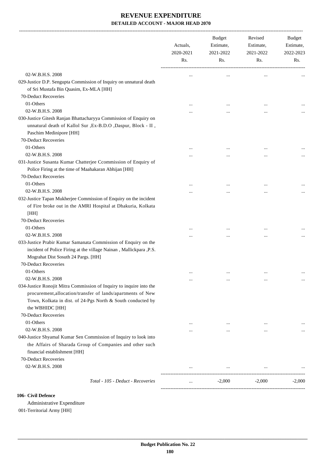|                                                                                                                                                                                                                                              | Actuals,<br>2020-2021<br>Rs. | Budget<br>Estimate,<br>2021-2022<br>Rs. | Revised<br>Estimate,<br>2021-2022<br>Rs. | <b>Budget</b><br>Estimate,<br>2022-2023<br>Rs. |
|----------------------------------------------------------------------------------------------------------------------------------------------------------------------------------------------------------------------------------------------|------------------------------|-----------------------------------------|------------------------------------------|------------------------------------------------|
| 02-W.B.H.S. 2008                                                                                                                                                                                                                             |                              | $\cdots$                                | $\ddotsc$                                |                                                |
| 029-Justice D.P. Sengupta Commission of Inquiry on unnatural death<br>of Sri Mustafa Bin Quasim, Ex-MLA [HH]<br>70-Deduct Recoveries                                                                                                         |                              |                                         |                                          |                                                |
| 01-Others                                                                                                                                                                                                                                    |                              |                                         |                                          |                                                |
| 02-W.B.H.S. 2008                                                                                                                                                                                                                             |                              |                                         | $\ddotsc$                                |                                                |
| 030-Justice Gitesh Ranjan Bhattacharyya Commission of Enquiry on<br>unnatural death of Kallol Sur , Ex-B.D.O , Daspur, Block - II,<br>Paschim Medinipore [HH]                                                                                |                              |                                         |                                          |                                                |
| 70-Deduct Recoveries<br>01-Others                                                                                                                                                                                                            |                              |                                         |                                          |                                                |
| 02-W.B.H.S. 2008                                                                                                                                                                                                                             |                              |                                         | $\cdots$                                 |                                                |
| 031-Justice Susanta Kumar Chatterjee Ccommission of Enquiry of<br>Police Firing at the time of Maahakaran Abhijan [HH]<br>70-Deduct Recoveries<br>01-Others                                                                                  |                              |                                         | <br>                                     |                                                |
| 02-W.B.H.S. 2008                                                                                                                                                                                                                             |                              |                                         | $\cdots$                                 |                                                |
| 032-Justice Tapan Mukherjee Commission of Enquiry on the incident<br>of Fire broke out in the AMRI Hospital at Dhakuria, Kolkata<br>[HH]<br>70-Deduct Recoveries                                                                             |                              |                                         |                                          |                                                |
| 01-Others                                                                                                                                                                                                                                    |                              |                                         |                                          |                                                |
| 02-W.B.H.S. 2008<br>033-Justice Prabir Kumar Samanata Commission of Enquiry on the<br>incident of Police Firing at the village Nainan, Mallickpara, P.S.<br>Mograhat Dist Sosuth 24 Pargs. [HH]<br>70-Deduct Recoveries<br>01-Others         |                              |                                         |                                          |                                                |
| 02-W.B.H.S. 2008                                                                                                                                                                                                                             | $\cdots$<br>$\cdots$         | $\cdots$                                | <br>$\ddotsc$                            | $\cdots$                                       |
| 034-Justice Ronojit Mitra Commission of Inquiry to inquire into the<br>procurement, allocation/transfer of lands/apartments of New<br>Town, Kolkata in dist. of 24-Pgs North & South conducted by<br>the WBHIDC [HH]<br>70-Deduct Recoveries |                              |                                         |                                          |                                                |
| 01-Others                                                                                                                                                                                                                                    |                              | $\cdots$                                | $\cdots$                                 |                                                |
| 02-W.B.H.S. 2008<br>040-Justice Shyamal Kumar Sen Commission of Inquiry to look into<br>the Affairs of Sharada Group of Companies and other such<br>financial establishment [HH]<br>70-Deduct Recoveries                                     | $\cdots$                     |                                         |                                          |                                                |
| 02-W.B.H.S. 2008                                                                                                                                                                                                                             |                              | $\ldots$                                |                                          |                                                |
| Total - 105 - Deduct - Recoveries                                                                                                                                                                                                            | $\cdots$                     | $-2,000$                                | -------------------------<br>$-2,000$    | $-2,000$                                       |

### **106- Civil Defence**

Administrative Expenditure 001-Territorial Army [HH]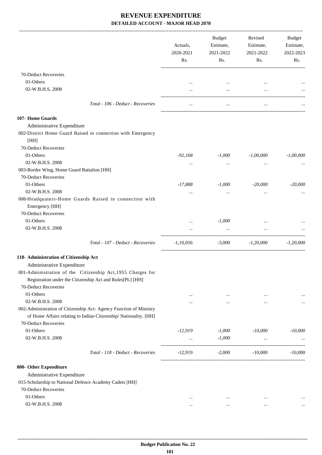|                                                                         | Actuals,<br>2020-2021<br>Rs. | <b>Budget</b><br>Estimate,<br>2021-2022<br>Rs. | Revised<br>Estimate,<br>2021-2022<br>Rs. | Budget<br>Estimate,<br>2022-2023<br>Rs. |
|-------------------------------------------------------------------------|------------------------------|------------------------------------------------|------------------------------------------|-----------------------------------------|
|                                                                         |                              |                                                |                                          |                                         |
| 70-Deduct Recoveries                                                    |                              |                                                |                                          |                                         |
| 01-Others                                                               |                              |                                                |                                          |                                         |
| 02-W.B.H.S. 2008                                                        |                              | $\cdots$                                       | $\cdots$                                 |                                         |
| Total - 106 - Deduct - Recoveries                                       |                              | $\cdots$                                       |                                          |                                         |
| 107- Home Guards                                                        |                              |                                                |                                          |                                         |
| Administrative Expenditure                                              |                              |                                                |                                          |                                         |
| 002-District Home Guard Raised in connection with Emergency             |                              |                                                |                                          |                                         |
| [HH]                                                                    |                              |                                                |                                          |                                         |
| 70-Deduct Recoveries                                                    |                              |                                                |                                          |                                         |
| 01-Others                                                               | $-92,168$                    | $-1,000$                                       | $-1,00,000$                              | $-1,00,000$                             |
| 02-W.B.H.S. 2008                                                        | $\cdots$                     | $\cdots$                                       | $\cdots$                                 |                                         |
| 003-Border Wing, Home Guard Battalion [HH]                              |                              |                                                |                                          |                                         |
| 70-Deduct Recoveries                                                    |                              |                                                |                                          |                                         |
| 01-Others                                                               | $-17,888$                    | $-1,000$                                       | $-20,000$                                | $-20,000$                               |
| 02-W.B.H.S. 2008                                                        |                              |                                                |                                          |                                         |
| 008-Headquaters-Home Guards Raised in connection with<br>Emergency [HH] |                              |                                                |                                          |                                         |
| 70-Deduct Recoveries                                                    |                              |                                                |                                          |                                         |
| 01-Others                                                               |                              | $-1,000$                                       |                                          |                                         |
| 02-W.B.H.S. 2008                                                        | $\cdots$                     | $\cdots$                                       | $\cdots$                                 |                                         |
| Total - 107 - Deduct - Recoveries                                       | $-1,10,056$                  | $-3,000$                                       | $-1,20,000$                              | $-1,20,000$                             |
| 118- Administration of Citizenship Act                                  |                              |                                                |                                          |                                         |
| Administrative Expenditure                                              |                              |                                                |                                          |                                         |
| 001-Administration of the Citizenship Act, 1955 Charges for             |                              |                                                |                                          |                                         |
| Registration under the Citizenship Act and Rules[PL] [HH]               |                              |                                                |                                          |                                         |
| 70-Deduct Recoveries                                                    |                              |                                                |                                          |                                         |
| 01-Others                                                               | $\cdots$                     | $\cdots$                                       | $\cdots$                                 |                                         |
| 02-W.B.H.S. 2008                                                        |                              | $\cdots$                                       | $\cdots$                                 | $\cdots$                                |
| 002-Administration of Citizenship Act- Agency Function of Ministry      |                              |                                                |                                          |                                         |
| of Home Affairs relating to Indian Citizenship/Nationality. [HH]        |                              |                                                |                                          |                                         |
| 70-Deduct Recoveries                                                    |                              |                                                |                                          |                                         |
| 01-Others                                                               | $-12,919$                    | $-1,000$                                       | $-10,000$                                | $-10,000$                               |
| 02-W.B.H.S. 2008                                                        | $\cdots$                     | $-1,000$                                       |                                          |                                         |
| Total - 118 - Deduct - Recoveries                                       | $-12,919$                    | $-2,000$                                       | $-10,000$                                | $-10,000$                               |
| 800- Other Expenditure                                                  |                              |                                                |                                          |                                         |
| Administrative Expenditure                                              |                              |                                                |                                          |                                         |
| 015-Scholarship to National Defence Academy Cadets [HH]                 |                              |                                                |                                          |                                         |
| 70-Deduct Recoveries                                                    |                              |                                                |                                          |                                         |
| 01-Others                                                               |                              |                                                |                                          |                                         |
| 02-W.B.H.S. 2008                                                        | $\ddotsc$<br>                | $\cdots$<br>$\cdots$                           | $\ddotsc$                                |                                         |
|                                                                         |                              |                                                |                                          |                                         |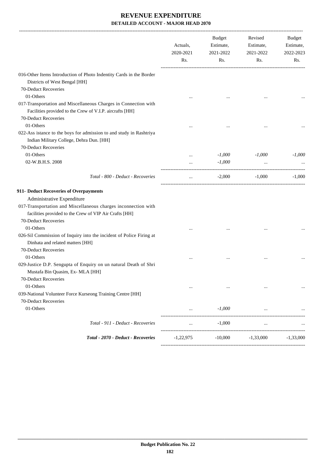| 016-Other Items Introduction of Photo Indentity Cards in the Border<br>Districts of West Bengal [HH]<br>70-Deduct Recoveries<br>01-Others<br>017-Transportation and Miscellaneous Charges in Connection with<br>Facilities provided to the Crew of V.I.P. aircrafts [HH]<br>70-Deduct Recoveries<br>01-Others<br>022-Ass istance to the boys for admission to and study in Rashtriya<br>Indian Military College, Dehra Dun. [HH]<br>70-Deduct Recoveries<br>01-Others<br>$-1,000$<br>$-1,000$<br>$\ddotsc$<br>02-W.B.H.S. 2008<br>$-1,000$<br>$\cdots$<br>Total - 800 - Deduct - Recoveries<br>$-2,000$<br>$-1,000$<br>$\ddotsc$<br>Administrative Expenditure<br>017-Transportation and Miscellaneous charges inconnection with<br>facilities provided to the Crew of VIP Air Crafts [HH]<br>70-Deduct Recoveries<br>01-Others<br>026-Sil Commission of Inquiry into the incident of Police Firing at<br>Dinhata and related matters [HH]<br>70-Deduct Recoveries<br>01-Others<br>$\ddotsc$<br><br>029-Justice D.P. Sengupta of Enquiry on un natural Death of Shri<br>Mustafa Bin Quasim, Ex- MLA [HH]<br>70-Deduct Recoveries<br>01-Others<br>$\cdots$<br>$\cdots$<br>$\cdots$<br>039-National Volunteer Force Kurseong Training Centre [HH]<br>70-Deduct Recoveries<br>01-Others<br>$-1,000$<br>Total - 911 - Deduct - Recoveries<br>$-1,000$<br>$\ddots$<br>$\ddotsc$ |                                    | Actuals,<br>2020-2021 | <b>Budget</b><br>Estimate,<br>2021-2022 | Revised<br>Estimate,<br>2021-2022 | Budget<br>Estimate,<br>2022-2023 |
|----------------------------------------------------------------------------------------------------------------------------------------------------------------------------------------------------------------------------------------------------------------------------------------------------------------------------------------------------------------------------------------------------------------------------------------------------------------------------------------------------------------------------------------------------------------------------------------------------------------------------------------------------------------------------------------------------------------------------------------------------------------------------------------------------------------------------------------------------------------------------------------------------------------------------------------------------------------------------------------------------------------------------------------------------------------------------------------------------------------------------------------------------------------------------------------------------------------------------------------------------------------------------------------------------------------------------------------------------------------------------|------------------------------------|-----------------------|-----------------------------------------|-----------------------------------|----------------------------------|
|                                                                                                                                                                                                                                                                                                                                                                                                                                                                                                                                                                                                                                                                                                                                                                                                                                                                                                                                                                                                                                                                                                                                                                                                                                                                                                                                                                            |                                    | Rs.                   | Rs.                                     | Rs.                               | Rs.                              |
|                                                                                                                                                                                                                                                                                                                                                                                                                                                                                                                                                                                                                                                                                                                                                                                                                                                                                                                                                                                                                                                                                                                                                                                                                                                                                                                                                                            |                                    |                       |                                         |                                   |                                  |
|                                                                                                                                                                                                                                                                                                                                                                                                                                                                                                                                                                                                                                                                                                                                                                                                                                                                                                                                                                                                                                                                                                                                                                                                                                                                                                                                                                            |                                    |                       |                                         |                                   |                                  |
|                                                                                                                                                                                                                                                                                                                                                                                                                                                                                                                                                                                                                                                                                                                                                                                                                                                                                                                                                                                                                                                                                                                                                                                                                                                                                                                                                                            |                                    |                       |                                         |                                   |                                  |
|                                                                                                                                                                                                                                                                                                                                                                                                                                                                                                                                                                                                                                                                                                                                                                                                                                                                                                                                                                                                                                                                                                                                                                                                                                                                                                                                                                            |                                    |                       |                                         |                                   |                                  |
| 911- Deduct Recoveries of Overpayments                                                                                                                                                                                                                                                                                                                                                                                                                                                                                                                                                                                                                                                                                                                                                                                                                                                                                                                                                                                                                                                                                                                                                                                                                                                                                                                                     |                                    |                       |                                         |                                   |                                  |
|                                                                                                                                                                                                                                                                                                                                                                                                                                                                                                                                                                                                                                                                                                                                                                                                                                                                                                                                                                                                                                                                                                                                                                                                                                                                                                                                                                            |                                    |                       |                                         |                                   |                                  |
|                                                                                                                                                                                                                                                                                                                                                                                                                                                                                                                                                                                                                                                                                                                                                                                                                                                                                                                                                                                                                                                                                                                                                                                                                                                                                                                                                                            |                                    |                       |                                         |                                   | $-1,000$                         |
|                                                                                                                                                                                                                                                                                                                                                                                                                                                                                                                                                                                                                                                                                                                                                                                                                                                                                                                                                                                                                                                                                                                                                                                                                                                                                                                                                                            |                                    |                       |                                         |                                   |                                  |
|                                                                                                                                                                                                                                                                                                                                                                                                                                                                                                                                                                                                                                                                                                                                                                                                                                                                                                                                                                                                                                                                                                                                                                                                                                                                                                                                                                            |                                    |                       |                                         |                                   | $-1,000$                         |
|                                                                                                                                                                                                                                                                                                                                                                                                                                                                                                                                                                                                                                                                                                                                                                                                                                                                                                                                                                                                                                                                                                                                                                                                                                                                                                                                                                            |                                    |                       |                                         |                                   |                                  |
|                                                                                                                                                                                                                                                                                                                                                                                                                                                                                                                                                                                                                                                                                                                                                                                                                                                                                                                                                                                                                                                                                                                                                                                                                                                                                                                                                                            |                                    |                       |                                         |                                   |                                  |
|                                                                                                                                                                                                                                                                                                                                                                                                                                                                                                                                                                                                                                                                                                                                                                                                                                                                                                                                                                                                                                                                                                                                                                                                                                                                                                                                                                            |                                    |                       |                                         |                                   |                                  |
|                                                                                                                                                                                                                                                                                                                                                                                                                                                                                                                                                                                                                                                                                                                                                                                                                                                                                                                                                                                                                                                                                                                                                                                                                                                                                                                                                                            |                                    |                       |                                         |                                   |                                  |
|                                                                                                                                                                                                                                                                                                                                                                                                                                                                                                                                                                                                                                                                                                                                                                                                                                                                                                                                                                                                                                                                                                                                                                                                                                                                                                                                                                            |                                    |                       |                                         |                                   |                                  |
|                                                                                                                                                                                                                                                                                                                                                                                                                                                                                                                                                                                                                                                                                                                                                                                                                                                                                                                                                                                                                                                                                                                                                                                                                                                                                                                                                                            |                                    |                       |                                         |                                   |                                  |
|                                                                                                                                                                                                                                                                                                                                                                                                                                                                                                                                                                                                                                                                                                                                                                                                                                                                                                                                                                                                                                                                                                                                                                                                                                                                                                                                                                            | Total - 2070 - Deduct - Recoveries | $-1,22,975$           | $-10,000$                               | $-1,33,000$                       | $-1,33,000$                      |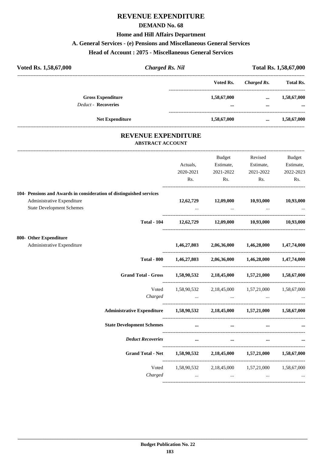# **REVENUE EXPENDITURE**

### **DEMAND No. 68**

### **Home and Hill Affairs Department**

### **A. General Services - (e) Pensions and Miscellaneous General Services**

**Head of Account : 2075 - Miscellaneous General Services**

| Voted Rs. 1,58,67,000      | <b>Charged Rs. Nil</b> |                         |             | Total Rs. 1,58,67,000 |  |  |
|----------------------------|------------------------|-------------------------|-------------|-----------------------|--|--|
|                            |                        | Voted Rs.               | Charged Rs. | <b>Total Rs.</b>      |  |  |
| <b>Gross Expenditure</b>   |                        | 1,58,67,000             | $\cdots$    | 1,58,67,000           |  |  |
| <b>Deduct - Recoveries</b> |                        | $\bullet\bullet\bullet$ | $\cdots$    | $\cdots$              |  |  |
|                            | <b>Net Expenditure</b> | 1,58,67,000             | $\cdots$    | 1,58,67,000           |  |  |
|                            |                        |                         |             |                       |  |  |

# **REVENUE EXPENDITURE**

---------------------------------------------------------------------------------------------------------------------------------------------------------------------------------

### **ABSTRACT ACCOUNT**

|                                                                            | Actuals,<br>2020-2021<br>Rs.                                                                                                   | <b>Budget</b><br>Estimate,<br>2021-2022<br>$\mathbf{Rs.}$                                                       | Revised<br>Estimate,<br>2021-2022<br>Rs. | <b>Budget</b><br>Estimate,<br>2022-2023<br>Rs. |
|----------------------------------------------------------------------------|--------------------------------------------------------------------------------------------------------------------------------|-----------------------------------------------------------------------------------------------------------------|------------------------------------------|------------------------------------------------|
| 104- Pensions and Awards in consideration of distinguished services        |                                                                                                                                |                                                                                                                 |                                          |                                                |
| Administrative Expenditure<br><b>State Development Schemes</b>             |                                                                                                                                | $12,62,729$ $12,09,000$ $10,93,000$ $10,93,000$<br><b><i>Committee State State State State State</i></b>        | <b><i>Committee States</i></b>           |                                                |
|                                                                            | Total - 104 12,62,729 12,09,000 10,93,000 10,93,000                                                                            |                                                                                                                 |                                          |                                                |
| 800- Other Expenditure                                                     |                                                                                                                                |                                                                                                                 |                                          |                                                |
| Administrative Expenditure                                                 |                                                                                                                                | $1,46,27,803$ $2,06,36,000$ $1,46,28,000$ $1,47,74,000$                                                         |                                          |                                                |
| <b>Total - 800</b>                                                         |                                                                                                                                | $1,46,27,803$ $2,06,36,000$ $1,46,28,000$ $1,47,74,000$                                                         |                                          |                                                |
| Grand Total - Gross 1,58,90,532 2,18,45,000 1,57,21,000 1,58,67,000        |                                                                                                                                |                                                                                                                 |                                          |                                                |
| Voted                                                                      |                                                                                                                                | 1,58,90,532 2,18,45,000 1,57,21,000 1,58,67,000                                                                 |                                          |                                                |
| Charged                                                                    |                                                                                                                                | المساوي المساوي المساوي المساوي المساوي المساوي المساوي المساوي المساوي المساوي المساوي المساوي المساوي المساوي |                                          |                                                |
| Administrative Expenditure 1,58,90,532 2,18,45,000 1,57,21,000 1,58,67,000 |                                                                                                                                |                                                                                                                 |                                          |                                                |
| <b>State Development Schemes</b>                                           | $\mathbf{r}$ and $\mathbf{r}$ are all $\mathbf{r}$ and $\mathbf{r}$ are all $\mathbf{r}$ and $\mathbf{r}$ are all $\mathbf{r}$ |                                                                                                                 |                                          | $\cdots$                                       |
| <b>Deduct Recoveries</b>                                                   |                                                                                                                                | $\cdots$                                                                                                        | $\cdots$<br>$\cdots$                     |                                                |
|                                                                            | Grand Total - Net 1,58,90,532 2,18,45,000 1,57,21,000 1,58,67,000                                                              |                                                                                                                 |                                          |                                                |
|                                                                            | Voted 1,58,90,532 2,18,45,000 1,57,21,000 1,58,67,000                                                                          |                                                                                                                 |                                          |                                                |
| Charged                                                                    | $\mathbf{r}$ and $\mathbf{r}$ and $\mathbf{r}$ are the set of $\mathbf{r}$                                                     | <b><i>Committee State State State</i></b>                                                                       | $\sim$ $\sim$ $\sim$                     |                                                |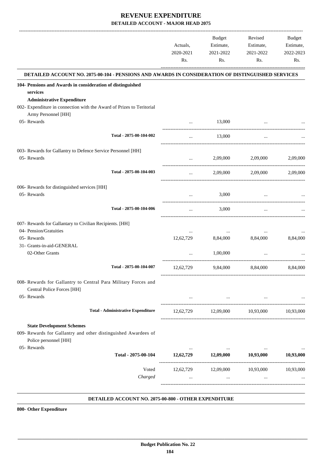|                                                                                                                                            | Actuals,<br>2020-2021<br>Rs. | <b>Budget</b><br>Estimate,<br>2021-2022<br>Rs. | Revised<br>Estimate,<br>2021-2022<br>Rs.      | <b>Budget</b><br>Estimate,<br>2022-2023<br>Rs. |
|--------------------------------------------------------------------------------------------------------------------------------------------|------------------------------|------------------------------------------------|-----------------------------------------------|------------------------------------------------|
| DETAILED ACCOUNT NO. 2075-00-104 - PENSIONS AND AWARDS IN CONSIDERATION OF DISTINGUISHED SERVICES                                          |                              |                                                |                                               |                                                |
| 104- Pensions and Awards in consideration of distinguished<br>services                                                                     |                              |                                                |                                               |                                                |
| <b>Administrative Expenditure</b><br>002- Expenditure in connection with the Award of Prizes to Teritorial<br>Army Personnel [HH]          |                              |                                                |                                               |                                                |
| 05- Rewards                                                                                                                                |                              | 13,000                                         |                                               |                                                |
| Total - 2075-00-104-002                                                                                                                    |                              | 13,000                                         |                                               |                                                |
| 003- Rewards for Gallantry to Defence Service Personnel [HH]<br>05- Rewards                                                                | $\ddotsc$                    | 2,09,000                                       | 2,09,000                                      | 2,09,000                                       |
| Total - 2075-00-104-003                                                                                                                    | $\cdots$                     | 2,09,000                                       | 2,09,000                                      | 2.09.000                                       |
| 006- Rewards for distinguished services [HH]<br>05- Rewards                                                                                |                              | 3,000                                          |                                               |                                                |
| Total - 2075-00-104-006                                                                                                                    | $\ddotsc$                    | 3,000                                          | $\cdots$                                      |                                                |
| 007- Rewards for Gallantary to Civilian Recipients. [HH]<br>04- Pension/Gratuities<br>05- Rewards<br>31- Grants-in-aid-GENERAL             | 12,62,729                    | 8,84,000                                       | 8,84,000                                      | 8,84,000                                       |
| 02-Other Grants                                                                                                                            |                              | 1,00,000                                       |                                               |                                                |
| Total - 2075-00-104-007                                                                                                                    | 12,62,729                    | 9,84,000                                       | 8,84,000                                      | 8,84,000                                       |
| 008- Rewards for Gallantry to Central Para Military Forces and<br>Central Police Forces [HH]                                               |                              |                                                |                                               |                                                |
| 05- Rewards                                                                                                                                | $\cdots$                     |                                                | the company of the company of the<br>$\cdots$ |                                                |
| <b>Total - Administrative Expenditure</b>                                                                                                  | 12,62,729                    |                                                | 12,09,000 10,93,000                           | 10,93,000                                      |
| <b>State Development Schemes</b><br>009- Rewards for Gallantry and other distinguished Awardees of<br>Police personnel [HH]<br>05- Rewards |                              |                                                |                                               |                                                |
| Total - 2075-00-104                                                                                                                        | $\cdots$                     | $\cdots$<br>12,62,729 12,09,000 10,93,000      | $\cdots$                                      | 10,93,000                                      |
| Voted<br>Charged                                                                                                                           | 12,62,729<br>$\cdots$        | 12,09,000<br>$\cdots$                          | 10,93,000<br>$\cdots$                         | 10,93,000                                      |

#### **DETAILED ACCOUNT NO. 2075-00-800 - OTHER EXPENDITURE .**

**800- Other Expenditure**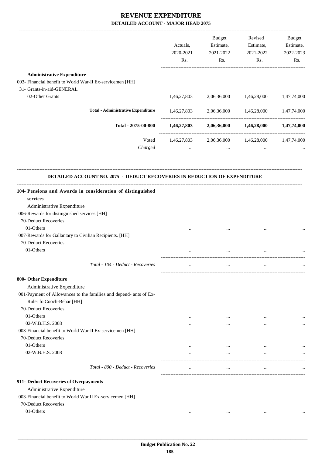| <b>Administrative Expenditure</b><br>003- Financial benefit to World War-II Ex-servicemen [HH]<br>31- Grants-in-aid-GENERAL<br>02-Other Grants<br>1,46,27,803<br>2,06,36,000<br>1,46,28,000<br><b>Total - Administrative Expenditure</b><br>1,46,27,803 2,06,36,000 1,46,28,000 1,47,74,000<br>Total - 2075-00-800<br>1,46,27,803<br>2,06,36,000 1,46,28,000 1,47,74,000<br>Voted<br>1,46,27,803<br>2,06,36,000 1,46,28,000 1,47,74,000<br>Charged<br>$\ddotsc$<br>$\sim$ $\sim$ $\sim$<br>$\cdots$<br>DETAILED ACCOUNT NO. 2075 - DEDUCT RECOVERIES IN REDUCTION OF EXPENDITURE<br>104- Pensions and Awards in consideration of distinguished<br>services<br>Administrative Expenditure<br>006-Rewards for distinguished services [HH]<br>70-Deduct Recoveries<br>01-Others<br><br>007-Rewards for Gallantary to Civilian Recipients. [HH]<br>70-Deduct Recoveries<br>01-Others<br>Total - 104 - Deduct - Recoveries<br>$\cdots$<br>$\cdots$<br><br>800- Other Expenditure<br>Administrative Expenditure<br>001-Payment of Allowances to the families and depend- ants of Ex-<br>Ruler fo Cooch-Behar [HH]<br>70-Deduct Recoveries<br>01-Others<br>$\ddotsc$<br>$\cdots$<br>$\cdots$<br>02-W.B.H.S. 2008<br>$\cdots$<br><br><br>003-Financial benefit to World War-II Ex-servicemen [HH]<br>70-Deduct Recoveries<br>01-Others<br>$\cdots$<br>$\cdots$<br>$\cdots$<br>02-W.B.H.S. 2008<br>$\cdots$<br>$\ddotsc$<br>$\cdots$<br>Total - 800 - Deduct - Recoveries<br>$\cdots$<br>$\cdots$<br>$\ddotsc$<br>911- Deduct Recoveries of Overpayments<br>Administrative Expenditure<br>003-Financial benefit to World War II Ex-servicemen [HH]<br>70-Deduct Recoveries<br>01-Others<br>$\cdots$<br>$\cdots$ |  | Actuals,<br>2020-2021<br>Rs. | <b>Budget</b><br>Estimate,<br>2021-2022<br>Rs. | Revised<br>Estimate,<br>2021-2022<br>Rs. | Budget<br>Estimate,<br>2022-2023<br>Rs. |
|--------------------------------------------------------------------------------------------------------------------------------------------------------------------------------------------------------------------------------------------------------------------------------------------------------------------------------------------------------------------------------------------------------------------------------------------------------------------------------------------------------------------------------------------------------------------------------------------------------------------------------------------------------------------------------------------------------------------------------------------------------------------------------------------------------------------------------------------------------------------------------------------------------------------------------------------------------------------------------------------------------------------------------------------------------------------------------------------------------------------------------------------------------------------------------------------------------------------------------------------------------------------------------------------------------------------------------------------------------------------------------------------------------------------------------------------------------------------------------------------------------------------------------------------------------------------------------------------------------------------------------------------------------------------------------------------------------|--|------------------------------|------------------------------------------------|------------------------------------------|-----------------------------------------|
|                                                                                                                                                                                                                                                                                                                                                                                                                                                                                                                                                                                                                                                                                                                                                                                                                                                                                                                                                                                                                                                                                                                                                                                                                                                                                                                                                                                                                                                                                                                                                                                                                                                                                                        |  |                              |                                                |                                          |                                         |
|                                                                                                                                                                                                                                                                                                                                                                                                                                                                                                                                                                                                                                                                                                                                                                                                                                                                                                                                                                                                                                                                                                                                                                                                                                                                                                                                                                                                                                                                                                                                                                                                                                                                                                        |  |                              |                                                |                                          |                                         |
|                                                                                                                                                                                                                                                                                                                                                                                                                                                                                                                                                                                                                                                                                                                                                                                                                                                                                                                                                                                                                                                                                                                                                                                                                                                                                                                                                                                                                                                                                                                                                                                                                                                                                                        |  |                              |                                                |                                          |                                         |
|                                                                                                                                                                                                                                                                                                                                                                                                                                                                                                                                                                                                                                                                                                                                                                                                                                                                                                                                                                                                                                                                                                                                                                                                                                                                                                                                                                                                                                                                                                                                                                                                                                                                                                        |  |                              |                                                |                                          | 1,47,74,000                             |
|                                                                                                                                                                                                                                                                                                                                                                                                                                                                                                                                                                                                                                                                                                                                                                                                                                                                                                                                                                                                                                                                                                                                                                                                                                                                                                                                                                                                                                                                                                                                                                                                                                                                                                        |  |                              |                                                |                                          |                                         |
|                                                                                                                                                                                                                                                                                                                                                                                                                                                                                                                                                                                                                                                                                                                                                                                                                                                                                                                                                                                                                                                                                                                                                                                                                                                                                                                                                                                                                                                                                                                                                                                                                                                                                                        |  |                              |                                                |                                          |                                         |
|                                                                                                                                                                                                                                                                                                                                                                                                                                                                                                                                                                                                                                                                                                                                                                                                                                                                                                                                                                                                                                                                                                                                                                                                                                                                                                                                                                                                                                                                                                                                                                                                                                                                                                        |  |                              |                                                |                                          |                                         |
|                                                                                                                                                                                                                                                                                                                                                                                                                                                                                                                                                                                                                                                                                                                                                                                                                                                                                                                                                                                                                                                                                                                                                                                                                                                                                                                                                                                                                                                                                                                                                                                                                                                                                                        |  |                              |                                                |                                          |                                         |
|                                                                                                                                                                                                                                                                                                                                                                                                                                                                                                                                                                                                                                                                                                                                                                                                                                                                                                                                                                                                                                                                                                                                                                                                                                                                                                                                                                                                                                                                                                                                                                                                                                                                                                        |  |                              |                                                |                                          |                                         |
|                                                                                                                                                                                                                                                                                                                                                                                                                                                                                                                                                                                                                                                                                                                                                                                                                                                                                                                                                                                                                                                                                                                                                                                                                                                                                                                                                                                                                                                                                                                                                                                                                                                                                                        |  |                              |                                                |                                          |                                         |
|                                                                                                                                                                                                                                                                                                                                                                                                                                                                                                                                                                                                                                                                                                                                                                                                                                                                                                                                                                                                                                                                                                                                                                                                                                                                                                                                                                                                                                                                                                                                                                                                                                                                                                        |  |                              |                                                |                                          |                                         |
|                                                                                                                                                                                                                                                                                                                                                                                                                                                                                                                                                                                                                                                                                                                                                                                                                                                                                                                                                                                                                                                                                                                                                                                                                                                                                                                                                                                                                                                                                                                                                                                                                                                                                                        |  |                              |                                                |                                          |                                         |
|                                                                                                                                                                                                                                                                                                                                                                                                                                                                                                                                                                                                                                                                                                                                                                                                                                                                                                                                                                                                                                                                                                                                                                                                                                                                                                                                                                                                                                                                                                                                                                                                                                                                                                        |  |                              |                                                |                                          |                                         |
|                                                                                                                                                                                                                                                                                                                                                                                                                                                                                                                                                                                                                                                                                                                                                                                                                                                                                                                                                                                                                                                                                                                                                                                                                                                                                                                                                                                                                                                                                                                                                                                                                                                                                                        |  |                              |                                                |                                          |                                         |
|                                                                                                                                                                                                                                                                                                                                                                                                                                                                                                                                                                                                                                                                                                                                                                                                                                                                                                                                                                                                                                                                                                                                                                                                                                                                                                                                                                                                                                                                                                                                                                                                                                                                                                        |  |                              |                                                |                                          |                                         |
|                                                                                                                                                                                                                                                                                                                                                                                                                                                                                                                                                                                                                                                                                                                                                                                                                                                                                                                                                                                                                                                                                                                                                                                                                                                                                                                                                                                                                                                                                                                                                                                                                                                                                                        |  |                              |                                                |                                          |                                         |
|                                                                                                                                                                                                                                                                                                                                                                                                                                                                                                                                                                                                                                                                                                                                                                                                                                                                                                                                                                                                                                                                                                                                                                                                                                                                                                                                                                                                                                                                                                                                                                                                                                                                                                        |  |                              |                                                |                                          |                                         |
|                                                                                                                                                                                                                                                                                                                                                                                                                                                                                                                                                                                                                                                                                                                                                                                                                                                                                                                                                                                                                                                                                                                                                                                                                                                                                                                                                                                                                                                                                                                                                                                                                                                                                                        |  |                              |                                                |                                          |                                         |
|                                                                                                                                                                                                                                                                                                                                                                                                                                                                                                                                                                                                                                                                                                                                                                                                                                                                                                                                                                                                                                                                                                                                                                                                                                                                                                                                                                                                                                                                                                                                                                                                                                                                                                        |  |                              |                                                |                                          |                                         |
|                                                                                                                                                                                                                                                                                                                                                                                                                                                                                                                                                                                                                                                                                                                                                                                                                                                                                                                                                                                                                                                                                                                                                                                                                                                                                                                                                                                                                                                                                                                                                                                                                                                                                                        |  |                              |                                                |                                          |                                         |
|                                                                                                                                                                                                                                                                                                                                                                                                                                                                                                                                                                                                                                                                                                                                                                                                                                                                                                                                                                                                                                                                                                                                                                                                                                                                                                                                                                                                                                                                                                                                                                                                                                                                                                        |  |                              |                                                |                                          |                                         |
|                                                                                                                                                                                                                                                                                                                                                                                                                                                                                                                                                                                                                                                                                                                                                                                                                                                                                                                                                                                                                                                                                                                                                                                                                                                                                                                                                                                                                                                                                                                                                                                                                                                                                                        |  |                              |                                                |                                          |                                         |
|                                                                                                                                                                                                                                                                                                                                                                                                                                                                                                                                                                                                                                                                                                                                                                                                                                                                                                                                                                                                                                                                                                                                                                                                                                                                                                                                                                                                                                                                                                                                                                                                                                                                                                        |  |                              |                                                |                                          |                                         |
|                                                                                                                                                                                                                                                                                                                                                                                                                                                                                                                                                                                                                                                                                                                                                                                                                                                                                                                                                                                                                                                                                                                                                                                                                                                                                                                                                                                                                                                                                                                                                                                                                                                                                                        |  |                              |                                                |                                          |                                         |
|                                                                                                                                                                                                                                                                                                                                                                                                                                                                                                                                                                                                                                                                                                                                                                                                                                                                                                                                                                                                                                                                                                                                                                                                                                                                                                                                                                                                                                                                                                                                                                                                                                                                                                        |  |                              |                                                |                                          |                                         |
|                                                                                                                                                                                                                                                                                                                                                                                                                                                                                                                                                                                                                                                                                                                                                                                                                                                                                                                                                                                                                                                                                                                                                                                                                                                                                                                                                                                                                                                                                                                                                                                                                                                                                                        |  |                              |                                                |                                          |                                         |
|                                                                                                                                                                                                                                                                                                                                                                                                                                                                                                                                                                                                                                                                                                                                                                                                                                                                                                                                                                                                                                                                                                                                                                                                                                                                                                                                                                                                                                                                                                                                                                                                                                                                                                        |  |                              |                                                |                                          |                                         |
|                                                                                                                                                                                                                                                                                                                                                                                                                                                                                                                                                                                                                                                                                                                                                                                                                                                                                                                                                                                                                                                                                                                                                                                                                                                                                                                                                                                                                                                                                                                                                                                                                                                                                                        |  |                              |                                                |                                          |                                         |
|                                                                                                                                                                                                                                                                                                                                                                                                                                                                                                                                                                                                                                                                                                                                                                                                                                                                                                                                                                                                                                                                                                                                                                                                                                                                                                                                                                                                                                                                                                                                                                                                                                                                                                        |  |                              |                                                |                                          |                                         |
|                                                                                                                                                                                                                                                                                                                                                                                                                                                                                                                                                                                                                                                                                                                                                                                                                                                                                                                                                                                                                                                                                                                                                                                                                                                                                                                                                                                                                                                                                                                                                                                                                                                                                                        |  |                              |                                                |                                          |                                         |
|                                                                                                                                                                                                                                                                                                                                                                                                                                                                                                                                                                                                                                                                                                                                                                                                                                                                                                                                                                                                                                                                                                                                                                                                                                                                                                                                                                                                                                                                                                                                                                                                                                                                                                        |  |                              |                                                |                                          |                                         |
|                                                                                                                                                                                                                                                                                                                                                                                                                                                                                                                                                                                                                                                                                                                                                                                                                                                                                                                                                                                                                                                                                                                                                                                                                                                                                                                                                                                                                                                                                                                                                                                                                                                                                                        |  |                              |                                                |                                          |                                         |
|                                                                                                                                                                                                                                                                                                                                                                                                                                                                                                                                                                                                                                                                                                                                                                                                                                                                                                                                                                                                                                                                                                                                                                                                                                                                                                                                                                                                                                                                                                                                                                                                                                                                                                        |  |                              |                                                |                                          |                                         |
|                                                                                                                                                                                                                                                                                                                                                                                                                                                                                                                                                                                                                                                                                                                                                                                                                                                                                                                                                                                                                                                                                                                                                                                                                                                                                                                                                                                                                                                                                                                                                                                                                                                                                                        |  |                              |                                                |                                          |                                         |
|                                                                                                                                                                                                                                                                                                                                                                                                                                                                                                                                                                                                                                                                                                                                                                                                                                                                                                                                                                                                                                                                                                                                                                                                                                                                                                                                                                                                                                                                                                                                                                                                                                                                                                        |  |                              |                                                |                                          |                                         |
|                                                                                                                                                                                                                                                                                                                                                                                                                                                                                                                                                                                                                                                                                                                                                                                                                                                                                                                                                                                                                                                                                                                                                                                                                                                                                                                                                                                                                                                                                                                                                                                                                                                                                                        |  |                              |                                                |                                          |                                         |
|                                                                                                                                                                                                                                                                                                                                                                                                                                                                                                                                                                                                                                                                                                                                                                                                                                                                                                                                                                                                                                                                                                                                                                                                                                                                                                                                                                                                                                                                                                                                                                                                                                                                                                        |  |                              |                                                |                                          |                                         |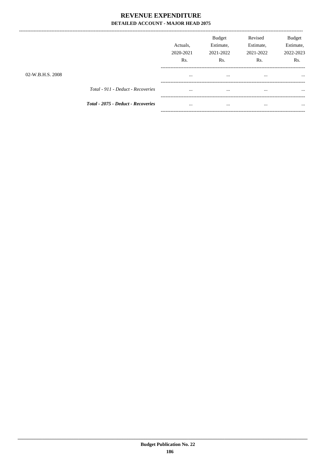|                  |                                           | Actuals.<br>2020-2021<br>Rs. | <b>Budget</b><br>Estimate,<br>2021-2022<br>Rs. | Revised<br>Estimate,<br>2021-2022<br>Rs. | <b>Budget</b><br>Estimate,<br>2022-2023<br>Rs. |
|------------------|-------------------------------------------|------------------------------|------------------------------------------------|------------------------------------------|------------------------------------------------|
| 02-W.B.H.S. 2008 |                                           |                              |                                                |                                          |                                                |
|                  | Total - 911 - Deduct - Recoveries         | $\cdots$                     | $\cdots$                                       |                                          | $\cdots$                                       |
|                  | <b>Total - 2075 - Deduct - Recoveries</b> |                              |                                                |                                          |                                                |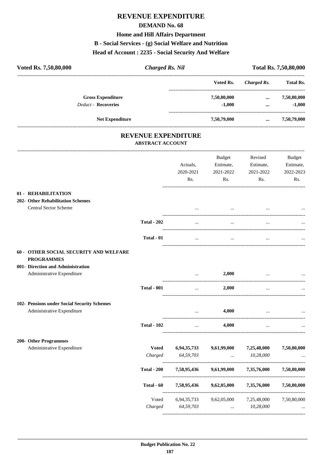# **REVENUE EXPENDITURE**

### **DEMAND No. 68**

### **Home and Hill Affairs Department**

### **B - Social Services - (g) Social Welfare and Nutrition**

# **Head of Account : 2235 - Social Security And Welfare**

| Voted Rs. 7,50,80,000                                                                            | <b>Charged Rs. Nil</b>                                |                  |                             |                      | Total Rs. 7,50,80,000   |
|--------------------------------------------------------------------------------------------------|-------------------------------------------------------|------------------|-----------------------------|----------------------|-------------------------|
|                                                                                                  |                                                       |                  | Voted Rs.                   | Charged Rs.          | <b>Total Rs.</b>        |
| <b>Gross Expenditure</b><br><b>Deduct - Recoveries</b>                                           |                                                       |                  | 7,50,80,000<br>$-1,000$     | $\cdots$<br>$\cdots$ | 7,50,80,000<br>$-1,000$ |
| Net Expenditure                                                                                  |                                                       |                  | 7,50,79,000                 |                      | $\ldots$ 7,50,79,000    |
|                                                                                                  | <b>REVENUE EXPENDITURE</b><br><b>ABSTRACT ACCOUNT</b> |                  |                             |                      |                         |
|                                                                                                  |                                                       |                  | Budget                      | Revised              | Budget                  |
|                                                                                                  |                                                       | Actuals,         | Estimate,                   | Estimate,            | Estimate,               |
|                                                                                                  |                                                       | 2020-2021<br>Rs. | 2021-2022<br>$\mathbf{Rs.}$ | 2021-2022<br>Rs.     | 2022-2023<br>Rs.        |
| 01 - REHABILITATION<br><b>202- Other Rehabilitation Schemes</b><br>Central Sector Scheme         |                                                       |                  | $\cdots$                    | $\cdots$             |                         |
|                                                                                                  | <b>Total - 202</b>                                    | $\ddotsc$        | $\cdots$                    |                      |                         |
|                                                                                                  | Total - 01                                            | $\cdots$         | $\cdots$                    |                      |                         |
| 60 - OTHER SOCIAL SECURITY AND WELFARE<br><b>PROGRAMMES</b><br>001- Direction and Administration |                                                       |                  |                             |                      |                         |
| Administrative Expenditure                                                                       |                                                       | $\cdots$         | 2,000                       |                      |                         |
|                                                                                                  | <b>Total - 001</b>                                    | $\cdots$         | 2,000                       | $\cdots$             |                         |
| 102- Pensions under Social Security Schemes<br>Administrative Expenditure                        |                                                       | $\ddotsc$        | 4,000                       |                      |                         |
|                                                                                                  | <b>Total - 102</b>                                    |                  | 4,000                       |                      |                         |
| 200- Other Programmes                                                                            |                                                       |                  |                             |                      |                         |
| Administrative Expenditure                                                                       | <b>Voted</b>                                          | 6,94,35,733      | 9,61,99,000                 | 7,25,48,000          | 7,50,80,000             |
|                                                                                                  | Charged                                               | 64,59,703        | $\cdots$                    | 10,28,000            |                         |
|                                                                                                  | <b>Total - 200</b>                                    | 7,58,95,436      | 9,61,99,000                 | 7,35,76,000          | 7,50,80,000             |
|                                                                                                  | Total - 60                                            | 7,58,95,436      | 9,62,05,000                 | 7,35,76,000          | 7,50,80,000             |
|                                                                                                  | Voted                                                 | 6,94,35,733      | 9,62,05,000                 | 7,25,48,000          | 7,50,80,000             |

*Charged 64,59,703* ... *10,28,000* ...

----------------------------------------------------------------------------------------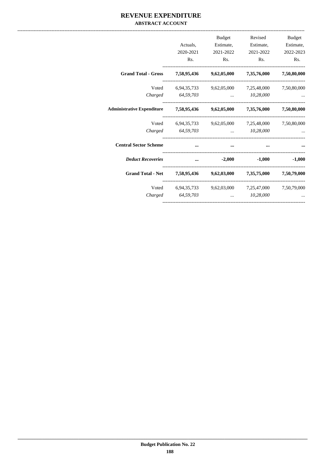## REVENUE EXPENDITURE **ABSTRACT ACCOUNT**

|                                                                            | Actuals,<br>2020-2021<br>Rs. | <b>Budget</b><br>Rs.                                                                   | Revised<br>Estimate, Estimate,<br>2021-2022 2021-2022<br>R <sub>s</sub> . | <b>Budget</b><br>Estimate,<br>2022-2023<br>R <sub>s</sub> . |
|----------------------------------------------------------------------------|------------------------------|----------------------------------------------------------------------------------------|---------------------------------------------------------------------------|-------------------------------------------------------------|
| Grand Total - Gross 7,58,95,436 9,62,05,000 7,35,76,000                    |                              |                                                                                        |                                                                           | 7,50,80,000                                                 |
|                                                                            | Charged 64,59,703            | Voted 6,94,35,733 9,62,05,000 7,25,48,000 7,50,80,000                                  | 10,28,000                                                                 |                                                             |
| Administrative Expenditure 7,58,95,436 9,62,05,000 7,35,76,000 7,50,80,000 |                              |                                                                                        |                                                                           |                                                             |
|                                                                            | Charged 64,59,703            | Voted 6,94,35,733 9,62,05,000 7,25,48,000 7,50,80,000                                  | 10,28,000                                                                 |                                                             |
| <b>Central Sector Scheme</b>                                               |                              |                                                                                        |                                                                           |                                                             |
| <b>Deduct Recoveries</b>                                                   | $\cdots$                     | $-2,000$ $-1,000$ $-1,000$                                                             |                                                                           |                                                             |
| Grand Total - Net 7,58,95,436 9,62,03,000 7,35,75,000 7,50,79,000          |                              |                                                                                        |                                                                           |                                                             |
|                                                                            | Charged 64,59,703            | Voted 6,94,35,733 9,62,03,000 7,25,47,000 7,50,79,000<br>$\mathbf{m}$ and $\mathbf{m}$ | 10,28,000                                                                 |                                                             |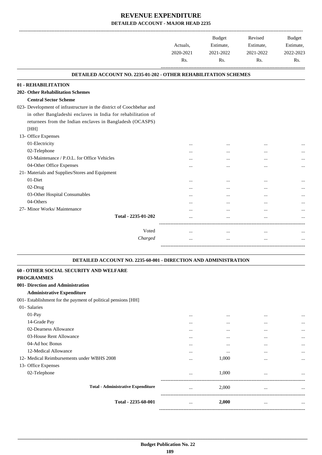-------------------------------------------------------------------------------------------------------------------------------------------------------------------------------

.

|                                                                        | Actuals.<br>2020-2021<br>Rs. | <b>Budget</b><br>Estimate,<br>2021-2022<br>Rs. | Revised<br>Estimate,<br>2021-2022<br>Rs. | <b>Budget</b><br>Estimate,<br>2022-2023<br>Rs. |
|------------------------------------------------------------------------|------------------------------|------------------------------------------------|------------------------------------------|------------------------------------------------|
| <b>DETAILED ACCOUNT NO. 2235-01-202 - OTHER REHABILITATION SCHEMES</b> |                              |                                                |                                          |                                                |
| 01 - REHABILITATION                                                    |                              |                                                |                                          |                                                |
| <b>202- Other Rehabilitation Schemes</b>                               |                              |                                                |                                          |                                                |
| <b>Central Sector Scheme</b>                                           |                              |                                                |                                          |                                                |
| 023- Development of infrastructure in the district of Coochbehar and   |                              |                                                |                                          |                                                |
| in other Bangladeshi enclaves in India for rehabilitation of           |                              |                                                |                                          |                                                |
| returnees from the Indian enclaves in Bangladesh (OCASPS)              |                              |                                                |                                          |                                                |
| [HH]                                                                   |                              |                                                |                                          |                                                |
| 13- Office Expenses                                                    |                              |                                                |                                          |                                                |
| 01-Electricity                                                         | $\cdots$                     |                                                |                                          |                                                |
| 02-Telephone                                                           |                              |                                                |                                          |                                                |
| 03-Maintenance / P.O.L. for Office Vehicles                            | $\cdots$                     |                                                | $\cdots$                                 |                                                |
| 04-Other Office Expenses                                               | $\cdots$                     | $\cdots$                                       |                                          |                                                |
| 21- Materials and Supplies/Stores and Equipment                        |                              |                                                |                                          |                                                |
| 01-Diet                                                                |                              | $\ddotsc$                                      |                                          |                                                |
| 02-Drug                                                                |                              |                                                | $\cdots$                                 |                                                |
| 03-Other Hospital Consumables                                          |                              |                                                |                                          |                                                |
| 04-Others                                                              | .                            |                                                |                                          |                                                |
| 27- Minor Works/ Maintenance                                           | .                            |                                                |                                          |                                                |
| Total - 2235-01-202                                                    | .                            | $\ddotsc$                                      |                                          |                                                |
| Voted                                                                  | $\cdots$                     | $\cdots$                                       | $\cdots$                                 |                                                |
| Charged                                                                | $\cdots$                     | $\cdots$                                       |                                          |                                                |
|                                                                        |                              |                                                |                                          |                                                |

### **DETAILED ACCOUNT NO. 2235-60-001 - DIRECTION AND ADMINISTRATION .**

| 60 - OTHER SOCIAL SECURITY AND WELFARE                        |          |          |          |          |
|---------------------------------------------------------------|----------|----------|----------|----------|
| <b>PROGRAMMES</b>                                             |          |          |          |          |
| 001- Direction and Administration                             |          |          |          |          |
| <b>Administrative Expenditure</b>                             |          |          |          |          |
| 001- Establishment for the payment of political pensions [HH] |          |          |          |          |
| 01- Salaries                                                  |          |          |          |          |
| $01-Pay$                                                      | $\cdots$ | $\cdots$ | $\cdots$ | $\cdots$ |
| 14-Grade Pay                                                  | $\cdots$ | $\cdots$ | $\cdots$ | $\cdots$ |
| 02-Dearness Allowance                                         | $\cdots$ | $\cdots$ | $\cdots$ | $\cdots$ |
| 03-House Rent Allowance                                       | $\cdots$ | $\cdots$ | $\cdots$ | $\cdots$ |
| 04-Ad hoc Bonus                                               | $\cdots$ | $\cdots$ | $\cdots$ | $\cdots$ |
| 12-Medical Allowance                                          | $\cdots$ | $\cdots$ | $\cdots$ | $\cdots$ |
| 12- Medical Reimbursements under WBHS 2008                    |          | 1,000    | $\cdots$ | $\cdots$ |
| 13- Office Expenses                                           |          |          |          |          |
| 02-Telephone                                                  | $\cdots$ | 1,000    | $\cdots$ | $\cdots$ |
| <b>Total - Administrative Expenditure</b>                     | $\cdots$ | 2,000    | $\cdots$ | $\cdots$ |
| Total - 2235-60-001                                           | $\cdots$ | 2,000    | $\cdots$ | $\cdots$ |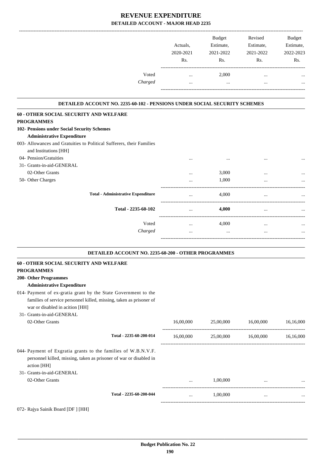|         |           | <b>Budget</b> | Revised   | <b>Budget</b> |
|---------|-----------|---------------|-----------|---------------|
|         | Actuals.  | Estimate,     | Estimate, | Estimate,     |
|         | 2020-2021 | 2021-2022     | 2021-2022 | 2022-2023     |
|         | Rs.       | Rs.           | Rs.       | Rs.           |
| Voted   |           | 2,000         | $\cdots$  |               |
| Charged | $\cdots$  | $\cdots$      | $\cdots$  |               |
|         |           |               |           |               |

### **DETAILED ACCOUNT NO. 2235-60-102 - PENSIONS UNDER SOCIAL SECURITY SCHEMES .**

.

.

| 60 - OTHER SOCIAL SECURITY AND WELFARE                                |          |          |          |           |
|-----------------------------------------------------------------------|----------|----------|----------|-----------|
| <b>PROGRAMMES</b>                                                     |          |          |          |           |
| 102- Pensions under Social Security Schemes                           |          |          |          |           |
| <b>Administrative Expenditure</b>                                     |          |          |          |           |
| 003- Allowances and Gratuities to Political Sufferers, their Families |          |          |          |           |
| and Institutions [HH]                                                 |          |          |          |           |
| 04- Pension/Gratuities                                                |          | $\cdots$ | $\cdots$ | $\ddotsc$ |
| 31- Grants-in-aid-GENERAL                                             |          |          |          |           |
| 02-Other Grants                                                       | $\cdots$ | 3,000    | $\cdots$ |           |
| 50- Other Charges                                                     | $\cdots$ | 1,000    | $\cdots$ |           |
|                                                                       |          |          |          |           |
| <b>Total - Administrative Expenditure</b>                             | $\cdots$ | 4,000    | $\cdots$ |           |
|                                                                       |          |          |          |           |
| Total - 2235-60-102                                                   |          | 4,000    | $\cdots$ |           |
| Voted                                                                 |          | 4,000    |          |           |
|                                                                       | $\cdots$ |          | $\cdots$ | $\cdots$  |
| Charged                                                               | $\cdots$ | $\cdots$ | $\cdots$ |           |
|                                                                       |          |          |          |           |

### **DETAILED ACCOUNT NO. 2235-60-200 - OTHER PROGRAMMES .**

| 60 - OTHER SOCIAL SECURITY AND WELFARE                                            |           |           |           |           |
|-----------------------------------------------------------------------------------|-----------|-----------|-----------|-----------|
| <b>PROGRAMMES</b>                                                                 |           |           |           |           |
| 200- Other Programmes                                                             |           |           |           |           |
| <b>Administrative Expenditure</b>                                                 |           |           |           |           |
| 014- Payment of ex-gratia grant by the State Government to the                    |           |           |           |           |
| families of service personnel killed, missing, taken as prisoner of               |           |           |           |           |
| war or disabled in acition [HH]                                                   |           |           |           |           |
| 31- Grants-in-aid-GENERAL                                                         |           |           |           |           |
| 02-Other Grants                                                                   | 16,00,000 | 25,00,000 | 16,00,000 | 16,16,000 |
| Total - 2235-60-200-014                                                           | 16,00,000 | 25,00,000 | 16,00,000 | 16,16,000 |
| 044- Payment of Exgratia grants to the families of W.B.N.V.F.                     |           |           |           |           |
| personnel killed, missing, taken as prisoner of war or disabled in<br>action [HH] |           |           |           |           |
| 31- Grants-in-aid-GENERAL                                                         |           |           |           |           |
| 02-Other Grants                                                                   |           | 1,00,000  |           | $\ddots$  |
| Total - 2235-60-200-044                                                           |           | 1,00,000  | $\cdots$  |           |
| 072- Rajya Sainik Board [DF ] [HH]                                                |           |           |           |           |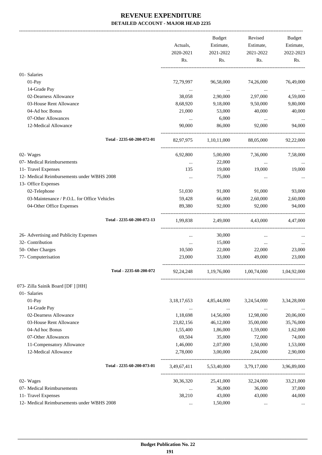-------------------------------------------------------------------------------------------------------------------------------------------------------------------------------

|                                             | Actuals,<br>2020-2021<br>Rs. | <b>Budget</b><br>Estimate,<br>2021-2022<br>Rs. | Revised<br>Estimate,<br>2021-2022<br>Rs. | <b>Budget</b><br>Estimate,<br>2022-2023<br>Rs. |
|---------------------------------------------|------------------------------|------------------------------------------------|------------------------------------------|------------------------------------------------|
| 01- Salaries                                |                              |                                                |                                          |                                                |
| 01-Pay                                      | 72,79,997                    | 96,58,000                                      | 74,26,000                                | 76,49,000                                      |
| 14-Grade Pay                                | $\ldots$                     | $\ldots$                                       | $\cdots$                                 |                                                |
| 02-Dearness Allowance                       | 38,058                       | 2,90,000                                       | 2,97,000                                 | 4,59,000                                       |
| 03-House Rent Allowance<br>04-Ad hoc Bonus  | 8,68,920                     | 9,18,000<br>53,000                             | 9,50,000                                 | 9,80,000                                       |
| 07-Other Allowances                         | 21,000                       | 6,000                                          | 40,000                                   | 40,000                                         |
| 12-Medical Allowance                        | $\cdots$<br>90,000           | 86,000                                         | $\ldots$<br>92,000                       | 94,000                                         |
| Total - 2235-60-200-072-01                  | 82,97,975                    | 1,10,11,000                                    | 88,05,000                                | 92,22,000                                      |
| 02- Wages                                   | 6,92,800                     | 5,00,000                                       | 7,36,000                                 | 7,58,000                                       |
| 07- Medical Reimbursements                  | $\cdots$                     | 22,000                                         | $\cdots$                                 |                                                |
| 11- Travel Expenses                         | 135                          | 19,000                                         | 19,000                                   | 19,000                                         |
| 12- Medical Reimbursements under WBHS 2008  | $\cdots$                     | 75,000                                         | $\cdots$                                 |                                                |
| 13- Office Expenses                         |                              |                                                |                                          |                                                |
| 02-Telephone                                | 51,030                       | 91,000                                         | 91,000                                   | 93,000                                         |
| 03-Maintenance / P.O.L. for Office Vehicles | 59,428                       | 66,000                                         | 2,60,000                                 | 2,60,000                                       |
| 04-Other Office Expenses                    | 89,380                       | 92,000                                         | 92,000                                   | 94,000                                         |
| Total - 2235-60-200-072-13                  | 1,99,838                     | 2,49,000                                       | 4,43,000                                 | 4,47,000                                       |
| 26- Advertising and Publicity Expenses      | $\cdots$                     | 30,000                                         | $\ddotsc$                                |                                                |
| 32- Contribution                            | $\cdots$                     | 15,000                                         | $\cdots$                                 |                                                |
| 50- Other Charges                           | 10,500                       | 22,000                                         | 22,000                                   | 23,000                                         |
| 77- Computerisation                         | 23,000                       | 33,000                                         | 49,000                                   | 23,000                                         |
| Total - 2235-60-200-072                     | 92,24,248                    | 1,19,76,000                                    | 1,00,74,000                              | 1,04,92,000                                    |
| 073- Zilla Sainik Board [DF ] [HH]          |                              |                                                |                                          |                                                |
| 01- Salaries                                |                              |                                                |                                          |                                                |
| 01-Pay                                      | 3, 18, 17, 653               | 4,85,44,000                                    | 3,24,54,000                              | 3,34,28,000                                    |
| 14-Grade Pay                                | $\cdots$                     | $\cdots$                                       | $\cdots$                                 |                                                |
| 02-Dearness Allowance                       | 1,18,698                     | 14,56,000                                      | 12,98,000                                | 20,06,000                                      |
| 03-House Rent Allowance                     | 23,82,156                    | 46,12,000                                      | 35,00,000                                | 35,76,000                                      |
| 04-Ad hoc Bonus                             | 1,55,400                     | 1,86,000                                       | 1,59,000                                 | 1,62,000                                       |
| 07-Other Allowances                         | 69,504                       | 35,000                                         | 72,000                                   | 74,000                                         |
| 11-Compensatory Allowance                   | 1,46,000                     | 2,07,000                                       | 1,50,000                                 | 1,53,000                                       |
| 12-Medical Allowance                        | 2,78,000                     | 3,00,000                                       | 2,84,000                                 | 2,90,000                                       |
| Total - 2235-60-200-073-01                  | 3,49,67,411                  | 5,53,40,000                                    | 3,79,17,000                              | 3,96,89,000                                    |
| 02- Wages                                   | 30, 36, 320                  | 25,41,000                                      | 32,24,000                                | 33,21,000                                      |
| 07- Medical Reimbursements                  | $\cdots$                     | 36,000                                         | 36,000                                   | 37,000                                         |
| 11- Travel Expenses                         | 38,210                       | 43,000                                         | 43,000                                   | 44,000                                         |
| 12- Medical Reimbursements under WBHS 2008  | $\cdots$                     | 1,50,000                                       | $\cdots$                                 |                                                |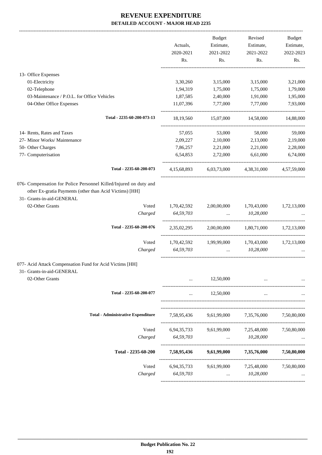|                                                                                                                                                           | Actuals,<br>2020-2021 | <b>Budget</b><br>Estimate,<br>2021-2022 | Revised<br>Estimate,<br>2021-2022 | <b>Budget</b><br>Estimate,<br>2022-2023 |
|-----------------------------------------------------------------------------------------------------------------------------------------------------------|-----------------------|-----------------------------------------|-----------------------------------|-----------------------------------------|
|                                                                                                                                                           | Rs.                   | Rs.                                     | Rs.                               | Rs.                                     |
| 13- Office Expenses                                                                                                                                       |                       |                                         |                                   |                                         |
| 01-Electricity                                                                                                                                            | 3,30,260              | 3,15,000                                | 3,15,000                          | 3,21,000                                |
| 02-Telephone                                                                                                                                              | 1,94,319              | 1,75,000                                | 1,75,000                          | 1,79,000                                |
| 03-Maintenance / P.O.L. for Office Vehicles                                                                                                               | 1,87,585              | 2,40,000                                | 1,91,000                          | 1,95,000                                |
| 04-Other Office Expenses                                                                                                                                  | 11,07,396             | 7,77,000                                | 7,77,000                          | 7,93,000                                |
| Total - 2235-60-200-073-13                                                                                                                                | 18,19,560             | 15,07,000                               | 14,58,000                         | 14,88,000                               |
| 14- Rents, Rates and Taxes                                                                                                                                | 57,055                | 53,000                                  | 58,000                            | 59,000                                  |
| 27- Minor Works/ Maintenance                                                                                                                              | 2,09,227              | 2,10,000                                | 2,13,000                          | 2,19,000                                |
| 50- Other Charges                                                                                                                                         | 7,86,257              | 2,21,000                                | 2,21,000                          | 2,28,000                                |
| 77- Computerisation                                                                                                                                       | 6,54,853              | 2,72,000                                | 6,61,000                          | 6,74,000                                |
| Total - 2235-60-200-073                                                                                                                                   | 4,15,68,893           | 6,03,73,000                             | 4,38,31,000                       | 4,57,59,000                             |
| 076- Compensation for Police Personnel Killed/Injured on duty and<br>other Ex-gratia Payments (other than Acid Victims) [HH]<br>31- Grants-in-aid-GENERAL |                       |                                         |                                   |                                         |
| 02-Other Grants<br>Voted                                                                                                                                  | 1,70,42,592           | 2,00,00,000                             | 1,70,43,000                       | 1,72,13,000                             |
| Charged                                                                                                                                                   | 64,59,703             | $\cdots$                                | 10,28,000                         |                                         |
| Total - 2235-60-200-076                                                                                                                                   | 2,35,02,295           | 2,00,00,000                             | 1,80,71,000                       | 1,72,13,000                             |
| Voted                                                                                                                                                     | 1,70,42,592           | 1,99,99,000                             | 1,70,43,000                       | 1,72,13,000                             |
| Charged                                                                                                                                                   | 64,59,703             | $\cdots$                                | 10,28,000                         |                                         |
| 077- Acid Attack Compensation Fund for Acid Victims [HH]<br>31- Grants-in-aid-GENERAL                                                                     |                       |                                         |                                   |                                         |
| 02-Other Grants                                                                                                                                           |                       | 12,50,000                               |                                   |                                         |
| Total - 2235-60-200-077                                                                                                                                   | $\cdots$              | 12,50,000                               | $\cdots$                          |                                         |
| <b>Total - Administrative Expenditure</b>                                                                                                                 | 7,58,95,436           | 9,61,99,000                             | 7,35,76,000                       | 7,50,80,000                             |
| Voted                                                                                                                                                     | 6,94,35,733           | 9,61,99,000                             | 7,25,48,000                       | 7,50,80,000                             |
| Charged                                                                                                                                                   | 64,59,703             | $\cdots$                                | 10,28,000                         |                                         |
| Total - 2235-60-200                                                                                                                                       | 7,58,95,436           | 9,61,99,000                             | 7,35,76,000                       | 7,50,80,000                             |
| Voted                                                                                                                                                     | 6,94,35,733           | 9,61,99,000                             | 7,25,48,000                       | 7,50,80,000                             |
| Charged                                                                                                                                                   | 64,59,703             |                                         | 10,28,000                         |                                         |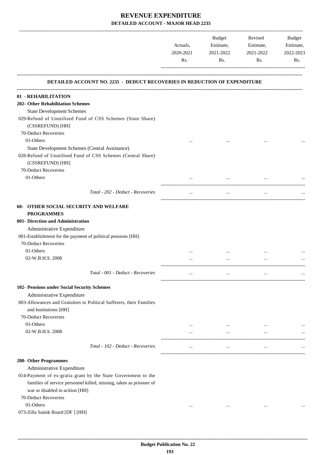| <b>DETAILED ACCOUNT NO. 2235 - DEDUCT RECOVERIES IN REDUCTION OF EXPENDITURE</b><br>01 - REHABILITATION<br><b>State Development Schemes</b><br>029-Refund of Unutilised Fund of CSS Schemes (State Share)<br>(CSSREFUND) [HH]<br>70-Deduct Recoveries<br>01-Others<br>$\ddotsc$<br>State Development Schemes (Central Assistance)<br>028-Refund of Unutilised Fund of CSS Schemes (Central Share)<br>(CSSREFUND) [HH]<br>70-Deduct Recoveries<br>01-Others<br>Total - 202 - Deduct - Recoveries<br>$\ddotsc$<br><b>OTHER SOCIAL SECURITY AND WELFARE</b><br><b>PROGRAMMES</b><br>Administrative Expenditure<br>001-Establishment for the payment of political pensions [HH]<br>70-Deduct Recoveries<br>01-Others<br>$\cdots$<br>02-W.B.H.S. 2008<br>$\cdots$<br>$\cdots$<br>Total - 001 - Deduct - Recoveries<br>$\cdots$<br>$\cdots$<br>Administrative Expenditure<br>003-Allowances and Gratuities to Political Sufferers, their Families<br>and Institutions [HH]<br>70-Deduct Recoveries<br>01-Others<br>$\cdots$<br>$\cdots$<br>02-W.B.H.S. 2008<br>$\cdots$<br>$\cdots$<br>$\cdots$<br>Total - 102 - Deduct - Recoveries<br>$\cdots$<br>$\cdots$<br>$\cdots$<br>Administrative Expenditure<br>014-Payment of ex-gratia grant by the State Government to the<br>families of service personnel killed, missing, taken as prisoner of<br>war or disabled in acition [HH]<br>70-Deduct Recoveries<br>01-Others<br>$\cdots$<br>$\cdots$<br>$\cdots$ |                                   | Actuals,<br>2020-2021<br>Rs. | Budget<br>Estimate,<br>2021-2022<br>Rs. | Revised<br>Estimate,<br>2021-2022<br>Rs. | Budget<br>Estimate,<br>2022-2023<br>Rs. |
|------------------------------------------------------------------------------------------------------------------------------------------------------------------------------------------------------------------------------------------------------------------------------------------------------------------------------------------------------------------------------------------------------------------------------------------------------------------------------------------------------------------------------------------------------------------------------------------------------------------------------------------------------------------------------------------------------------------------------------------------------------------------------------------------------------------------------------------------------------------------------------------------------------------------------------------------------------------------------------------------------------------------------------------------------------------------------------------------------------------------------------------------------------------------------------------------------------------------------------------------------------------------------------------------------------------------------------------------------------------------------------------------------------------------------------------------------|-----------------------------------|------------------------------|-----------------------------------------|------------------------------------------|-----------------------------------------|
|                                                                                                                                                                                                                                                                                                                                                                                                                                                                                                                                                                                                                                                                                                                                                                                                                                                                                                                                                                                                                                                                                                                                                                                                                                                                                                                                                                                                                                                      |                                   |                              |                                         |                                          |                                         |
| <b>202- Other Rehabilitation Schemes</b><br>$60-$<br>001- Direction and Administration<br>102- Pensions under Social Security Schemes<br>200- Other Programmes                                                                                                                                                                                                                                                                                                                                                                                                                                                                                                                                                                                                                                                                                                                                                                                                                                                                                                                                                                                                                                                                                                                                                                                                                                                                                       |                                   |                              |                                         |                                          |                                         |
|                                                                                                                                                                                                                                                                                                                                                                                                                                                                                                                                                                                                                                                                                                                                                                                                                                                                                                                                                                                                                                                                                                                                                                                                                                                                                                                                                                                                                                                      |                                   |                              |                                         |                                          |                                         |
|                                                                                                                                                                                                                                                                                                                                                                                                                                                                                                                                                                                                                                                                                                                                                                                                                                                                                                                                                                                                                                                                                                                                                                                                                                                                                                                                                                                                                                                      |                                   |                              |                                         |                                          |                                         |
|                                                                                                                                                                                                                                                                                                                                                                                                                                                                                                                                                                                                                                                                                                                                                                                                                                                                                                                                                                                                                                                                                                                                                                                                                                                                                                                                                                                                                                                      |                                   |                              |                                         |                                          |                                         |
|                                                                                                                                                                                                                                                                                                                                                                                                                                                                                                                                                                                                                                                                                                                                                                                                                                                                                                                                                                                                                                                                                                                                                                                                                                                                                                                                                                                                                                                      |                                   |                              |                                         |                                          |                                         |
|                                                                                                                                                                                                                                                                                                                                                                                                                                                                                                                                                                                                                                                                                                                                                                                                                                                                                                                                                                                                                                                                                                                                                                                                                                                                                                                                                                                                                                                      |                                   |                              |                                         |                                          |                                         |
|                                                                                                                                                                                                                                                                                                                                                                                                                                                                                                                                                                                                                                                                                                                                                                                                                                                                                                                                                                                                                                                                                                                                                                                                                                                                                                                                                                                                                                                      |                                   |                              |                                         |                                          |                                         |
|                                                                                                                                                                                                                                                                                                                                                                                                                                                                                                                                                                                                                                                                                                                                                                                                                                                                                                                                                                                                                                                                                                                                                                                                                                                                                                                                                                                                                                                      |                                   |                              |                                         |                                          |                                         |
|                                                                                                                                                                                                                                                                                                                                                                                                                                                                                                                                                                                                                                                                                                                                                                                                                                                                                                                                                                                                                                                                                                                                                                                                                                                                                                                                                                                                                                                      |                                   |                              |                                         |                                          |                                         |
|                                                                                                                                                                                                                                                                                                                                                                                                                                                                                                                                                                                                                                                                                                                                                                                                                                                                                                                                                                                                                                                                                                                                                                                                                                                                                                                                                                                                                                                      |                                   |                              |                                         |                                          |                                         |
|                                                                                                                                                                                                                                                                                                                                                                                                                                                                                                                                                                                                                                                                                                                                                                                                                                                                                                                                                                                                                                                                                                                                                                                                                                                                                                                                                                                                                                                      |                                   |                              |                                         |                                          |                                         |
|                                                                                                                                                                                                                                                                                                                                                                                                                                                                                                                                                                                                                                                                                                                                                                                                                                                                                                                                                                                                                                                                                                                                                                                                                                                                                                                                                                                                                                                      |                                   |                              |                                         |                                          |                                         |
|                                                                                                                                                                                                                                                                                                                                                                                                                                                                                                                                                                                                                                                                                                                                                                                                                                                                                                                                                                                                                                                                                                                                                                                                                                                                                                                                                                                                                                                      |                                   |                              |                                         |                                          |                                         |
|                                                                                                                                                                                                                                                                                                                                                                                                                                                                                                                                                                                                                                                                                                                                                                                                                                                                                                                                                                                                                                                                                                                                                                                                                                                                                                                                                                                                                                                      |                                   |                              |                                         |                                          |                                         |
|                                                                                                                                                                                                                                                                                                                                                                                                                                                                                                                                                                                                                                                                                                                                                                                                                                                                                                                                                                                                                                                                                                                                                                                                                                                                                                                                                                                                                                                      |                                   |                              |                                         |                                          |                                         |
|                                                                                                                                                                                                                                                                                                                                                                                                                                                                                                                                                                                                                                                                                                                                                                                                                                                                                                                                                                                                                                                                                                                                                                                                                                                                                                                                                                                                                                                      |                                   |                              |                                         |                                          |                                         |
|                                                                                                                                                                                                                                                                                                                                                                                                                                                                                                                                                                                                                                                                                                                                                                                                                                                                                                                                                                                                                                                                                                                                                                                                                                                                                                                                                                                                                                                      |                                   |                              |                                         |                                          |                                         |
|                                                                                                                                                                                                                                                                                                                                                                                                                                                                                                                                                                                                                                                                                                                                                                                                                                                                                                                                                                                                                                                                                                                                                                                                                                                                                                                                                                                                                                                      |                                   |                              |                                         |                                          |                                         |
|                                                                                                                                                                                                                                                                                                                                                                                                                                                                                                                                                                                                                                                                                                                                                                                                                                                                                                                                                                                                                                                                                                                                                                                                                                                                                                                                                                                                                                                      |                                   |                              |                                         |                                          |                                         |
|                                                                                                                                                                                                                                                                                                                                                                                                                                                                                                                                                                                                                                                                                                                                                                                                                                                                                                                                                                                                                                                                                                                                                                                                                                                                                                                                                                                                                                                      |                                   |                              |                                         |                                          |                                         |
|                                                                                                                                                                                                                                                                                                                                                                                                                                                                                                                                                                                                                                                                                                                                                                                                                                                                                                                                                                                                                                                                                                                                                                                                                                                                                                                                                                                                                                                      |                                   |                              |                                         |                                          |                                         |
|                                                                                                                                                                                                                                                                                                                                                                                                                                                                                                                                                                                                                                                                                                                                                                                                                                                                                                                                                                                                                                                                                                                                                                                                                                                                                                                                                                                                                                                      |                                   |                              |                                         |                                          |                                         |
|                                                                                                                                                                                                                                                                                                                                                                                                                                                                                                                                                                                                                                                                                                                                                                                                                                                                                                                                                                                                                                                                                                                                                                                                                                                                                                                                                                                                                                                      |                                   |                              |                                         |                                          |                                         |
|                                                                                                                                                                                                                                                                                                                                                                                                                                                                                                                                                                                                                                                                                                                                                                                                                                                                                                                                                                                                                                                                                                                                                                                                                                                                                                                                                                                                                                                      |                                   |                              |                                         |                                          |                                         |
|                                                                                                                                                                                                                                                                                                                                                                                                                                                                                                                                                                                                                                                                                                                                                                                                                                                                                                                                                                                                                                                                                                                                                                                                                                                                                                                                                                                                                                                      |                                   |                              |                                         |                                          |                                         |
|                                                                                                                                                                                                                                                                                                                                                                                                                                                                                                                                                                                                                                                                                                                                                                                                                                                                                                                                                                                                                                                                                                                                                                                                                                                                                                                                                                                                                                                      |                                   |                              |                                         |                                          |                                         |
|                                                                                                                                                                                                                                                                                                                                                                                                                                                                                                                                                                                                                                                                                                                                                                                                                                                                                                                                                                                                                                                                                                                                                                                                                                                                                                                                                                                                                                                      |                                   |                              |                                         |                                          |                                         |
|                                                                                                                                                                                                                                                                                                                                                                                                                                                                                                                                                                                                                                                                                                                                                                                                                                                                                                                                                                                                                                                                                                                                                                                                                                                                                                                                                                                                                                                      |                                   |                              |                                         |                                          |                                         |
|                                                                                                                                                                                                                                                                                                                                                                                                                                                                                                                                                                                                                                                                                                                                                                                                                                                                                                                                                                                                                                                                                                                                                                                                                                                                                                                                                                                                                                                      |                                   |                              |                                         |                                          |                                         |
|                                                                                                                                                                                                                                                                                                                                                                                                                                                                                                                                                                                                                                                                                                                                                                                                                                                                                                                                                                                                                                                                                                                                                                                                                                                                                                                                                                                                                                                      |                                   |                              |                                         |                                          |                                         |
|                                                                                                                                                                                                                                                                                                                                                                                                                                                                                                                                                                                                                                                                                                                                                                                                                                                                                                                                                                                                                                                                                                                                                                                                                                                                                                                                                                                                                                                      |                                   |                              |                                         |                                          |                                         |
|                                                                                                                                                                                                                                                                                                                                                                                                                                                                                                                                                                                                                                                                                                                                                                                                                                                                                                                                                                                                                                                                                                                                                                                                                                                                                                                                                                                                                                                      |                                   |                              |                                         |                                          |                                         |
|                                                                                                                                                                                                                                                                                                                                                                                                                                                                                                                                                                                                                                                                                                                                                                                                                                                                                                                                                                                                                                                                                                                                                                                                                                                                                                                                                                                                                                                      |                                   |                              |                                         |                                          |                                         |
|                                                                                                                                                                                                                                                                                                                                                                                                                                                                                                                                                                                                                                                                                                                                                                                                                                                                                                                                                                                                                                                                                                                                                                                                                                                                                                                                                                                                                                                      |                                   |                              |                                         |                                          |                                         |
|                                                                                                                                                                                                                                                                                                                                                                                                                                                                                                                                                                                                                                                                                                                                                                                                                                                                                                                                                                                                                                                                                                                                                                                                                                                                                                                                                                                                                                                      |                                   |                              |                                         |                                          |                                         |
|                                                                                                                                                                                                                                                                                                                                                                                                                                                                                                                                                                                                                                                                                                                                                                                                                                                                                                                                                                                                                                                                                                                                                                                                                                                                                                                                                                                                                                                      |                                   |                              |                                         |                                          |                                         |
|                                                                                                                                                                                                                                                                                                                                                                                                                                                                                                                                                                                                                                                                                                                                                                                                                                                                                                                                                                                                                                                                                                                                                                                                                                                                                                                                                                                                                                                      |                                   |                              |                                         |                                          |                                         |
|                                                                                                                                                                                                                                                                                                                                                                                                                                                                                                                                                                                                                                                                                                                                                                                                                                                                                                                                                                                                                                                                                                                                                                                                                                                                                                                                                                                                                                                      |                                   |                              |                                         |                                          |                                         |
|                                                                                                                                                                                                                                                                                                                                                                                                                                                                                                                                                                                                                                                                                                                                                                                                                                                                                                                                                                                                                                                                                                                                                                                                                                                                                                                                                                                                                                                      | 073-Zilla Sainik Board [DF ] [HH] |                              |                                         |                                          |                                         |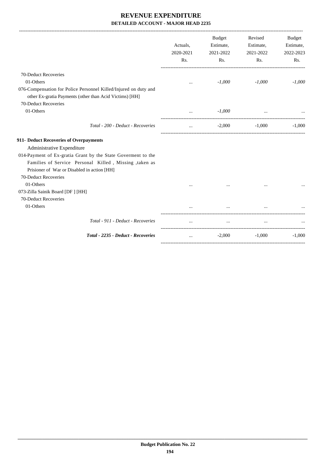|                                                                                                                                                                                                                                                                       | Actuals,<br>2020-2021<br>Rs. | <b>Budget</b><br>Estimate,<br>2021-2022<br>Rs. | Revised<br>Estimate,<br>2021-2022<br>Rs. | <b>Budget</b><br>Estimate,<br>2022-2023<br>Rs. |
|-----------------------------------------------------------------------------------------------------------------------------------------------------------------------------------------------------------------------------------------------------------------------|------------------------------|------------------------------------------------|------------------------------------------|------------------------------------------------|
| 70-Deduct Recoveries                                                                                                                                                                                                                                                  |                              |                                                |                                          |                                                |
| 01-Others                                                                                                                                                                                                                                                             | $\cdots$                     | $-1,000$                                       | $-1,000$                                 | $-1,000$                                       |
| 076-Compensation for Police Personnel Killed/Injured on duty and<br>other Ex-gratia Payments (other than Acid Victims) [HH]                                                                                                                                           |                              |                                                |                                          |                                                |
| 70-Deduct Recoveries<br>01-Others                                                                                                                                                                                                                                     | $\cdots$                     | $-1,000$                                       |                                          |                                                |
| Total - 200 - Deduct - Recoveries                                                                                                                                                                                                                                     | $\cdots$                     | $-2,000$                                       | $-1,000$                                 | $-1,000$                                       |
| 911- Deduct Recoveries of Overpayments<br>Administrative Expenditure<br>014-Payment of Ex-gratia Grant by the State Goverment to the<br>Families of Service Personal Killed, Missing, taken as<br>Prisioner of War or Disabled in action [HH]<br>70-Deduct Recoveries |                              |                                                |                                          |                                                |
| 01-Others<br>073-Zilla Sainik Board [DF] [HH]                                                                                                                                                                                                                         |                              |                                                |                                          |                                                |
| 70-Deduct Recoveries                                                                                                                                                                                                                                                  |                              |                                                |                                          |                                                |
| 01-Others                                                                                                                                                                                                                                                             |                              | $\cdots$                                       | $\cdots$                                 |                                                |
| Total - 911 - Deduct - Recoveries                                                                                                                                                                                                                                     |                              | $\cdots$                                       |                                          |                                                |
| Total - 2235 - Deduct - Recoveries                                                                                                                                                                                                                                    | $\ddotsc$                    | $-2,000$                                       | $-1,000$                                 | $-1,000$                                       |
|                                                                                                                                                                                                                                                                       |                              |                                                |                                          |                                                |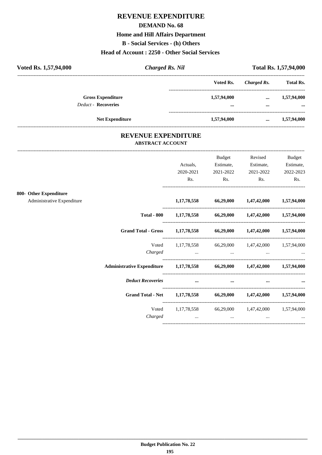# **REVENUE EXPENDITURE**

### **DEMAND No. 68**

### **Home and Hill Affairs Department**

**B** - Social Services - (h) Others

### Head of Account: 2250 - Other Social Services

| Voted Rs. 1,57,94,000                                  | <b>Charged Rs. Nil</b> |                                        |                      | <b>Total Rs. 1,57,94,000</b> |  |
|--------------------------------------------------------|------------------------|----------------------------------------|----------------------|------------------------------|--|
|                                                        |                        | Voted Rs.                              | Charged Rs.          | <b>Total Rs.</b>             |  |
| <b>Gross Expenditure</b><br><b>Deduct - Recoveries</b> |                        | 1,57,94,000<br>$\bullet\bullet\bullet$ | $\cdots$<br>$\cdots$ | 1,57,94,000<br>$\cdots$      |  |
|                                                        | <b>Net Expenditure</b> | 1,57,94,000                            | $\cdots$             | 1,57,94,000                  |  |

## REVENUE EXPENDITURE **ABSTRACT ACCOUNT**

-----------------------------------

|                            |                                                                          | Actuals,                                                                                                                                                                                                                       | <b>Budget</b><br>Estimate, | Revised<br>Estimate,                                  | Budget<br>Estimate, |
|----------------------------|--------------------------------------------------------------------------|--------------------------------------------------------------------------------------------------------------------------------------------------------------------------------------------------------------------------------|----------------------------|-------------------------------------------------------|---------------------|
|                            |                                                                          | 2020-2021<br>Rs.                                                                                                                                                                                                               | 2021-2022<br>Rs.           | 2021-2022<br>Rs.                                      | 2022-2023<br>Rs.    |
| 800- Other Expenditure     |                                                                          |                                                                                                                                                                                                                                |                            |                                                       |                     |
| Administrative Expenditure |                                                                          |                                                                                                                                                                                                                                |                            | $1,17,78,558$ $66,29,000$ $1,47,42,000$ $1,57,94,000$ |                     |
|                            |                                                                          | Total - 800 1,17,78,558 66,29,000 1,47,42,000 1,57,94,000                                                                                                                                                                      |                            |                                                       |                     |
|                            | Grand Total - Gross 1,17,78,558 66,29,000 1,47,42,000 1,57,94,000        |                                                                                                                                                                                                                                |                            |                                                       |                     |
|                            | Voted                                                                    |                                                                                                                                                                                                                                |                            | 1,17,78,558 66,29,000 1,47,42,000 1,57,94,000         |                     |
|                            | Charged                                                                  | and the contract of the contract of the contract of the contract of the contract of the contract of the contract of                                                                                                            |                            |                                                       |                     |
|                            | Administrative Expenditure 1,17,78,558 66,29,000 1,47,42,000 1,57,94,000 |                                                                                                                                                                                                                                |                            |                                                       |                     |
|                            | <b>Deduct Recoveries</b>                                                 | and the contract of the contract of the contract of the contract of the contract of the contract of the contract of the contract of the contract of the contract of the contract of the contract of the contract of the contra | $\cdots$                   |                                                       |                     |
|                            | Grand Total - Net 1,17,78,558 66,29,000 1,47,42,000 1,57,94,000          |                                                                                                                                                                                                                                |                            |                                                       |                     |
|                            | Voted                                                                    |                                                                                                                                                                                                                                |                            | 1,17,78,558 66,29,000 1,47,42,000 1,57,94,000         |                     |
|                            | Charged                                                                  | the contract of the contract of the contract of the                                                                                                                                                                            | $\cdots$                   | $\cdots$                                              |                     |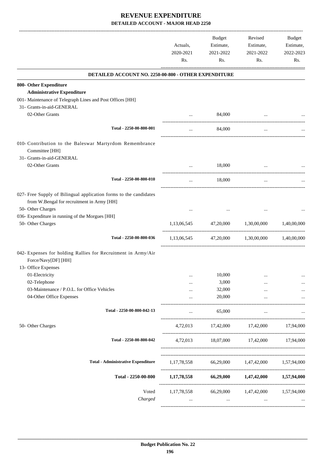|                                                                                                                                      | Actuals,<br>2020-2021<br>Rs. | Budget<br>Estimate,<br>2021-2022<br>Rs. | Revised<br>Estimate,<br>2021-2022<br>Rs.                                           | Budget<br>Estimate,<br>2022-2023<br>Rs. |
|--------------------------------------------------------------------------------------------------------------------------------------|------------------------------|-----------------------------------------|------------------------------------------------------------------------------------|-----------------------------------------|
| DETAILED ACCOUNT NO. 2250-00-800 - OTHER EXPENDITURE                                                                                 |                              |                                         |                                                                                    |                                         |
| 800- Other Expenditure                                                                                                               |                              |                                         |                                                                                    |                                         |
| <b>Administrative Expenditure</b>                                                                                                    |                              |                                         |                                                                                    |                                         |
| 001- Maintenance of Telegraph Lines and Post Offices [HH]                                                                            |                              |                                         |                                                                                    |                                         |
| 31- Grants-in-aid-GENERAL                                                                                                            |                              |                                         |                                                                                    |                                         |
| 02-Other Grants                                                                                                                      | $\ddotsc$                    | 84,000                                  | $\ddotsc$                                                                          |                                         |
| Total - 2250-00-800-001                                                                                                              | $\cdots$                     | 84,000                                  | $\cdots$                                                                           |                                         |
| 010- Contribution to the Baleswar Martyrdom Remembrance<br>Committee [HH]<br>31- Grants-in-aid-GENERAL                               |                              |                                         |                                                                                    |                                         |
| 02-Other Grants                                                                                                                      | $\cdots$                     | 18,000                                  | $\ddotsc$                                                                          |                                         |
| Total - 2250-00-800-010                                                                                                              | $\cdots$                     | 18,000                                  | $\cdots$                                                                           |                                         |
| 027- Free Supply of Bilingual application forms to the candidates<br>from W.Bengal for recruitment in Army [HH]<br>50- Other Charges |                              |                                         |                                                                                    |                                         |
| 036- Expenditure in running of the Morgues [HH]<br>50- Other Charges                                                                 | 1,13,06,545                  | 47,20,000                               | 1,30,00,000                                                                        | 1,40,00,000                             |
|                                                                                                                                      |                              |                                         |                                                                                    |                                         |
| Total - 2250-00-800-036                                                                                                              | 1,13,06,545                  |                                         | 47,20,000 1,30,00,000 1,40,00,000                                                  |                                         |
| 042- Expenses for holding Rallies for Recruitment in Army/Air<br>Force/Navy[DF] [HH]<br>13- Office Expenses                          |                              |                                         |                                                                                    |                                         |
| 01-Electricity                                                                                                                       |                              | 10,000                                  |                                                                                    |                                         |
| 02-Telephone                                                                                                                         | $\cdots$                     | 3,000                                   |                                                                                    |                                         |
| 03-Maintenance / P.O.L. for Office Vehicles                                                                                          |                              | 32,000                                  |                                                                                    |                                         |
| 04-Other Office Expenses                                                                                                             | $\cdots$                     | 20,000                                  | $\cdots$                                                                           |                                         |
| Total - 2250-00-800-042-13                                                                                                           | $\cdots$                     | 65,000                                  | $\cdots$                                                                           |                                         |
| 50- Other Charges                                                                                                                    |                              |                                         | 4,72,013 17,42,000 17,42,000 17,94,000                                             |                                         |
| Total - 2250-00-800-042                                                                                                              |                              |                                         | 4,72,013 18,07,000 17,42,000 17,94,000                                             |                                         |
| <b>Total - Administrative Expenditure</b>                                                                                            |                              |                                         | 1,17,78,558 66,29,000 1,47,42,000 1,57,94,000                                      |                                         |
| Total - 2250-00-800                                                                                                                  |                              |                                         | 1,17,78,558 66,29,000 1,47,42,000 1,57,94,000                                      |                                         |
| Voted<br>Charged                                                                                                                     |                              | and the state of the state of the       | 1,17,78,558 66,29,000 1,47,42,000 1,57,94,000<br>and the state of the state of the |                                         |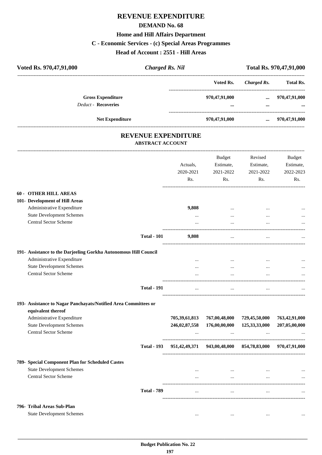# **REVENUE EXPENDITURE DEMAND No. 68 Home and Hill Affairs Department C - Economic Services - (c) Special Areas Programmes Head of Account : 2551 - Hill Areas**

| Voted Rs. 970,47,91,000<br><b>Charged Rs. Nil</b>                                     |                  |               |                                          | Total Rs. 970,47,91,000 |
|---------------------------------------------------------------------------------------|------------------|---------------|------------------------------------------|-------------------------|
|                                                                                       |                  | Voted Rs.     | ------------------<br><b>Charged Rs.</b> | <b>Total Rs.</b>        |
| <b>Gross Expenditure</b>                                                              |                  | 970,47,91,000 | $\ddotsc$                                | 970,47,91,000           |
| <b>Deduct - Recoveries</b>                                                            |                  | $\cdots$      | $\ddotsc$                                |                         |
| Net Expenditure                                                                       |                  | 970,47,91,000 | $\cdots$                                 | 970,47,91,000           |
| <b>REVENUE EXPENDITURE</b><br><b>ABSTRACT ACCOUNT</b>                                 |                  |               |                                          |                         |
|                                                                                       |                  | Budget        | Revised                                  | <b>Budget</b>           |
|                                                                                       | Actuals,         | Estimate,     | Estimate,                                | Estimate,               |
|                                                                                       | 2020-2021        | 2021-2022     | 2021-2022                                | 2022-2023               |
|                                                                                       | Rs.              | Rs.           | Rs.                                      | Rs.                     |
| <b>60 - OTHER HILL AREAS</b>                                                          |                  |               |                                          |                         |
| 101- Development of Hill Areas                                                        |                  |               |                                          |                         |
| Administrative Expenditure                                                            | 9,808            | $\ddotsc$     |                                          |                         |
| <b>State Development Schemes</b>                                                      | $\ldots$         | $\cdots$      |                                          |                         |
| Central Sector Scheme                                                                 | -------------    | $\ddotsc$     |                                          |                         |
| <b>Total - 101</b>                                                                    | 9,808            | $\ddotsc$     |                                          |                         |
| 191- Assistance to the Darjeeling Gorkha Autonomous Hill Council                      |                  |               |                                          |                         |
| Administrative Expenditure                                                            |                  | $\ddotsc$     |                                          |                         |
| <b>State Development Schemes</b>                                                      | $\cdots$         | $\cdots$      | $\cdots$                                 |                         |
| <b>Central Sector Scheme</b>                                                          | $\cdots$         |               |                                          |                         |
| <b>Total - 191</b>                                                                    | $\cdots$         | $\ldots$      | $\cdots$                                 |                         |
| 193- Assistance to Nagar Panchayats/Notified Area Committees or<br>equivalent thereof |                  |               |                                          |                         |
| Administrative Expenditure                                                            | 705, 39, 61, 813 | 767,00,48,000 | 729,45,50,000                            | 763,42,91,000           |

| Aunimonative Expenditure                         |                    | 70307,01,013     | 101,00,70,000 | 147,70,0000      | 103,74,71,000 |
|--------------------------------------------------|--------------------|------------------|---------------|------------------|---------------|
| <b>State Development Schemes</b>                 |                    | 246,02,87,558    | 176,00,00,000 | 125, 33, 33, 000 | 207,05,00,000 |
| <b>Central Sector Scheme</b>                     |                    | $\cdots$         | $\cdots$      | $\cdots$         | $\cdots$      |
|                                                  | <b>Total - 193</b> | 951, 42, 49, 371 | 943,00,48,000 | 854,78,83,000    | 970,47,91,000 |
| 789- Special Component Plan for Scheduled Castes |                    |                  |               |                  |               |
| <b>State Development Schemes</b>                 |                    | $\cdots$         |               | $\cdots$         | $\ddotsc$     |
| Central Sector Scheme                            |                    | $\cdots$         | $\cdots$      | $\cdots$         | $\cdots$      |
|                                                  | <b>Total - 789</b> | $\cdots$         | $\cdots$      | $\cdots$         | $\cdots$      |
| 796- Tribal Areas Sub-Plan                       |                    |                  |               |                  |               |
| <b>State Development Schemes</b>                 |                    | $\cdots$         | $\cdots$      | $\cdots$         | $\ddotsc$     |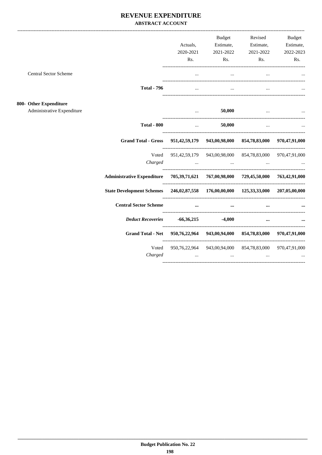## REVENUE EXPENDITURE **ABSTRACT ACCOUNT**

|                                                                                    |                    | Actuals,<br>2020-2021<br>Rs.                                    | <b>Budget</b><br>Estimate,<br>2021-2022                                                                             | Revised<br>Estimate,<br>2021-2022<br>Rs.<br>Rs.                                                                                                                                | <b>Budget</b><br>Estimate,<br>2022-2023<br>Rs. |
|------------------------------------------------------------------------------------|--------------------|-----------------------------------------------------------------|---------------------------------------------------------------------------------------------------------------------|--------------------------------------------------------------------------------------------------------------------------------------------------------------------------------|------------------------------------------------|
| <b>Central Sector Scheme</b>                                                       |                    |                                                                 |                                                                                                                     |                                                                                                                                                                                |                                                |
|                                                                                    | <b>Total - 796</b> | $\cdots$                                                        | $\cdots$                                                                                                            | $\cdots$                                                                                                                                                                       |                                                |
| <b>Other Expenditure</b><br>Administrative Expenditure                             |                    |                                                                 | 50,000                                                                                                              |                                                                                                                                                                                |                                                |
|                                                                                    | <b>Total - 800</b> |                                                                 | <b>Sales Contractor</b><br>50,000                                                                                   | $\cdots$                                                                                                                                                                       |                                                |
|                                                                                    |                    |                                                                 |                                                                                                                     | Grand Total - Gross 951,42,59,179 943,00,98,000 854,78,83,000 970,47,91,000                                                                                                    |                                                |
|                                                                                    | Charged            | and the contract of the contract of                             |                                                                                                                     | Voted 951,42,59,179 943,00,98,000 854,78,83,000 970,47,91,000<br>the contract of the contract of the contract of                                                               |                                                |
| Administrative Expenditure 705,39,71,621 767,00,98,000 729,45,50,000 763,42,91,000 |                    |                                                                 |                                                                                                                     |                                                                                                                                                                                |                                                |
| State Development Schemes 246,02,87,558 176,00,00,000 125,33,33,000 207,05,00,000  |                    |                                                                 |                                                                                                                     |                                                                                                                                                                                |                                                |
| <b>Central Sector Scheme</b>                                                       |                    |                                                                 | and the contract of the contract of the contract of the contract of the contract of the contract of the contract of | $\cdots$                                                                                                                                                                       |                                                |
|                                                                                    |                    | <i>Deduct Recoveries</i> -66,36,215 -4,000                      |                                                                                                                     | $\cdots$                                                                                                                                                                       |                                                |
|                                                                                    |                    |                                                                 |                                                                                                                     | Grand Total - Net 950,76,22,964 943,00,94,000 854,78,83,000 970,47,91,000                                                                                                      |                                                |
|                                                                                    | Charged            | $\mathbf{r}$ and $\mathbf{r}$ and $\mathbf{r}$ and $\mathbf{r}$ |                                                                                                                     | Voted 950,76,22,964 943,00,94,000 854,78,83,000 970,47,91,000<br>المنافسية المستخدمة المنافسية المنافسية المنافسية المنافسية المنافسية المنافسية المنافسية المنافسية المنافسية |                                                |

 $800 -$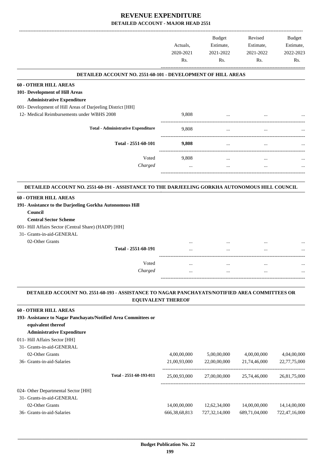|                                                                                                                                                            | Actuals.<br>2020-2021<br>Rs. | Budget<br>Estimate,<br>2021-2022<br>Rs. | Revised<br>Estimate,<br>2021-2022<br>Rs. | <b>Budget</b><br>Estimate,<br>2022-2023<br>Rs. |
|------------------------------------------------------------------------------------------------------------------------------------------------------------|------------------------------|-----------------------------------------|------------------------------------------|------------------------------------------------|
| <b>DETAILED ACCOUNT NO. 2551-60-101 - DEVELOPMENT OF HILL AREAS</b>                                                                                        |                              |                                         |                                          |                                                |
| <b>60 - OTHER HILL AREAS</b>                                                                                                                               |                              |                                         |                                          |                                                |
| 101- Development of Hill Areas                                                                                                                             |                              |                                         |                                          |                                                |
| <b>Administrative Expenditure</b>                                                                                                                          |                              |                                         |                                          |                                                |
| 001- Development of Hill Areas of Darjeeling District [HH]                                                                                                 |                              |                                         |                                          |                                                |
| 12- Medical Reimbursements under WBHS 2008                                                                                                                 | 9,808                        |                                         |                                          |                                                |
| <b>Total - Administrative Expenditure</b>                                                                                                                  | 9,808                        | $\cdots$                                |                                          |                                                |
| Total - 2551-60-101                                                                                                                                        | 9,808                        | $\cdots$                                |                                          |                                                |
| Voted                                                                                                                                                      |                              |                                         |                                          |                                                |
| Charged                                                                                                                                                    | 9,808<br>$\cdots$            | $\cdots$<br>$\cdots$                    | $\cdots$<br>$\cdots$                     |                                                |
| <b>Central Sector Scheme</b><br>001- Hill Affairs Sector (Central Share) (HADP) [HH]<br>31- Grants-in-aid-GENERAL<br>02-Other Grants                       |                              |                                         |                                          |                                                |
| Total - 2551-60-191                                                                                                                                        |                              |                                         |                                          |                                                |
| Voted                                                                                                                                                      |                              | $\ddotsc$                               | $\ddotsc$                                |                                                |
| Charged                                                                                                                                                    |                              |                                         |                                          |                                                |
| DETAILED ACCOUNT NO. 2551-60-193 - ASSISTANCE TO NAGAR PANCHAYATS/NOTIFIED AREA COMMITTEES OR                                                              | <b>EQUIVALENT THEREOF</b>    |                                         |                                          |                                                |
| <b>60 - OTHER HILL AREAS</b><br>193- Assistance to Nagar Panchayats/Notified Area Committees or<br>equivalent thereof<br><b>Administrative Expenditure</b> |                              |                                         |                                          |                                                |
| 011- Hill Affairs Sector [HH]                                                                                                                              |                              |                                         |                                          |                                                |
| 31- Grants-in-aid-GENERAL                                                                                                                                  |                              |                                         |                                          |                                                |
| 02-Other Grants                                                                                                                                            | 4,00,00,000                  | 5,00,00,000                             | 4,00,00,000                              | 4,04,00,000                                    |
| 36- Grants-in-aid-Salaries                                                                                                                                 | 21,00,93,000                 | 22,00,00,000                            | 21,74,46,000                             | 22,77,75,000                                   |
| Total - 2551-60-193-011                                                                                                                                    | 25,00,93,000                 | 27,00,00,000                            | 25,74,46,000                             | 26,81,75,000                                   |

# 024- Other Departmental Sector [HH]

 31- Grants-in-aid-GENERAL 02-Other Grants 14,00,00,000 12,62,34,000 14,00,00,000 14,14,00,000 14,14,00,000 36- Grants-in-aid-Salaries 666,38,68,813 727,32,14,000 689,71,04,000 722,47,16,000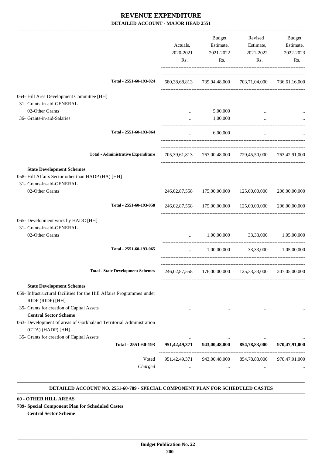|                                                                                           | Actuals,<br>2020-2021<br>Rs.                                                | Budget<br>Estimate,<br>2021-2022<br>Rs.   | Revised<br>Estimate,<br>2021-2022<br>Rs.                | Budget<br>Estimate,<br>2022-2023<br>Rs. |
|-------------------------------------------------------------------------------------------|-----------------------------------------------------------------------------|-------------------------------------------|---------------------------------------------------------|-----------------------------------------|
| Total - 2551-60-193-024                                                                   | 680, 38, 68, 813                                                            |                                           | 739,94,48,000 703,71,04,000                             | 736,61,16,000                           |
| 064- Hill Area Development Committee [HH]                                                 |                                                                             |                                           |                                                         |                                         |
| 31- Grants-in-aid-GENERAL                                                                 |                                                                             |                                           |                                                         |                                         |
| 02-Other Grants                                                                           |                                                                             | 5,00,000                                  |                                                         |                                         |
| 36- Grants-in-aid-Salaries                                                                | $\cdots$                                                                    | 1,00,000                                  | $\cdots$                                                |                                         |
| Total - 2551-60-193-064                                                                   | $\cdots$                                                                    | 6,00,000                                  | $\cdots$                                                |                                         |
| <b>Total - Administrative Expenditure</b>                                                 |                                                                             |                                           | 705,39,61,813 767,00,48,000 729,45,50,000 763,42,91,000 |                                         |
| <b>State Development Schemes</b>                                                          |                                                                             |                                           |                                                         |                                         |
| 058- Hill Affairs Sector other than HADP (HA) [HH]                                        |                                                                             |                                           |                                                         |                                         |
| 31- Grants-in-aid-GENERAL                                                                 |                                                                             |                                           |                                                         |                                         |
| 02-Other Grants                                                                           |                                                                             | 246,02,87,558 175,00,00,000 125,00,00,000 |                                                         | 206,00,00,000                           |
| Total - 2551-60-193-058                                                                   |                                                                             |                                           | 246,02,87,558 175,00,00,000 125,00,00,000               | 206,00,00,000                           |
| 065- Development work by HADC [HH]                                                        |                                                                             |                                           |                                                         |                                         |
| 31- Grants-in-aid-GENERAL                                                                 |                                                                             |                                           |                                                         |                                         |
| 02-Other Grants                                                                           | $\ddotsc$                                                                   |                                           | 1,00,00,000 33,33,000 1,05,00,000                       |                                         |
| Total - 2551-60-193-065                                                                   | $\cdots$                                                                    | 1,00,00,000                               |                                                         | 33,33,000 1,05,00,000                   |
| Total - State Development Schemes 246,02,87,558 176,00,00,000 125,33,33,000 207,05,00,000 |                                                                             |                                           |                                                         |                                         |
| <b>State Development Schemes</b>                                                          |                                                                             |                                           |                                                         |                                         |
| 059- Infrastructural facilities for the Hill Affairs Programmes under<br>RIDF (RIDF) [HH] |                                                                             |                                           |                                                         |                                         |
| 35- Grants for creation of Capital Assets                                                 |                                                                             |                                           |                                                         |                                         |
| <b>Central Sector Scheme</b>                                                              |                                                                             |                                           |                                                         |                                         |
| 063- Development of areas of Gorkhaland Territorial Administration<br>(GTA) (HADP) [HH]   |                                                                             |                                           |                                                         |                                         |
| 35- Grants for creation of Capital Assets                                                 |                                                                             |                                           | $\cdots$                                                |                                         |
|                                                                                           | Total - 2551-60-193 951,42,49,371 943,00,48,000 854,78,83,000 970,47,91,000 |                                           |                                                         |                                         |
| Voted                                                                                     |                                                                             |                                           | 951,42,49,371 943,00,48,000 854,78,83,000 970,47,91,000 |                                         |
| Charged                                                                                   |                                                                             |                                           | and the state of the state                              |                                         |
|                                                                                           |                                                                             |                                           |                                                         |                                         |

### **DETAILED ACCOUNT NO. 2551-60-789 - SPECIAL COMPONENT PLAN FOR SCHEDULED CASTES .**

.

**60 - OTHER HILL AREAS**

**789- Special Component Plan for Scheduled Castes**

**Central Sector Scheme**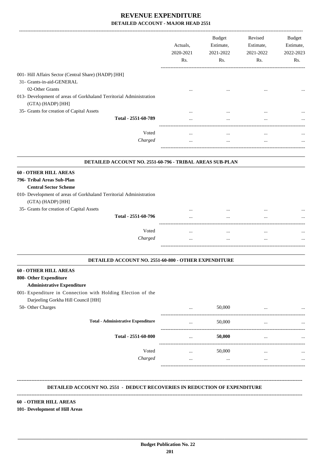|                                                                                                                        | Actuals,<br>2020-2021<br>Rs. | <b>Budget</b><br>Estimate,<br>2021-2022<br>Rs. | Revised<br>Estimate,<br>2021-2022<br>Rs. | Budget<br>Estimate,<br>2022-2023<br>Rs. |
|------------------------------------------------------------------------------------------------------------------------|------------------------------|------------------------------------------------|------------------------------------------|-----------------------------------------|
| 001- Hill Affairs Sector (Central Share) (HADP) [HH]                                                                   |                              |                                                |                                          |                                         |
| 31- Grants-in-aid-GENERAL                                                                                              |                              |                                                |                                          |                                         |
| 02-Other Grants                                                                                                        |                              |                                                |                                          |                                         |
| 013- Development of areas of Gorkhaland Territorial Administration<br>(GTA) (HADP) [HH]                                |                              |                                                |                                          |                                         |
| 35- Grants for creation of Capital Assets                                                                              |                              |                                                |                                          |                                         |
| Total - 2551-60-789                                                                                                    |                              |                                                |                                          |                                         |
| Voted                                                                                                                  | $\cdots$                     | $\cdots$                                       | $\ddotsc$                                |                                         |
| Charged                                                                                                                |                              | $\cdots$                                       | $\ddotsc$                                |                                         |
| DETAILED ACCOUNT NO. 2551-60-796 - TRIBAL AREAS SUB-PLAN<br><b>60 - OTHER HILL AREAS</b><br>796- Tribal Areas Sub-Plan |                              |                                                |                                          |                                         |
| <b>Central Sector Scheme</b>                                                                                           |                              |                                                |                                          |                                         |
| 010- Development of areas of Gorkhaland Territorial Administration<br>(GTA) (HADP) [HH]                                |                              |                                                |                                          |                                         |
| 35- Grants for creation of Capital Assets                                                                              |                              |                                                |                                          |                                         |
| Total - 2551-60-796                                                                                                    |                              |                                                | $\ddotsc$                                |                                         |
| Voted                                                                                                                  | $\cdots$                     | $\cdots$                                       | $\ddotsc$                                |                                         |
| Charged                                                                                                                |                              | $\cdots$                                       | $\ddotsc$                                |                                         |
| DETAILED ACCOUNT NO. 2551-60-800 - OTHER EXPENDITURE                                                                   |                              |                                                |                                          |                                         |
| - OTHER HILL AREAS                                                                                                     |                              |                                                |                                          |                                         |
| 800- Other Expenditure                                                                                                 |                              |                                                |                                          |                                         |
| <b>Administrative Expenditure</b>                                                                                      |                              |                                                |                                          |                                         |
| 001- Expenditure in Connection with Holding Election of the                                                            |                              |                                                |                                          |                                         |
| Darjeeling Gorkha Hill Council [HH]                                                                                    |                              |                                                |                                          |                                         |
| 50- Other Charges                                                                                                      |                              | 50,000                                         | $\ddotsc$                                |                                         |
| <b>Total - Administrative Expenditure</b>                                                                              |                              | 50,000                                         | $\ddotsc$                                | $\cdots$                                |

| Total - Administrative Expenditure |          | JUJUU    | <br>$\cdots$ |
|------------------------------------|----------|----------|--------------|
| Total - 2551-60-800                | $\cdots$ | 50,000   | <br>$\cdots$ |
| Voted                              |          | 50,000   | <br>         |
| Charged                            |          | $\cdots$ | <br>         |
|                                    |          |          |              |

### **DETAILED ACCOUNT NO. 2551 - DEDUCT RECOVERIES IN REDUCTION OF EXPENDITURE**

 **\_\_\_\_\_\_\_\_\_\_\_\_\_\_\_\_\_\_\_\_\_\_\_\_\_\_\_\_\_\_\_\_\_\_\_\_\_\_\_\_\_\_\_\_\_\_\_\_\_\_\_\_\_\_\_\_\_\_\_\_\_\_\_\_\_\_\_\_\_\_\_\_\_\_\_\_\_\_\_\_\_\_\_\_\_\_\_\_\_\_\_\_\_\_\_\_\_\_\_\_\_\_\_\_\_\_\_\_\_\_\_\_\_\_\_\_\_\_\_**

**--------------------------------------------------------------------------------------------------------------------------------------------------------------------------------**

**--------------------------------------------------------------------------------------------------------------------------------------------------------------------------------**

# **60 - OTHER HILL AREAS**

### **101- Development of Hill Areas**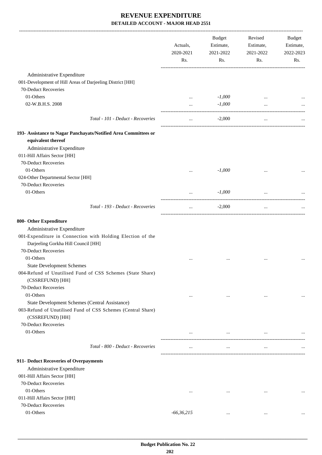|                                                                 | Actuals,<br>2020-2021<br>Rs. | <b>Budget</b><br>Estimate,<br>2021-2022<br>Rs. | Revised<br>Estimate,<br>2021-2022<br>Rs. | Budget<br>Estimate,<br>2022-2023<br>Rs. |
|-----------------------------------------------------------------|------------------------------|------------------------------------------------|------------------------------------------|-----------------------------------------|
| Administrative Expenditure                                      |                              |                                                |                                          |                                         |
| 001-Development of Hill Areas of Darjeeling District [HH]       |                              |                                                |                                          |                                         |
| 70-Deduct Recoveries                                            |                              |                                                |                                          |                                         |
| 01-Others                                                       |                              | $-1,000$                                       |                                          |                                         |
| 02-W.B.H.S. 2008                                                | $\cdots$                     | $-1,000$                                       |                                          |                                         |
|                                                                 | $\cdots$                     |                                                |                                          |                                         |
| Total - 101 - Deduct - Recoveries                               | $\cdots$                     | $-2,000$                                       | $\cdots$                                 |                                         |
| 193- Assistance to Nagar Panchayats/Notified Area Committees or |                              |                                                |                                          |                                         |
| equivalent thereof                                              |                              |                                                |                                          |                                         |
| Administrative Expenditure                                      |                              |                                                |                                          |                                         |
| 011-Hill Affairs Sector [HH]                                    |                              |                                                |                                          |                                         |
| 70-Deduct Recoveries                                            |                              |                                                |                                          |                                         |
| 01-Others                                                       |                              | $-1,000$                                       |                                          |                                         |
| 024-Other Departmental Sector [HH]                              | $\cdots$                     |                                                |                                          |                                         |
| 70-Deduct Recoveries                                            |                              |                                                |                                          |                                         |
| 01-Others                                                       |                              |                                                |                                          |                                         |
|                                                                 | $\cdots$                     | $-1,000$                                       | $\cdots$                                 |                                         |
| Total - 193 - Deduct - Recoveries                               | $\cdots$                     | $-2,000$                                       | $\cdots$                                 |                                         |
| 800- Other Expenditure                                          |                              |                                                |                                          |                                         |
| Administrative Expenditure                                      |                              |                                                |                                          |                                         |
| 001-Expenditure in Connection with Holding Election of the      |                              |                                                |                                          |                                         |
| Darjeeling Gorkha Hill Council [HH]                             |                              |                                                |                                          |                                         |
| 70-Deduct Recoveries                                            |                              |                                                |                                          |                                         |
| 01-Others                                                       | $\cdots$                     |                                                |                                          |                                         |
| <b>State Development Schemes</b>                                |                              |                                                |                                          |                                         |
| 004-Refund of Unutilised Fund of CSS Schemes (State Share)      |                              |                                                |                                          |                                         |
| (CSSREFUND) [HH]                                                |                              |                                                |                                          |                                         |
| 70-Deduct Recoveries                                            |                              |                                                |                                          |                                         |
| 01-Others                                                       |                              |                                                |                                          |                                         |
|                                                                 | $\cdots$                     | $\cdots$                                       | $\cdots$                                 |                                         |
| State Development Schemes (Central Assistance)                  |                              |                                                |                                          |                                         |
| 003-Refund of Unutilised Fund of CSS Schemes (Central Share)    |                              |                                                |                                          |                                         |
| (CSSREFUND) [HH]                                                |                              |                                                |                                          |                                         |
| 70-Deduct Recoveries                                            |                              |                                                |                                          |                                         |
| 01-Others                                                       | $\cdots$                     | $\cdots$                                       | $\cdots$                                 |                                         |
| Total - 800 - Deduct - Recoveries                               | $\cdots$                     | $\cdots$                                       | $\cdots$                                 |                                         |
|                                                                 |                              |                                                |                                          |                                         |
| 911- Deduct Recoveries of Overpayments                          |                              |                                                |                                          |                                         |
| Administrative Expenditure                                      |                              |                                                |                                          |                                         |
| 001-Hill Affairs Sector [HH]                                    |                              |                                                |                                          |                                         |
| 70-Deduct Recoveries                                            |                              |                                                |                                          |                                         |
| 01-Others                                                       | $\cdots$                     | $\cdots$                                       | $\cdots$                                 | $\cdots$                                |
| 011-Hill Affairs Sector [HH]                                    |                              |                                                |                                          |                                         |
| 70-Deduct Recoveries                                            |                              |                                                |                                          |                                         |
| 01-Others                                                       | $-66,36,215$                 | $\cdots$                                       |                                          |                                         |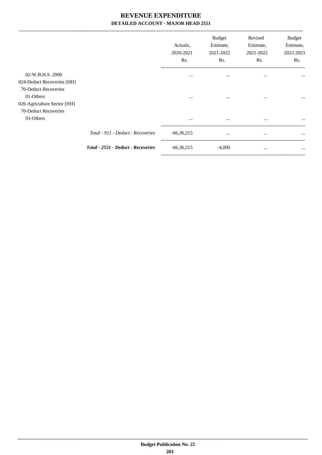-------------------------------------------------------------------------------------------------------------------------------------------------------------------------------

|                                                                 |                                    | Actuals,<br>2020-2021<br>Rs. | <b>Budget</b><br>Estimate,<br>2021-2022<br>Rs. | Revised<br>Estimate,<br>2021-2022<br>Rs. | <b>Budget</b><br>Estimate,<br>2022-2023<br>Rs. |
|-----------------------------------------------------------------|------------------------------------|------------------------------|------------------------------------------------|------------------------------------------|------------------------------------------------|
| 02-W.B.H.S. 2008                                                |                                    | $\cdots$                     | $\cdots$                                       | $\cdots$                                 | $\cdots$                                       |
| 024-Deduct Recoveries [HH]<br>70-Deduct Recoveries<br>01-Others |                                    | $\cdots$                     | $\cdots$                                       | $\cdots$                                 | $\cdots$                                       |
| 026-Agriculture Sector [HH]<br>70-Deduct Recoveries             |                                    |                              |                                                |                                          |                                                |
| 01-Others                                                       |                                    | $\cdots$                     | $\cdots$                                       | $\cdots$                                 | $\cdots$                                       |
|                                                                 | Total - 911 - Deduct - Recoveries  | $-66,36,215$                 | $\cdots$                                       |                                          | $\cdots$                                       |
|                                                                 | Total - 2551 - Deduct - Recoveries | $-66,36,215$                 | $-4,000$                                       | $\cdots$                                 | $\cdots$                                       |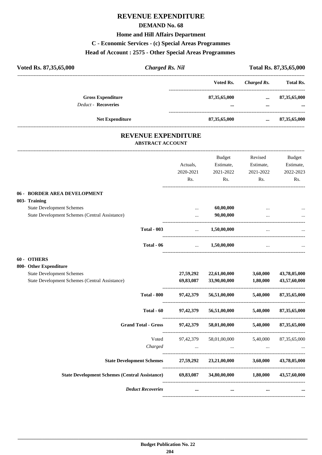# **REVENUE EXPENDITURE**

## **DEMAND No. 68**

### **Home and Hill Affairs Department**

### **C - Economic Services - (c) Special Areas Programmes**

### **Head of Account : 2575 - Other Special Areas Programmes**

|                 |                        | Total Rs. 87,35,65,000 |
|-----------------|------------------------|------------------------|
| Voted Rs.       | Charged Rs.            | <b>Total Rs.</b>       |
| 87, 35, 65, 000 | $\cdots$               | 87, 35, 65, 000        |
|                 |                        |                        |
| 87, 35, 65, 000 | $\cdots$               | 87, 35, 65, 000        |
|                 | <b>Charged Rs. Nil</b> |                        |

## **REVENUE EXPENDITURE ABSTRACT ACCOUNT**

---------------------------------------------------------------------------------------------------------------------------------------------------------------------------------

|                                                       | Actuals,         | <b>Budget</b><br>Estimate, | Revised<br>Estimate,  | <b>Budget</b><br>Estimate, |
|-------------------------------------------------------|------------------|----------------------------|-----------------------|----------------------------|
|                                                       | 2020-2021<br>Rs. | 2021-2022<br>Rs.           | 2021-2022<br>Rs.      | 2022-2023<br>Rs.           |
| 06 - BORDER AREA DEVELOPMENT                          |                  |                            |                       |                            |
| 003- Training                                         |                  |                            |                       |                            |
| <b>State Development Schemes</b>                      | $\ddotsc$        | 60,00,000                  |                       |                            |
| State Development Schemes (Central Assistance)        |                  | 90,00,000                  |                       |                            |
| <b>Total - 003</b>                                    | $\ddotsc$        | 1,50,00,000                |                       |                            |
| Total - 06                                            | $\cdots$         | 1,50,00,000                | $\cdots$              |                            |
| 60 - OTHERS                                           |                  |                            |                       |                            |
| 800- Other Expenditure                                |                  |                            |                       |                            |
| <b>State Development Schemes</b>                      | 27,59,292        | 22,61,00,000               | 3,60,000              | 43,78,05,000               |
| State Development Schemes (Central Assistance)        | 69,83,087        | 33,90,00,000               | 1.80.000              | 43,57,60,000               |
| <b>Total - 800</b>                                    | 97,42,379        | 56,51,00,000               | 5,40,000              | 87, 35, 65, 000            |
| Total - 60                                            | 97, 42, 379      | 56,51,00,000               | 5,40,000              | 87,35,65,000               |
| <b>Grand Total - Gross</b>                            | 97, 42, 379      | 58,01,00,000 5,40,000      |                       | 87, 35, 65, 000            |
| Voted                                                 | 97,42,379        |                            | 58,01,00,000 5,40,000 | 87, 35, 65, 000            |
| Charged                                               | $\cdots$         | $\cdots$                   |                       |                            |
| <b>State Development Schemes</b>                      |                  | 27,59,292 23,21,00,000     | 3,60,000              | 43,78,05,000               |
| <b>State Development Schemes (Central Assistance)</b> | 69,83,087        |                            | 34,80,00,000 1,80,000 | 43,57,60,000               |
| <b>Deduct Recoveries</b>                              | $\cdots$         | $\cdots$                   | $\cdots$              |                            |
|                                                       |                  |                            |                       |                            |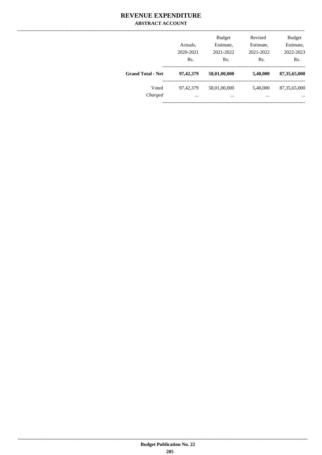## **REVENUE EXPENDITURE ABSTRACT ACCOUNT**

|                          | Actuals,<br>2020-2021 | <b>Budget</b><br>Estimate,<br>2021-2022 | Revised<br>Estimate,<br>2021-2022 | <b>Budget</b><br>Estimate,<br>2022-2023 |
|--------------------------|-----------------------|-----------------------------------------|-----------------------------------|-----------------------------------------|
| <b>Grand Total - Net</b> | Rs.                   | Rs.                                     | Rs.                               | Rs.                                     |
|                          | 97,42,379             | 58,01,00,000                            | 5,40,000                          | 87, 35, 65, 000                         |
| Voted                    | 97, 42, 379           | 58,01,00,000                            | 5,40,000                          | 87, 35, 65, 000                         |
| Charged                  | $\cdots$              | $\cdots$                                |                                   | $\cdots$                                |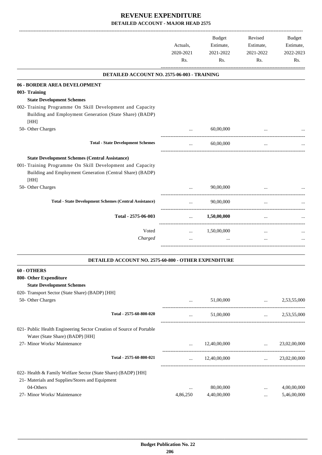|                                                                                                                      | Actuals,<br>2020-2021<br>Rs. | Budget<br>Estimate,<br>2021-2022<br>Rs. | Revised<br>Estimate,<br>2021-2022<br>Rs.             | <b>Budget</b><br>Estimate,<br>2022-2023<br>Rs. |
|----------------------------------------------------------------------------------------------------------------------|------------------------------|-----------------------------------------|------------------------------------------------------|------------------------------------------------|
| DETAILED ACCOUNT NO. 2575-06-003 - TRAINING                                                                          |                              |                                         |                                                      |                                                |
| 06 - BORDER AREA DEVELOPMENT                                                                                         |                              |                                         |                                                      |                                                |
| 003- Training                                                                                                        |                              |                                         |                                                      |                                                |
| <b>State Development Schemes</b>                                                                                     |                              |                                         |                                                      |                                                |
| 002- Training Programme On Skill Development and Capacity<br>Building and Employment Generation (State Share) (BADP) |                              |                                         |                                                      |                                                |
| [HH]                                                                                                                 |                              |                                         |                                                      |                                                |
| 50- Other Charges                                                                                                    |                              | 60,00,000                               |                                                      |                                                |
| <b>Total - State Development Schemes</b>                                                                             |                              | 60,00,000                               |                                                      |                                                |
| <b>State Development Schemes (Central Assistance)</b>                                                                |                              |                                         |                                                      |                                                |
| 001- Training Programme On Skill Development and Capacity                                                            |                              |                                         |                                                      |                                                |
| Building and Employment Generation (Central Share) (BADP)                                                            |                              |                                         |                                                      |                                                |
| [HH]                                                                                                                 |                              |                                         |                                                      |                                                |
| 50- Other Charges                                                                                                    |                              | 90,00,000                               |                                                      |                                                |
| <b>Total - State Development Schemes (Central Assistance)</b>                                                        | $\cdots$                     | 90,00,000                               | $\cdots$                                             |                                                |
|                                                                                                                      |                              |                                         |                                                      |                                                |
| Total - 2575-06-003                                                                                                  | $\cdots$                     | 1,50,00,000                             | $\ldots$                                             |                                                |
| Voted                                                                                                                | $\cdots$                     | 1,50,00,000                             | $\ddotsc$                                            |                                                |
| Charged                                                                                                              | $\cdots$                     |                                         |                                                      |                                                |
|                                                                                                                      |                              |                                         |                                                      |                                                |
| DETAILED ACCOUNT NO. 2575-60-800 - OTHER EXPENDITURE                                                                 |                              |                                         |                                                      |                                                |
| 60 - OTHERS                                                                                                          |                              |                                         |                                                      |                                                |
| 800- Other Expenditure                                                                                               |                              |                                         |                                                      |                                                |
| <b>State Development Schemes</b>                                                                                     |                              |                                         |                                                      |                                                |
| 020- Transport Sector (State Share) (BADP) [HH]                                                                      |                              |                                         |                                                      |                                                |
| 50- Other Charges                                                                                                    | $\cdots$                     |                                         | $51,00,000$<br>------------------------------------- | 2,53,55,000                                    |
| Total - 2575-60-800-020                                                                                              | $\cdots$                     | 51,00,000                               | <b>Section</b> (1997)                                | 2,53,55,000                                    |
| 021- Public Health Engineering Sector Creation of Source of Portable                                                 |                              |                                         |                                                      |                                                |
| Water (State Share) (BADP) [HH]                                                                                      |                              |                                         |                                                      |                                                |
| 27- Minor Works/ Maintenance                                                                                         |                              | $\ldots$ 12,40,00,000 $\ldots$          |                                                      | 23,02,00,000                                   |
| Total - 2575-60-800-021                                                                                              |                              | $\ldots$ 12,40,00,000                   |                                                      | $\ldots$ 23,02,00,000                          |
| 022- Health & Family Welfare Sector (State Share) (BADP) [HH]                                                        |                              |                                         |                                                      |                                                |
| 21- Materials and Supplies/Stores and Equipment                                                                      |                              |                                         |                                                      |                                                |
| 04-Others                                                                                                            | $\cdots$                     | 80,00,000                               | $\cdots$                                             | 4,00,00,000                                    |
| 27- Minor Works/ Maintenance                                                                                         | 4,86,250                     | 4,40,00,000                             | $\cdots$                                             | 5,46,00,000                                    |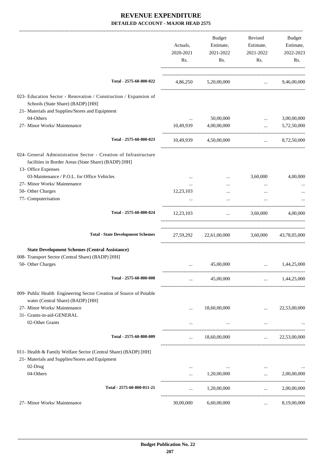|                                                                                                                                                | Actuals,<br>2020-2021<br>Rs. | Budget<br>Estimate,<br>2021-2022<br>Rs.      | Revised<br>Estimate,<br>2021-2022<br>Rs.                                                                                                                                                                                                         | Budget<br>Estimate,<br>2022-2023<br>Rs. |
|------------------------------------------------------------------------------------------------------------------------------------------------|------------------------------|----------------------------------------------|--------------------------------------------------------------------------------------------------------------------------------------------------------------------------------------------------------------------------------------------------|-----------------------------------------|
| Total - 2575-60-800-022                                                                                                                        |                              | 4,86,250 5,20,00,000                         | $\ldots$ 9,46,00,000                                                                                                                                                                                                                             |                                         |
| 023- Education Sector - Renovation / Construction / Expansion of<br>Schools (State Share) (BADP) [HH]                                          |                              |                                              |                                                                                                                                                                                                                                                  |                                         |
| 21- Materials and Supplies/Stores and Equipment                                                                                                |                              |                                              |                                                                                                                                                                                                                                                  |                                         |
| 04-Others                                                                                                                                      |                              | 50,00,000                                    | $\cdots$                                                                                                                                                                                                                                         | 3,00,00,000                             |
| 27- Minor Works/ Maintenance                                                                                                                   | 10,49,939                    | 4,00,00,000                                  | $\ddotsc$                                                                                                                                                                                                                                        | 5,72,50,000                             |
| Total - 2575-60-800-023                                                                                                                        |                              | 10,49,939 4,50,00,000                        |                                                                                                                                                                                                                                                  | $\ldots$ 8,72,50,000                    |
| 024- General Administration Sector - Creation of Infrastructure<br>facilities in Border Areas (State Share) (BADP) [HH]<br>13- Office Expenses |                              |                                              |                                                                                                                                                                                                                                                  |                                         |
| 03-Maintenance / P.O.L. for Office Vehicles                                                                                                    | $\cdots$                     | $\ldots$                                     | 3,60,000                                                                                                                                                                                                                                         | 4,00,000                                |
| 27- Minor Works/ Maintenance                                                                                                                   |                              |                                              | $\cdots$                                                                                                                                                                                                                                         |                                         |
| 50- Other Charges                                                                                                                              | 12,23,103                    | $\cdots$                                     | $\cdots$                                                                                                                                                                                                                                         |                                         |
| 77- Computerisation                                                                                                                            |                              |                                              | $\cdots$                                                                                                                                                                                                                                         |                                         |
| Total - 2575-60-800-024                                                                                                                        | 12,23,103                    |                                              | $\ldots$ 3,60,000                                                                                                                                                                                                                                | 4.00.000                                |
| <b>Total - State Development Schemes</b>                                                                                                       |                              | 27,59,292 22,61,00,000 3,60,000 43,78,05,000 |                                                                                                                                                                                                                                                  |                                         |
| <b>State Development Schemes (Central Assistance)</b>                                                                                          |                              |                                              |                                                                                                                                                                                                                                                  |                                         |
| 008- Transport Sector (Central Share) (BADP) [HH]                                                                                              |                              |                                              |                                                                                                                                                                                                                                                  |                                         |
| 50- Other Charges                                                                                                                              | $\cdots$                     | 45,00,000                                    | $\ddotsc$                                                                                                                                                                                                                                        | 1,44,25,000                             |
| Total - 2575-60-800-008                                                                                                                        | $\cdots$                     | 45,00,000                                    | $\mathbf{1}$ , and $\mathbf{1}$                                                                                                                                                                                                                  | 1,44,25,000                             |
| 009- Public Health Engineering Sector Creation of Source of Potable<br>water (Central Share) (BADP) [HH]                                       |                              |                                              |                                                                                                                                                                                                                                                  |                                         |
| 27- Minor Works/ Maintenance                                                                                                                   |                              | 18,60,00,000                                 | $\cdots$                                                                                                                                                                                                                                         | 22,53,00,000                            |
| 31- Grants-in-aid-GENERAL                                                                                                                      |                              |                                              |                                                                                                                                                                                                                                                  |                                         |
| 02-Other Grants                                                                                                                                | $\cdots$                     | $\cdots$                                     | $\cdots$                                                                                                                                                                                                                                         |                                         |
| Total - 2575-60-800-009                                                                                                                        | $\cdots$                     | 18,60,00,000                                 | $\mathbf{r}$ , and $\mathbf{r}$                                                                                                                                                                                                                  | 22,53,00,000                            |
| 011- Health & Family Welfare Sector (Central Share) (BADP) [HH]                                                                                |                              |                                              |                                                                                                                                                                                                                                                  |                                         |
| 21- Materials and Supplies/Stores and Equipment                                                                                                |                              |                                              |                                                                                                                                                                                                                                                  |                                         |
| 02-Drug                                                                                                                                        | $\cdots$                     |                                              | $\mathbf{1}$ and $\mathbf{1}$ are all the set of the set of the set of the set of the set of the set of the set of the set of the set of the set of the set of the set of the set of the set of the set of the set of the set of the<br>$\ldots$ |                                         |
| 04-Others                                                                                                                                      | $\cdots$                     | 1,20,00,000                                  | $\cdots$                                                                                                                                                                                                                                         | 2,00,00,000                             |
| Total - 2575-60-800-011-21                                                                                                                     | $\ddots$                     | 1,20,00,000                                  | $\ddotsc$                                                                                                                                                                                                                                        | 2,00,00,000                             |
| 27- Minor Works/ Maintenance                                                                                                                   | 30,00,000                    | 6,60,00,000                                  | $\cdots$                                                                                                                                                                                                                                         | 8,19,00,000                             |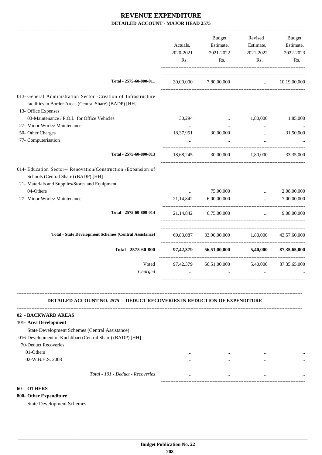|                                                                                                                                                         | Actuals,<br>2020-2021<br>Rs. | <b>Budget</b><br>Estimate,<br>2021-2022<br>Rs. | Revised<br>Estimate,<br>2021-2022<br>Rs. | Budget<br>Estimate,<br>2022-2023<br>Rs. |
|---------------------------------------------------------------------------------------------------------------------------------------------------------|------------------------------|------------------------------------------------|------------------------------------------|-----------------------------------------|
| Total - 2575-60-800-011                                                                                                                                 | 30,00,000                    | 7,80,00,000                                    | $\cdots$                                 | 10.19.00.000                            |
| 013- General Administration Sector -Creation of Infrastructure<br>facilities in Border Areas (Central Share) (BADP) [HH]<br>13- Office Expenses         |                              |                                                |                                          |                                         |
| 03-Maintenance / P.O.L. for Office Vehicles                                                                                                             | 30,294                       | $\cdots$                                       | 1,80,000                                 | 1,85,000                                |
| 27- Minor Works/ Maintenance                                                                                                                            | $\cdots$                     |                                                | $\cdots$                                 |                                         |
| 50- Other Charges                                                                                                                                       | 18,37,951                    | 30,00,000                                      | $\cdots$                                 | 31,50,000                               |
| 77- Computerisation                                                                                                                                     |                              |                                                | $\ddotsc$                                |                                         |
| Total - 2575-60-800-013                                                                                                                                 | 18,68,245                    | 30,00,000                                      | 1,80,000                                 | 33, 35, 000                             |
| 014- Education Sector-- Renovation/Construction /Expansion of<br>Schools (Central Share) (BADP) [HH]<br>21- Materials and Supplies/Stores and Equipment |                              |                                                |                                          |                                         |
| 04-Others                                                                                                                                               | $\cdots$                     | 75,00,000                                      | $\cdots$                                 | 2,08,00,000                             |
| 27- Minor Works/ Maintenance                                                                                                                            | 21,14,842                    | 6,00,00,000                                    | $\cdots$                                 | 7,00,00,000                             |
| Total - 2575-60-800-014                                                                                                                                 | 21.14.842                    | 6.75.00.000                                    | $\ddots$                                 | 9.08.00.000                             |
| <b>Total - State Development Schemes (Central Assistance)</b>                                                                                           | 69,83,087                    |                                                | 33,90,00,000 1,80,000                    | 43,57,60,000                            |
| Total - 2575-60-800                                                                                                                                     | 97,42,379                    |                                                | 56,51,00,000 5,40,000                    | 87, 35, 65, 000                         |
| Voted<br>Charged                                                                                                                                        | 97,42,379<br>$\ddotsc$       | 56,51,00,000<br>$\cdots$                       | 5,40,000<br>$\ddotsc$                    | 87, 35, 65, 000                         |
|                                                                                                                                                         |                              |                                                |                                          |                                         |

### **DETAILED ACCOUNT NO. 2575 - DEDUCT RECOVERIES IN REDUCTION OF EXPENDITURE**

**--------------------------------------------------------------------------------------------------------------------------------------------------------------------------------**

| 02 - BACKWARD AREAS                                       |          |          |      |
|-----------------------------------------------------------|----------|----------|------|
| 101- Area Development                                     |          |          |      |
| State Development Schemes (Central Assistance)            |          |          |      |
| 016-Development of Kuchlibari (Central Share) (BADP) [HH] |          |          |      |
| 70-Deduct Recoveries                                      |          |          |      |
| 01-Others                                                 |          | $\cdots$ | <br> |
| 02-W.B.H.S. 2008                                          |          | $\cdots$ | <br> |
|                                                           |          |          |      |
| Total - 101 - Deduct - Recoveries                         | $\cdots$ | $\cdots$ | <br> |
|                                                           |          |          |      |

### **60- OTHERS**

**800- Other Expenditure**

State Development Schemes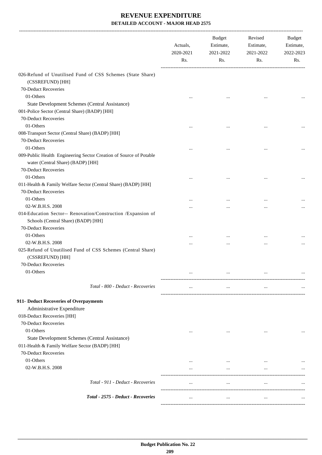|                                                                                                         | Actuals,<br>2020-2021<br>Rs. | <b>Budget</b><br>Estimate,<br>2021-2022<br>Rs. | Revised<br>Estimate,<br>2021-2022<br>Rs. | Budget<br>Estimate,<br>2022-2023<br>Rs. |
|---------------------------------------------------------------------------------------------------------|------------------------------|------------------------------------------------|------------------------------------------|-----------------------------------------|
| 026-Refund of Unutilised Fund of CSS Schemes (State Share)<br>(CSSREFUND) [HH]                          |                              |                                                |                                          |                                         |
| 70-Deduct Recoveries                                                                                    |                              |                                                |                                          |                                         |
| 01-Others                                                                                               |                              |                                                |                                          |                                         |
| State Development Schemes (Central Assistance)                                                          |                              |                                                |                                          |                                         |
| 001-Police Sector (Central Share) (BADP) [HH]                                                           |                              |                                                |                                          |                                         |
| 70-Deduct Recoveries                                                                                    |                              |                                                |                                          |                                         |
| 01-Others                                                                                               | $\cdots$                     |                                                |                                          |                                         |
| 008-Transport Sector (Central Share) (BADP) [HH]                                                        |                              |                                                |                                          |                                         |
| 70-Deduct Recoveries                                                                                    |                              |                                                |                                          |                                         |
| 01-Others                                                                                               |                              | $\cdots$                                       | $\cdots$                                 |                                         |
| 009-Public Health Engineering Sector Creation of Source of Potable<br>water (Central Share) (BADP) [HH] |                              |                                                |                                          |                                         |
| 70-Deduct Recoveries                                                                                    |                              |                                                |                                          |                                         |
| 01-Others                                                                                               |                              |                                                |                                          |                                         |
| 011-Health & Family Welfare Sector (Central Share) (BADP) [HH]                                          |                              |                                                |                                          |                                         |
| 70-Deduct Recoveries                                                                                    |                              |                                                |                                          |                                         |
| 01-Others                                                                                               |                              |                                                |                                          |                                         |
| 02-W.B.H.S. 2008                                                                                        |                              |                                                |                                          | $\cdots$                                |
| 014-Education Sector-- Renovation/Construction /Expansion of<br>Schools (Central Share) (BADP) [HH]     |                              |                                                |                                          |                                         |
| 70-Deduct Recoveries                                                                                    |                              |                                                |                                          |                                         |
| 01-Others                                                                                               | .                            |                                                | $\ddotsc$                                |                                         |
| 02-W.B.H.S. 2008                                                                                        |                              |                                                | $\ddotsc$                                |                                         |
| 025-Refund of Unutilised Fund of CSS Schemes (Central Share)<br>(CSSREFUND) [HH]                        |                              |                                                |                                          |                                         |
| 70-Deduct Recoveries                                                                                    |                              |                                                |                                          |                                         |
| 01-Others                                                                                               | $\cdots$                     | $\ddotsc$                                      | $\ddotsc$                                | $\cdots$                                |
| Total - 800 - Deduct - Recoveries                                                                       | $\cdots$                     | $\ldots$                                       | $\cdots$                                 |                                         |
| 911- Deduct Recoveries of Overpayments                                                                  |                              |                                                |                                          |                                         |
| Administrative Expenditure                                                                              |                              |                                                |                                          |                                         |
| 018-Deduct Recoveries [HH]                                                                              |                              |                                                |                                          |                                         |
| 70-Deduct Recoveries                                                                                    |                              |                                                |                                          |                                         |
| 01-Others                                                                                               | $\cdots$                     | $\cdots$                                       | $\cdots$                                 |                                         |
| State Development Schemes (Central Assistance)                                                          |                              |                                                |                                          |                                         |
| 011-Health & Family Welfare Sector (BADP) [HH]                                                          |                              |                                                |                                          |                                         |
| 70-Deduct Recoveries                                                                                    |                              |                                                |                                          |                                         |
| 01-Others                                                                                               |                              | $\cdots$                                       |                                          |                                         |
| 02-W.B.H.S. 2008                                                                                        | $\cdots$                     | $\cdots$                                       | $\cdots$                                 | $\cdots$                                |
| Total - 911 - Deduct - Recoveries                                                                       | $\cdots$                     | $\ldots$                                       | $\ldots$                                 | $\cdots$                                |
| Total - 2575 - Deduct - Recoveries                                                                      |                              | $\cdots$                                       | $\ddotsc$                                |                                         |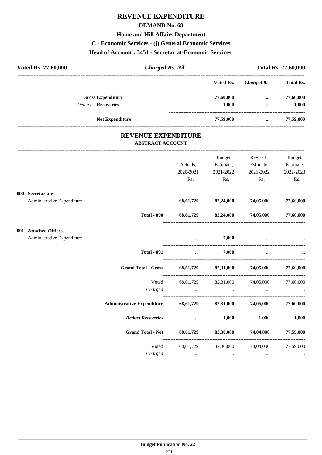# **REVENUE EXPENDITURE**

### **DEMAND No. 68**

### **Home and Hill Affairs Department**

**C - Economic Services - (j) General Economic Services**

### **Head of Account : 3451 - Secretariat-Economic Services**

| Voted Rs. 77,60,000        | <b>Charged Rs. Nil</b>   |  | <b>Total Rs. 77,60,000</b> |             |                  |
|----------------------------|--------------------------|--|----------------------------|-------------|------------------|
|                            |                          |  | Voted Rs.                  | Charged Rs. | <b>Total Rs.</b> |
|                            | <b>Gross Expenditure</b> |  | 77,60,000                  | $\cdots$    | 77,60,000        |
| <b>Deduct - Recoveries</b> |                          |  | $-1.000$                   | $\cdots$    | $-1,000$         |
|                            | <b>Net Expenditure</b>   |  | 77,59,000                  | $\cdots$    | 77,59,000        |

## **REVENUE EXPENDITURE ABSTRACT ACCOUNT**

|                            |                                                                    | Actuals,<br>2020-2021                                       | <b>Budget</b><br>2021-2022                                                                                                                                       | Revised<br>Estimate, Estimate, Estimate,<br>2021-2022 | Budget<br>2022-2023 |
|----------------------------|--------------------------------------------------------------------|-------------------------------------------------------------|------------------------------------------------------------------------------------------------------------------------------------------------------------------|-------------------------------------------------------|---------------------|
|                            |                                                                    | Rs.                                                         | $\mathbf{R}$ s.                                                                                                                                                  | $\mathbf{Rs.}$                                        | Rs.                 |
| 090- Secretariate          |                                                                    |                                                             |                                                                                                                                                                  |                                                       |                     |
| Administrative Expenditure |                                                                    |                                                             | 68,61,729 82,24,000 74,05,000 77,60,000                                                                                                                          |                                                       |                     |
|                            | <b>Total - 090</b>                                                 |                                                             | 68,61,729 82,24,000 74,05,000 77,60,000                                                                                                                          |                                                       |                     |
| 091- Attached Offices      |                                                                    |                                                             |                                                                                                                                                                  |                                                       |                     |
| Administrative Expenditure |                                                                    |                                                             | $7,000$                                                                                                                                                          |                                                       |                     |
|                            | <b>Total - 091</b>                                                 | $\mathcal{L}_{\text{max}}$ . The $\mathcal{L}_{\text{max}}$ | 7,000                                                                                                                                                            | $\cdots$                                              |                     |
|                            | Grand Total - Gross 68,61,729 82,31,000 74,05,000 77,60,000        |                                                             |                                                                                                                                                                  |                                                       |                     |
|                            | Voted                                                              |                                                             | 68,61,729 82,31,000 74,05,000 77,60,000                                                                                                                          |                                                       |                     |
|                            | Charged                                                            |                                                             | المستخدم المستخدم المستخدم المستخدم المستخدم المستخدم المستخدم المستخدم المستخدم المستخدم المستخدم المستخدم المستخدم                                             |                                                       |                     |
|                            | Administrative Expenditure 68,61,729 82,31,000 74,05,000 77,60,000 |                                                             |                                                                                                                                                                  |                                                       |                     |
|                            | <b>Deduct Recoveries</b>                                           |                                                             | $-1,000$ $-1,000$ $-1,000$                                                                                                                                       |                                                       |                     |
|                            | Grand Total - Net 68,61,729 82,30,000 74,04,000 77,59,000          |                                                             |                                                                                                                                                                  |                                                       |                     |
|                            | Charged                                                            |                                                             | Voted 68,61,729 82,30,000 74,04,000 77,59,000<br>المساوي المساوي المساوي المساوي المساوي المساوي المساوي المساوي المساوي المساوي المساوي المساوي المساوي المساوي |                                                       |                     |
|                            |                                                                    |                                                             |                                                                                                                                                                  |                                                       |                     |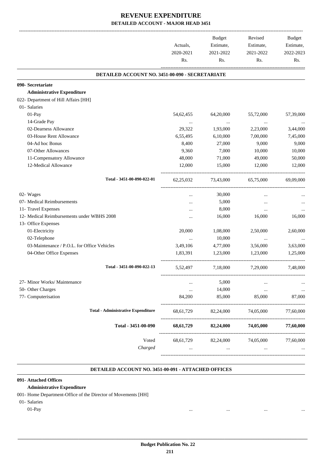|                                                 | Actuals,<br>2020-2021<br>Rs. | <b>Budget</b><br>Estimate,<br>2021-2022<br>Rs. | Revised<br>Estimate,<br>2021-2022<br>Rs. | Budget<br>Estimate,<br>2022-2023 |
|-------------------------------------------------|------------------------------|------------------------------------------------|------------------------------------------|----------------------------------|
|                                                 |                              |                                                |                                          | Rs.                              |
| DETAILED ACCOUNT NO. 3451-00-090 - SECRETARIATE |                              |                                                |                                          |                                  |
| 090- Secretariate                               |                              |                                                |                                          |                                  |
| <b>Administrative Expenditure</b>               |                              |                                                |                                          |                                  |
| 022- Department of Hill Affairs [HH]            |                              |                                                |                                          |                                  |
| 01- Salaries                                    |                              |                                                |                                          |                                  |
| 01-Pay                                          | 54,62,455                    | 64,20,000                                      | 55,72,000                                | 57,39,000                        |
| 14-Grade Pay                                    | $\cdots$                     | $\cdots$                                       | $\ldots$                                 |                                  |
| 02-Dearness Allowance                           | 29,322                       | 1,93,000                                       | 2,23,000                                 | 3,44,000                         |
| 03-House Rent Allowance                         | 6,55,495                     | 6,10,000                                       | 7,00,000                                 | 7,45,000                         |
| 04-Ad hoc Bonus                                 | 8,400                        | 27,000                                         | 9,000                                    | 9,000                            |
| 07-Other Allowances                             | 9,360                        | 7,000                                          | 10,000                                   | 10,000                           |
| 11-Compensatory Allowance                       | 48,000                       | 71,000                                         | 49,000                                   | 50,000                           |
| 12-Medical Allowance                            | 12,000                       | 15,000                                         | 12,000                                   | 12,000                           |
| Total - 3451-00-090-022-01                      | 62,25,032                    | 73,43,000                                      | 65,75,000                                | 69,09,000                        |
| 02- Wages                                       | $\ddotsc$                    | 30,000                                         |                                          |                                  |
| 07- Medical Reimbursements                      |                              | 5,000                                          | $\ddotsc$                                |                                  |
| 11- Travel Expenses                             |                              | 8,000                                          |                                          |                                  |
| 12- Medical Reimbursements under WBHS 2008      |                              | 16,000                                         | 16,000                                   | 16,000                           |
| 13- Office Expenses                             |                              |                                                |                                          |                                  |
| 01-Electricity                                  | 20,000                       | 1,08,000                                       | 2,50,000                                 | 2,60,000                         |
| 02-Telephone                                    | $\cdots$                     | 10,000                                         | $\ldots$                                 |                                  |
| 03-Maintenance / P.O.L. for Office Vehicles     | 3,49,106                     | 4,77,000                                       | 3,56,000                                 | 3,63,000                         |
| 04-Other Office Expenses                        | 1,83,391                     | 1,23,000                                       | 1,23,000                                 | 1,25,000                         |
| Total - 3451-00-090-022-13                      | 5,52,497                     | 7,18,000                                       | 7,29,000                                 | 7,48,000                         |
| 27- Minor Works/ Maintenance                    |                              | 5,000                                          |                                          |                                  |
| 50- Other Charges                               | $\cdots$                     | 14,000                                         | $\cdots$                                 |                                  |
| 77- Computerisation                             | 84,200                       | 85,000                                         | 85,000                                   | 87,000                           |
| <b>Total - Administrative Expenditure</b>       | 68, 61, 729                  | 82,24,000                                      | 74,05,000                                | 77,60,000                        |
| Total - 3451-00-090                             | 68,61,729                    | 82,24,000                                      | 74,05,000                                | 77,60,000                        |
| Voted                                           | 68,61,729                    |                                                | 82,24,000 74,05,000                      | 77,60,000                        |
| Charged                                         | $\cdots$                     | $\cdots$                                       |                                          |                                  |

### **DETAILED ACCOUNT NO. 3451-00-091 - ATTACHED OFFICES .**

.

### **091- Attached Offices**

# **Administrative Expenditure**

- 001- Home Department-Office of the Director of Movements [HH]
- 01- Salaries

01-Pay ... ... ... ...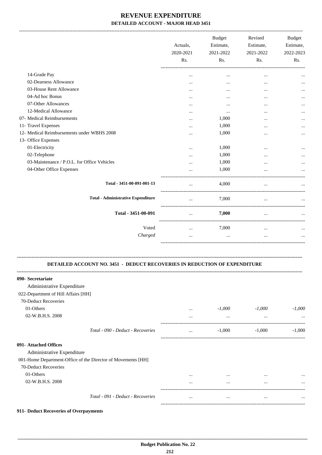|                                             | Actuals.<br>2020-2021<br>Rs. | <b>Budget</b><br>Estimate,<br>2021-2022<br>Rs. | Revised<br>Estimate,<br>2021-2022<br>Rs. | <b>Budget</b><br>Estimate,<br>2022-2023<br>Rs. |
|---------------------------------------------|------------------------------|------------------------------------------------|------------------------------------------|------------------------------------------------|
| 14-Grade Pay                                |                              | $\cdots$                                       | $\cdots$                                 |                                                |
| 02-Dearness Allowance                       | $\cdots$                     |                                                |                                          |                                                |
| 03-House Rent Allowance                     |                              |                                                |                                          |                                                |
| 04-Ad hoc Bonus                             |                              |                                                | $\cdots$                                 |                                                |
| 07-Other Allowances                         | $\cdots$                     |                                                |                                          |                                                |
| 12-Medical Allowance                        | .                            | $\cdots$                                       |                                          |                                                |
| 07- Medical Reimbursements                  |                              | 1,000                                          |                                          | $\cdots$                                       |
| 11- Travel Expenses                         |                              | 1,000                                          |                                          | $\cdots$                                       |
| 12- Medical Reimbursements under WBHS 2008  | .                            | 1,000                                          |                                          | $\cdots$                                       |
| 13- Office Expenses                         |                              |                                                |                                          |                                                |
| 01-Electricity                              |                              | 1,000                                          |                                          |                                                |
| 02-Telephone                                | .                            | 1,000                                          |                                          | $\cdots$                                       |
| 03-Maintenance / P.O.L. for Office Vehicles | $\ddotsc$                    | 1,000                                          |                                          |                                                |
| 04-Other Office Expenses                    |                              | 1,000                                          |                                          |                                                |
| Total - 3451-00-091-001-13                  |                              | 4,000                                          | $\cdots$<br>____________________________ |                                                |
| <b>Total - Administrative Expenditure</b>   | $\cdots$                     | 7,000                                          | $\cdots$<br>--------------------         |                                                |
| Total - 3451-00-091                         | $\cdots$                     | 7,000                                          | $\ddotsc$                                |                                                |
| Voted<br>Charged                            | $\cdots$<br>.                | 7,000<br>$\cdots$                              | $\cdots$<br>$\cdots$                     | $\cdots$                                       |
|                                             |                              |                                                |                                          |                                                |

# **DETAILED ACCOUNT NO. 3451 - DEDUCT RECOVERIES IN REDUCTION OF EXPENDITURE**

**--------------------------------------------------------------------------------------------------------------------------------------------------------------------------------**

| 090- Secretariate                                            |          |          |          |           |
|--------------------------------------------------------------|----------|----------|----------|-----------|
| Administrative Expenditure                                   |          |          |          |           |
| 022-Department of Hill Affairs [HH]                          |          |          |          |           |
| 70-Deduct Recoveries                                         |          |          |          |           |
| 01-Others                                                    | $\cdots$ | $-1,000$ | $-1,000$ | $-1,000$  |
| 02-W.B.H.S. 2008                                             | $\cdots$ | $\cdots$ | $\cdots$ | $\ddotsc$ |
| Total - 090 - Deduct - Recoveries                            | $\cdots$ | $-1,000$ | $-1,000$ | $-1,000$  |
| 091- Attached Offices                                        |          |          |          |           |
| Administrative Expenditure                                   |          |          |          |           |
| 001-Home Department-Office of the Director of Movements [HH] |          |          |          |           |
| 70-Deduct Recoveries                                         |          |          |          |           |
| 01-Others                                                    |          | $\cdots$ | $\cdots$ |           |
| 02-W.B.H.S. 2008                                             | $\cdots$ | $\cdots$ | $\cdots$ | $\ddotsc$ |
| Total - 091 - Deduct - Recoveries                            | $\cdots$ | $\cdots$ | $\cdots$ | $\ddotsc$ |
|                                                              |          |          |          |           |

## **911- Deduct Recoveries of Overpayments**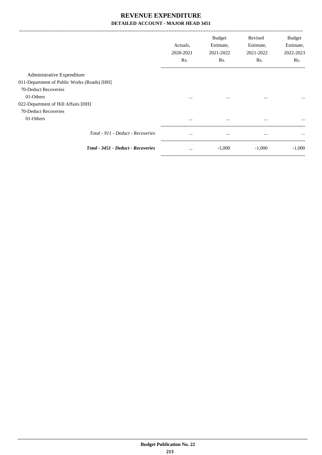|                                             | Actuals,<br>2020-2021<br>Rs. | Budget<br>Estimate,<br>2021-2022<br>Rs. | Revised<br>Estimate,<br>2021-2022<br>Rs. | Budget<br>Estimate,<br>2022-2023<br>Rs. |
|---------------------------------------------|------------------------------|-----------------------------------------|------------------------------------------|-----------------------------------------|
| Administrative Expenditure                  |                              |                                         |                                          |                                         |
| 011-Department of Public Works (Roads) [HH] |                              |                                         |                                          |                                         |
| 70-Deduct Recoveries                        |                              |                                         |                                          |                                         |
| 01-Others                                   | $\cdots$                     | $\cdots$                                | $\cdots$                                 | $\cdots$                                |
| 022-Department of Hill Affairs [HH]         |                              |                                         |                                          |                                         |
| 70-Deduct Recoveries                        |                              |                                         |                                          |                                         |
| 01-Others                                   | $\cdots$                     | $\cdots$                                | $\cdots$                                 | $\cdots$                                |
| Total - 911 - Deduct - Recoveries           | $\cdots$                     | $\cdots$                                | $\cdots$                                 | $\cdots$                                |
| Total - 3451 - Deduct - Recoveries          | $\cdots$                     | $-1,000$                                | $-1,000$                                 | $-1,000$                                |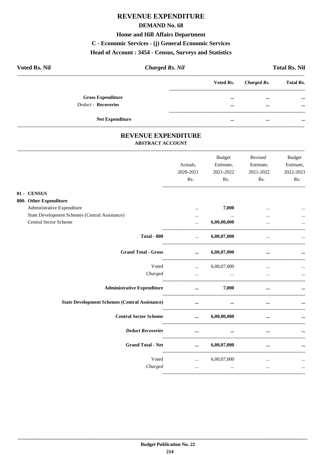# **REVENUE EXPENDITURE**

### **DEMAND No. 68**

#### **Home and Hill Affairs Department**

C - Economic Services - (j) General Economic Services

# Head of Account: 3454 - Census, Surveys and Statistics

| <b>Voted Rs. Nil</b>     | <b>Charged Rs. Nil</b> |          |                       | <b>Total Rs. Nil</b> |
|--------------------------|------------------------|----------|-----------------------|----------------------|
|                          |                        |          | Voted Rs. Charged Rs. | <b>Total Rs.</b>     |
| <b>Gross Expenditure</b> |                        | $\cdots$ | $\cdots$              | $\cdots$             |
| Deduct - Recoveries      |                        | $\cdots$ | $\cdots$              | $\cdots$             |
| <b>Net Expenditure</b>   |                        |          | $\cdots$              |                      |

### REVENUE EXPENDITURE **ABSTRACT ACCOUNT**

 $\overline{\mathbf{0}}$ 1

|                                                       | Actuals,<br>2020-2021<br>Rs.                                                  | <b>Budget</b><br>Estimate,<br>2021-2022<br>Rs.                                                                      | Revised<br>Estimate,<br>2021-2022<br>Rs. | <b>Budget</b><br>Estimate,<br>2022-2023<br>Rs. |
|-------------------------------------------------------|-------------------------------------------------------------------------------|---------------------------------------------------------------------------------------------------------------------|------------------------------------------|------------------------------------------------|
| 01 - CENSUS                                           |                                                                               |                                                                                                                     |                                          |                                                |
| 800- Other Expenditure                                |                                                                               |                                                                                                                     |                                          |                                                |
| Administrative Expenditure                            | $\cdots$                                                                      | 7,000                                                                                                               |                                          |                                                |
| State Development Schemes (Central Assistance)        | $\cdots$                                                                      | $\cdots$                                                                                                            |                                          |                                                |
| Central Sector Scheme                                 | $\cdots$                                                                      | 6,00,00,000                                                                                                         | $\cdots$                                 | $\ddotsc$                                      |
| <b>Total - 800</b>                                    | $\cdots$                                                                      | 6,00,07,000                                                                                                         | $\cdots$                                 |                                                |
| <b>Grand Total - Gross</b>                            | $\cdots$                                                                      | 6,00,07,000                                                                                                         | $\cdots$                                 |                                                |
| Voted                                                 | $\mathbf{1}_{\mathbf{2},\mathbf{3}}$ and $\mathbf{1}_{\mathbf{3},\mathbf{4}}$ | 6,00,07,000                                                                                                         |                                          |                                                |
| Charged                                               | $\cdots$                                                                      | and the contract of the contract of the contract of the contract of the contract of the contract of the contract of | $\cdots$                                 |                                                |
| <b>Administrative Expenditure</b>                     | $\cdots$                                                                      | 7,000                                                                                                               | $\cdots$                                 |                                                |
| <b>State Development Schemes (Central Assistance)</b> | $\cdots$                                                                      | $\cdots$                                                                                                            |                                          |                                                |
| <b>Central Sector Scheme</b>                          | $\cdots$                                                                      | 6,00,00,000                                                                                                         | $\ddot{\phantom{a}}$                     |                                                |
| <b>Deduct Recoveries</b>                              | $\cdots$                                                                      | $\cdots$                                                                                                            | $\cdots$                                 |                                                |
| <b>Grand Total - Net</b>                              | $\cdots$                                                                      | 6,00,07,000                                                                                                         | $\cdots$                                 |                                                |
| Voted                                                 | $\mathbf{1}$ and $\mathbf{1}$ and $\mathbf{1}$                                | 6,00,07,000                                                                                                         | $\cdots$                                 |                                                |
| Charged                                               | $\cdots$                                                                      | $\cdots$                                                                                                            | $\cdots$                                 | $\cdots$                                       |
|                                                       |                                                                               |                                                                                                                     |                                          |                                                |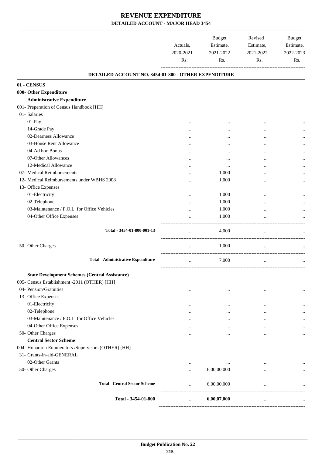### **REVENUE EXPENDITURE DETAILED ACCOUNT - MAJOR HEAD 3454**

|                                                       | Actuals,<br>2020-2021<br>Rs. | <b>Budget</b><br>Estimate,<br>2021-2022<br>Rs. | Revised<br>Estimate,<br>2021-2022<br>Rs. | <b>Budget</b><br>Estimate,<br>2022-2023<br>Rs. |
|-------------------------------------------------------|------------------------------|------------------------------------------------|------------------------------------------|------------------------------------------------|
| DETAILED ACCOUNT NO. 3454-01-800 - OTHER EXPENDITURE  |                              |                                                |                                          |                                                |
| 01 - CENSUS                                           |                              |                                                |                                          |                                                |
| 800- Other Expenditure                                |                              |                                                |                                          |                                                |
| <b>Administrative Expenditure</b>                     |                              |                                                |                                          |                                                |
| 001- Preperation of Census Handbook [HH]              |                              |                                                |                                          |                                                |
| 01- Salaries                                          |                              |                                                |                                          |                                                |
| 01-Pay                                                |                              |                                                |                                          |                                                |
| 14-Grade Pay                                          |                              |                                                |                                          |                                                |
| 02-Dearness Allowance                                 |                              |                                                |                                          |                                                |
| 03-House Rent Allowance                               |                              |                                                |                                          |                                                |
| 04-Ad hoc Bonus                                       |                              |                                                |                                          |                                                |
| 07-Other Allowances                                   |                              | $\ddotsc$                                      | $\ddotsc$                                |                                                |
| 12-Medical Allowance                                  |                              | $\cdots$                                       |                                          |                                                |
| 07- Medical Reimbursements                            |                              | 1,000                                          |                                          |                                                |
| 12- Medical Reimbursements under WBHS 2008            |                              | 1,000                                          |                                          |                                                |
| 13- Office Expenses                                   |                              |                                                |                                          |                                                |
| 01-Electricity                                        |                              | 1,000                                          |                                          |                                                |
| 02-Telephone                                          |                              | 1,000                                          |                                          |                                                |
| 03-Maintenance / P.O.L. for Office Vehicles           |                              | 1,000                                          |                                          |                                                |
| 04-Other Office Expenses                              |                              | 1,000                                          |                                          |                                                |
| Total - 3454-01-800-001-13                            | $\cdots$                     | 4,000                                          | $\cdots$                                 |                                                |
|                                                       |                              |                                                |                                          |                                                |
| 50- Other Charges                                     | $\cdots$                     | 1,000                                          | $\cdots$<br>----------------------       |                                                |
| <b>Total - Administrative Expenditure</b>             | $\cdots$                     | 7,000                                          | $\cdots$                                 |                                                |
| <b>State Development Schemes (Central Assistance)</b> |                              |                                                |                                          |                                                |
| 005- Census Establishment -2011 (OTHER) [HH]          |                              |                                                |                                          |                                                |
| 04- Pension/Gratuities                                | $\ddotsc$                    | $\ddotsc$                                      |                                          | $\cdots$                                       |
| 13- Office Expenses                                   |                              |                                                |                                          |                                                |
| 01-Electricity                                        |                              | $\ddotsc$                                      |                                          |                                                |
| 02-Telephone                                          |                              | $\ddotsc$                                      | $\cdots$                                 |                                                |
| 03-Maintenance / P.O.L. for Office Vehicles           |                              | $\ddotsc$                                      |                                          |                                                |
| 04-Other Office Expenses                              | $\cdots$                     | $\cdots$                                       |                                          |                                                |
| 50- Other Charges                                     |                              | $\ddotsc$                                      |                                          | $\cdots$                                       |
| <b>Central Sector Scheme</b>                          |                              |                                                |                                          |                                                |
| 004- Honararia Enumerators / Supervisors (OTHER) [HH] |                              |                                                |                                          |                                                |
| 31- Grants-in-aid-GENERAL                             |                              |                                                |                                          |                                                |
| 02-Other Grants                                       | $\cdots$                     | $\cdots$                                       |                                          |                                                |
| 50- Other Charges                                     |                              | 6,00,00,000                                    |                                          |                                                |
| <b>Total - Central Sector Scheme</b>                  |                              | 6,00,00,000                                    | $\cdots$                                 |                                                |
|                                                       |                              |                                                |                                          |                                                |
| Total - 3454-01-800                                   |                              | 6,00,07,000                                    |                                          |                                                |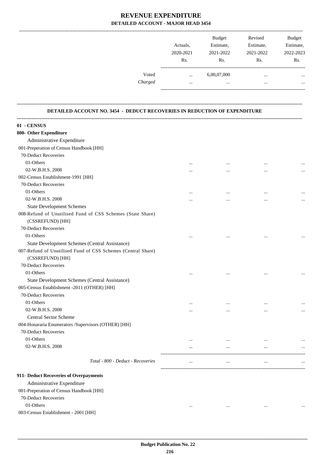### **REVENUE EXPENDITURE DETAILED ACCOUNT - MAJOR HEAD 3454**

|         |           | <b>Budget</b> | Revised   | <b>Budget</b> |
|---------|-----------|---------------|-----------|---------------|
|         | Actuals.  | Estimate,     | Estimate, | Estimate,     |
|         | 2020-2021 | 2021-2022     | 2021-2022 | 2022-2023     |
|         | Rs.       | Rs.           | Rs.       | Rs.           |
| Voted   | $\cdots$  | 6,00,07,000   |           | $\cdots$      |
| Charged |           |               |           | $\cdots$      |
|         |           |               |           |               |

#### **DETAILED ACCOUNT NO. 3454 - DEDUCT RECOVERIES IN REDUCTION OF EXPENDITURE**

**--------------------------------------------------------------------------------------------------------------------------------------------------------------------------------**

| 01 - CENSUS                                                  |          |           |           |          |
|--------------------------------------------------------------|----------|-----------|-----------|----------|
| 800- Other Expenditure                                       |          |           |           |          |
| Administrative Expenditure                                   |          |           |           |          |
| 001-Preperation of Census Handbook [HH]                      |          |           |           |          |
| 70-Deduct Recoveries                                         |          |           |           |          |
| 01-Others                                                    |          |           |           |          |
| 02-W.B.H.S. 2008                                             | $\cdots$ | $\cdots$  | $\cdots$  |          |
| 002-Census Establishment-1991 [HH]                           |          | $\cdots$  |           |          |
| 70-Deduct Recoveries                                         |          |           |           |          |
| 01-Others                                                    |          |           |           |          |
| 02-W.B.H.S. 2008                                             |          | $\ddotsc$ |           |          |
| <b>State Development Schemes</b>                             |          |           |           |          |
| 008-Refund of Unutilised Fund of CSS Schemes (State Share)   |          |           |           |          |
| (CSSREFUND) [HH]                                             |          |           |           |          |
| 70-Deduct Recoveries                                         |          |           |           |          |
| 01-Others                                                    |          |           |           |          |
| State Development Schemes (Central Assistance)               |          | $\ddotsc$ | $\ddotsc$ |          |
| 007-Refund of Unutilised Fund of CSS Schemes (Central Share) |          |           |           |          |
| (CSSREFUND) [HH]                                             |          |           |           |          |
| 70-Deduct Recoveries                                         |          |           |           |          |
| 01-Others                                                    |          |           |           |          |
| State Development Schemes (Central Assistance)               | $\cdots$ | $\ddotsc$ | $\ddotsc$ |          |
| 005-Census Establishment -2011 (OTHER) [HH]                  |          |           |           |          |
| 70-Deduct Recoveries                                         |          |           |           |          |
| 01-Others                                                    |          |           |           |          |
| 02-W.B.H.S. 2008                                             | $\cdots$ |           | $\cdots$  |          |
| <b>Central Sector Scheme</b>                                 |          |           |           |          |
| 004-Honararia Enumerators /Supervisors (OTHER) [HH]          |          |           |           |          |
| 70-Deduct Recoveries                                         |          |           |           |          |
| 01-Others                                                    |          |           |           |          |
| 02-W.B.H.S. 2008                                             | $\cdots$ | $\cdots$  |           |          |
|                                                              |          | $\cdots$  | $\ddotsc$ |          |
| Total - 800 - Deduct - Recoveries                            |          |           |           |          |
| 911- Deduct Recoveries of Overpayments                       |          |           |           |          |
| Administrative Expenditure                                   |          |           |           |          |
| 001-Preperation of Census Handbook [HH]                      |          |           |           |          |
| 70-Deduct Recoveries                                         |          |           |           |          |
| 01-Others                                                    | $\cdots$ | $\cdots$  | $\cdots$  | $\cdots$ |
| 003-Census Establishment - 2001 [HH]                         |          |           |           |          |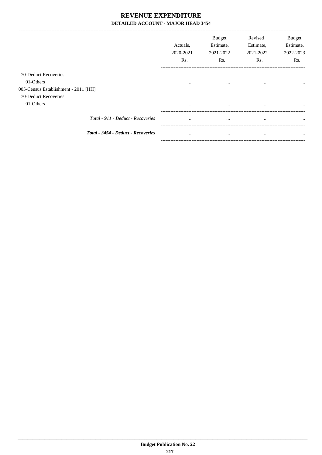# REVENUE EXPENDITURE DETAILED ACCOUNT - MAJOR HEAD 3454

-----------------------------

|                                      | Actuals.<br>2020-2021<br>R <sub>s</sub> . | <b>Budget</b><br>Estimate,<br>2021-2022<br>Rs. | Revised<br>Estimate,<br>2021-2022<br>Rs. | <b>Budget</b><br>Estimate,<br>2022-2023<br>Rs. |
|--------------------------------------|-------------------------------------------|------------------------------------------------|------------------------------------------|------------------------------------------------|
| 70-Deduct Recoveries                 |                                           |                                                |                                          |                                                |
| 01-Others                            | $\cdots$                                  | $\cdots$                                       | $\cdots$                                 | $\cdots$                                       |
| 005-Census Establishment - 2011 [HH] |                                           |                                                |                                          |                                                |
| 70-Deduct Recoveries                 |                                           |                                                |                                          |                                                |
| 01-Others                            | $\cdots$                                  | $\cdots$                                       | $\cdots$                                 | $\cdots$                                       |
| Total - 911 - Deduct - Recoveries    | $\cdots$                                  | $\cdots$                                       | $\cdots$                                 | $\cdots$                                       |
| Total - 3454 - Deduct - Recoveries   | $\cdots$                                  | $\cdots$                                       | $\cdots$                                 | $\cdots$                                       |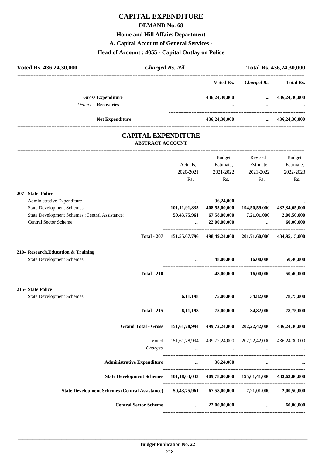### **DEMAND No. 68**

### **Home and Hill Affairs Department**

**A. Capital Account of General Services -**

# **Head of Account : 4055 - Capital Outlay on Police**

| <b>Charged Rs. Nil</b> |               | Total Rs. 436,24,30,000 |                  |
|------------------------|---------------|-------------------------|------------------|
|                        | Voted Rs.     | Charged Rs.             | <b>Total Rs.</b> |
|                        | 436,24,30,000 | $\cdots$                | 436,24,30,000    |
|                        | $\cdots$      | $\cdots$                | $\cdots$         |
|                        | 436,24,30,000 | $\cdots$                | 436,24,30,000    |
|                        |               |                         |                  |

### **CAPITAL EXPENDITURE ABSTRACT ACCOUNT**

---------------------------------------------------------------------------------------------------------------------------------------------------------------------------------

|                                                                                                                                                                                     | Actuals,<br>2020-2021<br>Rs.                                                       | Budget<br>Estimate,<br>2021-2022                         | Revised<br>Estimate,<br>2021-2022<br>Rs.<br>Rs.                 | Budget<br>Estimate,<br>2022-2023<br>Rs.      |
|-------------------------------------------------------------------------------------------------------------------------------------------------------------------------------------|------------------------------------------------------------------------------------|----------------------------------------------------------|-----------------------------------------------------------------|----------------------------------------------|
| <b>207- State Police</b><br>Administrative Expenditure<br><b>State Development Schemes</b><br><b>State Development Schemes (Central Assistance)</b><br><b>Central Sector Scheme</b> | $\cdots$<br>50, 43, 75, 961<br>$\mathbf{r}$ , $\mathbf{r}$                         | 36,24,000<br>101,11,91,835 408,55,00,000<br>22,00,00,000 | $\cdots$<br>194,50,59,000<br>67,58,00,000 7,21,01,000<br>$\sim$ | 432, 34, 65, 000<br>2,00,50,000<br>60,00,000 |
|                                                                                                                                                                                     | Total - 207 151,55,67,796 498,49,24,000 201,71,60,000 434,95,15,000                |                                                          |                                                                 |                                              |
| 210- Research, Education & Training<br><b>State Development Schemes</b>                                                                                                             |                                                                                    | $\ldots$ 48,00,000 16,00,000                             |                                                                 | 50,40,000                                    |
| <b>Total - 210</b>                                                                                                                                                                  |                                                                                    | $48,00,000$ $16,00,000$ $50,40,000$                      |                                                                 |                                              |
| <b>215- State Police</b><br><b>State Development Schemes</b>                                                                                                                        |                                                                                    | $6,11,198$ $75,00,000$ $34,82,000$ $78,75,000$           |                                                                 |                                              |
|                                                                                                                                                                                     | Total - 215 6,11,198 75,00,000 34,82,000 78,75,000                                 |                                                          |                                                                 |                                              |
| Grand Total - Gross 151,61,78,994 499,72,24,000 202,22,42,000 436,24,30,000                                                                                                         |                                                                                    |                                                          |                                                                 |                                              |
| Voted<br>Charged                                                                                                                                                                    | 151,61,78,994 499,72,24,000 202,22,42,000 436,24,30,000<br>$\sim 100$ km s $^{-1}$ | and the state of the state of                            | $\overline{\phantom{a}}$                                        |                                              |
| Administrative Expenditure <b>1996</b> and 16,24,000 and 16,24,000 and 16.                                                                                                          |                                                                                    |                                                          |                                                                 |                                              |
| State Development Schemes 101,18,03,033 409,78,00,000 195,01,41,000 433,63,80,000                                                                                                   |                                                                                    |                                                          |                                                                 |                                              |
| State Development Schemes (Central Assistance) 50,43,75,961 67,58,00,000 7,21,01,000 2,00,50,000                                                                                    |                                                                                    |                                                          |                                                                 |                                              |
| <b>Central Sector Scheme</b>                                                                                                                                                        |                                                                                    | $\ldots$ 22,00,00,000                                    |                                                                 | 60,00,000<br>$\mathbf{m}$ , and $\mathbf{m}$ |
|                                                                                                                                                                                     |                                                                                    |                                                          |                                                                 |                                              |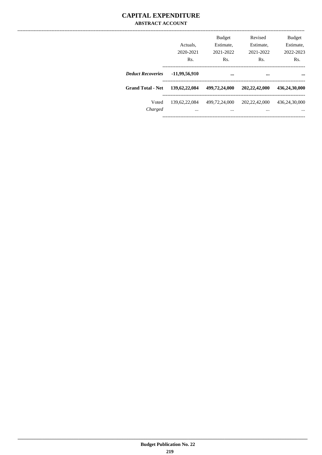### **CAPITAL EXPENDITURE ABSTRACT ACCOUNT**

|                          | Actuals.<br>2020-2021<br>Rs. | <b>Budget</b><br>Estimate,<br>2021-2022<br>Rs. | Revised<br>Estimate,<br>2021-2022<br>Rs. | <b>Budget</b><br>Estimate.<br>2022-2023<br>Rs. |
|--------------------------|------------------------------|------------------------------------------------|------------------------------------------|------------------------------------------------|
| <b>Deduct Recoveries</b> | -11,99,56,910                |                                                |                                          |                                                |
| <b>Grand Total - Net</b> | 139, 62, 22, 084             | 499,72,24,000                                  | 202, 22, 42, 000                         | 436,24,30,000                                  |
| Voted<br>Charged         | 139.62.22.084<br>$\cdots$    | 499.72.24,000<br>$\cdots$                      | 202, 22, 42, 000<br>                     | 436,24,30,000<br>                              |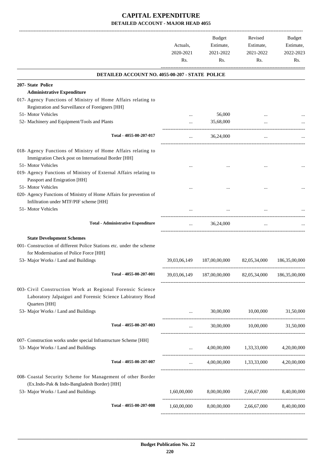|                                                                      | Actuals,<br>2020-2021<br>Rs. | Budget<br>Estimate,<br>2021-2022<br>Rs.                 | Revised<br>Estimate,<br>2021-2022<br>Rs. | Budget<br>Estimate,<br>2022-2023<br>Rs. |
|----------------------------------------------------------------------|------------------------------|---------------------------------------------------------|------------------------------------------|-----------------------------------------|
| DETAILED ACCOUNT NO. 4055-00-207 - STATE POLICE                      |                              |                                                         |                                          |                                         |
| 207- State Police                                                    |                              |                                                         |                                          |                                         |
| <b>Administrative Expenditure</b>                                    |                              |                                                         |                                          |                                         |
| 017- Agency Functions of Ministry of Home Affairs relating to        |                              |                                                         |                                          |                                         |
| Registration and Surveillance of Foreigners [HH]                     |                              |                                                         |                                          |                                         |
| 51- Motor Vehicles                                                   |                              | 56,000                                                  |                                          |                                         |
| 52- Machinery and Equipment/Tools and Plants                         | $\cdots$                     | 35,68,000                                               |                                          |                                         |
| Total - 4055-00-207-017                                              | $\cdots$                     | 36,24,000                                               | _________________                        |                                         |
|                                                                      |                              |                                                         |                                          |                                         |
| 018- Agency Functions of Ministry of Home Affairs relating to        |                              |                                                         |                                          |                                         |
| Immigration Check post on International Border [HH]                  |                              |                                                         |                                          |                                         |
| 51- Motor Vehicles                                                   |                              |                                                         |                                          |                                         |
| 019- Agency Functions of Ministry of External Affairs relating to    |                              |                                                         |                                          |                                         |
| Passport and Emigration [HH]                                         |                              |                                                         |                                          |                                         |
| 51- Motor Vehicles                                                   |                              |                                                         |                                          |                                         |
| 020- Agency Functions of Ministry of Home Affairs for prevention of  |                              |                                                         |                                          |                                         |
| Infiltration under MTF/PIF scheme [HH]                               |                              |                                                         |                                          |                                         |
| 51- Motor Vehicles                                                   |                              |                                                         |                                          |                                         |
|                                                                      |                              |                                                         |                                          |                                         |
| <b>Total - Administrative Expenditure</b>                            | $\cdots$                     | 36,24,000                                               | $\cdots$                                 |                                         |
| <b>State Development Schemes</b>                                     |                              |                                                         |                                          |                                         |
| 001- Construction of different Police Stations etc. under the scheme |                              |                                                         |                                          |                                         |
| for Modernisation of Police Force [HH]                               |                              |                                                         |                                          |                                         |
| 53- Major Works / Land and Buildings                                 | 39,03,06,149                 | 187,00,00,000                                           | 82,05,34,000                             | 186, 35, 00, 000                        |
|                                                                      |                              |                                                         |                                          |                                         |
| Total - 4055-00-207-001                                              |                              | 39,03,06,149 187,00,00,000 82,05,34,000 186,35,00,000   |                                          |                                         |
| 003- Civil Construction Work at Regional Forensic Science            |                              |                                                         |                                          |                                         |
| Laboratory Jalpaiguri and Forensic Science Labiratory Head           |                              |                                                         |                                          |                                         |
| Quarters [HH]                                                        |                              |                                                         |                                          |                                         |
| 53- Major Works / Land and Buildings                                 | $\ddots$                     | 30,00,000                                               | 10,00,000                                | 31,50,000                               |
|                                                                      |                              |                                                         |                                          |                                         |
| Total - 4055-00-207-003                                              | $\cdots$                     |                                                         | 30,00,000 10,00,000 31,50,000            |                                         |
| 007- Construction works under special Infrastructure Scheme [HH]     |                              |                                                         |                                          |                                         |
| 53- Major Works / Land and Buildings                                 |                              |                                                         | 4,00,00,000 1,33,33,000 4,20,00,000      |                                         |
|                                                                      |                              |                                                         |                                          |                                         |
| Total - 4055-00-207-007                                              | $\cdots$                     |                                                         | 4,00,00,000 1,33,33,000 4,20,00,000      |                                         |
| 008- Coastal Security Scheme for Management of other Border          |                              |                                                         |                                          |                                         |
| (Ex.Indo-Pak & Indo-Bangladesh Border) [HH]                          |                              |                                                         |                                          |                                         |
| 53- Major Works / Land and Buildings                                 | 1,60,00,000                  | 8,00,00,000                                             | 2,66,67,000                              | 8,40,00,000                             |
| Total - 4055-00-207-008                                              |                              | $1,60,00,000$ $8,00,00,000$ $2,66,67,000$ $8,40,00,000$ |                                          |                                         |
|                                                                      |                              |                                                         |                                          |                                         |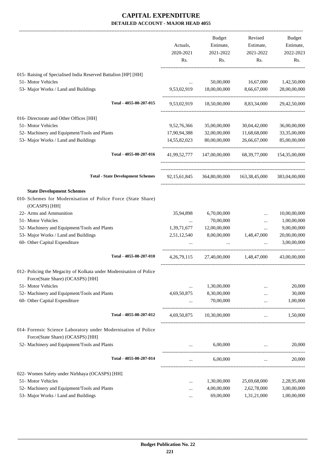-------------------------------------------------------------------------------------------------------------------------------------------------------------------------------

|                                                                                                    | Actuals,<br>2020-2021 | <b>Budget</b><br>Estimate,<br>2021-2022 | Revised<br>Estimate,<br>2021-2022                  | <b>Budget</b><br>Estimate,<br>2022-2023 |
|----------------------------------------------------------------------------------------------------|-----------------------|-----------------------------------------|----------------------------------------------------|-----------------------------------------|
|                                                                                                    | Rs.                   | Rs.                                     | Rs.                                                | Rs.                                     |
| 015- Raising of Specialised India Reserved Battalion [HP] [HH]                                     |                       |                                         |                                                    |                                         |
| 51- Motor Vehicles                                                                                 |                       | 50,00,000                               | 16,67,000                                          | 1,42,50,000                             |
| 53- Major Works / Land and Buildings                                                               | 9,53,02,919           | 18,00,00,000                            | 8,66,67,000                                        | 28,00,00,000                            |
| Total - 4055-00-207-015                                                                            | 9,53,02,919           | 18,50,00,000                            | 8,83,34,000                                        | 29,42,50,000                            |
| 016- Directorate and Other Offices [HH]                                                            |                       |                                         |                                                    |                                         |
| 51- Motor Vehicles                                                                                 | 9,52,76,366           | 35,00,00,000                            | 30,04,42,000                                       | 36,00,00,000                            |
| 52- Machinery and Equipment/Tools and Plants                                                       | 17,90,94,388          | 32,00,00,000                            | 11,68,68,000                                       | 33, 35, 00, 000                         |
| 53- Major Works / Land and Buildings                                                               | 14,55,82,023          | 80,00,00,000                            | 26,66,67,000                                       | 85,00,00,000                            |
| Total - 4055-00-207-016                                                                            | 41,99,52,777          | 147,00,00,000                           | 68,39,77,000                                       | 154,35,00,000                           |
| <b>Total - State Development Schemes</b>                                                           | 92, 15, 61, 845       |                                         | 364,80,00,000 163,38,45,000 383,04,00,000          |                                         |
| <b>State Development Schemes</b>                                                                   |                       |                                         |                                                    |                                         |
| 010- Schemes for Modernisation of Police Force (State Share)<br>(OCASPS) [HH]                      |                       |                                         |                                                    |                                         |
| 22- Arms and Ammunition                                                                            | 35,94,898             | 6,70,00,000                             | $\ddotsc$                                          | 10,00,00,000                            |
| 51- Motor Vehicles                                                                                 | $\cdots$              | 70,00,000                               | $\cdots$                                           | 1,00,00,000                             |
| 52- Machinery and Equipment/Tools and Plants                                                       | 1,39,71,677           | 12,00,00,000                            | $\cdots$                                           | 9,00,00,000                             |
| 53- Major Works / Land and Buildings                                                               | 2,51,12,540           | 8,00,00,000                             | 1,48,47,000                                        | 20,00,00,000                            |
| 60- Other Capital Expenditure                                                                      |                       |                                         |                                                    | 3,00,00,000                             |
| Total - 4055-00-207-010                                                                            | 4, 26, 79, 115        | 27,40,00,000                            | 1,48,47,000                                        | 43,00,00,000                            |
| 012- Policing the Megacity of Kolkata under Modernisation of Police                                |                       |                                         |                                                    |                                         |
| Force(State Share) (OCASPS) [HH]                                                                   |                       |                                         |                                                    |                                         |
| 51- Motor Vehicles                                                                                 | $\cdots$              | 1,30,00,000                             |                                                    | 20,000                                  |
| 52- Machinery and Equipment/Tools and Plants                                                       | 4,69,50,875           | 8,30,00,000                             |                                                    | 30,000                                  |
| 60- Other Capital Expenditure                                                                      |                       | 70,00,000                               | $\ddotsc$                                          | 1,00,000                                |
| Total - 4055-00-207-012                                                                            | 4,69,50,875           | 10,30,00,000                            | $\cdots$                                           | 1,50,000                                |
| 014- Forensic Science Laboratory under Modernisation of Police<br>Force(State Share) (OCASPS) [HH] |                       |                                         |                                                    |                                         |
| 52- Machinery and Equipment/Tools and Plants                                                       |                       | 6,00,000                                |                                                    | 20,000                                  |
| Total - 4055-00-207-014                                                                            |                       | 6,00,000                                | --------------------------------------<br>$\cdots$ | 20,000                                  |
| 022- Women Safety under Nirbhaya (OCASPS) [HH]                                                     |                       |                                         |                                                    |                                         |
| 51- Motor Vehicles                                                                                 | $\cdots$              | 1,30,00,000                             | 25,69,68,000                                       | 2,28,95,000                             |
| 52- Machinery and Equipment/Tools and Plants                                                       |                       | 4,00,00,000                             | 2,62,78,000                                        | 3,00,00,000                             |
| 53- Major Works / Land and Buildings                                                               |                       | 69,00,000                               | 1,31,21,000                                        | 1,00,00,000                             |
|                                                                                                    |                       |                                         |                                                    |                                         |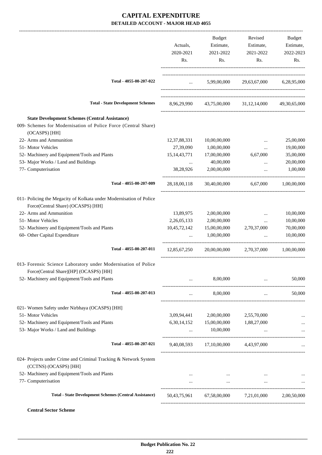|                                                                                                                                          |                                 | Budget                               | Revised                                       | Budget       |
|------------------------------------------------------------------------------------------------------------------------------------------|---------------------------------|--------------------------------------|-----------------------------------------------|--------------|
|                                                                                                                                          | Actuals,                        | Estimate,                            | Estimate,                                     | Estimate,    |
|                                                                                                                                          | 2020-2021                       | 2021-2022                            | 2021-2022                                     | 2022-2023    |
|                                                                                                                                          | Rs.                             | Rs.                                  | Rs.                                           | Rs.          |
| Total - 4055-00-207-022                                                                                                                  | $\mathbf{r}$ , and $\mathbf{r}$ |                                      | 5,99,00,000 29,63,67,000 6,28,95,000          |              |
| <b>Total - State Development Schemes</b>                                                                                                 |                                 |                                      |                                               |              |
|                                                                                                                                          | 8,96,29,990                     |                                      | 43,75,00,000 31,12,14,000                     | 49,30,65,000 |
| <b>State Development Schemes (Central Assistance)</b><br>009- Schemes for Modernisation of Police Force (Central Share)<br>(OCASPS) [HH] |                                 |                                      |                                               |              |
| 22- Arms and Ammunition                                                                                                                  | 12, 37, 88, 331                 | 10,00,00,000                         |                                               | 25,00,000    |
| 51- Motor Vehicles                                                                                                                       | 27,39,090                       | 1,00,00,000                          | $\cdots$                                      | 19,00,000    |
| 52- Machinery and Equipment/Tools and Plants                                                                                             | 15, 14, 43, 771                 | 17,00,00,000                         | 6,67,000                                      | 35,00,000    |
| 53- Major Works / Land and Buildings                                                                                                     | $\cdots$                        | 40,00,000                            | $\cdots$                                      | 20,00,000    |
| 77- Computerisation                                                                                                                      | 38,28,926                       | 2,00,00,000                          |                                               | 1,00,000     |
| Total - 4055-00-207-009                                                                                                                  | 28,18,00,118                    | 30,40,00,000                         | 6,67,000                                      | 1,00,00,000  |
| 011- Policing the Megacity of Kolkata under Modernisation of Police<br>Force(Central Share) (OCASPS) [HH]                                |                                 |                                      |                                               |              |
| 22- Arms and Ammunition                                                                                                                  | 13,89,975                       | 2,00,00,000                          | $\cdots$                                      | 10,00,000    |
| 51- Motor Vehicles                                                                                                                       | 2,26,05,133                     | 2,00,00,000                          | $\cdots$                                      | 10,00,000    |
| 52- Machinery and Equipment/Tools and Plants                                                                                             | 10,45,72,142                    | 15,00,00,000                         | 2,70,37,000                                   | 70,00,000    |
| 60- Other Capital Expenditure                                                                                                            | $\cdots$                        | 1,00,00,000                          | $\ddots$                                      | 10,00,000    |
| Total - 4055-00-207-011                                                                                                                  | 12,85,67,250                    | 20,00,00,000                         | 2,70,37,000                                   | 1,00,00,000  |
| 013- Forensic Science Laboratory under Modernisation of Police<br>Force(Central Share)[HP] (OCASPS) [HH]                                 |                                 |                                      |                                               |              |
| 52- Machinery and Equipment/Tools and Plants                                                                                             | $\cdots$                        | 8,00,000                             | $\ddots$                                      | 50,000       |
| Total - 4055-00-207-013                                                                                                                  | $\cdots$                        | 8,00,000                             | $\cdots$                                      | 50,000       |
| 021- Women Safety under Nirbhaya (OCASPS) [HH]                                                                                           |                                 |                                      |                                               |              |
| 51- Motor Vehicles                                                                                                                       | 3,09,94,441                     | 2,00,00,000                          | 2,55,70,000                                   |              |
| 52- Machinery and Equipment/Tools and Plants                                                                                             | 6, 30, 14, 152                  | 15,00,00,000                         | 1,88,27,000                                   |              |
| 53- Major Works / Land and Buildings                                                                                                     | $\cdots$                        | 10,00,000                            | $\cdots$                                      |              |
| Total - 4055-00-207-021                                                                                                                  |                                 | 9,40,08,593 17,10,00,000 4,43,97,000 |                                               |              |
| 024- Projects under Crime and Criminal Tracking & Network System<br>(CCTNS) (OCASPS) [HH]                                                |                                 |                                      |                                               |              |
| 52- Machinery and Equipment/Tools and Plants                                                                                             | $\cdots$                        |                                      | the company of the company of the<br>$\cdots$ |              |
| 77- Computerisation                                                                                                                      | $\cdots$                        | <b>Contract Contract</b>             | $\cdots$                                      |              |
| <b>Total - State Development Schemes (Central Assistance)</b>                                                                            |                                 |                                      | 50,43,75,961 67,58,00,000 7,21,01,000         | 2,00,50,000  |
| <b>Central Sector Scheme</b>                                                                                                             |                                 |                                      |                                               |              |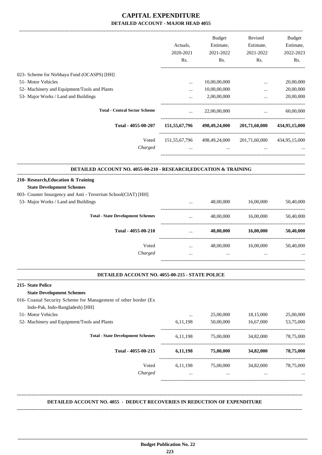|                                                                   |               | <b>Budget</b>               | Revised                                         | <b>Budget</b> |
|-------------------------------------------------------------------|---------------|-----------------------------|-------------------------------------------------|---------------|
|                                                                   | Actuals,      | Estimate,                   | Estimate,                                       | Estimate,     |
|                                                                   | 2020-2021     | 2021-2022                   | 2021-2022                                       | 2022-2023     |
|                                                                   | Rs.           | Rs.                         | Rs.                                             | Rs.           |
| 023- Scheme for Nirbhaya Fund (OCASPS) [HH]                       |               |                             |                                                 |               |
| 51- Motor Vehicles                                                | $\cdots$      | 10,00,00,000                | $\cdots$                                        | 20,00,000     |
| 52- Machinery and Equipment/Tools and Plants                      | $\cdots$      | 10,00,00,000                | $\cdots$                                        | 20,00,000     |
| 53- Major Works / Land and Buildings                              |               | 2,00,00,000                 | $\cdots$<br>----------------------------------- | 20,00,000     |
| <b>Total - Central Sector Scheme</b>                              |               | 22,00,00,000                | $\ddotsc$                                       | 60,00,000     |
| Total - 4055-00-207                                               | 151,55,67,796 | 498,49,24,000               | 201,71,60,000                                   | 434,95,15,000 |
| Voted                                                             |               | 151,55,67,796 498,49,24,000 | 201,71,60,000                                   | 434,95,15,000 |
| Charged                                                           |               | $\cdots$                    |                                                 |               |
| DETAILED ACCOUNT NO. 4055-00-210 - RESEARCH, EDUCATION & TRAINING |               |                             |                                                 |               |
| 210- Research, Education & Training                               |               |                             |                                                 |               |
| <b>State Development Schemes</b>                                  |               |                             |                                                 |               |
| 003- Counter Insurgency and Anti - Terorrism School(CIAT) [HH]    |               |                             |                                                 |               |
| 53- Major Works / Land and Buildings                              |               | 48,00,000                   | 16,00,000                                       | 50,40,000     |
| <b>Total - State Development Schemes</b>                          | $\cdots$      | 48,00,000                   | 16,00,000                                       | 50,40,000     |
| Total - 4055-00-210                                               |               | 48,00,000                   | 16,00,000                                       | 50,40,000     |
| Voted                                                             | $\cdots$      |                             | 48,00,000 16,00,000                             | 50,40,000     |
| Charged                                                           |               |                             |                                                 |               |
| DETAILED ACCOUNT NO. 4055-00-215 - STATE POLICE                   |               |                             |                                                 |               |
| 215-State Police                                                  |               |                             |                                                 |               |
| <b>State Development Schemes</b>                                  |               |                             |                                                 |               |
| 016- Coastal Security Scheme for Management of other border (Ex   |               |                             |                                                 |               |
| Indo-Pak, Indo-Bangladesh) [HH]                                   |               |                             |                                                 |               |
| 51- Motor Vehicles                                                | $\ldots$      | 25,00,000                   | 18,15,000                                       | 25,00,000     |
| 52- Machinery and Equipment/Tools and Plants                      | 6,11,198      | 50,00,000                   | 16,67,000                                       | 53,75,000     |
| <b>Total - State Development Schemes</b>                          | 6, 11, 198    | 75,00,000                   | 34,82,000                                       | 78,75,000     |
| Total - 4055-00-215                                               | 6,11,198      | 75,00,000                   | 34,82,000                                       | 78,75,000     |
| Voted                                                             |               |                             | 6,11,198 75,00,000 34,82,000 78,75,000          |               |
| Charged                                                           | $\cdots$      | $\cdots$                    | $\cdots$                                        |               |
|                                                                   |               |                             |                                                 |               |

### **DETAILED ACCOUNT NO. 4055 - DEDUCT RECOVERIES IN REDUCTION OF EXPENDITURE**

**--------------------------------------------------------------------------------------------------------------------------------------------------------------------------------**

**--------------------------------------------------------------------------------------------------------------------------------------------------------------------------------**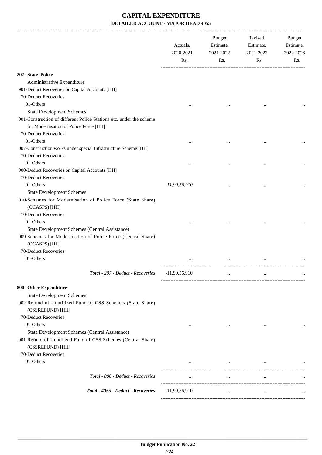|                                                                                  | Actuals,<br>2020-2021<br>Rs. | Budget<br>Estimate,<br>2021-2022<br>Rs. | Revised<br>Estimate,<br>2021-2022<br>Rs. | Budget<br>Estimate,<br>2022-2023<br>Rs. |
|----------------------------------------------------------------------------------|------------------------------|-----------------------------------------|------------------------------------------|-----------------------------------------|
| 207- State Police                                                                |                              |                                         |                                          |                                         |
| Administrative Expenditure                                                       |                              |                                         |                                          |                                         |
| 901-Deduct Recoveries on Capital Accounts [HH]                                   |                              |                                         |                                          |                                         |
| 70-Deduct Recoveries                                                             |                              |                                         |                                          |                                         |
| 01-Others                                                                        |                              |                                         |                                          |                                         |
| <b>State Development Schemes</b>                                                 | $\cdots$                     |                                         |                                          |                                         |
| 001-Construction of different Police Stations etc. under the scheme              |                              |                                         |                                          |                                         |
| for Modernisation of Police Force [HH]                                           |                              |                                         |                                          |                                         |
| 70-Deduct Recoveries                                                             |                              |                                         |                                          |                                         |
| 01-Others                                                                        |                              |                                         |                                          |                                         |
| 007-Construction works under special Infrastructure Scheme [HH]                  |                              |                                         |                                          |                                         |
| 70-Deduct Recoveries                                                             |                              |                                         |                                          |                                         |
| 01-Others                                                                        |                              |                                         |                                          |                                         |
| 900-Deduct Recoveries on Capital Accounts [HH]                                   | $\cdots$                     | $\cdots$                                |                                          |                                         |
| 70-Deduct Recoveries                                                             |                              |                                         |                                          |                                         |
| 01-Others                                                                        | $-11,99,56,910$              |                                         |                                          |                                         |
| <b>State Development Schemes</b>                                                 |                              |                                         | $\ddotsc$                                |                                         |
| 010-Schemes for Modernisation of Police Force (State Share)<br>(OCASPS) [HH]     |                              |                                         |                                          |                                         |
| 70-Deduct Recoveries                                                             |                              |                                         |                                          |                                         |
| 01-Others                                                                        |                              |                                         |                                          |                                         |
| State Development Schemes (Central Assistance)                                   |                              |                                         |                                          |                                         |
| 009-Schemes for Modernisation of Police Force (Central Share)<br>(OCASPS) [HH]   |                              |                                         |                                          |                                         |
| 70-Deduct Recoveries                                                             |                              |                                         |                                          |                                         |
| 01-Others                                                                        |                              |                                         |                                          |                                         |
|                                                                                  |                              |                                         |                                          |                                         |
| Total - 207 - Deduct - Recoveries                                                | $-11,99,56,910$              |                                         | $\ddotsc$                                |                                         |
| 800- Other Expenditure                                                           |                              |                                         |                                          |                                         |
| <b>State Development Schemes</b>                                                 |                              |                                         |                                          |                                         |
| 002-Refund of Unutilized Fund of CSS Schemes (State Share)<br>(CSSREFUND) [HH]   |                              |                                         |                                          |                                         |
| 70-Deduct Recoveries                                                             |                              |                                         |                                          |                                         |
| 01-Others                                                                        | $\cdots$                     | $\cdots$                                | $\cdots$                                 |                                         |
| State Development Schemes (Central Assistance)                                   |                              |                                         |                                          |                                         |
| 001-Refund of Unutilized Fund of CSS Schemes (Central Share)<br>(CSSREFUND) [HH] |                              |                                         |                                          |                                         |
| 70-Deduct Recoveries                                                             |                              |                                         |                                          |                                         |
| 01-Others                                                                        | $\cdots$                     | $\cdots$                                | $\cdots$                                 |                                         |
| Total - 800 - Deduct - Recoveries                                                | $\cdots$                     | $\ldots$                                | $\ldots$                                 |                                         |
| Total - 4055 - Deduct - Recoveries                                               | $-11,99,56,910$              | $\cdots$                                | $\cdots$                                 |                                         |
|                                                                                  |                              |                                         |                                          |                                         |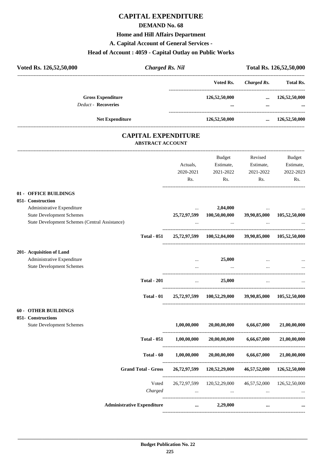### **DEMAND No. 68**

### **Home and Hill Affairs Department**

### **A. Capital Account of General Services -**

#### **Head of Account : 4059 - Capital Outlay on Public Works**

| Voted Rs. 126,52,50,000                        | <b>Charged Rs. Nil</b>                                |                                                       |                    | Total Rs. 126,52,50,000 |
|------------------------------------------------|-------------------------------------------------------|-------------------------------------------------------|--------------------|-------------------------|
|                                                |                                                       | Voted Rs.                                             | <b>Charged Rs.</b> | <b>Total Rs.</b>        |
| <b>Gross Expenditure</b>                       |                                                       | 126,52,50,000                                         |                    | $\ldots$ 126,52,50,000  |
| <b>Deduct - Recoveries</b>                     |                                                       |                                                       | $\ddotsc$          |                         |
| <b>Net Expenditure</b>                         |                                                       | 126,52,50,000                                         |                    | $\ldots$ 126,52,50,000  |
|                                                | <b>CAPITAL EXPENDITURE</b><br><b>ABSTRACT ACCOUNT</b> |                                                       |                    |                         |
|                                                |                                                       |                                                       |                    |                         |
|                                                |                                                       | Budget                                                | Revised            | Budget                  |
|                                                | Actuals,                                              | Estimate,                                             | Estimate,          | Estimate,               |
|                                                | 2020-2021                                             | 2021-2022                                             | 2021-2022          | 2022-2023               |
|                                                | Rs.                                                   | Rs.                                                   | Rs.                | R <sub>s</sub> .        |
| 01 - OFFICE BUILDINGS                          |                                                       |                                                       |                    |                         |
| 051- Construction                              |                                                       |                                                       |                    |                         |
| Administrative Expenditure                     | $\cdots$                                              | 2,04,000                                              |                    |                         |
| <b>State Development Schemes</b>               |                                                       | 25,72,97,599 100,50,00,000 39,90,85,000 105,52,50,000 |                    |                         |
| State Development Schemes (Central Assistance) |                                                       | $\ddotsc$                                             |                    |                         |
| <b>Total - 051</b>                             |                                                       | 25,72,97,599 100,52,04,000 39,90,85,000 105,52,50,000 |                    |                         |
| 201- Acquisition of Land                       |                                                       |                                                       |                    |                         |
| Administrative Expenditure                     |                                                       | 25,000                                                |                    |                         |
| <b>State Development Schemes</b>               | $\cdots$                                              | $\cdots$                                              | $\cdots$           |                         |
| <b>Total - 201</b>                             | $\ldots$                                              | 25,000                                                | $\cdots$           |                         |

#### **60 - OTHER BUILDINGS**

#### **051- Constructions**

| <u>Comber uccions</u>            |                                   |              |               |              |               |
|----------------------------------|-----------------------------------|--------------|---------------|--------------|---------------|
| <b>State Development Schemes</b> |                                   | 1,00,00,000  | 20,00,00,000  | 6,66,67,000  | 21,00,00,000  |
|                                  | <b>Total - 051</b>                | 1,00,00,000  | 20,00,00,000  | 6,66,67,000  | 21,00,00,000  |
|                                  | Total - 60                        | 1,00,00,000  | 20,00,00,000  | 6,66,67,000  | 21,00,00,000  |
|                                  | <b>Grand Total - Gross</b>        | 26,72,97,599 | 120,52,29,000 | 46,57,52,000 | 126,52,50,000 |
|                                  | Voted                             | 26.72.97.599 | 120,52,29,000 | 46,57,52,000 | 126,52,50,000 |
|                                  | Charged                           | $\cdots$     | $\cdots$      | $\cdots$     | $\cdots$      |
|                                  | <b>Administrative Expenditure</b> | $\cdots$     | 2,29,000      | $\cdots$     | $\cdots$      |
|                                  |                                   |              |               |              |               |

**Total - 01 25,72,97,599 100,52,29,000 39,90,85,000 105,52,50,000**

----------------------------------------------------------------------------------------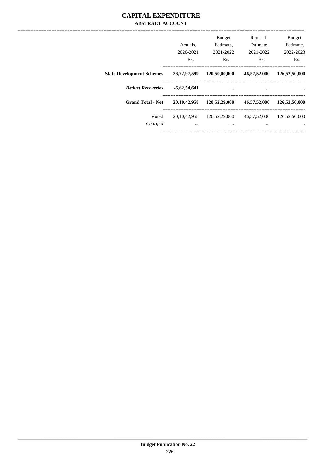### **CAPITAL EXPENDITURE ABSTRACT ACCOUNT**

|                                  | Actuals.<br>2020-2021<br>Rs. | <b>Budget</b><br>Estimate,<br>2021-2022<br>Rs. | Revised<br>Estimate,<br>2021-2022<br>Rs. | <b>Budget</b><br>Estimate,<br>2022-2023<br>Rs. |
|----------------------------------|------------------------------|------------------------------------------------|------------------------------------------|------------------------------------------------|
| <b>State Development Schemes</b> | 26,72,97,599                 | 120,50,00,000                                  | 46,57,52,000                             | 126,52,50,000                                  |
| <b>Deduct Recoveries</b>         | $-6,62,54,641$               |                                                |                                          |                                                |
| <b>Grand Total - Net</b>         | 20, 10, 42, 958              | 120,52,29,000                                  | 46,57,52,000                             | 126,52,50,000                                  |
| Voted<br>Charged                 | 20.10.42.958<br>$\cdots$     | 120,52,29,000<br>$\cdots$                      | 46,57,52,000<br>$\cdots$                 | 126,52,50,000<br>$\cdots$                      |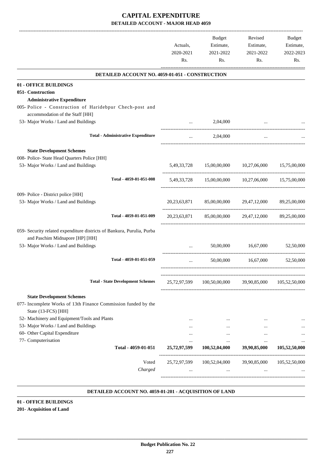|                                                                                                                                                   | Actuals,<br>2020-2021<br>Rs. | Estimate,<br>2021-2022<br>Rs.                         | Revised<br>Estimate,<br>2021-2022<br>Rs. | Budget<br>Estimate,<br>2022-2023<br>Rs. |
|---------------------------------------------------------------------------------------------------------------------------------------------------|------------------------------|-------------------------------------------------------|------------------------------------------|-----------------------------------------|
| DETAILED ACCOUNT NO. 4059-01-051 - CONSTRUCTION                                                                                                   |                              |                                                       |                                          |                                         |
| 01 - OFFICE BUILDINGS                                                                                                                             |                              |                                                       |                                          |                                         |
| 051- Construction                                                                                                                                 |                              |                                                       |                                          |                                         |
| <b>Administrative Expenditure</b>                                                                                                                 |                              |                                                       |                                          |                                         |
| 005-Police - Construction of Haridebpur Chech-post and                                                                                            |                              |                                                       |                                          |                                         |
| accommodation of the Staff [HH]                                                                                                                   |                              |                                                       |                                          |                                         |
| 53- Major Works / Land and Buildings                                                                                                              |                              | 2,04,000                                              |                                          |                                         |
| <b>Total - Administrative Expenditure</b>                                                                                                         | $\cdots$                     | 2,04,000                                              |                                          |                                         |
| <b>State Development Schemes</b>                                                                                                                  |                              |                                                       |                                          |                                         |
| 008- Police- State Head Quarters Police [HH]                                                                                                      |                              |                                                       |                                          |                                         |
| 53- Major Works / Land and Buildings                                                                                                              |                              | 5,49,33,728 15,00,00,000                              | 10,27,06,000                             | 15,75,00,000                            |
| Total - 4059-01-051-008                                                                                                                           |                              | 5,49,33,728 15,00,00,000 10,27,06,000                 |                                          | 15.75.00.000                            |
|                                                                                                                                                   |                              |                                                       |                                          |                                         |
| 009- Police - District police [HH]<br>53- Major Works / Land and Buildings                                                                        |                              | 20,23,63,871 85,00,00,000 29,47,12,000 89,25,00,000   |                                          |                                         |
| Total - 4059-01-051-009                                                                                                                           | 20, 23, 63, 871              |                                                       | 85,00,00,000 29,47,12,000                | 89,25,00,000                            |
| 059- Security related expenditure districts of Bankura, Purulia, Purba<br>and Paschim Midnapore [HP] [HH]<br>53- Major Works / Land and Buildings |                              | 50,00,000                                             | 16,67,000                                | 52,50,000                               |
| Total - 4059-01-051-059                                                                                                                           | $\cdots$                     | 50,00,000                                             | 16,67,000                                | 52,50,000                               |
| <b>Total - State Development Schemes</b>                                                                                                          |                              | 25,72,97,599 100,50,00,000 39,90,85,000 105,52,50,000 |                                          |                                         |
|                                                                                                                                                   |                              |                                                       |                                          |                                         |
| <b>State Development Schemes</b><br>077- Incomplete Works of 13th Finance Commission funded by the<br>State (13-FCS) [HH]                         |                              |                                                       |                                          |                                         |
| 52- Machinery and Equipment/Tools and Plants                                                                                                      |                              | $\cdots$                                              |                                          |                                         |
| 53- Major Works / Land and Buildings                                                                                                              |                              | $\cdots$                                              | $\cdots$                                 |                                         |
| 60- Other Capital Expenditure                                                                                                                     | $\cdots$                     | $\cdots$                                              | $\cdots$                                 |                                         |
| 77- Computerisation                                                                                                                               | $\cdots$                     | $\cdots$                                              | $\cdots$                                 |                                         |
| Total - 4059-01-051                                                                                                                               | 25,72,97,599                 | 100,52,04,000                                         | 39,90,85,000                             | 105,52,50,000                           |
| Voted                                                                                                                                             |                              | 25,72,97,599 100,52,04,000 39,90,85,000               |                                          | 105,52,50,000                           |
| Charged                                                                                                                                           | $\cdots$                     | $\cdots$                                              | $\cdots$                                 |                                         |
|                                                                                                                                                   |                              |                                                       |                                          |                                         |

#### **DETAILED ACCOUNT NO. 4059-01-201 - ACQUISITION OF LAND .**

### **01 - OFFICE BUILDINGS**

# **201- Acquisition of Land**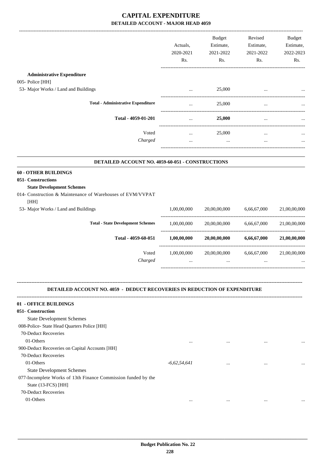|                                                                                                                                                             | Actuals,<br>2020-2021<br>Rs. | <b>Budget</b><br>Estimate,<br>2021-2022<br>Rs. | Revised<br>Estimate,<br>2021-2022<br>Rs. | Budget<br>Estimate,<br>2022-2023<br>Rs. |
|-------------------------------------------------------------------------------------------------------------------------------------------------------------|------------------------------|------------------------------------------------|------------------------------------------|-----------------------------------------|
| <b>Administrative Expenditure</b>                                                                                                                           |                              |                                                |                                          |                                         |
| 005- Police [HH]                                                                                                                                            |                              |                                                |                                          |                                         |
| 53- Major Works / Land and Buildings                                                                                                                        | $\cdots$                     | 25,000                                         |                                          |                                         |
| <b>Total - Administrative Expenditure</b>                                                                                                                   | $\cdots$                     | 25,000                                         |                                          |                                         |
| Total - 4059-01-201                                                                                                                                         | $\cdots$                     | 25,000                                         | $\cdots$                                 |                                         |
| Voted                                                                                                                                                       |                              |                                                |                                          |                                         |
| Charged                                                                                                                                                     | $\cdots$<br>$\cdots$         | 25,000<br>$\ddots$                             | $\cdots$<br>$\cdots$                     |                                         |
|                                                                                                                                                             |                              |                                                |                                          |                                         |
| DETAILED ACCOUNT NO. 4059-60-051 - CONSTRUCTIONS                                                                                                            |                              |                                                |                                          |                                         |
| <b>60 - OTHER BUILDINGS</b><br>051- Constructions<br><b>State Development Schemes</b><br>014- Construction & Maintenance of Warehouses of EVM/VVPAT<br>[HH] |                              |                                                |                                          |                                         |
| 53- Major Works / Land and Buildings                                                                                                                        | 1,00,00,000                  | 20,00,00,000                                   | 6,66,67,000                              | 21,00,00,000                            |
| <b>Total - State Development Schemes</b>                                                                                                                    | 1,00,00,000                  | 20,00,00,000                                   | 6,66,67,000                              | 21,00,00,000                            |
| Total - 4059-60-051                                                                                                                                         | 1,00,00,000                  | 20,00,00,000                                   | 6,66,67,000                              | 21,00,00,000                            |
| Voted<br>Charged                                                                                                                                            | 1,00,00,000                  | 20,00,00,000<br>$\cdots$                       | 6,66,67,000                              | 21,00,00,000                            |
| <b>DETAILED ACCOUNT NO. 4059 - DEDUCT RECOVERIES IN REDUCTION OF EXPENDITURE</b>                                                                            |                              |                                                |                                          |                                         |
| 01 - OFFICE BUILDINGS                                                                                                                                       |                              |                                                |                                          |                                         |
| 051- Construction                                                                                                                                           |                              |                                                |                                          |                                         |
| <b>State Development Schemes</b><br>008-Police- State Head Quarters Police [HH]                                                                             |                              |                                                |                                          |                                         |
| 70-Deduct Recoveries                                                                                                                                        |                              |                                                |                                          |                                         |
| 01-Others                                                                                                                                                   | $\cdots$                     | $\cdots$                                       |                                          |                                         |
| 900-Deduct Recoveries on Capital Accounts [HH]                                                                                                              |                              |                                                |                                          |                                         |
| 70-Deduct Recoveries                                                                                                                                        |                              |                                                |                                          |                                         |
| 01-Others                                                                                                                                                   | $-6,62,54,641$               | $\cdots$                                       | $\ddotsc$                                |                                         |
| <b>State Development Schemes</b>                                                                                                                            |                              |                                                |                                          |                                         |
| 077-Incomplete Works of 13th Finance Commission funded by the                                                                                               |                              |                                                |                                          |                                         |
| State (13-FCS) [HH]                                                                                                                                         |                              |                                                |                                          |                                         |
| 70-Deduct Recoveries                                                                                                                                        |                              |                                                |                                          |                                         |
| 01-Others                                                                                                                                                   |                              |                                                |                                          |                                         |
|                                                                                                                                                             | $\cdots$                     | $\cdots$                                       | $\cdots$                                 |                                         |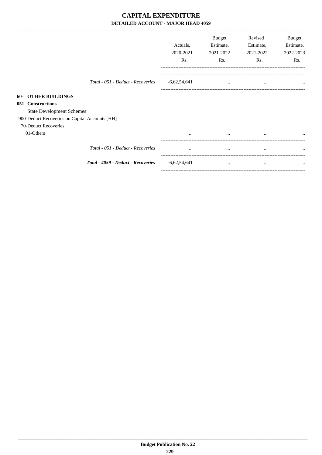|                                                |                                    | Actuals,<br>2020-2021<br>Rs. | Budget<br>Estimate,<br>2021-2022<br>Rs. | Revised<br>Estimate,<br>2021-2022<br>Rs. | Budget<br>Estimate,<br>2022-2023<br>Rs. |
|------------------------------------------------|------------------------------------|------------------------------|-----------------------------------------|------------------------------------------|-----------------------------------------|
|                                                | Total - 051 - Deduct - Recoveries  | $-6,62,54,641$               | $\cdots$                                | $\cdots$                                 | $\cdots$                                |
| <b>OTHER BUILDINGS</b><br>$60-$                |                                    |                              |                                         |                                          |                                         |
| 051- Constructions                             |                                    |                              |                                         |                                          |                                         |
| <b>State Development Schemes</b>               |                                    |                              |                                         |                                          |                                         |
| 900-Deduct Recoveries on Capital Accounts [HH] |                                    |                              |                                         |                                          |                                         |
| 70-Deduct Recoveries                           |                                    |                              |                                         |                                          |                                         |
| 01-Others                                      |                                    | $\cdots$                     | $\cdots$                                | $\cdots$                                 | $\cdots$                                |
|                                                | Total - 051 - Deduct - Recoveries  | $\cdots$                     | $\cdots$                                | $\cdots$                                 | $\cdots$                                |
|                                                | Total - 4059 - Deduct - Recoveries | $-6,62,54,641$               | $\cdots$                                | $\cdots$                                 | $\cdots$                                |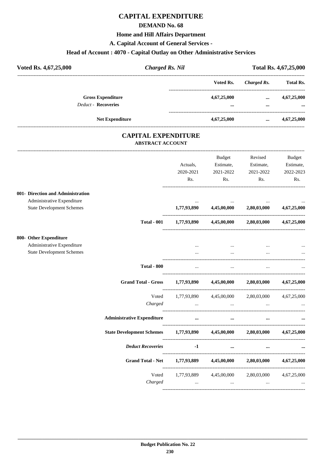### **DEMAND No. 68**

#### **Home and Hill Affairs Department**

**A. Capital Account of General Services -**

# **Head of Account : 4070 - Capital Outlay on Other Administrative Services**

| Voted Rs. 4,67,25,000      | <b>Charged Rs. Nil</b> |             | Total Rs. 4,67,25,000 |                  |  |
|----------------------------|------------------------|-------------|-----------------------|------------------|--|
|                            |                        | Voted Rs.   | Charged Rs.           | <b>Total Rs.</b> |  |
| <b>Gross Expenditure</b>   |                        | 4,67,25,000 | $\cdots$              | 4,67,25,000      |  |
| <b>Deduct - Recoveries</b> |                        |             |                       | $\cdots$         |  |
| <b>Net Expenditure</b>     |                        | 4,67,25,000 | $\cdots$              | 4,67,25,000      |  |

### **CAPITAL EXPENDITURE ABSTRACT ACCOUNT**

|                                   |                                                               |               | Budget                                                  | Revised                 | <b>Budget</b> |
|-----------------------------------|---------------------------------------------------------------|---------------|---------------------------------------------------------|-------------------------|---------------|
|                                   |                                                               | Actuals,      | Estimate,                                               | Estimate,               | Estimate,     |
|                                   |                                                               | 2020-2021     | 2021-2022                                               | 2021-2022               | 2022-2023     |
|                                   |                                                               | Rs.           | Rs.                                                     | Rs.                     | Rs.           |
| 001- Direction and Administration |                                                               |               |                                                         |                         |               |
| Administrative Expenditure        |                                                               |               |                                                         |                         |               |
| <b>State Development Schemes</b>  |                                                               |               | $1,77,93,890$ $4,45,00,000$ $2,80,03,000$ $4,67,25,000$ |                         |               |
|                                   | <b>Total - 001</b>                                            |               | $1,77,93,890$ $4,45,00,000$ $2,80,03,000$ $4,67,25,000$ |                         |               |
| 800- Other Expenditure            |                                                               |               |                                                         |                         |               |
| Administrative Expenditure        |                                                               |               |                                                         |                         |               |
| <b>State Development Schemes</b>  |                                                               | $\cdots$      |                                                         |                         |               |
|                                   | <b>Total - 800</b>                                            | $\cdots$      | $\ddotsc$                                               | $\ddotsc$               |               |
|                                   | <b>Grand Total - Gross</b>                                    |               | $1,77,93,890$ $4,45,00,000$ $2,80,03,000$               |                         | 4,67,25,000   |
|                                   | Voted                                                         |               | 1,77,93,890 4,45,00,000 2,80,03,000 4,67,25,000         |                         |               |
|                                   | Charged                                                       | $\ddots$      | $\mathbf{r}$                                            | $\ddots$                |               |
|                                   | <b>Administrative Expenditure</b>                             | $\cdots$      | $\cdots$                                                | $\cdots$                |               |
|                                   | State Development Schemes 1,77,93,890 4,45,00,000 2,80,03,000 |               |                                                         |                         | 4,67,25,000   |
|                                   | <b>Deduct Recoveries</b>                                      | $-1$ and $-1$ | $\cdots$                                                |                         |               |
|                                   | <b>Grand Total - Net</b>                                      |               | 1,77,93,889 4,45,00,000                                 | 2,80,03,000             | 4,67,25,000   |
|                                   | Voted                                                         |               | 1,77,93,889 4,45,00,000                                 | 2,80,03,000 4,67,25,000 |               |
|                                   | Charged                                                       | $\ddotsc$     | $\ddotsc$                                               | $\cdots$                |               |
|                                   |                                                               |               |                                                         |                         |               |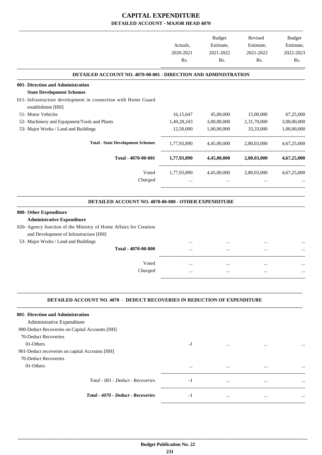|                                                                                  | Actuals,         | <b>Budget</b><br>Estimate, | Revised<br>Estimate, | Budget<br>Estimate, |
|----------------------------------------------------------------------------------|------------------|----------------------------|----------------------|---------------------|
|                                                                                  | 2020-2021<br>Rs. | 2021-2022<br>Rs.           | 2021-2022<br>Rs.     | 2022-2023<br>Rs.    |
| DETAILED ACCOUNT NO. 4070-00-001 - DIRECTION AND ADMINISTRATION                  |                  |                            |                      |                     |
| 001- Direction and Administration<br><b>State Development Schemes</b>            |                  |                            |                      |                     |
| 011- Infrastructure development in connection with Home Guard                    |                  |                            |                      |                     |
| establishmnt [HH]                                                                |                  |                            |                      |                     |
| 51- Motor Vehicles                                                               | 16,15,647        | 45,00,000                  | 15,00,000            | 67,25,000           |
| 52- Machinery and Equipment/Tools and Plants                                     | 1,49,28,243      | 3,00,00,000                | 2,31,70,000          | 3,00,00,000         |
| 53- Major Works / Land and Buildings                                             | 12,50,000        | 1,00,00,000                | 33,33,000            | 1,00,00,000         |
| <b>Total - State Development Schemes</b>                                         | 1,77,93,890      | 4,45,00,000                | 2,80,03,000          | 4,67,25,000         |
| Total - 4070-00-001                                                              | 1,77,93,890      | 4,45,00,000                | 2,80,03,000          | 4,67,25,000         |
| Voted                                                                            | 1,77,93,890      | 4,45,00,000                | 2,80,03,000          | 4,67,25,000         |
| Charged                                                                          | $\cdots$         | $\cdots$                   | $\cdots$             |                     |
|                                                                                  |                  |                            |                      |                     |
| DETAILED ACCOUNT NO. 4070-00-800 - OTHER EXPENDITURE                             |                  |                            |                      |                     |
| 800- Other Expenditure                                                           |                  |                            |                      |                     |
| <b>Administrative Expenditure</b>                                                |                  |                            |                      |                     |
| 020- Agency function of the Ministry of Home Affairs for Creation                |                  |                            |                      |                     |
| and Development of Infrastructure [HH]<br>53- Major Works / Land and Buildings   |                  |                            |                      |                     |
| Total - 4070-00-800                                                              |                  |                            | <br>$\ddotsc$        |                     |
|                                                                                  |                  |                            |                      |                     |
| Voted                                                                            |                  | $\ddotsc$                  | $\cdots$             |                     |
| Charged                                                                          |                  |                            |                      |                     |
|                                                                                  |                  |                            |                      |                     |
| <b>DETAILED ACCOUNT NO. 4070 - DEDUCT RECOVERIES IN REDUCTION OF EXPENDITURE</b> |                  |                            |                      |                     |
| 001- Direction and Administration                                                |                  |                            |                      |                     |
| Administrative Expenditure                                                       |                  |                            |                      |                     |
| 900-Deduct Recoveries on Capital Accounts [HH]                                   |                  |                            |                      |                     |
| 70-Deduct Recoveries                                                             |                  |                            |                      |                     |
| 01-Others                                                                        | $-I$             | $\cdots$                   |                      |                     |
| 901-Deduct recoveries on capital Accounts [HH]                                   |                  |                            |                      |                     |
| 70-Deduct Recoveries<br>01-Others                                                |                  |                            |                      |                     |
|                                                                                  |                  | $\cdots$                   |                      |                     |
| Total - 001 - Deduct - Recoveries                                                | $-1$             | $\cdots$                   | $\cdots$             |                     |
|                                                                                  |                  |                            |                      |                     |
| Total - 4070 - Deduct - Recoveries                                               | $-1$             | $\cdots$                   | $\cdots$             |                     |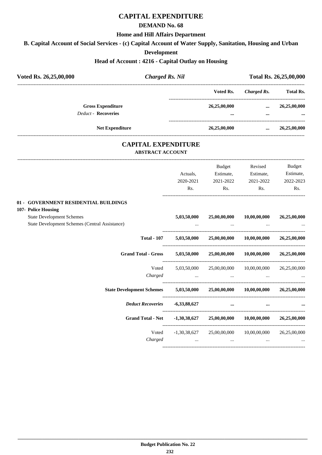### **DEMAND No. 68**

#### **Home and Hill Affairs Department**

**B. Capital Account of Social Services - (c) Capital Account of Water Supply, Sanitation, Housing and Urban**

#### **Development**

### **Head of Account : 4216 - Capital Outlay on Housing**

| Voted Rs. 26,25,00,000                                                             |                         | <b>Charged Rs. Nil</b>       |                                                    | Total Rs. 26,25,00,000<br>---------------- |                                         |
|------------------------------------------------------------------------------------|-------------------------|------------------------------|----------------------------------------------------|--------------------------------------------|-----------------------------------------|
|                                                                                    |                         |                              | Voted Rs.                                          | <b>Charged Rs.</b>                         | <b>Total Rs.</b>                        |
| <b>Gross Expenditure</b><br>Deduct - Recoveries                                    |                         |                              | 26,25,00,000                                       | $\cdots$                                   | 26,25,00,000                            |
| <b>Net Expenditure</b>                                                             |                         |                              | __________________________________<br>26,25,00,000 |                                            | 26,25,00,000                            |
|                                                                                    | <b>ABSTRACT ACCOUNT</b> | <b>CAPITAL EXPENDITURE</b>   |                                                    |                                            |                                         |
|                                                                                    |                         | Actuals,<br>2020-2021<br>Rs. | Budget<br>Estimate,<br>2021-2022<br>Rs.            | Revised<br>Estimate,<br>2021-2022<br>Rs.   | Budget<br>Estimate,<br>2022-2023<br>Rs. |
| 01 - GOVERNMENT RESIDENTIAL BUILDINGS<br>107- Police Housing                       |                         |                              |                                                    |                                            |                                         |
| <b>State Development Schemes</b><br>State Development Schemes (Central Assistance) |                         | 5,03,50,000                  | 25,00,00,000                                       | 10,00,00,000                               | 26,25,00,000                            |
|                                                                                    | <b>Total - 107</b>      | 5,03,50,000                  | 25,00,00,000                                       | 10,00,00,000                               | 26,25,00,000                            |
| <b>Grand Total - Gross</b>                                                         |                         | 5,03,50,000                  | 25,00,00,000                                       | 10,00,00,000                               | 26,25,00,000                            |
|                                                                                    | Voted<br>Charged        | 5,03,50,000<br>$\ddotsc$     | 25,00,00,000<br>$\ddotsc$                          | 10,00,00,000                               | 26,25,00,000                            |
| <b>State Development Schemes</b>                                                   |                         | 5,03,50,000                  | 25,00,00,000                                       | 10,00,00,000                               | 26,25,00,000                            |
| <b>Deduct Recoveries</b>                                                           |                         | $-6,33,88,627$               | $\cdots$                                           |                                            |                                         |
| <b>Grand Total - Net</b>                                                           |                         | -1,30,38,627                 | 25,00,00,000                                       | 10,00,00,000                               | 26,25,00,000                            |
|                                                                                    | Voted<br>Charged        | $-1,30,38,627$<br>$\cdots$   | 25,00,00,000<br>$\cdots$                           | 10,00,00,000<br>$\cdots$                   | 26,25,00,000                            |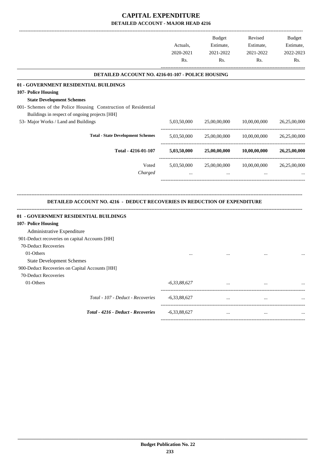-------------------------------------------------------------------------------------------------------------------------------------------------------------------------------

|                                                                                                                 | Actuals,<br>2020-2021<br>Rs. | <b>Budget</b><br>Estimate,<br>2021-2022<br>Rs. | Revised<br>Estimate,<br>2021-2022<br>Rs. | <b>Budget</b><br>Estimate,<br>2022-2023<br>Rs. |
|-----------------------------------------------------------------------------------------------------------------|------------------------------|------------------------------------------------|------------------------------------------|------------------------------------------------|
| DETAILED ACCOUNT NO. 4216-01-107 - POLICE HOUSING                                                               |                              |                                                |                                          |                                                |
| 01 - GOVERNMENT RESIDENTIAL BUILDINGS                                                                           |                              |                                                |                                          |                                                |
| 107- Police Housing                                                                                             |                              |                                                |                                          |                                                |
| <b>State Development Schemes</b>                                                                                |                              |                                                |                                          |                                                |
| 001- Schemes of the Police Housing Construction of Residential<br>Buildings in respect of ongoing projects [HH] |                              |                                                |                                          |                                                |
| 53- Major Works / Land and Buildings                                                                            | 5,03,50,000                  | 25,00,00,000                                   | 10,00,00,000                             | 26,25,00,000                                   |
| <b>Total - State Development Schemes</b>                                                                        | 5,03,50,000                  | 25,00,00,000                                   | 10,00,00,000                             | 26,25,00,000                                   |
| Total - 4216-01-107                                                                                             | 5,03,50,000                  | 25,00,00,000                                   | 10,00,00,000                             | 26,25,00,000                                   |
| Voted                                                                                                           | 5,03,50,000                  | 25,00,00,000                                   | 10,00,00,000                             | 26,25,00,000                                   |
| Charged                                                                                                         | $\cdots$                     | $\cdots$                                       | $\cdots$                                 |                                                |
| DETAILED ACCOUNT NO. 4216 - DEDUCT RECOVERIES IN REDUCTION OF EXPENDITURE                                       |                              |                                                |                                          |                                                |
| 01 - GOVERNMENT RESIDENTIAL BUILDINGS                                                                           |                              |                                                |                                          |                                                |
| 107- Police Housing                                                                                             |                              |                                                |                                          |                                                |
| Administrative Expenditure                                                                                      |                              |                                                |                                          |                                                |
| 901-Deduct recoveries on capital Accounts [HH]                                                                  |                              |                                                |                                          |                                                |
| 70-Deduct Recoveries                                                                                            |                              |                                                |                                          |                                                |
| 01-Others                                                                                                       |                              |                                                |                                          |                                                |
| <b>State Development Schemes</b>                                                                                |                              |                                                |                                          |                                                |
| 900-Deduct Recoveries on Capital Accounts [HH]                                                                  |                              |                                                |                                          |                                                |
| 70-Deduct Recoveries<br>01-Others                                                                               | $-6, 33, 88, 627$            |                                                |                                          |                                                |
|                                                                                                                 |                              |                                                |                                          |                                                |
| Total - 107 - Deduct - Recoveries                                                                               | $-6,33,88,627$               | $\cdots$                                       | $\cdots$                                 |                                                |
| Total - 4216 - Deduct - Recoveries                                                                              | $-6,33,88,627$               |                                                |                                          |                                                |
|                                                                                                                 |                              |                                                |                                          |                                                |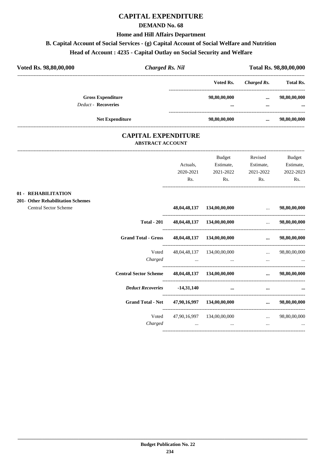### **DEMAND No. 68**

#### **Home and Hill Affairs Department**

# **B. Capital Account of Social Services - (g) Capital Account of Social Welfare and Nutrition**

# **Head of Account : 4235 - Capital Outlay on Social Security and Welfare**

| Voted Rs. 98,80,00,000                                 | <b>Charged Rs. Nil</b> |              |             |                  |
|--------------------------------------------------------|------------------------|--------------|-------------|------------------|
|                                                        |                        | Voted Rs.    | Charged Rs. | <b>Total Rs.</b> |
| <b>Gross Expenditure</b><br><b>Deduct - Recoveries</b> |                        | 98,80,00,000 | $\cdots$    | 98,80,00,000     |
|                                                        |                        |              |             |                  |
| <b>Net Expenditure</b>                                 |                        | 98,80,00,000 | $\cdots$    | 98,80,00,000     |

### **CAPITAL EXPENDITURE ABSTRACT ACCOUNT**

|                                   |                              |              | Budget                                                                          | Revised                                                         | <b>Budget</b>        |
|-----------------------------------|------------------------------|--------------|---------------------------------------------------------------------------------|-----------------------------------------------------------------|----------------------|
|                                   |                              | Actuals,     | Estimate,                                                                       | Estimate,                                                       | Estimate,            |
|                                   |                              | 2020-2021    | 2021-2022                                                                       | 2021-2022                                                       | 2022-2023            |
|                                   |                              | Rs.          | Rs.                                                                             | Rs.                                                             | Rs.                  |
| 01 - REHABILITATION               |                              |              |                                                                                 |                                                                 |                      |
| 201- Other Rehabilitation Schemes |                              |              |                                                                                 |                                                                 |                      |
| <b>Central Sector Scheme</b>      |                              |              | 48,04,48,137 134,00,00,000                                                      | $\mathbf{r}$ and $\mathbf{r}$                                   | 98,80,00,000         |
|                                   | <b>Total - 201</b>           |              | $48,04,48,137$ $134,00,00,000$                                                  |                                                                 | 98,80,00,000         |
|                                   | <b>Grand Total - Gross</b>   |              | 48,04,48,137 134,00,00,000                                                      |                                                                 | 98,80,00,000         |
|                                   | Voted                        |              | 48,04,48,137 134,00,00,000                                                      | $\mathbf{r}$ and $\mathbf{r}$ and $\mathbf{r}$ and $\mathbf{r}$ | 98,80,00,000         |
|                                   | Charged                      |              | the contract of the contract of the contract of the contract of the contract of |                                                                 | and the state of the |
|                                   | <b>Central Sector Scheme</b> |              | $48,04,48,137$ $134,00,00,000$                                                  |                                                                 | 98,80,00,000         |
|                                   | <b>Deduct Recoveries</b>     | $-14,31,140$ | $\cdots$                                                                        | $\cdots$                                                        |                      |
|                                   | <b>Grand Total - Net</b>     |              | 47,90,16,997 134,00,00,000                                                      | $\sim$ $\sim$ $\sim$ $\sim$ $\sim$                              | 98,80,00,000         |
|                                   | Voted                        |              | 47,90,16,997 134,00,00,000                                                      | $\mathbf{r}$ and $\mathbf{r}$ and $\mathbf{r}$ and $\mathbf{r}$ | 98,80,00,000         |
|                                   | Charged                      |              | and the state of the state of the state of                                      | $\cdots$                                                        |                      |
|                                   |                              |              |                                                                                 |                                                                 |                      |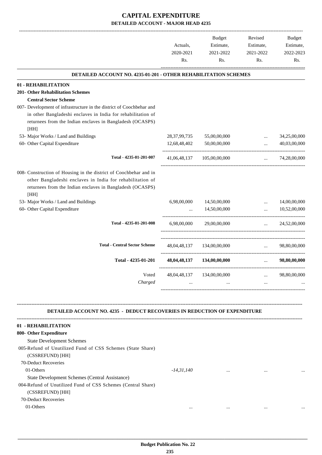|                                                                                                                                                                                                     | Actuals,<br>2020-2021<br>Rs. | Budget<br>Estimate,<br>2021-2022<br>Rs. | Revised<br>Estimate,<br>2021-2022<br>Rs. | Budget<br>Estimate,<br>2022-2023<br>Rs. |
|-----------------------------------------------------------------------------------------------------------------------------------------------------------------------------------------------------|------------------------------|-----------------------------------------|------------------------------------------|-----------------------------------------|
| <b>DETAILED ACCOUNT NO. 4235-01-201 - OTHER REHABILITATION SCHEMES</b>                                                                                                                              |                              |                                         |                                          |                                         |
| 01 - REHABILITATION                                                                                                                                                                                 |                              |                                         |                                          |                                         |
| <b>201- Other Rehabilitation Schemes</b>                                                                                                                                                            |                              |                                         |                                          |                                         |
| <b>Central Sector Scheme</b>                                                                                                                                                                        |                              |                                         |                                          |                                         |
| 007- Development of infrastructure in the district of Coochbehar and                                                                                                                                |                              |                                         |                                          |                                         |
| in other Bangladeshi enclaves in India for rehabilitation of                                                                                                                                        |                              |                                         |                                          |                                         |
| returnees from the Indian enclaves in Bangladesh (OCASPS)<br>[HH]                                                                                                                                   |                              |                                         |                                          |                                         |
| 53- Major Works / Land and Buildings                                                                                                                                                                | 28,37,99,735                 | 55,00,00,000                            | $\cdots$                                 | 34,25,00,000                            |
| 60- Other Capital Expenditure                                                                                                                                                                       |                              | 12,68,48,402   50,00,00,000             | $\ldots$                                 | 40,03,00,000                            |
| Total - 4235-01-201-007                                                                                                                                                                             |                              | 41,06,48,137 105,00,00,000              | $\cdots$                                 | 74,28,00,000                            |
| 008- Construction of Housing in the district of Coochbehar and in<br>other Bangladeshi enclaves in India for rehabilitation of<br>returnees from the Indian enclaves in Bangladesh (OCASPS)<br>[HH] |                              |                                         |                                          |                                         |
| 53- Major Works / Land and Buildings                                                                                                                                                                | 6,98,00,000                  | 14,50,00,000                            |                                          | 14,00,00,000                            |
| 60- Other Capital Expenditure                                                                                                                                                                       | $\ddots$                     | 14,50,00,000                            | $\cdots$                                 | 10,52,00,000                            |
| Total - 4235-01-201-008                                                                                                                                                                             | 6,98,00,000                  | 29,00,00,000                            |                                          | $\ldots$ 24,52,00,000                   |
| <b>Total - Central Sector Scheme</b>                                                                                                                                                                |                              | 48,04,48,137 134,00,00,000              | $\mathbf{L}$ , and $\mathbf{L}$          | 98,80,00,000                            |
| Total - 4235-01-201                                                                                                                                                                                 |                              | 48,04,48,137 134,00,00,000              |                                          | $\ldots$ 98,80,00,000                   |
| Voted                                                                                                                                                                                               |                              | 48,04,48,137 134,00,00,000              |                                          | 98,80,00,000                            |
| Charged                                                                                                                                                                                             | $\cdots$                     |                                         |                                          |                                         |
|                                                                                                                                                                                                     |                              |                                         |                                          |                                         |

| 01 - REHABILITATION                                          |              |          |          |          |
|--------------------------------------------------------------|--------------|----------|----------|----------|
| 800- Other Expenditure                                       |              |          |          |          |
| <b>State Development Schemes</b>                             |              |          |          |          |
| 005-Refund of Unutilized Fund of CSS Schemes (State Share)   |              |          |          |          |
| (CSSREFUND) [HH]                                             |              |          |          |          |
| 70-Deduct Recoveries                                         |              |          |          |          |
| 01-Others                                                    | $-14.31.140$ | $\cdots$ | $\cdots$ | $\cdots$ |
| State Development Schemes (Central Assistance)               |              |          |          |          |
| 004-Refund of Unutilized Fund of CSS Schemes (Central Share) |              |          |          |          |
| (CSSREFUND) [HH]                                             |              |          |          |          |
| 70-Deduct Recoveries                                         |              |          |          |          |
| 01-Others                                                    | $\cdots$     | $\cdots$ |          | $\cdots$ |
|                                                              |              |          |          |          |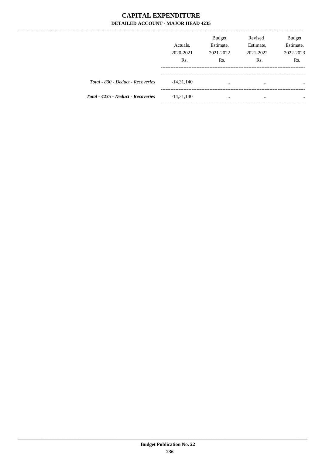---------------

|                                           | Actuals,<br>2020-2021<br>R <sub>s</sub> . | <b>Budget</b><br>Estimate,<br>2021-2022<br>Rs. | Revised<br>Estimate,<br>2021-2022<br>R <sub>s</sub> . | Budget<br>Estimate,<br>2022-2023<br>Rs. |
|-------------------------------------------|-------------------------------------------|------------------------------------------------|-------------------------------------------------------|-----------------------------------------|
| Total - 800 - Deduct - Recoveries         | $-14,31,140$                              | $\cdots$                                       | $\cdots$                                              | $\cdots$                                |
| <b>Total - 4235 - Deduct - Recoveries</b> | $-14,31,140$                              | $\cdots$                                       | $\cdots$                                              | $\cdots$                                |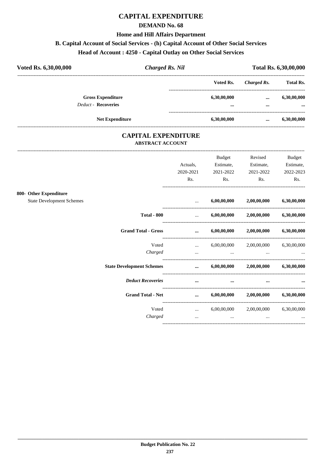### **DEMAND No. 68**

#### **Home and Hill Affairs Department**

### **B. Capital Account of Social Services - (h) Capital Account of Other Social Services**

# **Head of Account : 4250 - Capital Outlay on Other Social Services**

| Voted Rs. 6,30,00,000 |                                                        | <b>Charged Rs. Nil</b> | Total Rs. 6,30,00,000                  |                      |                         |
|-----------------------|--------------------------------------------------------|------------------------|----------------------------------------|----------------------|-------------------------|
|                       |                                                        | Voted Rs.              | Charged Rs.                            | <b>Total Rs.</b>     |                         |
|                       | <b>Gross Expenditure</b><br><b>Deduct - Recoveries</b> |                        | 6,30,00,000<br>$\bullet\bullet\bullet$ | $\cdots$<br>$\cdots$ | 6,30,00,000<br>$\cdots$ |
|                       | <b>Net Expenditure</b>                                 |                        | 6,30,00,000                            |                      | 6,30,00,000             |

### **CAPITAL EXPENDITURE ABSTRACT ACCOUNT**

---------------------------------------------------------------------------------------------------------------------------------------------------------------------------------

|                                                            |                                  | Actuals.                                                                                                                                                                                                                             | <b>Budget</b><br>Estimate, | Revised<br>Estimate,                      | <b>Budget</b><br>Estimate, |
|------------------------------------------------------------|----------------------------------|--------------------------------------------------------------------------------------------------------------------------------------------------------------------------------------------------------------------------------------|----------------------------|-------------------------------------------|----------------------------|
|                                                            |                                  | 2020-2021<br>Rs.                                                                                                                                                                                                                     | 2021-2022<br>Rs.           | 2021-2022<br>Rs.                          | 2022-2023<br>Rs.           |
|                                                            |                                  |                                                                                                                                                                                                                                      |                            |                                           |                            |
| 800- Other Expenditure<br><b>State Development Schemes</b> |                                  | $\cdots$                                                                                                                                                                                                                             | 6,00,00,000                | 2,00,00,000                               | 6,30,00,000                |
|                                                            |                                  |                                                                                                                                                                                                                                      |                            |                                           |                            |
|                                                            | <b>Total - 800</b>               | $\ddots$                                                                                                                                                                                                                             |                            | $6,00,00,000$ $2,00,00,000$               | 6,30,00,000                |
|                                                            | <b>Grand Total - Gross</b>       | <u>and the company of the company of the company of the company of the company of the company of the company of the company of the company of the company of the company of the company of the company of the company of the com</u> | 6,00,00,000                | $2{,}00{,}00{,}000$                       | 6,30,00,000                |
|                                                            | Voted                            | $\cdots$                                                                                                                                                                                                                             |                            | $6,00,00,000$ $2,00,00,000$               | 6,30,00,000                |
|                                                            | Charged                          | $\cdots$                                                                                                                                                                                                                             | $\cdots$                   | $\cdots$                                  |                            |
|                                                            | <b>State Development Schemes</b> | $\cdots$                                                                                                                                                                                                                             |                            | $6,00,00,000$ $2,00,00,000$               | 6,30,00,000                |
|                                                            | <b>Deduct Recoveries</b>         | $\cdots$                                                                                                                                                                                                                             | $\cdots$                   | $\cdots$                                  |                            |
|                                                            | <b>Grand Total - Net</b>         | $\cdots$                                                                                                                                                                                                                             |                            | $6,00,00,000$ $2,00,00,000$ $6,30,00,000$ |                            |
|                                                            | Voted                            | $\mathbf{L}$ , and $\mathbf{L}$                                                                                                                                                                                                      |                            | 6,00,00,000 2,00,00,000                   | 6,30,00,000                |
|                                                            | Charged                          | $\cdots$                                                                                                                                                                                                                             | $\cdots$                   | $\cdots$                                  | $\cdots$                   |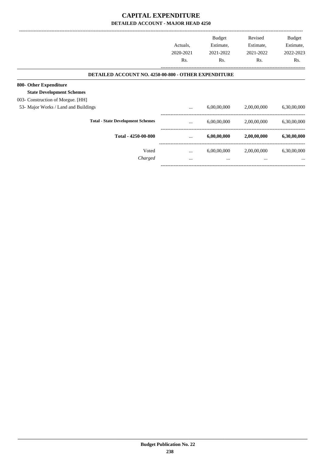|                                                             | Actuals,<br>2020-2021<br>Rs. | <b>Budget</b><br>Estimate,<br>2021-2022<br>Rs. | Revised<br>Estimate,<br>2021-2022<br>Rs. | Budget<br>Estimate,<br>2022-2023<br>Rs. |
|-------------------------------------------------------------|------------------------------|------------------------------------------------|------------------------------------------|-----------------------------------------|
| <b>DETAILED ACCOUNT NO. 4250-00-800 - OTHER EXPENDITURE</b> |                              |                                                |                                          |                                         |
| 800- Other Expenditure                                      |                              |                                                |                                          |                                         |
| <b>State Development Schemes</b>                            |                              |                                                |                                          |                                         |
| 003- Construction of Morgue. [HH]                           |                              |                                                |                                          |                                         |
| 53- Major Works / Land and Buildings                        | $\cdots$                     | 6,00,00,000                                    | 2,00,00,000                              | 6,30,00,000                             |
| <b>Total - State Development Schemes</b>                    | $\cdots$                     | 6,00,00,000                                    | 2,00,00,000                              | 6,30,00,000                             |
| Total - 4250-00-800                                         | $\cdots$                     | 6,00,00,000                                    | 2,00,00,000                              | 6,30,00,000                             |
| Voted                                                       | $\cdots$                     | 6,00,00,000                                    | 2,00,00,000                              | 6,30,00,000                             |
| Charged                                                     | $\cdots$                     | $\cdots$                                       | $\cdots$                                 |                                         |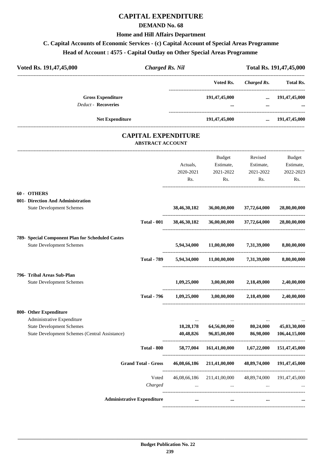### **DEMAND No. 68**

### **Home and Hill Affairs Department**

# **C. Capital Accounts of Economic Services - (c) Capital Account of Special Areas Programme**

### **Head of Account : 4575 - Capital Outlay on Other Special Areas Programme**

| Voted Rs. 191,47,45,000<br><b>Charged Rs. Nil</b>                     |                  |                                      |                           | Total Rs. 191,47,45,000 |
|-----------------------------------------------------------------------|------------------|--------------------------------------|---------------------------|-------------------------|
|                                                                       |                  | Voted Rs.                            |                           | Charged Rs. Total Rs.   |
| <b>Gross Expenditure</b><br>Deduct - Recoveries                       |                  | 191,47,45,000                        |                           | $\dots$ 191,47,45,000   |
| Net Expenditure                                                       |                  | 191,47,45,000                        | $\cdots$                  | 191,47,45,000           |
| <b>CAPITAL EXPENDITURE</b><br><b>ABSTRACT ACCOUNT</b>                 |                  |                                      |                           |                         |
|                                                                       |                  | Budget                               | Revised                   | Budget                  |
|                                                                       | Actuals,         | Estimate,                            | Estimate,                 | Estimate,               |
|                                                                       | 2020-2021<br>Rs. | 2021-2022<br>Rs.                     | 2021-2022<br>Rs.          | 2022-2023<br>Rs.        |
| 60 - OTHERS                                                           |                  |                                      |                           |                         |
| 001- Direction And Administration<br><b>State Development Schemes</b> | 38,46,30,182     | 36,00,00,000                         | 37,72,64,000              | 28,80,00,000            |
| <b>Total - 001</b>                                                    | 38,46,30,182     |                                      | 36,00,00,000 37,72,64,000 | 28,80,00,000            |
| 789- Special Component Plan for Scheduled Castes                      |                  |                                      |                           |                         |
| <b>State Development Schemes</b>                                      | 5,94,34,000      | 11,00,00,000                         | 7,31,39,000               | 8,80,00,000             |
| <b>Total - 789</b>                                                    |                  | 5,94,34,000 11,00,00,000 7,31,39,000 |                           | 8,80,00,000             |
| 796- Tribal Areas Sub-Plan                                            |                  |                                      |                           |                         |
| <b>State Development Schemes</b>                                      | 1,09,25,000      | 3,00,00,000                          | 2,18,49,000               | 2,40,00,000             |
| <b>Total - 796</b>                                                    | 1.09.25,000      | 3,00,00,000                          | 2.18.49,000               | 2.40.00.000             |
| 800- Other Expenditure                                                |                  |                                      |                           |                         |
| Administrative Expenditure                                            | $\cdots$         |                                      |                           |                         |
| <b>State Development Schemes</b>                                      | 18,28,178        | 64,56,00,000                         | 80,24,000                 | 45,03,30,000            |
| <b>State Development Schemes (Central Assistance)</b>                 | 40,48,826        | 96,85,00,000                         | 86,98,000                 | 106,44,15,000           |
| <b>Total - 800</b>                                                    | 58,77,004        | 161,41,00,000                        | 1,67,22,000               | 151,47,45,000           |
| <b>Grand Total - Gross</b>                                            | 46,08,66,186     | 211,41,00,000                        | 48,89,74,000              | 191,47,45,000           |
| Voted                                                                 | 46,08,66,186     | 211,41,00,000                        | 48,89,74,000              | 191,47,45,000           |
| Charged                                                               | $\cdots$         | $\cdots$                             |                           |                         |
| <b>Administrative Expenditure</b>                                     | $\cdots$         | $\cdots$                             |                           |                         |

----------------------------------------------------------------------------------------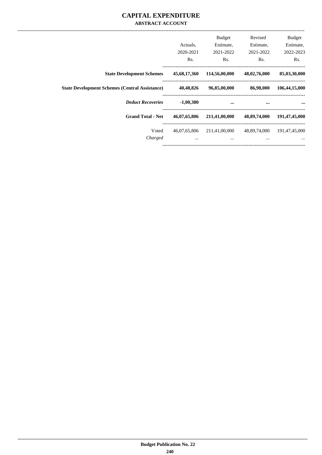### **CAPITAL EXPENDITURE ABSTRACT ACCOUNT**

| <b>Budget</b><br>Estimate,<br>2022-2023<br>Rs. | Revised<br>Estimate,<br>2021-2022<br>Rs. | <b>Budget</b><br>Estimate,<br>2021-2022<br>Rs. | Actuals.<br>2020-2021<br>Rs. |                                                       |
|------------------------------------------------|------------------------------------------|------------------------------------------------|------------------------------|-------------------------------------------------------|
|                                                |                                          |                                                |                              |                                                       |
| 85,03,30,000                                   | 48,02,76,000                             | 114,56,00,000                                  | 45,68,17,360                 | <b>State Development Schemes</b>                      |
| 106,44,15,000                                  | 86,98,000                                | 96,85,00,000                                   | 40,48,826                    | <b>State Development Schemes (Central Assistance)</b> |
| $\cdots$                                       | $\cdots$                                 | $\cdots$                                       | $-1,00,380$                  | <b>Deduct Recoveries</b>                              |
| 191,47,45,000                                  | 48,89,74,000                             | 211,41,00,000                                  | 46,07,65,806                 | <b>Grand Total - Net</b>                              |
| 191,47,45,000                                  | 48,89,74,000                             | 211,41,00,000                                  | 46,07,65,806                 | Voted                                                 |
| $\cdots$                                       | $\cdots$                                 | $\cdots$                                       | $\cdots$                     | Charged                                               |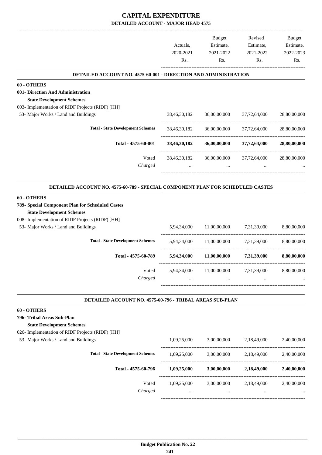|                                                                                                     |              | Budget       | Revised                   | <b>Budget</b> |
|-----------------------------------------------------------------------------------------------------|--------------|--------------|---------------------------|---------------|
|                                                                                                     | Actuals.     | Estimate,    | Estimate,                 | Estimate,     |
|                                                                                                     | 2020-2021    | 2021-2022    | 2021-2022                 | 2022-2023     |
|                                                                                                     | Rs.          | Rs.          | Rs.                       | Rs.           |
| DETAILED ACCOUNT NO. 4575-60-001 - DIRECTION AND ADMINISTRATION                                     |              |              |                           |               |
| 60 - OTHERS                                                                                         |              |              |                           |               |
| 001- Direction And Administration                                                                   |              |              |                           |               |
| <b>State Development Schemes</b>                                                                    |              |              |                           |               |
| 003- Implementation of RIDF Projects (RIDF) [HH]                                                    |              |              |                           |               |
| 53- Major Works / Land and Buildings                                                                | 38,46,30,182 |              | 36,00,00,000 37,72,64,000 | 28,80,00,000  |
| <b>Total - State Development Schemes</b>                                                            | 38,46,30,182 | 36,00,00,000 | 37,72,64,000              | 28,80,00,000  |
| Total - 4575-60-001                                                                                 | 38,46,30,182 |              | 36,00,00,000 37,72,64,000 | 28,80,00,000  |
| Voted                                                                                               | 38,46,30,182 | 36,00,00,000 | 37,72,64,000              | 28,80,00,000  |
| Charged                                                                                             |              | $\cdots$     |                           |               |
|                                                                                                     |              |              |                           |               |
| DETAILED ACCOUNT NO. 4575-60-789 - SPECIAL COMPONENT PLAN FOR SCHEDULED CASTES                      |              |              |                           |               |
| 60 - OTHERS<br>789- Special Component Plan for Scheduled Castes<br><b>State Development Schemes</b> |              |              |                           |               |
| 008- Implementation of RIDF Projects (RIDF) [HH]                                                    |              |              |                           |               |
| 53- Major Works / Land and Buildings                                                                | 5,94,34,000  | 11,00,00,000 | 7,31,39,000               | 8,80,00,000   |
| <b>Total - State Development Schemes</b>                                                            | 5,94,34,000  | 11,00,00,000 | 7,31,39,000               | 8,80,00,000   |
| Total - 4575-60-789                                                                                 | 5,94,34,000  | 11,00,00,000 | 7,31,39,000               | 8,80,00,000   |
| Voted                                                                                               | 5,94,34,000  | 11,00,00,000 | 7,31,39,000               | 8,80,00,000   |
| Charged                                                                                             |              |              |                           |               |
|                                                                                                     |              |              |                           |               |
| DETAILED ACCOUNT NO. 4575-60-796 - TRIBAL AREAS SUB-PLAN                                            |              |              |                           |               |
| 60 - OTHERS                                                                                         |              |              |                           |               |
| 796- Tribal Areas Sub-Plan                                                                          |              |              |                           |               |
| <b>State Development Schemes</b><br>026- Implementation of RIDF Projects (RIDF) [HH]                |              |              |                           |               |
| 53- Major Works / Land and Buildings                                                                | 1,09,25,000  | 3,00,00,000  | 2,18,49,000               | 2,40,00,000   |
|                                                                                                     |              |              |                           |               |
| <b>Total - State Development Schemes</b>                                                            | 1,09,25,000  | 3,00,00,000  | 2,18,49,000               | 2,40,00,000   |
| Total - 4575-60-796                                                                                 | 1,09,25,000  | 3,00,00,000  | 2,18,49,000               | 2,40,00,000   |
| Voted                                                                                               | 1,09,25,000  | 3,00,00,000  | 2,18,49,000               | 2,40,00,000   |
| Charged                                                                                             |              |              |                           |               |
|                                                                                                     |              |              |                           |               |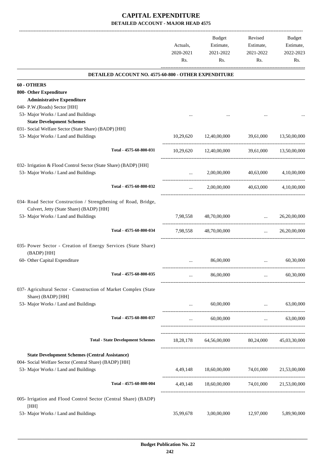|                                                                                        | Actuals,<br>2020-2021<br>Rs. | Budget<br>Estimate,<br>2021-2022<br>Rs.       | Revised<br>Estimate,<br>2021-2022<br>Rs. | Budget<br>Estimate,<br>2022-2023<br>Rs. |
|----------------------------------------------------------------------------------------|------------------------------|-----------------------------------------------|------------------------------------------|-----------------------------------------|
| DETAILED ACCOUNT NO. 4575-60-800 - OTHER EXPENDITURE                                   |                              |                                               |                                          |                                         |
| 60 - OTHERS                                                                            |                              |                                               |                                          |                                         |
| 800- Other Expenditure                                                                 |                              |                                               |                                          |                                         |
| <b>Administrative Expenditure</b>                                                      |                              |                                               |                                          |                                         |
| 040- P.W.(Roads) Sector [HH]                                                           |                              |                                               |                                          |                                         |
| 53- Major Works / Land and Buildings                                                   |                              |                                               |                                          |                                         |
| <b>State Development Schemes</b>                                                       |                              |                                               |                                          |                                         |
| 031- Social Welfare Sector (State Share) (BADP) [HH]                                   |                              |                                               |                                          |                                         |
| 53- Major Works / Land and Buildings                                                   | 10,29,620                    | 12,40,00,000                                  | 39,61,000                                | 13,50,00,000                            |
| Total - 4575-60-800-031                                                                |                              | 10,29,620 12,40,00,000                        |                                          | 39,61,000 13,50,00,000                  |
| 032- Irrigation & Flood Control Sector (State Share) (BADP) [HH]                       |                              |                                               |                                          |                                         |
| 53- Major Works / Land and Buildings                                                   | $\cdots$                     |                                               | 2,00,00,000 40,63,000 4,10,00,000        |                                         |
| Total - 4575-60-800-032                                                                | $\cdots$                     | 2,00,00,000                                   | 40,63,000                                | 4,10,00,000                             |
| 034- Road Sector Construction / Strengthening of Road, Bridge,                         |                              |                                               |                                          |                                         |
| Culvert, Jetty (State Share) (BADP) [HH]                                               |                              |                                               |                                          |                                         |
| 53- Major Works / Land and Buildings                                                   |                              | 7,98,558 48,70,00,000                         | $\mathbf{r}$ and $\mathbf{r}$            | 26,20,00,000                            |
| Total - 4575-60-800-034                                                                | 7,98,558                     | 48,70,00,000                                  |                                          | $\ldots$ 26,20,00,000                   |
| 035- Power Sector - Creation of Energy Services (State Share)<br>(BADP) [HH]           |                              |                                               |                                          |                                         |
| 60- Other Capital Expenditure                                                          | $\cdots$                     | 86,00,000                                     | $\cdots$                                 | 60,30,000                               |
| Total - 4575-60-800-035                                                                |                              | 86,00,000                                     | $\cdots$                                 | 60,30,000                               |
| 037- Agricultural Sector - Construction of Market Complex (State<br>Share) (BADP) [HH] |                              |                                               |                                          |                                         |
| 53- Major Works / Land and Buildings                                                   | $\ddots$                     | 60,00,000                                     | $\cdots$                                 | 63,00,000                               |
| Total - 4575-60-800-037                                                                |                              | 60,00,000                                     |                                          | 63,00,000                               |
|                                                                                        | $\cdots$                     |                                               |                                          | and the state                           |
| <b>Total - State Development Schemes</b>                                               |                              | 18,28,178 64,56,00,000 80,24,000 45,03,30,000 |                                          |                                         |
|                                                                                        |                              |                                               |                                          |                                         |
| <b>State Development Schemes (Central Assistance)</b>                                  |                              |                                               |                                          |                                         |
| 004- Social Welfare Sector (Central Share) (BADP) [HH]                                 |                              |                                               |                                          |                                         |
| 53- Major Works / Land and Buildings                                                   |                              | 4,49,148 18,60,00,000 74,01,000 21,53,00,000  |                                          |                                         |
| Total - 4575-60-800-004                                                                |                              | 4,49,148 18,60,00,000 74,01,000 21,53,00,000  |                                          |                                         |
| 005- Irrigation and Flood Control Sector (Central Share) (BADP)<br>[HH]                |                              |                                               |                                          |                                         |
| 53- Major Works / Land and Buildings                                                   | 35,99,678                    | 3,00,00,000                                   | 12,97,000                                | 5,89,90,000                             |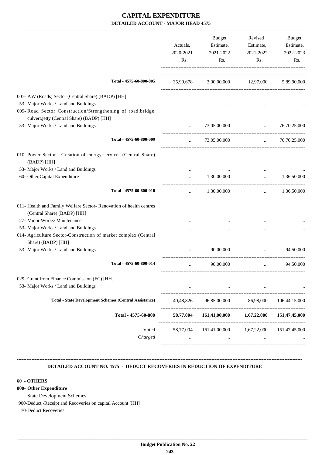| Actuals,<br>2020-2021 | <b>Budget</b><br>Estimate,<br>2021-2022 | Revised<br>Estimate,<br>2021-2022 | Budget<br>Estimate,<br>2022-2023                                                                        |
|-----------------------|-----------------------------------------|-----------------------------------|---------------------------------------------------------------------------------------------------------|
| Rs.                   | Rs.                                     | Rs.                               | Rs.                                                                                                     |
|                       |                                         |                                   |                                                                                                         |
|                       |                                         |                                   |                                                                                                         |
|                       |                                         |                                   |                                                                                                         |
| $\cdots$              | 73,05,00,000                            | $\ldots$                          | 76, 70, 25, 000                                                                                         |
| $\cdots$              | 73,05,00,000                            |                                   | 76,70,25,000                                                                                            |
|                       |                                         |                                   |                                                                                                         |
|                       |                                         | $\ddotsc$                         | 1,36,50,000                                                                                             |
|                       |                                         |                                   |                                                                                                         |
| $\cdots$              | 1,30,00,000                             | $\cdots$                          | 1,36,50,000                                                                                             |
|                       |                                         |                                   |                                                                                                         |
|                       |                                         |                                   |                                                                                                         |
|                       |                                         |                                   |                                                                                                         |
| $\cdots$              | 90,00,000                               | $\ddots$                          | 94,50,000                                                                                               |
|                       | 90,00,000                               | $\cdots$                          | 94,50,000                                                                                               |
| $\cdots$              | $\cdots$                                | $\cdots$                          |                                                                                                         |
| 40,48,826             | 96,85,00,000                            | 86,98,000                         | 106, 44, 15, 000                                                                                        |
| 58,77,004             | 161,41,00,000                           |                                   | 151,47,45,000                                                                                           |
| 58,77,004             | 161,41,00,000<br>$\cdots$               | 1,67,22,000<br>$\cdots$           | 151,47,45,000                                                                                           |
|                       | $\cdots$                                | 35,99,678<br>1,30,00,000          | 3,00,00,000 12,97,000 5,89,90,000<br>$\mathbf{11.1}$ and $\mathbf{11.1}$<br>$\cdots$<br><br>1,67,22,000 |

### **DETAILED ACCOUNT NO. 4575 - DEDUCT RECOVERIES IN REDUCTION OF EXPENDITURE**

**--------------------------------------------------------------------------------------------------------------------------------------------------------------------------------**

**--------------------------------------------------------------------------------------------------------------------------------------------------------------------------------**

#### **60 - OTHERS**

**800- Other Expenditure**

State Development Schemes

900-Deduct -Receipt and Recoveries on capital Account [HH]

70-Deduct Recoveries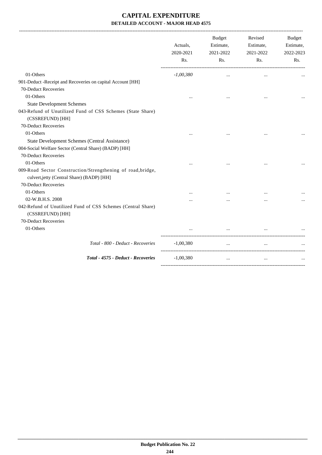|                                                                                                           | Actuals,<br>2020-2021<br>Rs. | <b>Budget</b><br>Estimate,<br>2021-2022<br>R <sub>s</sub> . | Revised<br>Estimate,<br>2021-2022<br>Rs. | Budget<br>Estimate,<br>2022-2023<br>Rs. |
|-----------------------------------------------------------------------------------------------------------|------------------------------|-------------------------------------------------------------|------------------------------------------|-----------------------------------------|
| 01-Others                                                                                                 | $-1,00,380$                  | $\cdots$                                                    | $\cdots$                                 |                                         |
| 901-Deduct -Receipt and Recoveries on capital Account [HH]                                                |                              |                                                             |                                          |                                         |
| 70-Deduct Recoveries                                                                                      |                              |                                                             |                                          |                                         |
| 01-Others                                                                                                 |                              |                                                             |                                          |                                         |
| <b>State Development Schemes</b>                                                                          |                              |                                                             |                                          |                                         |
| 043-Refund of Unutilized Fund of CSS Schemes (State Share)<br>(CSSREFUND) [HH]                            |                              |                                                             |                                          |                                         |
| 70-Deduct Recoveries                                                                                      |                              |                                                             |                                          |                                         |
| 01-Others                                                                                                 |                              |                                                             |                                          |                                         |
| State Development Schemes (Central Assistance)                                                            |                              |                                                             |                                          |                                         |
| 004-Social Welfare Sector (Central Share) (BADP) [HH]                                                     |                              |                                                             |                                          |                                         |
| 70-Deduct Recoveries                                                                                      |                              |                                                             |                                          |                                         |
| 01-Others                                                                                                 |                              |                                                             |                                          |                                         |
| 009-Road Sector Construction/Strengthening of road, bridge,<br>culvert, jetty (Central Share) (BADP) [HH] |                              |                                                             |                                          |                                         |
| 70-Deduct Recoveries                                                                                      |                              |                                                             |                                          |                                         |
| 01-Others                                                                                                 |                              |                                                             |                                          |                                         |
| 02-W.B.H.S. 2008                                                                                          |                              |                                                             |                                          |                                         |
| 042-Refund of Unutilized Fund of CSS Schemes (Central Share)<br>(CSSREFUND) [HH]                          |                              |                                                             |                                          |                                         |
| 70-Deduct Recoveries                                                                                      |                              |                                                             |                                          |                                         |
| 01-Others                                                                                                 |                              |                                                             |                                          |                                         |
| Total - 800 - Deduct - Recoveries                                                                         | $-1,00,380$                  | $\ddotsc$                                                   | $\ddotsc$                                |                                         |
| Total - 4575 - Deduct - Recoveries                                                                        | $-1,00,380$                  | $\cdots$                                                    | $\cdots$                                 |                                         |
|                                                                                                           |                              |                                                             |                                          |                                         |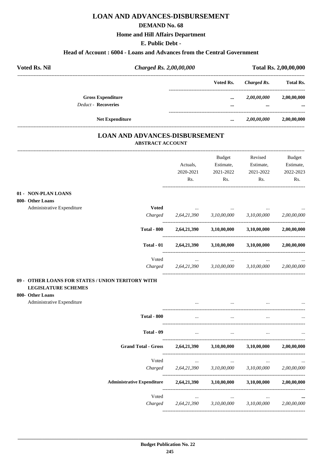# **LOAN AND ADVANCES-DISBURSEMENT**

### **DEMAND No. 68**

### **Home and Hill Affairs Department**

**E. Public Debt -**

### **Head of Account : 6004 - Loans and Advances from the Central Government**

| <b>Voted Rs. Nil</b>                                   | Charged Rs. 2,00,00,000 |              | Total Rs. 2,00,00,000   |                  |
|--------------------------------------------------------|-------------------------|--------------|-------------------------|------------------|
|                                                        |                         | Voted Rs.    | Charged Rs.             | <b>Total Rs.</b> |
| <b>Gross Expenditure</b><br><b>Deduct - Recoveries</b> |                         | $\cdots$<br> | 2,00,00,000<br>$\cdots$ | 2,00,00,000<br>  |
| <b>Net Expenditure</b>                                 |                         | $\cdots$     | 2,00,00,000             | 2,00,00,000      |

### **LOAN AND ADVANCES-DISBURSEMENT ABSTRACT ACCOUNT**

|                                                   |                                   |             | Budget      | Revised     | <b>Budget</b> |
|---------------------------------------------------|-----------------------------------|-------------|-------------|-------------|---------------|
|                                                   |                                   | Actuals,    | Estimate,   | Estimate,   | Estimate,     |
|                                                   |                                   | 2020-2021   | 2021-2022   | 2021-2022   | 2022-2023     |
|                                                   |                                   | Rs.         | Rs.         | Rs.         | Rs.           |
| 01 - NON-PLAN LOANS                               |                                   |             |             |             |               |
| 800- Other Loans                                  |                                   |             |             |             |               |
| Administrative Expenditure                        | <b>Voted</b>                      |             |             |             |               |
|                                                   | Charged                           | 2,64,21,390 | 3,10,00,000 | 3,10,00,000 | 2,00,00,000   |
|                                                   | <b>Total - 800</b>                | 2,64,21,390 | 3,10,00,000 | 3,10,00,000 | 2,00,00,000   |
|                                                   | Total - 01                        | 2,64,21,390 | 3,10,00,000 | 3,10,00,000 | 2,00,00,000   |
|                                                   | Voted                             |             |             |             |               |
|                                                   | Charged                           | 2,64,21,390 | 3,10,00,000 | 3,10,00,000 | 2,00,00,000   |
| 09 - OTHER LOANS FOR STATES / UNION TERITORY WITH |                                   |             |             |             |               |
| <b>LEGISLATURE SCHEMES</b>                        |                                   |             |             |             |               |
| 800- Other Loans                                  |                                   |             |             |             |               |
| Administrative Expenditure                        |                                   |             |             |             |               |
|                                                   | <b>Total - 800</b>                | $\cdots$    | $\ddotsc$   | $\ddotsc$   |               |
|                                                   | Total - 09                        | $\cdots$    | $\ddots$    |             |               |
|                                                   | <b>Grand Total - Gross</b>        | 2,64,21,390 | 3,10,00,000 | 3,10,00,000 | 2,00,00,000   |
|                                                   | Voted                             |             |             |             |               |
|                                                   | Charged                           | 2,64,21,390 | 3,10,00,000 | 3,10,00,000 | 2,00,00,000   |
|                                                   | <b>Administrative Expenditure</b> | 2,64,21,390 | 3,10,00,000 | 3,10,00,000 | 2,00,00,000   |
|                                                   | Voted                             |             |             |             |               |
|                                                   | Charged                           | 2,64,21,390 | 3,10,00,000 | 3,10,00,000 | 2,00,00,000   |
|                                                   |                                   |             |             |             |               |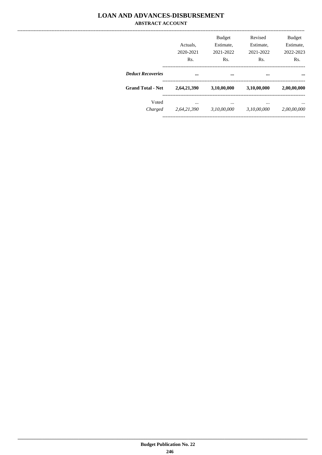### **LOAN AND ADVANCES-DISBURSEMENT ABSTRACT ACCOUNT**

|                          | Actuals.<br>2020-2021<br>Rs. | <b>Budget</b><br>Estimate.<br>2021-2022<br>Rs. | Revised<br>Estimate.<br>2021-2022<br>Rs. | <b>Budget</b><br>Estimate.<br>2022-2023<br>Rs. |
|--------------------------|------------------------------|------------------------------------------------|------------------------------------------|------------------------------------------------|
| <b>Deduct Recoveries</b> |                              |                                                |                                          |                                                |
| <b>Grand Total - Net</b> | 2,64,21,390                  | 3,10,00,000                                    | 3,10,00,000                              | 2,00,00,000                                    |
| Voted<br>Charged         | <br>2,64,21,390              | <br>3,10,00,000                                | <br>3,10,00,000                          | <br>2,00,00,000                                |